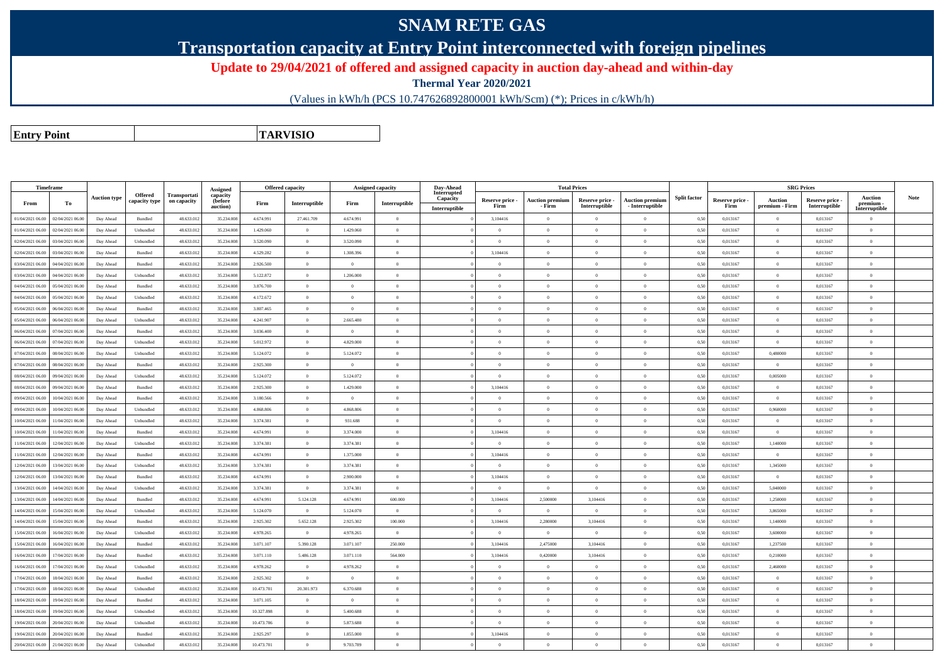## **SNAM RETE GAS**

**Transportation capacity at Entry Point interconnected with foreign pipelines**

**Update to 29/04/2021 of offered and assigned capacity in auction day-ahead and within-day**

**Thermal Year 2020/2021**

(Values in kWh/h (PCS 10.747626892800001 kWh/Scm) (\*); Prices in c/kWh/h)

**Entry PointTARVISIO**

|                  | <b>Timeframe</b> |                     |                    |                     |                      | <b>Offered capacity</b> |                |                | <b>Assigned capacity</b> | Dav-Ahead                 |                         |                                  | <b>Total Prices</b>              |                                           |                     |                         |                                  | <b>SRG Prices</b>                |                            |      |
|------------------|------------------|---------------------|--------------------|---------------------|----------------------|-------------------------|----------------|----------------|--------------------------|---------------------------|-------------------------|----------------------------------|----------------------------------|-------------------------------------------|---------------------|-------------------------|----------------------------------|----------------------------------|----------------------------|------|
|                  |                  |                     | <b>Offered</b>     | <b>Transportati</b> | Assigned<br>capacity |                         |                |                |                          | Interrupted               |                         |                                  |                                  |                                           |                     |                         |                                  |                                  | <b>Auction</b>             | Note |
| From             | Тo               | <b>Auction type</b> | capacity type      | on capacity         | (before<br>auction)  | Firm                    | Interruptible  | Firm           | Interruptible            | Capacity<br>Interruptible | Reserve price -<br>Firm | <b>Auction premium</b><br>- Firm | Reserve price -<br>Interruptible | <b>Auction premium</b><br>- Interruptible | <b>Split factor</b> | Reserve price -<br>Firm | <b>Auction</b><br>premium - Firm | Reserve price -<br>Interruptible | premium -<br>Interruptible |      |
| 01/04/2021 06:00 | 02/04/2021 06.00 | Day Ahead           | Bundled            | 48.633.01           | 35.234.00            | 4.674.991               | 27.461.709     | 4.674.991      | $\Omega$                 |                           | 3,104416                | $\theta$                         | $\Omega$                         | $\theta$                                  | 0,50                | 0,013167                | $\Omega$                         | 0,013167                         | $\Omega$                   |      |
| 01/04/2021 06.00 | 02/04/2021 06:00 | Day Ahead           | Unbundled          | 48.633.013          | 35.234.008           | 1.429.060               | $\overline{0}$ | 1.429.060      | $\overline{0}$           |                           | $\Omega$                | $\overline{0}$                   | $\theta$                         | $\bf{0}$                                  | 0,50                | 0,013167                | $\theta$                         | 0,013167                         | $\mathbf{0}$               |      |
| 02/04/2021 06:00 | 03/04/2021 06.00 | Day Ahead           | Unbundled          | 48.633.01           | 35.234.008           | 3.520.090               | $\overline{0}$ | 3.520.090      | $\theta$                 |                           | $\Omega$                | $\theta$                         | $\theta$                         | $\theta$                                  | 0,50                | 0,013167                | $\theta$                         | 0,013167                         | $\theta$                   |      |
| 02/04/2021 06:00 | 03/04/2021 06:00 | Day Ahead           | <b>Bundled</b>     | 48.633.013          | 35.234.008           | 4.529.282               | $\overline{0}$ | 1.308.396      | $\Omega$                 |                           | 3,104416                | $\theta$                         | $\Omega$                         | $\theta$                                  | 0,50                | 0.013167                | $\Omega$                         | 0.013167                         | $\Omega$                   |      |
| 03/04/2021 06:00 | 04/04/2021 06.00 | Day Ahead           | Bundled            | 48.633.01           | 35.234.008           | 2.926.500               | $\overline{0}$ | $\Omega$       | $\Omega$                 |                           | $\Omega$                | $\theta$                         | $\Omega$                         | $\theta$                                  | 0,50                | 0,013167                | $\Omega$                         | 0,013167                         | $\Omega$                   |      |
| 03/04/2021 06:00 | 04/04/2021 06.00 | Day Ahead           | Unbundled          | 48.633.013          | 35.234.00            | 5.122.872               | $\overline{0}$ | 1.206.000      | $\overline{0}$           |                           | $\Omega$                | $\overline{0}$                   | $\theta$                         | $\overline{0}$                            | 0,50                | 0,013167                | $\theta$                         | 0,013167                         | $\theta$                   |      |
| 04/04/2021 06:00 | 05/04/2021 06.00 | Day Ahead           | Bundled            | 48.633.01           | 35.234.00            | 3.876.700               | $\overline{0}$ | $\overline{0}$ | $\overline{0}$           |                           | $\overline{0}$          | $\overline{0}$                   | $\theta$                         | $\overline{0}$                            | 0,50                | 0,013167                | $\bf{0}$                         | 0,013167                         | $\theta$                   |      |
| 04/04/2021 06:00 | 05/04/2021 06.00 | Day Ahead           | Unbundled          | 48.633.01           | 35.234.00            | 4.172.672               | $\overline{0}$ | $\Omega$       | $\overline{0}$           |                           | $\overline{0}$          | $\overline{0}$                   | $\theta$                         | $\bf{0}$                                  | 0,50                | 0,013167                | $\theta$                         | 0,013167                         | $\theta$                   |      |
| 05/04/2021 06:00 | 06/04/2021 06.00 | Day Ahead           | Bundled            | 48.633.01           | 35.234.00            | 3.807.465               | $\mathbf{0}$   | $\Omega$       | $\Omega$                 |                           | $\Omega$                | $\theta$                         | $\Omega$                         | $\Omega$                                  | 0,50                | 0,013167                | $\Omega$                         | 0,013167                         | $\Omega$                   |      |
| 05/04/2021 06:00 | 06/04/2021 06.00 | Day Ahead           | Unbundled          | 48.633.013          | 35.234.008           | 4.241.907               | $\overline{0}$ | 2.665.480      | $\overline{0}$           |                           | $\Omega$                | $\overline{0}$                   | $\theta$                         | $\overline{0}$                            | 0,50                | 0,013167                | $\theta$                         | 0,013167                         | $\mathbf{0}$               |      |
| 06/04/2021 06:00 | 07/04/2021 06:00 | Day Ahead           | Bundled            | 48.633.01           | 35.234.00            | 3,036,400               | $\theta$       | $\Omega$       | $\theta$                 |                           | $\Omega$                | $\theta$                         | $\theta$                         | $\theta$                                  | 0.50                | 0.013167                | $\theta$                         | 0.013167                         | $\Omega$                   |      |
| 06/04/2021 06:00 | 07/04/2021 06:00 | Day Ahead           | Unbundled          | 48,633.01           | 35.234.008           | 5.012.972               | $\overline{0}$ | 4.829.000      | $\overline{0}$           |                           | $\Omega$                | $\overline{0}$                   | $\theta$                         | $\overline{0}$                            | 0,50                | 0.013167                | $\overline{0}$                   | 0.013167                         | $\overline{0}$             |      |
| 07/04/2021 06.00 | 08/04/2021 06.00 | Day Ahead           | Unbundled          | 48.633.01           | 35.234.00            | 5.124.072               | $\overline{0}$ | 5.124.072      | $\overline{0}$           |                           | $\Omega$                | $\theta$                         | $\Omega$                         | $\overline{0}$                            | 0,50                | 0.013167                | 0,480000                         | 0.013167                         | $\theta$                   |      |
| 07/04/2021 06.00 | 08/04/2021 06.00 | Day Ahead           | Bundled            | 48.633.01           | 35.234.008           | 2.925.300               | $\overline{0}$ | $\Omega$       | $\Omega$                 |                           | $\Omega$                | $\theta$                         | $\Omega$                         | $\Omega$                                  | 0,50                | 0,013167                | $\Omega$                         | 0,013167                         | $\theta$                   |      |
| 08/04/2021 06:00 | 09/04/2021 06.00 | Day Ahead           | Unbundled          | 48.633.012          | 35.234.00            | 5.124.072               | $\overline{0}$ | 5.124.072      | $\overline{0}$           |                           | $\Omega$                | $\overline{0}$                   | $\theta$                         | $\overline{0}$                            | 0,50                | 0,013167                | 0,005000                         | 0,013167                         | $\theta$                   |      |
| 08/04/2021 06:00 | 09/04/2021 06.00 | Day Ahead           | Bundled            | 48.633.01           | 35.234.00            | 2.925.300               | $\mathbf{0}$   | 1.429.000      | $\Omega$                 |                           | 3,104416                | $\theta$                         | $\Omega$                         | $\theta$                                  | 0,50                | 0.013167                | $\Omega$                         | 0,013167                         | $\Omega$                   |      |
| 09/04/2021 06:00 | 10/04/2021 06.00 | Day Ahead           | Bundled            | 48.633.013          | 35.234.00            | 3.180.566               | $\overline{0}$ | $\overline{0}$ | $\overline{0}$           |                           | $\overline{0}$          | $\overline{0}$                   | $\theta$                         | $\overline{0}$                            | 0,50                | 0,013167                | $\theta$                         | 0.013167                         | $\theta$                   |      |
| 09/04/2021 06:00 | 10/04/2021 06:00 | Day Ahead           | Unbundled          | 48.633.01           | 35.234.008           | 4.868.806               | $\overline{0}$ | 4.868.806      | $\theta$                 |                           | $\Omega$                | $\theta$                         | $\theta$                         | $\theta$                                  | 0,50                | 0,013167                | 0,960000                         | 0,013167                         | $\mathbf{0}$               |      |
| 10/04/2021 06:00 | 1/04/2021 06.00  | Day Ahead           | Unbundled          | 48.633.013          | 35.234.008           | 3.374.381               | $\overline{0}$ | 931.688        | $\overline{0}$           |                           | $\Omega$                | $\overline{0}$                   | $\theta$                         | $\overline{0}$                            | 0,50                | 0,013167                | $\overline{0}$                   | 0,013167                         | $\theta$                   |      |
| 10/04/2021 06:00 | 1/04/2021 06:00  | Day Ahead           | <b>Bundled</b>     | 48.633.013          | 35.234.008           | 4.674.991               | $\overline{0}$ | 3.374.000      | $\Omega$                 |                           | 3,104416                | $\theta$                         | $\Omega$                         | $\theta$                                  | 0.50                | 0.013167                | $\theta$                         | 0.013167                         | $\theta$                   |      |
| 11/04/2021 06:00 | 12/04/2021 06.00 | Day Ahead           | Unbundled          | 48.633.01           | 35.234.00            | 3.374.381               | $\,$ 0 $\,$    | 3.374.381      | $\overline{0}$           |                           | $\Omega$                | $\overline{0}$                   | $\Omega$                         | $\theta$                                  | 0,50                | 0,013167                | 1,140000                         | 0,013167                         | $\Omega$                   |      |
| 11/04/2021 06:00 | 12/04/2021 06.00 | Day Ahead           | Bundled            | 48.633.013          | 35.234.00            | 4.674.991               | $\overline{0}$ | 1.375.000      | $\Omega$                 |                           | 3,104416                | $\theta$                         | $\Omega$                         | $\theta$                                  | 0,50                | 0,013167                | $\Omega$                         | 0,013167                         | $\Omega$                   |      |
| 12/04/2021 06:00 | 13/04/2021 06.00 | Day Ahead           | Unbundled          | 48.633.01           | 35.234.00            | 3.374.381               | $\overline{0}$ | 3.374.381      | $\overline{0}$           |                           | $\Omega$                | $\overline{0}$                   | $\theta$                         | $\overline{0}$                            | 0,50                | 0,013167                | 1,345000                         | 0,013167                         | $\theta$                   |      |
| 12/04/2021 06:00 | 13/04/2021 06.00 | Day Ahead           | Bundled            | 48.633.013          | 35.234.00            | 4.674.991               | $\overline{0}$ | 2.900.000      | $\overline{0}$           |                           | 3,104416                | $\overline{0}$                   | $\theta$                         | $\overline{0}$                            | 0,50                | 0,013167                | $\overline{0}$                   | 0,013167                         | $\mathbf{0}$               |      |
| 13/04/2021 06:00 | 14/04/2021 06.00 | Day Ahead           | Unbundled          | 48.633.01           | 35.234.00            | 3.374.381               | $\overline{0}$ | 3.374.381      | $\Omega$                 |                           | $\Omega$                | $\theta$                         | $\Omega$                         | $\Omega$                                  | 0,50                | 0,013167                | 5,040000                         | 0,013167                         | $\Omega$                   |      |
| 13/04/2021 06:00 | 14/04/2021 06.00 | Day Ahead           | Bundled            | 48.633.013          | 35.234.008           | 4.674.991               | 5.124.128      | 4.674.991      | 600.000                  |                           | 3,104416                | 2,500000                         | 3,104416                         | $\theta$                                  | 0,50                | 0,013167                | 1,250000                         | 0,013167                         | $\Omega$                   |      |
| 14/04/2021 06:00 | 15/04/2021 06:00 | Day Ahead           | Unbundled          | 48.633.013          | 35.234.008           | 5.124.070               | $\theta$       | 5.124.070      | $\Omega$                 |                           | $\Omega$                | $\theta$                         | $\theta$                         | $\theta$                                  | 0.50                | 0.013167                | 3,865000                         | 0.013167                         | $\theta$                   |      |
| 14/04/2021 06:00 | 15/04/2021 06.00 | Day Ahead           | Bundled            | 48.633.01           | 35.234.008           | 2.925.302               | 5.652.128      | 2.925.302      | 100,000                  |                           | 3,104416                | 2.280000                         | 3,104416                         | $\mathbf{0}$                              | 0,50                | 0,013167                | 1,140000                         | 0,013167                         | $\theta$                   |      |
| 15/04/2021 06:00 | 16/04/2021 06:00 | Day Ahead           | Unbundled          | 48.633.013          | 35.234.008           | 4.978.265               | $\overline{0}$ | 4.978.265      | $\overline{0}$           |                           | $\Omega$                | $\theta$                         | $\theta$                         | $\overline{0}$                            | 0,50                | 0.013167                | 3,600000                         | 0.013167                         | $\theta$                   |      |
| 15/04/2021 06:00 | 16/04/2021 06.00 | Day Ahead           | Bundled            | 48.633.01           | 35.234.00            | 3.071.107               | 5.390.128      | 3.071.107      | 250,000                  |                           | 3,104416                | 2.475000                         | 3 104416                         | $\Omega$                                  | 0,50                | 0,013167                | 1,237500                         | 0,013167                         | $\Omega$                   |      |
| 16/04/2021 06:00 | 17/04/2021 06.00 | Day Ahead           | Bundled            | 48.633.013          | 35.234.00            | 3.071.110               | 5.486.128      | 3.071.110      | 564.000                  |                           | 3,104416                | 0,420000                         | 3,104416                         | $\theta$                                  | 0,50                | 0,013167                | 0,210000                         | 0,013167                         | $\Omega$                   |      |
| 16/04/2021 06:00 | 17/04/2021 06.00 | Day Ahead           | Unbundled          | 48.633.01           | 35.234.00            | 4.978.262               | $\overline{0}$ | 4.978.262      | $\Omega$                 |                           | $\Omega$                | $\theta$                         | $\Omega$                         | $\theta$                                  | 0,50                | 0,013167                | 2,460000                         | 0,013167                         | $\Omega$                   |      |
| 17/04/2021 06:00 | (8/04/2021 06.00 | Day Ahead           | $\mathbf B$ undled | 48.633.01           | 35.234.00            | 2.925.302               | $\overline{0}$ | $\overline{0}$ | $\overline{0}$           |                           | $\overline{0}$          | $\overline{0}$                   | $\theta$                         | $\overline{0}$                            | 0,50                | 0,013167                | $\theta$                         | 0,013167                         | $\theta$                   |      |
| 17/04/2021 06.00 | 18/04/2021 06:00 | Day Ahead           | Unbundled          | 48.633.01           | 35.234.00            | 10.473.701              | 20.301.973     | 6.370.688      | $\overline{0}$           |                           | $\Omega$                | $\overline{0}$                   | $\theta$                         | $\theta$                                  | 0,50                | 0,013167                | $\theta$                         | 0,013167                         | $\mathbf{0}$               |      |
| 18/04/2021 06:00 | 19/04/2021 06.00 | Day Ahead           | Bundled            | 48.633.013          | 35.234.008           | 3.071.105               | $\overline{0}$ | $\Omega$       | $\overline{0}$           |                           | $\Omega$                | $\theta$                         | $\Omega$                         | $\theta$                                  | 0,50                | 0,013167                | $\theta$                         | 0,013167                         | $\overline{0}$             |      |
| 18/04/2021 06:00 | 19/04/2021 06:00 | Day Ahead           | Unbundled          | 48,633.01           | 35.234.008           | 10.327.898              | $\Omega$       | 5.400.688      | $\Omega$                 |                           | $\Omega$                | $\theta$                         | $\theta$                         | $\Omega$                                  | 0.50                | 0.013167                | $\Omega$                         | 0.013167                         | $\Omega$                   |      |
| 19/04/2021 06:00 | 20/04/2021 06.00 | Day Ahead           | Unbundled          | 48.633.01           | 35.234.008           | 10.473.706              | $\overline{0}$ | 5.873.688      | $\theta$                 |                           | $\Omega$                | $\theta$                         | $\theta$                         | $\theta$                                  | 0,50                | 0,013167                | $\theta$                         | 0,013167                         | $\Omega$                   |      |
| 19/04/2021 06:00 | 20/04/2021 06.00 | Day Ahead           | Bundled            | 48.633.013          | 35.234.00            | 2.925.297               | $\,$ 0 $\,$    | 1.855.000      | $\overline{0}$           |                           | 3,104416                | $\theta$                         | $\Omega$                         | $\overline{0}$                            | 0,50                | 0,013167                | $\theta$                         | 0,013167                         | $\overline{0}$             |      |
| 20/04/2021 06:00 | 21/04/2021 06.00 | Day Ahead           | Unbundled          | 48.633.012          | 35.234.008           | 10.473.701              | $\mathbf{0}$   | 9.703.789      | $\Omega$                 |                           |                         | $\sqrt{2}$                       | $\Omega$                         | $\Omega$                                  | 0,50                | 0,013167                | $\theta$                         | 0,013167                         | $\Omega$                   |      |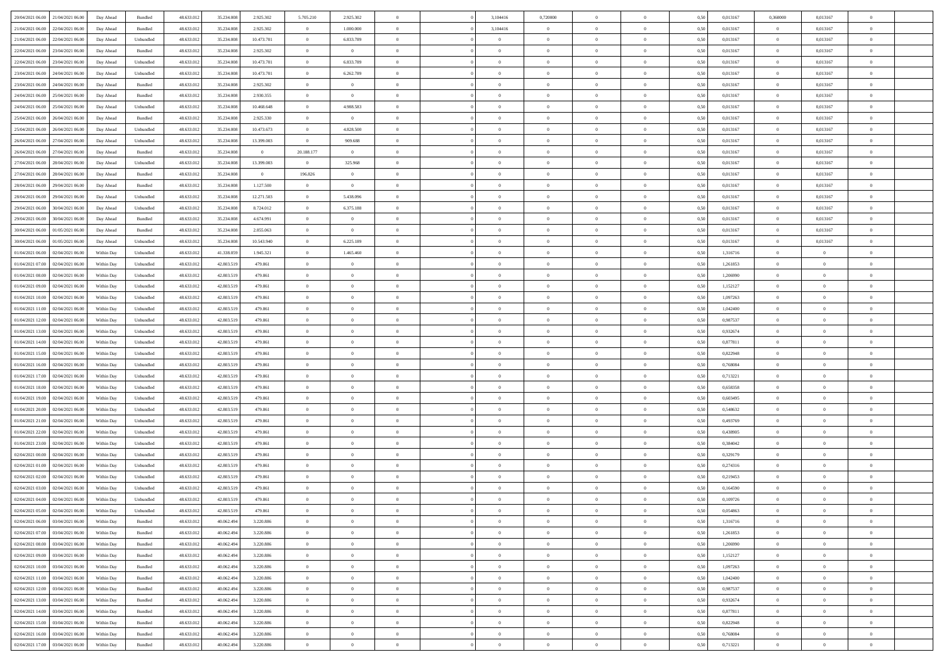|                                           |            |                   |            |            |                |                |                |                |                |                |                | $\theta$       |      |          |                |                | $\overline{0}$ |  |
|-------------------------------------------|------------|-------------------|------------|------------|----------------|----------------|----------------|----------------|----------------|----------------|----------------|----------------|------|----------|----------------|----------------|----------------|--|
| 20/04/2021 06:00 21/04/2021 06:00         | Day Ahead  | Bundled           | 48.633.01  | 35.234.008 | 2.925.302      | 5.705.210      | 2.925.302      |                | 3,104416       | 0,720000       |                |                | 0,50 | 0,013167 | 0,360000       | 0,013167       |                |  |
| 21/04/2021 06:00<br>22/04/2021 06.00      | Day Ahead  | Bundled           | 48.633.01  | 35.234.00  | 2.925.302      | $\bf{0}$       | 1.000.000      | $\bf{0}$       | 3,104416       | $\bf{0}$       | $\bf{0}$       | $\bf{0}$       | 0,50 | 0,013167 | $\bf{0}$       | 0,013167       | $\overline{0}$ |  |
| 21/04/2021 06:00<br>22/04/2021 06:00      | Day Ahead  | Unbundled         | 48.633.013 | 35.234.008 | 10.473.701     | $\overline{0}$ | 6.833.789      | $\overline{0}$ | $\bf{0}$       | $\overline{0}$ | $\overline{0}$ | $\bf{0}$       | 0.50 | 0.013167 | $\overline{0}$ | 0.013167       | $\overline{0}$ |  |
| 22/04/2021 06:00<br>23/04/2021 06:00      | Day Ahead  | Bundled           | 48.633.013 | 35.234.008 | 2.925.302      | $\overline{0}$ | $\overline{0}$ | $\overline{0}$ | $\overline{0}$ | $\theta$       | $\overline{0}$ | $\bf{0}$       | 0,50 | 0,013167 | $\,$ 0 $\,$    | 0,013167       | $\overline{0}$ |  |
| 22/04/2021 06:00<br>23/04/2021 06.00      | Day Ahead  | Unbundled         | 48.633.01  | 35.234.00  | 10.473.701     | $\bf{0}$       | 6.833.789      | $\bf{0}$       | $\overline{0}$ | $\theta$       | $\overline{0}$ | $\bf{0}$       | 0,50 | 0,013167 | $\,$ 0 $\,$    | 0,013167       | $\overline{0}$ |  |
| 23/04/2021 06:00<br>24/04/2021 06:00      | Day Ahead  | Unbundled         | 48.633.013 | 35.234.008 | 10.473.701     | $\overline{0}$ | 6.262.789      | $\overline{0}$ | $\bf{0}$       | $\overline{0}$ | $\overline{0}$ | $\bf{0}$       | 0.50 | 0.013167 | $\bf{0}$       | 0.013167       | $\overline{0}$ |  |
| 23/04/2021 06:00<br>24/04/2021 06:00      | Day Ahead  | Bundled           | 48.633.013 | 35.234.008 | 2.925.302      | $\overline{0}$ | $\overline{0}$ | $\overline{0}$ | $\overline{0}$ | $\overline{0}$ | $\overline{0}$ | $\bf{0}$       | 0,50 | 0,013167 | $\bf{0}$       | 0,013167       | $\overline{0}$ |  |
| 24/04/2021 06:00<br>25/04/2021 06.00      | Day Ahead  | Bundled           | 48.633.01  | 35.234.00  | 2.930.355      | $\bf{0}$       | $\bf{0}$       | $\bf{0}$       | $\overline{0}$ | $\overline{0}$ | $\overline{0}$ | $\bf{0}$       | 0,50 | 0,013167 | $\,$ 0 $\,$    | 0,013167       | $\overline{0}$ |  |
|                                           |            |                   |            |            |                |                |                |                |                |                |                |                |      |          |                |                |                |  |
| 24/04/2021 06:00<br>25/04/2021 06:00      | Day Ahead  | Unbundled         | 48.633.013 | 35.234.008 | 10.468.648     | $\overline{0}$ | 4.988.583      | $\overline{0}$ | $\bf{0}$       | $\overline{0}$ | $\overline{0}$ | $\bf{0}$       | 0.50 | 0.013167 | $\overline{0}$ | 0.013167       | $\overline{0}$ |  |
| 25/04/2021 06:00<br>26/04/2021 06:00      | Day Ahead  | Bundled           | 48.633.013 | 35.234.008 | 2.925.330      | $\overline{0}$ | $\overline{0}$ | $\overline{0}$ | $\overline{0}$ | $\overline{0}$ | $\overline{0}$ | $\bf{0}$       | 0,50 | 0,013167 | $\bf{0}$       | 0,013167       | $\overline{0}$ |  |
| 25/04/2021 06:00<br>26/04/2021 06.00      | Day Ahead  | Unbundled         | 48.633.01  | 35.234.008 | 10.473.673     | $\bf{0}$       | 4.828.500      | $\bf{0}$       | $\bf{0}$       | $\overline{0}$ | $\overline{0}$ | $\bf{0}$       | 0,50 | 0,013167 | $\,$ 0 $\,$    | 0,013167       | $\overline{0}$ |  |
| 26/04/2021 06:00<br>27/04/2021 06:00      | Day Ahead  | Unbundled         | 48.633.013 | 35.234.008 | 13.399.003     | $\overline{0}$ | 909.688        | $\overline{0}$ | $\overline{0}$ | $\bf{0}$       | $\overline{0}$ | $\bf{0}$       | 0.50 | 0.013167 | $\overline{0}$ | 0.013167       | $\overline{0}$ |  |
| 26/04/2021 06:00<br>27/04/2021 06:00      | Day Ahead  | Bundled           | 48.633.01  | 35.234.008 | $\overline{0}$ | 20.188.177     | $\overline{0}$ | $\overline{0}$ | $\theta$       | $\theta$       | $\overline{0}$ | $\bf{0}$       | 0,50 | 0,013167 | $\,$ 0 $\,$    | 0,013167       | $\overline{0}$ |  |
| 27/04/2021 06:00<br>28/04/2021 06:00      | Day Ahead  | Unbundled         | 48.633.01  | 35.234.00  | 13.399.003     | $\bf{0}$       | 325.968        | $\bf{0}$       | $\overline{0}$ | $\bf{0}$       | $\overline{0}$ | $\bf{0}$       | 0,50 | 0,013167 | $\,$ 0 $\,$    | 0,013167       | $\overline{0}$ |  |
| 27/04/2021 06:00<br>28/04/2021 06:00      | Day Ahead  | Bundled           | 48.633.013 | 35.234.008 | $\overline{0}$ | 196.826        | $\overline{0}$ | $\overline{0}$ | $\bf{0}$       | $\overline{0}$ | $\theta$       | $\bf{0}$       | 0.50 | 0.013167 | $\bf{0}$       | 0.013167       | $\overline{0}$ |  |
| 28/04/2021 06:00<br>29/04/2021 06:00      | Day Ahead  | Bundled           | 48.633.013 | 35.234.008 | 1.127.500      | $\overline{0}$ | $\overline{0}$ | $\overline{0}$ | $\overline{0}$ | $\overline{0}$ | $\overline{0}$ | $\bf{0}$       | 0,50 | 0,013167 | $\bf{0}$       | 0,013167       | $\overline{0}$ |  |
| 28/04/2021 06:00<br>29/04/2021 06.00      | Day Ahead  | Unbundled         | 48.633.01  | 35.234.008 | 12.271.503     | $\bf{0}$       | 5.438.096      | $\bf{0}$       | $\overline{0}$ | $\overline{0}$ | $\overline{0}$ | $\bf{0}$       | 0,50 | 0,013167 | $\,$ 0 $\,$    | 0,013167       | $\overline{0}$ |  |
| 29/04/2021 06:00<br>30/04/2021 06:00      |            | Unbundled         | 48.633.013 | 35.234.008 |                |                | 6.375.188      |                |                |                | $\overline{0}$ |                |      | 0.013167 |                | 0.013167       |                |  |
|                                           | Day Ahead  |                   |            |            | 8.724.012      | $\overline{0}$ |                | $\overline{0}$ | $\bf{0}$       | $\overline{0}$ |                | $\bf{0}$       | 0.50 |          | $\overline{0}$ |                | $\overline{0}$ |  |
| 29/04/2021 06:00<br>30/04/2021 06:00      | Day Ahead  | Bundled           | 48.633.013 | 35.234.008 | 4.674.991      | $\overline{0}$ | $\overline{0}$ | $\overline{0}$ | $\overline{0}$ | $\overline{0}$ | $\overline{0}$ | $\bf{0}$       | 0,50 | 0,013167 | $\bf{0}$       | 0,013167       | $\overline{0}$ |  |
| 30/04/2021 06:00<br>01/05/2021 06:00      | Day Ahead  | Bundled           | 48.633.01  | 35.234.00  | 2.855.063      | $\bf{0}$       | $\bf{0}$       | $\bf{0}$       | $\bf{0}$       | $\overline{0}$ | $\overline{0}$ | $\bf{0}$       | 0,50 | 0,013167 | $\,$ 0 $\,$    | 0,013167       | $\overline{0}$ |  |
| 30/04/2021 06:00<br>01/05/2021 06:00      | Day Ahead  | Unbundled         | 48.633.013 | 35.234.008 | 10.543.940     | $\overline{0}$ | 6.225.189      | $\overline{0}$ | $\overline{0}$ | $\bf{0}$       | $\overline{0}$ | $\bf{0}$       | 0.50 | 0.013167 | $\overline{0}$ | 0,013167       | $\overline{0}$ |  |
| 01/04/2021 06:00<br>02/04/2021 06:00      | Within Day | Unbundled         | 48.633.01  | 41.338.059 | 1.945.321      | $\overline{0}$ | 1.465.460      | $\overline{0}$ | $\theta$       | $\theta$       | $\overline{0}$ | $\bf{0}$       | 0,50 | 1,316716 | $\theta$       | $\overline{0}$ | $\overline{0}$ |  |
| 01/04/2021 07:00<br>02/04/2021 06.00      | Within Day | Unbundled         | 48.633.01  | 42.803.519 | 479.861        | $\bf{0}$       | $\overline{0}$ | $\bf{0}$       | $\bf{0}$       | $\overline{0}$ | $\overline{0}$ | $\bf{0}$       | 0,50 | 1,261853 | $\,$ 0 $\,$    | $\bf{0}$       | $\overline{0}$ |  |
| 01/04/2021 08:00<br>02/04/2021 06:00      | Within Day | Unbundled         | 48.633.013 | 42,803.519 | 479.861        | $\overline{0}$ | $\bf{0}$       | $\overline{0}$ | $\bf{0}$       | $\overline{0}$ | $\theta$       | $\bf{0}$       | 0.50 | 1.206990 | $\bf{0}$       | $\theta$       | $\overline{0}$ |  |
| 01/04/2021 09:00<br>02/04/2021 06.00      | Within Day | Unbundled         | 48.633.013 | 42.803.519 | 479.861        | $\overline{0}$ | $\overline{0}$ | $\overline{0}$ | $\overline{0}$ | $\overline{0}$ | $\overline{0}$ | $\bf{0}$       | 0,50 | 1,152127 | $\,$ 0 $\,$    | $\theta$       | $\overline{0}$ |  |
| 01/04/2021 10:00<br>02/04/2021 06.00      | Within Day | Unbundled         | 48.633.01  | 42.803.51  | 479.861        | $\bf{0}$       | $\overline{0}$ | $\bf{0}$       | $\overline{0}$ | $\bf{0}$       | $\overline{0}$ | $\bf{0}$       | 0,50 | 1,097263 | $\,$ 0 $\,$    | $\bf{0}$       | $\overline{0}$ |  |
| 01/04/2021 11:00<br>02/04/2021 06:00      | Within Day | Unbundled         | 48.633.013 | 42,803.519 | 479.861        | $\overline{0}$ | $\bf{0}$       | $\overline{0}$ | $\bf{0}$       | $\overline{0}$ | $\overline{0}$ | $\bf{0}$       | 0.50 | 1.042400 | $\bf{0}$       | $\overline{0}$ | $\overline{0}$ |  |
| 01/04/2021 12:00<br>02/04/2021 06:00      | Within Day | Unbundled         | 48.633.013 | 42.803.519 | 479.861        | $\overline{0}$ | $\bf{0}$       | $\overline{0}$ | $\overline{0}$ | $\overline{0}$ | $\overline{0}$ | $\bf{0}$       | 0,50 | 0,987537 | $\theta$       | $\theta$       | $\overline{0}$ |  |
|                                           |            |                   |            |            |                | $\bf{0}$       | $\bf{0}$       | $\bf{0}$       |                | $\overline{0}$ | $\overline{0}$ |                |      |          | $\,$ 0 $\,$    | $\bf{0}$       | $\overline{0}$ |  |
| 01/04/2021 13:00<br>02/04/2021 06.00      | Within Day | Unbundled         | 48.633.01  | 42.803.519 | 479.861        |                |                |                | $\bf{0}$       |                |                | $\bf{0}$       | 0,50 | 0,932674 |                |                |                |  |
| 01/04/2021 14:00<br>02/04/2021 06:00      | Within Day | Unbundled         | 48.633.013 | 42,803.519 | 479.861        | $\overline{0}$ | $\bf{0}$       | $\overline{0}$ | $\overline{0}$ | $\bf{0}$       | $\overline{0}$ | $\bf{0}$       | 0.50 | 0.877811 | $\,$ 0 $\,$    | $\,$ 0 $\,$    | $\,$ 0         |  |
| 01/04/2021 15:00<br>02/04/2021 06:00      | Within Day | Unbundled         | 48.633.013 | 42.803.519 | 479.861        | $\overline{0}$ | $\overline{0}$ | $\overline{0}$ | $\overline{0}$ | $\overline{0}$ | $\overline{0}$ | $\bf{0}$       | 0.5( | 0,822948 | $\theta$       | $\theta$       | $\overline{0}$ |  |
| 01/04/2021 16:00<br>02/04/2021 06.00      | Within Day | Unbundled         | 48.633.01  | 42.803.51  | 479.861        | $\bf{0}$       | $\bf{0}$       | $\bf{0}$       | $\bf{0}$       | $\overline{0}$ | $\overline{0}$ | $\bf{0}$       | 0,50 | 0,768084 | $\,$ 0 $\,$    | $\bf{0}$       | $\overline{0}$ |  |
| 01/04/2021 17:00<br>02/04/2021 06:00      | Within Day | Unbundled         | 48.633.013 | 42,803.519 | 479.861        | $\overline{0}$ | $\bf{0}$       | $\overline{0}$ | $\bf{0}$       | $\overline{0}$ | $\overline{0}$ | $\bf{0}$       | 0.50 | 0.713221 | $\bf{0}$       | $\bf{0}$       | $\overline{0}$ |  |
| 01/04/2021 18:00<br>02/04/2021 06:00      | Within Dav | Unbundled         | 48.633.013 | 42.803.519 | 479.861        | $\overline{0}$ | $\overline{0}$ | $\overline{0}$ | $\overline{0}$ | $\overline{0}$ | $\overline{0}$ | $\bf{0}$       | 0.50 | 0,658358 | $\theta$       | $\theta$       | $\overline{0}$ |  |
| 01/04/2021 19:00<br>02/04/2021 06.00      | Within Day | Unbundled         | 48.633.01  | 42.803.519 | 479.861        | $\bf{0}$       | $\bf{0}$       | $\bf{0}$       | $\bf{0}$       | $\overline{0}$ | $\overline{0}$ | $\bf{0}$       | 0,50 | 0,603495 | $\,$ 0 $\,$    | $\bf{0}$       | $\overline{0}$ |  |
| 01/04/2021 20:00<br>02/04/2021 06:00      | Within Day | Unbundled         | 48.633.013 | 42,803.519 | 479.861        | $\overline{0}$ | $\bf{0}$       | $\overline{0}$ | $\bf{0}$       | $\overline{0}$ | $\overline{0}$ | $\bf{0}$       | 0.50 | 0.548632 | $\bf{0}$       | $\overline{0}$ | $\bf{0}$       |  |
| 01/04/2021 21:00<br>02/04/2021 06:00      | Within Day | Unbundled         | 48.633.013 | 42.803.519 | 479.861        | $\overline{0}$ | $\overline{0}$ | $\overline{0}$ | $\overline{0}$ | $\overline{0}$ | $\overline{0}$ | $\bf{0}$       | 0.50 | 0,493769 | $\theta$       | $\theta$       | $\overline{0}$ |  |
| 01/04/2021 22.00<br>02/04/2021 06.00      | Within Day | Unbundled         | 48.633.01  | 42.803.519 | 479.861        | $\bf{0}$       | $\bf{0}$       | $\bf{0}$       | $\bf{0}$       | $\overline{0}$ | $\overline{0}$ | $\bf{0}$       | 0,50 | 0,438905 | $\,$ 0 $\,$    | $\bf{0}$       | $\overline{0}$ |  |
| 01/04/2021 23:00<br>02/04/2021 06:00      | Within Day | Unbundled         | 48.633.013 | 42,803.519 | 479.861        | $\overline{0}$ | $\bf{0}$       | $\overline{0}$ | $\overline{0}$ | $\bf{0}$       | $\overline{0}$ | $\bf{0}$       | 0.50 | 0.384042 | $\,$ 0 $\,$    | $\,$ 0 $\,$    | $\,$ 0         |  |
| 02/04/2021 00:00<br>02/04/2021 06:00      | Within Day | Unbundled         | 48.633.013 | 42.803.519 | 479.861        | $\overline{0}$ | $\overline{0}$ | $\overline{0}$ | $\overline{0}$ | $\overline{0}$ | $\overline{0}$ | $\bf{0}$       | 0.5( | 0,329179 | $\theta$       | $\theta$       | $\overline{0}$ |  |
|                                           |            |                   |            |            |                | $\bf{0}$       | $\bf{0}$       | $\bf{0}$       |                | $\overline{0}$ | $\overline{0}$ |                |      |          | $\,$ 0 $\,$    | $\bf{0}$       | $\overline{0}$ |  |
| 02/04/2021 01:00<br>02/04/2021 06.00      | Within Day | Unbundled         | 48.633.013 | 42.803.519 | 479.861        |                |                |                | $\bf{0}$       |                |                | $\bf{0}$       | 0,50 | 0,274316 |                |                |                |  |
| 02/04/2021 02:00<br>02/04/2021 06:00      | Within Day | Unbundled         | 48.633.013 | 42.803.519 | 479.861        | $\overline{0}$ | $\bf{0}$       | $\overline{0}$ | $\bf{0}$       | $\overline{0}$ | $\overline{0}$ | $\bf{0}$       | 0.50 | 0,219453 | $\bf{0}$       | $\theta$       | $\overline{0}$ |  |
| 02/04/2021 03:00<br>02/04/2021 06:00      | Within Dav | Unbundled         | 48.633.013 | 42.803.519 | 479.861        | $\overline{0}$ | $\overline{0}$ | $\Omega$       | $\overline{0}$ | $\theta$       | $\overline{0}$ | $\overline{0}$ | 0.5( | 0,164590 | $\theta$       | $\theta$       | $\overline{0}$ |  |
| 02/04/2021 04:00<br>02/04/2021 06:00      | Within Day | Unbundled         | 48.633.01  | 42.803.519 | 479.861        | $\bf{0}$       | $\bf{0}$       | $\bf{0}$       | $\bf{0}$       | $\bf{0}$       | $\overline{0}$ | $\bf{0}$       | 0,50 | 0,109726 | $\,$ 0 $\,$    | $\bf{0}$       | $\overline{0}$ |  |
| $02/04/2021$ $05.00$ $02/04/2021$ $06.00$ | Within Day | ${\sf Unbundred}$ | 48.633.012 | 42.803.519 | 479 861        | $\bf{0}$       | $\theta$       |                | $\overline{0}$ |                |                |                | 0,50 | 0.054863 | $\bf{0}$       | $\bf{0}$       |                |  |
| 02/04/2021 06:00 03/04/2021 06:00         | Within Day | Bundled           | 48.633.012 | 40.062.494 | 3.220.886      | $\overline{0}$ | $\overline{0}$ | $\Omega$       | $\theta$       | $\overline{0}$ | $\overline{0}$ | $\bf{0}$       | 0,50 | 1,316716 | $\theta$       | $\theta$       | $\overline{0}$ |  |
| 02/04/2021 07:00<br>03/04/2021 06:00      | Within Day | Bundled           | 48.633.013 | 40.062.494 | 3.220.886      | $\overline{0}$ | $\bf{0}$       | $\overline{0}$ | $\overline{0}$ | $\bf{0}$       | $\overline{0}$ | $\bf{0}$       | 0,50 | 1,261853 | $\bf{0}$       | $\overline{0}$ | $\bf{0}$       |  |
| 02/04/2021 08:00 03/04/2021 06:00         | Within Day | Bundled           | 48.633.012 | 40.062.494 | 3.220.886      | $\overline{0}$ | $\bf{0}$       | $\overline{0}$ | $\overline{0}$ | $\mathbf{0}$   | $\overline{0}$ | $\,$ 0 $\,$    | 0.50 | 1.206990 | $\overline{0}$ | $\bf{0}$       | $\,$ 0 $\,$    |  |
| 02/04/2021 09:00 03/04/2021 06:00         | Within Dav | Bundled           | 48.633.012 | 40.062.494 | 3.220.886      | $\overline{0}$ | $\overline{0}$ | $\overline{0}$ | $\overline{0}$ | $\overline{0}$ | $\overline{0}$ | $\bf{0}$       | 0,50 | 1,152127 | $\overline{0}$ | $\theta$       | $\overline{0}$ |  |
| 02/04/2021 10:00<br>03/04/2021 06:00      | Within Day | Bundled           | 48.633.012 | 40.062.494 | 3.220.886      | $\overline{0}$ | $\bf{0}$       | $\overline{0}$ | $\overline{0}$ | $\bf{0}$       | $\overline{0}$ | $\bf{0}$       | 0,50 | 1,097263 | $\bf{0}$       | $\overline{0}$ | $\overline{0}$ |  |
| 02/04/2021 11:00 03/04/2021 06:00         | Within Day | Bundled           | 48.633.012 | 40.062.494 | 3.220.886      | $\overline{0}$ | $\bf{0}$       | $\overline{0}$ | $\overline{0}$ | $\bf{0}$       | $\overline{0}$ | $\bf{0}$       | 0.50 | 1.042400 | $\,$ 0 $\,$    | $\overline{0}$ | $\,$ 0         |  |
| 02/04/2021 12:00<br>03/04/2021 06:00      | Within Dav | Bundled           | 48.633.012 | 40.062.494 | 3.220.886      | $\overline{0}$ | $\overline{0}$ | $\overline{0}$ | $\overline{0}$ | $\overline{0}$ | $\overline{0}$ | $\bf{0}$       | 0.50 | 0,987537 | $\overline{0}$ | $\theta$       | $\overline{0}$ |  |
|                                           |            |                   |            |            |                |                |                |                |                |                |                |                |      |          |                |                |                |  |
| 02/04/2021 13:00<br>03/04/2021 06:00      | Within Day | Bundled           | 48.633.013 | 40.062.494 | 3.220.886      | $\overline{0}$ | $\overline{0}$ | $\overline{0}$ | $\overline{0}$ | $\overline{0}$ | $\overline{0}$ | $\bf{0}$       | 0,50 | 0,932674 | $\bf{0}$       | $\overline{0}$ | $\overline{0}$ |  |
| 02/04/2021 14:00 03/04/2021 06:00         | Within Day | Bundled           | 48.633.012 | 40.062.494 | 3.220.886      | $\overline{0}$ | $\overline{0}$ | $\overline{0}$ | $\overline{0}$ | $\overline{0}$ | $\overline{0}$ | $\bf{0}$       | 0.50 | 0.877811 | $\mathbf{0}$   | $\bf{0}$       | $\,$ 0         |  |
| 02/04/2021 15:00 03/04/2021 06:00         | Within Dav | Bundled           | 48.633.012 | 40.062.494 | 3.220.886      | $\overline{0}$ | $\overline{0}$ | $\overline{0}$ | $\overline{0}$ | $\overline{0}$ | $\overline{0}$ | $\bf{0}$       | 0.50 | 0,822948 | $\overline{0}$ | $\theta$       | $\overline{0}$ |  |
| 02/04/2021 16:00<br>03/04/2021 06:00      | Within Day | Bundled           | 48.633.013 | 40.062.494 | 3.220.886      | $\overline{0}$ | $\bf{0}$       | $\overline{0}$ | $\bf{0}$       | $\overline{0}$ | $\bf{0}$       | $\bf{0}$       | 0,50 | 0,768084 | $\bf{0}$       | $\,0\,$        | $\bf{0}$       |  |
| 02/04/2021 17:00 03/04/2021 06:00         | Within Day | Bundled           | 48.633.012 | 40.062.494 | 3.220.886      | $\overline{0}$ | $\bf{0}$       | $\overline{0}$ | $\overline{0}$ | $\,$ 0 $\,$    | $\overline{0}$ | $\bf{0}$       | 0,50 | 0,713221 | $\overline{0}$ | $\,$ 0 $\,$    | $\,$ 0 $\,$    |  |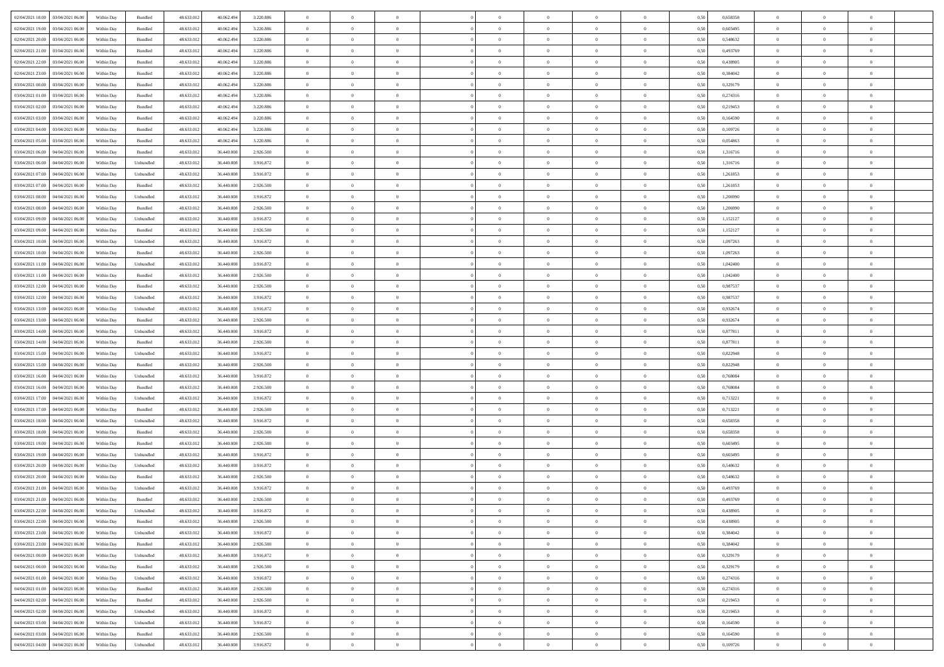| 02/04/2021 18:00 03/04/2021 06:00            | Within Day | Bundled                     | 48.633.01  | 40.062.494 | 3.220.886 | $\overline{0}$ | $\overline{0}$ |                | $\overline{0}$ | $\theta$       |                | $\theta$       | 0,50 | 0,658358 | $\theta$       | $\theta$       | $\theta$       |  |
|----------------------------------------------|------------|-----------------------------|------------|------------|-----------|----------------|----------------|----------------|----------------|----------------|----------------|----------------|------|----------|----------------|----------------|----------------|--|
| 02/04/2021 19:00<br>03/04/2021 06:00         | Within Day | Bundled                     | 48.633.01  | 40.062.49  | 3.220.886 | $\bf{0}$       | $\bf{0}$       | $\bf{0}$       | $\bf{0}$       | $\overline{0}$ | $\overline{0}$ | $\bf{0}$       | 0,50 | 0,603495 | $\,$ 0 $\,$    | $\bf{0}$       | $\overline{0}$ |  |
| 02/04/2021 20:00<br>03/04/2021 06:00         | Within Day | Bundled                     | 48.633.012 | 40.062.494 | 3.220.886 | $\overline{0}$ | $\bf{0}$       | $\overline{0}$ | $\bf{0}$       | $\bf{0}$       | $\overline{0}$ | $\bf{0}$       | 0.50 | 0.548632 | $\bf{0}$       | $\overline{0}$ | $\overline{0}$ |  |
| 02/04/2021 21:00<br>03/04/2021 06:00         | Within Day | Bundled                     | 48.633.01  | 40.062.494 | 3.220.886 | $\overline{0}$ | $\overline{0}$ | $\overline{0}$ | $\overline{0}$ | $\theta$       | $\overline{0}$ | $\bf{0}$       | 0,50 | 0,493769 | $\,$ 0 $\,$    | $\theta$       | $\overline{0}$ |  |
| 02/04/2021 22.00<br>03/04/2021 06.00         | Within Day | Bundled                     | 48.633.01  | 40.062.49  | 3.220.886 | $\bf{0}$       | $\overline{0}$ | $\bf{0}$       | $\overline{0}$ | $\theta$       | $\overline{0}$ | $\bf{0}$       | 0,50 | 0,438905 | $\,$ 0 $\,$    | $\bf{0}$       | $\overline{0}$ |  |
|                                              |            |                             |            |            |           |                |                |                |                |                |                |                |      |          |                |                |                |  |
| 02/04/2021 23:00<br>03/04/2021 06:00         | Within Day | Bundled                     | 48.633.013 | 40.062.494 | 3.220.886 | $\overline{0}$ | $\overline{0}$ | $\overline{0}$ | $\bf{0}$       | $\overline{0}$ | $\theta$       | $\bf{0}$       | 0.50 | 0.384042 | $\,$ 0 $\,$    | $\theta$       | $\overline{0}$ |  |
| 03/04/2021 00:00<br>03/04/2021 06:00         | Within Day | Bundled                     | 48.633.013 | 40.062.494 | 3.220.886 | $\overline{0}$ | $\overline{0}$ | $\overline{0}$ | $\overline{0}$ | $\overline{0}$ | $\overline{0}$ | $\bf{0}$       | 0,50 | 0,329179 | $\,$ 0 $\,$    | $\theta$       | $\overline{0}$ |  |
| 03/04/2021 01:00<br>03/04/2021 06.00         | Within Day | Bundled                     | 48.633.01  | 40.062.49  | 3.220.886 | $\bf{0}$       | $\bf{0}$       | $\bf{0}$       | $\overline{0}$ | $\overline{0}$ | $\overline{0}$ | $\bf{0}$       | 0,50 | 0,274316 | $\,$ 0 $\,$    | $\bf{0}$       | $\overline{0}$ |  |
| 03/04/2021 02:00<br>03/04/2021 06:00         | Within Day | Bundled                     | 48.633.013 | 40.062.49  | 3.220.886 | $\overline{0}$ | $\bf{0}$       | $\overline{0}$ | $\bf{0}$       | $\overline{0}$ | $\overline{0}$ | $\bf{0}$       | 0.50 | 0.219453 | $\bf{0}$       | $\overline{0}$ | $\overline{0}$ |  |
| 03/04/2021 03:00<br>03/04/2021 06:00         | Within Day | Bundled                     | 48.633.013 | 40.062.494 | 3.220.886 | $\bf{0}$       | $\bf{0}$       | $\overline{0}$ | $\overline{0}$ | $\overline{0}$ | $\overline{0}$ | $\bf{0}$       | 0,50 | 0,164590 | $\,$ 0 $\,$    | $\bf{0}$       | $\overline{0}$ |  |
| 03/04/2021 04:00<br>03/04/2021 06.00         | Within Day | Bundled                     | 48.633.01  | 40.062.494 | 3.220.886 | $\bf{0}$       | $\overline{0}$ | $\bf{0}$       | $\bf{0}$       | $\bf{0}$       | $\overline{0}$ | $\bf{0}$       | 0,50 | 0,109726 | $\,$ 0 $\,$    | $\bf{0}$       | $\overline{0}$ |  |
| 03/04/2021 05:00<br>03/04/2021 06:00         | Within Day | $\mathbf B$ undled          | 48.633.013 | 40.062.494 | 3.220.886 | $\overline{0}$ | $\bf{0}$       | $\overline{0}$ | $\overline{0}$ | $\bf{0}$       | $\overline{0}$ | $\bf{0}$       | 0.50 | 0.054863 | $\bf{0}$       | $\overline{0}$ | $\bf{0}$       |  |
|                                              |            |                             |            |            |           |                |                |                |                |                |                |                |      |          |                |                |                |  |
| 03/04/2021 06:00<br>04/04/2021 06:00         | Within Day | Bundled                     | 48.633.01  | 36.440.008 | 2.926.500 | $\overline{0}$ | $\overline{0}$ | $\overline{0}$ | $\theta$       | $\theta$       | $\overline{0}$ | $\bf{0}$       | 0,50 | 1,316716 | $\,$ 0 $\,$    | $\theta$       | $\overline{0}$ |  |
| 03/04/2021 06:00<br>04/04/2021 06.00         | Within Day | Unbundled                   | 48.633.01  | 36.440.00  | 3.916.872 | $\bf{0}$       | $\overline{0}$ | $\bf{0}$       | $\overline{0}$ | $\bf{0}$       | $\overline{0}$ | $\bf{0}$       | 0,50 | 1,316716 | $\,$ 0 $\,$    | $\bf{0}$       | $\overline{0}$ |  |
| 03/04/2021 07:00<br>04/04/2021 06:00         | Within Day | Unbundled                   | 48.633.013 | 36,440,008 | 3.916.872 | $\overline{0}$ | $\bf{0}$       | $\overline{0}$ | $\bf{0}$       | $\overline{0}$ | $\theta$       | $\bf{0}$       | 0.50 | 1.261853 | $\,$ 0 $\,$    | $\theta$       | $\overline{0}$ |  |
| 03/04/2021 07:00<br>04/04/2021 06:00         | Within Day | Bundled                     | 48.633.013 | 36.440.008 | 2.926.500 | $\overline{0}$ | $\overline{0}$ | $\overline{0}$ | $\overline{0}$ | $\overline{0}$ | $\overline{0}$ | $\bf{0}$       | 0,50 | 1,261853 | $\theta$       | $\theta$       | $\overline{0}$ |  |
| 03/04/2021 08:00<br>04/04/2021 06.00         | Within Day | Unbundled                   | 48.633.01  | 36.440.008 | 3.916.872 | $\bf{0}$       | $\bf{0}$       | $\bf{0}$       | $\overline{0}$ | $\bf{0}$       | $\overline{0}$ | $\bf{0}$       | 0,50 | 1,206990 | $\,$ 0 $\,$    | $\bf{0}$       | $\overline{0}$ |  |
| 03/04/2021 08:00<br>04/04/2021 06:00         | Within Day | Bundled                     | 48.633.013 | 36,440,008 | 2.926.500 | $\overline{0}$ | $\bf{0}$       | $\overline{0}$ | $\bf{0}$       | $\overline{0}$ | $\overline{0}$ | $\bf{0}$       | 0.50 | 1.206990 | $\bf{0}$       | $\overline{0}$ | $\overline{0}$ |  |
| 03/04/2021 09:00<br>04/04/2021 06:00         | Within Day | Unbundled                   | 48.633.013 | 36.440.008 | 3.916.872 | $\bf{0}$       | $\bf{0}$       | $\overline{0}$ | $\overline{0}$ | $\overline{0}$ | $\overline{0}$ | $\bf{0}$       | 0,50 | 1,152127 | $\,$ 0 $\,$    | $\bf{0}$       | $\overline{0}$ |  |
|                                              |            |                             |            |            |           |                |                |                |                |                |                |                |      |          |                |                |                |  |
| 03/04/2021 09:00<br>04/04/2021 06.00         | Within Day | Bundled                     | 48.633.01  | 36.440.00  | 2.926.500 | $\bf{0}$       | $\bf{0}$       | $\bf{0}$       | $\bf{0}$       | $\overline{0}$ | $\overline{0}$ | $\bf{0}$       | 0,50 | 1,152127 | $\,$ 0 $\,$    | $\bf{0}$       | $\overline{0}$ |  |
| 03/04/2021 10:00<br>04/04/2021 06:00         | Within Day | Unbundled                   | 48.633.013 | 36,440,008 | 3.916.872 | $\overline{0}$ | $\bf{0}$       | $\overline{0}$ | $\overline{0}$ | $\bf{0}$       | $\overline{0}$ | $\bf{0}$       | 0.50 | 1.097263 | $\bf{0}$       | $\overline{0}$ | $\overline{0}$ |  |
| 03/04/2021 10:00<br>04/04/2021 06:00         | Within Day | Bundled                     | 48.633.01  | 36.440.008 | 2.926.500 | $\overline{0}$ | $\overline{0}$ | $\overline{0}$ | $\overline{0}$ | $\theta$       | $\overline{0}$ | $\bf{0}$       | 0,50 | 1,097263 | $\theta$       | $\theta$       | $\overline{0}$ |  |
| 03/04/2021 11:00<br>04/04/2021 06.00         | Within Day | Unbundled                   | 48.633.01  | 36.440.00  | 3.916.872 | $\bf{0}$       | $\bf{0}$       | $\bf{0}$       | $\bf{0}$       | $\overline{0}$ | $\overline{0}$ | $\bf{0}$       | 0,50 | 1,042400 | $\,$ 0 $\,$    | $\bf{0}$       | $\overline{0}$ |  |
| 03/04/2021 11:00<br>04/04/2021 06:00         | Within Day | Bundled                     | 48.633.013 | 36,440,008 | 2.926.500 | $\overline{0}$ | $\overline{0}$ | $\overline{0}$ | $\bf{0}$       | $\overline{0}$ | $\theta$       | $\bf{0}$       | 0.50 | 1.042400 | $\,$ 0 $\,$    | $\theta$       | $\overline{0}$ |  |
| 03/04/2021 12:00<br>04/04/2021 06:00         | Within Day | Bundled                     | 48.633.013 | 36.440.008 | 2.926.500 | $\overline{0}$ | $\overline{0}$ | $\overline{0}$ | $\overline{0}$ | $\overline{0}$ | $\overline{0}$ | $\bf{0}$       | 0,50 | 0,987537 | $\,$ 0 $\,$    | $\theta$       | $\overline{0}$ |  |
| 03/04/2021 12:00<br>04/04/2021 06.00         | Within Day | Unbundled                   | 48.633.01  | 36.440.00  | 3.916.872 | $\bf{0}$       | $\overline{0}$ | $\bf{0}$       | $\overline{0}$ | $\bf{0}$       | $\overline{0}$ | $\bf{0}$       | 0,50 | 0,987537 | $\,$ 0 $\,$    | $\bf{0}$       | $\overline{0}$ |  |
| 03/04/2021 13:00<br>04/04/2021 06:00         | Within Day | Unbundled                   | 48.633.013 | 36,440,008 | 3.916.872 | $\overline{0}$ | $\bf{0}$       | $\overline{0}$ | $\bf{0}$       | $\overline{0}$ | $\overline{0}$ | $\bf{0}$       | 0.50 | 0.932674 | $\bf{0}$       | $\overline{0}$ | $\overline{0}$ |  |
|                                              |            |                             |            |            |           |                |                |                |                |                |                |                |      |          |                |                |                |  |
| 03/04/2021 13:00<br>04/04/2021 06:00         | Within Day | Bundled                     | 48.633.01  | 36.440.008 | 2.926.500 | $\overline{0}$ | $\bf{0}$       | $\overline{0}$ | $\overline{0}$ | $\overline{0}$ | $\overline{0}$ | $\bf{0}$       | 0,50 | 0,932674 | $\,$ 0 $\,$    | $\theta$       | $\overline{0}$ |  |
| 03/04/2021 14:00<br>04/04/2021 06.00         | Within Day | Unbundled                   | 48.633.01  | 36.440.008 | 3.916.872 | $\bf{0}$       | $\bf{0}$       | $\bf{0}$       | $\bf{0}$       | $\overline{0}$ | $\overline{0}$ | $\bf{0}$       | 0,50 | 0,877811 | $\,$ 0 $\,$    | $\bf{0}$       | $\overline{0}$ |  |
| 03/04/2021 14:00<br>04/04/2021 06:00         | Within Day | Bundled                     | 48.633.013 | 36,440,008 | 2.926.500 | $\overline{0}$ | $\bf{0}$       | $\overline{0}$ | $\overline{0}$ | $\bf{0}$       | $\overline{0}$ | $\bf{0}$       | 0.50 | 0.877811 | $\bf{0}$       | $\overline{0}$ | $\overline{0}$ |  |
| 03/04/2021 15:00<br>04/04/2021 06:00         | Within Day | Unbundled                   | 48.633.013 | 36,440,008 | 3.916.872 | $\overline{0}$ | $\overline{0}$ | $\overline{0}$ | $\overline{0}$ | $\overline{0}$ | $\overline{0}$ | $\bf{0}$       | 0.5( | 0,822948 | $\theta$       | $\theta$       | $\overline{0}$ |  |
| 03/04/2021 15:00<br>04/04/2021 06.00         | Within Day | Bundled                     | 48.633.01  | 36.440.00  | 2.926.500 | $\bf{0}$       | $\overline{0}$ | $\bf{0}$       | $\bf{0}$       | $\overline{0}$ | $\overline{0}$ | $\bf{0}$       | 0,50 | 0,822948 | $\,$ 0 $\,$    | $\bf{0}$       | $\overline{0}$ |  |
| 03/04/2021 16:00<br>04/04/2021 06:00         | Within Day | Unbundled                   | 48.633.013 | 36,440,008 | 3.916.872 | $\overline{0}$ | $\bf{0}$       | $\overline{0}$ | $\bf{0}$       | $\overline{0}$ | $\Omega$       | $\bf{0}$       | 0.50 | 0.768084 | $\,$ 0 $\,$    | $\bf{0}$       | $\overline{0}$ |  |
| 03/04/2021 16:00<br>04/04/2021 06:00         | Within Dav | Bundled                     | 48.633.013 | 36.440.008 | 2.926.500 | $\overline{0}$ | $\overline{0}$ | $\overline{0}$ | $\overline{0}$ | $\theta$       | $\overline{0}$ | $\bf{0}$       | 0.50 | 0,768084 | $\theta$       | $\theta$       | $\overline{0}$ |  |
|                                              |            |                             |            |            |           |                |                |                |                |                | $\overline{0}$ |                |      |          |                |                |                |  |
| 03/04/2021 17:00<br>04/04/2021 06.00         | Within Day | Unbundled                   | 48.633.01  | 36.440.008 | 3.916.872 | $\bf{0}$       | $\bf{0}$       | $\bf{0}$       | $\bf{0}$       | $\bf{0}$       |                | $\bf{0}$       | 0,50 | 0,713221 | $\,$ 0 $\,$    | $\bf{0}$       | $\overline{0}$ |  |
| 03/04/2021 17:00<br>04/04/2021 06:00         | Within Day | Bundled                     | 48.633.013 | 36,440,008 | 2.926.500 | $\overline{0}$ | $\bf{0}$       | $\overline{0}$ | $\bf{0}$       | $\overline{0}$ | $\overline{0}$ | $\bf{0}$       | 0.50 | 0.713221 | $\bf{0}$       | $\overline{0}$ | $\overline{0}$ |  |
| 03/04/2021 18:00<br>04/04/2021 06:00         | Within Day | Unbundled                   | 48.633.013 | 36,440,008 | 3.916.872 | $\overline{0}$ | $\overline{0}$ | $\overline{0}$ | $\overline{0}$ | $\overline{0}$ | $\overline{0}$ | $\bf{0}$       | 0.50 | 0,658358 | $\theta$       | $\theta$       | $\overline{0}$ |  |
| 03/04/2021 18:00<br>04/04/2021 06.00         | Within Day | Bundled                     | 48.633.01  | 36.440.00  | 2.926.500 | $\bf{0}$       | $\bf{0}$       | $\bf{0}$       | $\bf{0}$       | $\overline{0}$ | $\overline{0}$ | $\bf{0}$       | 0,50 | 0,658358 | $\,$ 0 $\,$    | $\bf{0}$       | $\overline{0}$ |  |
| 03/04/2021 19:00<br>04/04/2021 06:00         | Within Day | Bundled                     | 48.633.013 | 36,440,008 | 2.926.500 | $\overline{0}$ | $\bf{0}$       | $\overline{0}$ | $\overline{0}$ | $\bf{0}$       | $\overline{0}$ | $\bf{0}$       | 0.50 | 0.603495 | $\bf{0}$       | $\overline{0}$ | $\overline{0}$ |  |
| 03/04/2021 19:00<br>04/04/2021 06:00         | Within Dav | Unbundled                   | 48.633.013 | 36.440.008 | 3.916.872 | $\overline{0}$ | $\overline{0}$ | $\overline{0}$ | $\overline{0}$ | $\overline{0}$ | $\overline{0}$ | $\bf{0}$       | 0.50 | 0,603495 | $\theta$       | $\theta$       | $\overline{0}$ |  |
| 03/04/2021 20:00<br>04/04/2021 06.00         | Within Day | Unbundled                   | 48.633.013 | 36.440.008 | 3.916.872 | $\bf{0}$       | $\bf{0}$       | $\bf{0}$       | $\bf{0}$       | $\overline{0}$ | $\overline{0}$ | $\bf{0}$       | 0,50 | 0,548632 | $\,$ 0 $\,$    | $\bf{0}$       | $\overline{0}$ |  |
| 03/04/2021 20:00<br>04/04/2021 06:00         | Within Day | Bundled                     | 48.633.013 | 36,440,008 | 2.926.500 | $\overline{0}$ | $\overline{0}$ | $\overline{0}$ | $\bf{0}$       | $\overline{0}$ | $\Omega$       | $\bf{0}$       | 0.50 | 0.548632 | $\bf{0}$       | $\theta$       | $\overline{0}$ |  |
| 03/04/2021 21:00<br>04/04/2021 06:00         | Within Dav | Unbundled                   | 48.633.013 | 36,440,008 | 3.916.872 | $\overline{0}$ | $\overline{0}$ | $\Omega$       | $\overline{0}$ | $\theta$       | $\overline{0}$ | $\overline{0}$ | 0.5( | 0,493769 | $\theta$       | $\theta$       | $\overline{0}$ |  |
|                                              |            |                             |            |            |           |                |                |                |                |                |                |                |      |          |                |                |                |  |
| 03/04/2021 21:00<br>04/04/2021 06:00         | Within Day | Bundled                     | 48.633.01  | 36.440.008 | 2.926.500 | $\bf{0}$       | $\bf{0}$       | $\overline{0}$ | $\bf{0}$       | $\bf{0}$       | $\overline{0}$ | $\bf{0}$       | 0,50 | 0,493769 | $\overline{0}$ | $\bf{0}$       | $\overline{0}$ |  |
| $03/04/2021\ 22.00 \qquad 04/04/2021\ 06.00$ | Within Day | $\ensuremath{\mathsf{Unb}}$ | 48.633.012 | 36.440.008 | 3.916.872 | $\bf{0}$       | $\theta$       |                | $\Omega$       |                |                |                | 0,50 | 0.438905 | $\theta$       | $\overline{0}$ |                |  |
| 03/04/2021 22:00 04/04/2021 06:00            | Within Day | Bundled                     | 48.633.012 | 36.440.008 | 2.926.500 | $\overline{0}$ | $\overline{0}$ | $\Omega$       | $\theta$       | $\overline{0}$ | $\overline{0}$ | $\bf{0}$       | 0,50 | 0,438905 | $\theta$       | $\theta$       | $\overline{0}$ |  |
| 03/04/2021 23:00<br>04/04/2021 06:00         | Within Day | Unbundled                   | 48.633.013 | 36.440.008 | 3.916.872 | $\overline{0}$ | $\bf{0}$       | $\overline{0}$ | $\overline{0}$ | $\bf{0}$       | $\overline{0}$ | $\bf{0}$       | 0,50 | 0,384042 | $\bf{0}$       | $\overline{0}$ | $\bf{0}$       |  |
| 03/04/2021 23:00 04/04/2021 06:00            | Within Day | Bundled                     | 48.633.012 | 36,440,008 | 2.926.500 | $\overline{0}$ | $\bf{0}$       | $\overline{0}$ | $\overline{0}$ | $\mathbf{0}$   | $\overline{0}$ | $\,$ 0 $\,$    | 0.50 | 0.384042 | $\overline{0}$ | $\bf{0}$       | $\,$ 0 $\,$    |  |
| 04/04/2021 00:00 04/04/2021 06:00            | Within Day | Unbundled                   | 48.633.012 | 36.440.008 | 3.916.872 | $\overline{0}$ | $\overline{0}$ | $\overline{0}$ | $\overline{0}$ | $\overline{0}$ | $\overline{0}$ | $\bf{0}$       | 0,50 | 0,329179 | $\theta$       | $\theta$       | $\overline{0}$ |  |
| 04/04/2021 00:00<br>04/04/2021 06.00         | Within Day | Bundled                     | 48.633.012 | 36.440.008 | 2.926.500 | $\overline{0}$ | $\bf{0}$       | $\overline{0}$ | $\overline{0}$ | $\overline{0}$ | $\overline{0}$ | $\bf{0}$       | 0,50 | 0,329179 | $\bf{0}$       | $\overline{0}$ | $\overline{0}$ |  |
|                                              |            |                             |            |            |           |                |                |                |                |                |                |                |      |          |                |                |                |  |
| 04/04/2021 06:00<br>04/04/2021 01:00         | Within Day | Unbundled                   | 48.633.012 | 36,440,008 | 3.916.872 | $\overline{0}$ | $\bf{0}$       | $\overline{0}$ | $\overline{0}$ | $\bf{0}$       | $\overline{0}$ | $\bf{0}$       | 0.50 | 0,274316 | $\,$ 0 $\,$    | $\theta$       | $\,$ 0         |  |
| 04/04/2021 01:00 04/04/2021 06:00            | Within Dav | Bundled                     | 48.633.012 | 36.440.008 | 2.926.500 | $\overline{0}$ | $\overline{0}$ | $\overline{0}$ | $\overline{0}$ | $\overline{0}$ | $\overline{0}$ | $\bf{0}$       | 0.50 | 0,274316 | $\overline{0}$ | $\theta$       | $\overline{0}$ |  |
| 04/04/2021 02:00<br>04/04/2021 06:00         | Within Day | Bundled                     | 48.633.013 | 36.440.008 | 2.926.500 | $\overline{0}$ | $\overline{0}$ | $\overline{0}$ | $\overline{0}$ | $\overline{0}$ | $\overline{0}$ | $\bf{0}$       | 0,50 | 0,219453 | $\bf{0}$       | $\overline{0}$ | $\overline{0}$ |  |
| 04/04/2021 02:00<br>04/04/2021 06:00         | Within Day | Unbundled                   | 48.633.012 | 36,440,008 | 3.916.872 | $\overline{0}$ | $\overline{0}$ | $\overline{0}$ | $\overline{0}$ | $\bf{0}$       | $\overline{0}$ | $\bf{0}$       | 0.50 | 0.219453 | $\mathbf{0}$   | $\bf{0}$       | $\,$ 0         |  |
| 04/04/2021 03:00 04/04/2021 06:00            | Within Dav | Unbundled                   | 48.633.012 | 36.440.008 | 3.916.872 | $\overline{0}$ | $\overline{0}$ | $\overline{0}$ | $\overline{0}$ | $\overline{0}$ | $\overline{0}$ | $\bf{0}$       | 0,50 | 0,164590 | $\overline{0}$ | $\theta$       | $\overline{0}$ |  |
| 04/04/2021 03:00<br>04/04/2021 06.00         | Within Day | Bundled                     | 48.633.013 | 36.440.008 | 2.926.500 | $\overline{0}$ | $\bf{0}$       | $\overline{0}$ | $\bf{0}$       | $\overline{0}$ | $\overline{0}$ | $\bf{0}$       | 0,50 | 0,164590 | $\bf{0}$       | $\bf{0}$       | $\overline{0}$ |  |
| 04/04/2021 04:00 04/04/2021 06:00            | Within Day | Unbundled                   | 48.633.012 | 36.440.008 | 3.916.872 | $\,$ 0 $\,$    | $\bf{0}$       | $\overline{0}$ | $\overline{0}$ | $\,$ 0 $\,$    | $\overline{0}$ | $\bf{0}$       | 0,50 | 0,109726 | $\overline{0}$ | $\,$ 0 $\,$    | $\,$ 0 $\,$    |  |
|                                              |            |                             |            |            |           |                |                |                |                |                |                |                |      |          |                |                |                |  |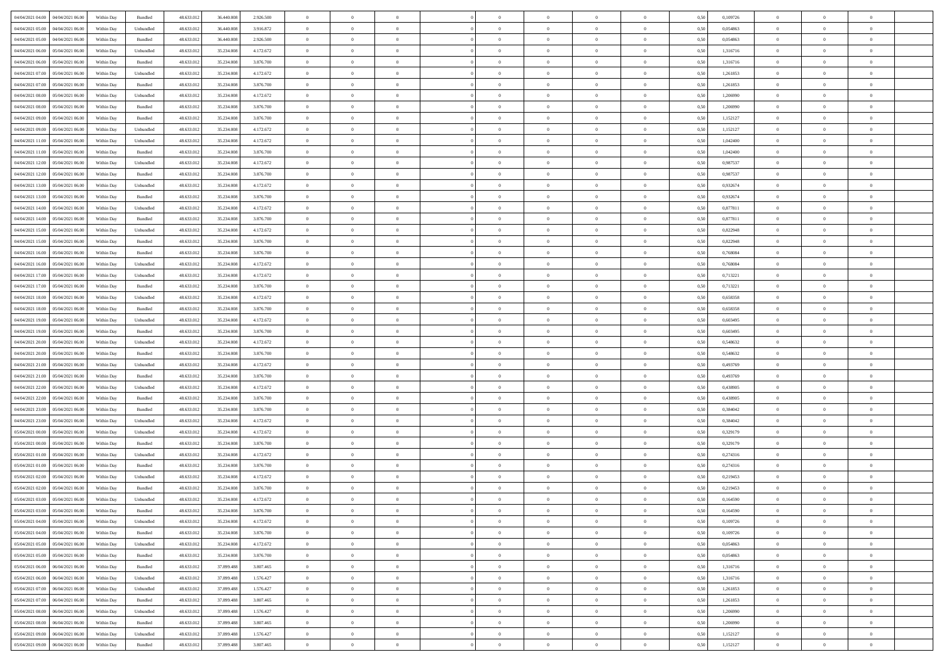| 04/04/2021 04:00 04/04/2021 06:00                                      | Within Day | Bundled   | 48.633.01  | 36.440.008 | 2.926.500 | $\overline{0}$ | $\theta$       |                | $\overline{0}$ | $\theta$       |                | $\bf{0}$       | 0,50 | 0,109726 | $\theta$       | $\theta$       | $\overline{0}$ |  |
|------------------------------------------------------------------------|------------|-----------|------------|------------|-----------|----------------|----------------|----------------|----------------|----------------|----------------|----------------|------|----------|----------------|----------------|----------------|--|
| 04/04/2021 05:00<br>04/04/2021 06.00                                   | Within Day | Unbundled | 48.633.01  | 36.440.00  | 3.916.872 | $\bf{0}$       | $\bf{0}$       | $\bf{0}$       | $\overline{0}$ | $\overline{0}$ | $\overline{0}$ | $\bf{0}$       | 0,50 | 0,054863 | $\,$ 0 $\,$    | $\bf{0}$       | $\overline{0}$ |  |
| 04/04/2021 05:00<br>04/04/2021 06:00                                   | Within Day | Bundled   | 48.633.013 | 36,440,008 | 2.926.500 | $\overline{0}$ | $\bf{0}$       | $\overline{0}$ | $\bf{0}$       | $\bf{0}$       | $\overline{0}$ | $\bf{0}$       | 0.50 | 0.054863 | $\bf{0}$       | $\overline{0}$ | $\overline{0}$ |  |
| 04/04/2021 06:00<br>05/04/2021 06:00                                   | Within Day | Unbundled | 48.633.01  | 35.234.008 | 4.172.672 | $\overline{0}$ | $\bf{0}$       | $\overline{0}$ | $\theta$       | $\theta$       | $\overline{0}$ | $\bf{0}$       | 0,50 | 1,316716 | $\theta$       | $\theta$       | $\overline{0}$ |  |
| 04/04/2021 06:00<br>05/04/2021 06.00                                   | Within Day | Bundled   | 48.633.01  | 35.234.00  | 3.876.700 | $\overline{0}$ | $\overline{0}$ | $\bf{0}$       | $\overline{0}$ | $\theta$       | $\overline{0}$ | $\bf{0}$       | 0,50 | 1,316716 | $\,$ 0 $\,$    | $\bf{0}$       | $\overline{0}$ |  |
|                                                                        |            |           |            |            |           |                |                |                |                |                | $\theta$       |                |      |          |                |                |                |  |
| 04/04/2021 07:00<br>05/04/2021 06:00                                   | Within Day | Unbundled | 48.633.013 | 35.234.008 | 4.172.672 | $\overline{0}$ | $\overline{0}$ | $\overline{0}$ | $\bf{0}$       | $\overline{0}$ |                | $\bf{0}$       | 0.50 | 1.261853 | $\,$ 0 $\,$    | $\theta$       | $\overline{0}$ |  |
| 04/04/2021 07:00<br>05/04/2021 06:00                                   | Within Day | Bundled   | 48.633.013 | 35.234.008 | 3.876.700 | $\overline{0}$ | $\overline{0}$ | $\overline{0}$ | $\overline{0}$ | $\overline{0}$ | $\overline{0}$ | $\bf{0}$       | 0,50 | 1,261853 | $\,$ 0 $\,$    | $\theta$       | $\overline{0}$ |  |
| 04/04/2021 08:00<br>05/04/2021 06.00                                   | Within Day | Unbundled | 48.633.01  | 35.234.00  | 4.172.672 | $\bf{0}$       | $\overline{0}$ | $\bf{0}$       | $\overline{0}$ | $\theta$       | $\overline{0}$ | $\bf{0}$       | 0,50 | 1,206990 | $\,$ 0 $\,$    | $\bf{0}$       | $\overline{0}$ |  |
| 04/04/2021 08:00<br>05/04/2021 06:00                                   | Within Day | Bundled   | 48.633.013 | 35.234.008 | 3.876.700 | $\overline{0}$ | $\bf{0}$       | $\overline{0}$ | $\bf{0}$       | $\overline{0}$ | $\overline{0}$ | $\bf{0}$       | 0.50 | 1.206990 | $\bf{0}$       | $\overline{0}$ | $\overline{0}$ |  |
| 04/04/2021 09:00<br>05/04/2021 06:00                                   | Within Day | Bundled   | 48.633.012 | 35.234.008 | 3.876.700 | $\overline{0}$ | $\bf{0}$       | $\overline{0}$ | $\overline{0}$ | $\overline{0}$ | $\overline{0}$ | $\bf{0}$       | 0,50 | 1,152127 | $\,$ 0 $\,$    | $\bf{0}$       | $\overline{0}$ |  |
| 04/04/2021 09:00<br>05/04/2021 06.00                                   | Within Day | Unbundled | 48.633.01  | 35.234.008 | 4.172.672 | $\bf{0}$       | $\overline{0}$ | $\bf{0}$       | $\overline{0}$ | $\bf{0}$       | $\overline{0}$ | $\bf{0}$       | 0,50 | 1,152127 | $\,$ 0 $\,$    | $\bf{0}$       | $\overline{0}$ |  |
| 04/04/2021 11:00<br>05/04/2021 06:00                                   | Within Day | Unbundled | 48.633.013 | 35.234.008 | 4.172.672 | $\overline{0}$ | $\bf{0}$       | $\overline{0}$ | $\bf{0}$       | $\bf{0}$       | $\overline{0}$ | $\bf{0}$       | 0.50 | 1.042400 | $\bf{0}$       | $\overline{0}$ | $\bf{0}$       |  |
| 04/04/2021 11:00<br>05/04/2021 06:00                                   | Within Day | Bundled   | 48.633.01  | 35.234.008 | 3.876.700 | $\overline{0}$ | $\overline{0}$ | $\overline{0}$ | $\overline{0}$ | $\theta$       | $\overline{0}$ | $\bf{0}$       | 0,50 | 1,042400 | $\,$ 0 $\,$    | $\theta$       | $\overline{0}$ |  |
|                                                                        |            |           |            |            |           |                |                |                |                |                |                |                |      |          |                |                |                |  |
| 04/04/2021 12:00<br>05/04/2021 06.00                                   | Within Day | Unbundled | 48.633.01  | 35.234.00  | 4.172.672 | $\bf{0}$       | $\overline{0}$ | $\bf{0}$       | $\overline{0}$ | $\theta$       | $\overline{0}$ | $\bf{0}$       | 0,50 | 0,987537 | $\,$ 0 $\,$    | $\bf{0}$       | $\overline{0}$ |  |
| 04/04/2021 12:00<br>05/04/2021 06:00                                   | Within Day | Bundled   | 48.633.013 | 35.234.008 | 3.876.700 | $\overline{0}$ | $\overline{0}$ | $\overline{0}$ | $\bf{0}$       | $\overline{0}$ | $\Omega$       | $\bf{0}$       | 0.50 | 0.987537 | $\,$ 0 $\,$    | $\theta$       | $\overline{0}$ |  |
| 04/04/2021 13:00<br>05/04/2021 06:00                                   | Within Day | Unbundled | 48.633.01  | 35.234.008 | 4.172.672 | $\overline{0}$ | $\overline{0}$ | $\overline{0}$ | $\overline{0}$ | $\theta$       | $\overline{0}$ | $\bf{0}$       | 0,50 | 0,932674 | $\theta$       | $\theta$       | $\overline{0}$ |  |
| 04/04/2021 13:00<br>05/04/2021 06.00                                   | Within Day | Bundled   | 48.633.01  | 35.234.008 | 3.876.700 | $\bf{0}$       | $\overline{0}$ | $\bf{0}$       | $\overline{0}$ | $\theta$       | $\overline{0}$ | $\bf{0}$       | 0,50 | 0,932674 | $\,$ 0 $\,$    | $\bf{0}$       | $\overline{0}$ |  |
| 04/04/2021 14:00<br>05/04/2021 06:00                                   | Within Day | Unbundled | 48.633.013 | 35.234.008 | 4.172.672 | $\overline{0}$ | $\bf{0}$       | $\overline{0}$ | $\bf{0}$       | $\overline{0}$ | $\overline{0}$ | $\bf{0}$       | 0.50 | 0.877811 | $\bf{0}$       | $\overline{0}$ | $\overline{0}$ |  |
| 04/04/2021 14:00<br>05/04/2021 06:00                                   | Within Day | Bundled   | 48.633.013 | 35.234.008 | 3.876.700 | $\overline{0}$ | $\bf{0}$       | $\overline{0}$ | $\overline{0}$ | $\overline{0}$ | $\overline{0}$ | $\bf{0}$       | 0,50 | 0,877811 | $\,$ 0 $\,$    | $\bf{0}$       | $\overline{0}$ |  |
| 04/04/2021 15:00<br>05/04/2021 06.00                                   | Within Day | Unbundled | 48.633.01  | 35.234.008 | 4.172.672 | $\bf{0}$       | $\bf{0}$       | $\bf{0}$       | $\bf{0}$       | $\overline{0}$ | $\overline{0}$ | $\bf{0}$       | 0,50 | 0,822948 | $\,$ 0 $\,$    | $\bf{0}$       | $\overline{0}$ |  |
|                                                                        |            |           |            |            |           |                |                |                |                |                |                |                |      |          |                |                |                |  |
| 04/04/2021 15:00<br>05/04/2021 06:00                                   | Within Day | Bundled   | 48.633.013 | 35.234.008 | 3.876.700 | $\overline{0}$ | $\bf{0}$       | $\overline{0}$ | $\bf{0}$       | $\bf{0}$       | $\overline{0}$ | $\bf{0}$       | 0.50 | 0,822948 | $\bf{0}$       | $\overline{0}$ | $\overline{0}$ |  |
| 04/04/2021 16:00<br>05/04/2021 06:00                                   | Within Day | Bundled   | 48.633.01  | 35.234.008 | 3.876.700 | $\overline{0}$ | $\overline{0}$ | $\overline{0}$ | $\theta$       | $\theta$       | $\overline{0}$ | $\bf{0}$       | 0,50 | 0,768084 | $\theta$       | $\theta$       | $\overline{0}$ |  |
| 04/04/2021 16:00<br>05/04/2021 06.00                                   | Within Day | Unbundled | 48.633.01  | 35.234.00  | 4.172.672 | $\bf{0}$       | $\overline{0}$ | $\bf{0}$       | $\overline{0}$ | $\bf{0}$       | $\overline{0}$ | $\bf{0}$       | 0,50 | 0,768084 | $\,$ 0 $\,$    | $\bf{0}$       | $\overline{0}$ |  |
| 04/04/2021 17:00<br>05/04/2021 06:00                                   | Within Day | Unbundled | 48.633.013 | 35.234.008 | 4.172.672 | $\overline{0}$ | $\overline{0}$ | $\overline{0}$ | $\bf{0}$       | $\overline{0}$ | $\Omega$       | $\bf{0}$       | 0.50 | 0,713221 | $\,$ 0 $\,$    | $\theta$       | $\overline{0}$ |  |
| 04/04/2021 17:00<br>05/04/2021 06:00                                   | Within Day | Bundled   | 48.633.013 | 35.234.008 | 3.876.700 | $\overline{0}$ | $\overline{0}$ | $\overline{0}$ | $\overline{0}$ | $\theta$       | $\overline{0}$ | $\bf{0}$       | 0,50 | 0,713221 | $\,$ 0 $\,$    | $\theta$       | $\overline{0}$ |  |
| 04/04/2021 18:00<br>05/04/2021 06.00                                   | Within Day | Unbundled | 48.633.01  | 35.234.00  | 4.172.672 | $\bf{0}$       | $\overline{0}$ | $\bf{0}$       | $\overline{0}$ | $\theta$       | $\overline{0}$ | $\bf{0}$       | 0,50 | 0,658358 | $\,$ 0 $\,$    | $\bf{0}$       | $\overline{0}$ |  |
| 04/04/2021 18:00<br>05/04/2021 06:00                                   | Within Day | Bundled   | 48.633.013 | 35.234.008 | 3.876.700 | $\overline{0}$ | $\bf{0}$       | $\overline{0}$ | $\bf{0}$       | $\overline{0}$ | $\overline{0}$ | $\bf{0}$       | 0.50 | 0.658358 | $\bf{0}$       | $\overline{0}$ | $\overline{0}$ |  |
| 04/04/2021 19:00<br>05/04/2021 06:00                                   | Within Day | Unbundled | 48.633.01  | 35.234.008 | 4.172.672 | $\overline{0}$ | $\overline{0}$ | $\overline{0}$ | $\overline{0}$ | $\overline{0}$ | $\overline{0}$ | $\bf{0}$       | 0,50 | 0,603495 | $\theta$       | $\theta$       | $\overline{0}$ |  |
|                                                                        |            |           |            |            |           |                |                |                |                |                |                |                |      |          |                |                |                |  |
| 04/04/2021 19:00<br>05/04/2021 06.00                                   | Within Day | Bundled   | 48.633.01  | 35.234.008 | 3.876.700 | $\bf{0}$       | $\bf{0}$       | $\bf{0}$       | $\bf{0}$       | $\overline{0}$ | $\overline{0}$ | $\bf{0}$       | 0,50 | 0,603495 | $\,$ 0 $\,$    | $\bf{0}$       | $\overline{0}$ |  |
| 04/04/2021 20:00<br>05/04/2021 06:00                                   | Within Day | Unbundled | 48.633.013 | 35.234.008 | 4.172.672 | $\overline{0}$ | $\bf{0}$       | $\overline{0}$ | $\bf{0}$       | $\bf{0}$       | $\overline{0}$ | $\bf{0}$       | 0.50 | 0.548632 | $\bf{0}$       | $\overline{0}$ | $\overline{0}$ |  |
| 04/04/2021 20:00<br>05/04/2021 06:00                                   | Within Day | Bundled   | 48.633.013 | 35.234.008 | 3.876.700 | $\overline{0}$ | $\overline{0}$ | $\overline{0}$ | $\overline{0}$ | $\overline{0}$ | $\overline{0}$ | $\bf{0}$       | 0.50 | 0.548632 | $\theta$       | $\theta$       | $\overline{0}$ |  |
| 04/04/2021 21:00<br>05/04/2021 06.00                                   | Within Day | Unbundled | 48.633.01  | 35.234.00  | 4.172.672 | $\bf{0}$       | $\overline{0}$ | $\bf{0}$       | $\overline{0}$ | $\overline{0}$ | $\overline{0}$ | $\bf{0}$       | 0,50 | 0,493769 | $\,$ 0 $\,$    | $\bf{0}$       | $\overline{0}$ |  |
| 04/04/2021 21:00<br>05/04/2021 06:00                                   | Within Day | Bundled   | 48.633.013 | 35.234.008 | 3.876.700 | $\overline{0}$ | $\bf{0}$       | $\overline{0}$ | $\bf{0}$       | $\overline{0}$ | $\Omega$       | $\bf{0}$       | 0.50 | 0.493769 | $\,$ 0 $\,$    | $\theta$       | $\overline{0}$ |  |
| 04/04/2021 22:00<br>05/04/2021 06:00                                   | Within Dav | Unbundled | 48.633.013 | 35.234.008 | 4.172.672 | $\overline{0}$ | $\overline{0}$ | $\overline{0}$ | $\overline{0}$ | $\theta$       | $\overline{0}$ | $\bf{0}$       | 0.50 | 0,438905 | $\theta$       | $\theta$       | $\overline{0}$ |  |
| 04/04/2021 22.00<br>05/04/2021 06.00                                   | Within Day | Bundled   | 48.633.01  | 35.234.008 | 3.876.700 | $\bf{0}$       | $\bf{0}$       | $\bf{0}$       | $\overline{0}$ | $\bf{0}$       | $\overline{0}$ | $\bf{0}$       | 0,50 | 0,438905 | $\,$ 0 $\,$    | $\bf{0}$       | $\overline{0}$ |  |
| 04/04/2021 23:00<br>05/04/2021 06:00                                   | Within Day | Bundled   | 48.633.013 | 35.234.008 | 3.876.700 | $\overline{0}$ | $\bf{0}$       | $\overline{0}$ | $\bf{0}$       | $\overline{0}$ | $\overline{0}$ | $\bf{0}$       | 0.50 | 0.384042 | $\bf{0}$       | $\overline{0}$ | $\overline{0}$ |  |
|                                                                        |            |           |            |            |           |                |                |                |                |                |                |                |      |          |                |                |                |  |
| 04/04/2021 23:00<br>05/04/2021 06:00                                   | Within Dav | Unbundled | 48.633.013 | 35.234.008 | 4.172.672 | $\overline{0}$ | $\overline{0}$ | $\overline{0}$ | $\overline{0}$ | $\overline{0}$ | $\overline{0}$ | $\bf{0}$       | 0.50 | 0,384042 | $\theta$       | $\theta$       | $\overline{0}$ |  |
| 05/04/2021 00:00<br>05/04/2021 06.00                                   | Within Day | Unbundled | 48.633.01  | 35.234.00  | 4.172.672 | $\bf{0}$       | $\bf{0}$       | $\bf{0}$       | $\bf{0}$       | $\overline{0}$ | $\overline{0}$ | $\bf{0}$       | 0,50 | 0,329179 | $\,$ 0 $\,$    | $\bf{0}$       | $\overline{0}$ |  |
| 05/04/2021 00:00<br>05/04/2021 06:00                                   | Within Day | Bundled   | 48.633.013 | 35.234.008 | 3.876.700 | $\overline{0}$ | $\bf{0}$       | $\overline{0}$ | $\bf{0}$       | $\bf{0}$       | $\overline{0}$ | $\bf{0}$       | 0.50 | 0,329179 | $\,$ 0 $\,$    | $\overline{0}$ | $\overline{0}$ |  |
| 05/04/2021 01:00<br>05/04/2021 06:00                                   | Within Dav | Unbundled | 48.633.013 | 35.234.008 | 4.172.672 | $\overline{0}$ | $\overline{0}$ | $\overline{0}$ | $\overline{0}$ | $\theta$       | $\overline{0}$ | $\bf{0}$       | 0.5( | 0,274316 | $\theta$       | $\theta$       | $\overline{0}$ |  |
| 05/04/2021 01:00<br>05/04/2021 06.00                                   | Within Day | Bundled   | 48.633.013 | 35.234.00  | 3.876.700 | $\bf{0}$       | $\bf{0}$       | $\bf{0}$       | $\bf{0}$       | $\overline{0}$ | $\overline{0}$ | $\bf{0}$       | 0,50 | 0,274316 | $\,$ 0 $\,$    | $\bf{0}$       | $\overline{0}$ |  |
| 05/04/2021 02:00<br>05/04/2021 06:00                                   | Within Day | Unbundled | 48.633.013 | 35.234.008 | 4.172.672 | $\overline{0}$ | $\overline{0}$ | $\overline{0}$ | $\bf{0}$       | $\overline{0}$ | $\Omega$       | $\bf{0}$       | 0.50 | 0,219453 | $\bf{0}$       | $\theta$       | $\overline{0}$ |  |
| 05/04/2021 02:00<br>05/04/2021 06:00                                   | Within Dav | Bundled   | 48.633.013 | 35.234.008 | 3.876.700 | $\overline{0}$ | $\overline{0}$ | $\Omega$       | $\overline{0}$ | $\theta$       | $\Omega$       | $\overline{0}$ | 0.5( | 0,219453 | $\theta$       | $\theta$       | $\overline{0}$ |  |
| 05/04/2021 03:00<br>05/04/2021 06:00                                   | Within Day | Unbundled | 48.633.01  | 35.234.008 | 4.172.672 | $\bf{0}$       | $\bf{0}$       | $\overline{0}$ | $\overline{0}$ | $\bf{0}$       | $\overline{0}$ | $\bf{0}$       | 0,50 | 0,164590 | $\,$ 0 $\,$    | $\bf{0}$       | $\overline{0}$ |  |
| ${\color{red} 05/04/2021~03.00} \qquad {\color{red} 05/04/2021~06.00}$ | Within Day | Bundled   | 48.633.012 | 35.234.008 | 3,876,700 | $\bf{0}$       | $\Omega$       |                | $\Omega$       |                |                |                | 0,50 | 0,164590 | $\theta$       | $\overline{0}$ |                |  |
|                                                                        |            |           |            |            |           |                |                |                |                |                |                |                |      |          |                |                |                |  |
| 05/04/2021 04:00 05/04/2021 06:00                                      | Within Day | Unbundled | 48.633.012 | 35.234.008 | 4.172.672 | $\overline{0}$ | $\overline{0}$ | $\overline{0}$ | $\theta$       | $\overline{0}$ | $\overline{0}$ | $\bf{0}$       | 0,50 | 0,109726 | $\theta$       | $\overline{0}$ | $\overline{0}$ |  |
| 05/04/2021 04:00<br>05/04/2021 06:00                                   | Within Day | Bundled   | 48.633.013 | 35.234.008 | 3.876.700 | $\overline{0}$ | $\bf{0}$       | $\overline{0}$ | $\overline{0}$ | $\bf{0}$       | $\overline{0}$ | $\bf{0}$       | 0,50 | 0,109726 | $\bf{0}$       | $\overline{0}$ | $\bf{0}$       |  |
| 05/04/2021 05:00 05/04/2021 06:00                                      | Within Day | Unbundled | 48.633.012 | 35.234.008 | 4.172.672 | $\overline{0}$ | $\bf{0}$       | $\overline{0}$ | $\overline{0}$ | $\mathbf{0}$   | $\overline{0}$ | $\,$ 0 $\,$    | 0.50 | 0.054863 | $\overline{0}$ | $\bf{0}$       | $\,$ 0 $\,$    |  |
| 05/04/2021 05:00 05/04/2021 06:00                                      | Within Day | Bundled   | 48.633.012 | 35.234.008 | 3.876.700 | $\overline{0}$ | $\overline{0}$ | $\overline{0}$ | $\overline{0}$ | $\overline{0}$ | $\overline{0}$ | $\bf{0}$       | 0,50 | 0,054863 | $\overline{0}$ | $\theta$       | $\overline{0}$ |  |
| 05/04/2021 06:00<br>06/04/2021 06:00                                   | Within Day | Bundled   | 48.633.012 | 37.899.488 | 3.807.465 | $\overline{0}$ | $\bf{0}$       | $\overline{0}$ | $\overline{0}$ | $\overline{0}$ | $\overline{0}$ | $\bf{0}$       | 0,50 | 1,316716 | $\bf{0}$       | $\overline{0}$ | $\overline{0}$ |  |
| 05/04/2021 06:00<br>06/04/2021 06:00                                   | Within Day | Unbundled | 48.633.012 | 37,899,488 | 1.576.427 | $\overline{0}$ | $\bf{0}$       | $\overline{0}$ | $\overline{0}$ | $\overline{0}$ | $\overline{0}$ | $\bf{0}$       | 0.50 | 1.316716 | $\,$ 0 $\,$    | $\overline{0}$ | $\,$ 0         |  |
| 05/04/2021 07:00<br>06/04/2021 06:00                                   | Within Dav | Unbundled | 48.633.012 | 37.899.488 | 1.576.427 | $\overline{0}$ | $\overline{0}$ | $\overline{0}$ | $\overline{0}$ | $\overline{0}$ | $\overline{0}$ | $\bf{0}$       | 0,50 | 1,261853 | $\overline{0}$ | $\theta$       | $\overline{0}$ |  |
|                                                                        |            |           |            |            |           |                |                |                |                |                |                |                |      |          |                |                |                |  |
| 05/04/2021 07:00<br>06/04/2021 06:00                                   | Within Day | Bundled   | 48.633.013 | 37.899.488 | 3.807.465 | $\overline{0}$ | $\overline{0}$ | $\overline{0}$ | $\overline{0}$ | $\overline{0}$ | $\overline{0}$ | $\bf{0}$       | 0,50 | 1,261853 | $\bf{0}$       | $\overline{0}$ | $\overline{0}$ |  |
| 05/04/2021 08:00<br>06/04/2021 06:00                                   | Within Day | Unbundled | 48.633.012 | 37,899,488 | 1.576.427 | $\overline{0}$ | $\overline{0}$ | $\overline{0}$ | $\overline{0}$ | $\overline{0}$ | $\overline{0}$ | $\bf{0}$       | 0.50 | 1.206990 | $\mathbf{0}$   | $\bf{0}$       | $\,$ 0         |  |
| 05/04/2021 08:00   06/04/2021 06:00                                    | Within Dav | Bundled   | 48.633.012 | 37.899.488 | 3.807.465 | $\overline{0}$ | $\overline{0}$ | $\overline{0}$ | $\overline{0}$ | $\overline{0}$ | $\overline{0}$ | $\bf{0}$       | 0,50 | 1,206990 | $\overline{0}$ | $\theta$       | $\overline{0}$ |  |
| 05/04/2021 09:00<br>06/04/2021 06.00                                   | Within Day | Unbundled | 48.633.013 | 37.899.488 | 1.576.427 | $\overline{0}$ | $\bf{0}$       | $\overline{0}$ | $\overline{0}$ | $\overline{0}$ | $\bf{0}$       | $\bf{0}$       | 0,50 | 1,152127 | $\bf{0}$       | $\bf{0}$       | $\bf{0}$       |  |
| 05/04/2021 09:00   06/04/2021 06:00                                    | Within Day | Bundled   | 48.633.012 | 37.899.488 | 3.807.465 | $\,$ 0 $\,$    | $\bf{0}$       | $\overline{0}$ | $\overline{0}$ | $\,$ 0 $\,$    | $\overline{0}$ | $\bf{0}$       | 0,50 | 1,152127 | $\overline{0}$ | $\,$ 0 $\,$    | $\,$ 0 $\,$    |  |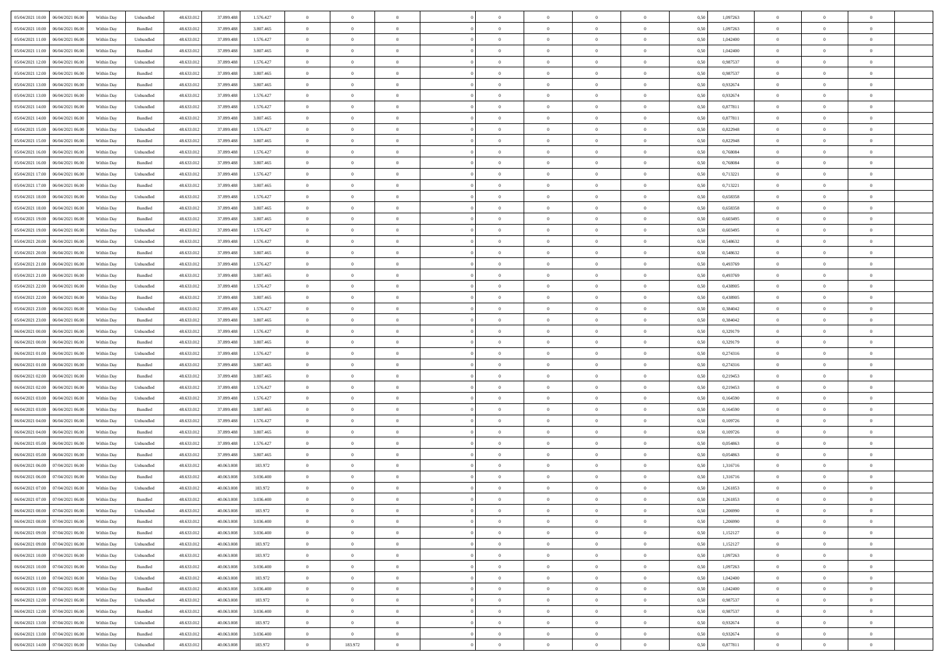| 05/04/2021 10:00   06/04/2021 06:00            | Within Day | Unbundled                   | 48.633.01  | 37.899.488 | 1.576.427 | $\overline{0}$ | $\overline{0}$ |                | $\overline{0}$ | $\theta$       |                | $\theta$       | 0,50 | 1,097263 | $\theta$       | $\theta$       | $\overline{0}$ |  |
|------------------------------------------------|------------|-----------------------------|------------|------------|-----------|----------------|----------------|----------------|----------------|----------------|----------------|----------------|------|----------|----------------|----------------|----------------|--|
| 05/04/2021 10:00<br>06/04/2021 06.00           | Within Day | Bundled                     | 48.633.01  | 37.899.488 | 3.807.465 | $\bf{0}$       | $\bf{0}$       | $\bf{0}$       | $\bf{0}$       | $\overline{0}$ | $\overline{0}$ | $\bf{0}$       | 0,50 | 1,097263 | $\,$ 0 $\,$    | $\bf{0}$       | $\overline{0}$ |  |
| 05/04/2021 11:00<br>06/04/2021 06:00           | Within Day | Unbundled                   | 48.633.013 | 37,899,488 | 1.576.427 | $\overline{0}$ | $\bf{0}$       | $\overline{0}$ | $\bf{0}$       | $\bf{0}$       | $\overline{0}$ | $\bf{0}$       | 0.50 | 1.042400 | $\bf{0}$       | $\overline{0}$ | $\overline{0}$ |  |
| 05/04/2021 11:00<br>06/04/2021 06:00           | Within Day | Bundled                     | 48.633.01  | 37.899.488 | 3.807.465 | $\overline{0}$ | $\overline{0}$ | $\overline{0}$ | $\theta$       | $\theta$       | $\overline{0}$ | $\bf{0}$       | 0,50 | 1,042400 | $\theta$       | $\theta$       | $\overline{0}$ |  |
| 05/04/2021 12:00<br>06/04/2021 06.00           | Within Day | Unbundled                   | 48.633.01  | 37.899.488 | 1.576.427 | $\overline{0}$ | $\overline{0}$ | $\bf{0}$       | $\overline{0}$ | $\theta$       | $\overline{0}$ | $\bf{0}$       | 0,50 | 0,987537 | $\,$ 0 $\,$    | $\bf{0}$       | $\overline{0}$ |  |
|                                                |            |                             |            |            |           |                |                |                |                |                | $\theta$       |                |      |          |                |                |                |  |
| 05/04/2021 12:00<br>06/04/2021 06:00           | Within Day | Bundled                     | 48.633.013 | 37,899,488 | 3.807.465 | $\overline{0}$ | $\overline{0}$ | $\overline{0}$ | $\bf{0}$       | $\overline{0}$ |                | $\bf{0}$       | 0.50 | 0.987537 | $\,$ 0 $\,$    | $\theta$       | $\overline{0}$ |  |
| 05/04/2021 13:00<br>06/04/2021 06:00           | Within Day | Bundled                     | 48.633.013 | 37.899.488 | 3.807.465 | $\overline{0}$ | $\overline{0}$ | $\overline{0}$ | $\overline{0}$ | $\overline{0}$ | $\overline{0}$ | $\bf{0}$       | 0,50 | 0,932674 | $\theta$       | $\theta$       | $\overline{0}$ |  |
| 05/04/2021 13:00<br>06/04/2021 06.00           | Within Day | Unbundled                   | 48.633.01  | 37.899.488 | 1.576.427 | $\overline{0}$ | $\overline{0}$ | $\bf{0}$       | $\overline{0}$ | $\overline{0}$ | $\overline{0}$ | $\bf{0}$       | 0,50 | 0,932674 | $\,$ 0 $\,$    | $\bf{0}$       | $\overline{0}$ |  |
| 05/04/2021 14:00<br>06/04/2021 06:00           | Within Day | Unbundled                   | 48.633.013 | 37,899,488 | 1.576.427 | $\overline{0}$ | $\bf{0}$       | $\overline{0}$ | $\bf{0}$       | $\overline{0}$ | $\overline{0}$ | $\bf{0}$       | 0.50 | 0.877811 | $\bf{0}$       | $\overline{0}$ | $\overline{0}$ |  |
| 05/04/2021 14:00<br>06/04/2021 06:00           | Within Day | Bundled                     | 48.633.013 | 37.899.488 | 3.807.465 | $\overline{0}$ | $\bf{0}$       | $\overline{0}$ | $\overline{0}$ | $\overline{0}$ | $\overline{0}$ | $\bf{0}$       | 0,50 | 0,877811 | $\,$ 0 $\,$    | $\bf{0}$       | $\overline{0}$ |  |
| 05/04/2021 15:00<br>06/04/2021 06.00           | Within Day | Unbundled                   | 48.633.01  | 37.899.488 | 1.576.427 | $\bf{0}$       | $\overline{0}$ | $\bf{0}$       | $\bf{0}$       | $\bf{0}$       | $\overline{0}$ | $\bf{0}$       | 0,50 | 0,822948 | $\,$ 0 $\,$    | $\bf{0}$       | $\overline{0}$ |  |
| 05/04/2021 15:00<br>06/04/2021 06:00           | Within Day | Bundled                     | 48.633.013 | 37,899,488 | 3.807.465 | $\overline{0}$ | $\bf{0}$       | $\overline{0}$ | $\overline{0}$ | $\bf{0}$       | $\overline{0}$ | $\bf{0}$       | 0.50 | 0.822948 | $\bf{0}$       | $\overline{0}$ | $\bf{0}$       |  |
| 05/04/2021 16:00<br>06/04/2021 06:00           | Within Day | Unbundled                   | 48.633.01  | 37.899.488 | 1.576.427 | $\overline{0}$ | $\overline{0}$ | $\overline{0}$ | $\theta$       | $\theta$       | $\overline{0}$ | $\bf{0}$       | 0,50 | 0,768084 | $\,$ 0 $\,$    | $\theta$       | $\overline{0}$ |  |
|                                                |            |                             |            |            |           |                |                |                |                |                |                |                |      |          |                |                |                |  |
| 05/04/2021 16:00<br>06/04/2021 06.00           | Within Day | Bundled                     | 48.633.01  | 37.899.488 | 3.807.465 | $\bf{0}$       | $\overline{0}$ | $\bf{0}$       | $\overline{0}$ | $\theta$       | $\overline{0}$ | $\bf{0}$       | 0,50 | 0,768084 | $\,$ 0 $\,$    | $\bf{0}$       | $\overline{0}$ |  |
| 05/04/2021 17:00<br>06/04/2021 06:00           | Within Day | Unbundled                   | 48.633.013 | 37,899,488 | 1.576.427 | $\overline{0}$ | $\overline{0}$ | $\overline{0}$ | $\bf{0}$       | $\overline{0}$ | $\theta$       | $\bf{0}$       | 0.50 | 0,713221 | $\,$ 0 $\,$    | $\theta$       | $\overline{0}$ |  |
| 05/04/2021 17:00<br>06/04/2021 06:00           | Within Day | Bundled                     | 48.633.01  | 37.899.488 | 3.807.465 | $\overline{0}$ | $\overline{0}$ | $\overline{0}$ | $\overline{0}$ | $\overline{0}$ | $\overline{0}$ | $\bf{0}$       | 0,50 | 0,713221 | $\theta$       | $\theta$       | $\overline{0}$ |  |
| 05/04/2021 18:00<br>06/04/2021 06.00           | Within Day | Unbundled                   | 48.633.01  | 37.899.488 | 1.576.427 | $\bf{0}$       | $\overline{0}$ | $\bf{0}$       | $\overline{0}$ | $\bf{0}$       | $\overline{0}$ | $\bf{0}$       | 0,50 | 0,658358 | $\,$ 0 $\,$    | $\bf{0}$       | $\overline{0}$ |  |
| 05/04/2021 18:00<br>06/04/2021 06:00           | Within Day | Bundled                     | 48.633.013 | 37,899,488 | 3.807.465 | $\overline{0}$ | $\bf{0}$       | $\overline{0}$ | $\bf{0}$       | $\overline{0}$ | $\overline{0}$ | $\bf{0}$       | 0.50 | 0.658358 | $\bf{0}$       | $\overline{0}$ | $\overline{0}$ |  |
| 05/04/2021 19:00<br>06/04/2021 06:00           | Within Day | Bundled                     | 48.633.013 | 37.899.488 | 3.807.465 | $\overline{0}$ | $\bf{0}$       | $\overline{0}$ | $\overline{0}$ | $\overline{0}$ | $\overline{0}$ | $\bf{0}$       | 0,50 | 0,603495 | $\,$ 0 $\,$    | $\bf{0}$       | $\overline{0}$ |  |
| 05/04/2021 19:00<br>06/04/2021 06.00           | Within Day | Unbundled                   | 48.633.01  | 37.899.488 | 1.576.427 | $\bf{0}$       | $\bf{0}$       | $\bf{0}$       | $\bf{0}$       | $\overline{0}$ | $\overline{0}$ | $\bf{0}$       | 0,50 | 0,603495 | $\,$ 0 $\,$    | $\bf{0}$       | $\overline{0}$ |  |
|                                                |            |                             |            |            |           |                |                |                |                |                |                |                |      |          |                |                |                |  |
| 05/04/2021 20:00<br>06/04/2021 06:00           | Within Day | Unbundled                   | 48.633.013 | 37,899,488 | 1.576.427 | $\overline{0}$ | $\bf{0}$       | $\overline{0}$ | $\overline{0}$ | $\bf{0}$       | $\overline{0}$ | $\bf{0}$       | 0.50 | 0.548632 | $\bf{0}$       | $\overline{0}$ | $\,$ 0         |  |
| 05/04/2021 20:00<br>06/04/2021 06:00           | Within Day | Bundled                     | 48.633.01  | 37.899.488 | 3.807.465 | $\overline{0}$ | $\overline{0}$ | $\overline{0}$ | $\theta$       | $\theta$       | $\overline{0}$ | $\bf{0}$       | 0,50 | 0,548632 | $\theta$       | $\theta$       | $\overline{0}$ |  |
| 05/04/2021 21:00<br>06/04/2021 06.00           | Within Day | Unbundled                   | 48.633.01  | 37.899.488 | 1.576.427 | $\bf{0}$       | $\overline{0}$ | $\bf{0}$       | $\bf{0}$       | $\,$ 0 $\,$    | $\overline{0}$ | $\bf{0}$       | 0,50 | 0,493769 | $\,$ 0 $\,$    | $\bf{0}$       | $\overline{0}$ |  |
| 05/04/2021 21:00<br>06/04/2021 06:00           | Within Day | Bundled                     | 48.633.013 | 37,899,488 | 3.807.465 | $\overline{0}$ | $\overline{0}$ | $\overline{0}$ | $\bf{0}$       | $\overline{0}$ | $\theta$       | $\bf{0}$       | 0.50 | 0.493769 | $\,$ 0 $\,$    | $\theta$       | $\overline{0}$ |  |
| 05/04/2021 22.00<br>06/04/2021 06:00           | Within Day | Unbundled                   | 48.633.013 | 37.899.488 | 1.576.427 | $\overline{0}$ | $\overline{0}$ | $\overline{0}$ | $\overline{0}$ | $\overline{0}$ | $\overline{0}$ | $\bf{0}$       | 0,50 | 0,438905 | $\,$ 0 $\,$    | $\theta$       | $\overline{0}$ |  |
| 05/04/2021 22.00<br>06/04/2021 06.00           | Within Day | Bundled                     | 48.633.01  | 37.899.488 | 3.807.465 | $\bf{0}$       | $\overline{0}$ | $\bf{0}$       | $\overline{0}$ | $\theta$       | $\overline{0}$ | $\bf{0}$       | 0,50 | 0,438905 | $\,$ 0 $\,$    | $\bf{0}$       | $\overline{0}$ |  |
| 05/04/2021 23:00<br>06/04/2021 06:00           | Within Day | Unbundled                   | 48.633.013 | 37,899,488 | 1.576.427 | $\overline{0}$ | $\bf{0}$       | $\overline{0}$ | $\bf{0}$       | $\overline{0}$ | $\overline{0}$ | $\bf{0}$       | 0.50 | 0.384042 | $\bf{0}$       | $\overline{0}$ | $\overline{0}$ |  |
| 05/04/2021 23:00<br>06/04/2021 06:00           | Within Day | Bundled                     | 48.633.01  | 37.899.488 | 3.807.465 | $\overline{0}$ | $\overline{0}$ | $\overline{0}$ | $\overline{0}$ | $\overline{0}$ | $\overline{0}$ | $\bf{0}$       | 0,50 | 0,384042 | $\theta$       | $\theta$       | $\overline{0}$ |  |
|                                                |            |                             |            |            |           |                |                |                |                |                |                |                |      |          |                |                |                |  |
| 06/04/2021 00:00<br>06/04/2021 06.00           | Within Day | Unbundled                   | 48.633.01  | 37.899.488 | 1.576.427 | $\bf{0}$       | $\bf{0}$       | $\bf{0}$       | $\bf{0}$       | $\overline{0}$ | $\overline{0}$ | $\bf{0}$       | 0,50 | 0,329179 | $\,$ 0 $\,$    | $\bf{0}$       | $\overline{0}$ |  |
| 06/04/2021 00:00<br>06/04/2021 06:00           | Within Day | Bundled                     | 48.633.013 | 37,899,488 | 3.807.465 | $\overline{0}$ | $\bf{0}$       | $\overline{0}$ | $\bf{0}$       | $\bf{0}$       | $\overline{0}$ | $\bf{0}$       | 0.50 | 0,329179 | $\bf{0}$       | $\overline{0}$ | $\bf{0}$       |  |
| 06/04/2021 01:00<br>06/04/2021 06:00           | Within Day | Unbundled                   | 48.633.013 | 37.899.488 | 1.576.427 | $\overline{0}$ | $\overline{0}$ | $\overline{0}$ | $\overline{0}$ | $\overline{0}$ | $\overline{0}$ | $\bf{0}$       | 0.5( | 0,274316 | $\theta$       | $\theta$       | $\overline{0}$ |  |
| 06/04/2021 01:00<br>06/04/2021 06.00           | Within Day | Bundled                     | 48.633.01  | 37.899.488 | 3.807.465 | $\bf{0}$       | $\overline{0}$ | $\bf{0}$       | $\bf{0}$       | $\overline{0}$ | $\overline{0}$ | $\bf{0}$       | 0,50 | 0,274316 | $\,$ 0 $\,$    | $\bf{0}$       | $\overline{0}$ |  |
| 06/04/2021 02:00<br>06/04/2021 06:00           | Within Day | Bundled                     | 48.633.013 | 37,899,488 | 3.807.465 | $\overline{0}$ | $\bf{0}$       | $\overline{0}$ | $\bf{0}$       | $\overline{0}$ | $\Omega$       | $\bf{0}$       | 0.50 | 0,219453 | $\,$ 0 $\,$    | $\theta$       | $\overline{0}$ |  |
| 06/04/2021 02:00<br>06/04/2021 06:00           | Within Dav | Unbundled                   | 48.633.013 | 37.899.488 | 1.576.427 | $\overline{0}$ | $\overline{0}$ | $\overline{0}$ | $\overline{0}$ | $\theta$       | $\overline{0}$ | $\bf{0}$       | 0.50 | 0,219453 | $\theta$       | $\theta$       | $\overline{0}$ |  |
| 06/04/2021 03:00<br>06/04/2021 06.00           | Within Day | Unbundled                   | 48.633.01  | 37.899.488 | 1.576.427 | $\bf{0}$       | $\bf{0}$       | $\bf{0}$       | $\bf{0}$       | $\bf{0}$       | $\overline{0}$ | $\bf{0}$       | 0,50 | 0,164590 | $\,$ 0 $\,$    | $\bf{0}$       | $\overline{0}$ |  |
| 06/04/2021 03:00<br>06/04/2021 06:00           | Within Day | Bundled                     | 48.633.013 | 37,899,488 | 3.807.465 | $\overline{0}$ | $\bf{0}$       | $\overline{0}$ | $\bf{0}$       | $\overline{0}$ | $\overline{0}$ | $\bf{0}$       | 0.50 | 0.164590 | $\bf{0}$       | $\overline{0}$ | $\overline{0}$ |  |
| 06/04/2021 04:00<br>06/04/2021 06:00           | Within Dav | Unbundled                   | 48.633.013 | 37.899.488 | 1.576.427 | $\overline{0}$ | $\overline{0}$ | $\overline{0}$ | $\overline{0}$ | $\overline{0}$ | $\overline{0}$ | $\bf{0}$       | 0.50 | 0,109726 | $\theta$       | $\theta$       | $\overline{0}$ |  |
|                                                |            |                             |            |            |           |                |                |                |                |                |                |                |      |          |                |                |                |  |
| 06/04/2021 04:00<br>06/04/2021 06.00           | Within Day | Bundled                     | 48.633.01  | 37.899.488 | 3.807.465 | $\bf{0}$       | $\bf{0}$       | $\bf{0}$       | $\bf{0}$       | $\overline{0}$ | $\overline{0}$ | $\bf{0}$       | 0,50 | 0,109726 | $\,$ 0 $\,$    | $\bf{0}$       | $\overline{0}$ |  |
| 06/04/2021 05:00<br>06/04/2021 06:00           | Within Day | Unbundled                   | 48.633.013 | 37,899,488 | 1.576.427 | $\overline{0}$ | $\bf{0}$       | $\overline{0}$ | $\overline{0}$ | $\bf{0}$       | $\overline{0}$ | $\bf{0}$       | 0.50 | 0.054863 | $\,$ 0 $\,$    | $\overline{0}$ | $\overline{0}$ |  |
| 06/04/2021 05:00<br>06/04/2021 06:00           | Within Dav | Bundled                     | 48.633.013 | 37.899.488 | 3.807.465 | $\overline{0}$ | $\overline{0}$ | $\overline{0}$ | $\overline{0}$ | $\overline{0}$ | $\overline{0}$ | $\bf{0}$       | 0.50 | 0,054863 | $\theta$       | $\theta$       | $\overline{0}$ |  |
| 06/04/2021 06:00<br>07/04/2021 06.00           | Within Day | Unbundled                   | 48.633.013 | 40.063.00  | 183.972   | $\bf{0}$       | $\bf{0}$       | $\bf{0}$       | $\bf{0}$       | $\overline{0}$ | $\overline{0}$ | $\bf{0}$       | 0,50 | 1,316716 | $\,$ 0 $\,$    | $\bf{0}$       | $\overline{0}$ |  |
| 06/04/2021 06:00<br>07/04/2021 06:00           | Within Day | Bundled                     | 48.633.013 | 40.063.008 | 3.036.400 | $\overline{0}$ | $\overline{0}$ | $\overline{0}$ | $\bf{0}$       | $\overline{0}$ | $\Omega$       | $\bf{0}$       | 0.50 | 1.316716 | $\bf{0}$       | $\theta$       | $\overline{0}$ |  |
| 06/04/2021 07:00<br>07/04/2021 06:00           | Within Dav | Unbundled                   | 48.633.013 | 40.063.00  | 183.972   | $\overline{0}$ | $\overline{0}$ | $\Omega$       | $\overline{0}$ | $\theta$       | $\Omega$       | $\overline{0}$ | 0.5( | 1,261853 | $\theta$       | $\theta$       | $\overline{0}$ |  |
| 06/04/2021 07:00<br>07/04/2021 06:00           | Within Day | Bundled                     | 48.633.01  | 40.063.008 | 3.036.400 | $\bf{0}$       | $\bf{0}$       | $\overline{0}$ | $\bf{0}$       | $\bf{0}$       | $\overline{0}$ | $\bf{0}$       | 0,50 | 1,261853 | $\overline{0}$ | $\bf{0}$       | $\overline{0}$ |  |
| $06/04/2021\; 08.00 \qquad 07/04/2021\; 06.00$ | Within Day | $\ensuremath{\mathsf{Unb}}$ | 48.633.012 | 40.063.008 | 183.972   | $\bf{0}$       | $\Omega$       |                | $\Omega$       |                |                |                | 0,50 | 1.206990 | $\theta$       | $\overline{0}$ |                |  |
| 06/04/2021 08:00 07/04/2021 06:00              | Within Day | Bundled                     | 48.633.012 | 40.063.008 | 3.036.400 | $\overline{0}$ | $\overline{0}$ | $\overline{0}$ | $\theta$       | $\overline{0}$ | $\overline{0}$ | $\bf{0}$       | 0,50 | 1,206990 | $\theta$       | $\overline{0}$ | $\overline{0}$ |  |
|                                                |            |                             |            |            |           |                |                |                |                |                |                |                |      |          |                |                |                |  |
| 06/04/2021 09:00<br>07/04/2021 06:00           | Within Day | Bundled                     | 48.633.013 | 40.063.00  | 3.036.400 | $\overline{0}$ | $\bf{0}$       | $\overline{0}$ | $\overline{0}$ | $\bf{0}$       | $\overline{0}$ | $\bf{0}$       | 0,50 | 1,152127 | $\bf{0}$       | $\overline{0}$ | $\bf{0}$       |  |
| 06/04/2021 09:00 07/04/2021 06:00              | Within Day | Unbundled                   | 48.633.012 | 40.063.008 | 183.972   | $\overline{0}$ | $\bf{0}$       | $\overline{0}$ | $\overline{0}$ | $\mathbf{0}$   | $\overline{0}$ | $\,$ 0 $\,$    | 0.50 | 1,152127 | $\overline{0}$ | $\bf{0}$       | $\,$ 0 $\,$    |  |
| 06/04/2021 10:00 07/04/2021 06:00              | Within Day | Unbundled                   | 48.633.012 | 40.063.008 | 183.972   | $\overline{0}$ | $\overline{0}$ | $\overline{0}$ | $\overline{0}$ | $\overline{0}$ | $\overline{0}$ | $\bf{0}$       | 0,50 | 1,097263 | $\overline{0}$ | $\theta$       | $\overline{0}$ |  |
| 06/04/2021 10:00<br>07/04/2021 06:00           | Within Day | Bundled                     | 48.633.012 | 40.063.008 | 3.036.400 | $\overline{0}$ | $\bf{0}$       | $\overline{0}$ | $\overline{0}$ | $\bf{0}$       | $\overline{0}$ | $\bf{0}$       | 0,50 | 1,097263 | $\bf{0}$       | $\overline{0}$ | $\overline{0}$ |  |
| 06/04/2021 11:00 07/04/2021 06:00              | Within Day | Unbundled                   | 48.633.012 | 40.063.008 | 183.972   | $\overline{0}$ | $\bf{0}$       | $\overline{0}$ | $\overline{0}$ | $\bf{0}$       | $\overline{0}$ | $\bf{0}$       | 0.50 | 1.042400 | $\,$ 0 $\,$    | $\overline{0}$ | $\,$ 0         |  |
| 06/04/2021 11:00 07/04/2021 06:00              | Within Dav | Bundled                     | 48.633.012 | 40.063.008 | 3.036.400 | $\overline{0}$ | $\overline{0}$ | $\overline{0}$ | $\overline{0}$ | $\overline{0}$ | $\overline{0}$ | $\bf{0}$       | 0,50 | 1,042400 | $\overline{0}$ | $\theta$       | $\overline{0}$ |  |
| 06/04/2021 12:00<br>07/04/2021 06:00           | Within Day | Unbundled                   | 48.633.013 | 40.063.008 | 183.972   | $\overline{0}$ | $\overline{0}$ | $\overline{0}$ | $\overline{0}$ | $\overline{0}$ | $\overline{0}$ | $\bf{0}$       | 0,50 | 0,987537 | $\bf{0}$       | $\overline{0}$ | $\overline{0}$ |  |
|                                                |            |                             |            |            |           |                |                |                |                |                |                |                |      |          |                |                |                |  |
| 06/04/2021 12:00 07/04/2021 06:00              | Within Day | Bundled                     | 48.633.012 | 40.063.008 | 3.036.400 | $\overline{0}$ | $\overline{0}$ | $\overline{0}$ | $\overline{0}$ | $\overline{0}$ | $\overline{0}$ | $\bf{0}$       | 0.50 | 0.987537 | $\mathbf{0}$   | $\bf{0}$       | $\,$ 0         |  |
| 06/04/2021 13:00 07/04/2021 06:00              | Within Dav | Unbundled                   | 48.633.012 | 40.063.008 | 183.972   | $\overline{0}$ | $\overline{0}$ | $\overline{0}$ | $\overline{0}$ | $\overline{0}$ | $\overline{0}$ | $\bf{0}$       | 0,50 | 0,932674 | $\overline{0}$ | $\theta$       | $\overline{0}$ |  |
| 06/04/2021 13:00<br>07/04/2021 06:00           | Within Day | Bundled                     | 48.633.013 | 40.063.008 | 3.036.400 | $\overline{0}$ | $\overline{0}$ | $\overline{0}$ | $\overline{0}$ | $\overline{0}$ | $\overline{0}$ | $\bf{0}$       | 0,50 | 0,932674 | $\bf{0}$       | $\overline{0}$ | $\bf{0}$       |  |
| 06/04/2021 14:00 07/04/2021 06:00              | Within Day | Unbundled                   | 48.633.012 | 40.063.008 | 183.972   | $\,$ 0 $\,$    | 183.972        | $\overline{0}$ | $\overline{0}$ | $\,$ 0 $\,$    | $\overline{0}$ | $\bf{0}$       | 0,50 | 0,877811 | $\overline{0}$ | $\,$ 0 $\,$    | $\,$ 0 $\,$    |  |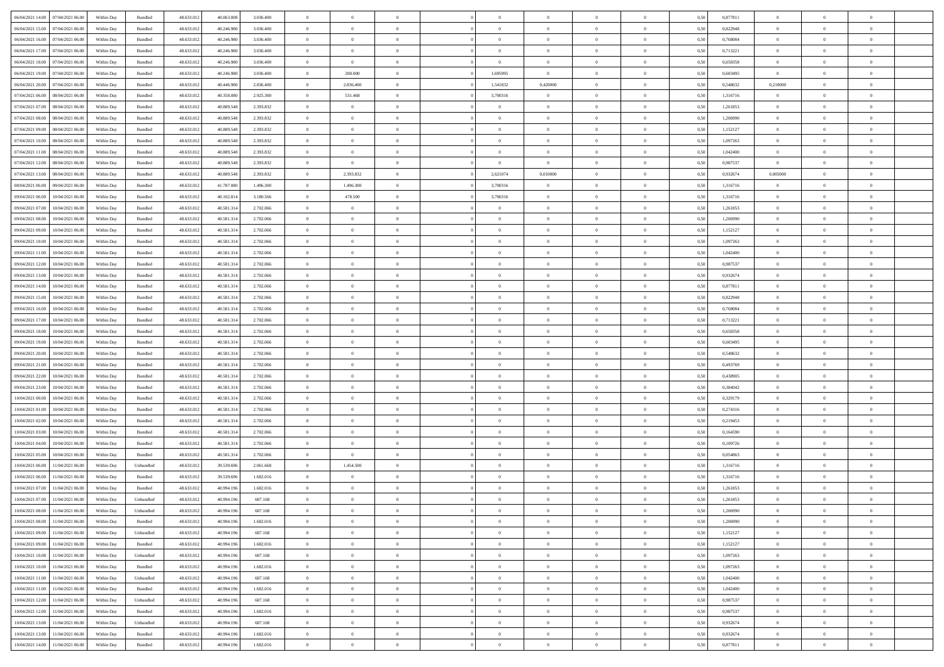|                                              |            |                   |            |                |           | $\overline{0}$ | $\overline{0}$ |                | $\overline{0}$ | $\theta$       |                | $\theta$       |      |          | $\theta$       | $\theta$       | $\overline{0}$ |  |
|----------------------------------------------|------------|-------------------|------------|----------------|-----------|----------------|----------------|----------------|----------------|----------------|----------------|----------------|------|----------|----------------|----------------|----------------|--|
| 06/04/2021 14:00 07/04/2021 06:00            | Within Day | Bundled           | 48.633.01  | 40.063.008     | 3.036.400 |                |                |                |                |                |                |                | 0,50 | 0,877811 |                |                |                |  |
| 06/04/2021 15:00<br>07/04/2021 06.00         | Within Day | Bundled           | 48.633.01  | 40.246.98      | 3.036.400 | $\bf{0}$       | $\bf{0}$       | $\bf{0}$       | $\overline{0}$ | $\overline{0}$ | $\overline{0}$ | $\bf{0}$       | 0,50 | 0,822948 | $\,$ 0 $\,$    | $\bf{0}$       | $\overline{0}$ |  |
| 06/04/2021 16:00<br>07/04/2021 06:00         | Within Day | Bundled           | 48.633.012 | 40.246.980     | 3.036.400 | $\overline{0}$ | $\bf{0}$       | $\overline{0}$ | $\bf{0}$       | $\bf{0}$       | $\overline{0}$ | $\bf{0}$       | 0.50 | 0.768084 | $\bf{0}$       | $\overline{0}$ | $\overline{0}$ |  |
| 06/04/2021 17:00<br>07/04/2021 06:00         | Within Day | Bundled           | 48.633.013 | 40.246.980     | 3.036.400 | $\overline{0}$ | $\overline{0}$ | $\overline{0}$ | $\theta$       | $\theta$       | $\overline{0}$ | $\bf{0}$       | 0,50 | 0,713221 | $\,$ 0 $\,$    | $\theta$       | $\overline{0}$ |  |
| 06/04/2021 18:00<br>07/04/2021 06.00         | Within Day | Bundled           | 48.633.01  | 40.246.98      | 3.036.400 | $\bf{0}$       | $\overline{0}$ | $\bf{0}$       | $\overline{0}$ | $\theta$       | $\overline{0}$ | $\bf{0}$       | 0,50 | 0,658358 | $\,$ 0 $\,$    | $\bf{0}$       | $\overline{0}$ |  |
|                                              |            |                   |            |                |           |                |                |                |                |                |                |                |      |          |                |                |                |  |
| 06/04/2021 19:00<br>07/04/2021 06:00         | Within Day | Bundled           | 48.633.013 | 40.246.980     | 3.036.400 | $\overline{0}$ | 200,000        | $\overline{0}$ | 1.695995       | $\overline{0}$ | $\Omega$       | $\bf{0}$       | 0.50 | 0.603495 | $\theta$       | $\theta$       | $\overline{0}$ |  |
| 06/04/2021 20:00<br>07/04/2021 06:00         | Within Day | Bundled           | 48.633.013 | 40.446.980     | 2.836.400 | $\bf{0}$       | 2.836.400      | $\overline{0}$ | 1,541832       | 0,420000       | $\overline{0}$ | $\bf{0}$       | 0,50 | 0,548632 | 0,210000       | $\theta$       | $\overline{0}$ |  |
| 07/04/2021 06:00<br>08/04/2021 06:00         | Within Day | Bundled           | 48.633.01  | 40.358.08      | 2.925.300 | $\bf{0}$       | 531.468        | $\bf{0}$       | 3,700316       | $\overline{0}$ | $\overline{0}$ | $\bf{0}$       | 0,50 | 1,316716 | $\,$ 0 $\,$    | $\bf{0}$       | $\overline{0}$ |  |
| 07/04/2021 07:00<br>08/04/2021 06:00         | Within Day | Bundled           | 48.633.013 | 40.889.548     | 2.393.832 | $\overline{0}$ | $\overline{0}$ | $\overline{0}$ | $\bf{0}$       | $\overline{0}$ | $\overline{0}$ | $\bf{0}$       | 0.50 | 1.261853 | $\bf{0}$       | $\overline{0}$ | $\overline{0}$ |  |
| 07/04/2021 08:00<br>08/04/2021 06:00         | Within Day | Bundled           | 48.633.012 | 40.889.548     | 2.393.832 | $\bf{0}$       | $\bf{0}$       | $\overline{0}$ | $\overline{0}$ | $\overline{0}$ | $\overline{0}$ | $\bf{0}$       | 0,50 | 1,206990 | $\,$ 0 $\,$    | $\bf{0}$       | $\overline{0}$ |  |
|                                              |            |                   |            |                |           |                |                |                |                |                |                |                |      |          |                |                |                |  |
| 07/04/2021 09:00<br>08/04/2021 06:00         | Within Day | Bundled           | 48.633.01  | 40.889.548     | 2.393.832 | $\bf{0}$       | $\overline{0}$ | $\bf{0}$       | $\bf{0}$       | $\bf{0}$       | $\overline{0}$ | $\bf{0}$       | 0,50 | 1,152127 | $\,$ 0 $\,$    | $\bf{0}$       | $\overline{0}$ |  |
| 07/04/2021 10:00<br>08/04/2021 06:00         | Within Day | Bundled           | 48.633.013 | 40.889.548     | 2.393.832 | $\overline{0}$ | $\bf{0}$       | $\overline{0}$ | $\overline{0}$ | $\bf{0}$       | $\overline{0}$ | $\bf{0}$       | 0.50 | 1.097263 | $\bf{0}$       | $\overline{0}$ | $\overline{0}$ |  |
| 07/04/2021 11:00<br>08/04/2021 06:00         | Within Day | Bundled           | 48.633.01  | 40.889.548     | 2.393.832 | $\overline{0}$ | $\overline{0}$ | $\overline{0}$ | $\theta$       | $\theta$       | $\overline{0}$ | $\bf{0}$       | 0,50 | 1,042400 | $\,$ 0 $\,$    | $\theta$       | $\overline{0}$ |  |
| 07/04/2021 12:00<br>08/04/2021 06:00         | Within Day | Bundled           | 48.633.01  | 40.889.548     | 2.393.832 | $\bf{0}$       | $\bf{0}$       | $\bf{0}$       | $\bf{0}$       | $\bf{0}$       | $\overline{0}$ | $\bf{0}$       | 0,50 | 0,987537 | $\,$ 0 $\,$    | $\bf{0}$       | $\overline{0}$ |  |
| 07/04/2021 13:00<br>08/04/2021 06:00         | Within Day | Bundled           | 48.633.013 | 40.889.548     | 2.393.832 | $\overline{0}$ | 2.393.832      | $\Omega$       | 2.621074       | 0.010000       | $\theta$       | $\bf{0}$       | 0.50 | 0.932674 | 0,005000       | $\theta$       | $\overline{0}$ |  |
|                                              |            |                   |            |                |           |                |                |                |                |                |                |                |      |          |                |                |                |  |
| 08/04/2021 06:00<br>09/04/2021 06:00         | Within Day | Bundled           | 48.633.013 | 41.787.080     | 1.496.300 | $\overline{0}$ | 1.496.300      | $\overline{0}$ | 3,700316       | $\overline{0}$ | $\overline{0}$ | $\bf{0}$       | 0,50 | 1,316716 | $\theta$       | $\theta$       | $\overline{0}$ |  |
| 09/04/2021 06:00<br>10/04/2021 06:00         | Within Day | Bundled           | 48.633.01  | 40.102.814     | 3.180.566 | $\bf{0}$       | 478.500        | $\overline{0}$ | 3,700316       | $\theta$       | $\overline{0}$ | $\bf{0}$       | 0,50 | 1,316716 | $\,$ 0 $\,$    | $\bf{0}$       | $\overline{0}$ |  |
| 09/04/2021 07:00<br>10/04/2021 06:00         | Within Day | Bundled           | 48.633.013 | 40.581.31      | 2.702.066 | $\overline{0}$ | $\overline{0}$ | $\overline{0}$ | $\bf{0}$       | $\overline{0}$ | $\overline{0}$ | $\bf{0}$       | 0.50 | 1.261853 | $\bf{0}$       | $\overline{0}$ | $\overline{0}$ |  |
| 09/04/2021 08:00<br>10/04/2021 06:00         | Within Day | Bundled           | 48.633.013 | 40.581.314     | 2.702.066 | $\bf{0}$       | $\bf{0}$       | $\overline{0}$ | $\overline{0}$ | $\overline{0}$ | $\overline{0}$ | $\bf{0}$       | 0,50 | 1,206990 | $\,$ 0 $\,$    | $\bf{0}$       | $\overline{0}$ |  |
| 09/04/2021 09:00<br>10/04/2021 06:00         | Within Day | Bundled           | 48.633.01  | 40.581.314     | 2.702.066 | $\bf{0}$       | $\bf{0}$       | $\bf{0}$       | $\bf{0}$       | $\overline{0}$ | $\overline{0}$ | $\bf{0}$       | 0,50 | 1,152127 | $\,$ 0 $\,$    | $\bf{0}$       | $\overline{0}$ |  |
| 09/04/2021 10:00<br>10/04/2021 06:00         | Within Day | Bundled           | 48.633.013 | 40.581.314     | 2.702.066 | $\overline{0}$ | $\bf{0}$       | $\overline{0}$ | $\bf{0}$       | $\bf{0}$       | $\overline{0}$ | $\bf{0}$       | 0.50 | 1.097263 | $\bf{0}$       | $\overline{0}$ | $\overline{0}$ |  |
|                                              |            |                   |            |                |           | $\overline{0}$ | $\overline{0}$ |                |                |                |                |                |      |          | $\theta$       | $\theta$       |                |  |
| 09/04/2021 11:00<br>10/04/2021 06:00         | Within Day | Bundled           | 48.633.01  | 40.581.314     | 2.702.066 |                |                | $\overline{0}$ | $\theta$       | $\theta$       | $\overline{0}$ | $\bf{0}$       | 0,50 | 1,042400 |                |                | $\overline{0}$ |  |
| 09/04/2021 12:00<br>10/04/2021 06:00         | Within Day | Bundled           | 48.633.01  | 40.581.314     | 2.702.066 | $\bf{0}$       | $\overline{0}$ | $\bf{0}$       | $\bf{0}$       | $\bf{0}$       | $\overline{0}$ | $\bf{0}$       | 0,50 | 0,987537 | $\,$ 0 $\,$    | $\bf{0}$       | $\overline{0}$ |  |
| 09/04/2021 13:00<br>10/04/2021 06:00         | Within Day | Bundled           | 48.633.013 | 40.581.31      | 2.702.066 | $\overline{0}$ | $\overline{0}$ | $\overline{0}$ | $\bf{0}$       | $\overline{0}$ | $\Omega$       | $\bf{0}$       | 0.50 | 0.932674 | $\,$ 0 $\,$    | $\theta$       | $\overline{0}$ |  |
| 09/04/2021 14:00<br>10/04/2021 06:00         | Within Day | Bundled           | 48.633.013 | 40.581.314     | 2.702.066 | $\overline{0}$ | $\overline{0}$ | $\overline{0}$ | $\overline{0}$ | $\overline{0}$ | $\overline{0}$ | $\bf{0}$       | 0,50 | 0,877811 | $\,$ 0 $\,$    | $\theta$       | $\overline{0}$ |  |
| 09/04/2021 15:00<br>10/04/2021 06:00         | Within Day | Bundled           | 48.633.01  | 40.581.31      | 2.702.066 | $\bf{0}$       | $\overline{0}$ | $\bf{0}$       | $\overline{0}$ | $\theta$       | $\overline{0}$ | $\bf{0}$       | 0,50 | 0,822948 | $\,$ 0 $\,$    | $\bf{0}$       | $\overline{0}$ |  |
| 09/04/2021 16:00<br>10/04/2021 06:00         | Within Day | Bundled           | 48.633.013 | 40.581.31      | 2.702.066 | $\overline{0}$ | $\bf{0}$       | $\overline{0}$ | $\bf{0}$       | $\overline{0}$ | $\overline{0}$ | $\bf{0}$       | 0.50 | 0.768084 | $\bf{0}$       | $\overline{0}$ | $\overline{0}$ |  |
| 09/04/2021 17:00<br>10/04/2021 06:00         | Within Day | Bundled           | 48.633.01  | 40.581.314     | 2.702.066 | $\overline{0}$ | $\bf{0}$       | $\overline{0}$ | $\overline{0}$ | $\overline{0}$ | $\overline{0}$ | $\bf{0}$       | 0,50 | 0,713221 | $\,$ 0 $\,$    | $\theta$       | $\overline{0}$ |  |
|                                              |            |                   |            |                |           |                |                |                |                |                |                |                |      |          |                |                |                |  |
| 09/04/2021 18:00<br>10/04/2021 06:00         | Within Day | Bundled           | 48.633.01  | 40.581.314     | 2.702.066 | $\bf{0}$       | $\bf{0}$       | $\bf{0}$       | $\bf{0}$       | $\overline{0}$ | $\overline{0}$ | $\bf{0}$       | 0,50 | 0,658358 | $\,$ 0 $\,$    | $\bf{0}$       | $\overline{0}$ |  |
| 09/04/2021 19:00<br>10/04/2021 06:00         | Within Day | Bundled           | 48.633.013 | 40.581.314     | 2.702.066 | $\overline{0}$ | $\bf{0}$       | $\overline{0}$ | $\bf{0}$       | $\bf{0}$       | $\overline{0}$ | $\bf{0}$       | 0.50 | 0.603495 | $\bf{0}$       | $\overline{0}$ | $\overline{0}$ |  |
| 09/04/2021 20:00<br>10/04/2021 06:00         | Within Day | Bundled           | 48.633.013 | 40.581.314     | 2.702.066 | $\overline{0}$ | $\overline{0}$ | $\overline{0}$ | $\overline{0}$ | $\overline{0}$ | $\overline{0}$ | $\bf{0}$       | 0.50 | 0.548632 | $\theta$       | $\theta$       | $\overline{0}$ |  |
| 09/04/2021 21:00<br>10/04/2021 06:00         | Within Day | Bundled           | 48.633.01  | 40.581.314     | 2.702.066 | $\bf{0}$       | $\overline{0}$ | $\bf{0}$       | $\bf{0}$       | $\overline{0}$ | $\overline{0}$ | $\bf{0}$       | 0,50 | 0,493769 | $\,$ 0 $\,$    | $\bf{0}$       | $\overline{0}$ |  |
| 09/04/2021 22.00<br>10/04/2021 06:00         | Within Day | Bundled           | 48.633.013 | 40.581.31      | 2.702.066 | $\overline{0}$ | $\bf{0}$       | $\overline{0}$ | $\bf{0}$       | $\overline{0}$ | $\Omega$       | $\bf{0}$       | 0.50 | 0.438905 | $\,$ 0 $\,$    | $\theta$       | $\overline{0}$ |  |
| 09/04/2021 23:00<br>10/04/2021 06:00         | Within Dav | Bundled           | 48.633.013 | 40.581.314     | 2.702.066 | $\overline{0}$ | $\overline{0}$ | $\overline{0}$ | $\overline{0}$ | $\theta$       | $\overline{0}$ | $\bf{0}$       | 0.50 | 0,384042 | $\theta$       | $\theta$       | $\overline{0}$ |  |
| 10/04/2021 06:00                             | Within Day | Bundled           | 48.633.01  | 40.581.314     | 2.702.066 | $\bf{0}$       | $\bf{0}$       | $\bf{0}$       | $\overline{0}$ | $\bf{0}$       | $\overline{0}$ | $\bf{0}$       | 0,50 | 0,329179 | $\,$ 0 $\,$    | $\bf{0}$       | $\overline{0}$ |  |
| 10/04/2021 00:00                             |            |                   |            |                |           |                |                |                |                |                |                |                |      |          |                |                |                |  |
| 10/04/2021 01:00<br>10/04/2021 06:00         | Within Day | Bundled           | 48.633.013 | 40.581.31      | 2.702.066 | $\overline{0}$ | $\bf{0}$       | $\overline{0}$ | $\bf{0}$       | $\overline{0}$ | $\overline{0}$ | $\bf{0}$       | 0.50 | 0,274316 | $\bf{0}$       | $\overline{0}$ | $\overline{0}$ |  |
| 10/04/2021 02:00<br>10/04/2021 06:00         | Within Day | Bundled           | 48.633.013 | 40.581.314     | 2.702.066 | $\overline{0}$ | $\overline{0}$ | $\overline{0}$ | $\overline{0}$ | $\overline{0}$ | $\overline{0}$ | $\bf{0}$       | 0.50 | 0,219453 | $\theta$       | $\theta$       | $\overline{0}$ |  |
| 10/04/2021 03:00<br>10/04/2021 06:00         | Within Day | Bundled           | 48.633.01  | 40.581.314     | 2.702.066 | $\bf{0}$       | $\bf{0}$       | $\bf{0}$       | $\bf{0}$       | $\overline{0}$ | $\overline{0}$ | $\bf{0}$       | 0,50 | 0,164590 | $\,$ 0 $\,$    | $\bf{0}$       | $\overline{0}$ |  |
| 10/04/2021 04:00<br>10/04/2021 06:00         | Within Day | Bundled           | 48.633.013 | 40.581.314     | 2.702.066 | $\overline{0}$ | $\bf{0}$       | $\overline{0}$ | $\overline{0}$ | $\bf{0}$       | $\overline{0}$ | $\bf{0}$       | 0.50 | 0.109726 | $\bf{0}$       | $\overline{0}$ | $\overline{0}$ |  |
| 10/04/2021 05:00<br>10/04/2021 06:00         | Within Day | Bundled           | 48.633.013 | 40.581.314     | 2.702.066 | $\overline{0}$ | $\overline{0}$ | $\overline{0}$ | $\overline{0}$ | $\theta$       | $\overline{0}$ | $\bf{0}$       | 0.50 | 0,054863 | $\theta$       | $\theta$       | $\overline{0}$ |  |
| 10/04/2021 06:00<br>11/04/2021 06:00         | Within Day | Unbundled         | 48.633.013 | 39.539.69      | 2.061.668 | $\bf{0}$       | 1.454.500      | $\bf{0}$       | $\bf{0}$       | $\overline{0}$ | $\overline{0}$ | $\bf{0}$       | 0,50 | 1,316716 | $\,$ 0 $\,$    | $\bf{0}$       | $\overline{0}$ |  |
|                                              |            |                   | 48.633.013 |                | 1.682.016 |                |                |                |                |                | $\Omega$       |                |      | 1.316716 |                | $\theta$       |                |  |
| 10/04/2021 06:00<br>11/04/2021 06.00         | Within Day | Bundled           |            | 39.539.69      |           | $\overline{0}$ | $\overline{0}$ | $\overline{0}$ | $\bf{0}$       | $\overline{0}$ |                | $\bf{0}$       | 0.50 |          | $\bf{0}$       |                | $\overline{0}$ |  |
| 10/04/2021 07:00<br>11/04/2021 06:00         | Within Dav | Bundled           | 48.633.013 | 40.994.196     | 1.682.016 | $\overline{0}$ | $\overline{0}$ | $\Omega$       | $\overline{0}$ | $\theta$       | $\Omega$       | $\overline{0}$ | 0.5( | 1,261853 | $\theta$       | $\theta$       | $\overline{0}$ |  |
| 10/04/2021 07:00<br>11/04/2021 06.00         | Within Day | Unbundled         | 48.633.01  | 40.994.19      | 607.168   | $\bf{0}$       | $\bf{0}$       | $\bf{0}$       | $\bf{0}$       | $\bf{0}$       | $\overline{0}$ | $\bf{0}$       | 0,50 | 1,261853 | $\,$ 0 $\,$    | $\bf{0}$       | $\overline{0}$ |  |
| $10/04/2021\;08.00 \qquad 11/04/2021\;06.00$ | Within Day | ${\sf Unbundred}$ | 48.633.012 | $40.994.196\,$ | 607.168   | $\overline{0}$ | $\theta$       |                | $\Omega$       |                |                |                | 0,50 | 1.206990 | $\theta$       | $\overline{0}$ |                |  |
| 10/04/2021 08:00 11/04/2021 06:00            | Within Day | Bundled           | 48.633.012 | 40.994.196     | 1.682.016 | $\overline{0}$ | $\overline{0}$ | $\overline{0}$ | $\theta$       | $\overline{0}$ | $\overline{0}$ | $\bf{0}$       | 0,50 | 1,206990 | $\theta$       | $\overline{0}$ | $\overline{0}$ |  |
| 10/04/2021 09:00<br>11/04/2021 06.00         | Within Day | Unbundled         | 48.633.013 | 40.994.19      | 607.168   | $\overline{0}$ | $\bf{0}$       | $\overline{0}$ | $\overline{0}$ | $\bf{0}$       | $\overline{0}$ | $\bf{0}$       | 0,50 | 1,152127 | $\bf{0}$       | $\overline{0}$ | $\bf{0}$       |  |
| 10/04/2021 09:00 11/04/2021 06:00            | Within Day | Bundled           | 48.633.012 | 40.994.196     | 1.682.016 | $\overline{0}$ | $\overline{0}$ | $\overline{0}$ | $\overline{0}$ | $\mathbf{0}$   | $\overline{0}$ | $\,$ 0 $\,$    | 0.50 | 1,152127 | $\overline{0}$ | $\bf{0}$       | $\,$ 0 $\,$    |  |
|                                              |            |                   |            |                |           |                |                |                |                |                |                |                |      |          |                |                |                |  |
| 10/04/2021 10:00 11/04/2021 06:00            | Within Day | Unbundled         | 48.633.012 | 40.994.196     | 607.168   | $\overline{0}$ | $\overline{0}$ | $\overline{0}$ | $\overline{0}$ | $\overline{0}$ | $\overline{0}$ | $\bf{0}$       | 0,50 | 1,097263 | $\overline{0}$ | $\theta$       | $\overline{0}$ |  |
| 10/04/2021 10:00<br>11/04/2021 06:00         | Within Day | Bundled           | 48.633.012 | 40.994.196     | 1.682.016 | $\overline{0}$ | $\bf{0}$       | $\overline{0}$ | $\overline{0}$ | $\bf{0}$       | $\overline{0}$ | $\bf{0}$       | 0,50 | 1,097263 | $\bf{0}$       | $\overline{0}$ | $\overline{0}$ |  |
| 11/04/2021 06:00<br>10/04/2021 11:00         | Within Day | Unbundled         | 48.633.012 | 40.994.196     | 607.168   | $\overline{0}$ | $\bf{0}$       | $\overline{0}$ | $\overline{0}$ | $\bf{0}$       | $\overline{0}$ | $\bf{0}$       | 0.50 | 1.042400 | $\,$ 0 $\,$    | $\overline{0}$ | $\,$ 0         |  |
| 10/04/2021 11:00<br>11/04/2021 06:00         | Within Dav | Bundled           | 48.633.012 | 40.994.196     | 1.682.016 | $\overline{0}$ | $\overline{0}$ | $\overline{0}$ | $\overline{0}$ | $\overline{0}$ | $\overline{0}$ | $\bf{0}$       | 0,50 | 1,042400 | $\overline{0}$ | $\theta$       | $\overline{0}$ |  |
| 10/04/2021 12:00<br>11/04/2021 06.00         | Within Day | Unbundled         | 48.633.013 | 40.994.19      | 607.168   | $\overline{0}$ | $\overline{0}$ | $\overline{0}$ | $\overline{0}$ | $\overline{0}$ | $\overline{0}$ | $\bf{0}$       | 0,50 | 0,987537 | $\bf{0}$       | $\overline{0}$ | $\overline{0}$ |  |
| 10/04/2021 12:00<br>11/04/2021 06:00         | Within Day | Bundled           | 48.633.012 | 40.994.196     | 1.682.016 | $\overline{0}$ | $\overline{0}$ | $\overline{0}$ | $\overline{0}$ | $\overline{0}$ | $\overline{0}$ | $\bf{0}$       | 0.50 | 0.987537 | $\mathbf{0}$   | $\bf{0}$       | $\,$ 0         |  |
|                                              |            |                   |            |                |           |                |                |                |                |                |                |                |      |          |                |                |                |  |
| 10/04/2021 13:00<br>11/04/2021 06:00         | Within Dav | Unbundled         | 48.633.012 | 40.994.196     | 607.168   | $\overline{0}$ | $\overline{0}$ | $\overline{0}$ | $\overline{0}$ | $\overline{0}$ | $\overline{0}$ | $\bf{0}$       | 0,50 | 0,932674 | $\overline{0}$ | $\theta$       | $\overline{0}$ |  |
| 10/04/2021 13:00<br>11/04/2021 06.00         | Within Day | Bundled           | 48.633.013 | 40.994.19      | 1.682.016 | $\overline{0}$ | $\bf{0}$       | $\overline{0}$ | $\bf{0}$       | $\overline{0}$ | $\overline{0}$ | $\bf{0}$       | 0,50 | 0,932674 | $\bf{0}$       | $\overline{0}$ | $\bf{0}$       |  |
| 10/04/2021 14:00 11/04/2021 06:00            | Within Day | Bundled           | 48.633.012 | 40.994.196     | 1.682.016 | $\,$ 0 $\,$    | $\bf{0}$       | $\overline{0}$ | $\overline{0}$ | $\,$ 0 $\,$    | $\overline{0}$ | $\,$ 0 $\,$    | 0,50 | 0,877811 | $\overline{0}$ | $\,$ 0 $\,$    | $\,$ 0 $\,$    |  |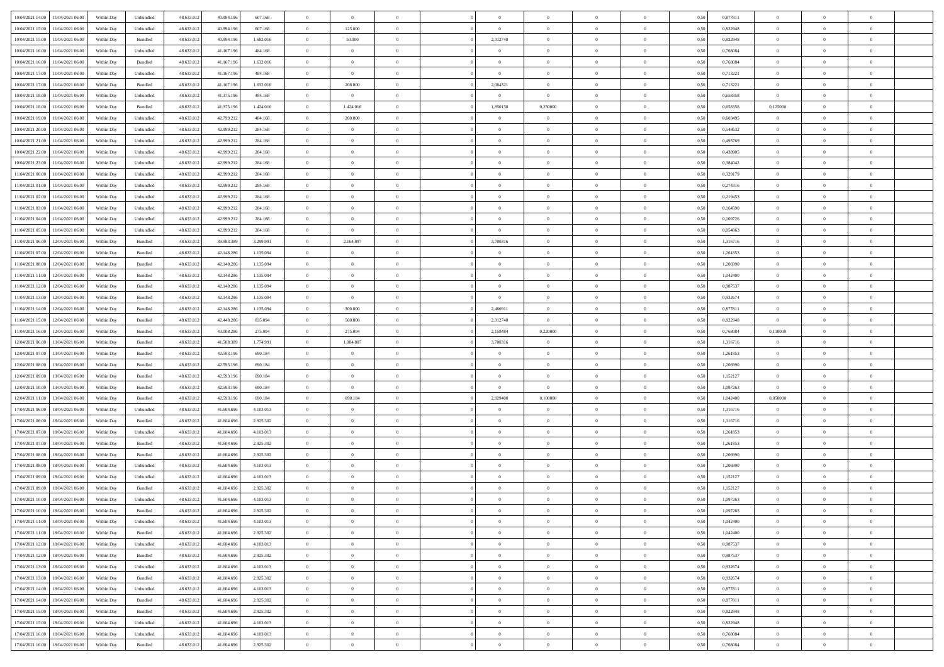| 10/04/2021 14:00 | 11/04/2021 06:00 | Within Dav | Unbundled          | 48.633.012 | 40.994.196 | 607.168   | $\theta$       | $\Omega$       |                | $\Omega$       | $\Omega$       | $\Omega$       | $\theta$       | 0.50 | 0,877811 | $\theta$       | $\theta$       | $\theta$       |  |
|------------------|------------------|------------|--------------------|------------|------------|-----------|----------------|----------------|----------------|----------------|----------------|----------------|----------------|------|----------|----------------|----------------|----------------|--|
| 10/04/2021 15:00 | 11/04/2021 06:00 | Within Day | Unbundled          | 48.633.012 | 40.994.196 | 607.168   | $\overline{0}$ | 123.000        | $\overline{0}$ | $\overline{0}$ | $\bf{0}$       | $\overline{0}$ | $\overline{0}$ | 0,50 | 0,822948 | $\theta$       | $\theta$       | $\overline{0}$ |  |
|                  |                  |            |                    |            |            |           |                |                |                |                |                |                |                |      |          |                |                |                |  |
| 10/04/2021 15:00 | 11/04/2021 06:00 | Within Day | Bundled            | 48.633.012 | 40.994.196 | 1.682.016 | $\overline{0}$ | 50.000         | $\overline{0}$ | 2,312748       | $\bf{0}$       | $\bf{0}$       | $\mathbf{0}$   | 0,50 | 0,822948 | $\overline{0}$ | $\overline{0}$ | $\overline{0}$ |  |
| 10/04/2021 16:00 | 11/04/2021 06:00 | Within Dav | Unbundled          | 48.633.012 | 41.167.196 | 484.168   | $\overline{0}$ | $\overline{0}$ | $\overline{0}$ | $\overline{0}$ | $\bf{0}$       | $\overline{0}$ | $\overline{0}$ | 0.50 | 0.768084 | $\theta$       | $\theta$       | $\overline{0}$ |  |
| 10/04/2021 16:00 | 11/04/2021 06:00 | Within Day | Bundled            | 48.633.012 | 41.167.196 | 1.632.016 | $\overline{0}$ | $\theta$       | $\overline{0}$ | $\overline{0}$ | $\bf{0}$       | $\overline{0}$ | $\bf{0}$       | 0,50 | 0,768084 | $\theta$       | $\overline{0}$ | $\overline{0}$ |  |
| 10/04/2021 17:00 | 11/04/2021 06:00 | Within Day | Unbundled          | 48.633.012 | 41.167.196 | 484.168   | $\overline{0}$ | $\overline{0}$ | $\overline{0}$ | $\bf{0}$       | $\bf{0}$       | $\bf{0}$       | $\mathbf{0}$   | 0,50 | 0,713221 | $\overline{0}$ | $\overline{0}$ | $\bf{0}$       |  |
| 10/04/2021 17:00 | 11/04/2021 06:00 | Within Dav | Bundled            | 48.633.012 | 41.167.196 | 1.632.016 | $\overline{0}$ | 208.000        | $\overline{0}$ | 2,004321       | $\bf{0}$       | $\overline{0}$ | $\overline{0}$ | 0.50 | 0,713221 | $\theta$       | $\overline{0}$ | $\overline{0}$ |  |
| 10/04/2021 18:00 | 11/04/2021 06:00 | Within Day | Unbundled          | 48.633.012 | 41.375.196 | 484.168   | $\overline{0}$ | $\overline{0}$ | $\overline{0}$ | $\overline{0}$ | $\bf{0}$       | $\overline{0}$ | $\bf{0}$       | 0,50 | 0,658358 | $\theta$       | $\theta$       | $\overline{0}$ |  |
| 10/04/2021 18:00 | 11/04/2021 06:00 | Within Day | Bundled            | 48.633.012 | 41.375.196 | 1.424.016 | $\overline{0}$ | 1.424.016      | $\overline{0}$ | 1,850158       | 0,250000       | $\bf{0}$       | $\bf{0}$       | 0,50 | 0,658358 | 0,125000       | $\overline{0}$ | $\overline{0}$ |  |
| 10/04/2021 19:00 | 11/04/2021 06:00 | Within Dav | Unbundled          | 48.633.012 | 42.799.212 | 484.168   | $\overline{0}$ | 200.000        | $\overline{0}$ | $\overline{0}$ | $\overline{0}$ | $\overline{0}$ | $\overline{0}$ | 0.50 | 0,603495 | $\theta$       | $\overline{0}$ | $\overline{0}$ |  |
| 10/04/2021 20:00 | 11/04/2021 06:00 | Within Day | Unbundled          | 48.633.012 | 42.999.212 | 284.168   | $\overline{0}$ | $\theta$       | $\overline{0}$ | $\overline{0}$ | $\bf{0}$       | $\overline{0}$ | $\bf{0}$       | 0,50 | 0,548632 | $\theta$       | $\theta$       | $\overline{0}$ |  |
|                  |                  |            |                    |            |            |           |                |                |                |                |                |                |                |      |          |                |                |                |  |
| 10/04/2021 21:00 | 11/04/2021 06:00 | Within Day | Unbundled          | 48.633.012 | 42.999.212 | 284.168   | $\overline{0}$ | $\overline{0}$ | $\overline{0}$ | $\overline{0}$ | $\bf{0}$       | $\overline{0}$ | $\mathbf{0}$   | 0,50 | 0,493769 | $\overline{0}$ | $\overline{0}$ | $\overline{0}$ |  |
| 10/04/2021 22:00 | 11/04/2021 06:00 | Within Day | Unbundled          | 48.633.012 | 42.999.21  | 284.168   | $\overline{0}$ | $\overline{0}$ | $\overline{0}$ | $\overline{0}$ | $\bf{0}$       | $\overline{0}$ | $\overline{0}$ | 0.50 | 0,438905 | $\theta$       | $\theta$       | $\overline{0}$ |  |
| 10/04/2021 23:00 | 11/04/2021 06:00 | Within Day | Unbundled          | 48.633.012 | 42.999.212 | 284.168   | $\overline{0}$ | $\theta$       | $\overline{0}$ | $\overline{0}$ | $\bf{0}$       | $\overline{0}$ | $\overline{0}$ | 0,50 | 0,384042 | $\theta$       | $\overline{0}$ | $\overline{0}$ |  |
| 11/04/2021 00:00 | 11/04/2021 06:00 | Within Day | Unbundled          | 48.633.012 | 42.999.212 | 284.168   | $\overline{0}$ | $\overline{0}$ | $\overline{0}$ | $\overline{0}$ | $\overline{0}$ | $\overline{0}$ | $\mathbf{0}$   | 0,50 | 0,329179 | $\overline{0}$ | $\overline{0}$ | $\bf{0}$       |  |
| 11/04/2021 01:00 | 11/04/2021 06:00 | Within Dav | Unbundled          | 48.633.012 | 42.999.212 | 284.168   | $\overline{0}$ | $\overline{0}$ | $\overline{0}$ | $\overline{0}$ | $\overline{0}$ | $\overline{0}$ | $\overline{0}$ | 0.50 | 0,274316 | $\theta$       | $\overline{0}$ | $\overline{0}$ |  |
| 11/04/2021 02:00 | 11/04/2021 06:00 | Within Day | Unbundled          | 48.633.012 | 42.999.212 | 284.168   | $\overline{0}$ | $\theta$       | $\overline{0}$ | $\overline{0}$ | $\bf{0}$       | $\overline{0}$ | $\bf{0}$       | 0,50 | 0,219453 | $\theta$       | $\theta$       | $\overline{0}$ |  |
| 11/04/2021 03:00 | 11/04/2021 06:00 | Within Day | Unbundled          | 48.633.012 | 42.999.212 | 284.168   | $\overline{0}$ | $\overline{0}$ | $\overline{0}$ | $\bf{0}$       | $\bf{0}$       | $\overline{0}$ | $\mathbf{0}$   | 0,50 | 0,164590 | $\,0\,$        | $\overline{0}$ | $\overline{0}$ |  |
| 11/04/2021 04:00 | 11/04/2021 06:00 | Within Day | Unbundled          | 48.633.012 | 42.999.21  | 284.168   | $\overline{0}$ | $\overline{0}$ | $\overline{0}$ | $\overline{0}$ | $\overline{0}$ | $\overline{0}$ | $\overline{0}$ | 0.50 | 0,109726 | $\theta$       | $\overline{0}$ | $\overline{0}$ |  |
| 11/04/2021 05:00 | 11/04/2021 06:00 | Within Day | Unbundled          | 48.633.012 | 42.999.212 | 284.168   | $\overline{0}$ | $\overline{0}$ | $\overline{0}$ | $\overline{0}$ | $\bf{0}$       | $\overline{0}$ | $\bf{0}$       | 0,50 | 0,054863 | $\,$ 0 $\,$    | $\theta$       | $\overline{0}$ |  |
| 11/04/2021 06:00 | 12/04/2021 06:00 | Within Day | Bundled            | 48.633.012 | 39.983.389 | 3.299.991 | $\overline{0}$ | 2.164.897      | $\overline{0}$ | 3,700316       | $\bf{0}$       | $\overline{0}$ | $\bf{0}$       | 0,50 | 1,316716 | $\bf{0}$       | $\overline{0}$ | $\overline{0}$ |  |
| 11/04/2021 07:00 | 12/04/2021 06:00 | Within Dav | Bundled            | 48.633.012 | 42.148.286 | 1.135.094 | $\overline{0}$ | $\overline{0}$ | $\overline{0}$ | $\overline{0}$ | $\bf{0}$       | $\overline{0}$ | $\overline{0}$ | 0.50 | 1,261853 | $\theta$       | $\theta$       | $\overline{0}$ |  |
|                  |                  |            |                    |            |            |           |                |                |                |                |                |                |                |      |          |                |                |                |  |
| 11/04/2021 08:00 | 12/04/2021 06:00 | Within Day | Bundled            | 48.633.012 | 42.148.286 | 1.135.094 | $\overline{0}$ | $\theta$       | $\overline{0}$ | $\overline{0}$ | $\bf{0}$       | $\overline{0}$ | $\bf{0}$       | 0,50 | 1,206990 | $\theta$       | $\overline{0}$ | $\overline{0}$ |  |
| 11/04/2021 11:00 | 12/04/2021 06:00 | Within Day | Bundled            | 48.633.012 | 42.148.286 | 1.135.094 | $\overline{0}$ | $\overline{0}$ | $\overline{0}$ | $\overline{0}$ | $\bf{0}$       | $\overline{0}$ | $\mathbf{0}$   | 0,50 | 1,042400 | $\overline{0}$ | $\overline{0}$ | $\bf{0}$       |  |
| 11/04/2021 12:00 | 12/04/2021 06:00 | Within Dav | Bundled            | 48.633.012 | 42.148.286 | 1.135.094 | $\overline{0}$ | $\overline{0}$ | $\overline{0}$ | $\overline{0}$ | $\overline{0}$ | $\overline{0}$ | $\overline{0}$ | 0.50 | 0,987537 | $\theta$       | $\overline{0}$ | $\overline{0}$ |  |
| 11/04/2021 13:00 | 12/04/2021 06:00 | Within Day | Bundled            | 48.633.012 | 42.148.286 | 1.135.094 | $\overline{0}$ | $\overline{0}$ | $\overline{0}$ | $\overline{0}$ | $\bf{0}$       | $\overline{0}$ | $\bf{0}$       | 0,50 | 0,932674 | $\theta$       | $\theta$       | $\overline{0}$ |  |
| 11/04/2021 14:00 | 12/04/2021 06:00 | Within Day | Bundled            | 48.633.012 | 42.148.286 | 1.135.094 | $\overline{0}$ | 300.000        | $\overline{0}$ | 2,466911       | $\bf{0}$       | $\overline{0}$ | $\bf{0}$       | 0,50 | 0,877811 | $\,0\,$        | $\overline{0}$ | $\overline{0}$ |  |
| 11/04/2021 15:00 | 12/04/2021 06:00 | Within Day | Bundled            | 48.633.012 | 42.448.286 | 835,094   | $\overline{0}$ | 560,000        | $\overline{0}$ | 2,312748       | $\overline{0}$ | $\overline{0}$ | $\overline{0}$ | 0.50 | 0,822948 | $\overline{0}$ | $\overline{0}$ | $\overline{0}$ |  |
| 11/04/2021 16:00 | 12/04/2021 06:00 | Within Day | Bundled            | 48.633.012 | 43.008.286 | 275.094   | $\overline{0}$ | 275.094        | $\overline{0}$ | 2,158484       | 0,220000       | $\overline{0}$ | $\bf{0}$       | 0,50 | 0,768084 | 0,110000       | $\overline{0}$ | $\overline{0}$ |  |
| 12/04/2021 06:00 | 13/04/2021 06:00 | Within Day | Bundled            | 48.633.012 | 41.508.389 | 1.774.991 | $\overline{0}$ | 1.084.807      | $\overline{0}$ | 3,700316       | $\overline{0}$ | $\bf{0}$       | $\bf{0}$       | 0,50 | 1,316716 | $\overline{0}$ | $\overline{0}$ | $\overline{0}$ |  |
| 12/04/2021 07:00 | 13/04/2021 06:00 | Within Day | Bundled            | 48.633.012 | 42.593.196 | 690.184   | $\overline{0}$ | $\theta$       | $\Omega$       | $\Omega$       | $\Omega$       | $\overline{0}$ | $\overline{0}$ | 0.50 | 1,261853 | $\,0\,$        | $\theta$       | $\theta$       |  |
| 12/04/2021 08:00 | 13/04/2021 06:00 | Within Day | Bundled            | 48.633.012 | 42.593.196 | 690.184   | $\overline{0}$ | $\theta$       | $\overline{0}$ | $\overline{0}$ | $\bf{0}$       | $\overline{0}$ | $\bf{0}$       | 0,50 | 1,206990 | $\,$ 0 $\,$    | $\theta$       | $\overline{0}$ |  |
|                  |                  |            |                    |            |            |           |                |                |                |                |                |                |                |      |          |                |                |                |  |
| 12/04/2021 09:00 | 13/04/2021 06:00 | Within Day | Bundled            | 48.633.012 | 42.593.196 | 690.184   | $\overline{0}$ | $\overline{0}$ | $\overline{0}$ | $\bf{0}$       | $\bf{0}$       | $\overline{0}$ | $\mathbf{0}$   | 0,50 | 1,152127 | $\overline{0}$ | $\overline{0}$ | $\bf{0}$       |  |
| 12/04/2021 10:00 | 13/04/2021 06:00 | Within Day | Bundled            | 48.633.013 | 42.593.196 | 690.184   | $\overline{0}$ | $\overline{0}$ | $\Omega$       | $\Omega$       | $\overline{0}$ | $\overline{0}$ | $\overline{0}$ | 0.50 | 1,097263 | $\bf{0}$       | $\theta$       | $\theta$       |  |
| 12/04/2021 11:00 | 13/04/2021 06:00 | Within Day | Bundled            | 48.633.012 | 42.593.196 | 690.184   | $\overline{0}$ | 690.184        | $\overline{0}$ | 2,929400       | 0,100000       | $\overline{0}$ | $\bf{0}$       | 0,50 | 1,042400 | 0,050000       | $\theta$       | $\overline{0}$ |  |
| 17/04/2021 06:00 | 18/04/2021 06:00 | Within Day | Unbundled          | 48.633.012 | 41.604.696 | 4.103.013 | $\overline{0}$ | $\overline{0}$ | $\overline{0}$ | $\bf{0}$       | $\overline{0}$ | $\bf{0}$       | $\bf{0}$       | 0,50 | 1,316716 | $\,0\,$        | $\overline{0}$ | $\overline{0}$ |  |
| 17/04/2021 06:00 | 18/04/2021 06:00 | Within Day | Bundled            | 48.633.013 | 41.604.696 | 2.925.302 | $\overline{0}$ | $\Omega$       | $\Omega$       | $\Omega$       | $\Omega$       | $\theta$       | $\overline{0}$ | 0.50 | 1,316716 | $\,$ 0 $\,$    | $\theta$       | $\theta$       |  |
| 17/04/2021 07:00 | 18/04/2021 06:00 | Within Day | Unbundled          | 48.633.012 | 41.604.696 | 4.103.013 | $\overline{0}$ | $\theta$       | $\overline{0}$ | $\overline{0}$ | $\bf{0}$       | $\overline{0}$ | $\bf{0}$       | 0,50 | 1,261853 | $\,$ 0 $\,$    | $\theta$       | $\overline{0}$ |  |
| 17/04/2021 07:00 | 18/04/2021 06:00 | Within Day | Bundled            | 48.633.012 | 41.604.696 | 2.925.302 | $\overline{0}$ | $\overline{0}$ | $\overline{0}$ | $\bf{0}$       | $\bf{0}$       | $\bf{0}$       | $\bf{0}$       | 0,50 | 1,261853 | $\overline{0}$ | $\overline{0}$ | $\overline{0}$ |  |
| 17/04/2021 08:00 | 18/04/2021 06:00 | Within Day | Bundled            | 48.633.012 | 41.604.696 | 2.925.302 | $\overline{0}$ | $\Omega$       | $\overline{0}$ | $\Omega$       | $\bf{0}$       | $\overline{0}$ | $\overline{0}$ | 0.50 | 1,206990 | $\,0\,$        | $\theta$       | $\theta$       |  |
| 17/04/2021 08:00 | 18/04/2021 06:00 | Within Day | Unbundled          | 48.633.012 | 41.604.696 | 4.103.013 | $\overline{0}$ | $\theta$       | $\overline{0}$ | $\overline{0}$ | $\bf{0}$       | $\overline{0}$ | $\bf{0}$       | 0,50 | 1,206990 | $\,$ 0 $\,$    | $\overline{0}$ | $\overline{0}$ |  |
| 17/04/2021 09:00 | 18/04/2021 06:00 | Within Day | Unbundled          | 48.633.012 | 41.604.696 | 4.103.013 | $\overline{0}$ | $\overline{0}$ | $\overline{0}$ | $\overline{0}$ | $\bf{0}$       | $\bf{0}$       | $\mathbf{0}$   | 0,50 | 1,152127 | $\overline{0}$ | $\overline{0}$ | $\bf{0}$       |  |
| 17/04/2021 09:00 | 18/04/2021 06:00 | Within Day | Bundled            | 48.633.01  | 41.604.696 | 2.925.302 | $\overline{0}$ | $\Omega$       | $\Omega$       | $\Omega$       | $\Omega$       | $\Omega$       | $\overline{0}$ | 0.50 | 1,152127 | $\theta$       | $\theta$       | $\theta$       |  |
| 17/04/2021 10:00 | 18/04/2021 06:00 | Within Day | Unbundled          | 48.633.012 | 41.604.696 | 4.103.013 | $\overline{0}$ | $\,$ 0 $\,$    | $\overline{0}$ | $\overline{0}$ | $\,$ 0         | $\overline{0}$ | $\bf{0}$       | 0,50 | 1,097263 | $\,0\,$        | $\,$ 0 $\,$    | $\overline{0}$ |  |
|                  |                  |            |                    |            |            |           |                |                |                |                |                |                |                |      |          |                |                |                |  |
| 17/04/2021 10:00 | 18/04/2021 06:00 | Within Day | $\mathbf B$ undled | 48.633.012 | 41.604.696 | 2.925.302 | $\bf{0}$       |                |                |                |                |                |                | 0,50 | 1,097263 | $\bf{0}$       | $\overline{0}$ |                |  |
| 17/04/2021 11:00 | 18/04/2021 06:00 | Within Day | Unbundled          | 48.633.013 | 41,604,696 | 4.103.013 | $\overline{0}$ | $\Omega$       | $\Omega$       | $\Omega$       | $\theta$       | $\overline{0}$ | $\overline{0}$ | 0.50 | 1.042400 | $\theta$       | $\theta$       | $\theta$       |  |
| 17/04/2021 11:00 | 18/04/2021 06:00 | Within Day | Bundled            | 48.633.012 | 41.604.696 | 2.925.302 | $\overline{0}$ | $\,$ 0         | $\overline{0}$ | $\bf{0}$       | $\,$ 0 $\,$    | $\overline{0}$ | $\mathbf{0}$   | 0,50 | 1,042400 | $\,$ 0 $\,$    | $\,$ 0 $\,$    | $\bf{0}$       |  |
| 17/04/2021 12:00 | 18/04/2021 06:00 | Within Day | Unbundled          | 48.633.012 | 41.604.696 | 4.103.013 | $\overline{0}$ | $\overline{0}$ | $\overline{0}$ | $\overline{0}$ | $\overline{0}$ | $\overline{0}$ | $\mathbf{0}$   | 0,50 | 0,987537 | $\overline{0}$ | $\bf{0}$       | $\bf{0}$       |  |
| 17/04/2021 12:00 | 18/04/2021 06:00 | Within Day | Bundled            | 48.633.012 | 41.604.696 | 2.925.302 | $\overline{0}$ | $\overline{0}$ | $\overline{0}$ | $\Omega$       | $\overline{0}$ | $\overline{0}$ | $\bf{0}$       | 0,50 | 0,987537 | $\bf{0}$       | $\theta$       | $\overline{0}$ |  |
| 17/04/2021 13:00 | 18/04/2021 06:00 | Within Day | Unbundled          | 48.633.012 | 41.604.696 | 4.103.013 | $\overline{0}$ | $\overline{0}$ | $\overline{0}$ | $\overline{0}$ | $\,$ 0 $\,$    | $\overline{0}$ | $\mathbf{0}$   | 0,50 | 0,932674 | $\,$ 0 $\,$    | $\overline{0}$ | $\overline{0}$ |  |
| 17/04/2021 13:00 | 18/04/2021 06:00 | Within Day | Bundled            | 48.633.012 | 41.604.696 | 2.925.302 | $\overline{0}$ | $\overline{0}$ | $\overline{0}$ | $\overline{0}$ | $\overline{0}$ | $\overline{0}$ | $\mathbf{0}$   | 0,50 | 0,932674 | $\overline{0}$ | $\overline{0}$ | $\bf{0}$       |  |
| 17/04/2021 14:00 | 18/04/2021 06:00 | Within Day | Unbundled          | 48.633.012 | 41.604.696 | 4.103.013 | $\overline{0}$ | $\overline{0}$ | $\overline{0}$ | $\Omega$       | $\overline{0}$ | $\overline{0}$ | $\bf{0}$       | 0.50 | 0,877811 | $\overline{0}$ | $\theta$       | $\overline{0}$ |  |
| 17/04/2021 14:00 | 18/04/2021 06:00 | Within Day | Bundled            | 48.633.012 | 41.604.696 | 2.925.302 | $\overline{0}$ | $\overline{0}$ | $\overline{0}$ | $\overline{0}$ | $\bf{0}$       | $\bf{0}$       | $\bf{0}$       | 0,50 | 0,877811 | $\,$ 0 $\,$    | $\overline{0}$ | $\overline{0}$ |  |
|                  |                  |            |                    |            |            |           |                |                |                |                |                |                |                |      |          |                |                |                |  |
| 17/04/2021 15:00 | 18/04/2021 06:00 | Within Day | Bundled            | 48.633.012 | 41.604.696 | 2.925.302 | $\overline{0}$ | $\bf{0}$       | $\overline{0}$ | $\overline{0}$ | $\overline{0}$ | $\bf{0}$       | $\mathbf{0}$   | 0,50 | 0,822948 | $\overline{0}$ | $\overline{0}$ | $\bf{0}$       |  |
| 17/04/2021 15:00 | 18/04/2021 06:00 | Within Day | Unbundled          | 48.633.013 | 41.604.696 | 4.103.013 | $\overline{0}$ | $\overline{0}$ | $\overline{0}$ | $\Omega$       | $\overline{0}$ | $\overline{0}$ | $\overline{0}$ | 0.50 | 0,822948 | $\overline{0}$ | $\theta$       | $\overline{0}$ |  |
| 17/04/2021 16:00 | 18/04/2021 06:00 | Within Day | Unbundled          | 48.633.012 | 41.604.696 | 4.103.013 | $\overline{0}$ | $\bf{0}$       | $\overline{0}$ | $\overline{0}$ | $\bf{0}$       | $\overline{0}$ | $\mathbf{0}$   | 0,50 | 0,768084 | $\,$ 0 $\,$    | $\,$ 0 $\,$    | $\bf{0}$       |  |
| 17/04/2021 16:00 | 18/04/2021 06:00 | Within Day | Bundled            | 48.633.012 | 41.604.696 | 2.925.302 | $\overline{0}$ | $\overline{0}$ | $\overline{0}$ | $\overline{0}$ | $\bf{0}$       | $\overline{0}$ | $\mathbf{0}$   | 0,50 | 0,768084 | $\overline{0}$ | $\bf{0}$       | $\bf{0}$       |  |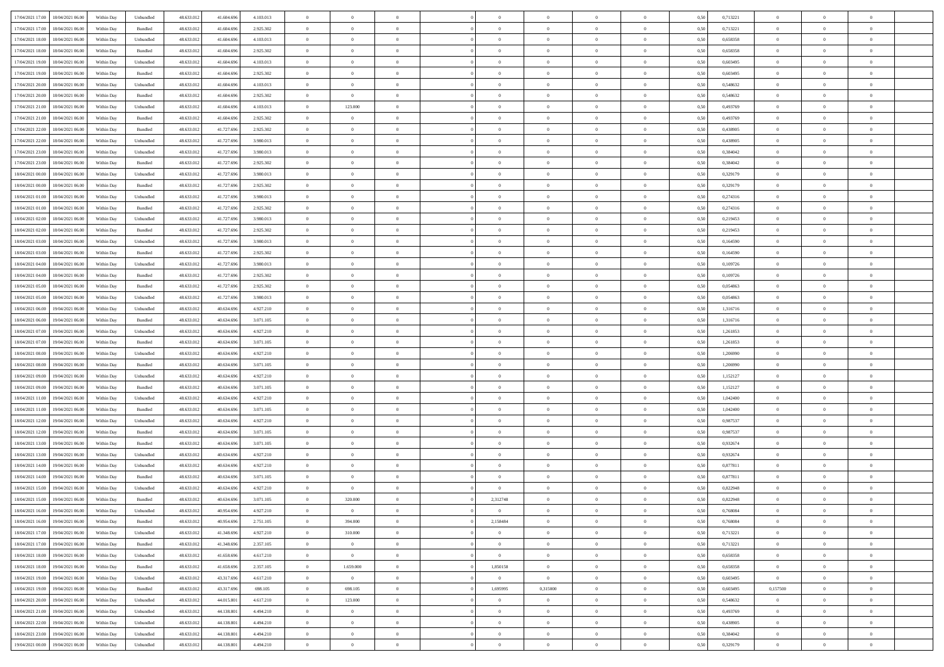|                                              |            |                             |            |            |           | $\overline{0}$ | $\overline{0}$ |                | $\overline{0}$ | $\theta$       |                | $\theta$       |      |          | $\theta$       | $\theta$       | $\overline{0}$ |  |
|----------------------------------------------|------------|-----------------------------|------------|------------|-----------|----------------|----------------|----------------|----------------|----------------|----------------|----------------|------|----------|----------------|----------------|----------------|--|
| 17/04/2021 17:00 18/04/2021 06:00            | Within Day | Unbundled                   | 48.633.01  | 41.604.696 | 4.103.013 |                |                |                |                |                |                |                | 0,50 | 0,713221 |                |                |                |  |
| 17/04/2021 17:00<br>18/04/2021 06:00         | Within Day | Bundled                     | 48.633.01  | 41.604.69  | 2.925.302 | $\bf{0}$       | $\bf{0}$       | $\bf{0}$       | $\bf{0}$       | $\overline{0}$ | $\overline{0}$ | $\bf{0}$       | 0,50 | 0,713221 | $\,$ 0 $\,$    | $\bf{0}$       | $\overline{0}$ |  |
| 17/04/2021 18:00<br>18/04/2021 06:00         | Within Day | Unbundled                   | 48.633.012 | 41,604,696 | 4.103.013 | $\overline{0}$ | $\bf{0}$       | $\overline{0}$ | $\bf{0}$       | $\bf{0}$       | $\overline{0}$ | $\bf{0}$       | 0.50 | 0.658358 | $\bf{0}$       | $\overline{0}$ | $\overline{0}$ |  |
| 17/04/2021 18:00<br>18/04/2021 06:00         | Within Day | Bundled                     | 48.633.013 | 41.604.696 | 2.925.302 | $\overline{0}$ | $\overline{0}$ | $\overline{0}$ | $\theta$       | $\theta$       | $\overline{0}$ | $\bf{0}$       | 0,50 | 0,658358 | $\theta$       | $\theta$       | $\overline{0}$ |  |
| 17/04/2021 19:00<br>18/04/2021 06:00         | Within Day | Unbundled                   | 48.633.01  | 41.604.69  | 4.103.013 | $\bf{0}$       | $\overline{0}$ | $\bf{0}$       | $\overline{0}$ | $\theta$       | $\overline{0}$ | $\bf{0}$       | 0,50 | 0,603495 | $\,$ 0 $\,$    | $\bf{0}$       | $\overline{0}$ |  |
|                                              |            |                             |            |            |           |                |                |                |                |                |                |                |      |          |                |                |                |  |
| 17/04/2021 19:00<br>18/04/2021 06:00         | Within Day | Bundled                     | 48.633.013 | 41.604.69  | 2.925.302 | $\overline{0}$ | $\overline{0}$ | $\overline{0}$ | $\bf{0}$       | $\overline{0}$ | $\theta$       | $\bf{0}$       | 0.50 | 0.603495 | $\,$ 0 $\,$    | $\theta$       | $\overline{0}$ |  |
| 17/04/2021 20:00<br>18/04/2021 06:00         | Within Day | Unbundled                   | 48.633.013 | 41.604.696 | 4.103.013 | $\overline{0}$ | $\overline{0}$ | $\overline{0}$ | $\overline{0}$ | $\overline{0}$ | $\overline{0}$ | $\bf{0}$       | 0,50 | 0,548632 | $\,$ 0 $\,$    | $\theta$       | $\overline{0}$ |  |
| 17/04/2021 20:00<br>18/04/2021 06:00         | Within Day | Bundled                     | 48.633.01  | 41.604.69  | 2.925.302 | $\bf{0}$       | $\bf{0}$       | $\bf{0}$       | $\overline{0}$ | $\overline{0}$ | $\overline{0}$ | $\bf{0}$       | 0,50 | 0,548632 | $\,$ 0 $\,$    | $\bf{0}$       | $\overline{0}$ |  |
| 17/04/2021 21:00<br>18/04/2021 06:00         | Within Day | Unbundled                   | 48.633.013 | 41.604.69  | 4.103.013 | $\overline{0}$ | 123.000        | $\overline{0}$ | $\bf{0}$       | $\overline{0}$ | $\overline{0}$ | $\bf{0}$       | 0.50 | 0.493769 | $\bf{0}$       | $\overline{0}$ | $\overline{0}$ |  |
| 17/04/2021 21:00<br>18/04/2021 06:00         | Within Day | Bundled                     | 48.633.013 | 41.604.696 | 2.925.302 | $\bf{0}$       | $\overline{0}$ | $\overline{0}$ | $\overline{0}$ | $\overline{0}$ | $\overline{0}$ | $\bf{0}$       | 0,50 | 0,493769 | $\,$ 0 $\,$    | $\bf{0}$       | $\overline{0}$ |  |
| 17/04/2021 22.00<br>18/04/2021 06:00         | Within Day | Bundled                     | 48.633.01  | 41.727.69  | 2.925.302 | $\bf{0}$       | $\overline{0}$ | $\bf{0}$       | $\bf{0}$       | $\overline{0}$ | $\overline{0}$ | $\bf{0}$       | 0,50 | 0,438905 | $\,$ 0 $\,$    | $\bf{0}$       | $\overline{0}$ |  |
| 17/04/2021 22:00<br>18/04/2021 06:00         | Within Day | Unbundled                   | 48.633.013 | 41.727.69  | 3.980.013 | $\overline{0}$ | $\bf{0}$       | $\overline{0}$ | $\overline{0}$ | $\bf{0}$       | $\overline{0}$ | $\bf{0}$       | 0.50 | 0.438905 | $\bf{0}$       | $\overline{0}$ | $\,$ 0         |  |
|                                              |            |                             |            |            |           | $\overline{0}$ | $\overline{0}$ | $\overline{0}$ | $\theta$       | $\theta$       | $\overline{0}$ |                |      |          | $\,$ 0 $\,$    | $\theta$       |                |  |
| 17/04/2021 23:00<br>18/04/2021 06:00         | Within Day | Unbundled                   | 48.633.01  | 41.727.696 | 3.980.013 |                |                |                |                |                |                | $\bf{0}$       | 0,50 | 0,384042 |                |                | $\overline{0}$ |  |
| 17/04/2021 23:00<br>18/04/2021 06:00         | Within Day | Bundled                     | 48.633.01  | 41.727.69  | 2.925.302 | $\bf{0}$       | $\overline{0}$ | $\bf{0}$       | $\overline{0}$ | $\bf{0}$       | $\overline{0}$ | $\bf{0}$       | 0,50 | 0,384042 | $\,$ 0 $\,$    | $\bf{0}$       | $\overline{0}$ |  |
| 18/04/2021 00:00<br>18/04/2021 06:00         | Within Day | Unbundled                   | 48.633.013 | 41.727.69  | 3.980.013 | $\overline{0}$ | $\bf{0}$       | $\overline{0}$ | $\bf{0}$       | $\overline{0}$ | $\theta$       | $\bf{0}$       | 0.50 | 0,329179 | $\,$ 0 $\,$    | $\theta$       | $\overline{0}$ |  |
| 18/04/2021 00:00<br>18/04/2021 06:00         | Within Day | Bundled                     | 48.633.013 | 41.727.696 | 2.925.302 | $\overline{0}$ | $\overline{0}$ | $\overline{0}$ | $\overline{0}$ | $\overline{0}$ | $\overline{0}$ | $\bf{0}$       | 0,50 | 0,329179 | $\theta$       | $\theta$       | $\overline{0}$ |  |
| 18/04/2021 01:00<br>18/04/2021 06:00         | Within Day | Unbundled                   | 48.633.01  | 41.727.69  | 3.980.013 | $\bf{0}$       | $\bf{0}$       | $\bf{0}$       | $\overline{0}$ | $\bf{0}$       | $\overline{0}$ | $\bf{0}$       | 0,50 | 0,274316 | $\,$ 0 $\,$    | $\bf{0}$       | $\overline{0}$ |  |
| 18/04/2021 01:00<br>18/04/2021 06:00         | Within Day | Bundled                     | 48.633.013 | 41.727.69  | 2.925.302 | $\overline{0}$ | $\bf{0}$       | $\overline{0}$ | $\bf{0}$       | $\overline{0}$ | $\overline{0}$ | $\bf{0}$       | 0.50 | 0,274316 | $\bf{0}$       | $\overline{0}$ | $\overline{0}$ |  |
| 18/04/2021 02:00<br>18/04/2021 06:00         | Within Day | Unbundled                   | 48.633.013 | 41.727.696 | 3.980.013 | $\overline{0}$ | $\bf{0}$       | $\overline{0}$ | $\overline{0}$ | $\overline{0}$ | $\overline{0}$ | $\bf{0}$       | 0,50 | 0,219453 | $\,$ 0 $\,$    | $\bf{0}$       | $\overline{0}$ |  |
| 18/04/2021 02:00<br>18/04/2021 06:00         | Within Day | Bundled                     | 48.633.01  | 41.727.69  | 2.925.302 | $\bf{0}$       | $\bf{0}$       | $\bf{0}$       | $\bf{0}$       | $\overline{0}$ | $\overline{0}$ | $\bf{0}$       | 0,50 | 0,219453 | $\,$ 0 $\,$    | $\bf{0}$       | $\overline{0}$ |  |
| 18/04/2021 06:00                             |            |                             |            |            | 3.980.013 |                |                | $\overline{0}$ |                |                | $\overline{0}$ |                | 0.50 | 0.164590 |                |                | $\,$ 0         |  |
| 18/04/2021 03:00                             | Within Day | Unbundled                   | 48.633.012 | 41.727.696 |           | $\overline{0}$ | $\bf{0}$       |                | $\overline{0}$ | $\bf{0}$       |                | $\bf{0}$       |      |          | $\bf{0}$       | $\overline{0}$ |                |  |
| 18/04/2021 03:00<br>18/04/2021 06:00         | Within Day | Bundled                     | 48.633.01  | 41.727.696 | 2.925.302 | $\overline{0}$ | $\overline{0}$ | $\overline{0}$ | $\theta$       | $\theta$       | $\overline{0}$ | $\bf{0}$       | 0,50 | 0,164590 | $\theta$       | $\theta$       | $\overline{0}$ |  |
| 18/04/2021 04:00<br>18/04/2021 06:00         | Within Day | Unbundled                   | 48.633.01  | 41.727.69  | 3.980.013 | $\bf{0}$       | $\bf{0}$       | $\bf{0}$       | $\bf{0}$       | $\overline{0}$ | $\overline{0}$ | $\bf{0}$       | 0,50 | 0,109726 | $\,$ 0 $\,$    | $\bf{0}$       | $\overline{0}$ |  |
| 18/04/2021 04:00<br>18/04/2021 06:00         | Within Day | Bundled                     | 48.633.013 | 41.727.69  | 2.925.302 | $\overline{0}$ | $\bf{0}$       | $\overline{0}$ | $\bf{0}$       | $\overline{0}$ | $\theta$       | $\bf{0}$       | 0.50 | 0.109726 | $\bf{0}$       | $\theta$       | $\overline{0}$ |  |
| 18/04/2021 05:00<br>18/04/2021 06:00         | Within Day | Bundled                     | 48.633.013 | 41.727.696 | 2.925.302 | $\overline{0}$ | $\overline{0}$ | $\overline{0}$ | $\overline{0}$ | $\overline{0}$ | $\overline{0}$ | $\bf{0}$       | 0,50 | 0,054863 | $\,$ 0 $\,$    | $\theta$       | $\overline{0}$ |  |
| 18/04/2021 05:00<br>18/04/2021 06:00         | Within Day | Unbundled                   | 48.633.01  | 41.727.69  | 3.980.013 | $\bf{0}$       | $\overline{0}$ | $\bf{0}$       | $\overline{0}$ | $\bf{0}$       | $\overline{0}$ | $\bf{0}$       | 0,50 | 0,054863 | $\,$ 0 $\,$    | $\bf{0}$       | $\overline{0}$ |  |
| 18/04/2021 06:00<br>19/04/2021 06:00         | Within Day | Unbundled                   | 48.633.013 | 40.634.696 | 4.927.210 | $\overline{0}$ | $\bf{0}$       | $\overline{0}$ | $\bf{0}$       | $\overline{0}$ | $\overline{0}$ | $\bf{0}$       | 0.50 | 1.316716 | $\bf{0}$       | $\overline{0}$ | $\overline{0}$ |  |
| 18/04/2021 06:00<br>19/04/2021 06:00         | Within Day | Bundled                     | 48.633.01  | 40.634.696 | 3.071.105 | $\overline{0}$ | $\bf{0}$       | $\overline{0}$ | $\overline{0}$ | $\overline{0}$ | $\overline{0}$ | $\bf{0}$       | 0,50 | 1,316716 | $\theta$       | $\theta$       | $\overline{0}$ |  |
| 18/04/2021 07:00<br>19/04/2021 06:00         | Within Day | Unbundled                   | 48.633.01  | 40.634.69  | 4.927.210 | $\bf{0}$       | $\bf{0}$       | $\bf{0}$       | $\bf{0}$       | $\overline{0}$ | $\overline{0}$ | $\bf{0}$       | 0,50 | 1,261853 | $\,$ 0 $\,$    | $\bf{0}$       | $\overline{0}$ |  |
| 18/04/2021 07:00<br>19/04/2021 06:00         | Within Day | Bundled                     | 48.633.013 | 40.634.696 | 3.071.105 | $\overline{0}$ | $\bf{0}$       | $\overline{0}$ | $\overline{0}$ | $\bf{0}$       | $\overline{0}$ | $\bf{0}$       | 0.50 | 1.261853 | $\bf{0}$       | $\overline{0}$ | $\,$ 0         |  |
|                                              |            |                             |            |            |           |                |                |                |                |                |                |                |      |          |                |                |                |  |
| 18/04/2021 08:00<br>19/04/2021 06:00         | Within Day | Unbundled                   | 48.633.013 | 40.634.696 | 4.927.210 | $\overline{0}$ | $\overline{0}$ | $\overline{0}$ | $\overline{0}$ | $\overline{0}$ | $\overline{0}$ | $\bf{0}$       | 0.50 | 1.206990 | $\theta$       | $\theta$       | $\overline{0}$ |  |
| 18/04/2021 08:00<br>19/04/2021 06:00         | Within Day | Bundled                     | 48.633.01  | 40.634.69  | 3.071.105 | $\bf{0}$       | $\bf{0}$       | $\bf{0}$       | $\bf{0}$       | $\overline{0}$ | $\overline{0}$ | $\bf{0}$       | 0,50 | 1,206990 | $\,$ 0 $\,$    | $\bf{0}$       | $\overline{0}$ |  |
| 18/04/2021 09:00<br>19/04/2021 06:00         | Within Day | Unbundled                   | 48.633.013 | 40.634.696 | 4.927.210 | $\overline{0}$ | $\bf{0}$       | $\overline{0}$ | $\bf{0}$       | $\overline{0}$ | $\overline{0}$ | $\bf{0}$       | 0.50 | 1,152127 | $\,$ 0 $\,$    | $\bf{0}$       | $\overline{0}$ |  |
| 18/04/2021 09:00<br>19/04/2021 06:00         | Within Dav | Bundled                     | 48.633.013 | 40.634.696 | 3.071.105 | $\overline{0}$ | $\overline{0}$ | $\overline{0}$ | $\overline{0}$ | $\theta$       | $\overline{0}$ | $\bf{0}$       | 0.50 | 1,152127 | $\theta$       | $\theta$       | $\overline{0}$ |  |
| 18/04/2021 11:00<br>19/04/2021 06:00         | Within Day | Unbundled                   | 48.633.01  | 40.634.69  | 4.927.210 | $\bf{0}$       | $\bf{0}$       | $\bf{0}$       | $\bf{0}$       | $\overline{0}$ | $\overline{0}$ | $\bf{0}$       | 0,50 | 1,042400 | $\,$ 0 $\,$    | $\bf{0}$       | $\overline{0}$ |  |
| 18/04/2021 11:00<br>19/04/2021 06:00         | Within Day | Bundled                     | 48.633.013 | 40.634.696 | 3.071.105 | $\overline{0}$ | $\bf{0}$       | $\overline{0}$ | $\bf{0}$       | $\overline{0}$ | $\overline{0}$ | $\bf{0}$       | 0.50 | 1.042400 | $\bf{0}$       | $\overline{0}$ | $\overline{0}$ |  |
| 18/04/2021 12:00<br>19/04/2021 06:00         | Within Dav | Unbundled                   | 48.633.013 | 40.634.696 | 4.927.210 | $\overline{0}$ | $\overline{0}$ | $\overline{0}$ | $\overline{0}$ | $\overline{0}$ | $\overline{0}$ | $\bf{0}$       | 0.50 | 0,987537 | $\theta$       | $\theta$       | $\overline{0}$ |  |
| 18/04/2021 12:00<br>19/04/2021 06:00         | Within Day | Bundled                     | 48.633.01  | 40.634.69  | 3.071.105 | $\bf{0}$       | $\bf{0}$       | $\bf{0}$       | $\bf{0}$       | $\overline{0}$ | $\overline{0}$ | $\bf{0}$       | 0,50 | 0,987537 | $\,$ 0 $\,$    | $\bf{0}$       | $\overline{0}$ |  |
| 19/04/2021 06:00                             |            | Bundled                     | 48.633.013 | 40.634.696 | 3.071.105 |                |                | $\overline{0}$ |                |                | $\overline{0}$ |                | 0.50 | 0.932674 |                |                | $\overline{0}$ |  |
| 18/04/2021 13:00                             | Within Day |                             |            |            |           | $\overline{0}$ | $\bf{0}$       |                | $\overline{0}$ | $\bf{0}$       |                | $\bf{0}$       |      |          | $\bf{0}$       | $\overline{0}$ |                |  |
| 18/04/2021 13:00<br>19/04/2021 06:00         | Within Dav | Unbundled                   | 48.633.013 | 40.634.696 | 4.927.210 | $\overline{0}$ | $\overline{0}$ | $\overline{0}$ | $\overline{0}$ | $\overline{0}$ | $\overline{0}$ | $\bf{0}$       | 0.50 | 0,932674 | $\theta$       | $\theta$       | $\overline{0}$ |  |
| 18/04/2021 14:00<br>19/04/2021 06:00         | Within Day | Unbundled                   | 48.633.013 | 40.634.69  | 4.927.210 | $\bf{0}$       | $\bf{0}$       | $\bf{0}$       | $\bf{0}$       | $\overline{0}$ | $\overline{0}$ | $\bf{0}$       | 0,50 | 0,877811 | $\,$ 0 $\,$    | $\bf{0}$       | $\overline{0}$ |  |
| 18/04/2021 14:00<br>19/04/2021 06:00         | Within Day | Bundled                     | 48.633.013 | 40.634.69  | 3.071.105 | $\overline{0}$ | $\overline{0}$ | $\overline{0}$ | $\overline{0}$ | $\theta$       | $\Omega$       | $\bf{0}$       | 0.50 | 0.877811 | $\bf{0}$       | $\theta$       | $\overline{0}$ |  |
| 18/04/2021 15:00<br>19/04/2021 06:00         | Within Dav | Unbundled                   | 48.633.013 | 40.634.69  | 4.927.210 | $\overline{0}$ | $\overline{0}$ | $\overline{0}$ | $\overline{0}$ | $\theta$       | $\overline{0}$ | $\overline{0}$ | 0.5( | 0,822948 | $\theta$       | $\theta$       | $\overline{0}$ |  |
| 18/04/2021 15:00<br>19/04/2021 06:00         | Within Day | Bundled                     | 48.633.01  | 40.634.69  | 3.071.105 | $\bf{0}$       | 320.000        | $\bf{0}$       | 2,312748       | $\bf{0}$       | $\overline{0}$ | $\bf{0}$       | 0,50 | 0,822948 | $\,$ 0 $\,$    | $\bf{0}$       | $\overline{0}$ |  |
| $18/04/2021\ 16.00 \qquad 19/04/2021\ 06.00$ | Within Day | $\ensuremath{\mathsf{Unb}}$ | 48.633.012 | 40.954.696 | 4.927.210 | $\bf{0}$       | $\theta$       |                | $\Omega$       | $\theta$       |                |                | 0,50 | 0.768084 | $\theta$       | $\overline{0}$ |                |  |
| 18/04/2021 16:00 19/04/2021 06:00            | Within Day | Bundled                     | 48.633.012 | 40.954.696 | 2.751.105 | $\overline{0}$ | 394.000        | $\overline{0}$ | 2,158484       | $\overline{0}$ | $\overline{0}$ | $\bf{0}$       | 0,50 | 0,768084 | $\theta$       | $\theta$       | $\overline{0}$ |  |
| 18/04/2021 17:00<br>19/04/2021 06:00         | Within Day | Unbundled                   | 48.633.013 | 41.348.69  | 4.927.210 | $\overline{0}$ | 310.000        | $\overline{0}$ | $\overline{0}$ | $\bf{0}$       | $\overline{0}$ | $\bf{0}$       | 0,50 | 0,713221 | $\bf{0}$       | $\overline{0}$ | $\bf{0}$       |  |
| 18/04/2021 17:00 19/04/2021 06:00            |            |                             |            | 41.348.696 |           |                |                |                |                |                | $\overline{0}$ |                | 0.50 |          | $\overline{0}$ |                |                |  |
|                                              | Within Day | Bundled                     | 48.633.012 |            | 2.357.105 | $\overline{0}$ | $\overline{0}$ | $\overline{0}$ | $\overline{0}$ | $\mathbf{0}$   |                | $\,$ 0 $\,$    |      | 0,713221 |                | $\bf{0}$       | $\,$ 0 $\,$    |  |
| 18/04/2021 18:00 19/04/2021 06:00            | Within Dav | Unbundled                   | 48.633.012 | 41.658.696 | 4.617.210 | $\overline{0}$ | $\overline{0}$ | $\overline{0}$ | $\overline{0}$ | $\overline{0}$ | $\overline{0}$ | $\bf{0}$       | 0.50 | 0,658358 | $\overline{0}$ | $\theta$       | $\overline{0}$ |  |
| 18/04/2021 18:00<br>19/04/2021 06:00         | Within Day | Bundled                     | 48.633.012 | 41.658.696 | 2.357.105 | $\overline{0}$ | 1.659.000      | $\overline{0}$ | 1,850158       | $\bf{0}$       | $\bf{0}$       | $\bf{0}$       | 0,50 | 0,658358 | $\bf{0}$       | $\overline{0}$ | $\overline{0}$ |  |
| 18/04/2021 19:00<br>19/04/2021 06:00         | Within Day | Unbundled                   | 48.633.012 | 43.317.696 | 4.617.210 | $\overline{0}$ | $\overline{0}$ | $\overline{0}$ | $\overline{0}$ | $\overline{0}$ | $\overline{0}$ | $\bf{0}$       | 0.50 | 0.603495 | $\overline{0}$ | $\theta$       | $\overline{0}$ |  |
| 18/04/2021 19:00<br>19/04/2021 06:00         | Within Dav | Bundled                     | 48.633.012 | 43.317.696 | 698,105   | $\overline{0}$ | 698.105        | $\overline{0}$ | 1,695995       | 0,315000       | $\overline{0}$ | $\bf{0}$       | 0.50 | 0,603495 | 0,157500       | $\theta$       | $\overline{0}$ |  |
| 18/04/2021 20:00<br>19/04/2021 06:00         | Within Day | Unbundled                   | 48.633.013 | 44.015.801 | 4.617.210 | $\overline{0}$ | 123.000        | $\overline{0}$ | $\overline{0}$ | $\bf{0}$       | $\overline{0}$ | $\bf{0}$       | 0,50 | 0,548632 | $\bf{0}$       | $\overline{0}$ | $\overline{0}$ |  |
| 18/04/2021 21:00<br>19/04/2021 06:00         | Within Day | Unbundled                   | 48.633.012 | 44.138.801 | 4.494.210 | $\overline{0}$ | $\overline{0}$ | $\overline{0}$ | $\overline{0}$ | $\overline{0}$ | $\overline{0}$ | $\bf{0}$       | 0.50 | 0.493769 | $\mathbf{0}$   | $\bf{0}$       | $\,$ 0         |  |
| 18/04/2021 22:00<br>19/04/2021 06:00         | Within Dav | Unbundled                   | 48.633.013 | 44.138.801 | 4.494.210 | $\overline{0}$ | $\overline{0}$ | $\overline{0}$ | $\overline{0}$ | $\overline{0}$ | $\overline{0}$ | $\bf{0}$       | 0,50 | 0,438905 | $\overline{0}$ | $\theta$       | $\overline{0}$ |  |
|                                              |            |                             |            |            |           |                | $\bf{0}$       |                | $\bf{0}$       | $\overline{0}$ |                |                |      |          | $\bf{0}$       | $\bf{0}$       | $\overline{0}$ |  |
| 18/04/2021 23:00<br>19/04/2021 06:00         | Within Day | Unbundled                   | 48.633.013 | 44.138.801 | 4.494.210 | $\overline{0}$ |                | $\overline{0}$ |                |                | $\bf{0}$       | $\bf{0}$       | 0,50 | 0,384042 |                |                |                |  |
| 19/04/2021 00:00 19/04/2021 06:00            | Within Day | Unbundled                   | 48.633.012 | 44.138.801 | 4.494.210 | $\overline{0}$ | $\bf{0}$       | $\overline{0}$ | $\overline{0}$ | $\,$ 0 $\,$    | $\overline{0}$ | $\bf{0}$       | 0,50 | 0,329179 | $\overline{0}$ | $\,$ 0 $\,$    | $\,$ 0 $\,$    |  |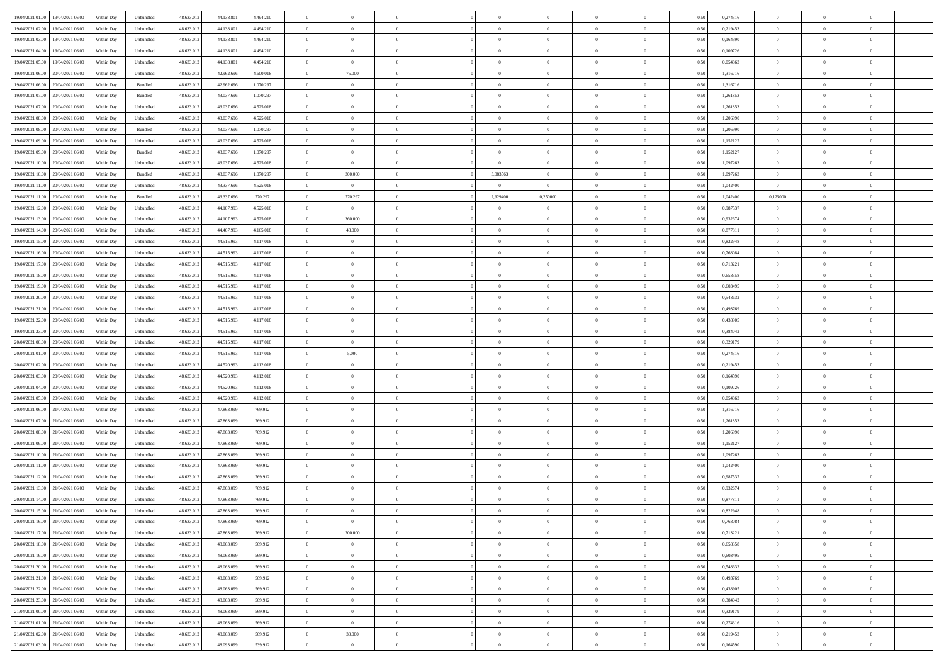|                                      |            |                                   |            |            |           | $\overline{0}$ | $\theta$       |                | $\overline{0}$ | $\theta$       |                | $\theta$       |      |          | $\theta$       | $\theta$       | $\overline{0}$ |  |
|--------------------------------------|------------|-----------------------------------|------------|------------|-----------|----------------|----------------|----------------|----------------|----------------|----------------|----------------|------|----------|----------------|----------------|----------------|--|
| 19/04/2021 01:00 19/04/2021 06:00    | Within Day | Unbundled                         | 48.633.01  | 44.138.801 | 4.494.210 |                |                |                |                |                |                |                | 0,50 | 0,274316 |                |                |                |  |
| 19/04/2021 02:00<br>19/04/2021 06:00 | Within Day | Unbundled                         | 48.633.01  | 44.138.80  | 4.494.210 | $\bf{0}$       | $\bf{0}$       | $\bf{0}$       | $\bf{0}$       | $\overline{0}$ | $\overline{0}$ | $\bf{0}$       | 0,50 | 0,219453 | $\,$ 0 $\,$    | $\bf{0}$       | $\overline{0}$ |  |
| 19/04/2021 03:00<br>19/04/2021 06:00 | Within Day | Unbundled                         | 48.633.013 | 44.138.80  | 4.494.210 | $\overline{0}$ | $\bf{0}$       | $\overline{0}$ | $\bf{0}$       | $\bf{0}$       | $\overline{0}$ | $\bf{0}$       | 0.50 | 0.164590 | $\overline{0}$ | $\overline{0}$ | $\overline{0}$ |  |
| 19/04/2021 04:00<br>19/04/2021 06:00 | Within Day | Unbundled                         | 48.633.013 | 44.138.801 | 4.494.210 | $\overline{0}$ | $\overline{0}$ | $\overline{0}$ | $\theta$       | $\theta$       | $\overline{0}$ | $\bf{0}$       | 0,50 | 0,109726 | $\theta$       | $\theta$       | $\overline{0}$ |  |
| 19/04/2021 05:00<br>19/04/2021 06:00 | Within Day | Unbundled                         | 48.633.01  | 44.138.801 | 4.494.210 | $\bf{0}$       | $\overline{0}$ | $\bf{0}$       | $\overline{0}$ | $\theta$       | $\overline{0}$ | $\bf{0}$       | 0,50 | 0,054863 | $\,$ 0 $\,$    | $\bf{0}$       | $\overline{0}$ |  |
|                                      |            |                                   |            |            |           |                |                |                |                |                |                |                |      |          |                |                |                |  |
| 19/04/2021 06:00<br>20/04/2021 06:00 | Within Day | Unbundled                         | 48.633.013 | 42.962.69  | 4.600.018 | $\overline{0}$ | 75.000         | $\overline{0}$ | $\bf{0}$       | $\overline{0}$ | $\theta$       | $\bf{0}$       | 0.50 | 1.316716 | $\,$ 0 $\,$    | $\theta$       | $\overline{0}$ |  |
| 19/04/2021 06:00<br>20/04/2021 06:00 | Within Day | Bundled                           | 48.633.013 | 42.962.696 | 1.070.297 | $\overline{0}$ | $\overline{0}$ | $\overline{0}$ | $\overline{0}$ | $\overline{0}$ | $\overline{0}$ | $\bf{0}$       | 0,50 | 1,316716 | $\,$ 0 $\,$    | $\theta$       | $\overline{0}$ |  |
| 19/04/2021 07:00<br>20/04/2021 06.00 | Within Day | Bundled                           | 48.633.01  | 43.037.69  | 1.070.297 | $\bf{0}$       | $\overline{0}$ | $\bf{0}$       | $\overline{0}$ | $\overline{0}$ | $\overline{0}$ | $\bf{0}$       | 0,50 | 1,261853 | $\,$ 0 $\,$    | $\bf{0}$       | $\overline{0}$ |  |
| 19/04/2021 07:00<br>20/04/2021 06:00 | Within Day | Unbundled                         | 48.633.013 | 43.037.696 | 4.525.018 | $\overline{0}$ | $\bf{0}$       | $\overline{0}$ | $\bf{0}$       | $\overline{0}$ | $\overline{0}$ | $\bf{0}$       | 0.50 | 1.261853 | $\bf{0}$       | $\overline{0}$ | $\overline{0}$ |  |
| 19/04/2021 08:00<br>20/04/2021 06:00 | Within Day | Unbundled                         | 48.633.012 | 43.037.696 | 4.525.018 | $\bf{0}$       | $\bf{0}$       | $\overline{0}$ | $\overline{0}$ | $\overline{0}$ | $\overline{0}$ | $\bf{0}$       | 0,50 | 1,206990 | $\,$ 0 $\,$    | $\bf{0}$       | $\overline{0}$ |  |
| 19/04/2021 08:00<br>20/04/2021 06.00 | Within Day | Bundled                           | 48.633.01  | 43.037.696 | 1.070.297 | $\bf{0}$       | $\bf{0}$       | $\bf{0}$       | $\bf{0}$       | $\bf{0}$       | $\overline{0}$ | $\bf{0}$       | 0,50 | 1,206990 | $\,$ 0 $\,$    | $\bf{0}$       | $\overline{0}$ |  |
| 19/04/2021 09:00<br>20/04/2021 06:00 | Within Day | Unbundled                         | 48.633.013 | 43,037,696 | 4.525.018 | $\overline{0}$ | $\bf{0}$       | $\overline{0}$ | $\overline{0}$ | $\bf{0}$       | $\overline{0}$ | $\bf{0}$       | 0.50 | 1,152127 | $\bf{0}$       | $\overline{0}$ | $\,$ 0         |  |
|                                      |            |                                   |            |            |           | $\overline{0}$ | $\overline{0}$ | $\overline{0}$ | $\theta$       | $\theta$       | $\overline{0}$ |                |      |          | $\,$ 0 $\,$    | $\theta$       |                |  |
| 19/04/2021 09:00<br>20/04/2021 06:00 | Within Day | Bundled                           | 48.633.01  | 43.037.696 | 1.070.297 |                |                |                |                |                |                | $\bf{0}$       | 0,50 | 1,152127 |                |                | $\overline{0}$ |  |
| 19/04/2021 10:00<br>20/04/2021 06.00 | Within Day | Unbundled                         | 48.633.01  | 43.037.69  | 4.525.018 | $\bf{0}$       | $\overline{0}$ | $\bf{0}$       | $\overline{0}$ | $\bf{0}$       | $\overline{0}$ | $\bf{0}$       | 0,50 | 1,097263 | $\,$ 0 $\,$    | $\bf{0}$       | $\overline{0}$ |  |
| 19/04/2021 10:00<br>20/04/2021 06:00 | Within Day | Bundled                           | 48.633.013 | 43,037,696 | 1.070.297 | $\overline{0}$ | 300,000        | $\overline{0}$ | 3,083563       | $\overline{0}$ | $\theta$       | $\bf{0}$       | 0.50 | 1.097263 | $\bf{0}$       | $\theta$       | $\overline{0}$ |  |
| 19/04/2021 11:00<br>20/04/2021 06:00 | Within Day | Unbundled                         | 48.633.013 | 43.337.696 | 4.525.018 | $\overline{0}$ | $\overline{0}$ | $\overline{0}$ | $\overline{0}$ | $\overline{0}$ | $\overline{0}$ | $\bf{0}$       | 0,50 | 1,042400 | $\bf{0}$       | $\theta$       | $\overline{0}$ |  |
| 19/04/2021 11:00<br>20/04/2021 06.00 | Within Day | Bundled                           | 48.633.01  | 43.337.69  | 770.297   | $\bf{0}$       | 770.297        | $\bf{0}$       | 2,929400       | 0,250000       | $\overline{0}$ | $\bf{0}$       | 0,50 | 1,042400 | 0,125000       | $\bf{0}$       | $\overline{0}$ |  |
| 19/04/2021 12:00<br>20/04/2021 06:00 | Within Day | Unbundled                         | 48.633.013 | 44.107.993 | 4.525.018 | $\overline{0}$ | $\overline{0}$ | $\overline{0}$ | $\bf{0}$       | $\overline{0}$ | $\overline{0}$ | $\bf{0}$       | 0.50 | 0.987537 | $\bf{0}$       | $\overline{0}$ | $\overline{0}$ |  |
| 19/04/2021 13:00<br>20/04/2021 06:00 | Within Day | Unbundled                         | 48.633.013 | 44.107.993 | 4.525.018 | $\overline{0}$ | 360.000        | $\overline{0}$ | $\overline{0}$ | $\overline{0}$ | $\overline{0}$ | $\bf{0}$       | 0,50 | 0,932674 | $\,$ 0 $\,$    | $\bf{0}$       | $\overline{0}$ |  |
| 19/04/2021 14:00<br>20/04/2021 06.00 | Within Day | Unbundled                         | 48.633.01  | 44.467.99  | 4.165.018 | $\bf{0}$       | 48.000         | $\bf{0}$       | $\bf{0}$       | $\overline{0}$ | $\overline{0}$ | $\bf{0}$       | 0,50 | 0,877811 | $\,$ 0 $\,$    | $\bf{0}$       | $\overline{0}$ |  |
|                                      |            |                                   |            |            |           |                |                |                |                |                |                |                |      |          |                |                |                |  |
| 19/04/2021 15:00<br>20/04/2021 06:00 | Within Day | Unbundled                         | 48.633.013 | 44.515.993 | 4.117.018 | $\overline{0}$ | $\bf{0}$       | $\overline{0}$ | $\overline{0}$ | $\bf{0}$       | $\overline{0}$ | $\bf{0}$       | 0.50 | 0.822948 | $\bf{0}$       | $\overline{0}$ | $\,$ 0         |  |
| 19/04/2021 16:00<br>20/04/2021 06:00 | Within Day | Unbundled                         | 48.633.01  | 44.515.993 | 4.117.018 | $\overline{0}$ | $\overline{0}$ | $\overline{0}$ | $\theta$       | $\theta$       | $\overline{0}$ | $\bf{0}$       | 0,50 | 0,768084 | $\theta$       | $\theta$       | $\overline{0}$ |  |
| 19/04/2021 17:00<br>20/04/2021 06.00 | Within Day | Unbundled                         | 48.633.01  | 44.515.99  | 4.117.018 | $\bf{0}$       | $\bf{0}$       | $\bf{0}$       | $\bf{0}$       | $\overline{0}$ | $\overline{0}$ | $\bf{0}$       | 0,50 | 0,713221 | $\,$ 0 $\,$    | $\bf{0}$       | $\overline{0}$ |  |
| 19/04/2021 18:00<br>20/04/2021 06:00 | Within Day | Unbundled                         | 48.633.013 | 44.515.99  | 4.117.018 | $\overline{0}$ | $\bf{0}$       | $\overline{0}$ | $\bf{0}$       | $\overline{0}$ | $\theta$       | $\bf{0}$       | 0.50 | 0.658358 | $\,$ 0 $\,$    | $\theta$       | $\overline{0}$ |  |
| 19/04/2021 19:00<br>20/04/2021 06:00 | Within Day | Unbundled                         | 48.633.013 | 44.515.993 | 4.117.018 | $\overline{0}$ | $\overline{0}$ | $\overline{0}$ | $\overline{0}$ | $\overline{0}$ | $\overline{0}$ | $\bf{0}$       | 0,50 | 0,603495 | $\,$ 0 $\,$    | $\theta$       | $\overline{0}$ |  |
| 19/04/2021 20:00<br>20/04/2021 06.00 | Within Day | Unbundled                         | 48.633.01  | 44.515.99  | 4.117.018 | $\bf{0}$       | $\overline{0}$ | $\bf{0}$       | $\overline{0}$ | $\bf{0}$       | $\overline{0}$ | $\bf{0}$       | 0,50 | 0,548632 | $\,$ 0 $\,$    | $\bf{0}$       | $\overline{0}$ |  |
| 19/04/2021 21:00<br>20/04/2021 06:00 | Within Day | Unbundled                         | 48.633.013 | 44.515.993 | 4.117.018 | $\overline{0}$ | $\bf{0}$       | $\overline{0}$ | $\bf{0}$       | $\overline{0}$ | $\overline{0}$ | $\bf{0}$       | 0.50 | 0.493769 | $\bf{0}$       | $\overline{0}$ | $\overline{0}$ |  |
| 19/04/2021 22:00<br>20/04/2021 06:00 | Within Day | Unbundled                         | 48.633.013 | 44.515.993 | 4.117.018 | $\overline{0}$ | $\bf{0}$       | $\overline{0}$ | $\overline{0}$ | $\overline{0}$ | $\overline{0}$ | $\bf{0}$       | 0,50 | 0,438905 | $\theta$       | $\theta$       | $\overline{0}$ |  |
| 20/04/2021 06.00                     | Within Day | Unbundled                         | 48.633.01  | 44.515.993 | 4.117.018 | $\bf{0}$       | $\bf{0}$       | $\bf{0}$       | $\bf{0}$       | $\overline{0}$ | $\overline{0}$ | $\bf{0}$       | 0,50 | 0,384042 | $\,$ 0 $\,$    | $\bf{0}$       | $\overline{0}$ |  |
| 19/04/2021 23:00                     |            |                                   |            |            |           |                |                |                |                |                |                |                |      |          |                |                |                |  |
| 20/04/2021 00:00<br>20/04/2021 06:00 | Within Day | Unbundled                         | 48.633.013 | 44.515.993 | 4.117.018 | $\overline{0}$ | $\overline{0}$ | $\overline{0}$ | $\bf{0}$       | $\bf{0}$       | $\overline{0}$ | $\bf{0}$       | 0.50 | 0,329179 | $\bf{0}$       | $\overline{0}$ | $\,$ 0         |  |
| 20/04/2021 01:00<br>20/04/2021 06:00 | Within Day | Unbundled                         | 48.633.013 | 44.515.993 | 4.117.018 | $\overline{0}$ | 5.000          | $\overline{0}$ | $\overline{0}$ | $\overline{0}$ | $\overline{0}$ | $\bf{0}$       | 0.5( | 0,274316 | $\theta$       | $\theta$       | $\overline{0}$ |  |
| 20/04/2021 02:00<br>20/04/2021 06.00 | Within Day | Unbundled                         | 48.633.01  | 44.520.99  | 4.112.018 | $\bf{0}$       | $\theta$       | $\bf{0}$       | $\bf{0}$       | $\,$ 0 $\,$    | $\overline{0}$ | $\bf{0}$       | 0,50 | 0,219453 | $\,$ 0 $\,$    | $\bf{0}$       | $\overline{0}$ |  |
| 20/04/2021 03:00<br>20/04/2021 06:00 | Within Day | Unbundled                         | 48.633.013 | 44.520.993 | 4.112.018 | $\overline{0}$ | $\bf{0}$       | $\overline{0}$ | $\bf{0}$       | $\overline{0}$ | $\overline{0}$ | $\bf{0}$       | 0.50 | 0.164590 | $\,$ 0 $\,$    | $\bf{0}$       | $\overline{0}$ |  |
| 20/04/2021 04:00<br>20/04/2021 06:00 | Within Dav | Unbundled                         | 48.633.013 | 44.520.993 | 4.112.018 | $\overline{0}$ | $\overline{0}$ | $\overline{0}$ | $\overline{0}$ | $\theta$       | $\overline{0}$ | $\bf{0}$       | 0.5( | 0,109726 | $\theta$       | $\theta$       | $\overline{0}$ |  |
| 20/04/2021 05:00<br>20/04/2021 06.00 | Within Day | Unbundled                         | 48.633.01  | 44.520.99  | 4.112.018 | $\bf{0}$       | $\bf{0}$       | $\bf{0}$       | $\bf{0}$       | $\overline{0}$ | $\overline{0}$ | $\bf{0}$       | 0,50 | 0,054863 | $\,$ 0 $\,$    | $\bf{0}$       | $\overline{0}$ |  |
| 20/04/2021 06:00<br>21/04/2021 06:00 | Within Day | Unbundled                         | 48.633.013 | 47,863,099 | 769.912   | $\overline{0}$ | $\bf{0}$       | $\overline{0}$ | $\bf{0}$       | $\overline{0}$ | $\overline{0}$ | $\bf{0}$       | 0.50 | 1.316716 | $\bf{0}$       | $\overline{0}$ | $\overline{0}$ |  |
| 20/04/2021 07:00<br>21/04/2021 06:00 | Within Dav | Unbundled                         | 48.633.013 | 47.863.099 | 769.912   | $\overline{0}$ | $\overline{0}$ | $\overline{0}$ | $\overline{0}$ | $\overline{0}$ | $\overline{0}$ | $\bf{0}$       | 0.50 | 1,261853 | $\theta$       | $\theta$       | $\overline{0}$ |  |
|                                      |            |                                   |            |            |           |                |                |                |                |                |                |                |      |          |                |                |                |  |
| 20/04/2021 08:00<br>21/04/2021 06.00 | Within Day | Unbundled                         | 48.633.01  | 47.863.09  | 769.912   | $\bf{0}$       | $\bf{0}$       | $\bf{0}$       | $\bf{0}$       | $\overline{0}$ | $\overline{0}$ | $\bf{0}$       | 0,50 | 1,206990 | $\,$ 0 $\,$    | $\bf{0}$       | $\overline{0}$ |  |
| 20/04/2021 09:00<br>21/04/2021 06:00 | Within Day | Unbundled                         | 48.633.013 | 47,863,099 | 769.912   | $\overline{0}$ | $\bf{0}$       | $\overline{0}$ | $\overline{0}$ | $\bf{0}$       | $\overline{0}$ | $\bf{0}$       | 0.50 | 1,152127 | $\,$ 0 $\,$    | $\overline{0}$ | $\,$ 0         |  |
| 20/04/2021 10:00<br>21/04/2021 06:00 | Within Dav | Unbundled                         | 48.633.013 | 47.863.099 | 769.912   | $\overline{0}$ | $\overline{0}$ | $\overline{0}$ | $\overline{0}$ | $\overline{0}$ | $\overline{0}$ | $\bf{0}$       | 0.5( | 1,097263 | $\theta$       | $\theta$       | $\overline{0}$ |  |
| 20/04/2021 11:00<br>21/04/2021 06.00 | Within Day | Unbundled                         | 48.633.013 | 47.863.099 | 769.912   | $\bf{0}$       | $\bf{0}$       | $\bf{0}$       | $\bf{0}$       | $\overline{0}$ | $\overline{0}$ | $\bf{0}$       | 0,50 | 1,042400 | $\,$ 0 $\,$    | $\bf{0}$       | $\overline{0}$ |  |
| 20/04/2021 12:00<br>21/04/2021 06:00 | Within Day | Unbundled                         | 48.633.013 | 47,863,099 | 769.912   | $\overline{0}$ | $\overline{0}$ | $\overline{0}$ | $\bf{0}$       | $\overline{0}$ | $\Omega$       | $\bf{0}$       | 0.50 | 0.987537 | $\bf{0}$       | $\theta$       | $\overline{0}$ |  |
| 20/04/2021 13:00<br>21/04/2021 06:00 | Within Dav | Unbundled                         | 48.633.013 | 47,863,099 | 769.912   | $\overline{0}$ | $\overline{0}$ | $\Omega$       | $\overline{0}$ | $\theta$       | $\Omega$       | $\overline{0}$ | 0.5( | 0,932674 | $\theta$       | $\theta$       | $\overline{0}$ |  |
| 20/04/2021 14:00<br>21/04/2021 06:00 | Within Day | Unbundled                         | 48.633.01  | 47.863.099 | 769.912   | $\bf{0}$       | $\bf{0}$       | $\overline{0}$ | $\bf{0}$       | $\bf{0}$       | $\overline{0}$ | $\bf{0}$       | 0,50 | 0,877811 | $\,$ 0 $\,$    | $\bf{0}$       | $\overline{0}$ |  |
| 20/04/2021 15:00 21/04/2021 06:00    | Within Day | $\ensuremath{\mathsf{Unbundred}}$ | 48.633.012 | 47.863.099 | 769.912   | $\bf{0}$       | $\Omega$       |                | $\Omega$       |                |                |                | 0,50 | 0,822948 | $\bf{0}$       | $\overline{0}$ |                |  |
| 20/04/2021 16:00 21/04/2021 06:00    | Within Day | Unbundled                         | 48.633.012 | 47.863.099 | 769.912   | $\overline{0}$ | $\overline{0}$ | $\overline{0}$ | $\theta$       | $\overline{0}$ | $\overline{0}$ | $\bf{0}$       | 0,50 | 0,768084 | $\theta$       | $\theta$       | $\overline{0}$ |  |
|                                      |            |                                   |            |            |           |                |                |                |                |                |                |                |      |          |                |                |                |  |
| 20/04/2021 17:00<br>21/04/2021 06:00 | Within Day | Unbundled                         | 48.633.013 | 47.863.099 | 769.912   | $\overline{0}$ | 200.000        | $\overline{0}$ | $\overline{0}$ | $\bf{0}$       | $\overline{0}$ | $\bf{0}$       | 0,50 | 0,713221 | $\bf{0}$       | $\overline{0}$ | $\bf{0}$       |  |
| 20/04/2021 18:00 21/04/2021 06:00    | Within Day | Unbundled                         | 48.633.012 | 48,063,099 | 569.912   | $\overline{0}$ | $\overline{0}$ | $\overline{0}$ | $\overline{0}$ | $\mathbf{0}$   | $\overline{0}$ | $\,$ 0 $\,$    | 0.50 | 0.658358 | $\overline{0}$ | $\bf{0}$       | $\,$ 0 $\,$    |  |
| 20/04/2021 19:00 21/04/2021 06:00    | Within Day | Unbundled                         | 48.633.012 | 48.063.099 | 569.912   | $\overline{0}$ | $\overline{0}$ | $\overline{0}$ | $\overline{0}$ | $\overline{0}$ | $\overline{0}$ | $\bf{0}$       | 0,50 | 0,603495 | $\overline{0}$ | $\theta$       | $\overline{0}$ |  |
| 20/04/2021 20:00<br>21/04/2021 06:00 | Within Day | Unbundled                         | 48.633.012 | 48.063.099 | 569.912   | $\overline{0}$ | $\bf{0}$       | $\overline{0}$ | $\overline{0}$ | $\bf{0}$       | $\overline{0}$ | $\bf{0}$       | 0,50 | 0,548632 | $\bf{0}$       | $\overline{0}$ | $\overline{0}$ |  |
| 20/04/2021 21:00 21/04/2021 06:00    | Within Day | Unbundled                         | 48.633.012 | 48,063,099 | 569.912   | $\overline{0}$ | $\bf{0}$       | $\overline{0}$ | $\overline{0}$ | $\bf{0}$       | $\overline{0}$ | $\bf{0}$       | 0.50 | 0.493769 | $\,$ 0 $\,$    | $\overline{0}$ | $\,$ 0         |  |
| 20/04/2021 22:00 21/04/2021 06:00    | Within Day | Unbundled                         | 48.633.012 | 48.063.099 | 569.912   | $\overline{0}$ | $\overline{0}$ | $\overline{0}$ | $\overline{0}$ | $\overline{0}$ | $\overline{0}$ | $\bf{0}$       | 0.50 | 0,438905 | $\overline{0}$ | $\theta$       | $\overline{0}$ |  |
| 20/04/2021 23:00<br>21/04/2021 06:00 | Within Day | Unbundled                         | 48.633.013 | 48.063.099 | 569.912   | $\overline{0}$ | $\overline{0}$ | $\overline{0}$ | $\overline{0}$ | $\overline{0}$ | $\overline{0}$ | $\bf{0}$       | 0,50 | 0,384042 | $\bf{0}$       | $\overline{0}$ | $\,$ 0         |  |
| 21/04/2021 00:00 21/04/2021 06:00    |            |                                   |            |            |           |                |                |                |                |                |                |                |      |          |                |                |                |  |
|                                      | Within Day | Unbundled                         | 48.633.012 | 48,063,099 | 569.912   | $\overline{0}$ | $\bf{0}$       | $\overline{0}$ | $\overline{0}$ | $\overline{0}$ | $\overline{0}$ | $\bf{0}$       | 0.50 | 0.329179 | $\mathbf{0}$   | $\bf{0}$       | $\,$ 0         |  |
| 21/04/2021 01:00 21/04/2021 06:00    | Within Dav | Unbundled                         | 48.633.012 | 48.063.099 | 569.912   | $\overline{0}$ | $\overline{0}$ | $\overline{0}$ | $\overline{0}$ | $\overline{0}$ | $\overline{0}$ | $\bf{0}$       | 0,50 | 0,274316 | $\overline{0}$ | $\theta$       | $\overline{0}$ |  |
| 21/04/2021 02:00<br>21/04/2021 06:00 | Within Day | Unbundled                         | 48.633.013 | 48.063.099 | 569.912   | $\overline{0}$ | 30.000         | $\overline{0}$ | $\bf{0}$       | $\overline{0}$ | $\overline{0}$ | $\bf{0}$       | 0,50 | 0,219453 | $\bf{0}$       | $\overline{0}$ | $\bf{0}$       |  |
| 21/04/2021 03:00 21/04/2021 06:00    | Within Day | Unbundled                         | 48.633.012 | 48.093.099 | 539.912   | $\,$ 0 $\,$    | $\bf{0}$       | $\overline{0}$ | $\overline{0}$ | $\,$ 0 $\,$    | $\overline{0}$ | $\,$ 0 $\,$    | 0,50 | 0,164590 | $\overline{0}$ | $\,$ 0 $\,$    | $\,$ 0 $\,$    |  |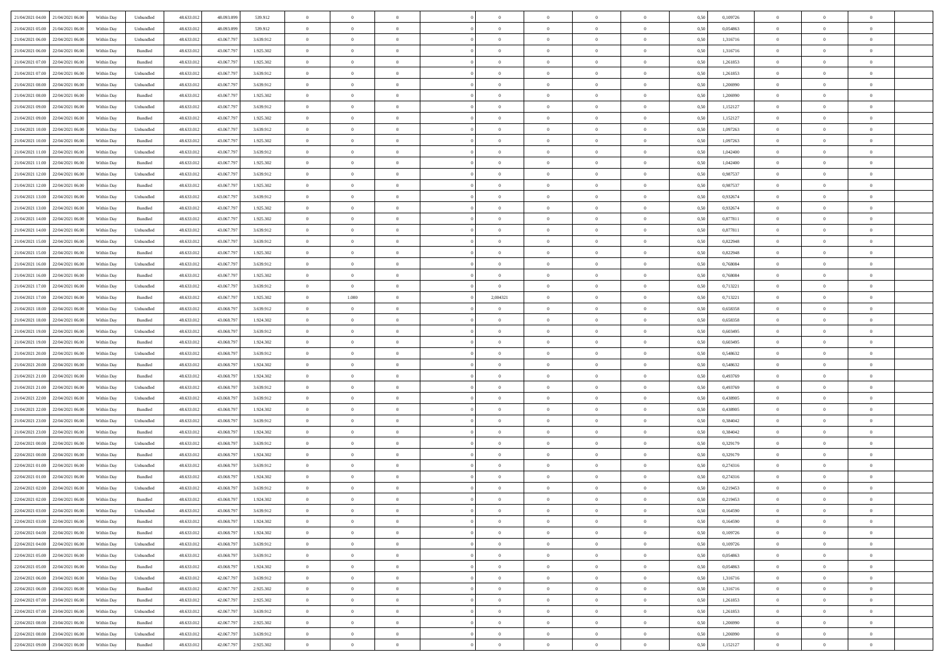| 21/04/2021 04:00 21/04/2021 06:00    | Within Day | Unbundled         | 48.633.01  | 48.093.099 | 539.912   | $\overline{0}$ | $\overline{0}$ |                | $\overline{0}$ | $\theta$       |                | $\theta$       | 0,50 | 0,109726 | $\theta$       | $\theta$       | $\overline{0}$ |  |
|--------------------------------------|------------|-------------------|------------|------------|-----------|----------------|----------------|----------------|----------------|----------------|----------------|----------------|------|----------|----------------|----------------|----------------|--|
| 21/04/2021 05:00<br>21/04/2021 06:00 | Within Day | Unbundled         | 48.633.01  | 48.093.09  | 539.912   | $\bf{0}$       | $\bf{0}$       | $\bf{0}$       | $\bf{0}$       | $\overline{0}$ | $\overline{0}$ | $\bf{0}$       | 0,50 | 0,054863 | $\,$ 0 $\,$    | $\bf{0}$       | $\overline{0}$ |  |
| 21/04/2021 06:00<br>22/04/2021 06:00 | Within Day | Unbundled         | 48.633.013 | 43,067,797 | 3.639.912 | $\overline{0}$ | $\bf{0}$       | $\overline{0}$ | $\bf{0}$       | $\bf{0}$       | $\overline{0}$ | $\bf{0}$       | 0.50 | 1.316716 | $\overline{0}$ | $\overline{0}$ | $\overline{0}$ |  |
| 21/04/2021 06:00<br>22/04/2021 06:00 | Within Day | Bundled           | 48.633.01  | 43.067.797 | 1.925.302 | $\overline{0}$ | $\overline{0}$ | $\overline{0}$ | $\overline{0}$ | $\theta$       | $\overline{0}$ | $\bf{0}$       | 0,50 | 1,316716 | $\,$ 0 $\,$    | $\,$ 0 $\,$    | $\overline{0}$ |  |
| 21/04/2021 07:00<br>22/04/2021 06.00 | Within Day | Bundled           | 48.633.01  | 43.067.79  | 1.925.302 | $\bf{0}$       | $\overline{0}$ | $\bf{0}$       | $\overline{0}$ | $\bf{0}$       | $\overline{0}$ | $\bf{0}$       | 0,50 | 1,261853 | $\,$ 0 $\,$    | $\bf{0}$       | $\overline{0}$ |  |
|                                      |            |                   |            |            |           |                |                |                |                |                |                |                |      |          |                |                |                |  |
| 21/04/2021 07:00<br>22/04/2021 06:00 | Within Day | Unbundled         | 48.633.013 | 43,067,797 | 3.639.912 | $\overline{0}$ | $\bf{0}$       | $\overline{0}$ | $\bf{0}$       | $\overline{0}$ | $\overline{0}$ | $\bf{0}$       | 0.50 | 1.261853 | $\,$ 0 $\,$    | $\theta$       | $\overline{0}$ |  |
| 21/04/2021 08:00<br>22/04/2021 06:00 | Within Day | Unbundled         | 48.633.013 | 43.067.797 | 3.639.912 | $\overline{0}$ | $\overline{0}$ | $\overline{0}$ | $\overline{0}$ | $\overline{0}$ | $\overline{0}$ | $\bf{0}$       | 0,50 | 1,206990 | $\,$ 0 $\,$    | $\theta$       | $\overline{0}$ |  |
| 21/04/2021 08:00<br>22/04/2021 06.00 | Within Day | Bundled           | 48.633.01  | 43.067.79  | 1.925.302 | $\bf{0}$       | $\bf{0}$       | $\bf{0}$       | $\bf{0}$       | $\overline{0}$ | $\overline{0}$ | $\bf{0}$       | 0,50 | 1,206990 | $\,$ 0 $\,$    | $\bf{0}$       | $\overline{0}$ |  |
| 21/04/2021 09:00<br>22/04/2021 06:00 | Within Day | Unbundled         | 48.633.013 | 43,067.797 | 3.639.912 | $\overline{0}$ | $\bf{0}$       | $\overline{0}$ | $\bf{0}$       | $\overline{0}$ | $\overline{0}$ | $\bf{0}$       | 0.50 | 1,152127 | $\bf{0}$       | $\overline{0}$ | $\overline{0}$ |  |
| 21/04/2021 09:00<br>22/04/2021 06:00 | Within Day | Bundled           | 48.633.012 | 43.067.797 | 1.925.302 | $\overline{0}$ | $\bf{0}$       | $\overline{0}$ | $\overline{0}$ | $\overline{0}$ | $\overline{0}$ | $\bf{0}$       | 0,50 | 1,152127 | $\,$ 0 $\,$    | $\,$ 0 $\,$    | $\overline{0}$ |  |
| 21/04/2021 10:00<br>22/04/2021 06.00 | Within Day | Unbundled         | 48.633.01  | 43.067.79  | 3.639.912 | $\bf{0}$       | $\bf{0}$       | $\bf{0}$       | $\bf{0}$       | $\overline{0}$ | $\overline{0}$ | $\bf{0}$       | 0,50 | 1,097263 | $\,$ 0 $\,$    | $\bf{0}$       | $\overline{0}$ |  |
| 21/04/2021 10:00<br>22/04/2021 06:00 | Within Day | Bundled           | 48.633.013 | 43,067,797 | 1.925.302 | $\overline{0}$ | $\bf{0}$       | $\overline{0}$ | $\overline{0}$ | $\bf{0}$       | $\overline{0}$ | $\bf{0}$       | 0.50 | 1.097263 | $\bf{0}$       | $\,$ 0 $\,$    | $\,$ 0         |  |
|                                      |            |                   |            |            |           | $\overline{0}$ |                | $\overline{0}$ | $\theta$       | $\theta$       | $\overline{0}$ |                |      |          | $\,$ 0 $\,$    | $\,$ 0 $\,$    |                |  |
| 21/04/2021 11:00<br>22/04/2021 06:00 | Within Day | Unbundled         | 48.633.01  | 43.067.797 | 3.639.912 |                | $\bf{0}$       |                |                |                |                | $\bf{0}$       | 0,50 | 1,042400 |                |                | $\overline{0}$ |  |
| 21/04/2021 11:00<br>22/04/2021 06.00 | Within Day | Bundled           | 48.633.01  | 43.067.79  | 1.925.302 | $\bf{0}$       | $\overline{0}$ | $\bf{0}$       | $\bf{0}$       | $\overline{0}$ | $\overline{0}$ | $\bf{0}$       | 0,50 | 1,042400 | $\,$ 0 $\,$    | $\bf{0}$       | $\overline{0}$ |  |
| 21/04/2021 12:00<br>22/04/2021 06:00 | Within Day | Unbundled         | 48.633.013 | 43,067,797 | 3.639.912 | $\overline{0}$ | $\bf{0}$       | $\overline{0}$ | $\bf{0}$       | $\overline{0}$ | $\overline{0}$ | $\bf{0}$       | 0.50 | 0.987537 | $\,$ 0 $\,$    | $\bf{0}$       | $\overline{0}$ |  |
| 21/04/2021 12:00<br>22/04/2021 06:00 | Within Day | Bundled           | 48.633.013 | 43.067.797 | 1.925.302 | $\overline{0}$ | $\overline{0}$ | $\overline{0}$ | $\overline{0}$ | $\overline{0}$ | $\overline{0}$ | $\bf{0}$       | 0,50 | 0,987537 | $\theta$       | $\theta$       | $\overline{0}$ |  |
| 21/04/2021 13:00<br>22/04/2021 06.00 | Within Day | Unbundled         | 48.633.01  | 43.067.79  | 3.639.912 | $\bf{0}$       | $\bf{0}$       | $\bf{0}$       | $\overline{0}$ | $\overline{0}$ | $\overline{0}$ | $\bf{0}$       | 0,50 | 0,932674 | $\,$ 0 $\,$    | $\bf{0}$       | $\overline{0}$ |  |
| 21/04/2021 13:00<br>22/04/2021 06:00 | Within Day | Bundled           | 48.633.013 | 43,067.797 | 1.925.302 | $\overline{0}$ | $\bf{0}$       | $\overline{0}$ | $\bf{0}$       | $\overline{0}$ | $\overline{0}$ | $\bf{0}$       | 0.50 | 0.932674 | $\bf{0}$       | $\overline{0}$ | $\overline{0}$ |  |
| 21/04/2021 14:00<br>22/04/2021 06:00 | Within Day | Bundled           | 48.633.013 | 43.067.797 | 1.925.302 | $\bf{0}$       | $\bf{0}$       | $\overline{0}$ | $\overline{0}$ | $\overline{0}$ | $\overline{0}$ | $\bf{0}$       | 0,50 | 0,877811 | $\,$ 0 $\,$    | $\bf{0}$       | $\overline{0}$ |  |
| 21/04/2021 14:00<br>22/04/2021 06.00 | Within Day | Unbundled         | 48.633.01  | 43.067.79  | 3.639.912 | $\bf{0}$       | $\bf{0}$       | $\bf{0}$       | $\bf{0}$       | $\overline{0}$ | $\overline{0}$ | $\bf{0}$       | 0,50 | 0,877811 | $\,$ 0 $\,$    | $\bf{0}$       | $\overline{0}$ |  |
|                                      |            |                   |            |            |           |                |                |                |                |                |                |                |      |          |                |                |                |  |
| 21/04/2021 15:00<br>22/04/2021 06:00 | Within Day | Unbundled         | 48.633.013 | 43,067,797 | 3.639.912 | $\overline{0}$ | $\bf{0}$       | $\overline{0}$ | $\overline{0}$ | $\bf{0}$       | $\overline{0}$ | $\bf{0}$       | 0.50 | 0,822948 | $\,$ 0 $\,$    | $\,$ 0 $\,$    | $\,$ 0         |  |
| 21/04/2021 15:00<br>22/04/2021 06:00 | Within Day | Bundled           | 48.633.01  | 43.067.797 | 1.925.302 | $\overline{0}$ | $\overline{0}$ | $\overline{0}$ | $\overline{0}$ | $\theta$       | $\overline{0}$ | $\bf{0}$       | 0,50 | 0,822948 | $\theta$       | $\theta$       | $\overline{0}$ |  |
| 21/04/2021 16:00<br>22/04/2021 06.00 | Within Day | Unbundled         | 48.633.01  | 43.067.79  | 3.639.912 | $\bf{0}$       | $\bf{0}$       | $\bf{0}$       | $\bf{0}$       | $\overline{0}$ | $\overline{0}$ | $\bf{0}$       | 0,50 | 0,768084 | $\,$ 0 $\,$    | $\bf{0}$       | $\overline{0}$ |  |
| 21/04/2021 16:00<br>22/04/2021 06:00 | Within Day | Bundled           | 48.633.013 | 43,067.797 | 1.925.302 | $\overline{0}$ | $\bf{0}$       | $\overline{0}$ | $\bf{0}$       | $\overline{0}$ | $\theta$       | $\bf{0}$       | 0.50 | 0.768084 | $\bf{0}$       | $\theta$       | $\overline{0}$ |  |
| 21/04/2021 17:00<br>22/04/2021 06:00 | Within Day | Unbundled         | 48.633.013 | 43.067.797 | 3.639.912 | $\overline{0}$ | $\overline{0}$ | $\overline{0}$ | $\overline{0}$ | $\overline{0}$ | $\overline{0}$ | $\bf{0}$       | 0,50 | 0,713221 | $\,$ 0 $\,$    | $\theta$       | $\overline{0}$ |  |
| 21/04/2021 17:00<br>22/04/2021 06.00 | Within Day | Bundled           | 48.633.01  | 43.067.79  | 1.925.302 | $\bf{0}$       | 1.000          | $\bf{0}$       | 2,004321       | $\overline{0}$ | $\overline{0}$ | $\bf{0}$       | 0,50 | 0,713221 | $\,$ 0 $\,$    | $\bf{0}$       | $\overline{0}$ |  |
| 21/04/2021 18:00<br>22/04/2021 06:00 | Within Day | Unbundled         | 48.633.013 | 43,068,797 | 3.639.912 | $\overline{0}$ | $\bf{0}$       | $\overline{0}$ | $\bf{0}$       | $\overline{0}$ | $\overline{0}$ | $\bf{0}$       | 0.50 | 0.658358 | $\bf{0}$       | $\overline{0}$ | $\overline{0}$ |  |
| 21/04/2021 18:00<br>22/04/2021 06:00 | Within Day | Bundled           | 48.633.01  | 43.068.797 | 1.924.302 | $\overline{0}$ | $\bf{0}$       | $\overline{0}$ | $\overline{0}$ | $\overline{0}$ | $\overline{0}$ | $\bf{0}$       | 0,50 | 0,658358 | $\theta$       | $\bf{0}$       | $\overline{0}$ |  |
| 22/04/2021 06.00                     | Within Day | Unbundled         | 48.633.01  | 43.068.79  | 3.639.912 | $\bf{0}$       | $\bf{0}$       | $\bf{0}$       | $\bf{0}$       | $\overline{0}$ | $\overline{0}$ | $\bf{0}$       | 0,50 | 0,603495 | $\,$ 0 $\,$    | $\bf{0}$       | $\overline{0}$ |  |
| 21/04/2021 19:00                     |            |                   |            |            |           |                |                |                |                |                |                |                |      |          |                |                |                |  |
| 21/04/2021 19:00<br>22/04/2021 06:00 | Within Day | Bundled           | 48.633.013 | 43,068,797 | 1.924.302 | $\overline{0}$ | $\bf{0}$       | $\overline{0}$ | $\overline{0}$ | $\bf{0}$       | $\overline{0}$ | $\bf{0}$       | 0.50 | 0.603495 | $\bf{0}$       | $\,$ 0 $\,$    | $\,$ 0         |  |
| 21/04/2021 20:00<br>22/04/2021 06:00 | Within Day | Unbundled         | 48.633.013 | 43.068.797 | 3.639.912 | $\overline{0}$ | $\overline{0}$ | $\overline{0}$ | $\overline{0}$ | $\overline{0}$ | $\overline{0}$ | $\bf{0}$       | 0.50 | 0.548632 | $\theta$       | $\theta$       | $\overline{0}$ |  |
| 21/04/2021 20:00<br>22/04/2021 06.00 | Within Day | Bundled           | 48.633.01  | 43.068.79  | 1.924.302 | $\bf{0}$       | $\bf{0}$       | $\bf{0}$       | $\bf{0}$       | $\overline{0}$ | $\overline{0}$ | $\bf{0}$       | 0,50 | 0,548632 | $\,$ 0 $\,$    | $\bf{0}$       | $\overline{0}$ |  |
| 21/04/2021 21:00<br>22/04/2021 06:00 | Within Day | Bundled           | 48.633.013 | 43,068,797 | 1.924.302 | $\overline{0}$ | $\bf{0}$       | $\overline{0}$ | $\bf{0}$       | $\overline{0}$ | $\overline{0}$ | $\bf{0}$       | 0.50 | 0.493769 | $\,$ 0 $\,$    | $\bf{0}$       | $\overline{0}$ |  |
| 21/04/2021 21:00<br>22/04/2021 06:00 | Within Dav | Unbundled         | 48.633.013 | 43.068.797 | 3.639.912 | $\overline{0}$ | $\overline{0}$ | $\overline{0}$ | $\overline{0}$ | $\overline{0}$ | $\overline{0}$ | $\bf{0}$       | 0.50 | 0,493769 | $\theta$       | $\theta$       | $\overline{0}$ |  |
| 21/04/2021 22.00<br>22/04/2021 06.00 | Within Day | Unbundled         | 48.633.01  | 43.068.79  | 3.639.912 | $\bf{0}$       | $\bf{0}$       | $\bf{0}$       | $\bf{0}$       | $\overline{0}$ | $\overline{0}$ | $\bf{0}$       | 0,50 | 0,438905 | $\,$ 0 $\,$    | $\bf{0}$       | $\overline{0}$ |  |
| 21/04/2021 22:00<br>22/04/2021 06:00 | Within Day | Bundled           | 48.633.013 | 43,068,797 | 1.924.302 | $\overline{0}$ | $\bf{0}$       | $\overline{0}$ | $\bf{0}$       | $\overline{0}$ | $\overline{0}$ | $\bf{0}$       | 0.50 | 0.438905 | $\bf{0}$       | $\overline{0}$ | $\overline{0}$ |  |
| 21/04/2021 23:00<br>22/04/2021 06:00 | Within Dav | Unbundled         | 48.633.013 | 43.068.797 | 3.639.912 | $\overline{0}$ | $\overline{0}$ | $\overline{0}$ | $\overline{0}$ | $\overline{0}$ | $\overline{0}$ | $\bf{0}$       | 0.50 | 0,384042 | $\theta$       | $\theta$       | $\overline{0}$ |  |
|                                      |            |                   |            |            |           |                |                |                |                |                |                |                |      |          |                |                |                |  |
| 21/04/2021 23:00<br>22/04/2021 06.00 | Within Day | Bundled           | 48.633.01  | 43.068.79  | 1.924.302 | $\bf{0}$       | $\bf{0}$       | $\bf{0}$       | $\bf{0}$       | $\overline{0}$ | $\overline{0}$ | $\bf{0}$       | 0,50 | 0,384042 | $\,$ 0 $\,$    | $\bf{0}$       | $\overline{0}$ |  |
| 22/04/2021 00:00<br>22/04/2021 06:00 | Within Day | Unbundled         | 48.633.013 | 43,068,797 | 3.639.912 | $\overline{0}$ | $\bf{0}$       | $\overline{0}$ | $\overline{0}$ | $\bf{0}$       | $\overline{0}$ | $\bf{0}$       | 0.50 | 0,329179 | $\,$ 0 $\,$    | $\,$ 0 $\,$    | $\,$ 0         |  |
| 22/04/2021 00:00<br>22/04/2021 06:00 | Within Dav | Bundled           | 48.633.013 | 43.068.797 | 1.924.302 | $\overline{0}$ | $\overline{0}$ | $\overline{0}$ | $\overline{0}$ | $\overline{0}$ | $\overline{0}$ | $\bf{0}$       | 0.5( | 0,329179 | $\theta$       | $\theta$       | $\overline{0}$ |  |
| 22/04/2021 01:00<br>22/04/2021 06.00 | Within Day | Unbundled         | 48.633.013 | 43.068.79  | 3.639.912 | $\bf{0}$       | $\bf{0}$       | $\bf{0}$       | $\bf{0}$       | $\overline{0}$ | $\overline{0}$ | $\bf{0}$       | 0,50 | 0,274316 | $\,$ 0 $\,$    | $\bf{0}$       | $\overline{0}$ |  |
| 22/04/2021 01:00<br>22/04/2021 06.00 | Within Day | Bundled           | 48.633.013 | 43,068,797 | 1.924.302 | $\overline{0}$ | $\bf{0}$       | $\overline{0}$ | $\bf{0}$       | $\overline{0}$ | $\overline{0}$ | $\bf{0}$       | 0.50 | 0,274316 | $\bf{0}$       | $\bf{0}$       | $\overline{0}$ |  |
| 22/04/2021 02:00<br>22/04/2021 06:00 | Within Dav | Unbundled         | 48.633.013 | 43.068.797 | 3.639.912 | $\overline{0}$ | $\overline{0}$ | $\overline{0}$ | $\theta$       | $\theta$       | $\overline{0}$ | $\overline{0}$ | 0.5( | 0,219453 | $\theta$       | $\theta$       | $\overline{0}$ |  |
| 22/04/2021 02:00<br>22/04/2021 06:00 | Within Day | Bundled           | 48.633.01  | 43.068.797 | 1.924.302 | $\bf{0}$       | $\bf{0}$       | $\bf{0}$       | $\bf{0}$       | $\bf{0}$       | $\overline{0}$ | $\bf{0}$       | 0,50 | 0,219453 | $\,$ 0 $\,$    | $\bf{0}$       | $\overline{0}$ |  |
| 22/04/2021 03:00 22/04/2021 06:00    | Within Day | ${\sf Unbundred}$ | 48.633.012 | 43.068.797 | 3639912   | $\bf{0}$       | $\theta$       |                | $\overline{0}$ |                |                |                | 0,50 | 0,164590 | $\bf{0}$       | $\bf{0}$       |                |  |
| 22/04/2021 03:00 22/04/2021 06:00    | Within Day | Bundled           | 48.633.012 | 43.068.797 | 1.924.302 | $\overline{0}$ | $\overline{0}$ | $\Omega$       | $\theta$       | $\overline{0}$ | $\overline{0}$ | $\bf{0}$       | 0,50 | 0,164590 | $\theta$       | $\overline{0}$ | $\overline{0}$ |  |
|                                      |            |                   |            |            |           |                |                |                |                |                |                |                |      |          |                |                |                |  |
| 22/04/2021 04:00<br>22/04/2021 06:00 | Within Day | Bundled           | 48.633.013 | 43.068.79  | 1.924.302 | $\overline{0}$ | $\bf{0}$       | $\overline{0}$ | $\overline{0}$ | $\bf{0}$       | $\overline{0}$ | $\bf{0}$       | 0,50 | 0,109726 | $\bf{0}$       | $\overline{0}$ | $\bf{0}$       |  |
| 22/04/2021 04:00 22/04/2021 06:00    | Within Day | Unbundled         | 48.633.012 | 43,068,797 | 3.639.912 | $\overline{0}$ | $\bf{0}$       | $\overline{0}$ | $\overline{0}$ | $\mathbf{0}$   | $\overline{0}$ | $\,$ 0 $\,$    | 0.50 | 0.109726 | $\overline{0}$ | $\bf{0}$       | $\,$ 0 $\,$    |  |
| 22/04/2021 05:00 22/04/2021 06:00    | Within Dav | Unbundled         | 48.633.012 | 43.068.797 | 3.639.912 | $\overline{0}$ | $\overline{0}$ | $\overline{0}$ | $\overline{0}$ | $\overline{0}$ | $\overline{0}$ | $\bf{0}$       | 0,50 | 0,054863 | $\overline{0}$ | $\theta$       | $\overline{0}$ |  |
| 22/04/2021 05:00<br>22/04/2021 06:00 | Within Day | Bundled           | 48.633.012 | 43.068.797 | 1.924.302 | $\overline{0}$ | $\bf{0}$       | $\overline{0}$ | $\overline{0}$ | $\bf{0}$       | $\overline{0}$ | $\bf{0}$       | 0,50 | 0,054863 | $\bf{0}$       | $\overline{0}$ | $\overline{0}$ |  |
| 22/04/2021 06:00 23/04/2021 06:00    | Within Day | Unbundled         | 48.633.012 | 42.067.797 | 3.639.912 | $\overline{0}$ | $\bf{0}$       | $\overline{0}$ | $\overline{0}$ | $\overline{0}$ | $\overline{0}$ | $\bf{0}$       | 0.50 | 1.316716 | $\,$ 0 $\,$    | $\overline{0}$ | $\,$ 0         |  |
| 22/04/2021 06:00 23/04/2021 06:00    | Within Dav | Bundled           | 48.633.012 | 42.067.797 | 2.925.302 | $\overline{0}$ | $\overline{0}$ | $\overline{0}$ | $\overline{0}$ | $\overline{0}$ | $\overline{0}$ | $\bf{0}$       | 0,50 | 1,316716 | $\overline{0}$ | $\theta$       | $\overline{0}$ |  |
| 22/04/2021 07:00<br>23/04/2021 06:00 | Within Day | Bundled           | 48.633.013 | 42.067.79  | 2.925.302 | $\overline{0}$ | $\overline{0}$ | $\overline{0}$ | $\overline{0}$ | $\overline{0}$ | $\overline{0}$ | $\bf{0}$       | 0,50 | 1,261853 | $\bf{0}$       | $\overline{0}$ | $\overline{0}$ |  |
|                                      |            |                   |            |            |           |                |                |                |                |                |                |                |      |          |                |                |                |  |
| 22/04/2021 07:00 23/04/2021 06:00    | Within Day | Unbundled         | 48.633.012 | 42.067.797 | 3.639.912 | $\overline{0}$ | $\overline{0}$ | $\overline{0}$ | $\overline{0}$ | $\overline{0}$ | $\overline{0}$ | $\bf{0}$       | 0.50 | 1.261853 | $\mathbf{0}$   | $\bf{0}$       | $\,$ 0         |  |
| 22/04/2021 08:00 23/04/2021 06:00    | Within Dav | Bundled           | 48.633.012 | 42.067.797 | 2.925.302 | $\overline{0}$ | $\overline{0}$ | $\overline{0}$ | $\overline{0}$ | $\overline{0}$ | $\overline{0}$ | $\bf{0}$       | 0,50 | 1,206990 | $\overline{0}$ | $\theta$       | $\overline{0}$ |  |
| 22/04/2021 08:00<br>23/04/2021 06:00 | Within Day | Unbundled         | 48.633.013 | 42.067.79  | 3.639.912 | $\overline{0}$ | $\bf{0}$       | $\overline{0}$ | $\bf{0}$       | $\overline{0}$ | $\bf{0}$       | $\bf{0}$       | 0,50 | 1,206990 | $\bf{0}$       | $\,$ 0 $\,$    | $\bf{0}$       |  |
| 22/04/2021 09:00 23/04/2021 06:00    | Within Day | Bundled           | 48.633.012 | 42.067.797 | 2.925.302 | $\,$ 0 $\,$    | $\bf{0}$       | $\overline{0}$ | $\overline{0}$ | $\,$ 0 $\,$    | $\overline{0}$ | $\bf{0}$       | 0,50 | 1,152127 | $\overline{0}$ | $\,$ 0 $\,$    | $\,$ 0 $\,$    |  |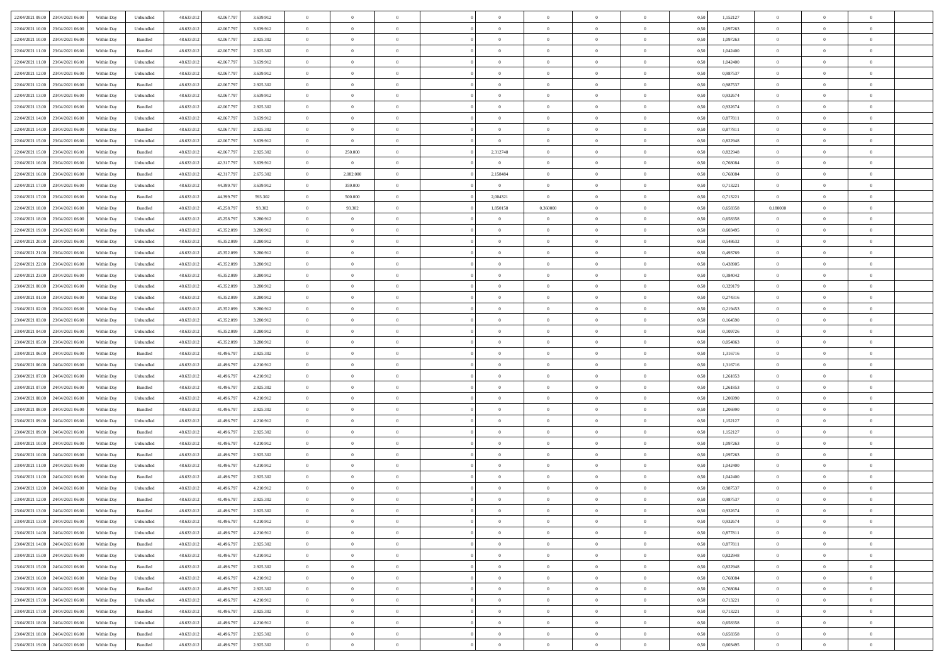| 22/04/2021 09:00 23/04/2021 06:00            | Within Day | Unbundled          | 48.633.01  | 42.067.797 | 3.639.912 | $\overline{0}$ | $\overline{0}$ |                | $\overline{0}$ | $\theta$       |                | $\theta$       | 0,50 | 1,152127 | $\theta$       | $\theta$       | $\overline{0}$ |  |
|----------------------------------------------|------------|--------------------|------------|------------|-----------|----------------|----------------|----------------|----------------|----------------|----------------|----------------|------|----------|----------------|----------------|----------------|--|
| 22/04/2021 10:00<br>23/04/2021 06:00         | Within Day | Unbundled          | 48.633.01  | 42.067.79  | 3.639.912 | $\bf{0}$       | $\bf{0}$       | $\bf{0}$       | $\bf{0}$       | $\overline{0}$ | $\overline{0}$ | $\bf{0}$       | 0,50 | 1,097263 | $\,$ 0 $\,$    | $\bf{0}$       | $\overline{0}$ |  |
| 22/04/2021 10:00<br>23/04/2021 06:00         | Within Day | Bundled            | 48.633.013 | 42.067.797 | 2.925.302 | $\overline{0}$ | $\bf{0}$       | $\overline{0}$ | $\bf{0}$       | $\bf{0}$       | $\overline{0}$ | $\bf{0}$       | 0.50 | 1.097263 | $\overline{0}$ | $\overline{0}$ | $\overline{0}$ |  |
| 22/04/2021 11:00<br>23/04/2021 06:00         | Within Day | Bundled            | 48.633.01  | 42.067.797 | 2.925.302 | $\overline{0}$ | $\overline{0}$ | $\overline{0}$ | $\overline{0}$ | $\theta$       | $\overline{0}$ | $\bf{0}$       | 0,50 | 1,042400 | $\,$ 0 $\,$    | $\theta$       | $\overline{0}$ |  |
|                                              |            |                    |            |            |           |                |                |                |                |                |                |                |      |          |                |                |                |  |
| 22/04/2021 11:00<br>23/04/2021 06.00         | Within Day | Unbundled          | 48.633.01  | 42.067.79  | 3.639.912 | $\bf{0}$       | $\overline{0}$ | $\bf{0}$       | $\overline{0}$ | $\bf{0}$       | $\overline{0}$ | $\bf{0}$       | 0,50 | 1,042400 | $\,$ 0 $\,$    | $\bf{0}$       | $\overline{0}$ |  |
| 22/04/2021 12:00<br>23/04/2021 06:00         | Within Day | Unbundled          | 48.633.013 | 42.067.797 | 3.639.912 | $\overline{0}$ | $\bf{0}$       | $\overline{0}$ | $\bf{0}$       | $\overline{0}$ | $\overline{0}$ | $\bf{0}$       | 0.50 | 0.987537 | $\,$ 0 $\,$    | $\theta$       | $\overline{0}$ |  |
| 22/04/2021 12:00<br>23/04/2021 06:00         | Within Day | Bundled            | 48.633.013 | 42.067.79  | 2.925.302 | $\overline{0}$ | $\overline{0}$ | $\overline{0}$ | $\overline{0}$ | $\overline{0}$ | $\overline{0}$ | $\bf{0}$       | 0,50 | 0,987537 | $\,$ 0 $\,$    | $\theta$       | $\overline{0}$ |  |
| 22/04/2021 13:00<br>23/04/2021 06.00         | Within Day | Unbundled          | 48.633.01  | 42.067.79  | 3.639.912 | $\bf{0}$       | $\bf{0}$       | $\bf{0}$       | $\overline{0}$ | $\overline{0}$ | $\overline{0}$ | $\bf{0}$       | 0,50 | 0,932674 | $\,$ 0 $\,$    | $\bf{0}$       | $\overline{0}$ |  |
| 22/04/2021 13:00<br>23/04/2021 06:00         | Within Day | Bundled            | 48.633.013 | 42,067.79  | 2.925.302 | $\overline{0}$ | $\bf{0}$       | $\overline{0}$ | $\bf{0}$       | $\overline{0}$ | $\overline{0}$ | $\bf{0}$       | 0.50 | 0.932674 | $\bf{0}$       | $\overline{0}$ | $\overline{0}$ |  |
| 22/04/2021 14:00<br>23/04/2021 06:00         | Within Day | Unbundled          | 48.633.012 | 42.067.797 | 3.639.912 | $\bf{0}$       | $\bf{0}$       | $\overline{0}$ | $\overline{0}$ | $\overline{0}$ | $\overline{0}$ | $\bf{0}$       | 0,50 | 0,877811 | $\,$ 0 $\,$    | $\,$ 0 $\,$    | $\overline{0}$ |  |
|                                              |            |                    |            |            |           |                |                |                |                |                |                |                |      |          |                |                |                |  |
| 22/04/2021 14:00<br>23/04/2021 06.00         | Within Day | Bundled            | 48.633.01  | 42.067.79  | 2.925.302 | $\bf{0}$       | $\bf{0}$       | $\bf{0}$       | $\bf{0}$       | $\bf{0}$       | $\overline{0}$ | $\bf{0}$       | 0,50 | 0,877811 | $\,$ 0 $\,$    | $\bf{0}$       | $\overline{0}$ |  |
| 22/04/2021 15:00<br>23/04/2021 06:00         | Within Day | Unbundled          | 48.633.013 | 42.067.797 | 3.639.912 | $\overline{0}$ | $\overline{0}$ | $\overline{0}$ | $\overline{0}$ | $\bf{0}$       | $\overline{0}$ | $\bf{0}$       | 0.50 | 0,822948 | $\bf{0}$       | $\,$ 0 $\,$    | $\,$ 0         |  |
| 22/04/2021 15:00<br>23/04/2021 06:00         | Within Day | Bundled            | 48.633.01  | 42.067.797 | 2.925.302 | $\overline{0}$ | 250.000        | $\overline{0}$ | 2,312748       | $\theta$       | $\overline{0}$ | $\bf{0}$       | 0,50 | 0,822948 | $\,$ 0 $\,$    | $\theta$       | $\overline{0}$ |  |
| 22/04/2021 16:00<br>23/04/2021 06.00         | Within Day | Unbundled          | 48.633.01  | 42.317.79  | 3.639.912 | $\bf{0}$       | $\bf{0}$       | $\bf{0}$       | $\bf{0}$       | $\overline{0}$ | $\overline{0}$ | $\bf{0}$       | 0,50 | 0,768084 | $\,$ 0 $\,$    | $\bf{0}$       | $\overline{0}$ |  |
| 22/04/2021 16:00<br>23/04/2021 06:00         | Within Day | Bundled            | 48.633.013 | 42.317.797 | 2.675.302 | $\overline{0}$ | 2.082.000      | $\overline{0}$ | 2,158484       | $\overline{0}$ | $\overline{0}$ | $\bf{0}$       | 0.50 | 0.768084 | $\,$ 0 $\,$    | $\bf{0}$       | $\overline{0}$ |  |
| 22/04/2021 17:00<br>23/04/2021 06:00         | Within Day | Unbundled          | 48.633.013 | 44.399.797 | 3.639.912 | $\overline{0}$ | 359.000        | $\overline{0}$ | $\overline{0}$ | $\overline{0}$ | $\overline{0}$ | $\bf{0}$       | 0,50 | 0,713221 | $\theta$       | $\theta$       | $\overline{0}$ |  |
|                                              |            |                    |            |            |           |                |                |                |                |                |                |                |      |          |                |                |                |  |
| 22/04/2021 17:00<br>23/04/2021 06.00         | Within Day | Bundled            | 48.633.01  | 44.399.79  | 593.302   | $\bf{0}$       | 500.000        | $\bf{0}$       | 2,004321       | $\overline{0}$ | $\overline{0}$ | $\bf{0}$       | 0,50 | 0,713221 | $\,$ 0 $\,$    | $\bf{0}$       | $\overline{0}$ |  |
| 22/04/2021 18:00<br>23/04/2021 06:00         | Within Day | Bundled            | 48.633.013 | 45.258.79  | 93.302    | $\overline{0}$ | 93.302         | $\overline{0}$ | 1.850158       | 0.360000       | $\overline{0}$ | $\bf{0}$       | 0.50 | 0.658358 | 0.180000       | $\overline{0}$ | $\overline{0}$ |  |
| 22/04/2021 18:00<br>23/04/2021 06:00         | Within Day | Unbundled          | 48.633.013 | 45.258.797 | 3.280.912 | $\bf{0}$       | $\bf{0}$       | $\overline{0}$ | $\overline{0}$ | $\overline{0}$ | $\overline{0}$ | $\bf{0}$       | 0,50 | 0,658358 | $\theta$       | $\bf{0}$       | $\overline{0}$ |  |
| 22/04/2021 19:00<br>23/04/2021 06.00         | Within Day | Unbundled          | 48.633.01  | 45.352.099 | 3.280.912 | $\bf{0}$       | $\bf{0}$       | $\bf{0}$       | $\bf{0}$       | $\overline{0}$ | $\overline{0}$ | $\bf{0}$       | 0,50 | 0,603495 | $\,$ 0 $\,$    | $\bf{0}$       | $\overline{0}$ |  |
| 22/04/2021 20:00<br>23/04/2021 06:00         | Within Day | Unbundled          | 48.633.013 | 45.352.099 | 3.280.912 | $\overline{0}$ | $\bf{0}$       | $\overline{0}$ | $\overline{0}$ | $\bf{0}$       | $\overline{0}$ | $\bf{0}$       | 0.50 | 0.548632 | $\bf{0}$       | $\overline{0}$ | $\,$ 0         |  |
| 22/04/2021 21:00<br>23/04/2021 06:00         | Within Day | Unbundled          | 48.633.01  | 45.352.099 | 3.280.912 | $\overline{0}$ | $\overline{0}$ | $\overline{0}$ | $\theta$       | $\theta$       | $\overline{0}$ | $\bf{0}$       | 0,50 | 0,493769 | $\theta$       | $\theta$       | $\overline{0}$ |  |
|                                              |            |                    |            |            |           |                |                |                |                |                |                |                |      |          |                |                |                |  |
| 22/04/2021 22.00<br>23/04/2021 06.00         | Within Day | Unbundled          | 48.633.01  | 45.352.099 | 3.280.912 | $\bf{0}$       | $\bf{0}$       | $\bf{0}$       | $\bf{0}$       | $\overline{0}$ | $\overline{0}$ | $\bf{0}$       | 0,50 | 0,438905 | $\,$ 0 $\,$    | $\bf{0}$       | $\overline{0}$ |  |
| 22/04/2021 23:00<br>23/04/2021 06:00         | Within Day | Unbundled          | 48.633.013 | 45.352.099 | 3.280.912 | $\overline{0}$ | $\bf{0}$       | $\overline{0}$ | $\bf{0}$       | $\overline{0}$ | $\overline{0}$ | $\bf{0}$       | 0.50 | 0.384042 | $\bf{0}$       | $\theta$       | $\overline{0}$ |  |
| 23/04/2021 00:00<br>23/04/2021 06:00         | Within Day | Unbundled          | 48.633.013 | 45.352.099 | 3.280.912 | $\overline{0}$ | $\overline{0}$ | $\overline{0}$ | $\overline{0}$ | $\overline{0}$ | $\overline{0}$ | $\bf{0}$       | 0,50 | 0,329179 | $\,$ 0 $\,$    | $\theta$       | $\overline{0}$ |  |
| 23/04/2021 01:00<br>23/04/2021 06.00         | Within Day | Unbundled          | 48.633.01  | 45.352.099 | 3.280.912 | $\bf{0}$       | $\overline{0}$ | $\bf{0}$       | $\overline{0}$ | $\overline{0}$ | $\overline{0}$ | $\bf{0}$       | 0,50 | 0,274316 | $\,$ 0 $\,$    | $\bf{0}$       | $\overline{0}$ |  |
| 23/04/2021 02:00<br>23/04/2021 06:00         | Within Day | Unbundled          | 48.633.013 | 45.352.099 | 3.280.912 | $\overline{0}$ | $\bf{0}$       | $\overline{0}$ | $\bf{0}$       | $\overline{0}$ | $\overline{0}$ | $\bf{0}$       | 0.50 | 0.219453 | $\bf{0}$       | $\overline{0}$ | $\overline{0}$ |  |
| 23/04/2021 03:00<br>23/04/2021 06:00         | Within Day | Unbundled          | 48.633.012 | 45.352.099 | 3.280.912 | $\overline{0}$ | $\bf{0}$       | $\overline{0}$ | $\overline{0}$ | $\overline{0}$ | $\overline{0}$ | $\bf{0}$       | 0,50 | 0,164590 | $\theta$       | $\theta$       | $\overline{0}$ |  |
|                                              |            |                    |            |            |           |                |                |                |                |                |                |                |      |          |                |                |                |  |
| 23/04/2021 04:00<br>23/04/2021 06.00         | Within Day | Unbundled          | 48.633.01  | 45.352.099 | 3.280.912 | $\bf{0}$       | $\bf{0}$       | $\bf{0}$       | $\bf{0}$       | $\overline{0}$ | $\overline{0}$ | $\bf{0}$       | 0,50 | 0,109726 | $\,$ 0 $\,$    | $\bf{0}$       | $\overline{0}$ |  |
| 23/04/2021 05:00<br>23/04/2021 06:00         | Within Day | Unbundled          | 48.633.013 | 45.352.099 | 3.280.912 | $\overline{0}$ | $\bf{0}$       | $\overline{0}$ | $\overline{0}$ | $\bf{0}$       | $\overline{0}$ | $\bf{0}$       | 0.50 | 0.054863 | $\bf{0}$       | $\,$ 0 $\,$    | $\,$ 0         |  |
| 23/04/2021 06:00<br>24/04/2021 06:00         | Within Day | Bundled            | 48.633.013 | 41.496.797 | 2.925.302 | $\overline{0}$ | $\overline{0}$ | $\overline{0}$ | $\overline{0}$ | $\overline{0}$ | $\overline{0}$ | $\bf{0}$       | 0.5( | 1,316716 | $\theta$       | $\theta$       | $\overline{0}$ |  |
| 23/04/2021 06:00<br>24/04/2021 06.00         | Within Day | Unbundled          | 48.633.01  | 41.496.79  | 4.210.912 | $\bf{0}$       | $\bf{0}$       | $\bf{0}$       | $\bf{0}$       | $\overline{0}$ | $\overline{0}$ | $\bf{0}$       | 0,50 | 1,316716 | $\,$ 0 $\,$    | $\bf{0}$       | $\overline{0}$ |  |
| 23/04/2021 07:00<br>24/04/2021 06:00         | Within Day | Unbundled          | 48.633.013 | 41.496.797 | 4.210.912 | $\overline{0}$ | $\bf{0}$       | $\overline{0}$ | $\bf{0}$       | $\overline{0}$ | $\overline{0}$ | $\bf{0}$       | 0.50 | 1.261853 | $\,$ 0 $\,$    | $\bf{0}$       | $\overline{0}$ |  |
| 23/04/2021 07:00<br>24/04/2021 06:00         | Within Dav | Bundled            | 48.633.013 | 41.496.797 | 2.925.302 | $\overline{0}$ | $\overline{0}$ | $\overline{0}$ | $\overline{0}$ | $\overline{0}$ | $\overline{0}$ | $\bf{0}$       | 0.50 | 1,261853 | $\theta$       | $\theta$       | $\overline{0}$ |  |
| 23/04/2021 08:00<br>24/04/2021 06.00         | Within Day | Unbundled          | 48.633.01  | 41.496.79  | 4.210.912 | $\bf{0}$       | $\bf{0}$       | $\bf{0}$       | $\bf{0}$       | $\overline{0}$ | $\overline{0}$ | $\bf{0}$       | 0,50 | 1,206990 | $\,$ 0 $\,$    | $\bf{0}$       | $\overline{0}$ |  |
| 24/04/2021 06:00                             |            | Bundled            | 48.633.013 |            | 2.925.302 |                |                |                |                |                | $\overline{0}$ |                |      |          |                |                |                |  |
| 23/04/2021 08:00                             | Within Day |                    |            | 41.496.79  |           | $\overline{0}$ | $\bf{0}$       | $\overline{0}$ | $\bf{0}$       | $\overline{0}$ |                | $\bf{0}$       | 0.50 | 1.206990 | $\bf{0}$       | $\overline{0}$ | $\overline{0}$ |  |
| 23/04/2021 09:00<br>24/04/2021 06:00         | Within Dav | Unbundled          | 48.633.013 | 41.496.797 | 4.210.912 | $\overline{0}$ | $\overline{0}$ | $\overline{0}$ | $\overline{0}$ | $\overline{0}$ | $\overline{0}$ | $\bf{0}$       | 0.50 | 1,152127 | $\theta$       | $\theta$       | $\overline{0}$ |  |
| 23/04/2021 09:00<br>24/04/2021 06.00         | Within Day | Bundled            | 48.633.01  | 41.496.79  | 2.925.302 | $\bf{0}$       | $\bf{0}$       | $\bf{0}$       | $\bf{0}$       | $\overline{0}$ | $\overline{0}$ | $\bf{0}$       | 0,50 | 1,152127 | $\,$ 0 $\,$    | $\bf{0}$       | $\overline{0}$ |  |
| 23/04/2021 10:00<br>24/04/2021 06:00         | Within Day | Unbundled          | 48.633.013 | 41.496.797 | 4.210.912 | $\overline{0}$ | $\bf{0}$       | $\overline{0}$ | $\overline{0}$ | $\bf{0}$       | $\overline{0}$ | $\bf{0}$       | 0.50 | 1.097263 | $\,$ 0 $\,$    | $\,$ 0 $\,$    | $\,$ 0         |  |
| 23/04/2021 10:00<br>24/04/2021 06:00         | Within Day | Bundled            | 48.633.013 | 41.496.797 | 2.925.302 | $\overline{0}$ | $\overline{0}$ | $\overline{0}$ | $\overline{0}$ | $\overline{0}$ | $\overline{0}$ | $\bf{0}$       | 0.5( | 1,097263 | $\theta$       | $\theta$       | $\overline{0}$ |  |
| 23/04/2021 11:00<br>24/04/2021 06.00         | Within Day | Unbundled          | 48.633.013 | 41.496.79  | 4.210.912 | $\bf{0}$       | $\bf{0}$       | $\bf{0}$       | $\bf{0}$       | $\overline{0}$ | $\overline{0}$ | $\bf{0}$       | 0,50 | 1,042400 | $\,$ 0 $\,$    | $\bf{0}$       | $\overline{0}$ |  |
| 23/04/2021 11:00<br>24/04/2021 06:00         | Within Day | Bundled            | 48.633.013 | 41.496.79  | 2.925.302 | $\overline{0}$ | $\bf{0}$       | $\overline{0}$ | $\bf{0}$       | $\overline{0}$ | $\overline{0}$ | $\bf{0}$       | 0.50 | 1.042400 | $\bf{0}$       | $\bf{0}$       | $\overline{0}$ |  |
| 23/04/2021 12:00<br>24/04/2021 06:00         | Within Dav | Unbundled          | 48.633.013 | 41.496.797 | 4.210.912 | $\overline{0}$ | $\overline{0}$ | $\Omega$       | $\theta$       | $\theta$       | $\overline{0}$ | $\overline{0}$ | 0.5( | 0,987537 | $\theta$       | $\theta$       | $\overline{0}$ |  |
|                                              |            |                    |            |            |           |                |                |                |                |                |                |                |      |          |                |                |                |  |
| 23/04/2021 12:00<br>24/04/2021 06:00         | Within Day | Bundled            | 48.633.01  | 41.496.79  | 2.925.302 | $\bf{0}$       | $\bf{0}$       | $\bf{0}$       | $\bf{0}$       | $\bf{0}$       | $\overline{0}$ | $\bf{0}$       | 0,50 | 0,987537 | $\,$ 0 $\,$    | $\bf{0}$       | $\overline{0}$ |  |
| $23/04/2021\ 13.00 \qquad 24/04/2021\ 06.00$ | Within Day | $\mathbf B$ undled | 48.633.012 | 41.496.797 | 2.925.302 | $\bf{0}$       | $\theta$       |                | $\overline{0}$ |                |                |                | 0,50 | 0,932674 | $\bf{0}$       | $\bf{0}$       |                |  |
| 23/04/2021 13:00 24/04/2021 06:00            | Within Day | Unbundled          | 48.633.012 | 41.496.797 | 4.210.912 | $\overline{0}$ | $\overline{0}$ | $\Omega$       | $\theta$       | $\overline{0}$ | $\overline{0}$ | $\bf{0}$       | 0,50 | 0,932674 | $\theta$       | $\theta$       | $\overline{0}$ |  |
| 23/04/2021 14:00<br>24/04/2021 06.00         | Within Day | Unbundled          | 48.633.013 | 41.496.79  | 4.210.912 | $\overline{0}$ | $\bf{0}$       | $\overline{0}$ | $\overline{0}$ | $\bf{0}$       | $\overline{0}$ | $\bf{0}$       | 0,50 | 0,877811 | $\bf{0}$       | $\overline{0}$ | $\bf{0}$       |  |
| 23/04/2021 14:00 24/04/2021 06:00            | Within Day | Bundled            | 48.633.012 | 41.496.797 | 2.925.302 | $\overline{0}$ | $\bf{0}$       | $\overline{0}$ | $\overline{0}$ | $\mathbf{0}$   | $\overline{0}$ | $\,$ 0 $\,$    | 0.50 | 0.877811 | $\overline{0}$ | $\bf{0}$       | $\,$ 0 $\,$    |  |
| 23/04/2021 15:00 24/04/2021 06:00            | Within Day | Unbundled          | 48.633.012 | 41.496.797 | 4.210.912 | $\overline{0}$ | $\overline{0}$ | $\overline{0}$ | $\overline{0}$ | $\overline{0}$ | $\overline{0}$ | $\bf{0}$       | 0,50 | 0,822948 | $\overline{0}$ | $\theta$       | $\overline{0}$ |  |
|                                              |            |                    |            |            |           |                |                |                |                |                |                |                |      |          |                |                |                |  |
| 23/04/2021 15:00<br>24/04/2021 06:00         | Within Day | Bundled            | 48.633.012 | 41.496.797 | 2.925.302 | $\overline{0}$ | $\bf{0}$       | $\overline{0}$ | $\overline{0}$ | $\overline{0}$ | $\overline{0}$ | $\bf{0}$       | 0,50 | 0,822948 | $\bf{0}$       | $\overline{0}$ | $\overline{0}$ |  |
| 24/04/2021 06:00<br>23/04/2021 16:00         | Within Day | Unbundled          | 48.633.012 | 41.496.797 | 4.210.912 | $\overline{0}$ | $\bf{0}$       | $\overline{0}$ | $\overline{0}$ | $\bf{0}$       | $\overline{0}$ | $\bf{0}$       | 0.50 | 0.768084 | $\,$ 0 $\,$    | $\theta$       | $\,$ 0         |  |
| 23/04/2021 16:00 24/04/2021 06:00            | Within Dav | Bundled            | 48.633.012 | 41.496.797 | 2.925.302 | $\overline{0}$ | $\overline{0}$ | $\overline{0}$ | $\overline{0}$ | $\overline{0}$ | $\overline{0}$ | $\bf{0}$       | 0.50 | 0,768084 | $\overline{0}$ | $\theta$       | $\overline{0}$ |  |
| 23/04/2021 17:00<br>24/04/2021 06:00         | Within Day | Unbundled          | 48.633.013 | 41.496.79  | 4.210.912 | $\overline{0}$ | $\overline{0}$ | $\overline{0}$ | $\overline{0}$ | $\overline{0}$ | $\overline{0}$ | $\bf{0}$       | 0,50 | 0,713221 | $\bf{0}$       | $\overline{0}$ | $\overline{0}$ |  |
| 23/04/2021 17:00 24/04/2021 06:00            | Within Day | Bundled            | 48.633.012 | 41.496.797 | 2.925.302 | $\overline{0}$ | $\overline{0}$ | $\overline{0}$ | $\overline{0}$ | $\bf{0}$       | $\overline{0}$ | $\bf{0}$       | 0.50 | 0.713221 | $\mathbf{0}$   | $\bf{0}$       | $\,$ 0         |  |
| 23/04/2021 18:00 24/04/2021 06:00            | Within Dav | Unbundled          | 48.633.012 | 41.496.797 | 4.210.912 | $\overline{0}$ | $\overline{0}$ | $\overline{0}$ | $\overline{0}$ | $\overline{0}$ | $\overline{0}$ | $\bf{0}$       | 0,50 | 0,658358 | $\overline{0}$ | $\theta$       | $\overline{0}$ |  |
|                                              |            |                    |            |            |           |                |                |                |                |                |                |                |      |          |                |                |                |  |
| 23/04/2021 18:00<br>24/04/2021 06.00         | Within Day | Bundled            | 48.633.013 | 41.496.79  | 2.925.302 | $\overline{0}$ | $\bf{0}$       | $\overline{0}$ | $\bf{0}$       | $\overline{0}$ | $\overline{0}$ | $\bf{0}$       | 0,50 | 0,658358 | $\bf{0}$       | $\bf{0}$       | $\overline{0}$ |  |
| 23/04/2021 19:00 24/04/2021 06:00            | Within Day | Bundled            | 48.633.012 | 41.496.797 | 2.925.302 | $\,$ 0 $\,$    | $\bf{0}$       | $\overline{0}$ | $\overline{0}$ | $\,$ 0 $\,$    | $\overline{0}$ | $\bf{0}$       | 0,50 | 0,603495 | $\overline{0}$ | $\,$ 0 $\,$    | $\,$ 0 $\,$    |  |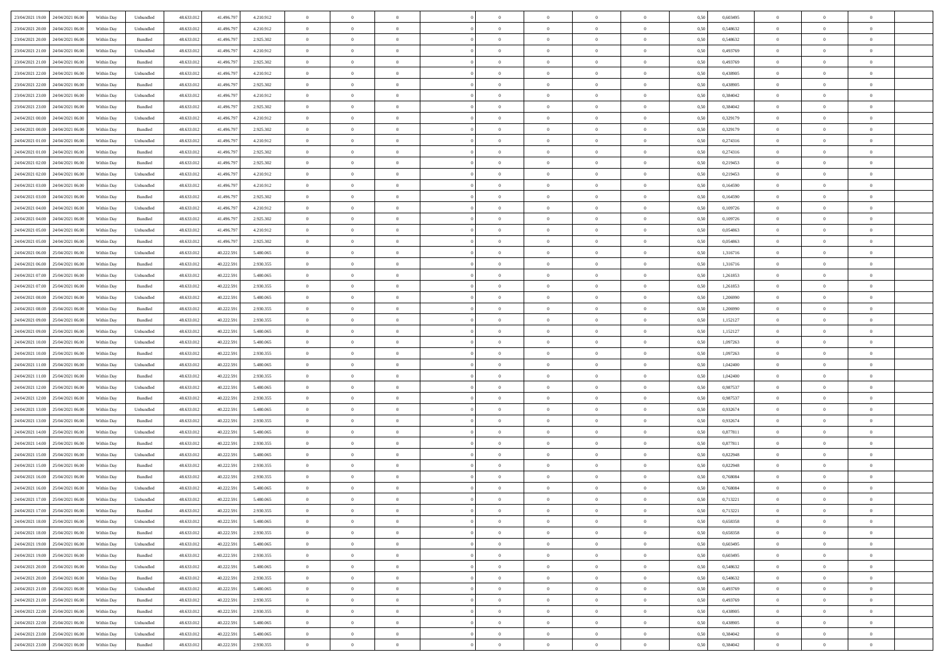|                                      |            |                    |            |            |           | $\overline{0}$ | $\overline{0}$ |                | $\overline{0}$ | $\theta$       |                | $\theta$       |      |          | $\theta$       | $\theta$       | $\overline{0}$ |  |
|--------------------------------------|------------|--------------------|------------|------------|-----------|----------------|----------------|----------------|----------------|----------------|----------------|----------------|------|----------|----------------|----------------|----------------|--|
| 23/04/2021 19:00 24/04/2021 06:00    | Within Day | Unbundled          | 48.633.01  | 41.496.797 | 4.210.912 |                |                |                |                |                |                |                | 0,50 | 0,603495 |                |                |                |  |
| 23/04/2021 20:00<br>24/04/2021 06.00 | Within Day | Unbundled          | 48.633.01  | 41.496.79  | 4.210.912 | $\bf{0}$       | $\bf{0}$       | $\bf{0}$       | $\bf{0}$       | $\overline{0}$ | $\overline{0}$ | $\bf{0}$       | 0,50 | 0,548632 | $\,$ 0 $\,$    | $\bf{0}$       | $\overline{0}$ |  |
| 23/04/2021 20:00<br>24/04/2021 06:00 | Within Day | Bundled            | 48.633.013 | 41.496.797 | 2.925.302 | $\overline{0}$ | $\bf{0}$       | $\overline{0}$ | $\bf{0}$       | $\bf{0}$       | $\overline{0}$ | $\bf{0}$       | 0.50 | 0.548632 | $\overline{0}$ | $\overline{0}$ | $\bf{0}$       |  |
| 23/04/2021 21:00<br>24/04/2021 06:00 | Within Day | Unbundled          | 48.633.01  | 41.496.797 | 4.210.912 | $\overline{0}$ | $\overline{0}$ | $\overline{0}$ | $\overline{0}$ | $\theta$       | $\overline{0}$ | $\bf{0}$       | 0,50 | 0,493769 | $\theta$       | $\theta$       | $\overline{0}$ |  |
| 23/04/2021 21:00<br>24/04/2021 06.00 | Within Day | Bundled            | 48.633.01  | 41.496.79  | 2.925.302 | $\bf{0}$       | $\overline{0}$ | $\bf{0}$       | $\overline{0}$ | $\bf{0}$       | $\overline{0}$ | $\bf{0}$       | 0,50 | 0,493769 | $\,$ 0 $\,$    | $\bf{0}$       | $\overline{0}$ |  |
| 23/04/2021 22:00<br>24/04/2021 06:00 |            | Unbundled          | 48.633.013 | 41.496.797 | 4.210.912 | $\overline{0}$ | $\bf{0}$       | $\overline{0}$ | $\bf{0}$       | $\overline{0}$ | $\overline{0}$ | $\bf{0}$       | 0.50 | 0.438905 | $\,$ 0 $\,$    | $\theta$       | $\overline{0}$ |  |
|                                      | Within Day |                    |            |            |           |                |                |                |                |                |                |                |      |          |                |                |                |  |
| 23/04/2021 22:00<br>24/04/2021 06:00 | Within Day | Bundled            | 48.633.013 | 41.496.797 | 2.925.302 | $\overline{0}$ | $\overline{0}$ | $\overline{0}$ | $\overline{0}$ | $\overline{0}$ | $\overline{0}$ | $\bf{0}$       | 0,50 | 0,438905 | $\,$ 0 $\,$    | $\theta$       | $\overline{0}$ |  |
| 23/04/2021 23:00<br>24/04/2021 06.00 | Within Day | Unbundled          | 48.633.01  | 41.496.79  | 4.210.912 | $\bf{0}$       | $\bf{0}$       | $\bf{0}$       | $\overline{0}$ | $\overline{0}$ | $\overline{0}$ | $\bf{0}$       | 0,50 | 0,384042 | $\,$ 0 $\,$    | $\bf{0}$       | $\overline{0}$ |  |
| 23/04/2021 23:00<br>24/04/2021 06:00 | Within Day | Bundled            | 48.633.013 | 41.496.79  | 2.925.302 | $\overline{0}$ | $\bf{0}$       | $\overline{0}$ | $\bf{0}$       | $\overline{0}$ | $\overline{0}$ | $\bf{0}$       | 0.50 | 0.384042 | $\bf{0}$       | $\overline{0}$ | $\overline{0}$ |  |
| 24/04/2021 00:00<br>24/04/2021 06:00 | Within Day | Unbundled          | 48.633.013 | 41.496.797 | 4.210.912 | $\bf{0}$       | $\bf{0}$       | $\overline{0}$ | $\overline{0}$ | $\overline{0}$ | $\overline{0}$ | $\bf{0}$       | 0,50 | 0,329179 | $\,$ 0 $\,$    | $\,$ 0 $\,$    | $\overline{0}$ |  |
| 24/04/2021 00:00<br>24/04/2021 06.00 | Within Day | Bundled            | 48.633.01  | 41.496.79  | 2.925.302 | $\bf{0}$       | $\bf{0}$       | $\bf{0}$       | $\bf{0}$       | $\overline{0}$ | $\overline{0}$ | $\bf{0}$       | 0,50 | 0,329179 | $\,$ 0 $\,$    | $\bf{0}$       | $\overline{0}$ |  |
| 24/04/2021 01:00<br>24/04/2021 06:00 | Within Day | Unbundled          | 48.633.013 | 41.496.797 | 4.210.912 | $\overline{0}$ | $\bf{0}$       | $\overline{0}$ | $\overline{0}$ | $\bf{0}$       | $\overline{0}$ | $\bf{0}$       | 0.50 | 0,274316 | $\,$ 0 $\,$    | $\,$ 0 $\,$    | $\,$ 0         |  |
| 24/04/2021 01:00<br>24/04/2021 06:00 | Within Day | Bundled            | 48.633.01  | 41.496.797 | 2.925.302 | $\overline{0}$ | $\bf{0}$       | $\overline{0}$ | $\theta$       | $\theta$       | $\overline{0}$ | $\bf{0}$       | 0,50 | 0,274316 | $\,$ 0 $\,$    | $\theta$       | $\overline{0}$ |  |
|                                      |            |                    |            |            |           |                |                |                |                |                |                |                |      |          |                |                |                |  |
| 24/04/2021 02.00<br>24/04/2021 06.00 | Within Day | Bundled            | 48.633.01  | 41.496.79  | 2.925.302 | $\bf{0}$       | $\overline{0}$ | $\bf{0}$       | $\bf{0}$       | $\overline{0}$ | $\overline{0}$ | $\bf{0}$       | 0,50 | 0,219453 | $\,$ 0 $\,$    | $\bf{0}$       | $\overline{0}$ |  |
| 24/04/2021 02.00<br>24/04/2021 06:00 | Within Day | Unbundled          | 48.633.013 | 41.496.797 | 4.210.912 | $\overline{0}$ | $\bf{0}$       | $\overline{0}$ | $\bf{0}$       | $\overline{0}$ | $\overline{0}$ | $\bf{0}$       | 0.50 | 0,219453 | $\,$ 0 $\,$    | $\bf{0}$       | $\overline{0}$ |  |
| 24/04/2021 03:00<br>24/04/2021 06:00 | Within Day | Unbundled          | 48.633.013 | 41.496.797 | 4.210.912 | $\overline{0}$ | $\overline{0}$ | $\overline{0}$ | $\overline{0}$ | $\overline{0}$ | $\overline{0}$ | $\bf{0}$       | 0,50 | 0,164590 | $\theta$       | $\theta$       | $\overline{0}$ |  |
| 24/04/2021 03:00<br>24/04/2021 06.00 | Within Day | Bundled            | 48.633.01  | 41.496.79  | 2.925.302 | $\bf{0}$       | $\bf{0}$       | $\bf{0}$       | $\overline{0}$ | $\overline{0}$ | $\overline{0}$ | $\bf{0}$       | 0,50 | 0,164590 | $\,$ 0 $\,$    | $\bf{0}$       | $\overline{0}$ |  |
| 24/04/2021 04:00<br>24/04/2021 06:00 | Within Day | Unbundled          | 48.633.013 | 41.496.79  | 4.210.912 | $\overline{0}$ | $\bf{0}$       | $\overline{0}$ | $\bf{0}$       | $\overline{0}$ | $\overline{0}$ | $\bf{0}$       | 0.50 | 0.109726 | $\bf{0}$       | $\overline{0}$ | $\bf{0}$       |  |
| 24/04/2021 04:00<br>24/04/2021 06:00 | Within Day | Bundled            | 48.633.013 | 41.496.797 | 2.925.302 | $\bf{0}$       | $\bf{0}$       | $\overline{0}$ | $\overline{0}$ | $\overline{0}$ | $\overline{0}$ | $\bf{0}$       | 0,50 | 0,109726 | $\,$ 0 $\,$    | $\bf{0}$       | $\overline{0}$ |  |
| 24/04/2021 05:00<br>24/04/2021 06.00 | Within Day | Unbundled          | 48.633.01  | 41.496.79  | 4.210.912 | $\bf{0}$       | $\bf{0}$       | $\bf{0}$       | $\bf{0}$       | $\overline{0}$ | $\overline{0}$ | $\bf{0}$       | 0,50 | 0,054863 | $\,$ 0 $\,$    | $\bf{0}$       | $\overline{0}$ |  |
| 24/04/2021 05:00<br>24/04/2021 06:00 | Within Day | Bundled            | 48.633.013 | 41.496.797 | 2.925.302 | $\overline{0}$ | $\bf{0}$       | $\overline{0}$ | $\overline{0}$ | $\bf{0}$       | $\overline{0}$ | $\bf{0}$       | 0.50 | 0.054863 | $\bf{0}$       | $\overline{0}$ | $\,$ 0         |  |
|                                      |            |                    |            |            |           |                |                |                |                |                |                |                |      |          |                |                |                |  |
| 24/04/2021 06:00<br>25/04/2021 06:00 | Within Day | Unbundled          | 48.633.01  | 40.222.591 | 5.480.065 | $\overline{0}$ | $\overline{0}$ | $\overline{0}$ | $\overline{0}$ | $\theta$       | $\overline{0}$ | $\bf{0}$       | 0,50 | 1,316716 | $\theta$       | $\theta$       | $\overline{0}$ |  |
| 24/04/2021 06:00<br>25/04/2021 06.00 | Within Day | Bundled            | 48.633.01  | 40.222.59  | 2.930.355 | $\bf{0}$       | $\bf{0}$       | $\bf{0}$       | $\bf{0}$       | $\overline{0}$ | $\overline{0}$ | $\bf{0}$       | 0,50 | 1,316716 | $\,$ 0 $\,$    | $\bf{0}$       | $\overline{0}$ |  |
| 24/04/2021 07:00<br>25/04/2021 06:00 | Within Day | Unbundled          | 48.633.013 | 40.222.59  | 5.480,065 | $\overline{0}$ | $\bf{0}$       | $\overline{0}$ | $\bf{0}$       | $\overline{0}$ | $\overline{0}$ | $\bf{0}$       | 0.50 | 1.261853 | $\bf{0}$       | $\theta$       | $\overline{0}$ |  |
| 24/04/2021 07:00<br>25/04/2021 06:00 | Within Day | Bundled            | 48.633.013 | 40.222.591 | 2.930.355 | $\overline{0}$ | $\overline{0}$ | $\overline{0}$ | $\overline{0}$ | $\overline{0}$ | $\overline{0}$ | $\bf{0}$       | 0,50 | 1,261853 | $\,$ 0 $\,$    | $\theta$       | $\overline{0}$ |  |
| 24/04/2021 08:00<br>25/04/2021 06.00 | Within Day | Unbundled          | 48.633.01  | 40.222.59  | 5.480.065 | $\bf{0}$       | $\overline{0}$ | $\bf{0}$       | $\overline{0}$ | $\overline{0}$ | $\overline{0}$ | $\bf{0}$       | 0,50 | 1,206990 | $\,$ 0 $\,$    | $\bf{0}$       | $\overline{0}$ |  |
| 24/04/2021 08:00<br>25/04/2021 06:00 | Within Day | Bundled            | 48.633.013 | 40.222.59  | 2.930.355 | $\overline{0}$ | $\bf{0}$       | $\overline{0}$ | $\bf{0}$       | $\overline{0}$ | $\overline{0}$ | $\bf{0}$       | 0.50 | 1.206990 | $\bf{0}$       | $\overline{0}$ | $\overline{0}$ |  |
| 24/04/2021 09:00<br>25/04/2021 06:00 | Within Day | Bundled            | 48.633.01  | 40.222.591 | 2.930.355 | $\overline{0}$ | $\bf{0}$       | $\overline{0}$ | $\overline{0}$ | $\overline{0}$ | $\overline{0}$ | $\bf{0}$       | 0,50 | 1,152127 | $\theta$       | $\bf{0}$       | $\overline{0}$ |  |
| 24/04/2021 09:00<br>25/04/2021 06.00 | Within Day | Unbundled          | 48.633.01  | 40.222.59  | 5.480.065 | $\bf{0}$       | $\bf{0}$       | $\bf{0}$       | $\bf{0}$       | $\overline{0}$ | $\overline{0}$ | $\bf{0}$       | 0,50 | 1,152127 | $\,$ 0 $\,$    | $\bf{0}$       | $\overline{0}$ |  |
| 24/04/2021 10:00<br>25/04/2021 06:00 | Within Day | Unbundled          | 48.633.013 | 40.222.591 | 5.480,065 | $\overline{0}$ | $\bf{0}$       | $\overline{0}$ | $\overline{0}$ | $\bf{0}$       | $\overline{0}$ | $\bf{0}$       | 0.50 | 1.097263 | $\bf{0}$       | $\,$ 0 $\,$    | $\,$ 0         |  |
|                                      |            |                    |            |            |           |                |                |                |                |                |                |                |      |          |                |                |                |  |
| 24/04/2021 10:00<br>25/04/2021 06:00 | Within Day | Bundled            | 48.633.013 | 40.222.591 | 2.930.355 | $\overline{0}$ | $\overline{0}$ | $\overline{0}$ | $\overline{0}$ | $\overline{0}$ | $\overline{0}$ | $\bf{0}$       | 0.5( | 1,097263 | $\theta$       | $\theta$       | $\overline{0}$ |  |
| 24/04/2021 11:00<br>25/04/2021 06.00 | Within Day | Unbundled          | 48.633.01  | 40.222.59  | 5.480.065 | $\bf{0}$       | $\bf{0}$       | $\bf{0}$       | $\bf{0}$       | $\overline{0}$ | $\overline{0}$ | $\bf{0}$       | 0,50 | 1,042400 | $\,$ 0 $\,$    | $\bf{0}$       | $\overline{0}$ |  |
| 24/04/2021 11:00<br>25/04/2021 06:00 | Within Day | Bundled            | 48.633.013 | 40.222.59  | 2.930.355 | $\overline{0}$ | $\bf{0}$       | $\overline{0}$ | $\bf{0}$       | $\overline{0}$ | $\overline{0}$ | $\bf{0}$       | 0.50 | 1.042400 | $\,$ 0 $\,$    | $\bf{0}$       | $\overline{0}$ |  |
| 24/04/2021 12:00<br>25/04/2021 06:00 | Within Dav | Unbundled          | 48.633.013 | 40.222.591 | 5.480,065 | $\overline{0}$ | $\overline{0}$ | $\overline{0}$ | $\overline{0}$ | $\overline{0}$ | $\overline{0}$ | $\bf{0}$       | 0.50 | 0,987537 | $\theta$       | $\theta$       | $\overline{0}$ |  |
| 24/04/2021 12:00<br>25/04/2021 06.00 | Within Day | Bundled            | 48.633.01  | 40.222.59  | 2.930.355 | $\bf{0}$       | $\bf{0}$       | $\bf{0}$       | $\bf{0}$       | $\overline{0}$ | $\overline{0}$ | $\bf{0}$       | 0,50 | 0,987537 | $\,$ 0 $\,$    | $\bf{0}$       | $\overline{0}$ |  |
| 24/04/2021 13:00<br>25/04/2021 06:00 | Within Day | Unbundled          | 48.633.013 | 40.222.59  | 5.480,065 | $\overline{0}$ | $\bf{0}$       | $\overline{0}$ | $\bf{0}$       | $\overline{0}$ | $\overline{0}$ | $\bf{0}$       | 0.50 | 0.932674 | $\bf{0}$       | $\overline{0}$ | $\overline{0}$ |  |
| 24/04/2021 13:00<br>25/04/2021 06:00 | Within Dav | Bundled            | 48.633.013 | 40.222.59  | 2.930.355 | $\overline{0}$ | $\overline{0}$ | $\overline{0}$ | $\overline{0}$ | $\overline{0}$ | $\overline{0}$ | $\bf{0}$       | 0.50 | 0,932674 | $\theta$       | $\theta$       | $\overline{0}$ |  |
| 24/04/2021 14:00<br>25/04/2021 06.00 | Within Day | Unbundled          | 48.633.01  | 40.222.59  | 5.480.065 | $\bf{0}$       | $\bf{0}$       | $\bf{0}$       | $\bf{0}$       | $\overline{0}$ | $\overline{0}$ | $\bf{0}$       | 0,50 | 0,877811 | $\,$ 0 $\,$    | $\bf{0}$       | $\overline{0}$ |  |
|                                      |            |                    |            |            |           |                |                |                |                |                |                |                |      |          |                |                |                |  |
| 24/04/2021 14:00<br>25/04/2021 06:00 | Within Day | Bundled            | 48.633.013 | 40.222.591 | 2.930.355 | $\overline{0}$ | $\bf{0}$       | $\overline{0}$ | $\overline{0}$ | $\bf{0}$       | $\overline{0}$ | $\bf{0}$       | 0.50 | 0.877811 | $\,$ 0 $\,$    | $\,$ 0 $\,$    | $\,$ 0         |  |
| 24/04/2021 15:00<br>25/04/2021 06:00 | Within Dav | Unbundled          | 48.633.013 | 40.222.591 | 5.480,065 | $\overline{0}$ | $\overline{0}$ | $\overline{0}$ | $\overline{0}$ | $\overline{0}$ | $\overline{0}$ | $\bf{0}$       | 0.5( | 0,822948 | $\theta$       | $\theta$       | $\overline{0}$ |  |
| 24/04/2021 15:00<br>25/04/2021 06.00 | Within Day | Bundled            | 48.633.013 | 40.222.59  | 2.930.355 | $\bf{0}$       | $\bf{0}$       | $\bf{0}$       | $\bf{0}$       | $\overline{0}$ | $\overline{0}$ | $\bf{0}$       | 0,50 | 0,822948 | $\,$ 0 $\,$    | $\bf{0}$       | $\overline{0}$ |  |
| 24/04/2021 16:00<br>25/04/2021 06.00 | Within Day | Bundled            | 48.633.013 | 40.222.59  | 2.930.355 | $\overline{0}$ | $\bf{0}$       | $\overline{0}$ | $\bf{0}$       | $\overline{0}$ | $\overline{0}$ | $\bf{0}$       | 0.50 | 0.768084 | $\bf{0}$       | $\theta$       | $\overline{0}$ |  |
| 24/04/2021 16:00<br>25/04/2021 06:00 | Within Dav | Unbundled          | 48.633.013 | 40.222.59  | 5.480,065 | $\overline{0}$ | $\overline{0}$ | $\overline{0}$ | $\theta$       | $\theta$       | $\overline{0}$ | $\overline{0}$ | 0.5( | 0,768084 | $\theta$       | $\theta$       | $\overline{0}$ |  |
| 24/04/2021 17:00<br>25/04/2021 06:00 | Within Day | Unbundled          | 48.633.01  | 40.222.59  | 5.480.065 | $\bf{0}$       | $\bf{0}$       | $\bf{0}$       | $\bf{0}$       | $\bf{0}$       | $\overline{0}$ | $\bf{0}$       | 0,50 | 0,713221 | $\,$ 0 $\,$    | $\overline{0}$ | $\overline{0}$ |  |
| 24/04/2021 17:00 25/04/2021 06:00    | Within Day | $\mathbf B$ undled | 48.633.012 | 40.222.591 | 2.930.355 | $\bf{0}$       | $\theta$       |                | $\overline{0}$ |                |                |                | 0,50 | 0,713221 | $\bf{0}$       | $\bf{0}$       |                |  |
| 24/04/2021 18:00 25/04/2021 06:00    | Within Day | Unbundled          | 48.633.012 | 40.222.591 | 5.480.065 | $\overline{0}$ | $\overline{0}$ | $\Omega$       | $\theta$       | $\overline{0}$ | $\overline{0}$ | $\bf{0}$       | 0,50 | 0,658358 | $\theta$       | $\theta$       | $\overline{0}$ |  |
| 24/04/2021 18:00<br>25/04/2021 06:00 | Within Day | Bundled            | 48.633.013 | 40.222.591 | 2.930.355 | $\overline{0}$ | $\bf{0}$       | $\overline{0}$ | $\overline{0}$ | $\bf{0}$       | $\overline{0}$ |                | 0,50 | 0,658358 | $\bf{0}$       | $\overline{0}$ | $\bf{0}$       |  |
|                                      |            |                    |            |            |           |                |                |                |                |                |                | $\bf{0}$       |      |          |                |                |                |  |
| 24/04/2021 19:00 25/04/2021 06:00    | Within Day | Unbundled          | 48.633.012 | 40.222.591 | 5.480.065 | $\overline{0}$ | $\bf{0}$       | $\overline{0}$ | $\overline{0}$ | $\mathbf{0}$   | $\overline{0}$ | $\,$ 0 $\,$    | 0.50 | 0.603495 | $\overline{0}$ | $\bf{0}$       | $\,$ 0 $\,$    |  |
| 24/04/2021 19:00 25/04/2021 06:00    | Within Day | Bundled            | 48.633.012 | 40.222.591 | 2.930.355 | $\overline{0}$ | $\overline{0}$ | $\overline{0}$ | $\overline{0}$ | $\overline{0}$ | $\overline{0}$ | $\bf{0}$       | 0,50 | 0,603495 | $\overline{0}$ | $\theta$       | $\overline{0}$ |  |
| 24/04/2021 20:00<br>25/04/2021 06:00 | Within Day | Unbundled          | 48.633.012 | 40.222.591 | 5.480.065 | $\overline{0}$ | $\bf{0}$       | $\overline{0}$ | $\overline{0}$ | $\overline{0}$ | $\overline{0}$ | $\bf{0}$       | 0,50 | 0,548632 | $\bf{0}$       | $\overline{0}$ | $\overline{0}$ |  |
| 24/04/2021 20:00 25/04/2021 06:00    | Within Day | Bundled            | 48.633.012 | 40.222.591 | 2.930.355 | $\overline{0}$ | $\bf{0}$       | $\overline{0}$ | $\overline{0}$ | $\bf{0}$       | $\overline{0}$ | $\bf{0}$       | 0.50 | 0.548632 | $\,$ 0 $\,$    | $\overline{0}$ | $\,$ 0         |  |
| 24/04/2021 21:00 25/04/2021 06:00    | Within Dav | Unbundled          | 48.633.012 | 40.222.591 | 5.480.065 | $\overline{0}$ | $\overline{0}$ | $\overline{0}$ | $\overline{0}$ | $\overline{0}$ | $\overline{0}$ | $\bf{0}$       | 0.50 | 0,493769 | $\overline{0}$ | $\theta$       | $\overline{0}$ |  |
| 24/04/2021 21:00<br>25/04/2021 06:00 | Within Day | Bundled            | 48.633.013 | 40.222.591 | 2.930.355 | $\overline{0}$ | $\overline{0}$ | $\overline{0}$ | $\overline{0}$ | $\overline{0}$ | $\overline{0}$ | $\bf{0}$       | 0,50 | 0,493769 | $\bf{0}$       | $\overline{0}$ | $\,$ 0         |  |
| 24/04/2021 22:00 25/04/2021 06:00    | Within Day | Bundled            | 48.633.012 | 40.222.59  | 2.930.355 | $\overline{0}$ | $\overline{0}$ | $\overline{0}$ | $\overline{0}$ | $\overline{0}$ | $\overline{0}$ | $\bf{0}$       | 0.50 | 0.438905 | $\mathbf{0}$   | $\bf{0}$       | $\,$ 0         |  |
|                                      |            |                    |            |            |           |                | $\overline{0}$ |                |                | $\overline{0}$ |                |                |      |          |                | $\theta$       | $\overline{0}$ |  |
| 24/04/2021 22:00 25/04/2021 06:00    | Within Dav | Unbundled          | 48.633.012 | 40.222.591 | 5.480.065 | $\overline{0}$ |                | $\overline{0}$ | $\overline{0}$ |                | $\overline{0}$ | $\bf{0}$       | 0,50 | 0,438905 | $\overline{0}$ |                |                |  |
| 24/04/2021 23:00<br>25/04/2021 06:00 | Within Day | Unbundled          | 48.633.013 | 40.222.591 | 5.480.065 | $\overline{0}$ | $\bf{0}$       | $\overline{0}$ | $\bf{0}$       | $\overline{0}$ | $\overline{0}$ | $\bf{0}$       | 0,50 | 0,384042 | $\bf{0}$       | $\,$ 0 $\,$    | $\bf{0}$       |  |
| 24/04/2021 23:00 25/04/2021 06:00    | Within Day | Bundled            | 48.633.012 | 40.222.591 | 2.930.355 | $\,$ 0 $\,$    | $\bf{0}$       | $\overline{0}$ | $\overline{0}$ | $\,$ 0 $\,$    | $\overline{0}$ | $\,$ 0 $\,$    | 0,50 | 0,384042 | $\overline{0}$ | $\,$ 0 $\,$    | $\,$ 0 $\,$    |  |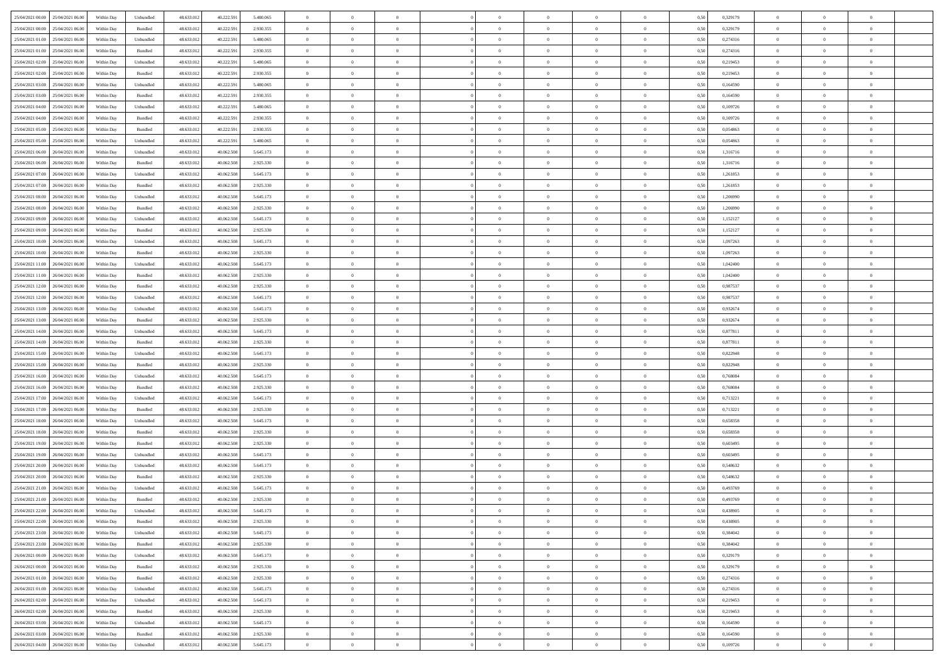| 25/04/2021 00:00 25/04/2021 06:00    | Within Day | Unbundled         | 48.633.01  | 40.222.591 | 5.480.065 | $\overline{0}$ | $\overline{0}$ |                | $\overline{0}$ | $\theta$       |                | $\theta$       | 0,50 | 0,329179 | $\theta$       | $\theta$       | $\overline{0}$ |  |
|--------------------------------------|------------|-------------------|------------|------------|-----------|----------------|----------------|----------------|----------------|----------------|----------------|----------------|------|----------|----------------|----------------|----------------|--|
| 25/04/2021 00:00<br>25/04/2021 06.00 | Within Day | Bundled           | 48.633.01  | 40.222.59  | 2.930.355 | $\bf{0}$       | $\bf{0}$       | $\bf{0}$       | $\bf{0}$       | $\overline{0}$ | $\overline{0}$ | $\bf{0}$       | 0,50 | 0,329179 | $\,$ 0 $\,$    | $\bf{0}$       | $\overline{0}$ |  |
| 25/04/2021 01:00<br>25/04/2021 06:00 | Within Day | Unbundled         | 48.633.012 | 40.222.591 | 5.480,065 | $\overline{0}$ | $\bf{0}$       | $\overline{0}$ | $\bf{0}$       | $\bf{0}$       | $\overline{0}$ | $\bf{0}$       | 0.50 | 0,274316 | $\bf{0}$       | $\overline{0}$ | $\overline{0}$ |  |
| 25/04/2021 01:00<br>25/04/2021 06:00 | Within Day | Bundled           | 48.633.01  | 40.222.591 | 2.930.355 | $\overline{0}$ | $\overline{0}$ | $\overline{0}$ | $\theta$       | $\theta$       | $\overline{0}$ | $\bf{0}$       | 0,50 | 0,274316 | $\,$ 0 $\,$    | $\theta$       | $\overline{0}$ |  |
| 25/04/2021 02.00<br>25/04/2021 06.00 | Within Day | Unbundled         | 48.633.01  | 40.222.59  | 5.480.065 | $\bf{0}$       | $\overline{0}$ | $\bf{0}$       | $\overline{0}$ | $\bf{0}$       | $\overline{0}$ | $\bf{0}$       | 0,50 | 0,219453 | $\,$ 0 $\,$    | $\bf{0}$       | $\overline{0}$ |  |
|                                      |            |                   |            |            |           |                |                |                |                |                |                |                |      |          |                |                |                |  |
| 25/04/2021 02:00<br>25/04/2021 06:00 | Within Day | Bundled           | 48.633.013 | 40.222.59  | 2.930.355 | $\overline{0}$ | $\bf{0}$       | $\overline{0}$ | $\bf{0}$       | $\overline{0}$ | $\theta$       | $\bf{0}$       | 0.50 | 0,219453 | $\,$ 0 $\,$    | $\theta$       | $\overline{0}$ |  |
| 25/04/2021 03:00<br>25/04/2021 06:00 | Within Day | Unbundled         | 48.633.013 | 40.222.591 | 5.480.065 | $\overline{0}$ | $\overline{0}$ | $\overline{0}$ | $\overline{0}$ | $\overline{0}$ | $\overline{0}$ | $\bf{0}$       | 0,50 | 0,164590 | $\,$ 0 $\,$    | $\theta$       | $\overline{0}$ |  |
| 25/04/2021 03:00<br>25/04/2021 06.00 | Within Day | Bundled           | 48.633.01  | 40.222.59  | 2.930.355 | $\bf{0}$       | $\bf{0}$       | $\bf{0}$       | $\overline{0}$ | $\overline{0}$ | $\overline{0}$ | $\bf{0}$       | 0,50 | 0,164590 | $\,$ 0 $\,$    | $\bf{0}$       | $\overline{0}$ |  |
| 25/04/2021 04:00<br>25/04/2021 06:00 | Within Day | Unbundled         | 48.633.013 | 40.222.59  | 5.480.065 | $\overline{0}$ | $\bf{0}$       | $\overline{0}$ | $\bf{0}$       | $\overline{0}$ | $\overline{0}$ | $\bf{0}$       | 0.50 | 0.109726 | $\bf{0}$       | $\overline{0}$ | $\overline{0}$ |  |
| 25/04/2021 04:00<br>25/04/2021 06:00 | Within Day | Bundled           | 48.633.012 | 40.222.591 | 2.930.355 | $\overline{0}$ | $\bf{0}$       | $\overline{0}$ | $\overline{0}$ | $\overline{0}$ | $\overline{0}$ | $\bf{0}$       | 0,50 | 0,109726 | $\,$ 0 $\,$    | $\bf{0}$       | $\overline{0}$ |  |
| 25/04/2021 05:00<br>25/04/2021 06.00 | Within Day | Bundled           | 48.633.01  | 40.222.59  | 2.930.355 | $\bf{0}$       | $\bf{0}$       | $\bf{0}$       | $\bf{0}$       | $\overline{0}$ | $\overline{0}$ | $\bf{0}$       | 0,50 | 0,054863 | $\,$ 0 $\,$    | $\bf{0}$       | $\overline{0}$ |  |
|                                      |            |                   |            |            |           |                |                |                |                |                |                |                |      |          |                |                |                |  |
| 25/04/2021 05:00<br>25/04/2021 06:00 | Within Day | Unbundled         | 48.633.013 | 40.222.591 | 5.480,065 | $\overline{0}$ | $\bf{0}$       | $\overline{0}$ | $\overline{0}$ | $\bf{0}$       | $\overline{0}$ | $\bf{0}$       | 0.50 | 0.054863 | $\bf{0}$       | $\overline{0}$ | $\,$ 0         |  |
| 25/04/2021 06:00<br>26/04/2021 06:00 | Within Day | Unbundled         | 48.633.01  | 40.062.508 | 5.645.173 | $\overline{0}$ | $\overline{0}$ | $\overline{0}$ | $\theta$       | $\theta$       | $\overline{0}$ | $\bf{0}$       | 0,50 | 1,316716 | $\,$ 0 $\,$    | $\theta$       | $\overline{0}$ |  |
| 25/04/2021 06:00<br>26/04/2021 06.00 | Within Day | Bundled           | 48.633.01  | 40.062.508 | 2.925.330 | $\bf{0}$       | $\overline{0}$ | $\bf{0}$       | $\overline{0}$ | $\bf{0}$       | $\overline{0}$ | $\bf{0}$       | 0,50 | 1,316716 | $\,$ 0 $\,$    | $\bf{0}$       | $\overline{0}$ |  |
| 25/04/2021 07:00<br>26/04/2021 06:00 | Within Day | Unbundled         | 48.633.013 | 40.062.508 | 5.645.173 | $\overline{0}$ | $\bf{0}$       | $\overline{0}$ | $\bf{0}$       | $\overline{0}$ | $\overline{0}$ | $\bf{0}$       | 0.50 | 1.261853 | $\,$ 0 $\,$    | $\theta$       | $\overline{0}$ |  |
| 25/04/2021 07:00<br>26/04/2021 06:00 | Within Day | Bundled           | 48.633.013 | 40.062.508 | 2.925.330 | $\overline{0}$ | $\overline{0}$ | $\overline{0}$ | $\overline{0}$ | $\overline{0}$ | $\overline{0}$ | $\bf{0}$       | 0,50 | 1,261853 | $\theta$       | $\theta$       | $\overline{0}$ |  |
| 25/04/2021 08:00<br>26/04/2021 06.00 | Within Day | Unbundled         | 48.633.01  | 40.062.508 | 5.645.173 | $\bf{0}$       | $\bf{0}$       | $\bf{0}$       | $\overline{0}$ | $\bf{0}$       | $\overline{0}$ | $\bf{0}$       | 0,50 | 1,206990 | $\,$ 0 $\,$    | $\bf{0}$       | $\overline{0}$ |  |
| 25/04/2021 08:00<br>26/04/2021 06:00 | Within Day | Bundled           | 48.633.013 | 40.062.508 | 2.925.330 | $\overline{0}$ | $\bf{0}$       | $\overline{0}$ | $\bf{0}$       | $\overline{0}$ | $\overline{0}$ | $\bf{0}$       | 0.50 | 1.206990 | $\bf{0}$       | $\overline{0}$ | $\overline{0}$ |  |
| 25/04/2021 09:00<br>26/04/2021 06:00 | Within Day | Unbundled         | 48.633.013 | 40.062.508 | 5.645.173 | $\bf{0}$       | $\bf{0}$       | $\overline{0}$ | $\overline{0}$ | $\overline{0}$ | $\overline{0}$ | $\bf{0}$       | 0,50 | 1,152127 | $\,$ 0 $\,$    | $\bf{0}$       | $\overline{0}$ |  |
|                                      |            |                   |            |            |           |                |                |                |                |                |                |                |      |          |                |                |                |  |
| 25/04/2021 09:00<br>26/04/2021 06.00 | Within Day | Bundled           | 48.633.01  | 40.062.508 | 2.925.330 | $\bf{0}$       | $\bf{0}$       | $\bf{0}$       | $\bf{0}$       | $\overline{0}$ | $\overline{0}$ | $\bf{0}$       | 0,50 | 1,152127 | $\,$ 0 $\,$    | $\bf{0}$       | $\overline{0}$ |  |
| 25/04/2021 10:00<br>26/04/2021 06:00 | Within Day | Unbundled         | 48.633.013 | 40.062.508 | 5.645.173 | $\overline{0}$ | $\bf{0}$       | $\overline{0}$ | $\overline{0}$ | $\bf{0}$       | $\overline{0}$ | $\bf{0}$       | 0.50 | 1.097263 | $\bf{0}$       | $\overline{0}$ | $\,$ 0         |  |
| 25/04/2021 10:00<br>26/04/2021 06:00 | Within Day | Bundled           | 48.633.01  | 40.062.508 | 2.925.330 | $\overline{0}$ | $\overline{0}$ | $\overline{0}$ | $\overline{0}$ | $\theta$       | $\overline{0}$ | $\bf{0}$       | 0,50 | 1,097263 | $\theta$       | $\theta$       | $\overline{0}$ |  |
| 25/04/2021 11:00<br>26/04/2021 06.00 | Within Day | Unbundled         | 48.633.01  | 40.062.508 | 5.645.173 | $\bf{0}$       | $\bf{0}$       | $\bf{0}$       | $\bf{0}$       | $\overline{0}$ | $\overline{0}$ | $\bf{0}$       | 0,50 | 1,042400 | $\,$ 0 $\,$    | $\bf{0}$       | $\overline{0}$ |  |
| 25/04/2021 11:00<br>26/04/2021 06:00 | Within Day | Bundled           | 48.633.013 | 40.062.508 | 2.925.330 | $\overline{0}$ | $\bf{0}$       | $\overline{0}$ | $\bf{0}$       | $\overline{0}$ | $\theta$       | $\bf{0}$       | 0.50 | 1.042400 | $\,$ 0 $\,$    | $\theta$       | $\overline{0}$ |  |
| 25/04/2021 12:00<br>26/04/2021 06:00 | Within Day | Bundled           | 48.633.013 | 40.062.508 | 2.925.330 | $\overline{0}$ | $\overline{0}$ | $\overline{0}$ | $\overline{0}$ | $\overline{0}$ | $\overline{0}$ | $\bf{0}$       | 0,50 | 0,987537 | $\,$ 0 $\,$    | $\theta$       | $\overline{0}$ |  |
| 25/04/2021 12:00<br>26/04/2021 06.00 | Within Day | Unbundled         | 48.633.01  | 40.062.508 | 5.645.173 | $\bf{0}$       | $\overline{0}$ | $\bf{0}$       | $\overline{0}$ | $\bf{0}$       | $\overline{0}$ | $\bf{0}$       | 0,50 | 0,987537 | $\,$ 0 $\,$    | $\bf{0}$       | $\overline{0}$ |  |
|                                      |            |                   |            |            |           |                |                |                |                |                |                |                |      |          |                |                |                |  |
| 25/04/2021 13:00<br>26/04/2021 06:00 | Within Day | Unbundled         | 48.633.013 | 40.062.508 | 5.645.173 | $\overline{0}$ | $\bf{0}$       | $\overline{0}$ | $\bf{0}$       | $\overline{0}$ | $\overline{0}$ | $\bf{0}$       | 0.50 | 0.932674 | $\bf{0}$       | $\overline{0}$ | $\overline{0}$ |  |
| 25/04/2021 13:00<br>26/04/2021 06:00 | Within Day | Bundled           | 48.633.01  | 40.062.508 | 2.925.330 | $\overline{0}$ | $\bf{0}$       | $\overline{0}$ | $\overline{0}$ | $\overline{0}$ | $\overline{0}$ | $\bf{0}$       | 0,50 | 0,932674 | $\theta$       | $\theta$       | $\overline{0}$ |  |
| 25/04/2021 14:00<br>26/04/2021 06.00 | Within Day | Unbundled         | 48.633.01  | 40.062.508 | 5.645.173 | $\bf{0}$       | $\bf{0}$       | $\bf{0}$       | $\bf{0}$       | $\overline{0}$ | $\overline{0}$ | $\bf{0}$       | 0,50 | 0,877811 | $\,$ 0 $\,$    | $\bf{0}$       | $\overline{0}$ |  |
| 25/04/2021 14:00<br>26/04/2021 06:00 | Within Day | Bundled           | 48.633.013 | 40.062.508 | 2.925.330 | $\overline{0}$ | $\bf{0}$       | $\overline{0}$ | $\overline{0}$ | $\bf{0}$       | $\overline{0}$ | $\bf{0}$       | 0.50 | 0.877811 | $\bf{0}$       | $\overline{0}$ | $\,$ 0         |  |
| 25/04/2021 15:00<br>26/04/2021 06:00 | Within Day | Unbundled         | 48.633.013 | 40.062.508 | 5.645.173 | $\overline{0}$ | $\overline{0}$ | $\overline{0}$ | $\overline{0}$ | $\overline{0}$ | $\overline{0}$ | $\bf{0}$       | 0.5( | 0,822948 | $\theta$       | $\theta$       | $\overline{0}$ |  |
| 25/04/2021 15:00<br>26/04/2021 06.00 | Within Day | Bundled           | 48.633.01  | 40.062.508 | 2.925.330 | $\bf{0}$       | $\overline{0}$ | $\bf{0}$       | $\bf{0}$       | $\overline{0}$ | $\overline{0}$ | $\bf{0}$       | 0,50 | 0,822948 | $\,$ 0 $\,$    | $\bf{0}$       | $\overline{0}$ |  |
| 25/04/2021 16:00<br>26/04/2021 06:00 | Within Day | Unbundled         | 48.633.013 | 40.062.508 | 5.645.173 | $\overline{0}$ | $\bf{0}$       | $\overline{0}$ | $\bf{0}$       | $\overline{0}$ | $\overline{0}$ | $\bf{0}$       | 0.50 | 0.768084 | $\,$ 0 $\,$    | $\bf{0}$       | $\overline{0}$ |  |
| 25/04/2021 16:00<br>26/04/2021 06:00 | Within Dav | Bundled           | 48.633.013 | 40.062.508 | 2.925.330 | $\overline{0}$ | $\overline{0}$ | $\overline{0}$ | $\overline{0}$ | $\overline{0}$ | $\overline{0}$ | $\bf{0}$       | 0.50 | 0,768084 | $\theta$       | $\theta$       | $\overline{0}$ |  |
|                                      |            |                   |            |            |           |                |                |                |                |                | $\overline{0}$ |                |      |          |                |                |                |  |
| 25/04/2021 17:00<br>26/04/2021 06.00 | Within Day | Unbundled         | 48.633.01  | 40.062.508 | 5.645.173 | $\bf{0}$       | $\bf{0}$       | $\bf{0}$       | $\bf{0}$       | $\overline{0}$ |                | $\bf{0}$       | 0,50 | 0,713221 | $\,$ 0 $\,$    | $\bf{0}$       | $\overline{0}$ |  |
| 25/04/2021 17:00<br>26/04/2021 06:00 | Within Day | Bundled           | 48.633.013 | 40.062.508 | 2.925.330 | $\overline{0}$ | $\bf{0}$       | $\overline{0}$ | $\bf{0}$       | $\overline{0}$ | $\overline{0}$ | $\bf{0}$       | 0.50 | 0.713221 | $\bf{0}$       | $\overline{0}$ | $\overline{0}$ |  |
| 25/04/2021 18:00<br>26/04/2021 06:00 | Within Dav | Unbundled         | 48.633.013 | 40.062.50  | 5.645.173 | $\overline{0}$ | $\overline{0}$ | $\overline{0}$ | $\overline{0}$ | $\overline{0}$ | $\overline{0}$ | $\bf{0}$       | 0.50 | 0,658358 | $\theta$       | $\theta$       | $\overline{0}$ |  |
| 25/04/2021 18:00<br>26/04/2021 06.00 | Within Day | Bundled           | 48.633.01  | 40.062.508 | 2.925.330 | $\bf{0}$       | $\bf{0}$       | $\bf{0}$       | $\bf{0}$       | $\overline{0}$ | $\overline{0}$ | $\bf{0}$       | 0,50 | 0,658358 | $\,$ 0 $\,$    | $\bf{0}$       | $\overline{0}$ |  |
| 25/04/2021 19:00<br>26/04/2021 06:00 | Within Day | Bundled           | 48.633.013 | 40.062.508 | 2.925.330 | $\overline{0}$ | $\bf{0}$       | $\overline{0}$ | $\overline{0}$ | $\bf{0}$       | $\overline{0}$ | $\bf{0}$       | 0.50 | 0.603495 | $\,$ 0 $\,$    | $\overline{0}$ | $\overline{0}$ |  |
| 25/04/2021 19:00<br>26/04/2021 06:00 | Within Dav | Unbundled         | 48.633.013 | 40.062.508 | 5.645.173 | $\overline{0}$ | $\overline{0}$ | $\overline{0}$ | $\overline{0}$ | $\overline{0}$ | $\overline{0}$ | $\bf{0}$       | 0.50 | 0,603495 | $\theta$       | $\theta$       | $\overline{0}$ |  |
| 25/04/2021 20:00<br>26/04/2021 06.00 | Within Day | Unbundled         | 48.633.013 | 40.062.508 | 5.645.173 | $\bf{0}$       | $\bf{0}$       | $\bf{0}$       | $\bf{0}$       | $\overline{0}$ | $\overline{0}$ | $\bf{0}$       | 0,50 | 0,548632 | $\,$ 0 $\,$    | $\bf{0}$       | $\overline{0}$ |  |
| 25/04/2021 20:00<br>26/04/2021 06:00 | Within Day | Bundled           | 48.633.013 | 40.062.508 | 2.925.330 | $\overline{0}$ | $\overline{0}$ | $\overline{0}$ | $\bf{0}$       | $\overline{0}$ | $\overline{0}$ | $\bf{0}$       | 0.50 | 0.548632 | $\bf{0}$       | $\theta$       | $\overline{0}$ |  |
| 25/04/2021 21:00<br>26/04/2021 06:00 | Within Dav | Unbundled         | 48.633.013 | 40.062.50  | 5.645.173 | $\overline{0}$ | $\overline{0}$ | $\Omega$       | $\overline{0}$ | $\theta$       | $\overline{0}$ | $\overline{0}$ | 0.5( | 0,493769 | $\theta$       | $\theta$       | $\overline{0}$ |  |
|                                      |            |                   |            |            |           |                |                |                |                |                |                |                |      |          |                |                |                |  |
| 25/04/2021 21:00<br>26/04/2021 06.00 | Within Day | Bundled           | 48.633.01  | 40.062.508 | 2.925.330 | $\bf{0}$       | $\bf{0}$       | $\bf{0}$       | $\bf{0}$       | $\bf{0}$       | $\overline{0}$ | $\bf{0}$       | 0,50 | 0,493769 | $\,$ 0 $\,$    | $\bf{0}$       | $\overline{0}$ |  |
| 25/04/2021 22:00 26/04/2021 06:00    | Within Day | ${\sf Unbundred}$ | 48.633.012 | 40.062.508 | 5.645.173 | $\bf{0}$       | $\theta$       |                | $\overline{0}$ |                |                |                | 0,50 | 0.438905 | $\bf{0}$       | $\overline{0}$ |                |  |
| 25/04/2021 22:00 26/04/2021 06:00    | Within Day | Bundled           | 48.633.012 | 40.062.508 | 2.925.330 | $\overline{0}$ | $\overline{0}$ | $\Omega$       | $\theta$       | $\overline{0}$ | $\overline{0}$ | $\bf{0}$       | 0,50 | 0,438905 | $\theta$       | $\theta$       | $\overline{0}$ |  |
| 25/04/2021 23:00<br>26/04/2021 06.00 | Within Day | Unbundled         | 48.633.013 | 40.062.508 | 5.645.173 | $\overline{0}$ | $\bf{0}$       | $\overline{0}$ | $\overline{0}$ | $\bf{0}$       | $\overline{0}$ | $\bf{0}$       | 0,50 | 0,384042 | $\bf{0}$       | $\overline{0}$ | $\bf{0}$       |  |
| 25/04/2021 23:00 26/04/2021 06:00    | Within Day | Bundled           | 48.633.012 | 40.062.508 | 2.925.330 | $\overline{0}$ | $\bf{0}$       | $\overline{0}$ | $\overline{0}$ | $\mathbf{0}$   | $\overline{0}$ | $\,$ 0 $\,$    | 0.50 | 0.384042 | $\overline{0}$ | $\bf{0}$       | $\,$ 0 $\,$    |  |
| 26/04/2021 00:00 26/04/2021 06:00    | Within Day | Unbundled         | 48.633.012 | 40.062.508 | 5.645.173 | $\overline{0}$ | $\overline{0}$ | $\overline{0}$ | $\overline{0}$ | $\overline{0}$ | $\overline{0}$ | $\bf{0}$       | 0,50 | 0,329179 | $\overline{0}$ | $\theta$       | $\overline{0}$ |  |
| 26/04/2021 00:00<br>26/04/2021 06.00 | Within Day | Bundled           | 48.633.012 | 40.062.508 | 2.925.330 | $\overline{0}$ | $\bf{0}$       | $\overline{0}$ | $\overline{0}$ | $\overline{0}$ | $\overline{0}$ | $\bf{0}$       | 0,50 | 0,329179 | $\bf{0}$       | $\overline{0}$ | $\overline{0}$ |  |
|                                      |            |                   | 48.633.012 | 40.062.508 |           |                |                | $\overline{0}$ |                |                | $\overline{0}$ |                | 0.50 |          | $\,$ 0 $\,$    | $\theta$       | $\,$ 0         |  |
| 26/04/2021 01:00<br>26/04/2021 06:00 | Within Day | Bundled           |            |            | 2.925.330 | $\overline{0}$ | $\bf{0}$       |                | $\overline{0}$ | $\bf{0}$       |                | $\bf{0}$       |      | 0,274316 |                |                |                |  |
| 26/04/2021 01:00<br>26/04/2021 06:00 | Within Dav | Unbundled         | 48.633.012 | 40.062.508 | 5.645.173 | $\overline{0}$ | $\overline{0}$ | $\overline{0}$ | $\overline{0}$ | $\overline{0}$ | $\overline{0}$ | $\bf{0}$       | 0.50 | 0,274316 | $\overline{0}$ | $\theta$       | $\overline{0}$ |  |
| 26/04/2021 02:00<br>26/04/2021 06.00 | Within Day | Unbundled         | 48.633.013 | 40.062.508 | 5.645.173 | $\overline{0}$ | $\overline{0}$ | $\overline{0}$ | $\overline{0}$ | $\overline{0}$ | $\overline{0}$ | $\bf{0}$       | 0,50 | 0,219453 | $\bf{0}$       | $\overline{0}$ | $\overline{0}$ |  |
| 26/04/2021 02:00<br>26/04/2021 06:00 | Within Day | Bundled           | 48.633.012 | 40.062.508 | 2.925.330 | $\overline{0}$ | $\overline{0}$ | $\overline{0}$ | $\overline{0}$ | $\overline{0}$ | $\overline{0}$ | $\bf{0}$       | 0.50 | 0.219453 | $\mathbf{0}$   | $\bf{0}$       | $\,$ 0         |  |
| 26/04/2021 03:00 26/04/2021 06:00    | Within Dav | Unbundled         | 48.633.012 | 40.062.508 | 5.645.173 | $\overline{0}$ | $\overline{0}$ | $\overline{0}$ | $\overline{0}$ | $\overline{0}$ | $\overline{0}$ | $\bf{0}$       | 0,50 | 0,164590 | $\overline{0}$ | $\theta$       | $\overline{0}$ |  |
| 26/04/2021 03:00<br>26/04/2021 06.00 | Within Day | Bundled           | 48.633.013 | 40.062.508 | 2.925.330 | $\overline{0}$ | $\bf{0}$       | $\overline{0}$ | $\bf{0}$       | $\overline{0}$ | $\overline{0}$ | $\bf{0}$       | 0,50 | 0,164590 | $\bf{0}$       | $\bf{0}$       | $\bf{0}$       |  |
| 26/04/2021 04:00 26/04/2021 06:00    | Within Day | Unbundled         | 48.633.012 | 40.062.508 | 5.645.173 | $\,$ 0 $\,$    | $\bf{0}$       | $\overline{0}$ | $\overline{0}$ | $\,$ 0 $\,$    | $\overline{0}$ | $\bf{0}$       | 0,50 | 0,109726 | $\overline{0}$ | $\,$ 0 $\,$    | $\,$ 0 $\,$    |  |
|                                      |            |                   |            |            |           |                |                |                |                |                |                |                |      |          |                |                |                |  |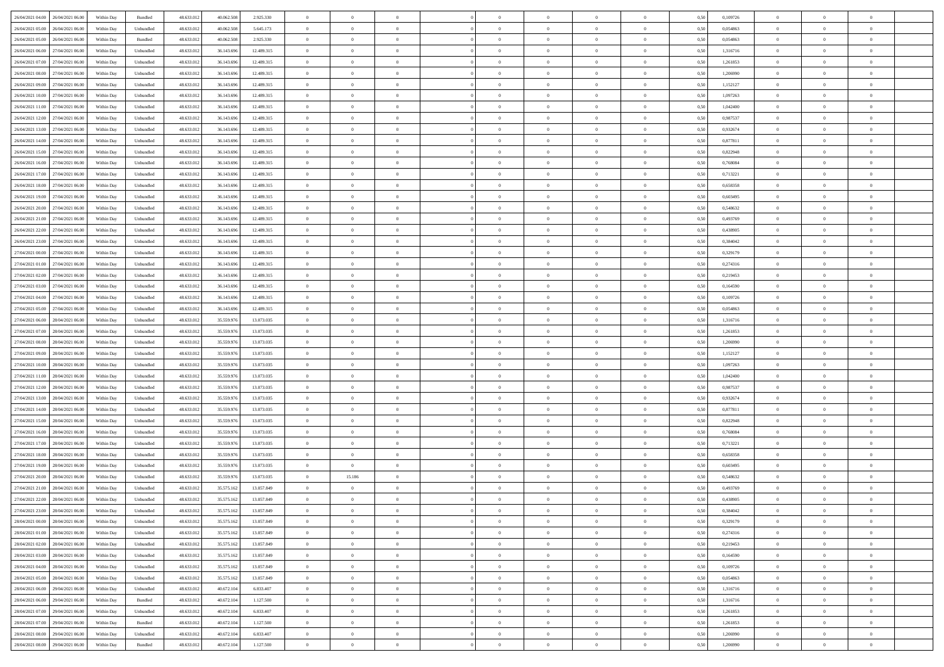| 26/04/2021 04:00 26/04/2021 06:00    | Within Day | Bundled                     | 48.633.01  | 40.062.508 | 2.925.330  | $\overline{0}$ | $\overline{0}$ |                | $\overline{0}$ | $\theta$       |                | $\theta$       | 0,50 | 0,109726 | $\theta$       | $\theta$       | $\overline{0}$ |  |
|--------------------------------------|------------|-----------------------------|------------|------------|------------|----------------|----------------|----------------|----------------|----------------|----------------|----------------|------|----------|----------------|----------------|----------------|--|
| 26/04/2021 05:00<br>26/04/2021 06.00 | Within Day | Unbundled                   | 48.633.01  | 40.062.50  | 5.645.173  | $\bf{0}$       | $\bf{0}$       | $\bf{0}$       | $\overline{0}$ | $\overline{0}$ | $\overline{0}$ | $\bf{0}$       | 0,50 | 0,054863 | $\,$ 0 $\,$    | $\bf{0}$       | $\overline{0}$ |  |
| 26/04/2021 05:00<br>26/04/2021 06:00 | Within Day | Bundled                     | 48.633.013 | 40.062.508 | 2.925.330  | $\overline{0}$ | $\bf{0}$       | $\overline{0}$ | $\bf{0}$       | $\bf{0}$       | $\overline{0}$ | $\bf{0}$       | 0.50 | 0.054863 | $\bf{0}$       | $\overline{0}$ | $\overline{0}$ |  |
| 26/04/2021 06:00<br>27/04/2021 06:00 | Within Day | Unbundled                   | 48.633.01  | 36.143.696 | 12.489.315 | $\overline{0}$ | $\bf{0}$       | $\overline{0}$ | $\theta$       | $\theta$       | $\overline{0}$ | $\bf{0}$       | 0,50 | 1,316716 | $\theta$       | $\theta$       | $\overline{0}$ |  |
| 26/04/2021 07:00<br>27/04/2021 06.00 | Within Day | Unbundled                   | 48.633.01  | 36.143.69  | 12.489.315 | $\bf{0}$       | $\overline{0}$ | $\bf{0}$       | $\overline{0}$ | $\theta$       | $\overline{0}$ | $\bf{0}$       | 0,50 | 1,261853 | $\,$ 0 $\,$    | $\bf{0}$       | $\overline{0}$ |  |
|                                      |            |                             |            |            |            |                |                |                |                |                |                |                |      |          |                |                |                |  |
| 26/04/2021 08:00<br>27/04/2021 06:00 | Within Day | Unbundled                   | 48.633.013 | 36.143.69  | 12.489.315 | $\overline{0}$ | $\overline{0}$ | $\overline{0}$ | $\bf{0}$       | $\overline{0}$ | $\theta$       | $\bf{0}$       | 0.50 | 1.206990 | $\,$ 0 $\,$    | $\theta$       | $\overline{0}$ |  |
| 26/04/2021 09:00<br>27/04/2021 06:00 | Within Day | Unbundled                   | 48.633.013 | 36.143.696 | 12.489.315 | $\overline{0}$ | $\overline{0}$ | $\overline{0}$ | $\overline{0}$ | $\overline{0}$ | $\overline{0}$ | $\bf{0}$       | 0,50 | 1,152127 | $\,$ 0 $\,$    | $\theta$       | $\overline{0}$ |  |
| 26/04/2021 10:00<br>27/04/2021 06.00 | Within Day | Unbundled                   | 48.633.01  | 36.143.69  | 12.489.315 | $\bf{0}$       | $\bf{0}$       | $\bf{0}$       | $\overline{0}$ | $\overline{0}$ | $\overline{0}$ | $\bf{0}$       | 0,50 | 1,097263 | $\,$ 0 $\,$    | $\bf{0}$       | $\overline{0}$ |  |
| 26/04/2021 11:00<br>27/04/2021 06:00 | Within Day | Unbundled                   | 48.633.013 | 36.143.69  | 12,489.315 | $\overline{0}$ | $\bf{0}$       | $\overline{0}$ | $\bf{0}$       | $\overline{0}$ | $\overline{0}$ | $\bf{0}$       | 0.50 | 1.042400 | $\bf{0}$       | $\overline{0}$ | $\overline{0}$ |  |
| 26/04/2021 12:00<br>27/04/2021 06:00 | Within Day | Unbundled                   | 48.633.013 | 36.143.696 | 12.489.315 | $\overline{0}$ | $\bf{0}$       | $\overline{0}$ | $\overline{0}$ | $\overline{0}$ | $\overline{0}$ | $\bf{0}$       | 0,50 | 0,987537 | $\,$ 0 $\,$    | $\bf{0}$       | $\overline{0}$ |  |
| 26/04/2021 13:00<br>27/04/2021 06.00 | Within Day | Unbundled                   | 48.633.01  | 36.143.69  | 12.489.315 | $\bf{0}$       | $\overline{0}$ | $\bf{0}$       | $\bf{0}$       | $\bf{0}$       | $\overline{0}$ | $\bf{0}$       | 0,50 | 0,932674 | $\,$ 0 $\,$    | $\bf{0}$       | $\overline{0}$ |  |
| 26/04/2021 14:00<br>27/04/2021 06:00 | Within Day | Unbundled                   | 48.633.013 | 36,143,696 | 12.489.315 | $\overline{0}$ | $\bf{0}$       | $\overline{0}$ | $\overline{0}$ | $\bf{0}$       | $\overline{0}$ | $\bf{0}$       | 0.50 | 0.877811 | $\bf{0}$       | $\overline{0}$ | $\bf{0}$       |  |
|                                      |            |                             |            |            |            |                |                |                |                |                |                |                |      |          |                |                |                |  |
| 26/04/2021 15:00<br>27/04/2021 06:00 | Within Day | Unbundled                   | 48.633.01  | 36.143.696 | 12.489.315 | $\overline{0}$ | $\overline{0}$ | $\overline{0}$ | $\theta$       | $\theta$       | $\overline{0}$ | $\bf{0}$       | 0,50 | 0,822948 | $\,$ 0 $\,$    | $\theta$       | $\overline{0}$ |  |
| 26/04/2021 16:00<br>27/04/2021 06.00 | Within Day | Unbundled                   | 48.633.01  | 36.143.69  | 12.489.315 | $\bf{0}$       | $\overline{0}$ | $\bf{0}$       | $\overline{0}$ | $\theta$       | $\overline{0}$ | $\bf{0}$       | 0,50 | 0,768084 | $\,$ 0 $\,$    | $\bf{0}$       | $\overline{0}$ |  |
| 26/04/2021 17:00<br>27/04/2021 06:00 | Within Day | Unbundled                   | 48.633.013 | 36.143.69  | 12.489.315 | $\overline{0}$ | $\overline{0}$ | $\overline{0}$ | $\bf{0}$       | $\overline{0}$ | $\theta$       | $\bf{0}$       | 0.50 | 0,713221 | $\,$ 0 $\,$    | $\theta$       | $\overline{0}$ |  |
| 26/04/2021 18:00<br>27/04/2021 06:00 | Within Day | Unbundled                   | 48.633.013 | 36.143.696 | 12.489.315 | $\overline{0}$ | $\overline{0}$ | $\overline{0}$ | $\overline{0}$ | $\overline{0}$ | $\overline{0}$ | $\bf{0}$       | 0,50 | 0,658358 | $\theta$       | $\theta$       | $\overline{0}$ |  |
| 26/04/2021 19:00<br>27/04/2021 06.00 | Within Day | Unbundled                   | 48.633.01  | 36.143.69  | 12.489.315 | $\bf{0}$       | $\overline{0}$ | $\bf{0}$       | $\overline{0}$ | $\bf{0}$       | $\overline{0}$ | $\bf{0}$       | 0,50 | 0,603495 | $\,$ 0 $\,$    | $\bf{0}$       | $\overline{0}$ |  |
| 26/04/2021 20:00<br>27/04/2021 06:00 | Within Day | Unbundled                   | 48.633.013 | 36.143.69  | 12,489.315 | $\overline{0}$ | $\bf{0}$       | $\overline{0}$ | $\bf{0}$       | $\overline{0}$ | $\overline{0}$ | $\bf{0}$       | 0.50 | 0.548632 | $\bf{0}$       | $\overline{0}$ | $\overline{0}$ |  |
| 26/04/2021 21:00<br>27/04/2021 06:00 | Within Day | Unbundled                   | 48.633.013 | 36.143.696 | 12.489.315 | $\bf{0}$       | $\bf{0}$       | $\overline{0}$ | $\overline{0}$ | $\overline{0}$ | $\overline{0}$ | $\bf{0}$       | 0,50 | 0,493769 | $\,$ 0 $\,$    | $\bf{0}$       | $\overline{0}$ |  |
|                                      |            |                             |            |            |            |                |                |                |                |                |                |                |      |          |                |                |                |  |
| 26/04/2021 22:00<br>27/04/2021 06.00 | Within Day | Unbundled                   | 48.633.01  | 36.143.69  | 12.489.315 | $\bf{0}$       | $\bf{0}$       | $\bf{0}$       | $\bf{0}$       | $\overline{0}$ | $\overline{0}$ | $\bf{0}$       | 0,50 | 0,438905 | $\,$ 0 $\,$    | $\bf{0}$       | $\overline{0}$ |  |
| 26/04/2021 23:00<br>27/04/2021 06:00 | Within Day | Unbundled                   | 48.633.013 | 36,143,696 | 12.489.315 | $\overline{0}$ | $\bf{0}$       | $\overline{0}$ | $\overline{0}$ | $\bf{0}$       | $\overline{0}$ | $\bf{0}$       | 0.50 | 0.384042 | $\bf{0}$       | $\overline{0}$ | $\bf{0}$       |  |
| 27/04/2021 00:00<br>27/04/2021 06:00 | Within Day | Unbundled                   | 48.633.01  | 36.143.696 | 12.489.315 | $\overline{0}$ | $\overline{0}$ | $\overline{0}$ | $\theta$       | $\theta$       | $\overline{0}$ | $\bf{0}$       | 0,50 | 0,329179 | $\theta$       | $\theta$       | $\overline{0}$ |  |
| 27/04/2021 01:00<br>27/04/2021 06.00 | Within Day | Unbundled                   | 48.633.01  | 36.143.69  | 12.489.315 | $\bf{0}$       | $\overline{0}$ | $\bf{0}$       | $\bf{0}$       | $\overline{0}$ | $\overline{0}$ | $\bf{0}$       | 0,50 | 0,274316 | $\,$ 0 $\,$    | $\bf{0}$       | $\overline{0}$ |  |
| 27/04/2021 02:00<br>27/04/2021 06:00 | Within Day | Unbundled                   | 48.633.013 | 36.143.69  | 12.489.315 | $\overline{0}$ | $\overline{0}$ | $\overline{0}$ | $\bf{0}$       | $\overline{0}$ | $\theta$       | $\bf{0}$       | 0.50 | 0.219453 | $\,$ 0 $\,$    | $\theta$       | $\overline{0}$ |  |
| 27/04/2021 03:00<br>27/04/2021 06:00 | Within Day | Unbundled                   | 48.633.013 | 36.143.696 | 12.489.315 | $\overline{0}$ | $\overline{0}$ | $\overline{0}$ | $\overline{0}$ | $\overline{0}$ | $\overline{0}$ | $\bf{0}$       | 0,50 | 0,164590 | $\,$ 0 $\,$    | $\theta$       | $\overline{0}$ |  |
| 27/04/2021 04:00<br>27/04/2021 06.00 | Within Day | Unbundled                   | 48.633.01  | 36.143.69  | 12.489.315 | $\bf{0}$       | $\overline{0}$ | $\bf{0}$       | $\overline{0}$ | $\bf{0}$       | $\overline{0}$ | $\bf{0}$       | 0,50 | 0,109726 | $\,$ 0 $\,$    | $\bf{0}$       | $\overline{0}$ |  |
| 27/04/2021 05:00<br>27/04/2021 06:00 | Within Day | Unbundled                   | 48.633.013 | 36,143,696 | 12,489.315 | $\overline{0}$ | $\bf{0}$       | $\overline{0}$ | $\bf{0}$       | $\overline{0}$ | $\overline{0}$ | $\bf{0}$       | 0.50 | 0.054863 | $\bf{0}$       | $\overline{0}$ | $\overline{0}$ |  |
| 27/04/2021 06:00<br>28/04/2021 06:00 | Within Day | Unbundled                   | 48.633.012 | 35.559.976 | 13.073.035 | $\overline{0}$ | $\bf{0}$       | $\overline{0}$ | $\overline{0}$ | $\overline{0}$ | $\overline{0}$ | $\bf{0}$       | 0,50 | 1,316716 | $\theta$       | $\theta$       | $\overline{0}$ |  |
|                                      |            |                             |            |            |            |                |                |                |                |                |                |                |      |          |                |                |                |  |
| 27/04/2021 07:00<br>28/04/2021 06.00 | Within Day | Unbundled                   | 48.633.01  | 35.559.976 | 13.073.035 | $\bf{0}$       | $\bf{0}$       | $\bf{0}$       | $\bf{0}$       | $\overline{0}$ | $\overline{0}$ | $\bf{0}$       | 0,50 | 1,261853 | $\,$ 0 $\,$    | $\bf{0}$       | $\overline{0}$ |  |
| 27/04/2021 08:00<br>28/04/2021 06:00 | Within Day | Unbundled                   | 48.633.013 | 35.559.976 | 13.073.035 | $\overline{0}$ | $\bf{0}$       | $\overline{0}$ | $\bf{0}$       | $\bf{0}$       | $\overline{0}$ | $\bf{0}$       | 0.50 | 1.206990 | $\bf{0}$       | $\overline{0}$ | $\bf{0}$       |  |
| 27/04/2021 09:00<br>28/04/2021 06:00 | Within Day | Unbundled                   | 48.633.013 | 35.559.976 | 13.073.035 | $\overline{0}$ | $\overline{0}$ | $\overline{0}$ | $\overline{0}$ | $\overline{0}$ | $\overline{0}$ | $\bf{0}$       | 0.5( | 1,152127 | $\theta$       | $\theta$       | $\overline{0}$ |  |
| 27/04/2021 10:00<br>28/04/2021 06.00 | Within Day | Unbundled                   | 48.633.01  | 35.559.976 | 13.073.035 | $\bf{0}$       | $\overline{0}$ | $\bf{0}$       | $\bf{0}$       | $\,$ 0 $\,$    | $\overline{0}$ | $\bf{0}$       | 0,50 | 1,097263 | $\,$ 0 $\,$    | $\bf{0}$       | $\overline{0}$ |  |
| 27/04/2021 11:00<br>28/04/2021 06:00 | Within Day | Unbundled                   | 48.633.013 | 35.559.976 | 13.073.035 | $\overline{0}$ | $\bf{0}$       | $\overline{0}$ | $\bf{0}$       | $\overline{0}$ | $\Omega$       | $\bf{0}$       | 0.50 | 1.042400 | $\,$ 0 $\,$    | $\theta$       | $\overline{0}$ |  |
| 27/04/2021 12:00<br>28/04/2021 06:00 | Within Dav | Unbundled                   | 48.633.013 | 35.559.976 | 13.073.035 | $\overline{0}$ | $\overline{0}$ | $\overline{0}$ | $\overline{0}$ | $\overline{0}$ | $\overline{0}$ | $\bf{0}$       | 0.5( | 0,987537 | $\theta$       | $\theta$       | $\overline{0}$ |  |
| 27/04/2021 13:00<br>28/04/2021 06:00 | Within Day | Unbundled                   | 48.633.01  | 35.559.976 | 13.073.035 | $\bf{0}$       | $\bf{0}$       | $\bf{0}$       | $\bf{0}$       | $\overline{0}$ | $\overline{0}$ | $\bf{0}$       | 0,50 | 0,932674 | $\,$ 0 $\,$    | $\bf{0}$       | $\overline{0}$ |  |
| 27/04/2021 14:00<br>28/04/2021 06:00 | Within Day | Unbundled                   | 48.633.013 | 35.559.976 | 13.073.035 | $\overline{0}$ | $\bf{0}$       | $\overline{0}$ | $\bf{0}$       | $\overline{0}$ | $\overline{0}$ | $\bf{0}$       | 0.50 | 0.877811 | $\bf{0}$       | $\overline{0}$ | $\overline{0}$ |  |
|                                      |            |                             |            |            |            |                |                |                |                |                |                |                |      |          |                |                |                |  |
| 27/04/2021 15:00<br>28/04/2021 06:00 | Within Dav | Unbundled                   | 48.633.013 | 35.559.976 | 13.073.035 | $\overline{0}$ | $\overline{0}$ | $\overline{0}$ | $\overline{0}$ | $\overline{0}$ | $\overline{0}$ | $\bf{0}$       | 0.50 | 0,822948 | $\theta$       | $\theta$       | $\overline{0}$ |  |
| 27/04/2021 16:00<br>28/04/2021 06.00 | Within Day | Unbundled                   | 48.633.01  | 35.559.976 | 13.073.035 | $\bf{0}$       | $\bf{0}$       | $\bf{0}$       | $\bf{0}$       | $\overline{0}$ | $\overline{0}$ | $\bf{0}$       | 0,50 | 0,768084 | $\,$ 0 $\,$    | $\bf{0}$       | $\overline{0}$ |  |
| 27/04/2021 17:00<br>28/04/2021 06:00 | Within Day | Unbundled                   | 48.633.013 | 35.559.976 | 13.073.035 | $\overline{0}$ | $\bf{0}$       | $\overline{0}$ | $\overline{0}$ | $\bf{0}$       | $\overline{0}$ | $\bf{0}$       | 0.50 | 0,713221 | $\,$ 0 $\,$    | $\overline{0}$ | $\overline{0}$ |  |
| 27/04/2021 18:00<br>28/04/2021 06:00 | Within Day | Unbundled                   | 48.633.013 | 35.559.976 | 13.073.035 | $\overline{0}$ | $\overline{0}$ | $\overline{0}$ | $\overline{0}$ | $\overline{0}$ | $\overline{0}$ | $\bf{0}$       | 0.5( | 0,658358 | $\theta$       | $\theta$       | $\overline{0}$ |  |
| 27/04/2021 19:00<br>28/04/2021 06.00 | Within Day | Unbundled                   | 48.633.013 | 35.559.976 | 13.073.035 | $\bf{0}$       | $\bf{0}$       | $\bf{0}$       | $\bf{0}$       | $\overline{0}$ | $\overline{0}$ | $\bf{0}$       | 0,50 | 0,603495 | $\,$ 0 $\,$    | $\bf{0}$       | $\overline{0}$ |  |
| 27/04/2021 20:00<br>28/04/2021 06:00 | Within Day | Unbundled                   | 48.633.013 | 35.559.97  | 13.073.035 | $\overline{0}$ | 15.186         | $\overline{0}$ | $\bf{0}$       | $\overline{0}$ | $\Omega$       | $\bf{0}$       | 0.50 | 0.548632 | $\bf{0}$       | $\theta$       | $\overline{0}$ |  |
| 27/04/2021 21:00<br>28/04/2021 06:00 | Within Dav | Unbundled                   | 48.633.013 | 35.575.162 | 13.057.849 | $\overline{0}$ | $\overline{0}$ | $\Omega$       | $\overline{0}$ | $\theta$       | $\Omega$       | $\overline{0}$ | 0.5( | 0,493769 | $\theta$       | $\theta$       | $\overline{0}$ |  |
| 27/04/2021 22:00<br>28/04/2021 06:00 | Within Day | Unbundled                   | 48.633.01  | 35.575.162 | 13.057.849 | $\bf{0}$       | $\,$ 0 $\,$    | $\bf{0}$       | $\bf{0}$       | $\bf{0}$       | $\overline{0}$ | $\bf{0}$       | 0,50 | 0,438905 | $\,$ 0 $\,$    | $\bf{0}$       | $\overline{0}$ |  |
| 27/04/2021 23:00 28/04/2021 06:00    | Within Day | $\ensuremath{\mathsf{Unb}}$ | 48.633.012 | 35.575.162 | 13.057.849 | $\bf{0}$       | $\theta$       |                | $\overline{0}$ |                |                |                | 0,50 | 0,384042 | $\bf{0}$       | $\bf{0}$       |                |  |
|                                      |            |                             |            |            |            |                |                |                |                |                |                |                |      |          |                |                |                |  |
| 28/04/2021 00:00 28/04/2021 06:00    | Within Day | Unbundled                   | 48.633.012 | 35.575.162 | 13.057.849 | $\overline{0}$ | $\overline{0}$ | $\Omega$       | $\theta$       | $\overline{0}$ | $\overline{0}$ | $\bf{0}$       | 0,50 | 0,329179 | $\theta$       | $\theta$       | $\overline{0}$ |  |
| 28/04/2021 01:00<br>28/04/2021 06:00 | Within Day | Unbundled                   | 48.633.013 | 35.575.162 | 13.057.849 | $\overline{0}$ | $\bf{0}$       | $\overline{0}$ | $\overline{0}$ | $\bf{0}$       | $\overline{0}$ | $\bf{0}$       | 0,50 | 0,274316 | $\bf{0}$       | $\overline{0}$ | $\bf{0}$       |  |
| 28/04/2021 02:00 28/04/2021 06:00    | Within Day | Unbundled                   | 48.633.012 | 35.575.162 | 13.057.849 | $\overline{0}$ | $\bf{0}$       | $\overline{0}$ | $\overline{0}$ | $\mathbf{0}$   | $\overline{0}$ | $\,$ 0 $\,$    | 0.50 | 0,219453 | $\overline{0}$ | $\bf{0}$       | $\,$ 0 $\,$    |  |
| 28/04/2021 03:00 28/04/2021 06:00    | Within Day | Unbundled                   | 48.633.012 | 35.575.162 | 13.057.849 | $\overline{0}$ | $\overline{0}$ | $\overline{0}$ | $\overline{0}$ | $\overline{0}$ | $\overline{0}$ | $\bf{0}$       | 0,50 | 0,164590 | $\overline{0}$ | $\theta$       | $\overline{0}$ |  |
| 28/04/2021 04:00<br>28/04/2021 06:00 | Within Day | Unbundled                   | 48.633.012 | 35.575.162 | 13.057.849 | $\overline{0}$ | $\bf{0}$       | $\overline{0}$ | $\overline{0}$ | $\overline{0}$ | $\bf{0}$       | $\bf{0}$       | 0,50 | 0,109726 | $\bf{0}$       | $\overline{0}$ | $\overline{0}$ |  |
| 28/04/2021 05:00<br>28/04/2021 06:00 | Within Day | Unbundled                   | 48.633.012 | 35.575.162 | 13.057.849 | $\overline{0}$ | $\bf{0}$       | $\overline{0}$ | $\overline{0}$ | $\overline{0}$ | $\overline{0}$ | $\bf{0}$       | 0.50 | 0.054863 | $\,$ 0 $\,$    | $\theta$       | $\,$ 0         |  |
| 28/04/2021 06:00<br>29/04/2021 06:00 | Within Dav | Unbundled                   | 48.633.012 | 40.672.104 | 6.833.407  | $\overline{0}$ | $\overline{0}$ | $\overline{0}$ | $\overline{0}$ | $\overline{0}$ | $\overline{0}$ | $\bf{0}$       | 0.50 | 1,316716 | $\overline{0}$ | $\theta$       | $\overline{0}$ |  |
|                                      |            |                             |            |            |            |                |                |                |                |                |                |                |      |          |                |                |                |  |
| 28/04/2021 06:00<br>29/04/2021 06.00 | Within Day | Bundled                     | 48.633.013 | 40.672.104 | 1.127.500  | $\overline{0}$ | $\overline{0}$ | $\overline{0}$ | $\overline{0}$ | $\overline{0}$ | $\overline{0}$ | $\bf{0}$       | 0,50 | 1,316716 | $\bf{0}$       | $\overline{0}$ | $\overline{0}$ |  |
| 28/04/2021 07:00<br>29/04/2021 06:00 | Within Day | Unbundled                   | 48.633.012 | 40.672.104 | 6.833,407  | $\overline{0}$ | $\overline{0}$ | $\overline{0}$ | $\overline{0}$ | $\overline{0}$ | $\overline{0}$ | $\bf{0}$       | 0.50 | 1.261853 | $\mathbf{0}$   | $\bf{0}$       | $\,$ 0         |  |
| 28/04/2021 07:00 29/04/2021 06:00    | Within Dav | Bundled                     | 48.633.012 | 40.672.104 | 1.127.500  | $\overline{0}$ | $\overline{0}$ | $\overline{0}$ | $\overline{0}$ | $\overline{0}$ | $\overline{0}$ | $\bf{0}$       | 0,50 | 1,261853 | $\overline{0}$ | $\theta$       | $\overline{0}$ |  |
| 28/04/2021 08:00<br>29/04/2021 06.00 | Within Day | Unbundled                   | 48.633.013 | 40.672.104 | 6.833.407  | $\overline{0}$ | $\bf{0}$       | $\overline{0}$ | $\bf{0}$       | $\overline{0}$ | $\bf{0}$       | $\bf{0}$       | 0,50 | 1,206990 | $\bf{0}$       | $\bf{0}$       | $\overline{0}$ |  |
| 28/04/2021 08:00 29/04/2021 06:00    | Within Day | Bundled                     | 48.633.012 | 40.672.104 | 1.127.500  | $\,$ 0 $\,$    | $\bf{0}$       | $\overline{0}$ | $\overline{0}$ | $\,$ 0 $\,$    | $\overline{0}$ | $\bf{0}$       | 0,50 | 1,206990 | $\overline{0}$ | $\,$ 0 $\,$    | $\,$ 0 $\,$    |  |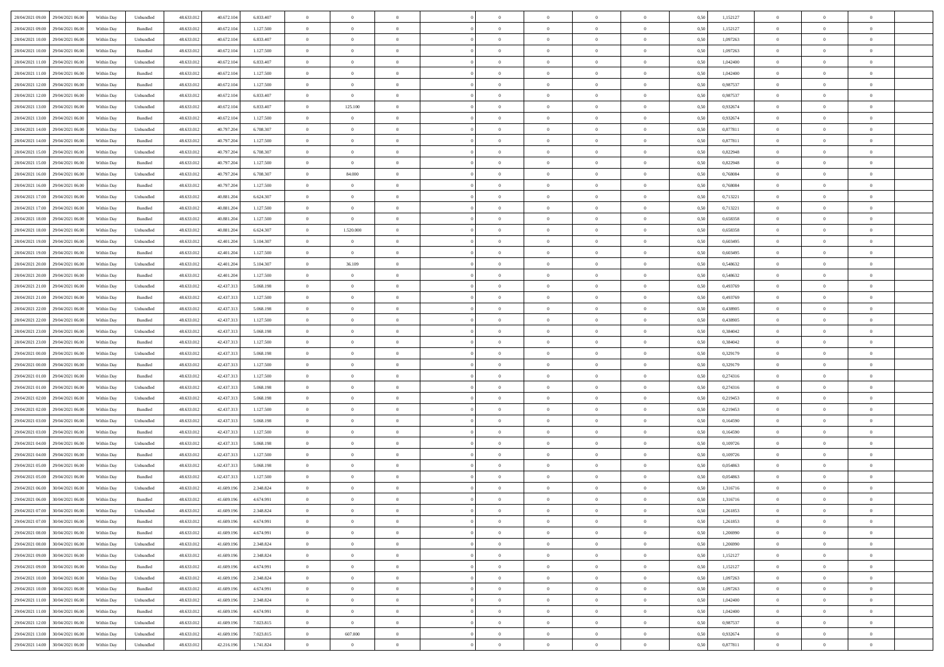| 28/04/2021 09:00 29/04/2021 06:00    | Within Day | Unbundled                   | 48.633.01  | 40.672.104 | 6.833.407 | $\overline{0}$ | $\overline{0}$ |                | $\overline{0}$ | $\theta$       |                | $\theta$       | 0,50 | 1,152127 | $\theta$       | $\theta$       | $\overline{0}$ |  |
|--------------------------------------|------------|-----------------------------|------------|------------|-----------|----------------|----------------|----------------|----------------|----------------|----------------|----------------|------|----------|----------------|----------------|----------------|--|
| 28/04/2021 09:00<br>29/04/2021 06.00 | Within Day | Bundled                     | 48.633.01  | 40.672.10  | 1.127.500 | $\bf{0}$       | $\bf{0}$       | $\bf{0}$       | $\overline{0}$ | $\overline{0}$ | $\overline{0}$ | $\bf{0}$       | 0,50 | 1,152127 | $\,$ 0 $\,$    | $\bf{0}$       | $\overline{0}$ |  |
| 28/04/2021 10:00<br>29/04/2021 06:00 | Within Day | Unbundled                   | 48.633.013 | 40.672.104 | 6.833.407 | $\overline{0}$ | $\bf{0}$       | $\overline{0}$ | $\bf{0}$       | $\bf{0}$       | $\overline{0}$ | $\bf{0}$       | 0.50 | 1.097263 | $\bf{0}$       | $\overline{0}$ | $\overline{0}$ |  |
| 28/04/2021 10:00<br>29/04/2021 06:00 |            |                             | 48.633.01  | 40.672.104 |           | $\overline{0}$ | $\overline{0}$ | $\overline{0}$ | $\theta$       | $\theta$       | $\overline{0}$ |                |      | 1,097263 | $\theta$       | $\theta$       | $\overline{0}$ |  |
|                                      | Within Day | Bundled                     |            |            | 1.127.500 |                |                |                |                |                |                | $\bf{0}$       | 0,50 |          |                |                |                |  |
| 28/04/2021 11:00<br>29/04/2021 06.00 | Within Day | Unbundled                   | 48.633.01  | 40.672.10  | 6.833.407 | $\overline{0}$ | $\overline{0}$ | $\bf{0}$       | $\overline{0}$ | $\theta$       | $\overline{0}$ | $\bf{0}$       | 0,50 | 1,042400 | $\,$ 0 $\,$    | $\bf{0}$       | $\overline{0}$ |  |
| 28/04/2021 11:00<br>29/04/2021 06:00 | Within Day | Bundled                     | 48.633.013 | 40.672.10  | 1.127.500 | $\overline{0}$ | $\overline{0}$ | $\overline{0}$ | $\bf{0}$       | $\overline{0}$ | $\theta$       | $\bf{0}$       | 0.50 | 1.042400 | $\,$ 0 $\,$    | $\theta$       | $\overline{0}$ |  |
| 28/04/2021 12:00<br>29/04/2021 06:00 | Within Day | Bundled                     | 48.633.013 | 40.672.104 | 1.127.500 | $\overline{0}$ | $\overline{0}$ | $\overline{0}$ | $\overline{0}$ | $\overline{0}$ | $\overline{0}$ | $\bf{0}$       | 0,50 | 0,987537 | $\theta$       | $\theta$       | $\overline{0}$ |  |
|                                      |            |                             |            |            |           |                |                |                |                |                |                |                |      |          |                |                |                |  |
| 28/04/2021 12:00<br>29/04/2021 06.00 | Within Day | Unbundled                   | 48.633.01  | 40.672.10  | 6.833.407 | $\bf{0}$       | $\bf{0}$       | $\bf{0}$       | $\overline{0}$ | $\bf{0}$       | $\overline{0}$ | $\bf{0}$       | 0,50 | 0,987537 | $\,$ 0 $\,$    | $\bf{0}$       | $\overline{0}$ |  |
| 28/04/2021 13:00<br>29/04/2021 06:00 | Within Day | Unbundled                   | 48.633.013 | 40.672.10  | 6.833.407 | $\overline{0}$ | 125.100        | $\overline{0}$ | $\bf{0}$       | $\overline{0}$ | $\overline{0}$ | $\bf{0}$       | 0.50 | 0.932674 | $\bf{0}$       | $\overline{0}$ | $\overline{0}$ |  |
| 28/04/2021 13:00<br>29/04/2021 06:00 | Within Day | Bundled                     | 48.633.013 | 40.672.104 | 1.127.500 | $\overline{0}$ | $\overline{0}$ | $\overline{0}$ | $\overline{0}$ | $\overline{0}$ | $\overline{0}$ | $\bf{0}$       | 0,50 | 0,932674 | $\,$ 0 $\,$    | $\bf{0}$       | $\overline{0}$ |  |
| 28/04/2021 14:00<br>29/04/2021 06.00 | Within Day | Unbundled                   | 48.633.01  | 40.797.204 | 6.708.307 | $\bf{0}$       | $\overline{0}$ | $\bf{0}$       | $\overline{0}$ | $\bf{0}$       | $\overline{0}$ | $\bf{0}$       | 0,50 | 0,877811 | $\,$ 0 $\,$    | $\bf{0}$       | $\overline{0}$ |  |
|                                      |            |                             |            |            |           |                |                |                |                |                |                |                |      |          |                |                |                |  |
| 28/04/2021 14:00<br>29/04/2021 06:00 | Within Day | Bundled                     | 48.633.013 | 40.797.204 | 1.127.500 | $\overline{0}$ | $\bf{0}$       | $\overline{0}$ | $\overline{0}$ | $\bf{0}$       | $\overline{0}$ | $\bf{0}$       | 0.50 | 0.877811 | $\bf{0}$       | $\overline{0}$ | $\overline{0}$ |  |
| 28/04/2021 15:00<br>29/04/2021 06:00 | Within Day | Unbundled                   | 48.633.01  | 40.797.204 | 6.708.307 | $\overline{0}$ | $\overline{0}$ | $\overline{0}$ | $\theta$       | $\theta$       | $\overline{0}$ | $\bf{0}$       | 0,50 | 0,822948 | $\,$ 0 $\,$    | $\theta$       | $\overline{0}$ |  |
| 28/04/2021 15:00<br>29/04/2021 06.00 | Within Day | Bundled                     | 48.633.01  | 40.797.20  | 1.127.500 | $\bf{0}$       | $\overline{0}$ | $\bf{0}$       | $\overline{0}$ | $\theta$       | $\overline{0}$ | $\bf{0}$       | 0,50 | 0,822948 | $\,$ 0 $\,$    | $\bf{0}$       | $\overline{0}$ |  |
|                                      |            |                             |            |            |           |                |                |                |                |                |                |                |      |          |                |                |                |  |
| 28/04/2021 16:00<br>29/04/2021 06:00 | Within Day | Unbundled                   | 48.633.013 | 40.797.204 | 6,708,307 | $\overline{0}$ | 84,000         | $\overline{0}$ | $\bf{0}$       | $\overline{0}$ | $\Omega$       | $\bf{0}$       | 0.50 | 0.768084 | $\,$ 0 $\,$    | $\theta$       | $\overline{0}$ |  |
| 28/04/2021 16:00<br>29/04/2021 06:00 | Within Day | Bundled                     | 48.633.013 | 40.797.204 | 1.127.500 | $\overline{0}$ | $\overline{0}$ | $\overline{0}$ | $\overline{0}$ | $\theta$       | $\overline{0}$ | $\bf{0}$       | 0,50 | 0,768084 | $\theta$       | $\theta$       | $\overline{0}$ |  |
| 28/04/2021 17:00<br>29/04/2021 06.00 | Within Day | Unbundled                   | 48.633.01  | 40.881.204 | 6.624.307 | $\bf{0}$       | $\overline{0}$ | $\bf{0}$       | $\overline{0}$ | $\theta$       | $\overline{0}$ | $\bf{0}$       | 0,50 | 0,713221 | $\,$ 0 $\,$    | $\bf{0}$       | $\overline{0}$ |  |
| 28/04/2021 17:00<br>29/04/2021 06:00 | Within Day | Bundled                     | 48.633.013 | 40.881.20  | 1.127.500 | $\overline{0}$ | $\bf{0}$       | $\overline{0}$ | $\bf{0}$       | $\overline{0}$ | $\overline{0}$ | $\bf{0}$       | 0.50 | 0.713221 | $\bf{0}$       | $\overline{0}$ | $\overline{0}$ |  |
| 28/04/2021 18:00<br>29/04/2021 06:00 | Within Day | Bundled                     | 48.633.013 | 40.881.204 | 1.127.500 | $\overline{0}$ | $\bf{0}$       | $\overline{0}$ | $\overline{0}$ | $\overline{0}$ | $\overline{0}$ | $\bf{0}$       | 0,50 | 0,658358 | $\,$ 0 $\,$    | $\bf{0}$       | $\overline{0}$ |  |
|                                      |            |                             |            |            |           |                |                |                |                |                |                |                |      |          |                |                |                |  |
| 28/04/2021 18:00<br>29/04/2021 06.00 | Within Day | Unbundled                   | 48.633.01  | 40.881.20  | 6.624.307 | $\bf{0}$       | 1.520.000      | $\bf{0}$       | $\bf{0}$       | $\overline{0}$ | $\overline{0}$ | $\bf{0}$       | 0,50 | 0,658358 | $\,$ 0 $\,$    | $\bf{0}$       | $\overline{0}$ |  |
| 28/04/2021 19:00<br>29/04/2021 06:00 | Within Day | Unbundled                   | 48.633.013 | 42.401.204 | 5.104.307 | $\overline{0}$ | $\overline{0}$ | $\overline{0}$ | $\overline{0}$ | $\bf{0}$       | $\overline{0}$ | $\bf{0}$       | 0.50 | 0.603495 | $\bf{0}$       | $\overline{0}$ | $\overline{0}$ |  |
| 28/04/2021 19:00<br>29/04/2021 06:00 | Within Day | Bundled                     | 48.633.01  | 42.401.204 | 1.127.500 | $\overline{0}$ | $\bf{0}$       | $\overline{0}$ | $\theta$       | $\theta$       | $\overline{0}$ | $\bf{0}$       | 0,50 | 0,603495 | $\theta$       | $\theta$       | $\overline{0}$ |  |
|                                      |            |                             |            |            |           |                |                |                | $\overline{0}$ | $\bf{0}$       | $\overline{0}$ |                |      |          | $\,$ 0 $\,$    | $\bf{0}$       | $\overline{0}$ |  |
| 28/04/2021 20:00<br>29/04/2021 06.00 | Within Day | Unbundled                   | 48.633.01  | 42.401.204 | 5.104.307 | $\bf{0}$       | 36.109         | $\bf{0}$       |                |                |                | $\bf{0}$       | 0,50 | 0,548632 |                |                |                |  |
| 28/04/2021 20:00<br>29/04/2021 06:00 | Within Day | Bundled                     | 48.633.013 | 42.401.204 | 1.127.500 | $\overline{0}$ | $\overline{0}$ | $\overline{0}$ | $\bf{0}$       | $\overline{0}$ | $\Omega$       | $\bf{0}$       | 0.50 | 0.548632 | $\,$ 0 $\,$    | $\theta$       | $\overline{0}$ |  |
| 28/04/2021 21:00<br>29/04/2021 06:00 | Within Day | Unbundled                   | 48.633.013 | 42.437.313 | 5.068.198 | $\overline{0}$ | $\overline{0}$ | $\overline{0}$ | $\overline{0}$ | $\theta$       | $\overline{0}$ | $\bf{0}$       | 0,50 | 0,493769 | $\,$ 0 $\,$    | $\theta$       | $\overline{0}$ |  |
| 28/04/2021 21:00<br>29/04/2021 06.00 | Within Day | Bundled                     | 48.633.01  | 42.437.313 | 1.127.500 | $\bf{0}$       | $\overline{0}$ | $\bf{0}$       | $\overline{0}$ | $\theta$       | $\overline{0}$ | $\bf{0}$       | 0,50 | 0,493769 | $\,$ 0 $\,$    | $\bf{0}$       | $\overline{0}$ |  |
| 28/04/2021 22:00<br>29/04/2021 06:00 | Within Day | Unbundled                   | 48.633.013 | 42.437.313 | 5.068.198 | $\overline{0}$ | $\bf{0}$       | $\overline{0}$ | $\bf{0}$       | $\overline{0}$ | $\overline{0}$ | $\bf{0}$       | 0.50 | 0.438905 | $\bf{0}$       | $\overline{0}$ | $\overline{0}$ |  |
|                                      |            |                             |            |            |           |                |                |                |                |                |                |                |      |          |                |                |                |  |
| 28/04/2021 22:00<br>29/04/2021 06:00 | Within Day | Bundled                     | 48.633.01  | 42.437.313 | 1.127.500 | $\overline{0}$ | $\overline{0}$ | $\overline{0}$ | $\overline{0}$ | $\overline{0}$ | $\overline{0}$ | $\bf{0}$       | 0,50 | 0,438905 | $\theta$       | $\theta$       | $\overline{0}$ |  |
| 28/04/2021 23:00<br>29/04/2021 06.00 | Within Day | Unbundled                   | 48.633.01  | 42.437.313 | 5.068.198 | $\bf{0}$       | $\bf{0}$       | $\bf{0}$       | $\bf{0}$       | $\overline{0}$ | $\overline{0}$ | $\bf{0}$       | 0,50 | 0,384042 | $\,$ 0 $\,$    | $\bf{0}$       | $\overline{0}$ |  |
| 28/04/2021 23:00<br>29/04/2021 06:00 | Within Day | Bundled                     | 48.633.013 | 42.437.313 | 1.127.500 | $\overline{0}$ | $\bf{0}$       | $\overline{0}$ | $\bf{0}$       | $\bf{0}$       | $\overline{0}$ | $\bf{0}$       | 0.50 | 0.384042 | $\bf{0}$       | $\overline{0}$ | $\overline{0}$ |  |
| 29/04/2021 00:00<br>29/04/2021 06:00 | Within Day | Unbundled                   | 48.633.013 | 42.437.313 | 5.068.198 | $\overline{0}$ | $\overline{0}$ | $\overline{0}$ | $\overline{0}$ | $\overline{0}$ | $\overline{0}$ | $\bf{0}$       | 0.5( | 0,329179 | $\theta$       | $\theta$       | $\overline{0}$ |  |
|                                      |            |                             |            |            |           |                |                |                |                |                |                |                |      |          |                |                |                |  |
| 29/04/2021 00:00<br>29/04/2021 06.00 | Within Day | Bundled                     | 48.633.01  | 42.437.313 | 1.127.500 | $\bf{0}$       | $\overline{0}$ | $\bf{0}$       | $\bf{0}$       | $\overline{0}$ | $\overline{0}$ | $\bf{0}$       | 0,50 | 0,329179 | $\,$ 0 $\,$    | $\bf{0}$       | $\overline{0}$ |  |
| 29/04/2021 01:00<br>29/04/2021 06:00 | Within Day | Bundled                     | 48.633.013 | 42.437.313 | 1.127.500 | $\overline{0}$ | $\bf{0}$       | $\overline{0}$ | $\bf{0}$       | $\overline{0}$ | $\Omega$       | $\bf{0}$       | 0.50 | 0,274316 | $\,$ 0 $\,$    | $\theta$       | $\overline{0}$ |  |
| 29/04/2021 01:00<br>29/04/2021 06:00 | Within Dav | Unbundled                   | 48.633.013 | 42.437.313 | 5.068.198 | $\overline{0}$ | $\overline{0}$ | $\overline{0}$ | $\overline{0}$ | $\theta$       | $\overline{0}$ | $\bf{0}$       | 0.50 | 0,274316 | $\theta$       | $\theta$       | $\overline{0}$ |  |
| 29/04/2021 02:00<br>29/04/2021 06.00 | Within Day | Unbundled                   | 48.633.01  | 42.437.313 | 5.068.198 | $\bf{0}$       | $\bf{0}$       | $\bf{0}$       | $\overline{0}$ | $\bf{0}$       | $\overline{0}$ | $\bf{0}$       | 0,50 | 0,219453 | $\,$ 0 $\,$    | $\bf{0}$       | $\overline{0}$ |  |
| 29/04/2021 02:00<br>29/04/2021 06:00 | Within Day | Bundled                     | 48.633.013 | 42.437.313 | 1.127.500 | $\overline{0}$ | $\bf{0}$       | $\overline{0}$ | $\bf{0}$       | $\overline{0}$ | $\overline{0}$ | $\bf{0}$       | 0.50 | 0.219453 | $\bf{0}$       | $\overline{0}$ | $\overline{0}$ |  |
|                                      |            |                             |            |            |           |                |                |                |                |                |                |                |      |          |                |                |                |  |
| 29/04/2021 03:00<br>29/04/2021 06:00 | Within Dav | Unbundled                   | 48.633.013 | 42.437.313 | 5.068.198 | $\overline{0}$ | $\overline{0}$ | $\overline{0}$ | $\overline{0}$ | $\overline{0}$ | $\overline{0}$ | $\bf{0}$       | 0.50 | 0,164590 | $\theta$       | $\theta$       | $\overline{0}$ |  |
| 29/04/2021 03:00<br>29/04/2021 06.00 | Within Day | Bundled                     | 48.633.01  | 42.437.313 | 1.127.500 | $\bf{0}$       | $\bf{0}$       | $\bf{0}$       | $\bf{0}$       | $\overline{0}$ | $\overline{0}$ | $\bf{0}$       | 0,50 | 0,164590 | $\,$ 0 $\,$    | $\bf{0}$       | $\overline{0}$ |  |
| 29/04/2021 04:00<br>29/04/2021 06:00 | Within Day | Unbundled                   | 48.633.013 | 42.437.313 | 5.068.198 | $\overline{0}$ | $\bf{0}$       | $\overline{0}$ | $\overline{0}$ | $\bf{0}$       | $\overline{0}$ | $\bf{0}$       | 0.50 | 0.109726 | $\bf{0}$       | $\overline{0}$ | $\overline{0}$ |  |
| 29/04/2021 04:00<br>29/04/2021 06:00 | Within Day | Bundled                     | 48.633.013 | 42.437.313 | 1.127.500 | $\overline{0}$ | $\overline{0}$ | $\overline{0}$ | $\overline{0}$ | $\theta$       | $\overline{0}$ | $\bf{0}$       | 0.50 | 0,109726 | $\theta$       | $\theta$       | $\overline{0}$ |  |
|                                      |            |                             |            |            |           |                |                |                |                |                |                |                |      |          |                |                |                |  |
| 29/04/2021 05:00<br>29/04/2021 06.00 | Within Day | Unbundled                   | 48.633.013 | 42.437.313 | 5.068.198 | $\bf{0}$       | $\bf{0}$       | $\bf{0}$       | $\bf{0}$       | $\overline{0}$ | $\overline{0}$ | $\bf{0}$       | 0,50 | 0,054863 | $\,$ 0 $\,$    | $\bf{0}$       | $\overline{0}$ |  |
| 29/04/2021 05:00<br>29/04/2021 06:00 | Within Day | Bundled                     | 48.633.013 | 42.437.313 | 1.127.500 | $\overline{0}$ | $\overline{0}$ | $\overline{0}$ | $\bf{0}$       | $\overline{0}$ | $\Omega$       | $\bf{0}$       | 0.50 | 0.054863 | $\bf{0}$       | $\theta$       | $\overline{0}$ |  |
| 29/04/2021 06:00<br>30/04/2021 06:00 | Within Dav | Unbundled                   | 48.633.013 | 41.609.196 | 2.348.824 | $\overline{0}$ | $\overline{0}$ | $\Omega$       | $\overline{0}$ | $\theta$       | $\Omega$       | $\overline{0}$ | 0.5( | 1,316716 | $\theta$       | $\theta$       | $\overline{0}$ |  |
| 29/04/2021 06:00<br>30/04/2021 06.00 | Within Day | Bundled                     | 48.633.01  | 41.609.19  | 4.674.991 | $\bf{0}$       | $\bf{0}$       | $\overline{0}$ | $\overline{0}$ | $\bf{0}$       | $\overline{0}$ | $\bf{0}$       | 0,50 | 1,316716 | $\,$ 0 $\,$    | $\bf{0}$       | $\overline{0}$ |  |
| 29/04/2021 07:00 30/04/2021 06:00    | Within Day |                             |            | 41.609.196 | 2.348.824 |                | $\Omega$       |                | $\Omega$       |                |                |                | 0,50 | 1,261853 |                |                |                |  |
|                                      |            | $\ensuremath{\mathsf{Unb}}$ | 48.633.012 |            |           | $\bf{0}$       |                |                |                |                |                |                |      |          | $\bf{0}$       | $\overline{0}$ |                |  |
| 29/04/2021 07:00 30/04/2021 06:00    | Within Day | Bundled                     | 48.633.012 | 41.609.196 | 4.674.991 | $\overline{0}$ | $\overline{0}$ | $\overline{0}$ | $\theta$       | $\overline{0}$ | $\overline{0}$ | $\bf{0}$       | 0,50 | 1,261853 | $\theta$       | $\overline{0}$ | $\overline{0}$ |  |
| 29/04/2021 08:00<br>30/04/2021 06.00 | Within Day | Bundled                     | 48.633.013 | 41.609.19  | 4.674.991 | $\overline{0}$ | $\bf{0}$       | $\overline{0}$ | $\overline{0}$ | $\bf{0}$       | $\overline{0}$ | $\bf{0}$       | 0,50 | 1,206990 | $\bf{0}$       | $\overline{0}$ | $\bf{0}$       |  |
| 29/04/2021 08:00<br>30/04/2021 06:00 | Within Day | Unbundled                   | 48.633.012 | 41.609.196 | 2.348.824 | $\overline{0}$ | $\bf{0}$       | $\overline{0}$ | $\overline{0}$ | $\mathbf{0}$   | $\overline{0}$ | $\,$ 0 $\,$    | 0.50 | 1.206990 | $\overline{0}$ | $\bf{0}$       | $\,$ 0 $\,$    |  |
| 29/04/2021 09:00                     |            |                             |            |            |           |                | $\overline{0}$ |                |                | $\overline{0}$ |                |                |      |          | $\overline{0}$ | $\theta$       | $\overline{0}$ |  |
| 30/04/2021 06:00                     | Within Dav | Unbundled                   | 48.633.012 | 41.609.196 | 2.348.824 | $\overline{0}$ |                | $\overline{0}$ | $\overline{0}$ |                | $\overline{0}$ | $\bf{0}$       | 0,50 | 1,152127 |                |                |                |  |
| 29/04/2021 09:00<br>30/04/2021 06.00 | Within Day | Bundled                     | 48.633.012 | 41.609.196 | 4.674.991 | $\overline{0}$ | $\bf{0}$       | $\overline{0}$ | $\overline{0}$ | $\overline{0}$ | $\overline{0}$ | $\bf{0}$       | 0,50 | 1,152127 | $\bf{0}$       | $\overline{0}$ | $\overline{0}$ |  |
| 29/04/2021 10:00<br>30/04/2021 06:00 | Within Day | Unbundled                   | 48.633.012 | 41.609.196 | 2.348.824 | $\overline{0}$ | $\bf{0}$       | $\overline{0}$ | $\overline{0}$ | $\overline{0}$ | $\overline{0}$ | $\bf{0}$       | 0.50 | 1.097263 | $\,$ 0 $\,$    | $\theta$       | $\,$ 0         |  |
| 29/04/2021 10:00<br>30/04/2021 06:00 | Within Dav | Bundled                     | 48.633.012 | 41.609.196 | 4.674.991 | $\overline{0}$ | $\overline{0}$ | $\overline{0}$ | $\overline{0}$ | $\overline{0}$ | $\overline{0}$ | $\bf{0}$       | 0.50 | 1,097263 | $\overline{0}$ | $\theta$       | $\overline{0}$ |  |
|                                      |            |                             |            |            |           |                | $\overline{0}$ |                |                | $\overline{0}$ |                |                |      |          | $\bf{0}$       | $\overline{0}$ | $\overline{0}$ |  |
| 29/04/2021 11:00<br>30/04/2021 06.00 | Within Day | Unbundled                   | 48.633.013 | 41.609.19  | 2.348.824 | $\overline{0}$ |                | $\overline{0}$ | $\overline{0}$ |                | $\overline{0}$ | $\bf{0}$       | 0,50 | 1,042400 |                |                |                |  |
| 30/04/2021 06:00<br>29/04/2021 11:00 | Within Day | Bundled                     | 48.633.012 | 41.609.196 | 4.674.991 | $\overline{0}$ | $\overline{0}$ | $\overline{0}$ | $\overline{0}$ | $\bf{0}$       | $\overline{0}$ | $\bf{0}$       | 0.50 | 1.042400 | $\overline{0}$ | $\bf{0}$       | $\,$ 0         |  |
| 29/04/2021 12:00<br>30/04/2021 06:00 | Within Dav | Unbundled                   | 48.633.013 | 41.609.196 | 7.023.815 | $\overline{0}$ | $\overline{0}$ | $\overline{0}$ | $\overline{0}$ | $\overline{0}$ | $\overline{0}$ | $\bf{0}$       | 0,50 | 0,987537 | $\overline{0}$ | $\theta$       | $\overline{0}$ |  |
| 29/04/2021 13:00<br>30/04/2021 06.00 | Within Day | Unbundled                   | 48.633.013 | 41.609.19  | 7.023.815 | $\overline{0}$ | 607.000        | $\overline{0}$ | $\bf{0}$       | $\overline{0}$ | $\overline{0}$ | $\bf{0}$       | 0,50 | 0,932674 | $\bf{0}$       | $\bf{0}$       | $\overline{0}$ |  |
|                                      |            |                             |            |            |           |                |                |                |                |                |                |                |      |          |                |                |                |  |
| 29/04/2021 14:00 30/04/2021 06:00    | Within Day | Unbundled                   | 48.633.012 | 42.216.196 | 1.741.824 | $\,$ 0 $\,$    | $\bf{0}$       | $\overline{0}$ | $\overline{0}$ | $\,$ 0 $\,$    | $\overline{0}$ | $\bf{0}$       | 0,50 | 0,877811 | $\overline{0}$ | $\,$ 0 $\,$    | $\,$ 0 $\,$    |  |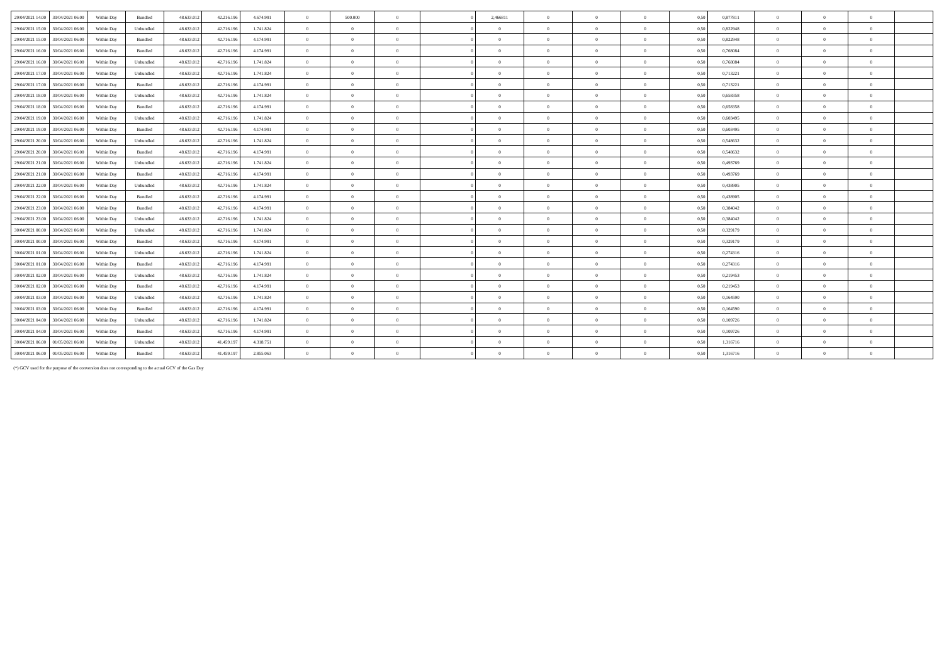| 29/04/2021 14:00<br>30/04/2021 06:00 | Within Day | Bundled   | 48.633.012 | 42.216.196 | 4.674.991 | $\mathbf{0}$   | 500,000        | $\Omega$       | 2,466811       |                | $\Omega$       | $\theta$       | 0,50 | 0,877811 | $\theta$       |                |            |  |
|--------------------------------------|------------|-----------|------------|------------|-----------|----------------|----------------|----------------|----------------|----------------|----------------|----------------|------|----------|----------------|----------------|------------|--|
| 29/04/2021 15:00<br>30/04/2021 06:00 | Within Day | Unbundled | 48.633.012 | 42.716.196 | 1.741.824 | $\overline{0}$ | $\overline{0}$ | $\Omega$       | $\Omega$       | $\overline{0}$ | $\overline{0}$ | $\overline{0}$ | 0,50 | 0,822948 | $\overline{0}$ | $\Omega$       | $\theta$   |  |
| 29/04/2021 15:00<br>30/04/2021 06:00 | Within Day | Bundled   | 48.633.012 | 42.716.196 | 4.174.991 | $\overline{0}$ | $\overline{0}$ | $\Omega$       | $\theta$       | $\Omega$       | $\Omega$       | $\overline{0}$ | 0,50 | 0,822948 | $\overline{0}$ | $\Omega$       | $\theta$   |  |
| 30/04/2021 06.00<br>29/04/2021 16:00 | Within Day | Bundled   | 48.633.012 | 42.716.196 | 4.174.991 | $\overline{0}$ | $\Omega$       | $\Omega$       | $\Omega$       | $\Omega$       | $\overline{0}$ | $\theta$       | 0,50 | 0.768084 | $\Omega$       |                |            |  |
| 29/04/2021 16:00<br>30/04/2021 06:00 | Within Day | Unbundled | 48.633.012 | 42.716.196 | 1.741.824 | $\overline{0}$ | $\overline{0}$ | $\Omega$       | $\Omega$       | $\Omega$       | $\theta$       | $\overline{0}$ | 0.50 | 0.768084 | $\overline{0}$ | $\Omega$       | $\theta$   |  |
| 30/04/2021 06:00<br>29/04/2021 17:00 | Within Day | Unbundled | 48.633.012 | 42.716.196 | 1.741.824 | $\overline{0}$ | $\overline{0}$ | $\overline{0}$ | $\Omega$       | $\Omega$       | $\overline{0}$ | $\mathbf{0}$   | 0,50 | 0,713221 | $\overline{0}$ | $\Omega$       | $\theta$   |  |
| 29/04/2021 17:00<br>30/04/2021 06:00 | Within Day | Bundled   | 48.633.012 | 42.716.196 | 4.174.991 | $\overline{0}$ | $\overline{0}$ | $\overline{0}$ | $\overline{0}$ | $\overline{0}$ | $\overline{0}$ | $\bf{0}$       | 0,50 | 0,713221 | $\overline{0}$ | $\Omega$       | $\theta$   |  |
| 30/04/2021 06:00                     |            |           |            | 42.716.196 |           | $\overline{0}$ | $\theta$       | $\Omega$       | $\Omega$       | $\Omega$       | $\theta$       | $\mathbf{0}$   |      |          | $\overline{0}$ | $\Omega$       | $\theta$   |  |
| 29/04/2021 18:00                     | Within Day | Unbundled | 48.633.012 |            | 1.741.824 |                |                |                |                |                |                |                | 0,50 | 0,658358 |                |                |            |  |
| 29/04/2021 18:00<br>30/04/2021 06:00 | Within Dav | Bundled   | 48.633.012 | 42.716.196 | 4.174.991 | $\overline{0}$ | $\Omega$       | $\Omega$       | $\Omega$       | $\Omega$       | $\Omega$       | $\theta$       | 0.50 | 0.658358 | $\theta$       |                | $\theta$   |  |
| 30/04/2021 06:00<br>29/04/2021 19:00 | Within Day | Unbundled | 48.633.012 | 42.716.196 | 1.741.824 | $\overline{0}$ | $\overline{0}$ | $\overline{0}$ | $\overline{0}$ | $\Omega$       | $\overline{0}$ | $\overline{0}$ | 0.50 | 0.603495 | $\overline{0}$ | $\overline{0}$ |            |  |
| 29/04/2021 19:00<br>30/04/2021 06.00 | Within Day | Bundled   | 48.633.012 | 42.716.196 | 4.174.991 | $\Omega$       | $\overline{0}$ | $\Omega$       | $\Omega$       | $\Omega$       | $\Omega$       | $\Omega$       | 0,50 | 0.603495 | $\overline{0}$ | $\Omega$       |            |  |
| 29/04/2021 20:00<br>30/04/2021 06:00 | Within Day | Unbundled | 48.633.012 | 42.716.196 | 1.741.824 | $\overline{0}$ | $\overline{0}$ | $\overline{0}$ | $\overline{0}$ | $\bf{0}$       | $\overline{0}$ | $\mathbf{0}$   | 0,50 | 0,548632 | $\overline{0}$ | $\overline{0}$ | $^{\circ}$ |  |
| 29/04/2021 20:00<br>30/04/2021 06:00 | Within Day | Bundled   | 48.633.012 | 42.716.196 | 4.174.991 | $\overline{0}$ | $\overline{0}$ | $\Omega$       | $\Omega$       | $\Omega$       | $\Omega$       | $\overline{0}$ | 0,50 | 0.548632 | $\overline{0}$ | $\Omega$       | $\theta$   |  |
| 30/04/2021 06:00<br>29/04/2021 21:00 | Within Day | Unbundled | 48.633.012 | 42.716.196 | 1.741.824 | $\overline{0}$ | $\Omega$       | $\Omega$       | $\Omega$       | $\Omega$       | $\Omega$       | $\theta$       | 0.50 | 0.493769 | $\theta$       |                | $\theta$   |  |
| 29/04/2021 21:00<br>30/04/2021 06:00 | Within Day | Bundled   | 48.633.012 | 42.716.196 | 4.174.991 | $\overline{0}$ | $\overline{0}$ | $\Omega$       | $\Omega$       | $\Omega$       | $\overline{0}$ | $\overline{0}$ | 0.50 | 0.493769 | $\overline{0}$ | $\Omega$       | $\theta$   |  |
| 29/04/2021 22.00<br>30/04/2021 06:00 | Within Day | Unbundled | 48.633.012 | 42.716.196 | 1.741.824 | $\overline{0}$ | $\overline{0}$ | $\overline{0}$ | $\overline{0}$ | $\overline{0}$ | $\overline{0}$ | $\overline{0}$ | 0,50 | 0,438905 | $\overline{0}$ | $\overline{0}$ | $\theta$   |  |
| 29/04/2021 22.00<br>30/04/2021 06:00 | Within Day | Bundled   | 48.633.012 | 42.716.196 | 4.174.991 | $\overline{0}$ | $\Omega$       | $\Omega$       | $\Omega$       |                | $\Omega$       | $\Omega$       | 0,50 | 0.438905 | $\Omega$       |                |            |  |
| 29/04/2021 23:00<br>30/04/2021 06:00 | Within Day | Bundled   | 48.633.012 | 42.716.196 | 4.174.991 | $\overline{0}$ | $\overline{0}$ | $\Omega$       | $\Omega$       | $\Omega$       | $\theta$       | $\overline{0}$ | 0.50 | 0.384042 | $\overline{0}$ | $\Omega$       | $\theta$   |  |
| 29/04/2021 23:00<br>30/04/2021 06:00 | Within Dav | Unbundled | 48.633.012 | 42.716.196 | 1.741.824 | $\Omega$       | $\Omega$       | $\Omega$       | $\Omega$       | $\Omega$       | $\Omega$       | $\theta$       | 0.50 | 0.384042 | $\theta$       |                |            |  |
| 30/04/2021 06:00<br>30/04/2021 00:00 | Within Day | Unbundled | 48.633.012 | 42.716.196 | 1.741.824 | $\overline{0}$ | $\overline{0}$ | $\overline{0}$ | $\overline{0}$ | $\Omega$       | $\overline{0}$ | $\bf{0}$       | 0,50 | 0,329179 | $\overline{0}$ | $\Omega$       | $\theta$   |  |
| 30/04/2021 06:00<br>30/04/2021 00:00 | Within Day | Bundled   | 48.633.012 | 42.716.196 | 4.174.991 | $\overline{0}$ | $\Omega$       | $\Omega$       | $\Omega$       | $\theta$       | $\theta$       | $\overline{0}$ | 0,50 | 0,329179 | $\overline{0}$ | $\Omega$       |            |  |
| 30/04/2021 01:00<br>30/04/2021 06:00 | Within Day | Unbundled | 48.633.012 | 42.716.196 | 1.741.824 | $\overline{0}$ | $\Omega$       | $\overline{0}$ | $\overline{0}$ | $\theta$       | $\theta$       | $\overline{0}$ | 0,50 | 0,274316 | $\overline{0}$ |                |            |  |
| 30/04/2021 01:00<br>30/04/2021 06:00 | Within Day | Bundled   | 48.633.012 | 42.716.196 | 4.174.991 | $\overline{0}$ | $\overline{0}$ | $\Omega$       | $\Omega$       | $\Omega$       | $\theta$       | $\overline{0}$ | 0,50 | 0,274316 | $\overline{0}$ | $\Omega$       | $\theta$   |  |
| 30/04/2021 02:00<br>30/04/2021 06:00 | Within Day | Unbundled | 48.633.012 | 42.716.196 | 1.741.824 | $\overline{0}$ | $\overline{0}$ | $\Omega$       | $\Omega$       | $\Omega$       | $\Omega$       | $\theta$       | 0.50 | 0.219453 | $\overline{0}$ | $\Omega$       | $\theta$   |  |
| 30/04/2021 02:00<br>30/04/2021 06:00 | Within Day | Bundled   | 48.633.012 | 42.716.196 | 4.174.991 | $\overline{0}$ | $\overline{0}$ | $\overline{0}$ | $\overline{0}$ | $\theta$       | $\overline{0}$ | $\mathbf{0}$   | 0,50 | 0,219453 | $\overline{0}$ | $\Omega$       | $\theta$   |  |
| 30/04/2021 03:00<br>30/04/2021 06:00 | Within Dav | Unbundled | 48.633.012 | 42.716.196 | 1.741.824 | $\overline{0}$ | $\overline{0}$ | $\Omega$       | $\Omega$       | $\Omega$       | $\Omega$       | $\overline{0}$ | 0.50 | 0.164590 | $\overline{0}$ | $\Omega$       | $\theta$   |  |
| 30/04/2021 03:00<br>30/04/2021 06:00 | Within Day | Bundled   | 48.633.012 | 42.716.196 | 4.174.991 | $\overline{0}$ | $\Omega$       | $\Omega$       | $\Omega$       | $\theta$       | $\Omega$       | $\mathbf{0}$   | 0,50 | 0,164590 | $\Omega$       | $\Omega$       |            |  |
| 30/04/2021 04:00<br>30/04/2021 06:00 | Within Day | Unbundled | 48.633.012 | 42.716.196 | 1.741.824 | $\overline{0}$ | $\overline{0}$ | $\overline{0}$ | $\Omega$       | $\Omega$       | $\overline{0}$ | $\overline{0}$ | 0,50 | 0,109726 | $\overline{0}$ | $\Omega$       | $\theta$   |  |
| 30/04/2021 04:00<br>30/04/2021 06:00 | Within Day | Bundled   | 48.633.012 | 42.716.196 | 4.174.991 | $\overline{0}$ | $\overline{0}$ | $\overline{0}$ | $\Omega$       | $\Omega$       | $\overline{0}$ | $\overline{0}$ | 0,50 | 0,109726 | $\overline{0}$ | $\Omega$       | $\theta$   |  |
| 30/04/2021 06:00<br>01/05/2021 06:00 | Within Day | Unbundled | 48.633.012 | 41.459.197 | 4.318.751 | $\overline{0}$ |                | $\Omega$       | $\Omega$       |                | $\Omega$       | $\Omega$       | 0.50 | 1,316716 | $\theta$       |                |            |  |
| 01/05/2021 06:00<br>30/04/2021 06:00 | Within Day | Bundled   | 48.633.012 | 41.459.197 | 2.855.063 | $\Omega$       |                | $\Omega$       | $\Omega$       |                | $\Omega$       |                | 0.50 | 1,316716 | $\theta$       |                |            |  |

(\*) GCV used for the purpose of the conversion does not corresponding to the actual GCV of the Gas Day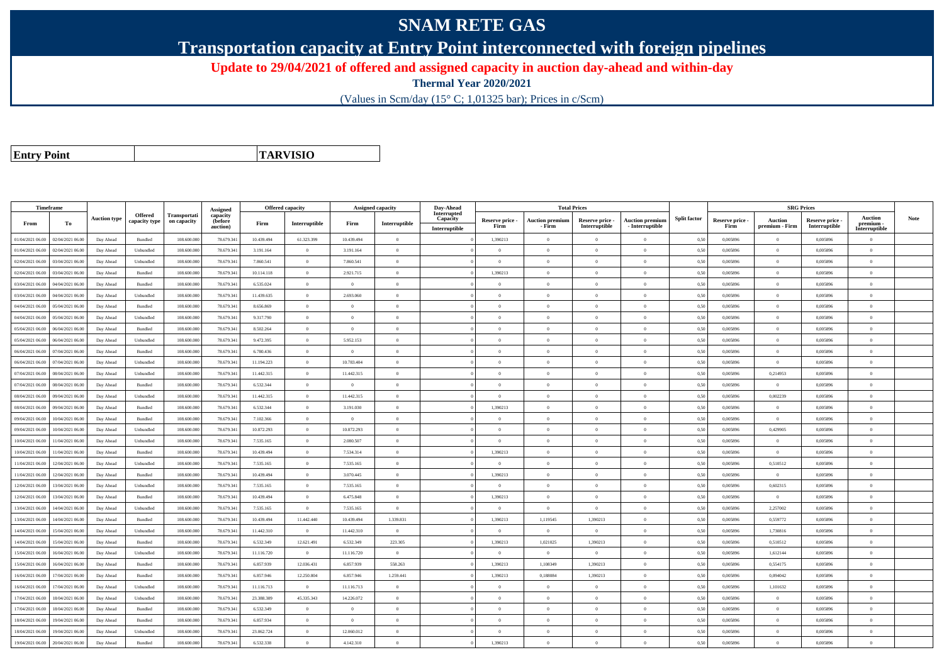## **SNAM RETE GAS**

**Transportation capacity at Entry Point interconnected with foreign pipelines**

**Update to 29/04/2021 of offered and assigned capacity in auction day-ahead and within-day**

**Thermal Year 2020/2021**

(Values in Scm/day (15° C; 1,01325 bar); Prices in c/Scm)

**Entry Point**

**TARVISIO**

|                  | Timeframe        |                     |                                 |                             | Assigned                               |            | <b>Offered capacity</b> |                | <b>Assigned capacity</b> | Day-Ahead                                |                         | <b>Total Prices</b>              |                                  |                                           |                     |                         | <b>SRG Prices</b>                |                                  |                                              |             |
|------------------|------------------|---------------------|---------------------------------|-----------------------------|----------------------------------------|------------|-------------------------|----------------|--------------------------|------------------------------------------|-------------------------|----------------------------------|----------------------------------|-------------------------------------------|---------------------|-------------------------|----------------------------------|----------------------------------|----------------------------------------------|-------------|
| From             | To               | <b>Auction type</b> | <b>Offered</b><br>capacity type | Transportati<br>on capacity | capacity<br><b>(before</b><br>auction) | Firm       | Interruptible           | Firm           | Interruptible            | Interrupted<br>Capacity<br>Interruptible | Reserve price -<br>Firm | <b>Auction premium</b><br>- Firm | Reserve price -<br>Interruptible | <b>Auction premium</b><br>- Interruptible | <b>Split factor</b> | Reserve price -<br>Firm | <b>Auction</b><br>premium - Firm | Reserve price -<br>Interruptible | <b>Auction</b><br>premium -<br>Interruptible | <b>Note</b> |
| 01/04/2021 06:00 | 02/04/2021 06:00 | Day Ahead           | Bundled                         | 108.600.000                 | 78.679.34                              | 10.439.494 | 61.323.399              | 10.439.494     | $\overline{0}$           |                                          | 1,390213                | $\bf{0}$                         | $\overline{0}$                   | $\theta$                                  | 0,50                | 0,005896                | $\overline{0}$                   | 0,005896                         | $\overline{0}$                               |             |
| 01/04/2021 06:00 | 02/04/2021 06:00 | Day Ahead           | Unbundled                       | 108,600,000                 | 78.679.34                              | 3.191.164  | $\overline{0}$          | 3.191.164      | $\theta$                 |                                          | $\Omega$                | $\sqrt{2}$                       | $\theta$                         | $\theta$                                  | 0,50                | 0.005896                | $\overline{0}$                   | 0.005896                         | $\Omega$                                     |             |
| 02/04/2021 06:00 | 03/04/2021 06:00 | Day Ahead           | Unbundled                       | 108.600.000                 | 78.679.34                              | 7.860.541  | $\overline{0}$          | 7.860.541      | $\overline{0}$           |                                          | $\overline{0}$          | $\theta$                         | $\overline{0}$                   | $\mathbf{0}$                              | 0,50                | 0,005896                | $\overline{0}$                   | 0,005896                         | $\bf{0}$                                     |             |
| 02/04/2021 06:00 | 03/04/2021 06:00 | Day Ahead           | Bundled                         | 108.600.000                 | 78.679.341                             | 10.114.118 | $\overline{0}$          | 2.921.715      | $\Omega$                 |                                          | 1,390213                | $\theta$                         | $\overline{0}$                   | $\mathbf{0}$                              | 0,50                | 0,005896                | $\overline{0}$                   | 0,005896                         | $\Omega$                                     |             |
| 03/04/2021 06:00 | 04/04/2021 06:00 | Day Ahead           | Bundled                         | 108,600,000                 | 78.679.34                              | 6.535.024  | $\overline{0}$          | $\theta$       | $\overline{0}$           |                                          | $\overline{0}$          | $\theta$                         | $\overline{0}$                   | $\overline{0}$                            | 0.50                | 0.005896                | $\overline{0}$                   | 0.005896                         | $\Omega$                                     |             |
| 03/04/2021 06:00 | 04/04/2021 06:00 | Day Ahead           | Unbundled                       | 108.600.000                 | 78.679.34                              | 11.439.635 | $\overline{0}$          | 2.693.060      | $\Omega$                 |                                          | $\Omega$                |                                  | $\Omega$                         | $\Omega$                                  | 0.50                | 0,005896                | $\overline{0}$                   | 0,005896                         | $\Omega$                                     |             |
| 04/04/2021 06:00 | 05/04/2021 06:00 | Day Ahead           | Bundled                         | 108,600,000                 | 78.679.341                             | 8.656.869  | $\overline{0}$          | $\overline{0}$ | $\overline{0}$           |                                          | $\overline{0}$          | $\theta$                         | $\overline{0}$                   | $\overline{0}$                            | 0.50                | 0.005896                | $\overline{0}$                   | 0.005896                         | $\bf{0}$                                     |             |
| 04/04/2021 06:00 | 05/04/2021 06:00 | Day Ahead           | Unbundled                       | 108.600.000                 | 78.679.34                              | 9.317.790  | $\overline{0}$          | $\theta$       | $\Omega$                 |                                          | $\Omega$                | $\Omega$                         | $\overline{0}$                   | $\Omega$                                  | 0,50                | 0,005896                | $\overline{0}$                   | 0,005896                         | $\Omega$                                     |             |
| 05/04/2021 06:00 | 06/04/2021 06:00 | Day Ahead           | Bundled                         | 108.600.000                 | 78.679.341                             | 8.502.264  | $\overline{0}$          | $\overline{0}$ | $\Omega$                 |                                          | $\Omega$                |                                  | $\overline{0}$                   | $\theta$                                  | 0,50                | 0,005896                | $\overline{0}$                   | 0,005896                         | $\Omega$                                     |             |
| 05/04/2021 06:00 | 06/04/2021 06:00 | Day Ahead           | Unbundled                       | 108.600.000                 | 78.679.34                              | 9.472.395  | $\overline{0}$          | 5.952.153      | $\overline{0}$           |                                          | $\overline{0}$          | $\theta$                         | $\overline{0}$                   | $\overline{0}$                            | 0,50                | 0,005896                | $\overline{0}$                   | 0,005896                         | $\bf{0}$                                     |             |
| 06/04/2021 06:00 | 07/04/2021 06.00 | Day Ahead           | Bundled                         | 108.600.000                 | 78.679.34                              | 6.780.436  | $\overline{0}$          | $\overline{0}$ | $\overline{0}$           |                                          | $\overline{0}$          | $\theta$                         | $\overline{0}$                   | $\overline{0}$                            | 0,50                | 0,005896                | $\overline{0}$                   | 0,005896                         | $\bf{0}$                                     |             |
| 06/04/2021 06:00 | 07/04/2021 06:00 | Day Ahead           | Unbundled                       | 108,600,000                 | 78.679.34                              | 11.194.223 | $\overline{0}$          | 10.783.404     | $\theta$                 |                                          | $\Omega$                | $\theta$                         | $\Omega$                         | $\theta$                                  | 0.50                | 0.005896                | $\overline{0}$                   | 0.005896                         | $\Omega$                                     |             |
| 07/04/2021 06:00 | 08/04/2021 06.0  | Day Ahead           | Unbundled                       | 108.600.000                 | 78.679.34                              | 11.442.315 | $\overline{0}$          | 11.442.315     | $\overline{0}$           |                                          | $\Omega$                |                                  | $\overline{0}$                   | $\Omega$                                  | 0,50                | 0,005896                | 0,214953                         | 0,005896                         | $\Omega$                                     |             |
| 07/04/2021 06:00 | 08/04/2021 06:00 | Day Ahead           | Bundled                         | 108.600.000                 | 78.679.34                              | 6.532.344  | $\overline{0}$          | $\Omega$       | $\Omega$                 |                                          | $\Omega$                | $\theta$                         | $\Omega$                         | $\Omega$                                  | 0,50                | 0,005896                | $\Omega$                         | 0,005896                         | $\Omega$                                     |             |
| 08/04/2021 06:00 | 09/04/2021 06:00 | Day Ahead           | Unbundled                       | 108,600,000                 | 78.679.34                              | 11.442.315 | $\overline{0}$          | 11.442.315     | $\theta$                 |                                          | $\Omega$                | $\theta$                         | $\theta$                         | $\theta$                                  | 0.50                | 0.005896                | 0.002239                         | 0.005896                         | $\theta$                                     |             |
| 08/04/2021 06:00 | 09/04/2021 06:00 | Day Ahead           | Bundled                         | 108.600.000                 | 78.679.34                              | 6.532.344  | $\overline{0}$          | 3.191.030      | $\overline{0}$           |                                          | 1,390213                | $\theta$                         | $\overline{0}$                   | $\mathbf{0}$                              | 0.50                | 0,005896                | $\overline{0}$                   | 0.005896                         | $\bf{0}$                                     |             |
| 09/04/2021 06:00 | 10/04/2021 06:00 | Day Ahead           | Bundled                         | 108.600.000                 | 78.679.341                             | 7.102.366  | $\overline{0}$          | $\overline{0}$ | $\overline{0}$           |                                          | $\overline{0}$          | $\theta$                         | $\overline{0}$                   | $\overline{0}$                            | 0,50                | 0,005896                | $\overline{0}$                   | 0,005896                         | $\bf{0}$                                     |             |
| 09/04/2021 06:00 | 10/04/2021 06:00 | Day Ahead           | Unbundled                       | 108.600.000                 | 78.679.34                              | 10.872.293 | $\overline{0}$          | 10.872.293     | $\overline{0}$           |                                          | $\overline{0}$          | $\theta$                         | $\overline{0}$                   | $\overline{0}$                            | 0,50                | 0,005896                | 0,429905                         | 0,005896                         | $\overline{0}$                               |             |
| 10/04/2021 06:00 | 11/04/2021 06.00 | Day Ahead           | Unbundled                       | 108.600.000                 | 78.679.34                              | 7.535.165  | $\overline{0}$          | 2.080.507      | $\overline{0}$           |                                          | $\Omega$                |                                  | $\Omega$                         | $\theta$                                  | 0,50                | 0,005896                | $\theta$                         | 0,005896                         | $\theta$                                     |             |
| 10/04/2021 06:00 | 11/04/2021 06:00 | Day Ahead           | Bundled                         | 108,600,000                 | 78.679.34                              | 10.439.494 | $\overline{0}$          | 7.534.314      | $\overline{0}$           |                                          | 1,390213                | $\theta$                         | $\overline{0}$                   | $\overline{0}$                            | 0,50                | 0,005896                | $\overline{0}$                   | 0.005896                         | $\theta$                                     |             |
| 11/04/2021 06:00 | 12/04/2021 06:00 | Day Ahead           | Unbundled                       | 108.600.000                 | 78.679.34                              | 7.535.165  | $\overline{0}$          | 7.535.165      | $\Omega$                 |                                          | $\Omega$                | $\theta$                         | $\overline{0}$                   | $\Omega$                                  | 0,50                | 0,005896                | 0,510512                         | 0,005896                         | $\Omega$                                     |             |
| 11/04/2021 06:00 | 12/04/2021 06:00 | Day Ahead           | Bundled                         | 108,600,000                 | 78.679.34                              | 10.439.494 | $\overline{0}$          | 3.070.445      | $\Omega$                 |                                          | 1.390213                |                                  | $\Omega$                         | $\Omega$                                  | 0.50                | 0.005896                | $\theta$                         | 0.005896                         | $\theta$                                     |             |
| 12/04/2021 06:00 | 13/04/2021 06:00 | Day Ahead           | Unbundled                       | 108,600,000                 | 78.679.34                              | 7.535.165  | $\overline{0}$          | 7.535.165      | $\Omega$                 |                                          | $\Omega$                | $\theta$                         | $\theta$                         | $\theta$                                  | 0.50                | 0.005896                | 0.602315                         | 0.005896                         | $\Omega$                                     |             |
| 12/04/2021 06:00 | 13/04/2021 06:00 | Day Ahead           | Bundled                         | 108.600.000                 | 78.679.34                              | 10.439.494 | $\overline{0}$          | 6.475.848      | $\overline{0}$           |                                          | 1.390213                | $\theta$                         | $\overline{0}$                   | $\mathbf{0}$                              | 0.50                | 0.005896                | $\overline{0}$                   | 0.005896                         | $\bf{0}$                                     |             |
| 13/04/2021 06:00 | 14/04/2021 06:00 | Day Ahead           | Unbundled                       | 108,600,000                 | 78.679.34                              | 7.535.165  | $\overline{0}$          | 7.535.165      | $\overline{0}$           |                                          | $\overline{0}$          | $\overline{0}$                   | $\overline{0}$                   | $\overline{0}$                            | 0.50                | 0.005896                | 2,257002                         | 0.005896                         | $\Omega$                                     |             |
| 13/04/2021 06:00 | 14/04/2021 06:00 | Day Ahead           | Bundled                         | 108.600.000                 | 78.679.34                              | 10.439.494 | 11.442.440              | 10.439.494     | 1.339.831                |                                          | 1,390213                | 1,119545                         | 1,390213                         | $\overline{0}$                            | 0,50                | 0,005896                | 0,559772                         | 0,005896                         | $\Omega$                                     |             |
| 14/04/2021 06:00 | 15/04/2021 06:00 | Day Ahead           | Unbundled                       | 108.600.000                 | 78.679.341                             | 11.442.310 | $\overline{0}$          | 11.442.310     | $\overline{0}$           |                                          | $\Omega$                | $\theta$                         | $\overline{0}$                   | $\mathbf{0}$                              | 0,50                | 0,005896                | 1,730816                         | 0,005896                         | $\Omega$                                     |             |
| 14/04/2021 06:00 | 15/04/2021 06:00 | Day Ahead           | Bundled                         | 108.600.000                 | 78.679.34                              | 6.532.349  | 12.621.491              | 6.532.349      | 223.305                  |                                          | 1,390213                | 1,021025                         | 1,390213                         | $\Omega$                                  | 0,50                | 0,005896                | 0,510512                         | 0.005896                         | $\Omega$                                     |             |
| 15/04/2021 06:00 | 16/04/2021 06:00 | Day Ahead           | Unbundled                       | 108.600.000                 | 78.679.34                              | 11.116.720 | $\overline{0}$          | 11.116.720     | $\overline{0}$           |                                          | $\overline{0}$          | $\theta$                         | $\overline{0}$                   | $\mathbf{0}$                              | 0,50                | 0,005896                | 1,612144                         | 0,005896                         | $\bf{0}$                                     |             |
| 15/04/2021 06:00 | 16/04/2021 06:00 | Day Ahead           | Bundled                         | 108,600,000                 | 78,679.341                             | 6.857.939  | 12.036.431              | 6.857.939      | 558.263                  |                                          | 1.390213                | 1.108349                         | 1,390213                         | $\Omega$                                  | 0,50                | 0.005896                | 0,554175                         | 0.005896                         | $\theta$                                     |             |
| 16/04/2021 06:00 | 17/04/2021 06:00 | Day Ahead           | Bundled                         | 108.600.000                 | 78.679.341                             | 6.857.946  | 12.250.804              | 6.857.946      | 1.259.441                |                                          | 1,390213                | 0,188084                         | 1,390213                         | $\overline{0}$                            | 0,50                | 0,005896                | 0,094042                         | 0,005896                         | $\bf{0}$                                     |             |
| 16/04/2021 06:00 | 7/04/2021 06.00  | Day Ahead           | Unbundled                       | 108.600.000                 | 78.679.34                              | 11.116.713 | $\overline{0}$          | 11.116.713     | $\Omega$                 |                                          | $\Omega$                | $\theta$                         | $\theta$                         | $\Omega$                                  | 0.50                | 0.005896                | 1,101632                         | 0.005896                         | $\Omega$                                     |             |
| 17/04/2021 06:00 | 18/04/2021 06:00 | Day Ahead           | Unbundled                       | 108 600 000                 | 78.679.34                              | 23.388.309 | 45.335.343              | 14.226.072     | $\overline{0}$           |                                          | $\Omega$                | $\theta$                         | $\overline{0}$                   | $\overline{0}$                            | 0.50                | 0.005896                | $\overline{0}$                   | 0.005896                         | $\Omega$                                     |             |
| 17/04/2021 06:00 | 18/04/2021 06:00 | Day Ahead           | Bundled                         | 108.600.000                 | 78.679.34                              | 6.532.349  | $\overline{0}$          | $\theta$       | $\overline{0}$           |                                          | $\theta$                | $\theta$                         | $\overline{0}$                   | $\mathbf{0}$                              | 0,50                | 0,005896                | $\overline{0}$                   | 0,005896                         | $\overline{0}$                               |             |
| 18/04/2021 06:00 | 19/04/2021 06:00 | Day Ahead           | Bundled                         | 108.600.000                 | 78.679.341                             | 6.857.934  | $\overline{0}$          | $\overline{0}$ | $\overline{0}$           |                                          | $\Omega$                |                                  | $\overline{0}$                   | $\Omega$                                  | 0,50                | 0,005896                | $\overline{0}$                   | 0,005896                         | $\Omega$                                     |             |
| 18/04/2021 06:00 | 19/04/2021 06.0  | Day Ahead           | Unbundled                       | 108.600.000                 | 78.679.34                              | 23.062.724 | $\overline{0}$          | 12.060.012     | $\overline{0}$           |                                          | $\Omega$                | $\theta$                         | $\overline{0}$                   | $\overline{0}$                            | 0,50                | 0,005896                | $\overline{0}$                   | 0,005896                         | $\bf{0}$                                     |             |
| 19/04/2021 06:00 | 20/04/2021 06:00 | Day Ahead           | Bundled                         | 108.600.000                 | 78.679.341                             | 6.532.338  | $\theta$                | 4.142.310      | $\Omega$                 |                                          | 1,390213                |                                  | $\Omega$                         | $\theta$                                  | 0,50                | 0,005896                | $\Omega$                         | 0,005896                         | $\Omega$                                     |             |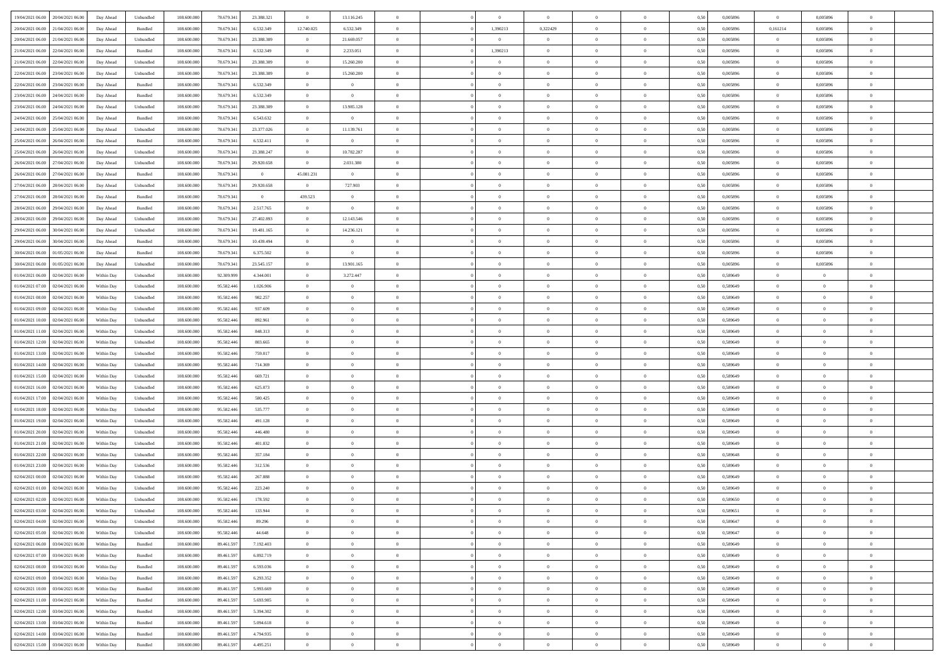| 19/04/2021 06:00 20/04/2021 06:00    | Day Ahead  | Unbundled | 108.600.000 | 78.679.341 | 23.388.321     | $\overline{0}$ | 13.116.245     |                |                | $\theta$       |                |                | 0,50 | 0,005896 | $\overline{0}$ | 0,005896       |                |  |
|--------------------------------------|------------|-----------|-------------|------------|----------------|----------------|----------------|----------------|----------------|----------------|----------------|----------------|------|----------|----------------|----------------|----------------|--|
| 20/04/2021 06:00<br>21/04/2021 06:00 | Day Ahead  | Bundled   | 108,600,000 | 78.679.34  | 6.532.349      | 12.740.025     | 6.532.349      | $\Omega$       | 1,390213       | 0,322429       | $\overline{0}$ | $\overline{0}$ | 0.50 | 0.005896 | 0,161214       | 0.005896       | $\theta$       |  |
|                                      |            |           |             |            |                |                |                |                |                |                |                |                |      |          |                |                |                |  |
| 20/04/2021 06:00<br>21/04/2021 06:00 | Day Ahead  | Unbundled | 108.600.000 | 78.679.341 | 23.388.309     | $\overline{0}$ | 21.669.057     | $\overline{0}$ | $\overline{0}$ | $\overline{0}$ | $\overline{0}$ | $\overline{0}$ | 0.50 | 0,005896 | $\overline{0}$ | 0,005896       | $\theta$       |  |
| 21/04/2021 06:00<br>22/04/2021 06:00 | Day Ahead  | Bundled   | 108.600.000 | 78.679.341 | 6.532.349      | $\overline{0}$ | 2.233.051      | $\overline{0}$ | 1,390213       | $\bf{0}$       | $\overline{0}$ | $\overline{0}$ | 0,50 | 0,005896 | $\overline{0}$ | 0,005896       | $\bf{0}$       |  |
| 21/04/2021 06:00<br>22/04/2021 06:00 | Day Ahead  | Unbundled | 108.600.000 | 78.679.341 | 23.388.309     | $\overline{0}$ | 15.260.200     | $\overline{0}$ | $\Omega$       | $\bf{0}$       | $\overline{0}$ | $\bf{0}$       | 0,50 | 0,005896 | $\overline{0}$ | 0.005896       | $\theta$       |  |
| 22/04/2021 06:00<br>23/04/2021 06:00 | Day Ahead  | Unbundled | 108.600.000 | 78.679.341 | 23.388.309     | $\overline{0}$ | 15.260.200     | $\overline{0}$ | $\overline{0}$ | $\overline{0}$ | $\overline{0}$ | $\bf{0}$       | 0.50 | 0,005896 | $\overline{0}$ | 0,005896       | $\theta$       |  |
| 22/04/2021 06:00<br>23/04/2021 06:00 | Day Ahead  | Bundled   | 108.600.000 | 78.679.341 | 6.532.349      | $\overline{0}$ | $\overline{0}$ | $\Omega$       | $\Omega$       | $\bf{0}$       | $\overline{0}$ | $\theta$       | 0,50 | 0,005896 | $\overline{0}$ | 0,005896       | $\theta$       |  |
| 23/04/2021 06:00<br>24/04/2021 06:00 | Day Ahead  | Bundled   | 108,600,00  | 78.679.34  | 6.532.349      | $\overline{0}$ | $\overline{0}$ | $\overline{0}$ | $\Omega$       | $\overline{0}$ | $\overline{0}$ | $\theta$       | 0.50 | 0.005896 | $\overline{0}$ | 0.005896       | $\theta$       |  |
| 23/04/2021 06:00<br>24/04/2021 06.00 | Day Ahead  | Unbundled | 108.600.000 | 78.679.341 | 23.388.309     | $\overline{0}$ | 13.985.128     | $\overline{0}$ | $\overline{0}$ | $\overline{0}$ | $\overline{0}$ | $\overline{0}$ | 0,50 | 0,005896 | $\overline{0}$ | 0,005896       | $\theta$       |  |
| 24/04/2021 06:00<br>25/04/2021 06:00 | Day Ahead  | Bundled   | 108.600.000 | 78.679.341 | 6.543.632      | $\overline{0}$ | $\overline{0}$ | $\overline{0}$ | $\overline{0}$ | $\bf{0}$       | $\overline{0}$ | $\overline{0}$ | 0,50 | 0,005896 | $\overline{0}$ | 0,005896       | $\bf{0}$       |  |
| 24/04/2021 06:00<br>25/04/2021 06:00 | Day Ahead  | Unbundled | 108,600,000 | 78.679.34  | 23.377.026     | $\overline{0}$ | 11.139.761     | $\overline{0}$ | $\Omega$       | $\bf{0}$       | $\overline{0}$ | $\bf{0}$       | 0,50 | 0.005896 | $\overline{0}$ | 0.005896       | $\theta$       |  |
| 25/04/2021 06:00<br>26/04/2021 06:00 | Day Ahead  | Bundled   | 108.600.000 | 78.679.341 | 6.532.411      | $\overline{0}$ | $\sim$ 0       | $\overline{0}$ | $\overline{0}$ | $\overline{0}$ | $\overline{0}$ | $\overline{0}$ | 0.50 | 0,005896 | $\overline{0}$ | 0.005896       | $\theta$       |  |
| 25/04/2021 06:00<br>26/04/2021 06:00 | Day Ahead  | Unbundled | 108.600.000 | 78.679.341 | 23.388.247     | $\overline{0}$ | 10.782.287     | $\overline{0}$ | $\overline{0}$ | $\bf{0}$       | $\overline{0}$ | $\theta$       | 0,50 | 0,005896 | $\overline{0}$ | 0,005896       | $\theta$       |  |
| 26/04/2021 06:00<br>27/04/2021 06:00 | Day Ahead  | Unbundled | 108,600,00  | 78.679.34  | 29.920.658     | $\overline{0}$ | 2.031.380      | $\overline{0}$ | $\Omega$       | $\overline{0}$ | $\overline{0}$ | $\bf{0}$       | 0.50 | 0.005896 | $\overline{0}$ | 0.005896       | $\theta$       |  |
| 26/04/2021 06:00<br>27/04/2021 06.00 | Day Ahead  | Bundled   | 108.600.000 | 78.679.341 | $\overline{0}$ | 45.081.231     | $\overline{0}$ | $\overline{0}$ | $\Omega$       | $\overline{0}$ | $\overline{0}$ | $\overline{0}$ | 0,50 | 0,005896 | $\overline{0}$ | 0,005896       | $\theta$       |  |
|                                      |            |           |             |            |                | $\overline{0}$ |                | $\Omega$       | $\Omega$       | $\bf{0}$       | $\overline{0}$ | $\overline{0}$ |      |          |                |                | $\theta$       |  |
| 27/04/2021 06:00<br>28/04/2021 06:00 | Day Ahead  | Unbundled | 108.600.000 | 78.679.341 | 29.920.658     |                | 727.903        |                |                |                |                |                | 0,50 | 0,005896 | $\overline{0}$ | 0,005896       |                |  |
| 27/04/2021 06:00<br>28/04/2021 06:00 | Day Ahead  | Bundled   | 108,600,000 | 78,679.34  | $\overline{0}$ | 439.523        | $\overline{0}$ | $\overline{0}$ | $\Omega$       | $\overline{0}$ | $\overline{0}$ | $\bf{0}$       | 0.50 | 0.005896 | $\overline{0}$ | 0.005896       | $\theta$       |  |
| 28/04/2021 06:00<br>29/04/2021 06:00 | Day Ahead  | Bundled   | 108.600.000 | 78.679.341 | 2.517.765      | $\overline{0}$ | $\overline{0}$ | $\overline{0}$ | $\overline{0}$ | $\overline{0}$ | $\overline{0}$ | $\overline{0}$ | 0.50 | 0,005896 | $\overline{0}$ | 0.005896       | $\theta$       |  |
| 28/04/2021 06:00<br>29/04/2021 06:00 | Day Ahead  | Unbundled | 108.600.000 | 78.679.341 | 27.402.893     | $\overline{0}$ | 12.143.546     | $\overline{0}$ | $\overline{0}$ | $\bf{0}$       | $\overline{0}$ | $\overline{0}$ | 0,50 | 0,005896 | $\overline{0}$ | 0,005896       | $\bf{0}$       |  |
| 29/04/2021 06:00<br>30/04/2021 06:00 | Day Ahead  | Unbundled | 108.600.000 | 78.679.341 | 19.481.165     | $\overline{0}$ | 14.236.121     | $\overline{0}$ | $\Omega$       | $\bf{0}$       | $\overline{0}$ | $\bf{0}$       | 0,50 | 0,005896 | $\overline{0}$ | 0,005896       | $\theta$       |  |
| 29/04/2021 06:00<br>30/04/2021 06:00 | Day Ahead  | Bundled   | 108.600.000 | 78.679.341 | 10.439.494     | $\overline{0}$ | $\overline{0}$ | $\overline{0}$ | $^{\circ}$     | $\overline{0}$ | $\overline{0}$ | $\bf{0}$       | 0.50 | 0,005896 | $\overline{0}$ | 0,005896       |                |  |
| 30/04/2021 06:00<br>01/05/2021 06:00 | Day Ahead  | Bundled   | 108.600.000 | 78.679.341 | 6.375.502      | $\overline{0}$ | $\overline{0}$ | $\theta$       | $\Omega$       | $\bf{0}$       | $\overline{0}$ | $\theta$       | 0,50 | 0,005896 | $\overline{0}$ | 0,005896       |                |  |
| 30/04/2021 06:00<br>01/05/2021 06:00 | Day Ahead  | Unbundled | 108,600,00  | 78.679.34  | 23.545.157     | $\overline{0}$ | 13.901.165     | $\overline{0}$ | $\Omega$       | $\overline{0}$ | $\overline{0}$ | $\bf{0}$       | 0.50 | 0.005896 | $\overline{0}$ | 0.005896       | $\theta$       |  |
| 01/04/2021 06:00<br>02/04/2021 06:00 | Within Dav | Unbundled | 108.600.000 | 92.309.999 | 4.344.001      | $\overline{0}$ | 3.272.447      | $\overline{0}$ | $\Omega$       | $\overline{0}$ | $\overline{0}$ | $\overline{0}$ | 0,50 | 0,589649 | $\overline{0}$ | $\overline{0}$ | $\theta$       |  |
| 01/04/2021 07:00<br>02/04/2021 06:00 | Within Day | Unbundled | 108.600.000 | 95.582.446 | 1.026.906      | $\overline{0}$ | $\overline{0}$ | $\overline{0}$ | $\overline{0}$ | $\bf{0}$       | $\overline{0}$ | $\overline{0}$ | 0,50 | 0,589649 | $\overline{0}$ | $\overline{0}$ | $\bf{0}$       |  |
| 01/04/2021 08:00<br>02/04/2021 06:00 | Within Day | Unbundled | 108,600,00  | 95.582.446 | 982.257        | $\overline{0}$ | $\overline{0}$ | $\overline{0}$ | $\Omega$       | $\bf{0}$       | $\overline{0}$ | $\bf{0}$       | 0,50 | 0,589649 | $\overline{0}$ | $\overline{0}$ | $\theta$       |  |
| 01/04/2021 09:00<br>02/04/2021 06:00 | Within Dav | Unbundled | 108.600.000 | 95.582.446 | 937.609        | $\overline{0}$ | $\overline{0}$ | $\overline{0}$ | $\overline{0}$ | $\overline{0}$ | $\overline{0}$ | $\overline{0}$ | 0.50 | 0,589649 | $\overline{0}$ | $\overline{0}$ | $\theta$       |  |
| 01/04/2021 10:00<br>02/04/2021 06:00 | Within Day | Unbundled | 108.600.000 | 95.582.446 | 892.961        | $\overline{0}$ | $\overline{0}$ | $\Omega$       | $\Omega$       | $\bf{0}$       | $\overline{0}$ | $\overline{0}$ | 0,50 | 0,589649 | $\overline{0}$ | $\overline{0}$ | $\theta$       |  |
| 01/04/2021 11:00<br>02/04/2021 06:00 | Within Day | Unbundled | 108,600,00  | 95.582.446 | 848, 313       | $\overline{0}$ | $\overline{0}$ | $\overline{0}$ | $\Omega$       | $\bf{0}$       | $\overline{0}$ | $\overline{0}$ | 0.50 | 0,589649 | $\overline{0}$ | $\overline{0}$ | $\theta$       |  |
| 01/04/2021 12:00<br>02/04/2021 06:00 | Within Dav | Unbundled | 108.600.000 | 95.582.446 | 803.665        | $\overline{0}$ | $\overline{0}$ | $\overline{0}$ | $\Omega$       | $\overline{0}$ | $\overline{0}$ | $\overline{0}$ | 0,50 | 0,589649 | $\overline{0}$ | $^{\circ}$     | $^{\circ}$     |  |
|                                      |            |           |             |            |                |                |                |                |                |                |                |                |      |          |                |                |                |  |
| 01/04/2021 13:00<br>02/04/2021 06:00 | Within Day | Unbundled | 108.600.000 | 95.582.446 | 759.017        | $\overline{0}$ | $\overline{0}$ | $\overline{0}$ | $\overline{0}$ | $\overline{0}$ | $\overline{0}$ | $\overline{0}$ | 0,50 | 0,589649 | $\overline{0}$ | $\overline{0}$ |                |  |
| 01/04/2021 14:00<br>02/04/2021 06:00 | Within Day | Unbundled | 108,600,00  | 95.582.446 | 714.369        | $\overline{0}$ | $\overline{0}$ | $\overline{0}$ | $\Omega$       | $\bf{0}$       | $\overline{0}$ | $\bf{0}$       | 0,50 | 0,589649 | $\overline{0}$ | $\overline{0}$ | $\theta$       |  |
| 01/04/2021 15:00<br>02/04/2021 06:00 | Within Dav | Unbundled | 108.600.000 | 95.582.446 | 669.721        | $\overline{0}$ | $\overline{0}$ | $\overline{0}$ | $\Omega$       | $\overline{0}$ | $\overline{0}$ | $\overline{0}$ | 0.50 | 0,589649 | $\overline{0}$ | $^{\circ}$     | $\theta$       |  |
| 01/04/2021 16:00<br>02/04/2021 06:00 | Within Day | Unbundled | 108.600.000 | 95.582.446 | 625.073        | $\overline{0}$ | $\overline{0}$ | $\overline{0}$ | $\overline{0}$ | $\overline{0}$ | $\theta$       | $\overline{0}$ | 0,50 | 0,589649 | $\overline{0}$ | $\overline{0}$ |                |  |
| 01/04/2021 17:00<br>02/04/2021 06.00 | Within Day | Unbundled | 108.600.000 | 95.582.446 | 580.425        | $\overline{0}$ | $\overline{0}$ | $\overline{0}$ | $\Omega$       | $\bf{0}$       | $\overline{0}$ | $\overline{0}$ | 0,50 | 0,589649 | $\overline{0}$ | $\overline{0}$ | $\theta$       |  |
| 01/04/2021 18:00<br>02/04/2021 06:00 | Within Dav | Unbundled | 108.600.000 | 95.582.446 | 535.777        | $\overline{0}$ | $\overline{0}$ | $\overline{0}$ | $\overline{0}$ | $\overline{0}$ | $\overline{0}$ | $\bf{0}$       | 0.50 | 0,589649 | $\overline{0}$ | $^{\circ}$     | $\theta$       |  |
| 01/04/2021 19:00<br>02/04/2021 06:00 | Within Day | Unbundled | 108.600.000 | 95.582.446 | 491.128        | $\overline{0}$ | $\overline{0}$ | $\overline{0}$ | $\overline{0}$ | $\overline{0}$ | $\theta$       | $\overline{0}$ | 0,50 | 0,589649 | $\overline{0}$ | $\overline{0}$ |                |  |
| 01/04/2021 20:00<br>02/04/2021 06:00 | Within Day | Unbundled | 108,600,00  | 95.582.44  | 446,480        | $\overline{0}$ | $\overline{0}$ | $\overline{0}$ | $\Omega$       | $\overline{0}$ | $\overline{0}$ | $\bf{0}$       | 0.50 | 0,589649 | $\overline{0}$ | $\overline{0}$ | $\theta$       |  |
| 01/04/2021 21:00<br>02/04/2021 06.00 | Within Dav | Unbundled | 108.600.000 | 95.582.446 | 401.832        | $\overline{0}$ | $\overline{0}$ | $\overline{0}$ | $\Omega$       | $\overline{0}$ | $\overline{0}$ | $\overline{0}$ | 0,50 | 0,589649 | $\overline{0}$ | $^{\circ}$     | $\theta$       |  |
| 01/04/2021 22:00<br>02/04/2021 06:00 | Within Day | Unbundled | 108.600.000 | 95.582.446 | 357.184        | $\overline{0}$ | $\overline{0}$ | $\overline{0}$ | $\overline{0}$ | $\overline{0}$ | $\overline{0}$ | $\overline{0}$ | 0,50 | 0,589648 | $\overline{0}$ | $\overline{0}$ |                |  |
| 01/04/2021 23:00<br>02/04/2021 06:00 | Within Day | Unbundled | 108,600,00  | 95.582.446 | 312.536        | $\overline{0}$ | $\overline{0}$ | $\overline{0}$ | $\Omega$       | $\bf{0}$       | $\overline{0}$ | $\bf{0}$       | 0,50 | 0,589649 | $\overline{0}$ | $\overline{0}$ | $\theta$       |  |
| 02/04/2021 00:00<br>02/04/2021 06:00 | Within Dav | Unbundled | 108.600.000 | 95.582.446 | 267.888        | $\overline{0}$ | $\overline{0}$ | $\overline{0}$ | $\Omega$       | $\overline{0}$ | $\overline{0}$ | $\bf{0}$       | 0.50 | 0,589649 | $\overline{0}$ | $^{\circ}$     | $\theta$       |  |
| 02/04/2021 01:00<br>02/04/2021 06:00 | Within Day | Unbundled | 108.600.000 | 95.582.446 | 223.240        | $\overline{0}$ | $\overline{0}$ | $\overline{0}$ |                | $\overline{0}$ | $\theta$       |                | 0,50 | 0,589649 | $\overline{0}$ |                |                |  |
| 02/04/2021 02:00<br>02/04/2021 06:00 | Within Day | Unbundled | 108.600.000 | 95.582.446 | 178.592        | $\overline{0}$ | $\overline{0}$ | $\overline{0}$ | $\overline{0}$ | $\bf{0}$       | $\bf{0}$       | $\bf{0}$       | 0,50 | 0,589650 | $\overline{0}$ | $\overline{0}$ | $\theta$       |  |
| 02/04/2021 03:00<br>02/04/2021 06:00 | Within Day | Unbundled | 108.600.000 | 95.582.446 | 133.944        | $\overline{0}$ | $\overline{0}$ |                |                | $\Omega$       |                |                | 0,50 | 0,589651 | $\theta$       |                |                |  |
| 02/04/2021 04:00 02/04/2021 06:00    | Within Day | Unbundled | 108.600.000 | 95.582.446 | 89.296         | $\overline{0}$ | $\overline{0}$ | $\overline{0}$ | $\overline{0}$ | $\overline{0}$ | $\overline{0}$ | $\overline{0}$ | 0,50 | 0,589647 | $\overline{0}$ | $\overline{0}$ | $\overline{0}$ |  |
| 02/04/2021 05:00 02/04/2021 06:00    | Within Day |           | 108,600,000 |            | 44.648         |                |                |                | $\overline{0}$ |                |                |                |      |          |                | $\overline{0}$ | $\bf{0}$       |  |
|                                      |            | Unbundled |             | 95.582.446 |                | $\overline{0}$ | $\overline{0}$ | $\overline{0}$ |                | $\overline{0}$ | $\overline{0}$ | $\overline{0}$ | 0,50 | 0,589647 | $\overline{0}$ |                |                |  |
| 02/04/2021 06:00<br>03/04/2021 06:00 | Within Dav | Bundled   | 108.600.000 | 89.461.597 | 7.192.403      | $\overline{0}$ | $\overline{0}$ | $\overline{0}$ | $\overline{0}$ | $\overline{0}$ | $\overline{0}$ | $\bf{0}$       | 0,50 | 0,589649 | $\overline{0}$ | $\overline{0}$ | $\overline{0}$ |  |
| 02/04/2021 07:00 03/04/2021 06:00    | Within Day | Bundled   | 108.600.000 | 89.461.597 | 6.892.719      | $\overline{0}$ | $\overline{0}$ | $\overline{0}$ | $\overline{0}$ | $\,$ 0 $\,$    | $\overline{0}$ | $\overline{0}$ | 0,50 | 0,589649 | $\overline{0}$ | $\overline{0}$ | $\overline{0}$ |  |
| 02/04/2021 08:00 03/04/2021 06:00    | Within Day | Bundled   | 108.600.000 | 89.461.597 | 6.593.036      | $\overline{0}$ | $\overline{0}$ | $\overline{0}$ | $\overline{0}$ | $\overline{0}$ | $\overline{0}$ | $\bf{0}$       | 0,50 | 0,589649 | $\overline{0}$ | $\overline{0}$ | $\overline{0}$ |  |
| 02/04/2021 09:00<br>03/04/2021 06:00 | Within Dav | Bundled   | 108.600.000 | 89.461.597 | 6.293.352      | $\overline{0}$ | $\overline{0}$ | $\overline{0}$ | $\overline{0}$ | $\overline{0}$ | $\overline{0}$ | $\overline{0}$ | 0,50 | 0,589649 | $\overline{0}$ | $\overline{0}$ | $\overline{0}$ |  |
| 02/04/2021 10:00 03/04/2021 06:00    | Within Day | Bundled   | 108.600.000 | 89.461.597 | 5.993.669      | $\overline{0}$ | $\overline{0}$ | $\overline{0}$ | $\overline{0}$ | $\overline{0}$ | $\overline{0}$ | $\overline{0}$ | 0,50 | 0,589649 | $\overline{0}$ | $\overline{0}$ | $\overline{0}$ |  |
| 02/04/2021 11:00 03/04/2021 06:00    | Within Day | Bundled   | 108,600,00  | 89,461.597 | 5.693.985      | $\overline{0}$ | $\overline{0}$ | $\overline{0}$ | $\overline{0}$ | $\bf{0}$       | $\overline{0}$ | $\mathbf{0}$   | 0.50 | 0,589649 | $\overline{0}$ | $\overline{0}$ | $\theta$       |  |
| 02/04/2021 12:00<br>03/04/2021 06:00 | Within Dav | Bundled   | 108.600.000 | 89.461.597 | 5.394.302      | $\overline{0}$ | $\overline{0}$ | $\overline{0}$ | $\overline{0}$ | $\overline{0}$ | $\overline{0}$ | $\overline{0}$ | 0,50 | 0,589649 | $\overline{0}$ | $\overline{0}$ | $\overline{0}$ |  |
| 02/04/2021 13:00 03/04/2021 06:00    | Within Day | Bundled   | 108.600.000 | 89.461.597 | 5.094.618      | $\overline{0}$ | $\overline{0}$ | $\overline{0}$ | $\overline{0}$ | $\,$ 0 $\,$    | $\overline{0}$ | $\overline{0}$ | 0,50 | 0,589649 | $\overline{0}$ | $\overline{0}$ | $\overline{0}$ |  |
| 02/04/2021 14:00<br>03/04/2021 06:00 | Within Day | Bundled   | 108.600.000 | 89.461.59  | 4.794.935      | $\overline{0}$ | $\overline{0}$ | $\overline{0}$ | $\overline{0}$ | $\mathbf{0}$   | $\overline{0}$ | $\bf{0}$       | 0,50 | 0,589649 | $\overline{0}$ | $\overline{0}$ | $\bf{0}$       |  |
| 02/04/2021 15:00 03/04/2021 06:00    | Within Day | Bundled   | 108.600.000 | 89.461.597 | 4.495.251      | $\overline{0}$ | $\overline{0}$ | $\overline{0}$ | $\overline{0}$ | $\overline{0}$ | $\overline{0}$ | $\overline{0}$ | 0,50 | 0,589649 | $\overline{0}$ | $\overline{0}$ | $\overline{0}$ |  |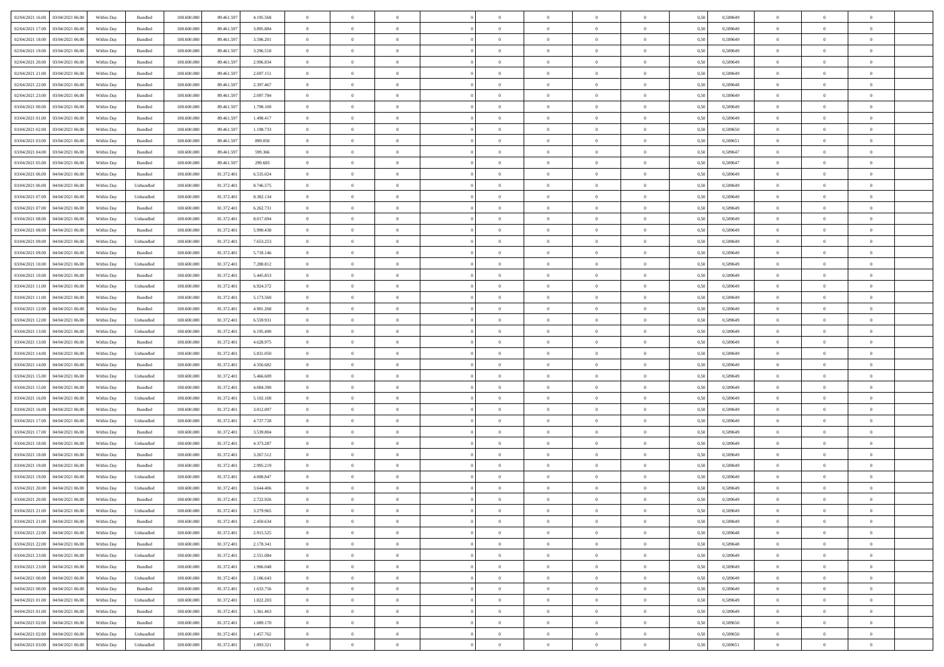| 02/04/2021 16:00 03/04/2021 06:00                  | Within Day | Bundled                     | 108.600.000 | 89.461.597 | 4.195.568 | $\overline{0}$ | $\overline{0}$ |                | $\overline{0}$ | $\theta$       |                | $\theta$       | 0,50 | 0,589649 | $\theta$       | $\theta$       | $\overline{0}$ |  |
|----------------------------------------------------|------------|-----------------------------|-------------|------------|-----------|----------------|----------------|----------------|----------------|----------------|----------------|----------------|------|----------|----------------|----------------|----------------|--|
| 02/04/2021 17:00<br>03/04/2021 06:00               | Within Day | Bundled                     | 108.600.00  | 89.461.59  | 3.895.884 | $\bf{0}$       | $\bf{0}$       | $\bf{0}$       | $\bf{0}$       | $\overline{0}$ | $\overline{0}$ | $\bf{0}$       | 0,50 | 0,589649 | $\,$ 0 $\,$    | $\bf{0}$       | $\overline{0}$ |  |
| 02/04/2021 18:00<br>03/04/2021 06:00               | Within Day | Bundled                     | 108,600,000 | 89.461.597 | 3.596.201 | $\overline{0}$ | $\bf{0}$       | $\overline{0}$ | $\bf{0}$       | $\bf{0}$       | $\overline{0}$ | $\bf{0}$       | 0.50 | 0.589649 | $\bf{0}$       | $\overline{0}$ | $\overline{0}$ |  |
| 02/04/2021 19:00<br>03/04/2021 06:00               |            |                             | 108.600.000 |            |           | $\overline{0}$ | $\overline{0}$ | $\overline{0}$ | $\overline{0}$ | $\theta$       | $\overline{0}$ |                |      |          | $\theta$       | $\theta$       | $\overline{0}$ |  |
|                                                    | Within Day | Bundled                     |             | 89.461.597 | 3.296.518 |                |                |                |                |                |                | $\bf{0}$       | 0,50 | 0,589649 |                |                |                |  |
| 02/04/2021 20:00<br>03/04/2021 06.00               | Within Day | Bundled                     | 108.600.00  | 89.461.59  | 2.996.834 | $\bf{0}$       | $\overline{0}$ | $\bf{0}$       | $\overline{0}$ | $\theta$       | $\overline{0}$ | $\bf{0}$       | 0,50 | 0,589649 | $\,$ 0 $\,$    | $\bf{0}$       | $\overline{0}$ |  |
| 02/04/2021 21:00<br>03/04/2021 06:00               | Within Day | Bundled                     | 108,600,000 | 89.461.59  | 2.697.151 | $\overline{0}$ | $\overline{0}$ | $\overline{0}$ | $\bf{0}$       | $\overline{0}$ | $\theta$       | $\bf{0}$       | 0.50 | 0.589649 | $\,$ 0 $\,$    | $\theta$       | $\overline{0}$ |  |
| 02/04/2021 22:00<br>03/04/2021 06:00               | Within Day | Bundled                     | 108.600.000 | 89.461.597 | 2.397.467 | $\overline{0}$ | $\overline{0}$ | $\overline{0}$ | $\overline{0}$ | $\overline{0}$ | $\overline{0}$ | $\bf{0}$       | 0,50 | 0,589648 | $\,$ 0 $\,$    | $\theta$       | $\overline{0}$ |  |
|                                                    |            |                             |             |            |           |                |                |                |                |                |                |                |      |          |                |                |                |  |
| 02/04/2021 23:00<br>03/04/2021 06.00               | Within Day | Bundled                     | 108.600.00  | 89.461.59  | 2.097.784 | $\bf{0}$       | $\bf{0}$       | $\bf{0}$       | $\overline{0}$ | $\overline{0}$ | $\overline{0}$ | $\bf{0}$       | 0,50 | 0,589649 | $\,$ 0 $\,$    | $\bf{0}$       | $\overline{0}$ |  |
| 03/04/2021 00:00<br>03/04/2021 06:00               | Within Day | Bundled                     | 108,600,000 | 89.461.59  | 1.798.100 | $\overline{0}$ | $\bf{0}$       | $\overline{0}$ | $\bf{0}$       | $\overline{0}$ | $\overline{0}$ | $\bf{0}$       | 0.50 | 0.589649 | $\bf{0}$       | $\overline{0}$ | $\overline{0}$ |  |
| 03/04/2021 01:00<br>03/04/2021 06:00               | Within Day | Bundled                     | 108.600.000 | 89.461.597 | 1.498.417 | $\overline{0}$ | $\bf{0}$       | $\overline{0}$ | $\overline{0}$ | $\overline{0}$ | $\overline{0}$ | $\bf{0}$       | 0,50 | 0,589649 | $\,$ 0 $\,$    | $\,$ 0 $\,$    | $\overline{0}$ |  |
| 03/04/2021 02:00<br>03/04/2021 06.00               | Within Day | Bundled                     | 108.600.00  | 89.461.59  | 1.198.733 | $\bf{0}$       | $\bf{0}$       | $\bf{0}$       | $\bf{0}$       | $\bf{0}$       | $\overline{0}$ | $\bf{0}$       | 0,50 | 0,589650 | $\,$ 0 $\,$    | $\bf{0}$       | $\overline{0}$ |  |
|                                                    |            |                             |             |            |           |                |                |                |                |                |                |                |      |          |                |                |                |  |
| 03/04/2021 03:00<br>03/04/2021 06:00               | Within Day | Bundled                     | 108,600,000 | 89.461.597 | 899.050   | $\overline{0}$ | $\bf{0}$       | $\overline{0}$ | $\overline{0}$ | $\bf{0}$       | $\overline{0}$ | $\bf{0}$       | 0.50 | 0.589651 | $\bf{0}$       | $\overline{0}$ | $\,$ 0         |  |
| 03/04/2021 04:00<br>03/04/2021 06:00               | Within Day | Bundled                     | 108.600.000 | 89.461.597 | 599.366   | $\overline{0}$ | $\overline{0}$ | $\overline{0}$ | $\theta$       | $\theta$       | $\overline{0}$ | $\bf{0}$       | 0,50 | 0,589647 | $\,$ 0 $\,$    | $\theta$       | $\overline{0}$ |  |
| 03/04/2021 05:00<br>03/04/2021 06.00               | Within Day | Bundled                     | 108.600.00  | 89.461.59  | 299.683   | $\bf{0}$       | $\overline{0}$ | $\bf{0}$       | $\overline{0}$ | $\bf{0}$       | $\overline{0}$ | $\bf{0}$       | 0,50 | 0,589647 | $\,$ 0 $\,$    | $\bf{0}$       | $\overline{0}$ |  |
| 03/04/2021 06:00<br>04/04/2021 06:00               |            | Bundled                     | 108,600,000 | 81.372.401 | 6.535.024 | $\overline{0}$ | $\bf{0}$       | $\overline{0}$ | $\bf{0}$       | $\overline{0}$ | $\theta$       | $\bf{0}$       | 0.50 | 0.589649 | $\,$ 0 $\,$    | $\theta$       | $\overline{0}$ |  |
|                                                    | Within Day |                             |             |            |           |                |                |                |                |                |                |                |      |          |                |                |                |  |
| 03/04/2021 06:00<br>04/04/2021 06:00               | Within Day | Unbundled                   | 108.600.000 | 81.372.401 | 8.746.575 | $\overline{0}$ | $\overline{0}$ | $\overline{0}$ | $\overline{0}$ | $\overline{0}$ | $\overline{0}$ | $\bf{0}$       | 0,50 | 0,589649 | $\theta$       | $\theta$       | $\overline{0}$ |  |
| 03/04/2021 07:00<br>04/04/2021 06.00               | Within Day | Unbundled                   | 108.600.00  | 81.372.40  | 8.382.134 | $\bf{0}$       | $\bf{0}$       | $\bf{0}$       | $\overline{0}$ | $\bf{0}$       | $\overline{0}$ | $\bf{0}$       | 0,50 | 0,589649 | $\,$ 0 $\,$    | $\bf{0}$       | $\overline{0}$ |  |
| 03/04/2021 07:00<br>04/04/2021 06:00               | Within Day | Bundled                     | 108,600,000 | 81.372.40  | 6.262.731 | $\overline{0}$ | $\bf{0}$       | $\overline{0}$ | $\bf{0}$       | $\overline{0}$ | $\overline{0}$ | $\bf{0}$       | 0.50 | 0.589649 | $\bf{0}$       | $\overline{0}$ | $\overline{0}$ |  |
| 03/04/2021 08:00<br>04/04/2021 06:00               | Within Day | Unbundled                   | 108.600.000 | 81.372.401 | 8.017.694 | $\bf{0}$       | $\bf{0}$       | $\overline{0}$ | $\overline{0}$ | $\overline{0}$ | $\overline{0}$ | $\bf{0}$       | 0,50 | 0,589649 | $\,$ 0 $\,$    | $\bf{0}$       | $\overline{0}$ |  |
|                                                    |            |                             |             |            |           |                |                |                |                |                |                |                |      |          |                |                |                |  |
| 03/04/2021 08:00<br>04/04/2021 06.00               | Within Day | Bundled                     | 108.600.00  | 81.372.40  | 5.990.438 | $\bf{0}$       | $\bf{0}$       | $\bf{0}$       | $\bf{0}$       | $\overline{0}$ | $\overline{0}$ | $\bf{0}$       | 0,50 | 0,589649 | $\,$ 0 $\,$    | $\bf{0}$       | $\overline{0}$ |  |
| 03/04/2021 09:00<br>04/04/2021 06:00               | Within Day | Unbundled                   | 108,600,000 | 81.372.401 | 7.653.253 | $\overline{0}$ | $\bf{0}$       | $\overline{0}$ | $\overline{0}$ | $\bf{0}$       | $\overline{0}$ | $\bf{0}$       | 0.50 | 0.589649 | $\bf{0}$       | $\overline{0}$ | $\,$ 0         |  |
| 03/04/2021 09:00<br>04/04/2021 06:00               | Within Day | Bundled                     | 108.600.000 | 81.372.401 | 5.718.146 | $\overline{0}$ | $\overline{0}$ | $\overline{0}$ | $\overline{0}$ | $\theta$       | $\overline{0}$ | $\bf{0}$       | 0,50 | 0,589649 | $\theta$       | $\theta$       | $\overline{0}$ |  |
| 03/04/2021 10:00<br>04/04/2021 06.00               | Within Day | Unbundled                   | 108.600.00  | 81.372.40  | 7.288.812 | $\bf{0}$       | $\bf{0}$       | $\bf{0}$       | $\bf{0}$       | $\overline{0}$ | $\overline{0}$ | $\bf{0}$       | 0,50 | 0,589649 | $\,$ 0 $\,$    | $\bf{0}$       | $\overline{0}$ |  |
|                                                    |            |                             |             |            |           |                |                |                |                |                |                |                |      |          |                |                |                |  |
| 03/04/2021 10:00<br>04/04/2021 06:00               | Within Day | Bundled                     | 108,600,000 | 81.372.401 | 5.445.853 | $\overline{0}$ | $\bf{0}$       | $\overline{0}$ | $\bf{0}$       | $\overline{0}$ | $\theta$       | $\bf{0}$       | 0.50 | 0.589649 | $\,$ 0 $\,$    | $\theta$       | $\overline{0}$ |  |
| 03/04/2021 11:00<br>04/04/2021 06:00               | Within Day | Unbundled                   | 108.600.000 | 81.372.401 | 6.924.372 | $\overline{0}$ | $\overline{0}$ | $\overline{0}$ | $\overline{0}$ | $\overline{0}$ | $\overline{0}$ | $\bf{0}$       | 0,50 | 0,589649 | $\,$ 0 $\,$    | $\theta$       | $\overline{0}$ |  |
| 03/04/2021 11:00<br>04/04/2021 06.00               | Within Day | Bundled                     | 108.600.00  | 81.372.40  | 5.173.560 | $\bf{0}$       | $\overline{0}$ | $\bf{0}$       | $\overline{0}$ | $\bf{0}$       | $\overline{0}$ | $\bf{0}$       | 0,50 | 0,589649 | $\,$ 0 $\,$    | $\bf{0}$       | $\overline{0}$ |  |
| 03/04/2021 12:00<br>04/04/2021 06:00               | Within Day | Bundled                     | 108,600,000 | 81.372.40  | 4.901.268 | $\overline{0}$ | $\bf{0}$       | $\overline{0}$ | $\bf{0}$       | $\overline{0}$ | $\overline{0}$ | $\bf{0}$       | 0.50 | 0.589649 | $\bf{0}$       | $\overline{0}$ | $\overline{0}$ |  |
|                                                    |            |                             |             |            |           | $\overline{0}$ |                | $\overline{0}$ | $\overline{0}$ | $\overline{0}$ | $\overline{0}$ |                |      |          | $\,$ 0 $\,$    | $\theta$       | $\overline{0}$ |  |
| 03/04/2021 12:00<br>04/04/2021 06:00               | Within Day | Unbundled                   | 108.600.000 | 81.372.401 | 6.559.931 |                | $\bf{0}$       |                |                |                |                | $\bf{0}$       | 0,50 | 0,589649 |                |                |                |  |
| 03/04/2021 13:00<br>04/04/2021 06.00               | Within Day | Unbundled                   | 108.600.00  | 81.372.401 | 6.195.490 | $\bf{0}$       | $\bf{0}$       | $\bf{0}$       | $\bf{0}$       | $\overline{0}$ | $\overline{0}$ | $\bf{0}$       | 0,50 | 0,589649 | $\,$ 0 $\,$    | $\bf{0}$       | $\overline{0}$ |  |
| 03/04/2021 13:00<br>04/04/2021 06:00               | Within Day | Bundled                     | 108,600,000 | 81.372.401 | 4.628.975 | $\overline{0}$ | $\bf{0}$       | $\overline{0}$ | $\overline{0}$ | $\bf{0}$       | $\overline{0}$ | $\bf{0}$       | 0.50 | 0.589649 | $\bf{0}$       | $\overline{0}$ | $\,$ 0         |  |
| 03/04/2021 14:00<br>04/04/2021 06:00               | Within Day | Unbundled                   | 108.600.000 | 81.372.401 | 5.831.050 | $\overline{0}$ | $\overline{0}$ | $\overline{0}$ | $\overline{0}$ | $\overline{0}$ | $\overline{0}$ | $\bf{0}$       | 0.50 | 0.589649 | $\theta$       | $\theta$       | $\overline{0}$ |  |
| 03/04/2021 14:00<br>04/04/2021 06.00               | Within Day | Bundled                     | 108.600.00  | 81.372.40  | 4.356.682 | $\bf{0}$       | $\bf{0}$       | $\bf{0}$       | $\bf{0}$       | $\overline{0}$ | $\overline{0}$ | $\bf{0}$       | 0,50 | 0,589649 | $\,$ 0 $\,$    | $\bf{0}$       | $\overline{0}$ |  |
|                                                    |            |                             |             |            |           |                |                |                |                |                |                |                |      |          |                |                |                |  |
| 03/04/2021 15:00<br>04/04/2021 06:00               | Within Day | Unbundled                   | 108,600,000 | 81.372.401 | 5.466.609 | $\overline{0}$ | $\bf{0}$       | $\overline{0}$ | $\bf{0}$       | $\overline{0}$ | $\Omega$       | $\bf{0}$       | 0.50 | 0.589649 | $\,$ 0 $\,$    | $\bf{0}$       | $\overline{0}$ |  |
| 03/04/2021 15:00<br>04/04/2021 06:00               | Within Dav | Bundled                     | 108.600.000 | 81.372.401 | 4.084.390 | $\overline{0}$ | $\overline{0}$ | $\overline{0}$ | $\overline{0}$ | $\overline{0}$ | $\overline{0}$ | $\bf{0}$       | 0.50 | 0.589649 | $\theta$       | $\theta$       | $\overline{0}$ |  |
| 03/04/2021 16:00<br>04/04/2021 06.00               | Within Day | Unbundled                   | 108.600.00  | 81.372.40  | 5.102.168 | $\bf{0}$       | $\bf{0}$       | $\bf{0}$       | $\bf{0}$       | $\overline{0}$ | $\overline{0}$ | $\bf{0}$       | 0,50 | 0,589649 | $\,$ 0 $\,$    | $\bf{0}$       | $\overline{0}$ |  |
| 03/04/2021 16:00<br>04/04/2021 06:00               | Within Day | Bundled                     | 108,600,00  | 81.372.401 | 3.812.097 | $\overline{0}$ | $\bf{0}$       | $\overline{0}$ | $\bf{0}$       | $\overline{0}$ | $\overline{0}$ | $\bf{0}$       | 0.50 | 0.589649 | $\bf{0}$       | $\overline{0}$ | $\overline{0}$ |  |
|                                                    |            |                             |             |            |           |                |                |                |                |                |                |                |      |          |                |                |                |  |
| 03/04/2021 17:00<br>04/04/2021 06:00               | Within Dav | Unbundled                   | 108.600.000 | 81.372.401 | 4.737.728 | $\overline{0}$ | $\overline{0}$ | $\overline{0}$ | $\overline{0}$ | $\overline{0}$ | $\overline{0}$ | $\bf{0}$       | 0.50 | 0.589649 | $\theta$       | $\theta$       | $\overline{0}$ |  |
| 03/04/2021 17:00<br>04/04/2021 06.00               | Within Day | Bundled                     | 108.600.00  | 81.372.40  | 3.539.804 | $\bf{0}$       | $\bf{0}$       | $\bf{0}$       | $\bf{0}$       | $\overline{0}$ | $\overline{0}$ | $\bf{0}$       | 0,50 | 0,589649 | $\,$ 0 $\,$    | $\bf{0}$       | $\overline{0}$ |  |
| 03/04/2021 18:00<br>04/04/2021 06:00               | Within Day | Unbundled                   | 108,600,000 | 81.372.401 | 4.373.287 | $\overline{0}$ | $\bf{0}$       | $\overline{0}$ | $\overline{0}$ | $\bf{0}$       | $\overline{0}$ | $\bf{0}$       | 0.50 | 0.589649 | $\bf{0}$       | $\overline{0}$ | $\overline{0}$ |  |
| 03/04/2021 18:00<br>04/04/2021 06:00               | Within Day | Bundled                     | 108.600.000 | 81.372.401 | 3.267.512 | $\overline{0}$ | $\overline{0}$ | $\overline{0}$ | $\overline{0}$ | $\overline{0}$ | $\overline{0}$ | $\bf{0}$       | 0.50 | 0.589649 | $\theta$       | $\theta$       | $\overline{0}$ |  |
|                                                    |            |                             |             |            |           | $\bf{0}$       | $\bf{0}$       | $\bf{0}$       |                | $\overline{0}$ | $\overline{0}$ |                |      |          | $\,$ 0 $\,$    | $\bf{0}$       | $\overline{0}$ |  |
| 03/04/2021 19:00<br>04/04/2021 06.00               | Within Day | Bundled                     | 108.600.00  | 81.372.40  | 2.995.219 |                |                |                | $\bf{0}$       |                |                | $\bf{0}$       | 0,50 | 0,589649 |                |                |                |  |
| 03/04/2021 19:00<br>04/04/2021 06:00               | Within Day | Unbundled                   | 108,600,000 | 81.372.401 | 4.008.847 | $\overline{0}$ | $\overline{0}$ | $\overline{0}$ | $\bf{0}$       | $\overline{0}$ | $\Omega$       | $\bf{0}$       | 0.50 | 0.589649 | $\bf{0}$       | $\theta$       | $\overline{0}$ |  |
| 03/04/2021 20:00<br>04/04/2021 06:00               | Within Dav | Unbundled                   | 108.600.000 | 81.372.401 | 3.644.406 | $\overline{0}$ | $\overline{0}$ | $\overline{0}$ | $\theta$       | $\theta$       | $\overline{0}$ | $\overline{0}$ | 0.50 | 0.589649 | $\theta$       | $\theta$       | $\overline{0}$ |  |
| 03/04/2021 20:00<br>04/04/2021 06:00               | Within Day | Bundled                     | 108.600.000 | 81.372.401 | 2.722.926 | $\bf{0}$       | $\bf{0}$       | $\bf{0}$       | $\bf{0}$       | $\bf{0}$       | $\overline{0}$ | $\bf{0}$       | 0,50 | 0,589649 | $\,$ 0 $\,$    | $\overline{0}$ | $\overline{0}$ |  |
| $03/04/2021\,\, 21.00 \qquad 04/04/2021\,\, 06.00$ | Within Day | $\ensuremath{\mathsf{Unb}}$ | 108.600.000 | 81.372.401 | 3.279.965 | $\bf{0}$       | $\theta$       |                | $\overline{0}$ |                |                |                | 0,50 | 0.589649 | $\bf{0}$       | $\bf{0}$       |                |  |
|                                                    |            |                             |             |            |           |                |                |                |                |                |                |                |      |          |                |                |                |  |
| 03/04/2021 21:00 04/04/2021 06:00                  | Within Day | Bundled                     | 108.600.000 | 81.372.401 | 2.450.634 | $\overline{0}$ | $\overline{0}$ | $\Omega$       | $\theta$       | $\overline{0}$ | $\overline{0}$ | $\bf{0}$       | 0,50 | 0,589649 | $\theta$       | $\theta$       | $\overline{0}$ |  |
| 03/04/2021 22:00<br>04/04/2021 06:00               | Within Day | Unbundled                   | 108.600.00  | 81.372.401 | 2.915.525 | $\overline{0}$ | $\bf{0}$       | $\overline{0}$ | $\overline{0}$ | $\bf{0}$       | $\overline{0}$ | $\bf{0}$       | 0,50 | 0,589648 | $\bf{0}$       | $\overline{0}$ | $\bf{0}$       |  |
| 03/04/2021 22:00 04/04/2021 06:00                  | Within Day | Bundled                     | 108,600,000 | 81.372.401 | 2.178.341 | $\overline{0}$ | $\bf{0}$       | $\overline{0}$ | $\overline{0}$ | $\mathbf{0}$   | $\overline{0}$ | $\,$ 0 $\,$    | 0.50 | 0.589648 | $\overline{0}$ | $\bf{0}$       | $\,$ 0 $\,$    |  |
| 03/04/2021 23:00 04/04/2021 06:00                  | Within Day | Unbundled                   | 108.600.000 | 81.372.401 | 2.551.084 | $\overline{0}$ | $\overline{0}$ | $\overline{0}$ | $\overline{0}$ | $\overline{0}$ | $\overline{0}$ | $\bf{0}$       | 0,50 | 0.589649 | $\theta$       | $\theta$       | $\overline{0}$ |  |
|                                                    |            |                             |             |            |           |                |                |                |                |                |                |                |      |          |                |                |                |  |
| 03/04/2021 23:00<br>04/04/2021 06:00               | Within Day | Bundled                     | 108.600.000 | 81.372.401 | 1.906.048 | $\overline{0}$ | $\bf{0}$       | $\overline{0}$ | $\overline{0}$ | $\overline{0}$ | $\overline{0}$ | $\bf{0}$       | 0,50 | 0,589649 | $\bf{0}$       | $\overline{0}$ | $\overline{0}$ |  |
| 04/04/2021 06:00<br>04/04/2021 00:00               | Within Day | Unbundled                   | 108,600,000 | 81.372.401 | 2.186.643 | $\overline{0}$ | $\bf{0}$       | $\overline{0}$ | $\overline{0}$ | $\overline{0}$ | $\overline{0}$ | $\bf{0}$       | 0.50 | 0.589649 | $\,$ 0 $\,$    | $\theta$       | $\,$ 0         |  |
| 04/04/2021 00:00 04/04/2021 06:00                  | Within Dav | Bundled                     | 108.600.000 | 81.372.401 | 1.633.756 | $\overline{0}$ | $\overline{0}$ | $\overline{0}$ | $\overline{0}$ | $\overline{0}$ | $\overline{0}$ | $\bf{0}$       | 0,50 | 0.589649 | $\overline{0}$ | $\theta$       | $\overline{0}$ |  |
| 04/04/2021 01:00<br>04/04/2021 06:00               | Within Day | Unbundled                   | 108.600.00  | 81.372.401 | 1.822.203 | $\overline{0}$ | $\overline{0}$ | $\overline{0}$ | $\overline{0}$ | $\overline{0}$ | $\overline{0}$ | $\bf{0}$       | 0,50 | 0,589649 | $\bf{0}$       | $\overline{0}$ | $\overline{0}$ |  |
|                                                    |            |                             |             |            |           |                |                |                |                |                |                |                |      |          |                |                |                |  |
| 04/04/2021 01:00 04/04/2021 06:00                  | Within Day | Bundled                     | 108,600,000 | 81.372.401 | 1.361.463 | $\overline{0}$ | $\overline{0}$ | $\overline{0}$ | $\overline{0}$ | $\overline{0}$ | $\overline{0}$ | $\bf{0}$       | 0.50 | 0.589649 | $\mathbf{0}$   | $\bf{0}$       | $\,$ 0         |  |
| 04/04/2021 02:00 04/04/2021 06:00                  | Within Dav | Bundled                     | 108.600.000 | 81.372.401 | 1.089.170 | $\overline{0}$ | $\overline{0}$ | $\overline{0}$ | $\overline{0}$ | $\overline{0}$ | $\overline{0}$ | $\bf{0}$       | 0,50 | 0,589650 | $\overline{0}$ | $\theta$       | $\overline{0}$ |  |
| 04/04/2021 02:00<br>04/04/2021 06.00               | Within Day | Unbundled                   | 108.600.00  | 81.372.401 | 1.457.762 | $\overline{0}$ | $\bf{0}$       | $\overline{0}$ | $\bf{0}$       | $\overline{0}$ | $\overline{0}$ | $\bf{0}$       | 0,50 | 0,589650 | $\bf{0}$       | $\,$ 0 $\,$    | $\bf{0}$       |  |
| 04/04/2021 03:00 04/04/2021 06:00                  | Within Day | Unbundled                   | 108.600.000 | 81.372.401 | 1.093.321 | $\,$ 0 $\,$    | $\bf{0}$       | $\overline{0}$ | $\overline{0}$ | $\,$ 0 $\,$    | $\overline{0}$ | $\bf{0}$       | 0,50 | 0,589651 | $\overline{0}$ | $\,$ 0 $\,$    | $\,$ 0 $\,$    |  |
|                                                    |            |                             |             |            |           |                |                |                |                |                |                |                |      |          |                |                |                |  |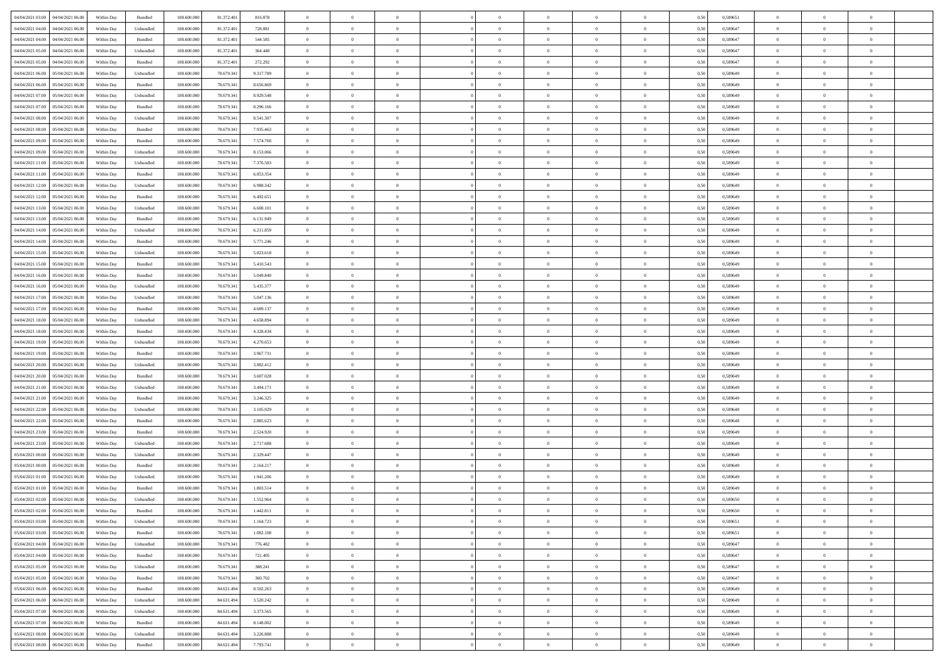| 04/04/2021 03:00 04/04/2021 06:00                                      | Within Day | Bundled            | 108.600.000 | 81.372.401 | 816.878   | $\overline{0}$ | $\theta$       |                | $\overline{0}$ | $\theta$       |                | $\bf{0}$       | 0,50 | 0,589651 | $\theta$       | $\theta$       | $\overline{0}$ |  |
|------------------------------------------------------------------------|------------|--------------------|-------------|------------|-----------|----------------|----------------|----------------|----------------|----------------|----------------|----------------|------|----------|----------------|----------------|----------------|--|
| 04/04/2021 04:00<br>04/04/2021 06.00                                   | Within Day | Unbundled          | 108.600.00  | 81.372.40  | 728.881   | $\bf{0}$       | $\bf{0}$       | $\bf{0}$       | $\overline{0}$ | $\overline{0}$ | $\overline{0}$ | $\bf{0}$       | 0,50 | 0,589647 | $\,$ 0 $\,$    | $\bf{0}$       | $\overline{0}$ |  |
| 04/04/2021 04:00<br>04/04/2021 06:00                                   | Within Day | Bundled            | 108,600,000 | 81.372.401 | 544,585   | $\overline{0}$ | $\bf{0}$       | $\overline{0}$ | $\bf{0}$       | $\bf{0}$       | $\overline{0}$ | $\bf{0}$       | 0.50 | 0.589647 | $\bf{0}$       | $\overline{0}$ | $\overline{0}$ |  |
| 04/04/2021 05:00<br>04/04/2021 06:00                                   | Within Day | Unbundled          | 108.600.000 | 81.372.401 | 364,440   | $\overline{0}$ | $\theta$       | $\overline{0}$ | $\theta$       | $\theta$       | $\overline{0}$ | $\bf{0}$       | 0,50 | 0,589647 | $\theta$       | $\theta$       | $\overline{0}$ |  |
| 04/04/2021 05:00<br>04/04/2021 06.00                                   | Within Day | Bundled            | 108.600.00  | 81.372.40  | 272.292   | $\bf{0}$       | $\overline{0}$ | $\bf{0}$       | $\overline{0}$ | $\theta$       | $\overline{0}$ | $\bf{0}$       | 0,50 | 0,589647 | $\,$ 0 $\,$    | $\bf{0}$       | $\overline{0}$ |  |
|                                                                        |            |                    |             |            |           |                |                |                |                |                |                |                |      |          |                |                |                |  |
| 04/04/2021 06:00<br>05/04/2021 06:00                                   | Within Day | Unbundled          | 108,600,000 | 78.679.341 | 9.317.789 | $\overline{0}$ | $\overline{0}$ | $\overline{0}$ | $\bf{0}$       | $\overline{0}$ | $\theta$       | $\bf{0}$       | 0.50 | 0.589649 | $\bf{0}$       | $\theta$       | $\overline{0}$ |  |
| 04/04/2021 06:00<br>05/04/2021 06:00                                   | Within Day | Bundled            | 108.600.000 | 78.679.341 | 8.656.869 | $\overline{0}$ | $\overline{0}$ | $\overline{0}$ | $\overline{0}$ | $\overline{0}$ | $\overline{0}$ | $\bf{0}$       | 0,50 | 0,589649 | $\theta$       | $\theta$       | $\overline{0}$ |  |
| 04/04/2021 07:00<br>05/04/2021 06.00                                   | Within Day | Unbundled          | 108.600.00  | 78.679.34  | 8.929.548 | $\overline{0}$ | $\overline{0}$ | $\bf{0}$       | $\overline{0}$ | $\theta$       | $\overline{0}$ | $\bf{0}$       | 0,50 | 0,589649 | $\,$ 0 $\,$    | $\bf{0}$       | $\overline{0}$ |  |
| 04/04/2021 07:00<br>05/04/2021 06:00                                   | Within Day | Bundled            | 108,600,000 | 78.679.341 | 8.296.166 | $\overline{0}$ | $\bf{0}$       | $\overline{0}$ | $\bf{0}$       | $\overline{0}$ | $\overline{0}$ | $\bf{0}$       | 0.50 | 0.589649 | $\bf{0}$       | $\overline{0}$ | $\overline{0}$ |  |
| 04/04/2021 08:00<br>05/04/2021 06:00                                   | Within Day | Unbundled          | 108.600.000 | 78.679.341 | 8.541.307 | $\overline{0}$ | $\bf{0}$       | $\overline{0}$ | $\overline{0}$ | $\theta$       | $\overline{0}$ | $\bf{0}$       | 0,50 | 0,589649 | $\,$ 0 $\,$    | $\bf{0}$       | $\overline{0}$ |  |
| 04/04/2021 08:00<br>05/04/2021 06.00                                   | Within Day | Bundled            | 108.600.00  | 78.679.341 | 7.935.463 | $\bf{0}$       | $\overline{0}$ | $\bf{0}$       | $\overline{0}$ | $\bf{0}$       | $\overline{0}$ | $\bf{0}$       | 0,50 | 0,589649 | $\,$ 0 $\,$    | $\bf{0}$       | $\overline{0}$ |  |
|                                                                        |            |                    |             |            |           |                |                |                |                |                |                |                |      |          |                |                |                |  |
| 04/04/2021 09:00<br>05/04/2021 06:00                                   | Within Day | Bundled            | 108,600,000 | 78.679.341 | 7.574.760 | $\overline{0}$ | $\bf{0}$       | $\overline{0}$ | $\bf{0}$       | $\bf{0}$       | $\overline{0}$ | $\bf{0}$       | 0.50 | 0.589649 | $\bf{0}$       | $\overline{0}$ | $\overline{0}$ |  |
| 04/04/2021 09:00<br>05/04/2021 06:00                                   | Within Day | Unbundled          | 108.600.000 | 78.679.341 | 8.153.066 | $\overline{0}$ | $\overline{0}$ | $\overline{0}$ | $\overline{0}$ | $\theta$       | $\overline{0}$ | $\bf{0}$       | 0,50 | 0,589649 | $\,$ 0 $\,$    | $\theta$       | $\overline{0}$ |  |
| 04/04/2021 11:00<br>05/04/2021 06.00                                   | Within Day | Unbundled          | 108.600.00  | 78.679.34  | 7.376.583 | $\bf{0}$       | $\overline{0}$ | $\bf{0}$       | $\overline{0}$ | $\theta$       | $\overline{0}$ | $\bf{0}$       | 0,50 | 0,589649 | $\,$ 0 $\,$    | $\bf{0}$       | $\overline{0}$ |  |
| 04/04/2021 11:00<br>05/04/2021 06:00                                   | Within Day | Bundled            | 108,600,000 | 78.679.341 | 6.853.354 | $\overline{0}$ | $\overline{0}$ | $\overline{0}$ | $\bf{0}$       | $\overline{0}$ | $\Omega$       | $\bf{0}$       | 0.50 | 0.589649 | $\bf{0}$       | $\theta$       | $\overline{0}$ |  |
| 04/04/2021 12:00<br>05/04/2021 06:00                                   | Within Day | Unbundled          | 108.600.000 | 78.679.341 | 6.988.342 | $\overline{0}$ | $\overline{0}$ | $\overline{0}$ | $\overline{0}$ | $\theta$       | $\overline{0}$ | $\bf{0}$       | 0,50 | 0,589649 | $\theta$       | $\theta$       | $\overline{0}$ |  |
| 04/04/2021 12:00<br>05/04/2021 06.00                                   | Within Day | Bundled            | 108.600.00  | 78.679.341 | 6.492.651 | $\bf{0}$       | $\overline{0}$ | $\bf{0}$       | $\overline{0}$ | $\theta$       | $\overline{0}$ | $\bf{0}$       | 0,50 | 0,589649 | $\,$ 0 $\,$    | $\bf{0}$       | $\overline{0}$ |  |
| 04/04/2021 13:00<br>05/04/2021 06:00                                   | Within Day | Unbundled          | 108,600,000 | 78.679.34  | 6.600.101 | $\overline{0}$ | $\bf{0}$       | $\overline{0}$ | $\bf{0}$       | $\overline{0}$ | $\overline{0}$ | $\bf{0}$       | 0.50 | 0.589649 | $\bf{0}$       | $\overline{0}$ | $\overline{0}$ |  |
| 04/04/2021 13:00<br>05/04/2021 06:00                                   | Within Day | Bundled            | 108.600.000 | 78.679.341 | 6.131.949 | $\overline{0}$ | $\bf{0}$       | $\overline{0}$ | $\overline{0}$ | $\overline{0}$ | $\overline{0}$ | $\bf{0}$       | 0,50 | 0,589649 | $\,$ 0 $\,$    | $\theta$       | $\overline{0}$ |  |
|                                                                        |            |                    |             |            |           |                |                |                |                |                |                |                |      |          |                |                |                |  |
| 04/04/2021 14:00<br>05/04/2021 06.00                                   | Within Day | Unbundled          | 108.600.00  | 78.679.341 | 6.211.859 | $\bf{0}$       | $\bf{0}$       | $\bf{0}$       | $\bf{0}$       | $\overline{0}$ | $\overline{0}$ | $\bf{0}$       | 0,50 | 0,589649 | $\,$ 0 $\,$    | $\bf{0}$       | $\overline{0}$ |  |
| 04/04/2021 14:00<br>05/04/2021 06:00                                   | Within Day | Bundled            | 108,600,000 | 78.679.341 | 5.771.246 | $\overline{0}$ | $\bf{0}$       | $\overline{0}$ | $\bf{0}$       | $\bf{0}$       | $\overline{0}$ | $\bf{0}$       | 0.50 | 0.589649 | $\bf{0}$       | $\overline{0}$ | $\overline{0}$ |  |
| 04/04/2021 15:00<br>05/04/2021 06:00                                   | Within Day | Unbundled          | 108.600.000 | 78.679.341 | 5.823.618 | $\overline{0}$ | $\overline{0}$ | $\overline{0}$ | $\theta$       | $\theta$       | $\overline{0}$ | $\bf{0}$       | 0,50 | 0,589649 | $\theta$       | $\theta$       | $\overline{0}$ |  |
| 04/04/2021 15:00<br>05/04/2021 06.00                                   | Within Day | Bundled            | 108.600.00  | 78.679.341 | 5.410.543 | $\bf{0}$       | $\overline{0}$ | $\bf{0}$       | $\overline{0}$ | $\theta$       | $\overline{0}$ | $\bf{0}$       | 0,50 | 0,589649 | $\,$ 0 $\,$    | $\bf{0}$       | $\overline{0}$ |  |
| 04/04/2021 16:00<br>05/04/2021 06:00                                   | Within Day | Bundled            | 108,600,000 | 78.679.341 | 5.049.840 | $\overline{0}$ | $\overline{0}$ | $\overline{0}$ | $\overline{0}$ | $\overline{0}$ | $\Omega$       | $\bf{0}$       | 0.50 | 0.589649 | $\bf{0}$       | $\theta$       | $\overline{0}$ |  |
| 04/04/2021 16:00<br>05/04/2021 06:00                                   | Within Day | Unbundled          | 108.600.000 | 78.679.341 | 5.435.377 | $\overline{0}$ | $\overline{0}$ | $\overline{0}$ | $\overline{0}$ | $\theta$       | $\overline{0}$ | $\bf{0}$       | 0,50 | 0,589649 | $\,$ 0 $\,$    | $\theta$       | $\overline{0}$ |  |
| 04/04/2021 17:00<br>05/04/2021 06.00                                   | Within Day | Unbundled          | 108.600.00  | 78.679.341 | 5.047.136 | $\bf{0}$       | $\overline{0}$ | $\bf{0}$       | $\overline{0}$ | $\theta$       | $\overline{0}$ | $\bf{0}$       | 0,50 | 0,589649 | $\,$ 0 $\,$    | $\bf{0}$       | $\overline{0}$ |  |
|                                                                        |            |                    |             |            |           |                |                |                |                |                |                |                |      |          |                |                |                |  |
| 04/04/2021 17:00<br>05/04/2021 06:00                                   | Within Day | Bundled            | 108,600,000 | 78.679.34  | 4.689.137 | $\overline{0}$ | $\bf{0}$       | $\overline{0}$ | $\bf{0}$       | $\overline{0}$ | $\overline{0}$ | $\bf{0}$       | 0.50 | 0.589649 | $\bf{0}$       | $\overline{0}$ | $\overline{0}$ |  |
| 04/04/2021 18:00<br>05/04/2021 06:00                                   | Within Day | Unbundled          | 108.600.000 | 78.679.341 | 4.658.894 | $\overline{0}$ | $\overline{0}$ | $\overline{0}$ | $\overline{0}$ | $\overline{0}$ | $\overline{0}$ | $\bf{0}$       | 0,50 | 0,589649 | $\theta$       | $\theta$       | $\overline{0}$ |  |
| 04/04/2021 18:00<br>05/04/2021 06.00                                   | Within Day | Bundled            | 108.600.00  | 78.679.341 | 4.328.434 | $\bf{0}$       | $\bf{0}$       | $\bf{0}$       | $\bf{0}$       | $\overline{0}$ | $\overline{0}$ | $\bf{0}$       | 0,50 | 0,589649 | $\,$ 0 $\,$    | $\bf{0}$       | $\overline{0}$ |  |
| 04/04/2021 19:00<br>05/04/2021 06:00                                   | Within Day | Unbundled          | 108,600,000 | 78.679.341 | 4.270.653 | $\overline{0}$ | $\bf{0}$       | $\overline{0}$ | $\bf{0}$       | $\bf{0}$       | $\overline{0}$ | $\bf{0}$       | 0.50 | 0.589649 | $\bf{0}$       | $\overline{0}$ | $\overline{0}$ |  |
| 04/04/2021 19:00<br>05/04/2021 06:00                                   | Within Day | Bundled            | 108.600.000 | 78.679.341 | 3.967.731 | $\overline{0}$ | $\overline{0}$ | $\overline{0}$ | $\overline{0}$ | $\overline{0}$ | $\overline{0}$ | $\bf{0}$       | 0.50 | 0.589649 | $\theta$       | $\theta$       | $\overline{0}$ |  |
| 04/04/2021 20:00<br>05/04/2021 06.00                                   | Within Day | Unbundled          | 108.600.00  | 78.679.341 | 3.882.412 | $\bf{0}$       | $\overline{0}$ | $\bf{0}$       | $\overline{0}$ | $\overline{0}$ | $\overline{0}$ | $\bf{0}$       | 0,50 | 0,589649 | $\,$ 0 $\,$    | $\bf{0}$       | $\overline{0}$ |  |
| 04/04/2021 20:00<br>05/04/2021 06:00                                   | Within Day | Bundled            | 108,600,000 | 78.679.341 | 3.607.028 | $\overline{0}$ | $\bf{0}$       | $\overline{0}$ | $\bf{0}$       | $\overline{0}$ | $\Omega$       | $\bf{0}$       | 0.50 | 0.589649 | $\,$ 0 $\,$    | $\theta$       | $\overline{0}$ |  |
| 04/04/2021 21:00<br>05/04/2021 06:00                                   | Within Dav | Unbundled          | 108.600.000 | 78.679.341 | 3.494.171 | $\overline{0}$ | $\overline{0}$ | $\overline{0}$ | $\overline{0}$ | $\theta$       | $\overline{0}$ | $\bf{0}$       | 0.50 | 0.589649 | $\theta$       | $\theta$       | $\overline{0}$ |  |
|                                                                        |            |                    |             |            |           |                |                |                |                |                |                |                |      |          |                |                |                |  |
| 04/04/2021 21:00<br>05/04/2021 06.00                                   | Within Day | Bundled            | 108.600.00  | 78.679.341 | 3.246.325 | $\bf{0}$       | $\bf{0}$       | $\bf{0}$       | $\overline{0}$ | $\bf{0}$       | $\overline{0}$ | $\bf{0}$       | 0,50 | 0,589649 | $\,$ 0 $\,$    | $\bf{0}$       | $\overline{0}$ |  |
| 04/04/2021 22:00<br>05/04/2021 06:00                                   | Within Day | Unbundled          | 108,600,000 | 78.679.34  | 3.105.929 | $\overline{0}$ | $\bf{0}$       | $\overline{0}$ | $\bf{0}$       | $\overline{0}$ | $\overline{0}$ | $\bf{0}$       | 0.50 | 0.589648 | $\bf{0}$       | $\overline{0}$ | $\overline{0}$ |  |
| 04/04/2021 22:00<br>05/04/2021 06:00                                   | Within Dav | Bundled            | 108.600.000 | 78.679.341 | 2.885.623 | $\overline{0}$ | $\overline{0}$ | $\overline{0}$ | $\overline{0}$ | $\overline{0}$ | $\overline{0}$ | $\bf{0}$       | 0.50 | 0.589648 | $\theta$       | $\theta$       | $\overline{0}$ |  |
| 04/04/2021 23:00<br>05/04/2021 06.00                                   | Within Day | Bundled            | 108.600.00  | 78.679.341 | 2.524.920 | $\bf{0}$       | $\bf{0}$       | $\bf{0}$       | $\bf{0}$       | $\overline{0}$ | $\overline{0}$ | $\bf{0}$       | 0,50 | 0,589649 | $\,$ 0 $\,$    | $\bf{0}$       | $\overline{0}$ |  |
| 04/04/2021 23:00<br>05/04/2021 06:00                                   | Within Day | Unbundled          | 108,600,000 | 78.679.341 | 2.717.688 | $\overline{0}$ | $\bf{0}$       | $\overline{0}$ | $\bf{0}$       | $\bf{0}$       | $\overline{0}$ | $\bf{0}$       | 0.50 | 0.589649 | $\bf{0}$       | $\overline{0}$ | $\overline{0}$ |  |
| 05/04/2021 00:00<br>05/04/2021 06:00                                   | Within Dav | Unbundled          | 108.600.000 | 78.679.341 | 2.329.447 | $\overline{0}$ | $\overline{0}$ | $\overline{0}$ | $\overline{0}$ | $\theta$       | $\overline{0}$ | $\bf{0}$       | 0.50 | 0.589649 | $\theta$       | $\theta$       | $\overline{0}$ |  |
| 05/04/2021 00:00<br>05/04/2021 06.00                                   | Within Day | Bundled            | 108.600.00  | 78.679.341 | 2.164.217 | $\bf{0}$       | $\bf{0}$       | $\bf{0}$       | $\bf{0}$       | $\overline{0}$ | $\overline{0}$ | $\bf{0}$       | 0,50 | 0,589649 | $\,$ 0 $\,$    | $\bf{0}$       | $\overline{0}$ |  |
| 05/04/2021 01:00<br>05/04/2021 06:00                                   | Within Day | Unbundled          | 108,600,000 | 78.679.34  | 1.941.206 | $\overline{0}$ | $\overline{0}$ | $\overline{0}$ | $\bf{0}$       | $\overline{0}$ | $\Omega$       | $\bf{0}$       | 0.50 | 0.589649 | $\,$ 0 $\,$    | $\theta$       | $\overline{0}$ |  |
| 05/04/2021 01:00<br>05/04/2021 06:00                                   | Within Dav | Bundled            | 108.600.000 | 78.679.341 | 1.803.514 | $\overline{0}$ | $\overline{0}$ | $\Omega$       |                | $\theta$       | $\Omega$       | $\overline{0}$ | 0.5( | 0.589649 | $\theta$       | $\theta$       | $\overline{0}$ |  |
|                                                                        |            |                    |             |            |           |                |                |                | $\overline{0}$ |                |                |                |      |          |                |                |                |  |
| 05/04/2021 02:00<br>05/04/2021 06:00                                   | Within Day | Unbundled          | 108.600.000 | 78.679.341 | 1.552.964 | $\bf{0}$       | $\bf{0}$       | $\overline{0}$ | $\bf{0}$       | $\bf{0}$       | $\overline{0}$ | $\bf{0}$       | 0,50 | 0,589650 | $\,$ 0 $\,$    | $\bf{0}$       | $\overline{0}$ |  |
| ${\color{red} 05/04/2021~02.00} \qquad {\color{red} 05/04/2021~06.00}$ | Within Day | $\mathbf B$ undled | 108.600.000 | 78.679.341 | 1.442.811 | $\bf{0}$       | $\Omega$       |                | $\Omega$       |                |                |                | 0,50 | 0.589650 | $\bf{0}$       | $\overline{0}$ |                |  |
| 05/04/2021 03:00 05/04/2021 06:00                                      | Within Day | Unbundled          | 108.600.000 | 78.679.341 | 1.164.723 | $\overline{0}$ | $\overline{0}$ | $\overline{0}$ | $\theta$       | $\overline{0}$ | $\overline{0}$ | $\bf{0}$       | 0,50 | 0,589651 | $\theta$       | $\overline{0}$ | $\overline{0}$ |  |
| 05/04/2021 03:00<br>05/04/2021 06:00                                   | Within Day | Bundled            | 108.600.00  | 78.679.341 | 1.082.108 | $\overline{0}$ | $\bf{0}$       | $\overline{0}$ | $\overline{0}$ | $\bf{0}$       | $\overline{0}$ | $\bf{0}$       | 0,50 | 0,589651 | $\bf{0}$       | $\overline{0}$ | $\bf{0}$       |  |
| 05/04/2021 04:00 05/04/2021 06:00                                      | Within Day | Unbundled          | 108,600,000 | 78.679.341 | 776.482   | $\overline{0}$ | $\bf{0}$       | $\overline{0}$ | $\overline{0}$ | $\mathbf{0}$   | $\overline{0}$ | $\,$ 0 $\,$    | 0.50 | 0.589647 | $\overline{0}$ | $\bf{0}$       | $\,$ 0 $\,$    |  |
| 05/04/2021 04:00 05/04/2021 06:00                                      | Within Day | Bundled            | 108.600.000 | 78.679.341 | 721.405   | $\overline{0}$ | $\overline{0}$ | $\overline{0}$ | $\overline{0}$ | $\overline{0}$ | $\overline{0}$ | $\bf{0}$       | 0,50 | 0,589647 | $\overline{0}$ | $\theta$       | $\overline{0}$ |  |
| 05/04/2021 05:00<br>05/04/2021 06:00                                   | Within Day | Unbundled          | 108.600.000 | 78.679.341 | 388.241   | $\overline{0}$ | $\bf{0}$       | $\overline{0}$ | $\overline{0}$ | $\bf{0}$       | $\overline{0}$ | $\bf{0}$       | 0,50 | 0,589647 | $\bf{0}$       | $\overline{0}$ | $\overline{0}$ |  |
|                                                                        |            |                    |             |            |           |                |                |                |                |                |                |                |      |          |                |                |                |  |
| 05/04/2021 05:00 05/04/2021 06:00                                      | Within Day | Bundled            | 108,600,000 | 78.679.341 | 360,702   | $\overline{0}$ | $\bf{0}$       | $\overline{0}$ | $\overline{0}$ | $\bf{0}$       | $\overline{0}$ | $\bf{0}$       | 0.50 | 0.589647 | $\,$ 0 $\,$    | $\overline{0}$ | $\,$ 0         |  |
| 05/04/2021 06:00<br>06/04/2021 06:00                                   | Within Dav | Bundled            | 108.600.000 | 84.631.494 | 8.502.263 | $\overline{0}$ | $\overline{0}$ | $\overline{0}$ | $\overline{0}$ | $\overline{0}$ | $\overline{0}$ | $\bf{0}$       | 0.50 | 0,589649 | $\overline{0}$ | $\theta$       | $\overline{0}$ |  |
| 05/04/2021 06:00<br>06/04/2021 06:00                                   | Within Day | Unbundled          | 108.600.00  | 84.631.494 | 3.520.242 | $\overline{0}$ | $\overline{0}$ | $\overline{0}$ | $\overline{0}$ | $\overline{0}$ | $\overline{0}$ | $\bf{0}$       | 0,50 | 0,589649 | $\bf{0}$       | $\overline{0}$ | $\,$ 0         |  |
| 05/04/2021 07:00<br>06/04/2021 06:00                                   | Within Day | Unbundled          | 108,600,000 | 84.631.494 | 3.373.565 | $\overline{0}$ | $\overline{0}$ | $\overline{0}$ | $\overline{0}$ | $\overline{0}$ | $\overline{0}$ | $\bf{0}$       | 0.50 | 0.589649 | $\mathbf{0}$   | $\bf{0}$       | $\,$ 0         |  |
| 05/04/2021 07:00   06/04/2021 06:00                                    | Within Dav | Bundled            | 108.600.000 | 84.631.494 | 8.148.002 | $\overline{0}$ | $\overline{0}$ | $\overline{0}$ | $\overline{0}$ | $\overline{0}$ | $\overline{0}$ | $\bf{0}$       | 0,50 | 0.589649 | $\overline{0}$ | $\theta$       | $\overline{0}$ |  |
| 05/04/2021 08:00<br>06/04/2021 06.00                                   | Within Day | Unbundled          | 108.600.00  | 84.631.494 | 3.226.888 | $\overline{0}$ | $\bf{0}$       | $\overline{0}$ | $\overline{0}$ | $\overline{0}$ | $\overline{0}$ | $\bf{0}$       | 0,50 | 0,589649 | $\bf{0}$       | $\overline{0}$ | $\bf{0}$       |  |
| 05/04/2021 08:00   06/04/2021 06:00                                    | Within Day | Bundled            | 108.600.000 | 84.631.494 | 7.793.741 | $\,$ 0 $\,$    | $\bf{0}$       | $\overline{0}$ | $\overline{0}$ | $\,$ 0 $\,$    | $\overline{0}$ | $\,$ 0 $\,$    | 0,50 | 0,589649 | $\overline{0}$ | $\,$ 0 $\,$    | $\,$ 0 $\,$    |  |
|                                                                        |            |                    |             |            |           |                |                |                |                |                |                |                |      |          |                |                |                |  |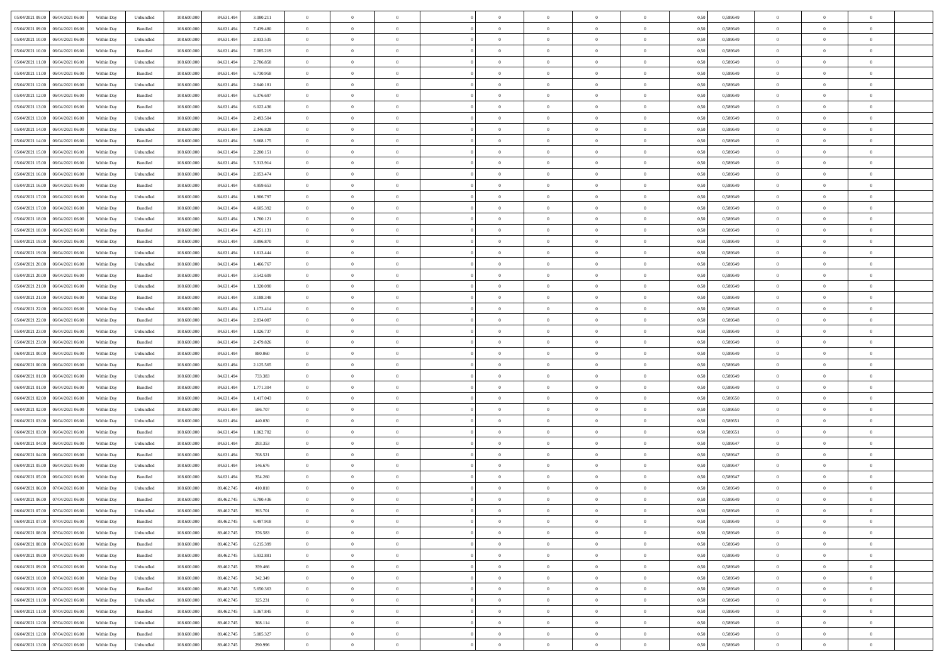| 05/04/2021 09:00   06/04/2021 06:00          | Within Day | Unbundled                   | 108.600.000 | 84.631.494 | 3.080.211 | $\overline{0}$ | $\overline{0}$ |                | $\overline{0}$ | $\theta$       |                | $\theta$       | 0,50 | 0,589649 | $\theta$       | $\theta$       | $\overline{0}$ |  |
|----------------------------------------------|------------|-----------------------------|-------------|------------|-----------|----------------|----------------|----------------|----------------|----------------|----------------|----------------|------|----------|----------------|----------------|----------------|--|
| 05/04/2021 09:00<br>06/04/2021 06.00         | Within Day | Bundled                     | 108.600.00  | 84.631.49  | 7.439.480 | $\bf{0}$       | $\bf{0}$       | $\bf{0}$       | $\overline{0}$ | $\overline{0}$ | $\overline{0}$ | $\bf{0}$       | 0,50 | 0,589649 | $\,$ 0 $\,$    | $\bf{0}$       | $\overline{0}$ |  |
| 05/04/2021 10:00<br>06/04/2021 06:00         | Within Day | Unbundled                   | 108,600,000 | 84.631.494 | 2.933.535 | $\overline{0}$ | $\bf{0}$       | $\overline{0}$ | $\bf{0}$       | $\bf{0}$       | $\overline{0}$ | $\bf{0}$       | 0.50 | 0.589649 | $\bf{0}$       | $\overline{0}$ | $\overline{0}$ |  |
| 05/04/2021 10:00<br>06/04/2021 06:00         | Within Day | Bundled                     | 108.600.000 | 84.631.494 | 7.085.219 | $\overline{0}$ | $\overline{0}$ | $\overline{0}$ | $\theta$       | $\theta$       | $\overline{0}$ | $\bf{0}$       | 0,50 | 0,589649 | $\theta$       | $\theta$       | $\overline{0}$ |  |
|                                              |            |                             |             |            |           |                |                |                |                |                |                |                |      |          |                |                |                |  |
| 05/04/2021 11:00<br>06/04/2021 06.00         | Within Day | Unbundled                   | 108.600.00  | 84.631.49  | 2.786.858 | $\bf{0}$       | $\overline{0}$ | $\bf{0}$       | $\overline{0}$ | $\theta$       | $\overline{0}$ | $\bf{0}$       | 0,50 | 0,589649 | $\,$ 0 $\,$    | $\bf{0}$       | $\overline{0}$ |  |
| 05/04/2021 11:00<br>06/04/2021 06:00         | Within Day | Bundled                     | 108,600,000 | 84.631.494 | 6.730.958 | $\overline{0}$ | $\overline{0}$ | $\overline{0}$ | $\bf{0}$       | $\overline{0}$ | $\theta$       | $\bf{0}$       | 0.50 | 0.589649 | $\,$ 0 $\,$    | $\theta$       | $\overline{0}$ |  |
| 05/04/2021 12:00<br>06/04/2021 06:00         | Within Day | Unbundled                   | 108.600.000 | 84.631.494 | 2.640.181 | $\overline{0}$ | $\overline{0}$ | $\overline{0}$ | $\overline{0}$ | $\overline{0}$ | $\overline{0}$ | $\bf{0}$       | 0,50 | 0,589649 | $\theta$       | $\theta$       | $\overline{0}$ |  |
|                                              |            |                             |             |            |           |                |                |                |                |                |                |                |      |          |                |                |                |  |
| 05/04/2021 12:00<br>06/04/2021 06.00         | Within Day | Bundled                     | 108.600.00  | 84.631.49  | 6.376.697 | $\bf{0}$       | $\overline{0}$ | $\bf{0}$       | $\overline{0}$ | $\overline{0}$ | $\overline{0}$ | $\bf{0}$       | 0,50 | 0,589649 | $\,$ 0 $\,$    | $\bf{0}$       | $\overline{0}$ |  |
| 05/04/2021 13:00<br>06/04/2021 06:00         | Within Day | Bundled                     | 108,600,000 | 84.631.49  | 6.022.436 | $\overline{0}$ | $\bf{0}$       | $\overline{0}$ | $\bf{0}$       | $\overline{0}$ | $\overline{0}$ | $\bf{0}$       | 0.50 | 0.589649 | $\bf{0}$       | $\overline{0}$ | $\overline{0}$ |  |
| 05/04/2021 13:00<br>06/04/2021 06:00         | Within Day | Unbundled                   | 108.600.000 | 84.631.494 | 2.493.504 | $\overline{0}$ | $\bf{0}$       | $\overline{0}$ | $\overline{0}$ | $\overline{0}$ | $\overline{0}$ | $\bf{0}$       | 0,50 | 0,589649 | $\,$ 0 $\,$    | $\bf{0}$       | $\overline{0}$ |  |
| 05/04/2021 14:00<br>06/04/2021 06.00         | Within Day | Unbundled                   | 108.600.00  | 84.631.49  | 2.346.828 | $\bf{0}$       | $\overline{0}$ | $\bf{0}$       | $\bf{0}$       | $\bf{0}$       | $\overline{0}$ | $\bf{0}$       | 0,50 | 0,589649 | $\,$ 0 $\,$    | $\bf{0}$       | $\overline{0}$ |  |
|                                              |            |                             |             |            |           |                |                |                |                |                |                |                |      |          |                |                |                |  |
| 05/04/2021 14:00<br>06/04/2021 06:00         | Within Day | Bundled                     | 108,600,000 | 84.631.494 | 5.668.175 | $\overline{0}$ | $\bf{0}$       | $\overline{0}$ | $\overline{0}$ | $\bf{0}$       | $\overline{0}$ | $\bf{0}$       | 0.50 | 0.589649 | $\bf{0}$       | $\overline{0}$ | $\bf{0}$       |  |
| 05/04/2021 15:00<br>06/04/2021 06:00         | Within Day | Unbundled                   | 108.600.000 | 84.631.494 | 2.200.151 | $\overline{0}$ | $\overline{0}$ | $\overline{0}$ | $\theta$       | $\theta$       | $\overline{0}$ | $\bf{0}$       | 0,50 | 0,589649 | $\,$ 0 $\,$    | $\theta$       | $\overline{0}$ |  |
| 05/04/2021 15:00<br>06/04/2021 06.00         | Within Day | Bundled                     | 108.600.00  | 84.631.49  | 5.313.914 | $\bf{0}$       | $\overline{0}$ | $\bf{0}$       | $\overline{0}$ | $\theta$       | $\overline{0}$ | $\bf{0}$       | 0,50 | 0,589649 | $\,$ 0 $\,$    | $\bf{0}$       | $\overline{0}$ |  |
| 05/04/2021 16:00<br>06/04/2021 06:00         | Within Day | Unbundled                   | 108 600 000 | 84.631.494 | 2.053.474 | $\overline{0}$ | $\overline{0}$ | $\overline{0}$ | $\bf{0}$       | $\overline{0}$ | $\theta$       | $\bf{0}$       | 0.50 | 0.589649 | $\,$ 0 $\,$    | $\theta$       | $\overline{0}$ |  |
|                                              |            |                             |             |            |           | $\overline{0}$ | $\overline{0}$ | $\overline{0}$ | $\overline{0}$ | $\overline{0}$ | $\overline{0}$ |                |      |          | $\theta$       | $\theta$       | $\overline{0}$ |  |
| 05/04/2021 16:00<br>06/04/2021 06:00         | Within Day | Bundled                     | 108.600.000 | 84.631.494 | 4.959.653 |                |                |                |                |                |                | $\bf{0}$       | 0,50 | 0,589649 |                |                |                |  |
| 05/04/2021 17:00<br>06/04/2021 06.00         | Within Day | Unbundled                   | 108.600.00  | 84.631.494 | 1.906.797 | $\bf{0}$       | $\overline{0}$ | $\bf{0}$       | $\overline{0}$ | $\bf{0}$       | $\overline{0}$ | $\bf{0}$       | 0,50 | 0,589649 | $\,$ 0 $\,$    | $\bf{0}$       | $\overline{0}$ |  |
| 05/04/2021 17:00<br>06/04/2021 06:00         | Within Day | Bundled                     | 108,600,000 | 84.631.494 | 4.605.392 | $\overline{0}$ | $\bf{0}$       | $\overline{0}$ | $\bf{0}$       | $\overline{0}$ | $\overline{0}$ | $\bf{0}$       | 0.50 | 0.589649 | $\bf{0}$       | $\overline{0}$ | $\overline{0}$ |  |
| 05/04/2021 18:00<br>06/04/2021 06:00         | Within Day | Unbundled                   | 108.600.000 | 84.631.494 | 1.760.121 | $\overline{0}$ | $\bf{0}$       | $\overline{0}$ | $\overline{0}$ | $\overline{0}$ | $\overline{0}$ | $\bf{0}$       | 0,50 | 0,589649 | $\,$ 0 $\,$    | $\bf{0}$       | $\overline{0}$ |  |
| 05/04/2021 18:00<br>06/04/2021 06.00         | Within Day | Bundled                     | 108.600.00  | 84.631.49  | 4.251.131 | $\bf{0}$       | $\bf{0}$       | $\bf{0}$       | $\bf{0}$       | $\overline{0}$ | $\overline{0}$ | $\bf{0}$       | 0,50 | 0,589649 | $\,$ 0 $\,$    | $\bf{0}$       | $\overline{0}$ |  |
|                                              |            |                             |             |            |           |                |                |                |                |                |                |                |      |          |                |                |                |  |
| 05/04/2021 19:00<br>06/04/2021 06:00         | Within Day | Bundled                     | 108,600,000 | 84.631.494 | 3,896,870 | $\overline{0}$ | $\bf{0}$       | $\overline{0}$ | $\overline{0}$ | $\bf{0}$       | $\overline{0}$ | $\bf{0}$       | 0.50 | 0.589649 | $\bf{0}$       | $\overline{0}$ | $\overline{0}$ |  |
| 05/04/2021 19:00<br>06/04/2021 06:00         | Within Day | Unbundled                   | 108.600.000 | 84.631.494 | 1.613.444 | $\overline{0}$ | $\overline{0}$ | $\overline{0}$ | $\theta$       | $\theta$       | $\overline{0}$ | $\bf{0}$       | 0,50 | 0,589649 | $\theta$       | $\theta$       | $\overline{0}$ |  |
| 05/04/2021 20:00<br>06/04/2021 06.00         | Within Day | Unbundled                   | 108.600.00  | 84.631.49  | 1.466.767 | $\bf{0}$       | $\overline{0}$ | $\bf{0}$       | $\bf{0}$       | $\,$ 0 $\,$    | $\overline{0}$ | $\bf{0}$       | 0,50 | 0,589649 | $\,$ 0 $\,$    | $\bf{0}$       | $\overline{0}$ |  |
| 05/04/2021 20:00<br>06/04/2021 06:00         |            | Bundled                     | 108,600,000 | 84.631.494 | 3.542.609 | $\overline{0}$ | $\overline{0}$ | $\overline{0}$ | $\overline{0}$ | $\overline{0}$ | $\theta$       | $\bf{0}$       | 0.50 | 0.589649 | $\,$ 0 $\,$    | $\theta$       | $\overline{0}$ |  |
|                                              | Within Day |                             |             |            |           |                |                |                |                |                |                |                |      |          |                |                |                |  |
| 05/04/2021 21:00<br>06/04/2021 06:00         | Within Day | Unbundled                   | 108.600.000 | 84.631.494 | 1.320.090 | $\overline{0}$ | $\overline{0}$ | $\overline{0}$ | $\overline{0}$ | $\overline{0}$ | $\overline{0}$ | $\bf{0}$       | 0,50 | 0,589649 | $\,$ 0 $\,$    | $\theta$       | $\overline{0}$ |  |
| 05/04/2021 21:00<br>06/04/2021 06.00         | Within Day | Bundled                     | 108.600.00  | 84.631.49  | 3.188.348 | $\bf{0}$       | $\overline{0}$ | $\bf{0}$       | $\overline{0}$ | $\bf{0}$       | $\overline{0}$ | $\bf{0}$       | 0,50 | 0,589649 | $\,$ 0 $\,$    | $\bf{0}$       | $\overline{0}$ |  |
| 05/04/2021 22:00<br>06/04/2021 06:00         | Within Day | Unbundled                   | 108 600 000 | 84.631.494 | 1.173.414 | $\overline{0}$ | $\bf{0}$       | $\overline{0}$ | $\bf{0}$       | $\overline{0}$ | $\overline{0}$ | $\bf{0}$       | 0.50 | 0.589648 | $\bf{0}$       | $\overline{0}$ | $\overline{0}$ |  |
| 05/04/2021 22:00<br>06/04/2021 06:00         | Within Day | Bundled                     | 108.600.000 | 84.631.494 | 2.834.087 | $\overline{0}$ | $\overline{0}$ | $\overline{0}$ | $\overline{0}$ | $\overline{0}$ | $\overline{0}$ | $\bf{0}$       | 0,50 | 0,589648 | $\theta$       | $\theta$       | $\overline{0}$ |  |
|                                              |            |                             |             |            |           |                |                |                |                |                |                |                |      |          |                |                |                |  |
| 05/04/2021 23:00<br>06/04/2021 06.00         | Within Day | Unbundled                   | 108.600.00  | 84.631.49  | 1.026.737 | $\bf{0}$       | $\bf{0}$       | $\bf{0}$       | $\bf{0}$       | $\overline{0}$ | $\overline{0}$ | $\bf{0}$       | 0,50 | 0,589649 | $\,$ 0 $\,$    | $\bf{0}$       | $\overline{0}$ |  |
| 05/04/2021 23:00<br>06/04/2021 06:00         | Within Day | Bundled                     | 108,600,000 | 84.631.494 | 2.479.826 | $\overline{0}$ | $\bf{0}$       | $\overline{0}$ | $\overline{0}$ | $\bf{0}$       | $\overline{0}$ | $\bf{0}$       | 0.50 | 0.589649 | $\bf{0}$       | $\overline{0}$ | $\overline{0}$ |  |
| 06/04/2021 00:00<br>06/04/2021 06:00         | Within Day | Unbundled                   | 108.600.000 | 84.631.494 | 880,060   | $\overline{0}$ | $\overline{0}$ | $\overline{0}$ | $\overline{0}$ | $\overline{0}$ | $\overline{0}$ | $\bf{0}$       | 0.50 | 0.589649 | $\theta$       | $\theta$       | $\overline{0}$ |  |
| 06/04/2021 00:00<br>06/04/2021 06.00         | Within Day | Bundled                     | 108.600.00  | 84.631.49  | 2.125.565 | $\bf{0}$       | $\overline{0}$ | $\bf{0}$       | $\bf{0}$       | $\,$ 0 $\,$    | $\overline{0}$ | $\bf{0}$       | 0,50 | 0,589649 | $\,$ 0 $\,$    | $\bf{0}$       | $\overline{0}$ |  |
| 06/04/2021 06:00                             |            |                             | 108,600,000 | 84.631.494 | 733,383   |                |                |                |                |                | $\Omega$       |                | 0.50 |          |                | $\theta$       | $\overline{0}$ |  |
| 06/04/2021 01:00                             | Within Day | Unbundled                   |             |            |           | $\overline{0}$ | $\bf{0}$       | $\overline{0}$ | $\bf{0}$       | $\overline{0}$ |                | $\bf{0}$       |      | 0.589649 | $\,$ 0 $\,$    |                |                |  |
| 06/04/2021 01:00<br>06/04/2021 06:00         | Within Dav | Bundled                     | 108.600.000 | 84.631.494 | 1.771.304 | $\overline{0}$ | $\overline{0}$ | $\overline{0}$ | $\overline{0}$ | $\theta$       | $\overline{0}$ | $\bf{0}$       | 0.50 | 0.589649 | $\theta$       | $\theta$       | $\overline{0}$ |  |
| 06/04/2021 02:00<br>06/04/2021 06.00         | Within Day | Bundled                     | 108.600.00  | 84.631.49  | 1.417.043 | $\bf{0}$       | $\bf{0}$       | $\bf{0}$       | $\bf{0}$       | $\bf{0}$       | $\overline{0}$ | $\bf{0}$       | 0,50 | 0,589650 | $\,$ 0 $\,$    | $\bf{0}$       | $\overline{0}$ |  |
| 06/04/2021 02:00<br>06/04/2021 06:00         | Within Day | Unbundled                   | 108,600,00  | 84.631.49  | 586,707   | $\overline{0}$ | $\bf{0}$       | $\overline{0}$ | $\bf{0}$       | $\overline{0}$ | $\overline{0}$ | $\bf{0}$       | 0.50 | 0.589650 | $\bf{0}$       | $\overline{0}$ | $\overline{0}$ |  |
| 06/04/2021 03:00<br>06/04/2021 06:00         | Within Dav | Unbundled                   | 108.600.000 | 84.631.494 | 440,030   | $\overline{0}$ | $\overline{0}$ | $\overline{0}$ | $\overline{0}$ | $\overline{0}$ | $\overline{0}$ | $\overline{0}$ | 0.50 | 0.589651 | $\theta$       | $\theta$       | $\overline{0}$ |  |
|                                              |            |                             |             |            |           |                |                |                |                |                |                |                |      |          |                |                |                |  |
| 06/04/2021 03:00<br>06/04/2021 06.00         | Within Day | Bundled                     | 108.600.00  | 84.631.49  | 1.062.782 | $\bf{0}$       | $\bf{0}$       | $\bf{0}$       | $\bf{0}$       | $\overline{0}$ | $\overline{0}$ | $\bf{0}$       | 0,50 | 0,589651 | $\,$ 0 $\,$    | $\bf{0}$       | $\overline{0}$ |  |
| 06/04/2021 04:00<br>06/04/2021 06:00         | Within Day | Unbundled                   | 108,600,000 | 84.631.494 | 293.353   | $\overline{0}$ | $\bf{0}$       | $\overline{0}$ | $\overline{0}$ | $\bf{0}$       | $\overline{0}$ | $\bf{0}$       | 0.50 | 0.589647 | $\bf{0}$       | $\overline{0}$ | $\overline{0}$ |  |
| 06/04/2021 04:00<br>06/04/2021 06:00         | Within Dav | Bundled                     | 108.600.000 | 84.631.494 | 708.521   | $\overline{0}$ | $\overline{0}$ | $\overline{0}$ | $\overline{0}$ | $\overline{0}$ | $\overline{0}$ | $\bf{0}$       | 0.50 | 0.589647 | $\theta$       | $\theta$       | $\overline{0}$ |  |
| 06/04/2021 05:00<br>06/04/2021 06.00         | Within Day | Unbundled                   | 108.600.00  | 84.631.49  | 146.676   | $\bf{0}$       | $\bf{0}$       | $\bf{0}$       | $\bf{0}$       | $\overline{0}$ | $\overline{0}$ | $\bf{0}$       | 0,50 | 0,589647 | $\,$ 0 $\,$    | $\bf{0}$       | $\overline{0}$ |  |
| 06/04/2021 06:00                             |            |                             | 108,600,000 |            | 354.260   |                | $\overline{0}$ | $\overline{0}$ | $\overline{0}$ | $\overline{0}$ | $\Omega$       |                | 0.50 | 0.589647 | $\bf{0}$       | $\theta$       | $\overline{0}$ |  |
| 06/04/2021 05:00                             | Within Day | Bundled                     |             | 84.631.494 |           | $\overline{0}$ |                |                |                |                |                | $\bf{0}$       |      |          |                |                |                |  |
| 06/04/2021 06:00<br>07/04/2021 06:00         | Within Dav | Unbundled                   | 108.600.000 | 89.462.745 | 410.818   | $\overline{0}$ | $\overline{0}$ | $\Omega$       | $\theta$       | $\theta$       | $\overline{0}$ | $\overline{0}$ | 0.5( | 0.589649 | $\theta$       | $\theta$       | $\overline{0}$ |  |
| 06/04/2021 06:00<br>07/04/2021 06:00         | Within Day | Bundled                     | 108.600.00  | 89.462.745 | 6.780.436 | $\bf{0}$       | $\bf{0}$       | $\bf{0}$       | $\bf{0}$       | $\bf{0}$       | $\overline{0}$ | $\bf{0}$       | 0,50 | 0,589649 | $\overline{0}$ | $\bf{0}$       | $\overline{0}$ |  |
| $06/04/2021\;07.00 \qquad 07/04/2021\;06.00$ | Within Day | $\ensuremath{\mathsf{Unb}}$ | 108.600.000 | 89.462.745 | 393.701   | $\bf{0}$       | $\Omega$       |                | $\Omega$       |                |                |                | 0,50 | 0.589649 | $\theta$       | $\overline{0}$ |                |  |
| 06/04/2021 07:00 07/04/2021 06:00            | Within Day | Bundled                     | 108.600.000 | 89.462.745 | 6.497.918 | $\overline{0}$ | $\overline{0}$ | $\overline{0}$ | $\theta$       | $\overline{0}$ | $\overline{0}$ | $\bf{0}$       | 0,50 | 0,589649 | $\theta$       | $\theta$       | $\overline{0}$ |  |
|                                              |            |                             |             |            |           |                |                |                |                |                |                |                |      |          |                |                |                |  |
| 06/04/2021 08:00<br>07/04/2021 06:00         | Within Day | Unbundled                   | 108.600.00  | 89.462.745 | 376.583   | $\overline{0}$ | $\bf{0}$       | $\overline{0}$ | $\overline{0}$ | $\bf{0}$       | $\overline{0}$ | $\bf{0}$       | 0,50 | 0,589649 | $\bf{0}$       | $\overline{0}$ | $\bf{0}$       |  |
| 06/04/2021 08:00 07/04/2021 06:00            | Within Day | Bundled                     | 108,600,000 | 89.462.745 | 6.215.399 | $\overline{0}$ | $\overline{0}$ | $\overline{0}$ | $\overline{0}$ | $\mathbf{0}$   | $\overline{0}$ | $\,$ 0 $\,$    | 0.50 | 0.589649 | $\overline{0}$ | $\bf{0}$       | $\overline{0}$ |  |
| 06/04/2021 09:00 07/04/2021 06:00            | Within Day | Bundled                     | 108.600.000 | 89.462.745 | 5.932.881 | $\overline{0}$ | $\overline{0}$ | $\overline{0}$ | $\overline{0}$ | $\overline{0}$ | $\overline{0}$ | $\bf{0}$       | 0,50 | 0.589649 | $\overline{0}$ | $\theta$       | $\overline{0}$ |  |
| 06/04/2021 09:00<br>07/04/2021 06:00         | Within Day | Unbundled                   | 108.600.000 | 89.462.745 | 359.466   | $\overline{0}$ | $\bf{0}$       | $\overline{0}$ | $\overline{0}$ | $\bf{0}$       | $\overline{0}$ | $\bf{0}$       | 0,50 | 0,589649 | $\bf{0}$       | $\overline{0}$ | $\overline{0}$ |  |
|                                              |            |                             |             |            |           |                |                |                |                |                |                |                |      |          |                |                |                |  |
| 06/04/2021 10:00 07/04/2021 06:00            | Within Day | Unbundled                   | 108,600,000 | 89.462.745 | 342.349   | $\overline{0}$ | $\bf{0}$       | $\overline{0}$ | $\overline{0}$ | $\bf{0}$       | $\overline{0}$ | $\bf{0}$       | 0.50 | 0.589649 | $\,$ 0 $\,$    | $\overline{0}$ | $\,$ 0         |  |
| 06/04/2021 10:00 07/04/2021 06:00            | Within Dav | Bundled                     | 108.600.000 | 89.462.745 | 5.650.363 | $\overline{0}$ | $\overline{0}$ | $\overline{0}$ | $\overline{0}$ | $\overline{0}$ | $\overline{0}$ | $\bf{0}$       | 0,50 | 0.589649 | $\overline{0}$ | $\theta$       | $\overline{0}$ |  |
| 06/04/2021 11:00<br>07/04/2021 06:00         | Within Day | Unbundled                   | 108.600.00  | 89.462.745 | 325.231   | $\overline{0}$ | $\overline{0}$ | $\overline{0}$ | $\overline{0}$ | $\overline{0}$ | $\overline{0}$ | $\bf{0}$       | 0,50 | 0,589649 | $\bf{0}$       | $\overline{0}$ | $\,$ 0         |  |
| 06/04/2021 11:00 07/04/2021 06:00            | Within Day | Bundled                     | 108,600,000 | 89,462,745 | 5.367.845 | $\overline{0}$ | $\overline{0}$ | $\overline{0}$ | $\overline{0}$ | $\overline{0}$ | $\overline{0}$ | $\bf{0}$       | 0.50 | 0.589649 | $\mathbf{0}$   | $\bf{0}$       | $\,$ 0         |  |
|                                              |            |                             |             |            |           |                |                |                |                |                |                |                |      |          |                |                |                |  |
| 06/04/2021 12:00 07/04/2021 06:00            | Within Dav | Unbundled                   | 108.600.000 | 89.462.745 | 308.114   | $\overline{0}$ | $\overline{0}$ | $\overline{0}$ | $\overline{0}$ | $\overline{0}$ | $\overline{0}$ | $\bf{0}$       | 0,50 | 0.589649 | $\overline{0}$ | $\theta$       | $\overline{0}$ |  |
| 06/04/2021 12:00<br>07/04/2021 06:00         | Within Day | Bundled                     | 108.600.00  | 89.462.745 | 5.085.327 | $\overline{0}$ | $\bf{0}$       | $\overline{0}$ | $\overline{0}$ | $\overline{0}$ | $\overline{0}$ | $\bf{0}$       | 0,50 | 0,589649 | $\bf{0}$       | $\overline{0}$ | $\bf{0}$       |  |
| 06/04/2021 13:00 07/04/2021 06:00            | Within Day | Unbundled                   | 108.600.000 | 89.462.745 | 290.996   | $\overline{0}$ | $\bf{0}$       | $\overline{0}$ | $\overline{0}$ | $\,$ 0 $\,$    | $\overline{0}$ | $\,$ 0 $\,$    | 0,50 | 0,589649 | $\overline{0}$ | $\,$ 0 $\,$    | $\,$ 0 $\,$    |  |
|                                              |            |                             |             |            |           |                |                |                |                |                |                |                |      |          |                |                |                |  |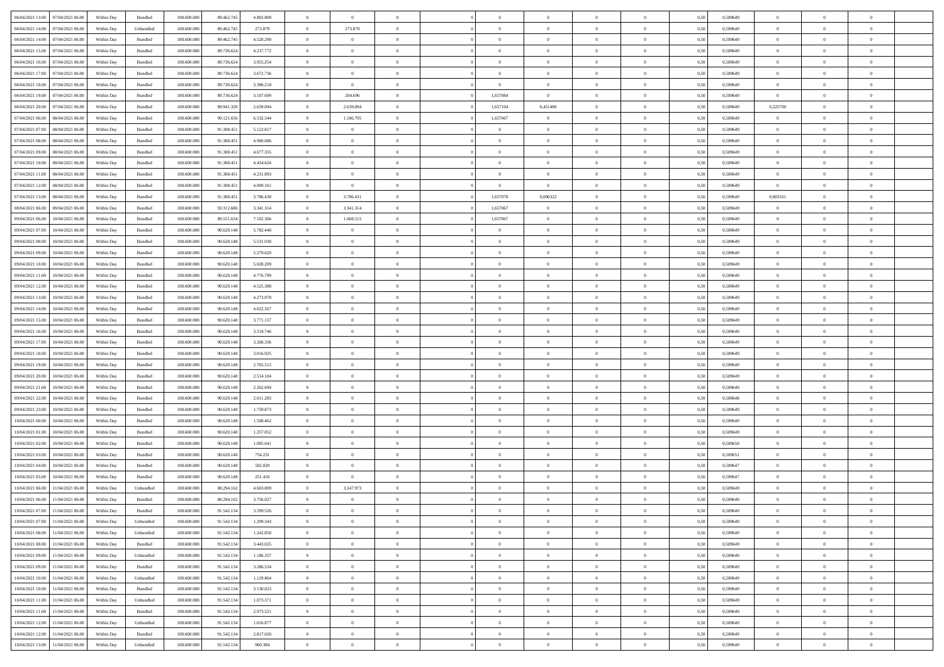| 06/04/2021 13:00 07/04/2021 06:00    | Within Day | Bundled   | 108.600.000 | 89.462.745 | 4.802.809 | $\Omega$       | $\overline{0}$ |                | $\Omega$       | $\theta$       | $\theta$       | $\theta$       | 0,50 | 0,589649 | $\theta$       | $\Omega$       | $\theta$       |  |
|--------------------------------------|------------|-----------|-------------|------------|-----------|----------------|----------------|----------------|----------------|----------------|----------------|----------------|------|----------|----------------|----------------|----------------|--|
| 06/04/2021 14:00<br>07/04/2021 06:00 | Within Day | Unbundled | 108.600.000 | 89.462.745 | 273.879   | $\overline{0}$ | 273.879        | $\overline{0}$ | $\overline{0}$ | $\theta$       | $\overline{0}$ | $\bf{0}$       | 0,50 | 0,589649 | $\theta$       | $\theta$       | $\overline{0}$ |  |
| 06/04/2021 14:00<br>07/04/2021 06:00 | Within Day | Bundled   | 108.600.000 | 89.462.745 | 4.520.290 | $\overline{0}$ | $\bf{0}$       | $\overline{0}$ | $\overline{0}$ | $\overline{0}$ | $\bf{0}$       | $\bf{0}$       | 0,50 | 0,589649 | $\bf{0}$       | $\overline{0}$ | $\overline{0}$ |  |
| 06/04/2021 15:00<br>07/04/2021 06:00 | Within Day | Bundled   | 108,600,000 | 89.736.624 | 4.237.772 | $\overline{0}$ | $\overline{0}$ | $\overline{0}$ | $\overline{0}$ | $\overline{0}$ | $\overline{0}$ | $\overline{0}$ | 0.50 | 0.589649 | $\theta$       | $\theta$       | $\overline{0}$ |  |
| 06/04/2021 16:00<br>07/04/2021 06:00 | Within Day | Bundled   | 108.600.000 | 89.736.624 | 3.955.254 | $\overline{0}$ | $\overline{0}$ | $\overline{0}$ | $\overline{0}$ | $\theta$       | $\overline{0}$ | $\bf{0}$       | 0,50 | 0,589649 | $\theta$       | $\theta$       | $\overline{0}$ |  |
|                                      |            |           |             |            |           |                |                |                |                |                |                |                |      |          |                |                |                |  |
| 06/04/2021 17:00<br>07/04/2021 06:00 | Within Day | Bundled   | 108.600.000 | 89.736.624 | 3.672.736 | $\overline{0}$ | $\bf{0}$       | $\overline{0}$ | $\overline{0}$ | $\overline{0}$ | $\overline{0}$ | $\bf{0}$       | 0,50 | 0,589649 | $\bf{0}$       | $\overline{0}$ | $\bf{0}$       |  |
| 06/04/2021 18:00<br>07/04/2021 06:00 | Within Day | Bundled   | 108.600.000 | 89.736.624 | 3.390.218 | $\overline{0}$ | $\overline{0}$ | $\overline{0}$ | $\overline{0}$ | $\overline{0}$ | $\overline{0}$ | $\bf{0}$       | 0.5( | 0.589649 | $\theta$       | $\theta$       | $\overline{0}$ |  |
| 06/04/2021 19:00<br>07/04/2021 06:00 | Within Day | Bundled   | 108.600.000 | 89.736.624 | 3.107.699 | $\overline{0}$ | 204.696        | $\overline{0}$ | 1,657084       | $\overline{0}$ | $\overline{0}$ | $\bf{0}$       | 0,50 | 0,589649 | $\theta$       | $\theta$       | $\overline{0}$ |  |
| 06/04/2021 20:00<br>07/04/2021 06.00 | Within Day | Bundled   | 108.600.000 | 89.941.320 | 2.639.094 | $\overline{0}$ | 2.639.094      | $\bf{0}$       | 1,657104       | 0,451400       | $\overline{0}$ | $\bf{0}$       | 0,50 | 0,589649 | 0,225700       | $\bf{0}$       | $\overline{0}$ |  |
| 07/04/2021 06:00<br>08/04/2021 06:00 | Within Day | Bundled   | 108.600.000 | 90.121.656 | 6.532.344 | $\overline{0}$ | 1.186.795      | $\overline{0}$ | 1,657067       | $\overline{0}$ | $\overline{0}$ | $\bf{0}$       | 0.5( | 0.589649 | $\theta$       | $\theta$       | $\overline{0}$ |  |
| 07/04/2021 07:00<br>08/04/2021 06:00 | Within Day | Bundled   | 108.600.000 | 91.308.451 | 5.122.817 | $\overline{0}$ | $\overline{0}$ | $\overline{0}$ | $\overline{0}$ | $\theta$       | $\overline{0}$ | $\bf{0}$       | 0,50 | 0,589649 | $\theta$       | $\theta$       | $\overline{0}$ |  |
| 07/04/2021 08:00<br>08/04/2021 06:00 | Within Day | Bundled   | 108.600.000 | 91.308.451 | 4.900.086 | $\overline{0}$ | $\bf{0}$       | $\overline{0}$ | $\overline{0}$ | $\overline{0}$ | $\overline{0}$ | $\bf{0}$       | 0,50 | 0,589649 | $\bf{0}$       | $\overline{0}$ | $\overline{0}$ |  |
| 07/04/2021 09:00<br>08/04/2021 06:00 | Within Day | Bundled   | 108,600,000 | 91.308.45  | 4.677.355 | $\overline{0}$ | $\overline{0}$ | $\overline{0}$ | $\overline{0}$ | $\overline{0}$ | $\overline{0}$ | $\overline{0}$ | 0.50 | 0.589649 | $\theta$       | $\theta$       | $\overline{0}$ |  |
| 07/04/2021 10:00<br>08/04/2021 06:00 | Within Day | Bundled   | 108.600.000 | 91.308.451 | 4.454.624 | $\overline{0}$ | $\theta$       | $\overline{0}$ | $\overline{0}$ | $\theta$       | $\overline{0}$ | $\bf{0}$       | 0,50 | 0,589649 | $\theta$       | $\theta$       | $\overline{0}$ |  |
| 07/04/2021 11:00<br>08/04/2021 06:00 | Within Day | Bundled   | 108.600.000 | 91.308.451 | 4.231.893 | $\overline{0}$ | $\bf{0}$       | $\overline{0}$ | $\overline{0}$ | $\overline{0}$ | $\overline{0}$ | $\bf{0}$       | 0,50 | 0,589649 | $\bf{0}$       | $\overline{0}$ | $\bf{0}$       |  |
| 07/04/2021 12:00<br>08/04/2021 06:00 | Within Day | Bundled   | 108.600.000 | 91.308.451 | 4.009.161 | $\overline{0}$ | $\overline{0}$ | $\overline{0}$ | $\overline{0}$ | $\overline{0}$ | $\overline{0}$ | $\bf{0}$       | 0.50 | 0.589649 | $\overline{0}$ | $\overline{0}$ | $\overline{0}$ |  |
|                                      |            |           |             |            |           |                |                |                |                |                |                |                |      |          |                |                |                |  |
| 07/04/2021 13:00<br>08/04/2021 06:00 | Within Day | Bundled   | 108.600.000 | 91.308.451 | 3.786.430 | $\bf{0}$       | 3.786.431      | $\overline{0}$ | 1,657078       | 0,006322       | $\overline{0}$ | $\bf{0}$       | 0,50 | 0,589649 | 0,003161       | $\theta$       | $\overline{0}$ |  |
| 08/04/2021 06:00<br>09/04/2021 06:00 | Within Day | Bundled   | 108.600.000 | 93.312.686 | 3.341.314 | $\overline{0}$ | 3.341.314      | $\bf{0}$       | 1,657067       | $\overline{0}$ | $\bf{0}$       | $\bf{0}$       | 0,50 | 0,589649 | $\bf{0}$       | $\overline{0}$ | $\overline{0}$ |  |
| 09/04/2021 06:00<br>10/04/2021 06:00 | Within Day | Bundled   | 108,600,00  | 89.551.63  | 7.102.366 | $\overline{0}$ | 1.068.515      | $\overline{0}$ | 1,657067       | $\overline{0}$ | $\overline{0}$ | $\bf{0}$       | 0.5( | 0.589649 | $\theta$       | $\theta$       | $\overline{0}$ |  |
| 09/04/2021 07:00<br>10/04/2021 06:00 | Within Day | Bundled   | 108.600.000 | 90.620.148 | 5.782.440 | $\bf{0}$       | $\overline{0}$ | $\overline{0}$ | $\overline{0}$ | $\overline{0}$ | $\overline{0}$ | $\bf{0}$       | 0,50 | 0,589649 | $\theta$       | $\theta$       | $\overline{0}$ |  |
| 09/04/2021 08:00<br>10/04/2021 06:00 | Within Day | Bundled   | 108.600.000 | 90.620.148 | 5.531.030 | $\overline{0}$ | $\bf{0}$       | $\overline{0}$ | $\overline{0}$ | $\overline{0}$ | $\overline{0}$ | $\bf{0}$       | 0,50 | 0,589649 | $\bf{0}$       | $\overline{0}$ | $\overline{0}$ |  |
| 09/04/2021 09:00<br>10/04/2021 06:00 | Within Day | Bundled   | 108,600,000 | 90.620.148 | 5.279.620 | $\overline{0}$ | $\overline{0}$ | $\overline{0}$ | $\overline{0}$ | $\overline{0}$ | $\overline{0}$ | $\overline{0}$ | 0.50 | 0.589649 | $\theta$       | $\theta$       | $\overline{0}$ |  |
| 09/04/2021 10:00<br>10/04/2021 06:00 | Within Day | Bundled   | 108.600.000 | 90.620.148 | 5.028.209 | $\overline{0}$ | $\overline{0}$ | $\overline{0}$ | $\overline{0}$ | $\theta$       | $\overline{0}$ | $\bf{0}$       | 0,50 | 0,589649 | $\theta$       | $\theta$       | $\overline{0}$ |  |
| 09/04/2021 11:00<br>10/04/2021 06:00 | Within Day | Bundled   | 108.600.000 | 90.620.148 | 4.776.799 | $\overline{0}$ | $\bf{0}$       | $\overline{0}$ | $\overline{0}$ | $\overline{0}$ | $\overline{0}$ | $\bf{0}$       | 0,50 | 0,589649 | $\bf{0}$       | $\overline{0}$ | $\bf{0}$       |  |
| 09/04/2021 12:00<br>10/04/2021 06:00 | Within Day | Bundled   | 108.600.000 | 90.620.148 | 4.525.388 | $\overline{0}$ | $\overline{0}$ | $\overline{0}$ | $\overline{0}$ | $\overline{0}$ | $\overline{0}$ | $\overline{0}$ | 0.5( | 0.589649 | $\theta$       | $\theta$       | $\overline{0}$ |  |
| 09/04/2021 13:00<br>10/04/2021 06:00 | Within Day | Bundled   | 108.600.000 | 90.620.148 | 4.273.978 | $\overline{0}$ | $\overline{0}$ | $\overline{0}$ | $\overline{0}$ | $\theta$       | $\overline{0}$ | $\bf{0}$       | 0,50 | 0,589649 | $\theta$       | $\theta$       | $\overline{0}$ |  |
| 09/04/2021 14:00<br>10/04/2021 06:00 | Within Day | Bundled   | 108.600.000 | 90.620.148 | 4.022.567 | $\overline{0}$ | $\bf{0}$       | $\overline{0}$ | $\overline{0}$ | $\overline{0}$ | $\bf{0}$       | $\bf{0}$       | 0,50 | 0,589649 | $\bf{0}$       | $\bf{0}$       | $\overline{0}$ |  |
| 10/04/2021 06:00                     |            | Bundled   | 108.600.000 | 90.620.148 | 3.771.157 | $\overline{0}$ | $\overline{0}$ | $\overline{0}$ | $\overline{0}$ | $\overline{0}$ | $\overline{0}$ | $\overline{0}$ | 0.5( | 0.589649 | $\theta$       | $\theta$       | $\overline{0}$ |  |
| 09/04/2021 15:00                     | Within Day |           |             |            |           |                |                |                |                |                |                |                |      |          |                |                |                |  |
| 09/04/2021 16:00<br>10/04/2021 06:00 | Within Day | Bundled   | 108.600.000 | 90.620.148 | 3.519.746 | $\bf{0}$       | $\overline{0}$ | $\overline{0}$ | $\overline{0}$ | $\theta$       | $\overline{0}$ | $\bf{0}$       | 0,50 | 0,589649 | $\theta$       | $\theta$       | $\overline{0}$ |  |
| 09/04/2021 17:00<br>10/04/2021 06:00 | Within Day | Bundled   | 108.600.000 | 90.620.148 | 3.268.336 | $\overline{0}$ | $\bf{0}$       | $\overline{0}$ | $\overline{0}$ | $\overline{0}$ | $\overline{0}$ | $\bf{0}$       | 0,50 | 0,589649 | $\bf{0}$       | $\overline{0}$ | $\overline{0}$ |  |
| 09/04/2021 18:00<br>10/04/2021 06:00 | Within Day | Bundled   | 108,600,00  | 90.620.148 | 3.016.925 | $\overline{0}$ | $\overline{0}$ | $\overline{0}$ | $\Omega$       | $\theta$       | $\theta$       | $\bf{0}$       | 0,50 | 0,589649 | $\,$ 0 $\,$    | $\overline{0}$ | $\theta$       |  |
| 09/04/2021 19:00<br>10/04/2021 06:00 | Within Day | Bundled   | 108.600.000 | 90.620.148 | 2.765.515 | $\overline{0}$ | $\overline{0}$ | $\overline{0}$ | $\overline{0}$ | $\theta$       | $\overline{0}$ | $\bf{0}$       | 0,50 | 0,589649 | $\theta$       | $\theta$       | $\overline{0}$ |  |
| 09/04/2021 20:00<br>10/04/2021 06:00 | Within Day | Bundled   | 108.600.000 | 90.620.148 | 2.514.104 | $\overline{0}$ | $\bf{0}$       | $\overline{0}$ | $\overline{0}$ | $\bf{0}$       | $\overline{0}$ | $\bf{0}$       | 0,50 | 0,589649 | $\bf{0}$       | $\overline{0}$ | $\bf{0}$       |  |
| 09/04/2021 21:00<br>10/04/2021 06:00 | Within Day | Bundled   | 108,600,00  | 90.620.148 | 2.262.694 | $\overline{0}$ | $\overline{0}$ | $\Omega$       | $\Omega$       | $\overline{0}$ | $\Omega$       | $\overline{0}$ | 0.50 | 0.589649 | $\theta$       | $\theta$       | $\theta$       |  |
| 09/04/2021 22.00<br>10/04/2021 06:00 | Within Day | Bundled   | 108.600.000 | 90.620.148 | 2.011.283 | $\bf{0}$       | $\overline{0}$ | $\overline{0}$ | $\overline{0}$ | $\theta$       | $\overline{0}$ | $\bf{0}$       | 0,50 | 0,589648 | $\theta$       | $\theta$       | $\overline{0}$ |  |
| 09/04/2021 23:00<br>10/04/2021 06:00 | Within Day | Bundled   | 108.600.000 | 90.620.148 | 1.759.873 | $\overline{0}$ | $\bf{0}$       | $\bf{0}$       | $\overline{0}$ | $\overline{0}$ | $\bf{0}$       | $\bf{0}$       | 0,50 | 0,589649 | $\bf{0}$       | $\bf{0}$       | $\overline{0}$ |  |
| 10/04/2021 00:00<br>10/04/2021 06:00 | Within Day | Bundled   | 108,600,00  | 90.620.148 | 1.508.462 | $\overline{0}$ | $\overline{0}$ | $\Omega$       | $\Omega$       | $\overline{0}$ | $\theta$       | $\overline{0}$ | 0.50 | 0.589649 | $\theta$       | $\theta$       | $\theta$       |  |
| 10/04/2021 01:00<br>10/04/2021 06:00 | Within Day | Bundled   | 108.600.000 | 90.620.148 | 1.257.052 | $\bf{0}$       | $\overline{0}$ | $\overline{0}$ | $\overline{0}$ | $\theta$       | $\overline{0}$ | $\bf{0}$       | 0,50 | 0,589649 | $\,$ 0 $\,$    | $\theta$       | $\overline{0}$ |  |
| 10/04/2021 02:00<br>10/04/2021 06:00 | Within Day | Bundled   | 108.600.000 | 90.620.148 | 1.005.641 | $\overline{0}$ | $\bf{0}$       | $\overline{0}$ | $\overline{0}$ | $\overline{0}$ | $\overline{0}$ | $\bf{0}$       | 0,50 | 0,589650 | $\bf{0}$       | $\overline{0}$ | $\overline{0}$ |  |
|                                      |            |           |             |            |           |                |                |                |                |                |                |                |      |          |                |                |                |  |
| 10/04/2021 03:00<br>10/04/2021 06:00 | Within Day | Bundled   | 108,600,00  | 90.620.148 | 754.231   | $\overline{0}$ | $\overline{0}$ | $\overline{0}$ | $\Omega$       | $\theta$       | $\overline{0}$ | $\bf{0}$       | 0.50 | 0,589651 | $\,$ 0 $\,$    | $\overline{0}$ | $\theta$       |  |
| 10/04/2021 04:00<br>10/04/2021 06:00 | Within Day | Bundled   | 108.600.000 | 90.620.148 | 502.820   | $\bf{0}$       | $\overline{0}$ | $\overline{0}$ | $\overline{0}$ | $\theta$       | $\overline{0}$ | $\bf{0}$       | 0,50 | 0,589647 | $\theta$       | $\theta$       | $\overline{0}$ |  |
| 10/04/2021 05:00<br>10/04/2021 06:00 | Within Day | Bundled   | 108.600.000 | 90.620.148 | 251.410   | $\overline{0}$ | $\overline{0}$ | $\overline{0}$ | $\overline{0}$ | $\overline{0}$ | $\overline{0}$ | $\bf{0}$       | 0,50 | 0,589647 | $\bf{0}$       | $\overline{0}$ | $\bf{0}$       |  |
| 10/04/2021 06:00<br>11/04/2021 06.00 | Within Day | Unbundled | 108,600,00  | 88.294.16  | 4.603.809 | $\overline{0}$ | 3.247.973      | $\Omega$       | $\Omega$       | $\Omega$       | $\theta$       | $\overline{0}$ | 0.50 | 0.589649 | $\theta$       | $\overline{0}$ | $\theta$       |  |
| 10/04/2021 06:00<br>11/04/2021 06:00 | Within Day | Bundled   | 108.600.000 | 88.294.162 | 3.756.027 | $\bf{0}$       | $\overline{0}$ | $\overline{0}$ | $\overline{0}$ | $\bf{0}$       | $\overline{0}$ | $\bf{0}$       | 0,50 | 0,589649 | $\bf{0}$       | $\,$ 0 $\,$    | $\overline{0}$ |  |
| 10/04/2021 07:00 11/04/2021 06:00    | Within Day | Bundled   | 108.600.000 | 91.542.134 | 3.599.526 | $\bf{0}$       | $\bf{0}$       |                |                |                |                |                | 0,50 | 0,589649 | $\bf{0}$       | $\bf{0}$       |                |  |
| 10/04/2021 07:00 11/04/2021 06:00    | Within Day | Unbundled | 108,600,000 | 91.542.134 | 1.299.343 | $\Omega$       | $\overline{0}$ | $\Omega$       | $\Omega$       | $\Omega$       | $\theta$       | $\overline{0}$ | 0.50 | 0.589649 | $\theta$       | $\Omega$       | $\theta$       |  |
| 10/04/2021 08:00<br>11/04/2021 06:00 | Within Day | Unbundled | 108.600.000 | 91.542.134 | 1.242.850 | $\overline{0}$ | $\overline{0}$ | $\overline{0}$ | $\overline{0}$ | $\,$ 0 $\,$    | $\overline{0}$ | $\,$ 0 $\,$    | 0,50 | 0,589649 | $\,$ 0 $\,$    | $\,$ 0 $\,$    | $\bf{0}$       |  |
| 10/04/2021 08:00<br>11/04/2021 06:00 | Within Day | Bundled   | 108.600.000 | 91.542.134 | 3.443.025 | $\overline{0}$ | $\overline{0}$ | $\overline{0}$ | $\overline{0}$ | $\overline{0}$ | $\overline{0}$ | $\bf{0}$       | 0,50 | 0,589649 | $\bf{0}$       | $\bf{0}$       | $\bf{0}$       |  |
| 10/04/2021 09:00<br>11/04/2021 06:00 | Within Day | Unbundled | 108,600,00  | 91.542.134 | 1.186.357 | $\overline{0}$ | $\bf{0}$       | $\overline{0}$ | $\overline{0}$ | $\overline{0}$ | $\overline{0}$ | $\bf{0}$       | 0,50 | 0,589649 | $\bf{0}$       | $\theta$       | $\overline{0}$ |  |
| 10/04/2021 09:00<br>11/04/2021 06:00 | Within Day | Bundled   | 108.600.000 | 91.542.134 | 3.286.524 | $\overline{0}$ | $\overline{0}$ | $\overline{0}$ | $\overline{0}$ | $\overline{0}$ | $\overline{0}$ | $\bf{0}$       | 0,50 | 0,589649 | $\,$ 0 $\,$    | $\theta$       | $\overline{0}$ |  |
|                                      |            |           |             |            |           |                |                |                |                |                |                |                |      |          |                |                |                |  |
| 10/04/2021 10:00<br>11/04/2021 06:00 | Within Day | Unbundled | 108.600.000 | 91.542.134 | 1.129.864 | $\overline{0}$ | $\overline{0}$ | $\overline{0}$ | $\overline{0}$ | $\overline{0}$ | $\overline{0}$ | $\bf{0}$       | 0,50 | 0,589649 | $\overline{0}$ | $\overline{0}$ | $\bf{0}$       |  |
| 10/04/2021 10:00<br>11/04/2021 06:00 | Within Day | Bundled   | 108,600,00  | 91.542.134 | 3.130.023 | $\overline{0}$ | $\overline{0}$ | $\overline{0}$ | $\overline{0}$ | $\overline{0}$ | $\overline{0}$ | $\bf{0}$       | 0.50 | 0.589649 | $\overline{0}$ | $\theta$       | $\overline{0}$ |  |
| 10/04/2021 11:00<br>11/04/2021 06:00 | Within Day | Unbundled | 108.600.000 | 91.542.134 | 1.073.371 | $\overline{0}$ | $\bf{0}$       | $\overline{0}$ | $\overline{0}$ | $\overline{0}$ | $\overline{0}$ | $\bf{0}$       | 0,50 | 0,589649 | $\,$ 0 $\,$    | $\theta$       | $\overline{0}$ |  |
| 10/04/2021 11:00<br>11/04/2021 06:00 | Within Day | Bundled   | 108.600.000 | 91.542.134 | 2.973.521 | $\overline{0}$ | $\bf{0}$       | $\overline{0}$ | $\overline{0}$ | $\overline{0}$ | $\overline{0}$ | $\bf{0}$       | 0,50 | 0,589649 | $\bf{0}$       | $\overline{0}$ | $\bf{0}$       |  |
| 10/04/2021 12:00<br>11/04/2021 06:00 | Within Day | Unbundled | 108,600,00  | 91.542.134 | 1.016.877 | $\overline{0}$ | $\overline{0}$ | $\overline{0}$ | $\overline{0}$ | $\overline{0}$ | $\overline{0}$ | $\bf{0}$       | 0.50 | 0.589649 | $\bf{0}$       | $\theta$       | $\overline{0}$ |  |
| 10/04/2021 12:00<br>11/04/2021 06:00 | Within Day | Bundled   | 108.600.000 | 91.542.134 | 2.817.020 | $\overline{0}$ | $\bf{0}$       | $\overline{0}$ | $\overline{0}$ | $\overline{0}$ | $\bf{0}$       | $\bf{0}$       | 0,50 | 0,589649 | $\,$ 0 $\,$    | $\,$ 0 $\,$    | $\overline{0}$ |  |
| 10/04/2021 13:00 11/04/2021 06:00    | Within Day | Unbundled | 108.600.000 | 91.542.134 | 960.384   | $\overline{0}$ | $\bf{0}$       | $\overline{0}$ | $\overline{0}$ | $\overline{0}$ | $\overline{0}$ | $\bf{0}$       | 0,50 | 0,589649 | $\overline{0}$ | $\bf{0}$       | $\overline{0}$ |  |
|                                      |            |           |             |            |           |                |                |                |                |                |                |                |      |          |                |                |                |  |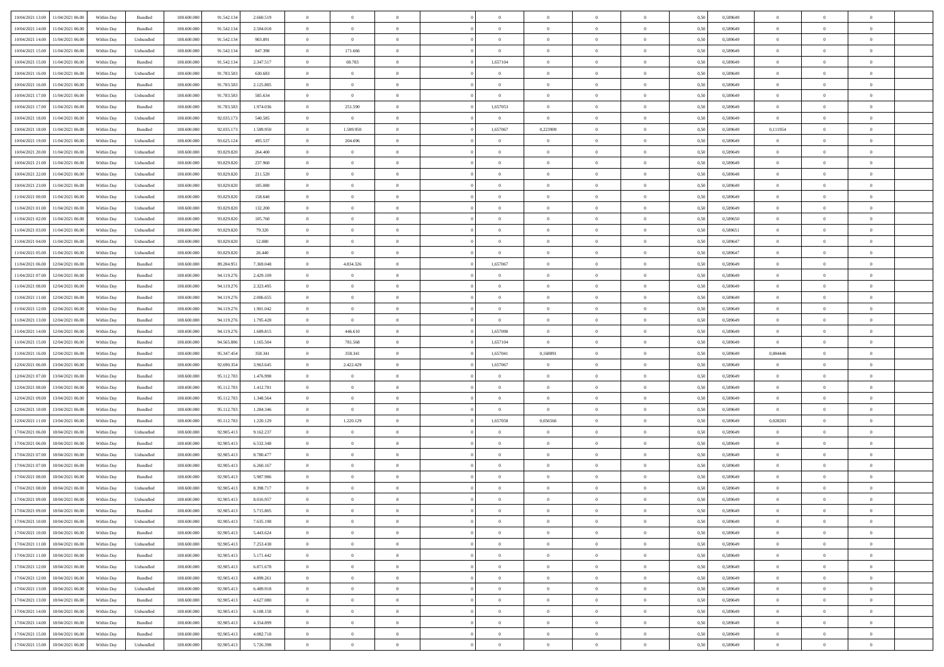|                                              |            |           |             |            |           | $\overline{0}$ | $\overline{0}$ |                | $\overline{0}$ | $\theta$       |                | $\theta$       |      |          | $\theta$       | $\theta$       | $\overline{0}$ |  |
|----------------------------------------------|------------|-----------|-------------|------------|-----------|----------------|----------------|----------------|----------------|----------------|----------------|----------------|------|----------|----------------|----------------|----------------|--|
| 10/04/2021 13:00 11/04/2021 06:00            | Within Day | Bundled   | 108.600.000 | 91.542.134 | 2.660.519 |                |                |                |                |                |                |                | 0,50 | 0,589649 |                |                |                |  |
| 10/04/2021 14:00<br>11/04/2021 06.00         | Within Day | Bundled   | 108.600.00  | 91.542.13  | 2.504.018 | $\bf{0}$       | $\bf{0}$       | $\bf{0}$       | $\bf{0}$       | $\overline{0}$ | $\overline{0}$ | $\bf{0}$       | 0,50 | 0,589649 | $\,$ 0 $\,$    | $\bf{0}$       | $\overline{0}$ |  |
| 10/04/2021 14:00<br>11/04/2021 06:00         | Within Day | Unbundled | 108,600,000 | 91.542.134 | 903.891   | $\overline{0}$ | $\overline{0}$ | $\overline{0}$ | $\bf{0}$       | $\bf{0}$       | $\overline{0}$ | $\bf{0}$       | 0.50 | 0.589649 | $\bf{0}$       | $\overline{0}$ | $\overline{0}$ |  |
| 10/04/2021 15:00<br>11/04/2021 06:00         | Within Day | Unbundled | 108.600.000 | 91.542.134 | 847.398   | $\overline{0}$ | 171.666        | $\overline{0}$ | $\overline{0}$ | $\theta$       | $\overline{0}$ | $\bf{0}$       | 0,50 | 0,589649 | $\theta$       | $\theta$       | $\overline{0}$ |  |
| 10/04/2021 15:00<br>11/04/2021 06:00         | Within Day | Bundled   | 108.600.00  | 91.542.13  | 2.347.517 | $\bf{0}$       | 69.783         | $\bf{0}$       | 1,657104       | $\theta$       | $\overline{0}$ | $\bf{0}$       | 0,50 | 0,589649 | $\,$ 0 $\,$    | $\bf{0}$       | $\overline{0}$ |  |
|                                              |            |           |             |            |           |                |                |                |                |                |                |                |      |          |                |                |                |  |
| 10/04/2021 16:00<br>11/04/2021 06:00         | Within Day | Unbundled | 108,600,000 | 91.783.583 | 630.683   | $\overline{0}$ | $\overline{0}$ | $\overline{0}$ | $\overline{0}$ | $\overline{0}$ | $\theta$       | $\bf{0}$       | 0.50 | 0.589649 | $\,$ 0 $\,$    | $\theta$       | $\overline{0}$ |  |
| 10/04/2021 16:00<br>11/04/2021 06:00         | Within Day | Bundled   | 108.600.000 | 91.783.583 | 2.125.885 | $\overline{0}$ | $\overline{0}$ | $\overline{0}$ | $\overline{0}$ | $\overline{0}$ | $\overline{0}$ | $\bf{0}$       | 0,50 | 0,589649 | $\theta$       | $\theta$       | $\overline{0}$ |  |
| 10/04/2021 17:00<br>11/04/2021 06:00         | Within Day | Unbundled | 108.600.00  | 91.783.58  | 585.634   | $\bf{0}$       | $\bf{0}$       | $\bf{0}$       | $\overline{0}$ | $\theta$       | $\overline{0}$ | $\bf{0}$       | 0,50 | 0,589649 | $\,$ 0 $\,$    | $\bf{0}$       | $\overline{0}$ |  |
| 10/04/2021 17:00<br>11/04/2021 06:00         | Within Day | Bundled   | 108,600,000 | 91.783.583 | 1.974.036 | $\overline{0}$ | 251.590        | $\overline{0}$ | 1,657053       | $\overline{0}$ | $\overline{0}$ | $\bf{0}$       | 0.50 | 0.589649 | $\bf{0}$       | $\overline{0}$ | $\overline{0}$ |  |
| 10/04/2021 18:00<br>11/04/2021 06:00         | Within Day | Unbundled | 108.600.000 | 92.035.173 | 540.585   | $\overline{0}$ | $\overline{0}$ | $\overline{0}$ | $\overline{0}$ | $\overline{0}$ | $\overline{0}$ | $\bf{0}$       | 0,50 | 0,589649 | $\bf{0}$       | $\bf{0}$       | $\overline{0}$ |  |
|                                              |            |           |             |            |           |                |                |                |                |                |                |                |      |          |                |                |                |  |
| 10/04/2021 18:00<br>11/04/2021 06:00         | Within Day | Bundled   | 108.600.00  | 92.035.17  | 1.589.950 | $\bf{0}$       | 1.589.950      | $\bf{0}$       | 1,657067       | 0,223909       | $\overline{0}$ | $\bf{0}$       | 0,50 | 0,589649 | 0,111954       | $\bf{0}$       | $\overline{0}$ |  |
| 10/04/2021 19:00<br>11/04/2021 06:00         | Within Day | Unbundled | 108,600,000 | 93.625.124 | 495.537   | $\overline{0}$ | 204.696        | $\overline{0}$ | $\overline{0}$ | $\overline{0}$ | $\overline{0}$ | $\bf{0}$       | 0.50 | 0.589649 | $\overline{0}$ | $\overline{0}$ | $\,$ 0         |  |
| 10/04/2021 20:00<br>11/04/2021 06:00         | Within Day | Unbundled | 108.600.000 | 93.829.820 | 264.400   | $\overline{0}$ | $\overline{0}$ | $\overline{0}$ | $\theta$       | $\theta$       | $\overline{0}$ | $\bf{0}$       | 0,50 | 0,589649 | $\theta$       | $\theta$       | $\overline{0}$ |  |
| 10/04/2021 21:00<br>11/04/2021 06:00         | Within Day | Unbundled | 108.600.00  | 93.829.820 | 237.960   | $\bf{0}$       | $\overline{0}$ | $\bf{0}$       | $\overline{0}$ | $\bf{0}$       | $\overline{0}$ | $\bf{0}$       | 0,50 | 0,589649 | $\,$ 0 $\,$    | $\bf{0}$       | $\overline{0}$ |  |
| 10/04/2021 22.00<br>11/04/2021 06:00         | Within Day | Unbundled | 108,600,000 | 93.829.820 | 211.520   | $\overline{0}$ | $\bf{0}$       | $\overline{0}$ | $\bf{0}$       | $\overline{0}$ | $\Omega$       | $\bf{0}$       | 0.50 | 0.589648 | $\,$ 0 $\,$    | $\theta$       | $\overline{0}$ |  |
|                                              |            |           |             |            |           |                |                |                |                |                |                |                |      |          |                |                |                |  |
| 10/04/2021 23:00<br>11/04/2021 06:00         | Within Day | Unbundled | 108.600.000 | 93.829.820 | 185.080   | $\overline{0}$ | $\overline{0}$ | $\overline{0}$ | $\overline{0}$ | $\overline{0}$ | $\overline{0}$ | $\bf{0}$       | 0,50 | 0,589649 | $\theta$       | $\theta$       | $\overline{0}$ |  |
| 11/04/2021 00:00<br>11/04/2021 06:00         | Within Day | Unbundled | 108.600.00  | 93.829.820 | 158.640   | $\bf{0}$       | $\bf{0}$       | $\bf{0}$       | $\overline{0}$ | $\theta$       | $\overline{0}$ | $\bf{0}$       | 0,50 | 0,589649 | $\,$ 0 $\,$    | $\bf{0}$       | $\overline{0}$ |  |
| 11/04/2021 01:00<br>11/04/2021 06:00         | Within Day | Unbundled | 108,600,000 | 93.829.820 | 132.200   | $\overline{0}$ | $\bf{0}$       | $\overline{0}$ | $\bf{0}$       | $\overline{0}$ | $\overline{0}$ | $\bf{0}$       | 0.50 | 0.589649 | $\bf{0}$       | $\overline{0}$ | $\overline{0}$ |  |
| 11/04/2021 02:00<br>11/04/2021 06:00         | Within Day | Unbundled | 108.600.000 | 93.829.820 | 105.760   | $\overline{0}$ | $\bf{0}$       | $\overline{0}$ | $\overline{0}$ | $\overline{0}$ | $\overline{0}$ | $\bf{0}$       | 0,50 | 0,589650 | $\,$ 0 $\,$    | $\bf{0}$       | $\overline{0}$ |  |
| 11/04/2021 03:00<br>11/04/2021 06:00         | Within Day | Unbundled | 108.600.00  | 93.829.820 | 79.320    | $\bf{0}$       | $\bf{0}$       | $\bf{0}$       | $\bf{0}$       | $\overline{0}$ | $\overline{0}$ | $\bf{0}$       | 0,50 | 0,589651 | $\,$ 0 $\,$    | $\bf{0}$       | $\overline{0}$ |  |
| 11/04/2021 04:00<br>11/04/2021 06:00         | Within Day | Unbundled | 108,600,000 | 93.829.820 | 52.880    | $\overline{0}$ | $\bf{0}$       | $\overline{0}$ | $\overline{0}$ | $\bf{0}$       | $\overline{0}$ | $\bf{0}$       | 0.50 | 0.589647 | $\bf{0}$       | $\overline{0}$ | $\,$ 0         |  |
|                                              |            |           |             |            |           |                |                |                |                |                |                |                |      |          |                |                |                |  |
| 11/04/2021 05:00<br>11/04/2021 06:00         | Within Day | Unbundled | 108.600.000 | 93.829.820 | 26.440    | $\overline{0}$ | $\overline{0}$ | $\overline{0}$ | $\overline{0}$ | $\theta$       | $\overline{0}$ | $\bf{0}$       | 0,50 | 0,589647 | $\theta$       | $\theta$       | $\overline{0}$ |  |
| 11/04/2021 06:00<br>12/04/2021 06:00         | Within Day | Bundled   | 108.600.00  | 89.284.95  | 7.369.048 | $\bf{0}$       | 4.834.326      | $\bf{0}$       | 1,657067       | $\theta$       | $\overline{0}$ | $\bf{0}$       | 0,50 | 0,589649 | $\,$ 0 $\,$    | $\bf{0}$       | $\overline{0}$ |  |
| 11/04/2021 07:00<br>12/04/2021 06:00         | Within Day | Bundled   | 108,600,000 | 94.119.276 | 2.429.109 | $\overline{0}$ | $\overline{0}$ | $\overline{0}$ | $\overline{0}$ | $\overline{0}$ | $\theta$       | $\bf{0}$       | 0.50 | 0.589649 | $\,$ 0 $\,$    | $\theta$       | $\overline{0}$ |  |
| 11/04/2021 08:00<br>12/04/2021 06:00         | Within Day | Bundled   | 108.600.000 | 94.119.276 | 2.323.495 | $\overline{0}$ | $\overline{0}$ | $\overline{0}$ | $\overline{0}$ | $\overline{0}$ | $\overline{0}$ | $\bf{0}$       | 0,50 | 0,589649 | $\,$ 0 $\,$    | $\theta$       | $\overline{0}$ |  |
| 11/04/2021 11:00<br>12/04/2021 06:00         | Within Day | Bundled   | 108.600.00  | 94.119.276 | 2.006.655 | $\bf{0}$       | $\overline{0}$ | $\bf{0}$       | $\overline{0}$ | $\bf{0}$       | $\overline{0}$ | $\bf{0}$       | 0,50 | 0,589649 | $\,$ 0 $\,$    | $\bf{0}$       | $\overline{0}$ |  |
| 11/04/2021 12:00<br>12/04/2021 06:00         | Within Day | Bundled   | 108,600,000 | 94.119.276 | 1.901.042 | $\overline{0}$ | $\bf{0}$       | $\overline{0}$ | $\bf{0}$       | $\overline{0}$ | $\overline{0}$ | $\bf{0}$       | 0.50 | 0.589649 | $\bf{0}$       | $\overline{0}$ | $\overline{0}$ |  |
| 11/04/2021 13:00<br>12/04/2021 06:00         |            |           | 108.600.000 |            |           | $\overline{0}$ | $\overline{0}$ | $\overline{0}$ | $\overline{0}$ | $\overline{0}$ | $\overline{0}$ |                |      |          | $\theta$       | $\theta$       | $\overline{0}$ |  |
|                                              | Within Day | Bundled   |             | 94.119.276 | 1.795.428 |                |                |                |                |                |                | $\bf{0}$       | 0,50 | 0,589649 |                |                |                |  |
| 11/04/2021 14:00<br>12/04/2021 06:00         | Within Day | Bundled   | 108.600.00  | 94.119.276 | 1.689.815 | $\bf{0}$       | 446.610        | $\bf{0}$       | 1,657090       | $\overline{0}$ | $\overline{0}$ | $\bf{0}$       | 0,50 | 0,589649 | $\,$ 0 $\,$    | $\bf{0}$       | $\overline{0}$ |  |
| 11/04/2021 15:00<br>12/04/2021 06:00         | Within Day | Bundled   | 108,600,000 | 94.565.886 | 1.165.504 | $\overline{0}$ | 781.568        | $\overline{0}$ | 1.657104       | $\overline{0}$ | $\overline{0}$ | $\bf{0}$       | 0.50 | 0.589649 | $\overline{0}$ | $\overline{0}$ | $\,$ 0         |  |
| 11/04/2021 16:00<br>12/04/2021 06:00         | Within Day | Bundled   | 108.600.000 | 95.347.45  | 358,341   | $\overline{0}$ | 358.341        | $\overline{0}$ | 1,657041       | 0,168891       | $\overline{0}$ | $\bf{0}$       | 0.50 | 0.589649 | 0,084446       | $\theta$       | $\overline{0}$ |  |
| 12/04/2021 06:00<br>13/04/2021 06:00         | Within Day | Bundled   | 108.600.00  | 92.690.35  | 3.963.645 | $\bf{0}$       | 2.422.429      | $\bf{0}$       | 1,657067       | $\overline{0}$ | $\overline{0}$ | $\bf{0}$       | 0,50 | 0,589649 | $\,$ 0 $\,$    | $\bf{0}$       | $\overline{0}$ |  |
| 12/04/2021 07:00<br>13/04/2021 06:00         | Within Day | Bundled   | 108,600,000 | 95.112.783 | 1.476.998 | $\overline{0}$ | $\overline{0}$ | $\overline{0}$ | $\bf{0}$       | $\overline{0}$ | $\Omega$       | $\bf{0}$       | 0.50 | 0.589649 | $\bf{0}$       | $\theta$       | $\overline{0}$ |  |
| 12/04/2021 08:00<br>13/04/2021 06:00         | Within Dav | Bundled   | 108.600.000 | 95.112.783 | 1.412.781 | $\overline{0}$ | $\overline{0}$ | $\overline{0}$ | $\overline{0}$ | $\theta$       | $\overline{0}$ | $\bf{0}$       | 0.50 | 0.589649 | $\theta$       | $\theta$       | $\overline{0}$ |  |
|                                              |            |           |             |            |           |                |                |                |                |                |                |                |      |          |                |                |                |  |
| 12/04/2021 09:00<br>13/04/2021 06:00         | Within Day | Bundled   | 108.600.00  | 95.112.78  | 1.348.564 | $\bf{0}$       | $\bf{0}$       | $\bf{0}$       | $\overline{0}$ | $\bf{0}$       | $\overline{0}$ | $\bf{0}$       | 0,50 | 0,589649 | $\,$ 0 $\,$    | $\bf{0}$       | $\overline{0}$ |  |
| 12/04/2021 10:00<br>13/04/2021 06:00         | Within Day | Bundled   | 108,600,000 | 95.112.78  | 1.284.346 | $\overline{0}$ | $\overline{0}$ | $\overline{0}$ | $\bf{0}$       | $\overline{0}$ | $\overline{0}$ | $\bf{0}$       | 0.50 | 0.589649 | $\bf{0}$       | $\overline{0}$ | $\overline{0}$ |  |
| 12/04/2021 11:00<br>13/04/2021 06:00         | Within Dav | Bundled   | 108.600.000 | 95.112.783 | 1.220.129 | $\overline{0}$ | 1.220.129      | $\overline{0}$ | 1,657058       | 0,056566       | $\overline{0}$ | $\bf{0}$       | 0.50 | 0.589649 | 0,028283       | $\overline{0}$ | $\overline{0}$ |  |
| 17/04/2021 06:00<br>18/04/2021 06:00         | Within Day | Unbundled | 108.600.00  | 92.905.413 | 9.162.237 | $\bf{0}$       | $\bf{0}$       | $\bf{0}$       | $\bf{0}$       | $\overline{0}$ | $\overline{0}$ | $\bf{0}$       | 0,50 | 0,589649 | $\overline{0}$ | $\bf{0}$       | $\overline{0}$ |  |
| 17/04/2021 06:00<br>18/04/2021 06:00         | Within Day | Bundled   | 108,600,000 | 92.905.413 | 6,532,348 | $\overline{0}$ | $\bf{0}$       | $\overline{0}$ | $\bf{0}$       | $\bf{0}$       | $\overline{0}$ | $\bf{0}$       | 0.50 | 0.589649 | $\bf{0}$       | $\overline{0}$ | $\overline{0}$ |  |
| 17/04/2021 07:00<br>18/04/2021 06:00         | Within Dav | Unbundled | 108.600.000 | 92.905.413 | 8,780,477 | $\overline{0}$ | $\overline{0}$ | $\overline{0}$ | $\overline{0}$ | $\theta$       | $\overline{0}$ | $\bf{0}$       | 0.50 | 0.589649 | $\theta$       | $\theta$       | $\overline{0}$ |  |
|                                              |            |           |             |            |           |                |                |                |                |                |                |                |      |          |                |                |                |  |
| 17/04/2021 07:00<br>18/04/2021 06:00         | Within Day | Bundled   | 108.600.00  | 92.905.413 | 6.260.167 | $\bf{0}$       | $\bf{0}$       | $\bf{0}$       | $\bf{0}$       | $\overline{0}$ | $\overline{0}$ | $\bf{0}$       | 0,50 | 0,589649 | $\,$ 0 $\,$    | $\bf{0}$       | $\overline{0}$ |  |
| 17/04/2021 08:00<br>18/04/2021 06:00         | Within Day | Bundled   | 108,600,000 | 92.905.41  | 5.987.986 | $\overline{0}$ | $\overline{0}$ | $\overline{0}$ | $\bf{0}$       | $\overline{0}$ | $\Omega$       | $\bf{0}$       | 0.50 | 0.589649 | $\bf{0}$       | $\theta$       | $\overline{0}$ |  |
| 17/04/2021 08:00<br>18/04/2021 06:00         | Within Dav | Unbundled | 108.600.000 | 92.905.413 | 8.398.717 | $\overline{0}$ | $\overline{0}$ | $\Omega$       | $\overline{0}$ | $\theta$       | $\Omega$       | $\overline{0}$ | 0.5( | 0.589649 | $\theta$       | $\theta$       | $\overline{0}$ |  |
| 17/04/2021 09:00<br>18/04/2021 06:00         | Within Day | Unbundled | 108.600.00  | 92.905.413 | 8.016.957 | $\bf{0}$       | $\bf{0}$       | $\bf{0}$       | $\bf{0}$       | $\bf{0}$       | $\overline{0}$ | $\bf{0}$       | 0,50 | 0,589649 | $\,$ 0 $\,$    | $\bf{0}$       | $\overline{0}$ |  |
| $17/04/2021\;09.00 \qquad 18/04/2021\;06.00$ | Within Day | Bundled   | 108.600.000 | 92.905.413 | 5.715.805 | $\bf{0}$       | $\theta$       |                | $\overline{0}$ |                |                |                | 0,50 | 0.589649 | $\bf{0}$       | $\overline{0}$ |                |  |
| 17/04/2021 10:00 18/04/2021 06:00            | Within Day | Unbundled | 108.600.000 | 92.905.413 | 7.635.198 | $\overline{0}$ | $\overline{0}$ | $\Omega$       | $\theta$       | $\overline{0}$ | $\overline{0}$ | $\bf{0}$       | 0,50 | 0,589649 | $\theta$       | $\theta$       | $\overline{0}$ |  |
|                                              |            |           |             |            |           |                |                |                |                |                |                |                |      |          |                |                |                |  |
| 17/04/2021 10:00<br>18/04/2021 06:00         | Within Day | Bundled   | 108.600.00  | 92.905.413 | 5.443.624 | $\overline{0}$ | $\bf{0}$       | $\overline{0}$ | $\overline{0}$ | $\bf{0}$       | $\overline{0}$ | $\bf{0}$       | 0,50 | 0,589649 | $\bf{0}$       | $\overline{0}$ | $\bf{0}$       |  |
| 17/04/2021 11:00 18/04/2021 06:00            | Within Day | Unbundled | 108,600,000 | 92.905.413 | 7.253.438 | $\overline{0}$ | $\bf{0}$       | $\overline{0}$ | $\overline{0}$ | $\mathbf{0}$   | $\overline{0}$ | $\,$ 0 $\,$    | 0.50 | 0.589649 | $\overline{0}$ | $\bf{0}$       | $\,$ 0 $\,$    |  |
| 17/04/2021 11:00 18/04/2021 06:00            | Within Dav | Bundled   | 108.600.000 | 92.905.413 | 5.171.442 | $\overline{0}$ | $\overline{0}$ | $\overline{0}$ | $\overline{0}$ | $\overline{0}$ | $\overline{0}$ | $\bf{0}$       | 0,50 | 0.589649 | $\theta$       | $\theta$       | $\overline{0}$ |  |
| 17/04/2021 12:00<br>18/04/2021 06:00         | Within Day | Unbundled | 108.600.000 | 92.905.413 | 6.871.678 | $\overline{0}$ | $\bf{0}$       | $\overline{0}$ | $\overline{0}$ | $\overline{0}$ | $\overline{0}$ | $\bf{0}$       | 0,50 | 0,589649 | $\bf{0}$       | $\overline{0}$ | $\overline{0}$ |  |
| 17/04/2021 12:00<br>18/04/2021 06:00         | Within Day | Bundled   | 108,600,000 | 92.905.413 | 4.899.261 | $\overline{0}$ | $\bf{0}$       | $\overline{0}$ | $\overline{0}$ | $\bf{0}$       | $\overline{0}$ | $\bf{0}$       | 0.50 | 0.589649 | $\,$ 0 $\,$    | $\overline{0}$ | $\,$ 0         |  |
| 17/04/2021 13:00<br>18/04/2021 06:00         | Within Dav | Unbundled | 108.600.000 | 92.905.413 | 6.489.918 | $\overline{0}$ | $\overline{0}$ | $\overline{0}$ | $\overline{0}$ | $\overline{0}$ | $\overline{0}$ | $\bf{0}$       | 0,50 | 0.589649 | $\overline{0}$ | $\theta$       | $\overline{0}$ |  |
| 17/04/2021 13:00<br>18/04/2021 06:00         | Within Day | Bundled   | 108.600.00  | 92.905.413 | 4.627.080 | $\overline{0}$ | $\overline{0}$ | $\overline{0}$ | $\overline{0}$ | $\overline{0}$ | $\overline{0}$ | $\bf{0}$       | 0,50 | 0,589649 | $\bf{0}$       | $\overline{0}$ | $\overline{0}$ |  |
|                                              |            |           |             |            |           |                |                |                |                |                |                |                |      |          |                |                |                |  |
| 17/04/2021 14:00<br>18/04/2021 06:00         | Within Day | Unbundled | 108,600,000 | 92.905.413 | 6.108.158 | $\overline{0}$ | $\overline{0}$ | $\overline{0}$ | $\overline{0}$ | $\overline{0}$ | $\overline{0}$ | $\bf{0}$       | 0.50 | 0.589649 | $\mathbf{0}$   | $\bf{0}$       | $\,$ 0         |  |
| 17/04/2021 14:00<br>18/04/2021 06:00         | Within Dav | Bundled   | 108.600.000 | 92.905.413 | 4.354.899 | $\overline{0}$ | $\overline{0}$ | $\overline{0}$ | $\overline{0}$ | $\overline{0}$ | $\overline{0}$ | $\bf{0}$       | 0,50 | 0.589649 | $\overline{0}$ | $\theta$       | $\overline{0}$ |  |
| 17/04/2021 15:00<br>18/04/2021 06:00         | Within Day | Bundled   | 108.600.00  | 92.905.413 | 4.082.718 | $\overline{0}$ | $\bf{0}$       | $\overline{0}$ | $\bf{0}$       | $\overline{0}$ | $\bf{0}$       | $\bf{0}$       | 0,50 | 0,589649 | $\bf{0}$       | $\,$ 0 $\,$    | $\bf{0}$       |  |
| 17/04/2021 15:00 18/04/2021 06:00            | Within Day | Unbundled | 108.600.000 | 92.905.413 | 5.726.398 | $\,$ 0 $\,$    | $\bf{0}$       | $\overline{0}$ | $\overline{0}$ | $\,$ 0 $\,$    | $\overline{0}$ | $\bf{0}$       | 0,50 | 0,589649 | $\overline{0}$ | $\,$ 0 $\,$    | $\,$ 0 $\,$    |  |
|                                              |            |           |             |            |           |                |                |                |                |                |                |                |      |          |                |                |                |  |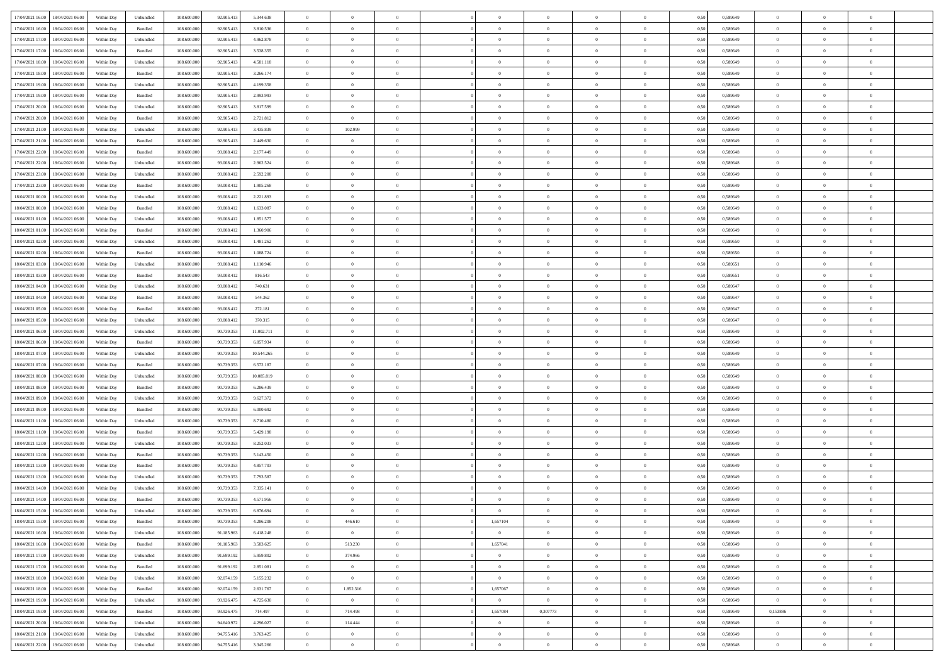| 17/04/2021 16:00 18/04/2021 06:00    | Within Day | Unbundled | 108.600.000 | 92.905.413 | 5.344.638  | $\overline{0}$ | $\overline{0}$ |                | $\overline{0}$ | $\theta$       |                | $\theta$       | 0,50 | 0,589649 | $\theta$       | $\theta$       | $\overline{0}$ |  |
|--------------------------------------|------------|-----------|-------------|------------|------------|----------------|----------------|----------------|----------------|----------------|----------------|----------------|------|----------|----------------|----------------|----------------|--|
|                                      |            |           |             |            |            |                |                |                |                |                |                |                |      |          |                |                |                |  |
| 17/04/2021 16:00<br>18/04/2021 06:00 | Within Day | Bundled   | 108.600.00  | 92.905.413 | 3.810.536  | $\bf{0}$       | $\bf{0}$       | $\bf{0}$       | $\bf{0}$       | $\overline{0}$ | $\overline{0}$ | $\bf{0}$       | 0,50 | 0,589649 | $\,$ 0 $\,$    | $\bf{0}$       | $\overline{0}$ |  |
| 17/04/2021 17:00<br>18/04/2021 06:00 | Within Day | Unbundled | 108,600,000 | 92.905.413 | 4.962.878  | $\overline{0}$ | $\bf{0}$       | $\overline{0}$ | $\bf{0}$       | $\bf{0}$       | $\overline{0}$ | $\bf{0}$       | 0.50 | 0.589649 | $\bf{0}$       | $\overline{0}$ | $\overline{0}$ |  |
| 17/04/2021 17:00<br>18/04/2021 06:00 | Within Day | Bundled   | 108.600.000 | 92.905.413 | 3.538.355  | $\overline{0}$ | $\overline{0}$ | $\overline{0}$ | $\theta$       | $\theta$       | $\overline{0}$ | $\bf{0}$       | 0,50 | 0,589649 | $\theta$       | $\theta$       | $\overline{0}$ |  |
| 17/04/2021 18:00<br>18/04/2021 06:00 | Within Day | Unbundled | 108.600.00  | 92.905.413 | 4.581.118  | $\bf{0}$       | $\overline{0}$ | $\bf{0}$       | $\overline{0}$ | $\theta$       | $\overline{0}$ | $\bf{0}$       | 0,50 | 0,589649 | $\,$ 0 $\,$    | $\bf{0}$       | $\overline{0}$ |  |
| 17/04/2021 18:00<br>18/04/2021 06:00 | Within Day | Bundled   | 108,600,000 | 92.905.41  | 3.266.174  | $\overline{0}$ | $\overline{0}$ | $\overline{0}$ | $\bf{0}$       | $\overline{0}$ | $\theta$       | $\bf{0}$       | 0.50 | 0.589649 | $\,$ 0 $\,$    | $\theta$       | $\overline{0}$ |  |
| 17/04/2021 19:00                     |            |           |             |            |            | $\overline{0}$ | $\overline{0}$ | $\overline{0}$ | $\overline{0}$ | $\overline{0}$ | $\overline{0}$ |                |      |          | $\,$ 0 $\,$    | $\theta$       | $\overline{0}$ |  |
| 18/04/2021 06:00                     | Within Day | Unbundled | 108.600.000 | 92.905.413 | 4.199.358  |                |                |                |                |                |                | $\bf{0}$       | 0,50 | 0,589649 |                |                |                |  |
| 17/04/2021 19:00<br>18/04/2021 06:00 | Within Day | Bundled   | 108.600.00  | 92.905.413 | 2.993.993  | $\bf{0}$       | $\bf{0}$       | $\bf{0}$       | $\overline{0}$ | $\overline{0}$ | $\overline{0}$ | $\bf{0}$       | 0,50 | 0,589649 | $\,$ 0 $\,$    | $\bf{0}$       | $\overline{0}$ |  |
| 17/04/2021 20:00<br>18/04/2021 06:00 | Within Day | Unbundled | 108,600,000 | 92.905.413 | 3.817.599  | $\overline{0}$ | $\bf{0}$       | $\overline{0}$ | $\bf{0}$       | $\overline{0}$ | $\overline{0}$ | $\bf{0}$       | 0.50 | 0.589649 | $\bf{0}$       | $\overline{0}$ | $\overline{0}$ |  |
| 17/04/2021 20:00<br>18/04/2021 06:00 | Within Day | Bundled   | 108.600.000 | 92.905.413 | 2.721.812  | $\overline{0}$ | $\bf{0}$       | $\overline{0}$ | $\overline{0}$ | $\overline{0}$ | $\overline{0}$ | $\bf{0}$       | 0,50 | 0,589649 | $\,$ 0 $\,$    | $\bf{0}$       | $\overline{0}$ |  |
| 17/04/2021 21:00<br>18/04/2021 06:00 | Within Day | Unbundled | 108.600.00  | 92.905.413 | 3.435.839  | $\bf{0}$       | 102.999        | $\bf{0}$       | $\bf{0}$       | $\bf{0}$       | $\overline{0}$ | $\bf{0}$       | 0,50 | 0,589649 | $\,$ 0 $\,$    | $\bf{0}$       | $\overline{0}$ |  |
| 17/04/2021 21:00<br>18/04/2021 06:00 | Within Day | Bundled   | 108,600,000 | 92.905.413 | 2.449.630  | $\overline{0}$ | $\bf{0}$       | $\overline{0}$ | $\overline{0}$ | $\bf{0}$       | $\overline{0}$ | $\bf{0}$       | 0.50 | 0.589649 | $\bf{0}$       | $\overline{0}$ | $\,$ 0         |  |
| 17/04/2021 22:00<br>18/04/2021 06:00 | Within Day | Bundled   | 108.600.000 | 93.008.412 | 2.177.449  | $\overline{0}$ | $\overline{0}$ | $\overline{0}$ | $\theta$       | $\theta$       | $\overline{0}$ | $\bf{0}$       | 0,50 | 0,589648 | $\,$ 0 $\,$    | $\theta$       | $\overline{0}$ |  |
| 17/04/2021 22.00<br>18/04/2021 06:00 | Within Day | Unbundled | 108.600.00  | 93.008.413 | 2.962.524  | $\bf{0}$       | $\overline{0}$ | $\bf{0}$       | $\overline{0}$ | $\theta$       | $\overline{0}$ | $\bf{0}$       | 0,50 | 0,589648 | $\,$ 0 $\,$    | $\bf{0}$       | $\overline{0}$ |  |
|                                      |            |           |             |            |            |                |                |                |                |                |                |                |      |          |                |                |                |  |
| 17/04/2021 23:00<br>18/04/2021 06:00 | Within Day | Unbundled | 108,600,000 | 93.008.412 | 2.592.208  | $\overline{0}$ | $\overline{0}$ | $\overline{0}$ | $\bf{0}$       | $\overline{0}$ | $\Omega$       | $\bf{0}$       | 0.50 | 0.589649 | $\theta$       | $\theta$       | $\overline{0}$ |  |
| 17/04/2021 23:00<br>18/04/2021 06:00 | Within Day | Bundled   | 108.600.000 | 93.008.412 | 1.905.268  | $\overline{0}$ | $\overline{0}$ | $\overline{0}$ | $\overline{0}$ | $\overline{0}$ | $\overline{0}$ | $\bf{0}$       | 0,50 | 0,589649 | $\theta$       | $\theta$       | $\overline{0}$ |  |
| 18/04/2021 00:00<br>18/04/2021 06:00 | Within Day | Unbundled | 108.600.00  | 93.008.413 | 2.221.893  | $\bf{0}$       | $\bf{0}$       | $\bf{0}$       | $\overline{0}$ | $\theta$       | $\overline{0}$ | $\bf{0}$       | 0,50 | 0,589649 | $\,$ 0 $\,$    | $\bf{0}$       | $\overline{0}$ |  |
| 18/04/2021 00:00<br>18/04/2021 06:00 | Within Day | Bundled   | 108,600,000 | 93,008.412 | 1.633.087  | $\overline{0}$ | $\bf{0}$       | $\overline{0}$ | $\bf{0}$       | $\overline{0}$ | $\overline{0}$ | $\bf{0}$       | 0.50 | 0.589649 | $\bf{0}$       | $\overline{0}$ | $\overline{0}$ |  |
| 18/04/2021 01:00<br>18/04/2021 06:00 | Within Day | Unbundled | 108.600.000 | 93.008.412 | 1.851.577  | $\overline{0}$ | $\bf{0}$       | $\overline{0}$ | $\overline{0}$ | $\overline{0}$ | $\overline{0}$ | $\bf{0}$       | 0,50 | 0,589649 | $\,$ 0 $\,$    | $\bf{0}$       | $\overline{0}$ |  |
| 18/04/2021 01:00<br>18/04/2021 06:00 | Within Day | Bundled   | 108.600.00  | 93.008.413 | 1.360.906  | $\bf{0}$       | $\bf{0}$       | $\bf{0}$       | $\bf{0}$       | $\overline{0}$ | $\overline{0}$ | $\bf{0}$       | 0,50 | 0,589649 | $\,$ 0 $\,$    | $\bf{0}$       | $\overline{0}$ |  |
| 18/04/2021 02:00<br>18/04/2021 06:00 | Within Day | Unbundled | 108,600,000 | 93.008.412 | 1.481.262  | $\overline{0}$ | $\bf{0}$       | $\overline{0}$ | $\overline{0}$ | $\bf{0}$       | $\overline{0}$ | $\bf{0}$       | 0.50 | 0.589650 | $\bf{0}$       | $\overline{0}$ | $\,$ 0         |  |
| 18/04/2021 02:00<br>18/04/2021 06:00 | Within Day | Bundled   | 108.600.000 | 93.008.412 | 1.088.724  | $\overline{0}$ | $\overline{0}$ | $\overline{0}$ | $\overline{0}$ | $\theta$       | $\overline{0}$ | $\bf{0}$       | 0,50 | 0,589650 | $\theta$       | $\theta$       | $\overline{0}$ |  |
| 18/04/2021 03:00<br>18/04/2021 06:00 | Within Day | Unbundled | 108.600.00  | 93.008.413 | 1.110.946  | $\bf{0}$       | $\bf{0}$       | $\bf{0}$       | $\bf{0}$       | $\,$ 0 $\,$    | $\overline{0}$ | $\bf{0}$       | 0,50 | 0,589651 | $\,$ 0 $\,$    | $\bf{0}$       | $\overline{0}$ |  |
| 18/04/2021 06:00                     |            |           | 108,600,000 |            |            |                | $\overline{0}$ |                |                | $\overline{0}$ | $\Omega$       |                |      |          |                | $\theta$       |                |  |
| 18/04/2021 03:00                     | Within Day | Bundled   |             | 93.008.412 | 816.543    | $\overline{0}$ |                | $\overline{0}$ | $\bf{0}$       |                |                | $\bf{0}$       | 0.50 | 0.589651 | $\,$ 0 $\,$    |                | $\overline{0}$ |  |
| 18/04/2021 04:00<br>18/04/2021 06:00 | Within Day | Unbundled | 108.600.000 | 93.008.412 | 740.631    | $\overline{0}$ | $\overline{0}$ | $\overline{0}$ | $\overline{0}$ | $\overline{0}$ | $\overline{0}$ | $\bf{0}$       | 0,50 | 0,589647 | $\,$ 0 $\,$    | $\theta$       | $\overline{0}$ |  |
| 18/04/2021 04:00<br>18/04/2021 06:00 | Within Day | Bundled   | 108.600.00  | 93.008.413 | 544.362    | $\bf{0}$       | $\overline{0}$ | $\bf{0}$       | $\overline{0}$ | $\bf{0}$       | $\overline{0}$ | $\bf{0}$       | 0,50 | 0,589647 | $\,$ 0 $\,$    | $\bf{0}$       | $\overline{0}$ |  |
| 18/04/2021 05:00<br>18/04/2021 06:00 | Within Day | Bundled   | 108,600,000 | 93,008.412 | 272.181    | $\overline{0}$ | $\bf{0}$       | $\overline{0}$ | $\bf{0}$       | $\overline{0}$ | $\overline{0}$ | $\bf{0}$       | 0.50 | 0.589647 | $\bf{0}$       | $\overline{0}$ | $\overline{0}$ |  |
| 18/04/2021 05:00<br>18/04/2021 06:00 | Within Day | Unbundled | 108.600.000 | 93.008.412 | 370.315    | $\overline{0}$ | $\bf{0}$       | $\overline{0}$ | $\overline{0}$ | $\overline{0}$ | $\overline{0}$ | $\bf{0}$       | 0,50 | 0,589647 | $\theta$       | $\theta$       | $\overline{0}$ |  |
| 18/04/2021 06:00<br>19/04/2021 06:00 | Within Day | Unbundled | 108.600.00  | 90.739.35  | 11.002.711 | $\bf{0}$       | $\bf{0}$       | $\bf{0}$       | $\bf{0}$       | $\overline{0}$ | $\overline{0}$ | $\bf{0}$       | 0,50 | 0,589649 | $\,$ 0 $\,$    | $\bf{0}$       | $\overline{0}$ |  |
| 18/04/2021 06:00<br>19/04/2021 06:00 | Within Day | Bundled   | 108,600,000 | 90.739.353 | 6.857.934  | $\overline{0}$ | $\bf{0}$       | $\overline{0}$ | $\overline{0}$ | $\bf{0}$       | $\overline{0}$ | $\bf{0}$       | 0.50 | 0.589649 | $\bf{0}$       | $\overline{0}$ | $\,$ 0         |  |
| 18/04/2021 07:00<br>19/04/2021 06:00 | Within Day | Unbundled | 108.600.000 | 90.739.353 | 10.544.265 | $\overline{0}$ | $\overline{0}$ | $\overline{0}$ | $\overline{0}$ | $\overline{0}$ | $\overline{0}$ | $\bf{0}$       | 0.50 | 0.589649 | $\theta$       | $\theta$       | $\overline{0}$ |  |
| 18/04/2021 07:00<br>19/04/2021 06:00 | Within Day | Bundled   | 108.600.00  | 90.739.35  | 6.572.187  | $\bf{0}$       | $\bf{0}$       | $\bf{0}$       | $\bf{0}$       | $\,$ 0 $\,$    | $\overline{0}$ | $\bf{0}$       | 0,50 | 0,589649 | $\,$ 0 $\,$    | $\bf{0}$       | $\overline{0}$ |  |
| 18/04/2021 08:00<br>19/04/2021 06:00 | Within Day | Unbundled | 108,600,000 | 90.739.353 | 10.085.819 | $\overline{0}$ | $\bf{0}$       | $\overline{0}$ | $\bf{0}$       | $\overline{0}$ | $\Omega$       | $\bf{0}$       | 0.50 | 0.589649 | $\,$ 0 $\,$    | $\theta$       | $\overline{0}$ |  |
|                                      |            |           |             |            |            |                |                |                |                |                |                |                |      |          |                |                |                |  |
| 18/04/2021 08:00<br>19/04/2021 06:00 | Within Dav | Bundled   | 108.600.000 | 90.739.353 | 6.286.439  | $\overline{0}$ | $\overline{0}$ | $\overline{0}$ | $\overline{0}$ | $\theta$       | $\overline{0}$ | $\bf{0}$       | 0.50 | 0.589649 | $\theta$       | $\theta$       | $\overline{0}$ |  |
| 18/04/2021 09:00<br>19/04/2021 06:00 | Within Day | Unbundled | 108.600.00  | 90.739.35  | 9.627.372  | $\bf{0}$       | $\bf{0}$       | $\bf{0}$       | $\bf{0}$       | $\overline{0}$ | $\overline{0}$ | $\bf{0}$       | 0,50 | 0,589649 | $\,$ 0 $\,$    | $\bf{0}$       | $\overline{0}$ |  |
| 18/04/2021 09:00<br>19/04/2021 06:00 | Within Day | Bundled   | 108,600,000 | 90.739.35  | 6.000.692  | $\overline{0}$ | $\bf{0}$       | $\overline{0}$ | $\bf{0}$       | $\overline{0}$ | $\overline{0}$ | $\bf{0}$       | 0.50 | 0.589649 | $\bf{0}$       | $\overline{0}$ | $\overline{0}$ |  |
| 18/04/2021 11:00<br>19/04/2021 06:00 | Within Dav | Unbundled | 108.600.000 | 90.739.353 | 8.710.480  | $\overline{0}$ | $\overline{0}$ | $\overline{0}$ | $\overline{0}$ | $\overline{0}$ | $\overline{0}$ | $\bf{0}$       | 0.50 | 0.589649 | $\theta$       | $\theta$       | $\overline{0}$ |  |
| 18/04/2021 11:00<br>19/04/2021 06:00 | Within Day | Bundled   | 108.600.00  | 90.739.35  | 5.429.198  | $\bf{0}$       | $\bf{0}$       | $\bf{0}$       | $\bf{0}$       | $\overline{0}$ | $\overline{0}$ | $\bf{0}$       | 0,50 | 0,589649 | $\,$ 0 $\,$    | $\bf{0}$       | $\overline{0}$ |  |
| 18/04/2021 12:00<br>19/04/2021 06:00 | Within Day | Unbundled | 108,600,000 | 90.739.353 | 8.252.033  | $\overline{0}$ | $\bf{0}$       | $\overline{0}$ | $\overline{0}$ | $\bf{0}$       | $\overline{0}$ | $\bf{0}$       | 0.50 | 0.589649 | $\bf{0}$       | $\overline{0}$ | $\overline{0}$ |  |
| 18/04/2021 12:00<br>19/04/2021 06:00 | Within Dav | Bundled   | 108.600.000 | 90.739.353 | 5.143.450  | $\overline{0}$ | $\overline{0}$ | $\overline{0}$ | $\overline{0}$ | $\overline{0}$ | $\overline{0}$ | $\bf{0}$       | 0.50 | 0.589649 | $\theta$       | $\theta$       | $\overline{0}$ |  |
| 18/04/2021 13:00<br>19/04/2021 06:00 | Within Day | Bundled   | 108.600.00  | 90.739.35  | 4.857.703  | $\bf{0}$       | $\bf{0}$       | $\bf{0}$       | $\bf{0}$       | $\overline{0}$ | $\overline{0}$ | $\bf{0}$       | 0,50 | 0,589649 | $\,$ 0 $\,$    | $\bf{0}$       | $\overline{0}$ |  |
| 18/04/2021 13:00<br>19/04/2021 06:00 | Within Day | Unbundled | 108,600,000 | 90.739.35  | 7.793.587  | $\overline{0}$ | $\overline{0}$ | $\overline{0}$ | $\overline{0}$ | $\theta$       | $\Omega$       | $\bf{0}$       | 0.50 | 0.589649 | $\bf{0}$       | $\theta$       | $\overline{0}$ |  |
| 18/04/2021 14:00<br>19/04/2021 06:00 | Within Dav | Unbundled | 108.600.000 | 90.739.353 | 7.335.141  | $\overline{0}$ | $\overline{0}$ | $\Omega$       | $\theta$       | $\theta$       | $\Omega$       | $\overline{0}$ | 0.5( | 0.589649 | $\theta$       | $\theta$       | $\overline{0}$ |  |
|                                      |            |           |             |            |            |                |                |                |                |                |                |                |      |          |                |                |                |  |
| 18/04/2021 14:00<br>19/04/2021 06:00 | Within Day | Bundled   | 108.600.00  | 90.739.35  | 4.571.956  | $\bf{0}$       | $\bf{0}$       | $\bf{0}$       | $\bf{0}$       | $\bf{0}$       | $\overline{0}$ | $\bf{0}$       | 0,50 | 0,589649 | $\,$ 0 $\,$    | $\bf{0}$       | $\overline{0}$ |  |
| 18/04/2021 15:00 19/04/2021 06:00    | Within Day | Unbundled | 108.600.000 | 90.739.353 | 6.876.694  | $\bf{0}$       | $\theta$       |                | $\Omega$       |                |                |                | 0,50 | 0.589649 | $\bf{0}$       | $\overline{0}$ |                |  |
| 18/04/2021 15:00 19/04/2021 06:00    | Within Dav | Bundled   | 108.600.000 | 90.739.353 | 4.286.208  | $\overline{0}$ | 446.610        | $\overline{0}$ | 1,657104       | $\overline{0}$ | $\overline{0}$ | $\bf{0}$       | 0,50 | 0,589649 | $\theta$       | $\theta$       | $\overline{0}$ |  |
| 18/04/2021 16:00<br>19/04/2021 06:00 | Within Day | Unbundled | 108.600.00  | 91.185.96  | 6.418.248  | $\overline{0}$ | $\overline{0}$ | $\overline{0}$ | $\overline{0}$ | $\bf{0}$       | $\overline{0}$ | $\bf{0}$       | 0,50 | 0,589649 | $\bf{0}$       | $\overline{0}$ | $\bf{0}$       |  |
| 18/04/2021 16:00 19/04/2021 06:00    | Within Day | Bundled   | 108,600,000 | 91.185.963 | 3.583.625  | $\overline{0}$ | 513.230        | $\overline{0}$ | 1,657041       | $\overline{0}$ | $\overline{0}$ | $\,$ 0 $\,$    | 0.50 | 0.589649 | $\mathbf{0}$   | $\bf{0}$       | $\,$ 0 $\,$    |  |
| 18/04/2021 17:00 19/04/2021 06:00    | Within Dav | Unbundled | 108.600.000 | 91.699.192 | 5.959.802  | $\overline{0}$ | 374.966        | $\overline{0}$ | $\overline{0}$ | $\overline{0}$ | $\overline{0}$ | $\bf{0}$       | 0.50 | 0.589649 | $\theta$       | $\theta$       | $\overline{0}$ |  |
| 18/04/2021 17:00<br>19/04/2021 06:00 | Within Day | Bundled   | 108.600.000 | 91.699.192 | 2.851.081  | $\overline{0}$ | $\bf{0}$       | $\overline{0}$ | $\overline{0}$ | $\bf{0}$       | $\overline{0}$ | $\bf{0}$       | 0,50 | 0,589649 | $\bf{0}$       | $\overline{0}$ | $\overline{0}$ |  |
| 18/04/2021 18:00<br>19/04/2021 06:00 | Within Day | Unbundled | 108,600,000 | 92.074.159 | 5.155.232  | $\overline{0}$ | $\overline{0}$ | $\overline{0}$ | $\overline{0}$ | $\overline{0}$ | $\overline{0}$ | $\bf{0}$       | 0.50 | 0.589649 | $\,$ 0 $\,$    | $\theta$       | $\overline{0}$ |  |
| 18/04/2021 18:00<br>19/04/2021 06:00 | Within Dav | Bundled   | 108.600.000 | 92.074.159 | 2.631.767  | $\overline{0}$ | 1.852.316      | $\overline{0}$ | 1,657067       | $\overline{0}$ | $\overline{0}$ | $\bf{0}$       | 0,50 | 0.589649 | $\overline{0}$ | $\theta$       | $\overline{0}$ |  |
|                                      |            |           |             |            |            |                |                |                |                |                |                |                |      |          | $\bf{0}$       | $\overline{0}$ | $\overline{0}$ |  |
| 18/04/2021 19:00<br>19/04/2021 06:00 | Within Day | Unbundled | 108.600.00  | 93.926.475 | 4.725.630  | $\overline{0}$ | $\overline{0}$ | $\overline{0}$ | $\overline{0}$ | $\overline{0}$ | $\overline{0}$ | $\bf{0}$       | 0,50 | 0,589649 |                |                |                |  |
| 18/04/2021 19:00<br>19/04/2021 06:00 | Within Day | Bundled   | 108,600,000 | 93.926.475 | 714.497    | $\overline{0}$ | 714.498        | $\overline{0}$ | 1,657084       | 0.307773       | $\overline{0}$ | $\bf{0}$       | 0.50 | 0.589649 | 0,153886       | $\,$ 0 $\,$    | $\,$ 0         |  |
| 18/04/2021 20:00 19/04/2021 06:00    | Within Dav | Unbundled | 108.600.000 | 94.640.972 | 4.296.027  | $\overline{0}$ | 114.444        | $\overline{0}$ | $\overline{0}$ | $\bf{0}$       | $\overline{0}$ | $\bf{0}$       | 0,50 | 0.589649 | $\overline{0}$ | $\theta$       | $\overline{0}$ |  |
| 18/04/2021 21:00<br>19/04/2021 06:00 | Within Day | Unbundled | 108.600.00  | 94.755.416 | 3.763.425  | $\overline{0}$ | $\bf{0}$       | $\overline{0}$ | $\overline{0}$ | $\bf{0}$       | $\overline{0}$ | $\bf{0}$       | 0,50 | 0,589649 | $\bf{0}$       | $\bf{0}$       | $\bf{0}$       |  |
| 18/04/2021 22:00 19/04/2021 06:00    | Within Day | Unbundled | 108.600.000 | 94.755.416 | 3.345.266  | $\overline{0}$ | $\bf{0}$       | $\overline{0}$ | $\overline{0}$ | $\,$ 0 $\,$    | $\overline{0}$ | $\bf{0}$       | 0,50 | 0,589648 | $\overline{0}$ | $\,$ 0 $\,$    | $\,$ 0 $\,$    |  |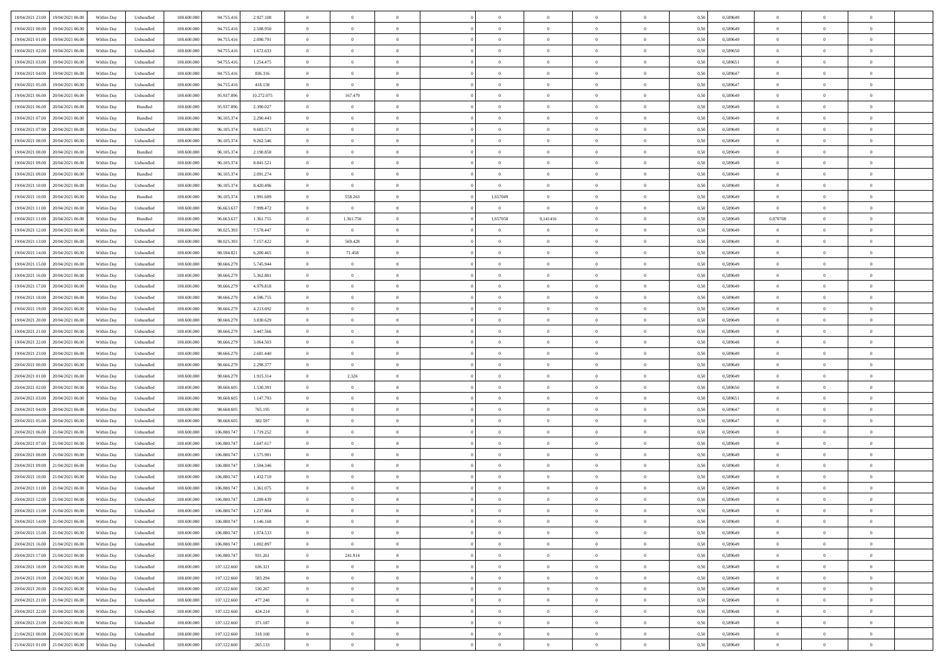| 18/04/2021 23:00<br>19/04/2021 06:00 | Within Day | Unbundled                   | 108.600.000 | 94.755.416  | 2.927.108  | $\overline{0}$ | $\theta$       |                | $\overline{0}$ | $\theta$       |                | $\theta$       | 0,50 | 0,589649 | $\theta$       | $\theta$       | $\theta$       |  |
|--------------------------------------|------------|-----------------------------|-------------|-------------|------------|----------------|----------------|----------------|----------------|----------------|----------------|----------------|------|----------|----------------|----------------|----------------|--|
| 19/04/2021 00:00<br>19/04/2021 06:00 | Within Day | Unbundled                   | 108.600.00  | 94.755.41   | 2.508.950  | $\bf{0}$       | $\bf{0}$       | $\bf{0}$       | $\bf{0}$       | $\overline{0}$ | $\overline{0}$ | $\bf{0}$       | 0,50 | 0,589649 | $\,$ 0 $\,$    | $\bf{0}$       | $\overline{0}$ |  |
| 19/04/2021 01:00<br>19/04/2021 06:00 | Within Day | Unbundled                   | 108,600,000 | 94.755.416  | 2.090.791  | $\overline{0}$ | $\bf{0}$       | $\overline{0}$ | $\bf{0}$       | $\bf{0}$       | $\overline{0}$ | $\bf{0}$       | 0.50 | 0.589649 | $\bf{0}$       | $\overline{0}$ | $\bf{0}$       |  |
| 19/04/2021 02:00                     |            |                             | 108.600.000 |             |            | $\overline{0}$ | $\overline{0}$ | $\overline{0}$ | $\theta$       | $\theta$       | $\overline{0}$ |                |      |          | $\theta$       | $\theta$       | $\overline{0}$ |  |
| 19/04/2021 06:00                     | Within Day | Unbundled                   |             | 94.755.416  | 1.672.633  |                |                |                |                |                |                | $\bf{0}$       | 0,50 | 0,589650 |                |                |                |  |
| 19/04/2021 03:00<br>19/04/2021 06:00 | Within Day | Unbundled                   | 108.600.00  | 94.755.41   | 1.254.475  | $\bf{0}$       | $\overline{0}$ | $\bf{0}$       | $\overline{0}$ | $\theta$       | $\overline{0}$ | $\bf{0}$       | 0,50 | 0,589651 | $\,$ 0 $\,$    | $\bf{0}$       | $\overline{0}$ |  |
| 19/04/2021 04:00<br>19/04/2021 06:00 | Within Day | Unbundled                   | 108,600,000 | 94.755.416  | 836,316    | $\overline{0}$ | $\overline{0}$ | $\overline{0}$ | $\bf{0}$       | $\overline{0}$ | $\theta$       | $\bf{0}$       | 0.50 | 0.589647 | $\,$ 0 $\,$    | $\theta$       | $\overline{0}$ |  |
| 19/04/2021 05:00<br>19/04/2021 06:00 | Within Day | Unbundled                   | 108.600.000 | 94.755.416  | 418.158    | $\overline{0}$ | $\bf{0}$       | $\overline{0}$ | $\overline{0}$ | $\overline{0}$ | $\overline{0}$ | $\bf{0}$       | 0,50 | 0,589647 | $\theta$       | $\theta$       | $\overline{0}$ |  |
|                                      |            |                             |             |             |            |                |                |                |                |                |                |                |      |          |                |                |                |  |
| 19/04/2021 06:00<br>20/04/2021 06:00 | Within Day | Unbundled                   | 108.600.00  | 95.937.89   | 10.272.075 | $\bf{0}$       | 167.479        | $\bf{0}$       | $\overline{0}$ | $\overline{0}$ | $\overline{0}$ | $\bf{0}$       | 0,50 | 0,589649 | $\,$ 0 $\,$    | $\bf{0}$       | $\overline{0}$ |  |
| 19/04/2021 06:00<br>20/04/2021 06:00 | Within Day | Bundled                     | 108,600,000 | 95.937.89   | 2.390.027  | $\overline{0}$ | $\bf{0}$       | $\overline{0}$ | $\bf{0}$       | $\overline{0}$ | $\overline{0}$ | $\bf{0}$       | 0.50 | 0.589649 | $\bf{0}$       | $\overline{0}$ | $\overline{0}$ |  |
| 19/04/2021 07:00<br>20/04/2021 06:00 | Within Day | Bundled                     | 108.600.000 | 96.105.374  | 2.290.443  | $\overline{0}$ | $\bf{0}$       | $\overline{0}$ | $\overline{0}$ | $\overline{0}$ | $\overline{0}$ | $\bf{0}$       | 0,50 | 0,589649 | $\,$ 0 $\,$    | $\bf{0}$       | $\overline{0}$ |  |
| 19/04/2021 07:00<br>20/04/2021 06.00 | Within Day | Unbundled                   | 108.600.00  | 96.105.37   | 9.683.571  | $\bf{0}$       | $\bf{0}$       | $\bf{0}$       | $\bf{0}$       | $\bf{0}$       | $\overline{0}$ | $\bf{0}$       | 0,50 | 0,589649 | $\,$ 0 $\,$    | $\bf{0}$       | $\overline{0}$ |  |
|                                      |            |                             |             |             |            |                |                |                |                |                |                |                |      |          |                |                |                |  |
| 19/04/2021 08:00<br>20/04/2021 06:00 | Within Day | Unbundled                   | 108,600,000 | 96.105.37   | 9.262.546  | $\overline{0}$ | $\bf{0}$       | $\overline{0}$ | $\overline{0}$ | $\bf{0}$       | $\overline{0}$ | $\bf{0}$       | 0.50 | 0.589649 | $\bf{0}$       | $\overline{0}$ | $\,$ 0         |  |
| 19/04/2021 08:00<br>20/04/2021 06:00 | Within Day | Bundled                     | 108.600.000 | 96.105.374  | 2.190.858  | $\overline{0}$ | $\overline{0}$ | $\overline{0}$ | $\theta$       | $\theta$       | $\overline{0}$ | $\bf{0}$       | 0,50 | 0,589649 | $\,$ 0 $\,$    | $\theta$       | $\overline{0}$ |  |
| 19/04/2021 09:00<br>20/04/2021 06.00 | Within Day | Unbundled                   | 108.600.00  | 96.105.37   | 8.841.521  | $\bf{0}$       | $\overline{0}$ | $\bf{0}$       | $\overline{0}$ | $\bf{0}$       | $\overline{0}$ | $\bf{0}$       | 0,50 | 0,589649 | $\,$ 0 $\,$    | $\bf{0}$       | $\overline{0}$ |  |
| 19/04/2021 09:00<br>20/04/2021 06:00 | Within Day | Bundled                     | 108,600,000 | 96.105.37   | 2.091.274  | $\overline{0}$ | $\bf{0}$       | $\overline{0}$ | $\bf{0}$       | $\overline{0}$ | $\theta$       | $\bf{0}$       | 0.50 | 0.589649 | $\theta$       | $\theta$       | $\overline{0}$ |  |
| 19/04/2021 10:00                     |            |                             | 108.600.000 |             |            | $\overline{0}$ | $\overline{0}$ | $\overline{0}$ | $\overline{0}$ | $\overline{0}$ | $\overline{0}$ |                |      |          | $\theta$       | $\theta$       | $\overline{0}$ |  |
| 20/04/2021 06:00                     | Within Day | Unbundled                   |             | 96.105.374  | 8.420.496  |                |                |                |                |                |                | $\bf{0}$       | 0,50 | 0,589649 |                |                |                |  |
| 19/04/2021 10:00<br>20/04/2021 06.00 | Within Day | Bundled                     | 108.600.00  | 96.105.37   | 1.991.689  | $\bf{0}$       | 558.263        | $\bf{0}$       | 1,657049       | $\theta$       | $\overline{0}$ | $\bf{0}$       | 0,50 | 0,589649 | $\,$ 0 $\,$    | $\bf{0}$       | $\overline{0}$ |  |
| 19/04/2021 11:00<br>20/04/2021 06:00 | Within Day | Unbundled                   | 108 600 000 | 96.663.63   | 7.999.472  | $\overline{0}$ | $\overline{0}$ | $\overline{0}$ | $\overline{0}$ | $\overline{0}$ | $\overline{0}$ | $\bf{0}$       | 0.50 | 0.589649 | $\overline{0}$ | $\overline{0}$ | $\bf{0}$       |  |
| 19/04/2021 11:00<br>20/04/2021 06:00 | Within Day | Bundled                     | 108.600.000 | 96.663.637  | 1.361.755  | $\overline{0}$ | 1.361.756      | $\overline{0}$ | 1,657058       | 0,141416       | $\overline{0}$ | $\bf{0}$       | 0,50 | 0,589649 | 0,070708       | $\bf{0}$       | $\overline{0}$ |  |
| 19/04/2021 12:00<br>20/04/2021 06.00 | Within Day | Unbundled                   | 108.600.00  | 98.025.39   | 7.578.447  | $\bf{0}$       | $\bf{0}$       | $\bf{0}$       | $\bf{0}$       | $\overline{0}$ | $\overline{0}$ | $\bf{0}$       | 0,50 | 0,589649 | $\bf{0}$       | $\bf{0}$       | $\overline{0}$ |  |
|                                      |            |                             |             |             |            |                |                |                |                |                |                |                |      |          |                |                |                |  |
| 19/04/2021 13:00<br>20/04/2021 06:00 | Within Day | Unbundled                   | 108,600,000 | 98.025.393  | 7.157.422  | $\overline{0}$ | 569.428        | $\overline{0}$ | $\bf{0}$       | $\overline{0}$ | $\overline{0}$ | $\bf{0}$       | 0.50 | 0.589649 | $\bf{0}$       | $\overline{0}$ | $\,$ 0         |  |
| 19/04/2021 14:00<br>20/04/2021 06:00 | Within Day | Unbundled                   | 108.600.000 | 98.594.821  | 6.200.465  | $\overline{0}$ | 71.458         | $\overline{0}$ | $\overline{0}$ | $\theta$       | $\overline{0}$ | $\bf{0}$       | 0,50 | 0,589649 | $\theta$       | $\theta$       | $\overline{0}$ |  |
| 19/04/2021 15:00<br>20/04/2021 06.00 | Within Day | Unbundled                   | 108.600.00  | 98.666.279  | 5.745.944  | $\bf{0}$       | $\overline{0}$ | $\bf{0}$       | $\bf{0}$       | $\overline{0}$ | $\overline{0}$ | $\bf{0}$       | 0,50 | 0,589649 | $\,$ 0 $\,$    | $\bf{0}$       | $\overline{0}$ |  |
| 19/04/2021 16:00<br>20/04/2021 06:00 | Within Day | Unbundled                   | 108 600 000 | 98.666.279  | 5.362.881  | $\overline{0}$ | $\overline{0}$ | $\overline{0}$ | $\bf{0}$       | $\overline{0}$ | $\theta$       | $\bf{0}$       | 0.50 | 0.589649 | $\,$ 0 $\,$    | $\theta$       | $\overline{0}$ |  |
|                                      |            |                             |             |             |            |                |                |                |                |                |                |                |      |          |                |                |                |  |
| 19/04/2021 17:00<br>20/04/2021 06:00 | Within Day | Unbundled                   | 108.600.000 | 98.666.279  | 4.979.818  | $\overline{0}$ | $\overline{0}$ | $\overline{0}$ | $\overline{0}$ | $\overline{0}$ | $\overline{0}$ | $\bf{0}$       | 0,50 | 0,589649 | $\theta$       | $\theta$       | $\overline{0}$ |  |
| 19/04/2021 18:00<br>20/04/2021 06.00 | Within Day | Unbundled                   | 108.600.00  | 98.666.27   | 4.596.755  | $\bf{0}$       | $\overline{0}$ | $\bf{0}$       | $\overline{0}$ | $\bf{0}$       | $\overline{0}$ | $\bf{0}$       | 0,50 | 0,589649 | $\,$ 0 $\,$    | $\bf{0}$       | $\overline{0}$ |  |
| 19/04/2021 19:00<br>20/04/2021 06:00 | Within Day | Unbundled                   | 108,600,000 | 98.666.279  | 4.213.692  | $\overline{0}$ | $\bf{0}$       | $\overline{0}$ | $\bf{0}$       | $\overline{0}$ | $\overline{0}$ | $\bf{0}$       | 0.50 | 0.589649 | $\bf{0}$       | $\overline{0}$ | $\overline{0}$ |  |
| 19/04/2021 20:00<br>20/04/2021 06:00 | Within Day | Unbundled                   | 108.600.000 | 98.666.279  | 3.830.629  | $\overline{0}$ | $\bf{0}$       | $\overline{0}$ | $\overline{0}$ | $\overline{0}$ | $\overline{0}$ | $\bf{0}$       | 0,50 | 0,589649 | $\theta$       | $\theta$       | $\overline{0}$ |  |
|                                      |            |                             |             |             |            |                |                |                |                |                |                |                |      |          |                |                |                |  |
| 19/04/2021 21:00<br>20/04/2021 06.00 | Within Day | Unbundled                   | 108.600.00  | 98.666.279  | 3.447.566  | $\bf{0}$       | $\bf{0}$       | $\bf{0}$       | $\bf{0}$       | $\overline{0}$ | $\overline{0}$ | $\bf{0}$       | 0,50 | 0,589649 | $\,$ 0 $\,$    | $\bf{0}$       | $\overline{0}$ |  |
| 19/04/2021 22:00<br>20/04/2021 06:00 | Within Day | Unbundled                   | 108,600,000 | 98.666.279  | 3.064.503  | $\overline{0}$ | $\bf{0}$       | $\overline{0}$ | $\bf{0}$       | $\bf{0}$       | $\overline{0}$ | $\bf{0}$       | 0.50 | 0.589648 | $\bf{0}$       | $\overline{0}$ | $\,$ 0         |  |
| 19/04/2021 23:00<br>20/04/2021 06:00 | Within Day | Unbundled                   | 108.600.000 | 98.666.279  | 2.681.440  | $\overline{0}$ | $\overline{0}$ | $\overline{0}$ | $\overline{0}$ | $\overline{0}$ | $\overline{0}$ | $\bf{0}$       | 0.50 | 0.589649 | $\theta$       | $\theta$       | $\overline{0}$ |  |
| 20/04/2021 00:00<br>20/04/2021 06.00 | Within Day | Unbundled                   | 108.600.00  | 98.666.279  | 2.298.377  | $\bf{0}$       | $\bf{0}$       | $\bf{0}$       | $\bf{0}$       | $\overline{0}$ | $\overline{0}$ | $\bf{0}$       | 0,50 | 0,589649 | $\,$ 0 $\,$    | $\bf{0}$       | $\overline{0}$ |  |
| 20/04/2021 01:00<br>20/04/2021 06:00 | Within Day | Unbundled                   | 108,600,000 | 98.666.279  | 1.915.314  | $\overline{0}$ | 2.326          | $\overline{0}$ | $\bf{0}$       | $\overline{0}$ | $\overline{0}$ | $\bf{0}$       | 0.50 | 0.589649 | $\,$ 0 $\,$    | $\bf{0}$       | $\overline{0}$ |  |
|                                      |            |                             |             |             |            |                |                |                |                |                |                |                |      |          |                |                |                |  |
| 20/04/2021 02:00<br>20/04/2021 06:00 | Within Dav | Unbundled                   | 108.600.000 | 98.668.60   | 1.530.391  | $\overline{0}$ | $\overline{0}$ | $\overline{0}$ | $\overline{0}$ | $\overline{0}$ | $\overline{0}$ | $\bf{0}$       | 0.50 | 0.589650 | $\theta$       | $\theta$       | $\overline{0}$ |  |
| 20/04/2021 03:00<br>20/04/2021 06:00 | Within Day | Unbundled                   | 108.600.00  | 98.668.60   | 1.147.793  | $\bf{0}$       | $\bf{0}$       | $\bf{0}$       | $\bf{0}$       | $\overline{0}$ | $\overline{0}$ | $\bf{0}$       | 0,50 | 0,589651 | $\,$ 0 $\,$    | $\bf{0}$       | $\overline{0}$ |  |
| 20/04/2021 04:00<br>20/04/2021 06:00 | Within Day | Unbundled                   | 108,600,000 | 98.668.605  | 765.195    | $\overline{0}$ | $\bf{0}$       | $\overline{0}$ | $\bf{0}$       | $\overline{0}$ | $\overline{0}$ | $\bf{0}$       | 0.50 | 0.589647 | $\bf{0}$       | $\overline{0}$ | $\overline{0}$ |  |
| 20/04/2021 05:00<br>20/04/2021 06:00 | Within Dav | Unbundled                   | 108.600.000 | 98.668.60   | 382.597    | $\overline{0}$ | $\overline{0}$ | $\overline{0}$ | $\overline{0}$ | $\overline{0}$ | $\overline{0}$ | $\bf{0}$       | 0.50 | 0.589647 | $\theta$       | $\theta$       | $\overline{0}$ |  |
|                                      |            |                             |             |             |            |                |                |                |                |                |                |                |      |          |                |                |                |  |
| 20/04/2021 06:00<br>21/04/2021 06.00 | Within Day | Unbundled                   | 108.600.00  | 106.880.74  | 1.719.252  | $\bf{0}$       | $\bf{0}$       | $\bf{0}$       | $\bf{0}$       | $\overline{0}$ | $\overline{0}$ | $\bf{0}$       | 0,50 | 0,589649 | $\,$ 0 $\,$    | $\bf{0}$       | $\overline{0}$ |  |
| 20/04/2021 07:00<br>21/04/2021 06:00 | Within Day | Unbundled                   | 108,600,000 | 106,880,747 | 1.647.617  | $\overline{0}$ | $\bf{0}$       | $\overline{0}$ | $\overline{0}$ | $\bf{0}$       | $\overline{0}$ | $\bf{0}$       | 0.50 | 0.589649 | $\bf{0}$       | $\overline{0}$ | $\,$ 0         |  |
| 20/04/2021 08:00<br>21/04/2021 06:00 | Within Dav | Unbundled                   | 108.600.000 | 106.880.747 | 1.575.981  | $\overline{0}$ | $\overline{0}$ | $\overline{0}$ | $\overline{0}$ | $\overline{0}$ | $\overline{0}$ | $\bf{0}$       | 0.50 | 0.589649 | $\theta$       | $\theta$       | $\overline{0}$ |  |
| 20/04/2021 09:00<br>21/04/2021 06.00 | Within Day | Unbundled                   | 108.600.00  | 106.880.74  | 1.504.346  | $\bf{0}$       | $\bf{0}$       | $\bf{0}$       | $\bf{0}$       | $\overline{0}$ | $\overline{0}$ | $\bf{0}$       | 0,50 | 0,589649 | $\,$ 0 $\,$    | $\bf{0}$       | $\overline{0}$ |  |
| 20/04/2021 10:00<br>21/04/2021 06:00 | Within Day | Unbundled                   | 108,600,00  | 106.880.747 | 1.432.710  | $\overline{0}$ | $\overline{0}$ | $\overline{0}$ | $\bf{0}$       | $\overline{0}$ | $\Omega$       | $\bf{0}$       | 0.50 | 0.589649 | $\bf{0}$       | $\theta$       | $\overline{0}$ |  |
|                                      |            |                             |             |             |            |                |                |                |                |                |                |                |      |          |                |                |                |  |
| 20/04/2021 11:00<br>21/04/2021 06:00 | Within Dav | Unbundled                   | 108.600.000 | 106,880.747 | 1.361.075  | $\overline{0}$ | $\overline{0}$ | $\Omega$       | $\overline{0}$ | $\theta$       | $\overline{0}$ | $\overline{0}$ | 0.5( | 0.589649 | $\theta$       | $\theta$       | $\overline{0}$ |  |
| 20/04/2021 12:00<br>21/04/2021 06:00 | Within Day | Unbundled                   | 108.600.00  | 106.880.74  | 1.289.439  | $\bf{0}$       | $\bf{0}$       | $\bf{0}$       | $\bf{0}$       | $\bf{0}$       | $\overline{0}$ | $\bf{0}$       | 0,50 | 0,589649 | $\overline{0}$ | $\bf{0}$       | $\overline{0}$ |  |
| 20/04/2021 13:00 21/04/2021 06:00    | Within Day | $\ensuremath{\mathsf{Unb}}$ | 108.600.000 | 106.880.747 | 1.217.804  | $\bf{0}$       | $\theta$       |                | $\Omega$       |                |                |                | 0,50 | 0.589649 | $\bf{0}$       | $\overline{0}$ |                |  |
| 20/04/2021 14:00 21/04/2021 06:00    | Within Day | Unbundled                   | 108.600.000 | 106.880.747 | 1.146.168  | $\overline{0}$ | $\overline{0}$ | $\Omega$       | $\theta$       | $\overline{0}$ | $\overline{0}$ | $\bf{0}$       | 0,50 | 0,589649 | $\theta$       | $\theta$       | $\overline{0}$ |  |
|                                      |            |                             |             |             |            |                |                |                |                |                |                |                |      |          |                |                |                |  |
| 20/04/2021 15:00<br>21/04/2021 06:00 | Within Day | Unbundled                   | 108.600.00  | 106.880.747 | 1.074.533  | $\overline{0}$ | $\bf{0}$       | $\overline{0}$ | $\overline{0}$ | $\bf{0}$       | $\overline{0}$ | $\bf{0}$       | 0,50 | 0,589649 | $\bf{0}$       | $\overline{0}$ | $\bf{0}$       |  |
| 20/04/2021 16:00 21/04/2021 06:00    | Within Day | Unbundled                   | 108,600,000 | 106,880,747 | 1.002.897  | $\overline{0}$ | $\overline{0}$ | $\overline{0}$ | $\overline{0}$ | $\mathbf{0}$   | $\overline{0}$ | $\,$ 0 $\,$    | 0.50 | 0.589649 | $\overline{0}$ | $\bf{0}$       | $\,$ 0 $\,$    |  |
| 20/04/2021 17:00 21/04/2021 06:00    | Within Day | Unbundled                   | 108.600.000 | 106.880.747 | 931.261    | $\overline{0}$ | 241.914        | $\overline{0}$ | $\overline{0}$ | $\overline{0}$ | $\overline{0}$ | $\bf{0}$       | 0,50 | 0.589649 | $\overline{0}$ | $\theta$       | $\overline{0}$ |  |
| 20/04/2021 18:00<br>21/04/2021 06:00 | Within Day | Unbundled                   | 108.600.000 | 107.122.660 | 636.321    | $\overline{0}$ | $\bf{0}$       | $\overline{0}$ | $\overline{0}$ | $\bf{0}$       | $\overline{0}$ | $\bf{0}$       | 0,50 | 0,589649 | $\bf{0}$       | $\overline{0}$ | $\overline{0}$ |  |
| 20/04/2021 19:00 21/04/2021 06:00    | Within Day | Unbundled                   | 108,600,000 | 107.122.660 | 583.294    | $\overline{0}$ | $\bf{0}$       | $\overline{0}$ | $\overline{0}$ | $\bf{0}$       | $\overline{0}$ | $\bf{0}$       | 0.50 | 0.589649 | $\,$ 0 $\,$    | $\overline{0}$ | $\,$ 0         |  |
|                                      |            |                             |             |             |            |                |                |                |                |                |                |                |      |          |                |                |                |  |
| 20/04/2021 20:00 21/04/2021 06:00    | Within Dav | Unbundled                   | 108.600.000 | 107.122.660 | 530,267    | $\overline{0}$ | $\overline{0}$ | $\overline{0}$ | $\overline{0}$ | $\overline{0}$ | $\overline{0}$ | $\bf{0}$       | 0,50 | 0.589649 | $\overline{0}$ | $\theta$       | $\overline{0}$ |  |
| 20/04/2021 21:00<br>21/04/2021 06:00 | Within Day | Unbundled                   | 108.600.00  | 107.122.660 | 477.240    | $\overline{0}$ | $\overline{0}$ | $\overline{0}$ | $\overline{0}$ | $\overline{0}$ | $\overline{0}$ | $\bf{0}$       | 0,50 | 0,589649 | $\bf{0}$       | $\overline{0}$ | $\,$ 0         |  |
| 20/04/2021 22:00 21/04/2021 06:00    | Within Day | Unbundled                   | 108,600,000 | 107.122.660 | 424.214    | $\overline{0}$ | $\overline{0}$ | $\overline{0}$ | $\overline{0}$ | $\overline{0}$ | $\overline{0}$ | $\bf{0}$       | 0.50 | 0.589648 | $\mathbf{0}$   | $\bf{0}$       | $\,$ 0         |  |
| 20/04/2021 23:00 21/04/2021 06:00    | Within Dav | Unbundled                   | 108.600.000 | 107.122.660 | 371.187    | $\overline{0}$ | $\overline{0}$ | $\overline{0}$ | $\overline{0}$ | $\overline{0}$ | $\overline{0}$ | $\bf{0}$       | 0,50 | 0.589649 | $\overline{0}$ | $\theta$       | $\overline{0}$ |  |
|                                      |            |                             |             |             |            |                |                |                |                |                |                |                |      |          |                |                |                |  |
| 21/04/2021 00:00<br>21/04/2021 06:00 | Within Day | Unbundled                   | 108.600.00  | 107.122.660 | 318.160    | $\overline{0}$ | $\bf{0}$       | $\overline{0}$ | $\overline{0}$ | $\overline{0}$ | $\overline{0}$ | $\bf{0}$       | 0,50 | 0,589649 | $\bf{0}$       | $\overline{0}$ | $\bf{0}$       |  |
| 21/04/2021 01:00 21/04/2021 06:00    | Within Day | Unbundled                   | 108.600.000 | 107.122.660 | 265.133    | $\,$ 0 $\,$    | $\bf{0}$       | $\overline{0}$ | $\overline{0}$ | $\,$ 0 $\,$    | $\overline{0}$ | $\,$ 0 $\,$    | 0,50 | 0,589649 | $\overline{0}$ | $\,$ 0 $\,$    | $\,$ 0 $\,$    |  |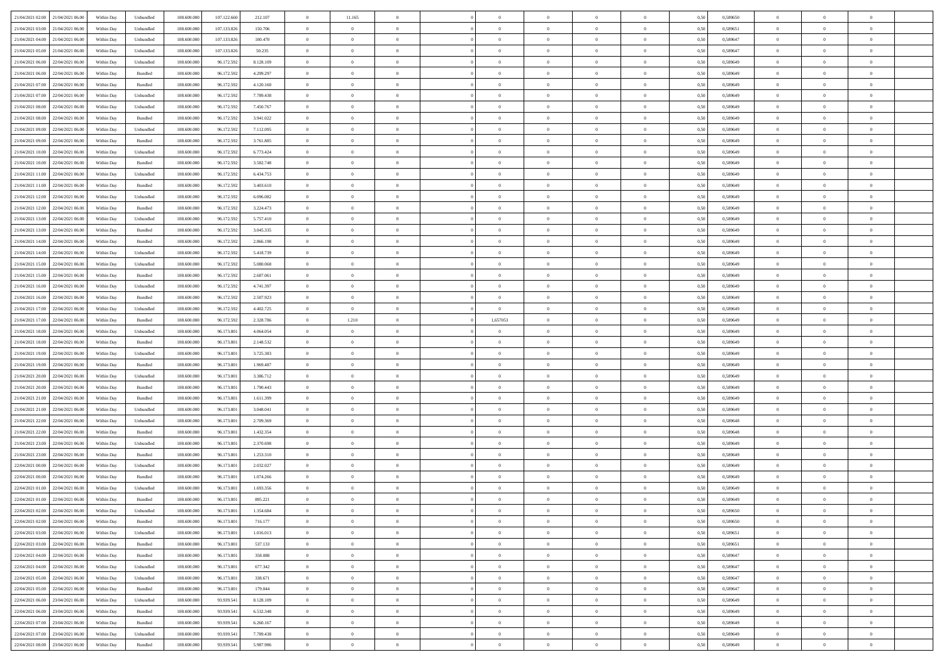| 21/04/2021 02:00 21/04/2021 06:00    | Within Day | Unbundled                   | 108.600.000 | 107.122.660 | 212.107   | $\overline{0}$ | 11.165         |                | $\overline{0}$ | $\theta$       |                | $\theta$       | 0,50 | 0,589650 | $\theta$       | $\theta$       | $\overline{0}$ |  |
|--------------------------------------|------------|-----------------------------|-------------|-------------|-----------|----------------|----------------|----------------|----------------|----------------|----------------|----------------|------|----------|----------------|----------------|----------------|--|
| 21/04/2021 03:00<br>21/04/2021 06:00 | Within Day | Unbundled                   | 108.600.00  | 107.133.826 | 150.706   | $\bf{0}$       | $\bf{0}$       | $\bf{0}$       | $\bf{0}$       | $\overline{0}$ | $\overline{0}$ | $\bf{0}$       | 0,50 | 0,589651 | $\,$ 0 $\,$    | $\bf{0}$       | $\overline{0}$ |  |
| 21/04/2021 04:00<br>21/04/2021 06:00 | Within Day | Unbundled                   | 108,600,000 | 107.133.826 | 100.470   | $\overline{0}$ | $\bf{0}$       | $\overline{0}$ | $\bf{0}$       | $\bf{0}$       | $\overline{0}$ | $\bf{0}$       | 0.50 | 0.589647 | $\bf{0}$       | $\overline{0}$ | $\overline{0}$ |  |
|                                      |            |                             |             |             |           | $\overline{0}$ | $\overline{0}$ | $\overline{0}$ | $\overline{0}$ | $\theta$       | $\overline{0}$ |                |      |          | $\,$ 0 $\,$    | $\theta$       | $\overline{0}$ |  |
| 21/04/2021 05:00<br>21/04/2021 06:00 | Within Day | Unbundled                   | 108.600.000 | 107.133.826 | 50.235    |                |                |                |                |                |                | $\bf{0}$       | 0,50 | 0,589647 |                |                |                |  |
| 21/04/2021 06:00<br>22/04/2021 06.00 | Within Day | Unbundled                   | 108.600.00  | 96.172.592  | 8.128.109 | $\bf{0}$       | $\overline{0}$ | $\bf{0}$       | $\overline{0}$ | $\bf{0}$       | $\overline{0}$ | $\bf{0}$       | 0,50 | 0,589649 | $\,$ 0 $\,$    | $\bf{0}$       | $\overline{0}$ |  |
| 21/04/2021 06:00<br>22/04/2021 06:00 | Within Day | Bundled                     | 108,600,000 | 96.172.592  | 4.299.297 | $\overline{0}$ | $\bf{0}$       | $\overline{0}$ | $\bf{0}$       | $\overline{0}$ | $\overline{0}$ | $\bf{0}$       | 0.50 | 0.589649 | $\,$ 0 $\,$    | $\theta$       | $\overline{0}$ |  |
| 21/04/2021 07:00<br>22/04/2021 06:00 | Within Day | Bundled                     | 108.600.000 | 96.172.592  | 4.120.160 | $\overline{0}$ | $\overline{0}$ | $\overline{0}$ | $\overline{0}$ | $\overline{0}$ | $\overline{0}$ | $\bf{0}$       | 0,50 | 0,589649 | $\,$ 0 $\,$    | $\theta$       | $\overline{0}$ |  |
|                                      |            |                             |             |             |           |                |                |                |                |                |                |                |      |          |                |                |                |  |
| 21/04/2021 07:00<br>22/04/2021 06.00 | Within Day | Unbundled                   | 108.600.00  | 96.172.59   | 7.789.438 | $\bf{0}$       | $\bf{0}$       | $\bf{0}$       | $\overline{0}$ | $\overline{0}$ | $\overline{0}$ | $\bf{0}$       | 0,50 | 0,589649 | $\,$ 0 $\,$    | $\bf{0}$       | $\overline{0}$ |  |
| 21/04/2021 08:00<br>22/04/2021 06:00 | Within Day | Unbundled                   | 108,600,000 | 96.172.592  | 7.450.767 | $\overline{0}$ | $\bf{0}$       | $\overline{0}$ | $\bf{0}$       | $\overline{0}$ | $\overline{0}$ | $\bf{0}$       | 0.50 | 0.589649 | $\bf{0}$       | $\overline{0}$ | $\overline{0}$ |  |
| 21/04/2021 08:00<br>22/04/2021 06:00 | Within Day | Bundled                     | 108.600.000 | 96.172.592  | 3.941.022 | $\overline{0}$ | $\bf{0}$       | $\overline{0}$ | $\overline{0}$ | $\overline{0}$ | $\overline{0}$ | $\bf{0}$       | 0,50 | 0,589649 | $\,$ 0 $\,$    | $\,$ 0 $\,$    | $\overline{0}$ |  |
| 21/04/2021 09:00<br>22/04/2021 06.00 | Within Day | Unbundled                   | 108.600.00  | 96.172.592  | 7.112.095 | $\bf{0}$       | $\bf{0}$       | $\bf{0}$       | $\bf{0}$       | $\overline{0}$ | $\overline{0}$ | $\bf{0}$       | 0,50 | 0,589649 | $\,$ 0 $\,$    | $\bf{0}$       | $\overline{0}$ |  |
|                                      |            |                             |             |             |           |                |                |                |                |                |                |                |      |          |                |                |                |  |
| 21/04/2021 09:00<br>22/04/2021 06:00 | Within Day | Bundled                     | 108,600,000 | 96.172.592  | 3.761.885 | $\overline{0}$ | $\bf{0}$       | $\overline{0}$ | $\overline{0}$ | $\overline{0}$ | $\overline{0}$ | $\bf{0}$       | 0.50 | 0.589649 | $\bf{0}$       | $\,$ 0 $\,$    | $\,$ 0         |  |
| 21/04/2021 10:00<br>22/04/2021 06:00 | Within Day | Unbundled                   | 108.600.000 | 96.172.592  | 6.773.424 | $\overline{0}$ | $\bf{0}$       | $\overline{0}$ | $\theta$       | $\theta$       | $\overline{0}$ | $\bf{0}$       | 0,50 | 0,589649 | $\,$ 0 $\,$    | $\theta$       | $\overline{0}$ |  |
| 21/04/2021 10:00<br>22/04/2021 06.00 | Within Day | Bundled                     | 108.600.00  | 96.172.59   | 3.582.748 | $\bf{0}$       | $\overline{0}$ | $\bf{0}$       | $\bf{0}$       | $\overline{0}$ | $\overline{0}$ | $\bf{0}$       | 0,50 | 0,589649 | $\,$ 0 $\,$    | $\bf{0}$       | $\overline{0}$ |  |
| 21/04/2021 11:00<br>22/04/2021 06:00 | Within Day | Unbundled                   | 108,600,000 | 96.172.592  | 6.434.753 | $\overline{0}$ | $\bf{0}$       | $\overline{0}$ | $\bf{0}$       | $\overline{0}$ | $\overline{0}$ | $\bf{0}$       | 0.50 | 0.589649 | $\,$ 0 $\,$    | $\bf{0}$       | $\overline{0}$ |  |
| 21/04/2021 11:00<br>22/04/2021 06:00 | Within Day | Bundled                     | 108.600.000 | 96.172.592  | 3.403.610 | $\overline{0}$ | $\overline{0}$ | $\overline{0}$ | $\overline{0}$ | $\overline{0}$ | $\overline{0}$ | $\bf{0}$       | 0,50 | 0,589649 | $\theta$       | $\theta$       | $\overline{0}$ |  |
|                                      |            |                             |             |             |           |                |                |                |                |                |                |                |      |          |                |                |                |  |
| 21/04/2021 12:00<br>22/04/2021 06.00 | Within Day | Unbundled                   | 108.600.00  | 96.172.59   | 6.096.082 | $\bf{0}$       | $\bf{0}$       | $\bf{0}$       | $\overline{0}$ | $\overline{0}$ | $\overline{0}$ | $\bf{0}$       | 0,50 | 0,589649 | $\,$ 0 $\,$    | $\bf{0}$       | $\overline{0}$ |  |
| 21/04/2021 12:00<br>22/04/2021 06:00 | Within Day | Bundled                     | 108,600,000 | 96.172.59   | 3.224.473 | $\overline{0}$ | $\bf{0}$       | $\overline{0}$ | $\bf{0}$       | $\overline{0}$ | $\overline{0}$ | $\bf{0}$       | 0.50 | 0.589649 | $\bf{0}$       | $\overline{0}$ | $\bf{0}$       |  |
| 21/04/2021 13:00<br>22/04/2021 06:00 | Within Day | Unbundled                   | 108.600.000 | 96.172.592  | 5.757.410 | $\overline{0}$ | $\bf{0}$       | $\overline{0}$ | $\overline{0}$ | $\overline{0}$ | $\overline{0}$ | $\bf{0}$       | 0,50 | 0,589649 | $\,$ 0 $\,$    | $\bf{0}$       | $\overline{0}$ |  |
| 21/04/2021 13:00<br>22/04/2021 06.00 | Within Day | Bundled                     | 108.600.00  | 96.172.59   | 3.045.335 | $\bf{0}$       | $\bf{0}$       | $\bf{0}$       | $\bf{0}$       | $\overline{0}$ | $\overline{0}$ | $\bf{0}$       | 0,50 | 0,589649 | $\,$ 0 $\,$    | $\bf{0}$       | $\overline{0}$ |  |
|                                      |            |                             |             |             |           |                |                |                |                |                |                |                |      |          |                |                |                |  |
| 21/04/2021 14:00<br>22/04/2021 06:00 | Within Day | Bundled                     | 108,600,000 | 96.172.592  | 2.866.198 | $\overline{0}$ | $\bf{0}$       | $\overline{0}$ | $\overline{0}$ | $\bf{0}$       | $\overline{0}$ | $\bf{0}$       | 0.50 | 0.589649 | $\bf{0}$       | $\overline{0}$ | $\,$ 0         |  |
| 21/04/2021 14:00<br>22/04/2021 06:00 | Within Day | Unbundled                   | 108.600.000 | 96.172.592  | 5.418.739 | $\overline{0}$ | $\overline{0}$ | $\overline{0}$ | $\overline{0}$ | $\theta$       | $\overline{0}$ | $\bf{0}$       | 0,50 | 0,589649 | $\theta$       | $\theta$       | $\overline{0}$ |  |
| 21/04/2021 15:00<br>22/04/2021 06.00 | Within Day | Unbundled                   | 108.600.00  | 96.172.592  | 5.080.068 | $\bf{0}$       | $\bf{0}$       | $\bf{0}$       | $\bf{0}$       | $\overline{0}$ | $\overline{0}$ | $\bf{0}$       | 0,50 | 0,589649 | $\,$ 0 $\,$    | $\bf{0}$       | $\overline{0}$ |  |
| 21/04/2021 15:00<br>22/04/2021 06:00 | Within Day | Bundled                     | 108,600,000 | 96.172.59   | 2.687.061 | $\overline{0}$ | $\bf{0}$       | $\overline{0}$ | $\bf{0}$       | $\overline{0}$ | $\overline{0}$ | $\bf{0}$       | 0.50 | 0.589649 | $\,$ 0 $\,$    | $\theta$       | $\overline{0}$ |  |
| 21/04/2021 16:00<br>22/04/2021 06:00 | Within Day | Unbundled                   | 108.600.000 | 96.172.592  | 4.741.397 | $\overline{0}$ | $\overline{0}$ | $\overline{0}$ | $\overline{0}$ | $\overline{0}$ | $\overline{0}$ | $\bf{0}$       | 0,50 | 0,589649 | $\,$ 0 $\,$    | $\theta$       | $\overline{0}$ |  |
|                                      |            |                             |             |             |           |                |                |                |                |                |                |                |      |          |                |                |                |  |
| 21/04/2021 16:00<br>22/04/2021 06.00 | Within Day | Bundled                     | 108.600.00  | 96.172.59   | 2.507.923 | $\bf{0}$       | $\overline{0}$ | $\bf{0}$       | $\overline{0}$ | $\bf{0}$       | $\overline{0}$ | $\bf{0}$       | 0,50 | 0,589649 | $\,$ 0 $\,$    | $\bf{0}$       | $\overline{0}$ |  |
| 21/04/2021 17:00<br>22/04/2021 06:00 | Within Day | Unbundled                   | 108,600,000 | 96.172.592  | 4.402.725 | $\overline{0}$ | $\bf{0}$       | $\overline{0}$ | $\bf{0}$       | $\overline{0}$ | $\overline{0}$ | $\bf{0}$       | 0.50 | 0.589649 | $\bf{0}$       | $\overline{0}$ | $\overline{0}$ |  |
| 21/04/2021 17:00<br>22/04/2021 06:00 | Within Day | Bundled                     | 108.600.000 | 96.172.592  | 2.328.786 | $\overline{0}$ | 1.210          | $\overline{0}$ | 1,657053       | $\overline{0}$ | $\overline{0}$ | $\bf{0}$       | 0,50 | 0,589649 | $\theta$       | $\bf{0}$       | $\overline{0}$ |  |
| 21/04/2021 18:00<br>22/04/2021 06.00 | Within Day | Unbundled                   | 108.600.00  | 96.173.80   | 4.064.054 | $\bf{0}$       | $\bf{0}$       | $\bf{0}$       | $\bf{0}$       | $\overline{0}$ | $\overline{0}$ | $\bf{0}$       | 0,50 | 0,589649 | $\,$ 0 $\,$    | $\bf{0}$       | $\overline{0}$ |  |
|                                      |            |                             |             |             |           |                |                |                |                |                |                |                |      |          |                |                |                |  |
| 21/04/2021 18:00<br>22/04/2021 06:00 | Within Day | Bundled                     | 108,600,000 | 96.173.801  | 2.148.532 | $\overline{0}$ | $\bf{0}$       | $\overline{0}$ | $\bf{0}$       | $\bf{0}$       | $\overline{0}$ | $\bf{0}$       | 0.50 | 0.589649 | $\bf{0}$       | $\,$ 0 $\,$    | $\,$ 0         |  |
| 21/04/2021 19:00<br>22/04/2021 06:00 | Within Day | Unbundled                   | 108.600.000 | 96.173.80   | 3.725.383 | $\overline{0}$ | $\overline{0}$ | $\overline{0}$ | $\overline{0}$ | $\overline{0}$ | $\overline{0}$ | $\bf{0}$       | 0.50 | 0.589649 | $\theta$       | $\theta$       | $\overline{0}$ |  |
| 21/04/2021 19:00<br>22/04/2021 06.00 | Within Day | Bundled                     | 108.600.00  | 96.173.80   | 1.969.487 | $\bf{0}$       | $\bf{0}$       | $\bf{0}$       | $\bf{0}$       | $\overline{0}$ | $\overline{0}$ | $\bf{0}$       | 0,50 | 0,589649 | $\,$ 0 $\,$    | $\bf{0}$       | $\overline{0}$ |  |
| 21/04/2021 20:00<br>22/04/2021 06:00 | Within Day | Unbundled                   | 108,600,000 | 96.173.80   | 3.386.712 | $\overline{0}$ | $\bf{0}$       | $\overline{0}$ | $\bf{0}$       | $\overline{0}$ | $\overline{0}$ | $\bf{0}$       | 0.50 | 0.589649 | $\,$ 0 $\,$    | $\bf{0}$       | $\overline{0}$ |  |
| 21/04/2021 20:00<br>22/04/2021 06:00 | Within Dav | Bundled                     | 108.600.000 | 96.173.801  | 1.790.443 | $\overline{0}$ | $\overline{0}$ | $\overline{0}$ | $\overline{0}$ | $\overline{0}$ | $\overline{0}$ | $\bf{0}$       | 0.50 | 0.589649 | $\theta$       | $\theta$       | $\overline{0}$ |  |
|                                      |            |                             |             |             |           |                |                |                |                |                |                |                |      |          |                |                |                |  |
| 21/04/2021 21:00<br>22/04/2021 06.00 | Within Day | Bundled                     | 108.600.00  | 96.173.80   | 1.611.399 | $\bf{0}$       | $\bf{0}$       | $\bf{0}$       | $\bf{0}$       | $\overline{0}$ | $\overline{0}$ | $\bf{0}$       | 0,50 | 0,589649 | $\,$ 0 $\,$    | $\bf{0}$       | $\overline{0}$ |  |
| 21/04/2021 21:00<br>22/04/2021 06:00 | Within Day | Unbundled                   | 108,600,000 | 96.173.80   | 3.048.041 | $\overline{0}$ | $\bf{0}$       | $\overline{0}$ | $\bf{0}$       | $\overline{0}$ | $\overline{0}$ | $\bf{0}$       | 0.50 | 0.589649 | $\bf{0}$       | $\overline{0}$ | $\overline{0}$ |  |
| 21/04/2021 22:00<br>22/04/2021 06:00 | Within Dav | Unbundled                   | 108.600.000 | 96.173.80   | 2.709.369 | $\overline{0}$ | $\overline{0}$ | $\overline{0}$ | $\overline{0}$ | $\overline{0}$ | $\overline{0}$ | $\bf{0}$       | 0.50 | 0.589648 | $\theta$       | $\theta$       | $\overline{0}$ |  |
| 21/04/2021 22.00<br>22/04/2021 06.00 | Within Day | Bundled                     | 108.600.00  | 96.173.80   | 1.432.354 | $\bf{0}$       | $\bf{0}$       | $\bf{0}$       | $\bf{0}$       | $\overline{0}$ | $\overline{0}$ | $\bf{0}$       | 0,50 | 0,589648 | $\,$ 0 $\,$    | $\bf{0}$       | $\overline{0}$ |  |
| 22/04/2021 06:00                     |            |                             | 108,600,000 |             | 2.370.698 |                |                |                |                |                | $\overline{0}$ |                | 0.50 | 0.589649 | $\,$ 0 $\,$    | $\,$ 0 $\,$    | $\,$ 0         |  |
| 21/04/2021 23:00                     | Within Day | Unbundled                   |             | 96.173.801  |           | $\overline{0}$ | $\bf{0}$       | $\overline{0}$ | $\overline{0}$ | $\bf{0}$       |                | $\bf{0}$       |      |          |                |                |                |  |
| 21/04/2021 23:00<br>22/04/2021 06:00 | Within Dav | Bundled                     | 108.600.000 | 96.173.801  | 1.253.310 | $\overline{0}$ | $\overline{0}$ | $\overline{0}$ | $\overline{0}$ | $\overline{0}$ | $\overline{0}$ | $\bf{0}$       | 0.50 | 0.589649 | $\theta$       | $\theta$       | $\overline{0}$ |  |
| 22/04/2021 00:00<br>22/04/2021 06.00 | Within Day | Unbundled                   | 108.600.00  | 96.173.80   | 2.032.027 | $\bf{0}$       | $\bf{0}$       | $\bf{0}$       | $\bf{0}$       | $\overline{0}$ | $\overline{0}$ | $\bf{0}$       | 0,50 | 0,589649 | $\,$ 0 $\,$    | $\bf{0}$       | $\overline{0}$ |  |
| 22/04/2021 00:00<br>22/04/2021 06.00 | Within Day | Bundled                     | 108,600,000 | 96.173.80   | 1.074.266 | $\overline{0}$ | $\bf{0}$       | $\overline{0}$ | $\bf{0}$       | $\overline{0}$ | $\overline{0}$ | $\bf{0}$       | 0.50 | 0.589649 | $\bf{0}$       | $\theta$       | $\overline{0}$ |  |
| 22/04/2021 01:00<br>22/04/2021 06:00 | Within Dav | Unbundled                   | 108.600.000 | 96.173.80   | 1.693.356 | $\overline{0}$ | $\overline{0}$ | $\overline{0}$ | $\theta$       | $\theta$       | $\overline{0}$ | $\overline{0}$ | 0.5( | 0.589649 | $\theta$       | $\theta$       | $\overline{0}$ |  |
|                                      |            |                             |             |             |           |                |                |                |                |                |                |                |      |          |                |                |                |  |
| 22/04/2021 01:00<br>22/04/2021 06:00 | Within Day | Bundled                     | 108.600.00  | 96.173.801  | 895.221   | $\bf{0}$       | $\bf{0}$       | $\bf{0}$       | $\bf{0}$       | $\bf{0}$       | $\overline{0}$ | $\bf{0}$       | 0,50 | 0,589649 | $\,$ 0 $\,$    | $\overline{0}$ | $\overline{0}$ |  |
| 22/04/2021 02:00 22/04/2021 06:00    | Within Day | $\ensuremath{\mathsf{Unb}}$ | 108.600.000 | 96.173.801  | 1.354.684 | $\bf{0}$       | $\theta$       |                | $\overline{0}$ | $\bf{0}$       |                |                | 0,50 | 0.589650 | $\bf{0}$       | $\bf{0}$       |                |  |
| 22/04/2021 02:00 22/04/2021 06:00    | Within Day | Bundled                     | 108.600.000 | 96.173.801  | 716.177   | $\overline{0}$ | $\overline{0}$ | $\Omega$       | $\theta$       | $\overline{0}$ | $\overline{0}$ | $\bf{0}$       | 0,50 | 0,589650 | $\theta$       | $\theta$       | $\overline{0}$ |  |
| 22/04/2021 03:00<br>22/04/2021 06:00 | Within Day | Unbundled                   | 108.600.00  | 96.173.801  | 1.016.013 | $\overline{0}$ | $\bf{0}$       | $\overline{0}$ | $\overline{0}$ | $\bf{0}$       | $\overline{0}$ | $\bf{0}$       | 0,50 | 0,589651 | $\bf{0}$       | $\overline{0}$ | $\bf{0}$       |  |
| 22/04/2021 03:00 22/04/2021 06:00    | Within Day | Bundled                     | 108,600,000 | 96.173.801  | 537.133   | $\overline{0}$ | $\overline{0}$ | $\overline{0}$ | $\overline{0}$ | $\mathbf{0}$   | $\overline{0}$ | $\,$ 0 $\,$    | 0.50 | 0.589651 | $\overline{0}$ | $\bf{0}$       | $\overline{0}$ |  |
|                                      |            |                             |             |             |           |                |                |                |                |                |                |                |      |          |                |                |                |  |
| 22/04/2021 04:00 22/04/2021 06:00    | Within Dav | Bundled                     | 108.600.000 | 96.173.801  | 358.088   | $\overline{0}$ | $\overline{0}$ | $\overline{0}$ | $\overline{0}$ | $\overline{0}$ | $\overline{0}$ | $\bf{0}$       | 0,50 | 0,589647 | $\overline{0}$ | $\theta$       | $\overline{0}$ |  |
| 22/04/2021 04:00<br>22/04/2021 06:00 | Within Day | Unbundled                   | 108.600.000 | 96.173.801  | 677.342   | $\overline{0}$ | $\bf{0}$       | $\overline{0}$ | $\overline{0}$ | $\bf{0}$       | $\overline{0}$ | $\bf{0}$       | 0,50 | 0,589647 | $\bf{0}$       | $\overline{0}$ | $\overline{0}$ |  |
| 22/04/2021 05:00 22/04/2021 06:00    | Within Day | Unbundled                   | 108,600,000 | 96.173.801  | 338,671   | $\overline{0}$ | $\bf{0}$       | $\overline{0}$ | $\overline{0}$ | $\bf{0}$       | $\overline{0}$ | $\bf{0}$       | 0.50 | 0.589647 | $\,$ 0 $\,$    | $\overline{0}$ | $\,$ 0         |  |
| 22/04/2021 05:00 22/04/2021 06:00    | Within Dav | Bundled                     | 108.600.000 | 96.173.801  | 179.044   | $\overline{0}$ | $\overline{0}$ | $\overline{0}$ | $\overline{0}$ | $\overline{0}$ | $\overline{0}$ | $\bf{0}$       | 0.50 | 0,589647 | $\overline{0}$ | $\theta$       | $\overline{0}$ |  |
|                                      |            |                             |             |             |           |                |                |                |                |                |                |                |      |          |                |                |                |  |
| 22/04/2021 06:00<br>23/04/2021 06:00 | Within Day | Unbundled                   | 108.600.00  | 93.939.541  | 8.128.109 | $\overline{0}$ | $\overline{0}$ | $\overline{0}$ | $\overline{0}$ | $\overline{0}$ | $\overline{0}$ | $\bf{0}$       | 0,50 | 0,589649 | $\bf{0}$       | $\overline{0}$ | $\,$ 0         |  |
| 22/04/2021 06:00 23/04/2021 06:00    | Within Day | Bundled                     | 108,600,000 | 93.939.541  | 6.532.348 | $\overline{0}$ | $\overline{0}$ | $\overline{0}$ | $\overline{0}$ | $\overline{0}$ | $\overline{0}$ | $\bf{0}$       | 0.50 | 0.589649 | $\mathbf{0}$   | $\bf{0}$       | $\,$ 0         |  |
| 22/04/2021 07:00 23/04/2021 06:00    | Within Dav | Bundled                     | 108.600.000 | 93.939.541  | 6.260.167 | $\overline{0}$ | $\overline{0}$ | $\overline{0}$ | $\overline{0}$ | $\overline{0}$ | $\overline{0}$ | $\bf{0}$       | 0,50 | 0.589649 | $\overline{0}$ | $\theta$       | $\overline{0}$ |  |
| 22/04/2021 07:00<br>23/04/2021 06:00 | Within Day | Unbundled                   | 108.600.00  | 93.939.541  | 7.789.438 | $\overline{0}$ | $\bf{0}$       | $\overline{0}$ | $\bf{0}$       | $\overline{0}$ | $\overline{0}$ | $\bf{0}$       | 0,50 | 0,589649 | $\bf{0}$       | $\,$ 0 $\,$    | $\bf{0}$       |  |
|                                      |            |                             |             |             |           |                |                |                |                |                |                |                |      |          |                |                |                |  |
| 22/04/2021 08:00 23/04/2021 06:00    | Within Day | Bundled                     | 108.600.000 | 93.939.541  | 5.987.986 | $\,$ 0 $\,$    | $\bf{0}$       | $\overline{0}$ | $\overline{0}$ | $\,$ 0 $\,$    | $\overline{0}$ | $\bf{0}$       | 0,50 | 0,589649 | $\overline{0}$ | $\,$ 0 $\,$    | $\,$ 0 $\,$    |  |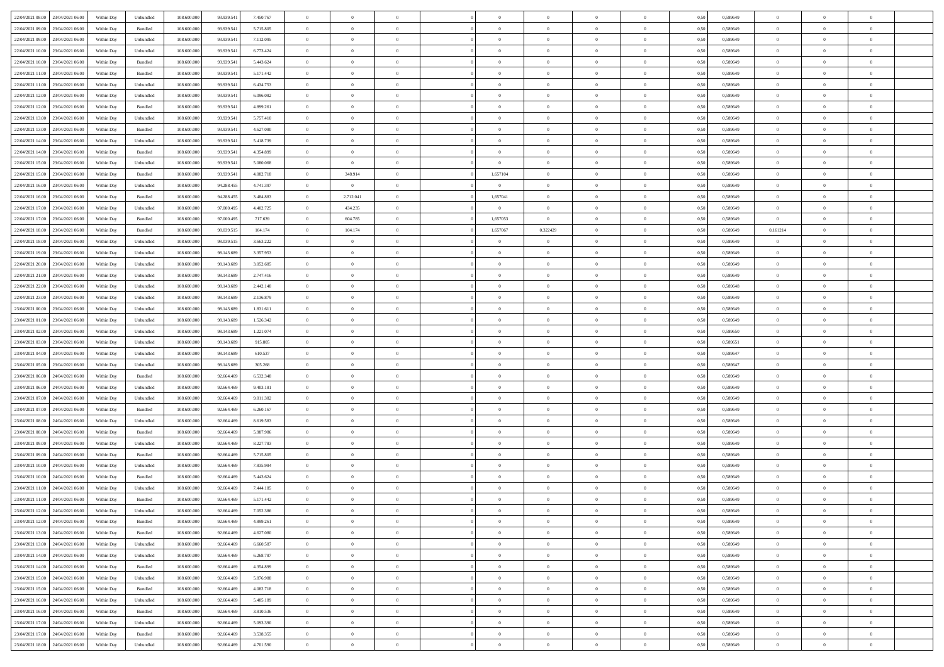| 22/04/2021 08:00 23/04/2021 06:00    | Within Day | Unbundled                   | 108.600.000 | 93.939.541 | 7.450.767 | $\overline{0}$ | $\theta$       |                | $\overline{0}$ | $\bf{0}$         | $\overline{0}$ | $\theta$       | 0,50 | 0,589649 | $\,$ 0 $\,$       | $\overline{0}$ | $\bf{0}$       |  |
|--------------------------------------|------------|-----------------------------|-------------|------------|-----------|----------------|----------------|----------------|----------------|------------------|----------------|----------------|------|----------|-------------------|----------------|----------------|--|
|                                      |            |                             |             |            |           |                |                |                |                |                  |                |                |      |          |                   |                |                |  |
| 22/04/2021 09:00<br>23/04/2021 06.00 | Within Day | Bundled                     | 108.600.00  | 93.939.541 | 5.715.805 | $\bf{0}$       | $\overline{0}$ | $\overline{0}$ | $\overline{0}$ | $\bf{0}$         | $\overline{0}$ | $\bf{0}$       | 0,50 | 0,589649 | $\bf{0}$          | $\overline{0}$ | $\bf{0}$       |  |
| 22/04/2021 09:00<br>23/04/2021 06:00 | Within Day | Unbundled                   | 108,600,000 | 93.939.541 | 7.112.095 | $\overline{0}$ | $\overline{0}$ | $\overline{0}$ | $\overline{0}$ | $\,$ 0 $\,$      | $\overline{0}$ | $\overline{0}$ | 0.50 | 0.589649 | $\overline{0}$    | $\bf{0}$       | $\bf{0}$       |  |
| 22/04/2021 10:00<br>23/04/2021 06:00 | Within Day | Unbundled                   | 108.600.000 | 93.939.541 | 6.773.424 | $\overline{0}$ | $\overline{0}$ | $\overline{0}$ | $\overline{0}$ | $\,0\,$          | $\overline{0}$ | $\overline{0}$ | 0,50 | 0,589649 | $\,$ 0 $\,$       | $\overline{0}$ | $\,$ 0 $\,$    |  |
| 22/04/2021 10:00<br>23/04/2021 06.00 | Within Day | Bundled                     | 108.600.00  | 93.939.541 | 5.443.624 | $\overline{0}$ | $\theta$       | $\overline{0}$ |                | $\,$ 0           | $\overline{0}$ | $\bf{0}$       | 0,50 | 0,589649 | $\bf{0}$          | $\overline{0}$ | $\bf{0}$       |  |
| 22/04/2021 11:00<br>23/04/2021 06:00 | Within Day | Bundled                     | 108,600,000 | 93.939.541 | 5.171.442 | $\overline{0}$ | $\overline{0}$ | $\overline{0}$ | $\overline{0}$ | $\bf{0}$         | $\overline{0}$ | $\overline{0}$ | 0.50 | 0.589649 | $\bf{0}$          | $\overline{0}$ | $\bf{0}$       |  |
| 22/04/2021 11:00<br>23/04/2021 06:00 | Within Day | Unbundled                   | 108.600.000 | 93.939.541 | 6.434.753 | $\overline{0}$ | $\overline{0}$ | $\overline{0}$ | $\overline{0}$ | $\bf{0}$         | $\overline{0}$ | $\overline{0}$ | 0,50 | 0,589649 | $\,0\,$           | $\overline{0}$ | $\bf{0}$       |  |
|                                      |            |                             |             |            |           |                |                |                |                |                  |                |                |      |          |                   |                |                |  |
| 22/04/2021 12:00<br>23/04/2021 06.00 | Within Day | Unbundled                   | 108.600.00  | 93.939.541 | 6.096.082 | $\overline{0}$ | $\overline{0}$ | $\overline{0}$ | $\overline{0}$ | $\,$ 0           | $\overline{0}$ | $\bf{0}$       | 0,50 | 0,589649 | $\bf{0}$          | $\overline{0}$ | $\bf{0}$       |  |
| 22/04/2021 12:00<br>23/04/2021 06:00 | Within Day | Bundled                     | 108,600,000 | 93.939.541 | 4.899.261 | $\overline{0}$ | $\overline{0}$ | $\overline{0}$ | $\overline{0}$ | $\bf{0}$         | $\overline{0}$ | $\overline{0}$ | 0.50 | 0.589649 | $\overline{0}$    | $\overline{0}$ | $\bf{0}$       |  |
| 22/04/2021 13:00<br>23/04/2021 06:00 | Within Day | Unbundled                   | 108.600.000 | 93.939.541 | 5.757.410 | $\overline{0}$ | $\overline{0}$ | $\overline{0}$ | $\overline{0}$ | $\bf{0}$         | $\overline{0}$ | $\bf{0}$       | 0,50 | 0,589649 | $\,0\,$           | $\overline{0}$ | $\bf{0}$       |  |
| 22/04/2021 13:00<br>23/04/2021 06.00 | Within Day | Bundled                     | 108.600.00  | 93.939.541 | 4.627.080 | $\bf{0}$       | $\overline{0}$ | $\overline{0}$ | $\overline{0}$ | $\,$ 0           | $\overline{0}$ | $\bf{0}$       | 0,50 | 0,589649 | $\bf{0}$          | $\overline{0}$ | $\bf{0}$       |  |
| 22/04/2021 14:00<br>23/04/2021 06:00 | Within Day | Unbundled                   | 108,600,000 | 93.939.541 | 5.418.739 | $\overline{0}$ | $\overline{0}$ | $\overline{0}$ | $\overline{0}$ | $\,$ 0 $\,$      | $\overline{0}$ | $\overline{0}$ | 0.50 | 0.589649 | $\,$ 0 $\,$       | $\bf{0}$       | $\bf{0}$       |  |
| 22/04/2021 14:00<br>23/04/2021 06:00 | Within Day | Bundled                     | 108.600.000 | 93.939.541 | 4.354.899 | $\overline{0}$ | $\overline{0}$ | $\overline{0}$ | $\overline{0}$ | $\,$ 0           | $\overline{0}$ | $\overline{0}$ | 0,50 | 0,589649 | $\,0\,$           | $\overline{0}$ | $\,$ 0 $\,$    |  |
|                                      |            |                             |             |            |           | $\bf{0}$       | $\overline{0}$ |                | $\overline{0}$ | $\,$ 0           |                |                |      |          | $\bf{0}$          | $\overline{0}$ | $\bf{0}$       |  |
| 22/04/2021 15:00<br>23/04/2021 06.00 | Within Day | Unbundled                   | 108.600.00  | 93.939.541 | 5.080.068 |                |                | $\overline{0}$ |                |                  | $\overline{0}$ | $\bf{0}$       | 0,50 | 0,589649 |                   |                |                |  |
| 22/04/2021 15:00<br>23/04/2021 06:00 | Within Day | Bundled                     | 108,600,000 | 93.939.541 | 4.082.718 | $\overline{0}$ | 348.914        | $\overline{0}$ | 1,657104       | $\bf{0}$         | $\overline{0}$ | $\overline{0}$ | 0.50 | 0.589649 | $\bf{0}$          | $\overline{0}$ | $\bf{0}$       |  |
| 22/04/2021 16:00<br>23/04/2021 06:00 | Within Day | Unbundled                   | 108.600.000 | 94.288.455 | 4.741.397 | $\overline{0}$ | $\overline{0}$ | $\overline{0}$ | $\overline{0}$ | $\bf{0}$         | $\overline{0}$ | $\overline{0}$ | 0,50 | 0,589649 | $\,0\,$           | $\overline{0}$ | $\bf{0}$       |  |
| 22/04/2021 16:00<br>23/04/2021 06.00 | Within Day | Bundled                     | 108.600.00  | 94.288.455 | 3.484.883 | $\bf{0}$       | 2.712.041      | $\overline{0}$ | 1,657041       | $\,$ 0           | $\overline{0}$ | $\bf{0}$       | 0,50 | 0,589649 | $\bf{0}$          | $\overline{0}$ | $\bf{0}$       |  |
| 22/04/2021 17:00<br>23/04/2021 06:00 | Within Day | Unbundled                   | 108,600,000 | 97.000.495 | 4.402.725 | $\overline{0}$ | 434.235        | $\overline{0}$ | $\overline{0}$ | $\bf{0}$         | $\overline{0}$ | $\overline{0}$ | 0.50 | 0.589649 | $\overline{0}$    | $\overline{0}$ | $\bf{0}$       |  |
| 22/04/2021 17:00<br>23/04/2021 06:00 | Within Day | Bundled                     | 108.600.000 | 97.000.495 | 717.639   | $\overline{0}$ | 604.785        | $\overline{0}$ | 1,657053       | $\bf{0}$         | $\overline{0}$ | $\bf{0}$       | 0,50 | 0,589649 | $\overline{0}$    | $\overline{0}$ | $\bf{0}$       |  |
| 22/04/2021 18:00<br>23/04/2021 06.00 | Within Day | Bundled                     | 108.600.00  | 98.039.51  | 104.174   | $\overline{0}$ | 104.174        | $\overline{0}$ | 1,657067       | 0,322429         | $\overline{0}$ | $\bf{0}$       | 0,50 | 0,589649 | 0,161214          | $\overline{0}$ | $\bf{0}$       |  |
|                                      |            |                             |             |            |           |                |                |                |                |                  |                |                |      |          |                   |                |                |  |
| 22/04/2021 18:00<br>23/04/2021 06:00 | Within Day | Unbundled                   | 108,600,000 | 98.039.515 | 3.663.222 | $\overline{0}$ | $\overline{0}$ | $\overline{0}$ | $\overline{0}$ | $\overline{0}$   | $\overline{0}$ | $\overline{0}$ | 0.50 | 0.589649 | $\overline{0}$    | $\overline{0}$ | $\bf{0}$       |  |
| 22/04/2021 19:00<br>23/04/2021 06:00 | Within Day | Unbundled                   | 108.600.000 | 98.143.689 | 3.357.953 | $\overline{0}$ | $\overline{0}$ | $\overline{0}$ | $\overline{0}$ | $\bf{0}$         | $\overline{0}$ | $\overline{0}$ | 0,50 | 0,589649 | $\,$ 0 $\,$       | $\overline{0}$ | $\,$ 0 $\,$    |  |
| 22/04/2021 20:00<br>23/04/2021 06.00 | Within Day | Unbundled                   | 108.600.00  | 98.143.689 | 3.052.685 | $\overline{0}$ | $\overline{0}$ | $\overline{0}$ | $\overline{0}$ | $\,$ 0           | $\overline{0}$ | $\bf{0}$       | 0,50 | 0,589649 | $\bf{0}$          | $\overline{0}$ | $\bf{0}$       |  |
| 22/04/2021 21:00<br>23/04/2021 06:00 | Within Day | Unbundled                   | 108,600,000 | 98.143.689 | 2.747.416 | $\overline{0}$ | $\overline{0}$ | $\overline{0}$ | $\overline{0}$ | $\bf{0}$         | $\overline{0}$ | $\overline{0}$ | 0.50 | 0.589649 | $\bf{0}$          | $\overline{0}$ | $\bf{0}$       |  |
| 22/04/2021 22:00<br>23/04/2021 06:00 | Within Day | Unbundled                   | 108.600.000 | 98.143.689 | 2.442.148 | $\overline{0}$ | $\overline{0}$ | $\overline{0}$ | $\overline{0}$ | $\bf{0}$         | $\overline{0}$ | $\overline{0}$ | 0,50 | 0,589648 | $\,$ 0 $\,$       | $\overline{0}$ | $\bf{0}$       |  |
| 22/04/2021 23:00<br>23/04/2021 06.00 | Within Day | Unbundled                   | 108.600.00  | 98.143.689 | 2.136.879 | $\bf{0}$       | $\theta$       | $\overline{0}$ |                | $\,$ 0           | $\overline{0}$ | $\bf{0}$       | 0,50 | 0,589649 | $\bf{0}$          | $\overline{0}$ | $\bf{0}$       |  |
| 23/04/2021 00:00<br>23/04/2021 06:00 | Within Day | Unbundled                   | 108,600,000 | 98.143.689 | 1.831.611 | $\overline{0}$ | $\overline{0}$ | $\overline{0}$ | $\overline{0}$ | $\bf{0}$         | $\overline{0}$ | $\overline{0}$ | 0.50 | 0.589649 | $\overline{0}$    | $\overline{0}$ | $\bf{0}$       |  |
| 23/04/2021 01:00<br>23/04/2021 06:00 | Within Day | Unbundled                   | 108.600.000 | 98.143.689 | 1.526.342 | $\overline{0}$ | $\overline{0}$ | $\overline{0}$ | $\overline{0}$ | $\bf{0}$         | $\overline{0}$ | $\overline{0}$ | 0,50 | 0,589649 | $\,$ 0 $\,$       | $\overline{0}$ | $\bf{0}$       |  |
|                                      |            |                             |             |            |           |                |                |                |                |                  |                |                |      |          |                   |                |                |  |
| 23/04/2021 02:00<br>23/04/2021 06.00 | Within Day | Unbundled                   | 108.600.00  | 98.143.689 | 1.221.074 | $\overline{0}$ | $\overline{0}$ | $\overline{0}$ | $\overline{0}$ | $\bf{0}$         | $\overline{0}$ | $\bf{0}$       | 0,50 | 0,589650 | $\bf{0}$          | $\overline{0}$ | $\bf{0}$       |  |
| 23/04/2021 03:00<br>23/04/2021 06:00 | Within Day | Unbundled                   | 108,600,000 | 98.143.689 | 915.805   | $\overline{0}$ | $\overline{0}$ | $\overline{0}$ | $\overline{0}$ | $\,$ 0 $\,$      | $\overline{0}$ | $\mathbf{0}$   | 0.50 | 0.589651 | $\,$ 0 $\,$       | $\overline{0}$ | $\bf{0}$       |  |
| 23/04/2021 04:00<br>23/04/2021 06:00 | Within Day | Unbundled                   | 108.600.000 | 98.143.689 | 610.537   | $\overline{0}$ | $\overline{0}$ | $\overline{0}$ | $\overline{0}$ | $\overline{0}$   | $\overline{0}$ | $\overline{0}$ | 0.50 | 0.589647 | $\mathbf{0}$      | $\overline{0}$ | $\overline{0}$ |  |
| 23/04/2021 05:00<br>23/04/2021 06.00 | Within Day | Unbundled                   | 108.600.00  | 98.143.689 | 305.268   | $\bf{0}$       | $\overline{0}$ | $\overline{0}$ | $\overline{0}$ | $\bf{0}$         | $\overline{0}$ | $\bf{0}$       | 0,50 | 0,589647 | $\bf{0}$          | $\overline{0}$ | $\bf{0}$       |  |
| 23/04/2021 06:00<br>24/04/2021 06:00 | Within Day | Bundled                     | 108,600,000 | 92.664.469 | 6.532.348 | $\overline{0}$ | $\overline{0}$ | $\overline{0}$ | $\overline{0}$ | $\bf{0}$         | $\overline{0}$ | $\overline{0}$ | 0.50 | 0.589649 | $\bf{0}$          | $\overline{0}$ | $\bf{0}$       |  |
| 23/04/2021 06:00<br>24/04/2021 06:00 | Within Dav | Unbundled                   | 108.600.000 | 92.664.469 | 9.403.181 | $\overline{0}$ | $\overline{0}$ | $\Omega$       | $\Omega$       | $\overline{0}$   | $\overline{0}$ | $\overline{0}$ | 0.50 | 0.589649 | $\mathbf{0}$      | $\overline{0}$ | $\overline{0}$ |  |
| 23/04/2021 07:00<br>24/04/2021 06.00 | Within Day | Unbundled                   | 108.600.00  | 92.664.469 | 9.011.382 | $\bf{0}$       | $\overline{0}$ | $\overline{0}$ | $\overline{0}$ | $\bf{0}$         | $\overline{0}$ | $\bf{0}$       | 0,50 | 0,589649 | $\bf{0}$          | $\overline{0}$ | $\bf{0}$       |  |
|                                      |            |                             |             |            |           |                |                |                |                |                  |                |                |      |          |                   |                |                |  |
| 23/04/2021 07:00<br>24/04/2021 06:00 | Within Day | Bundled                     | 108,600,000 | 92.664.469 | 6.260.167 | $\overline{0}$ | $\overline{0}$ | $\overline{0}$ | $\overline{0}$ | $\bf{0}$         | $\overline{0}$ | $\bf{0}$       | 0.50 | 0.589649 | $\overline{0}$    | $\bf{0}$       | $\bf{0}$       |  |
| 23/04/2021 08:00<br>24/04/2021 06:00 | Within Day | Unbundled                   | 108.600.000 | 92.664.469 | 8.619.583 | $\overline{0}$ | $\overline{0}$ | $\overline{0}$ | $\overline{0}$ | $\overline{0}$   | $\overline{0}$ | $\overline{0}$ | 0.50 | 0.589649 | $\mathbf{0}$      | $\overline{0}$ | $\overline{0}$ |  |
| 23/04/2021 08:00<br>24/04/2021 06.00 | Within Day | Bundled                     | 108.600.00  | 92.664.469 | 5.987.986 | $\overline{0}$ | $\overline{0}$ | $\overline{0}$ | $\bf{0}$       | $\bf{0}$         | $\overline{0}$ | $\bf{0}$       | 0,50 | 0,589649 | $\bf{0}$          | $\overline{0}$ | $\bf{0}$       |  |
| 23/04/2021 09:00<br>24/04/2021 06:00 | Within Day | Unbundled                   | 108,600,000 | 92.664.469 | 8.227.783 | $\overline{0}$ | $\overline{0}$ | $\overline{0}$ | $\overline{0}$ | $\,$ 0 $\,$      | $\overline{0}$ | $\mathbf{0}$   | 0.50 | 0.589649 | $\overline{0}$    | $\bf{0}$       | $\bf{0}$       |  |
| 23/04/2021 09:00<br>24/04/2021 06:00 | Within Day | Bundled                     | 108.600.000 | 92.664.469 | 5.715.805 | $\overline{0}$ | $\overline{0}$ | $\Omega$       | $\overline{0}$ | $\overline{0}$   | $\overline{0}$ | $\overline{0}$ | 0.50 | 0.589649 | $\mathbf{0}$      | $\overline{0}$ | $\overline{0}$ |  |
| 23/04/2021 10:00<br>24/04/2021 06.00 | Within Day | Unbundled                   | 108.600.00  | 92.664.469 | 7.835.984 | $\bf{0}$       | $\overline{0}$ | $\overline{0}$ | $\overline{0}$ | $\bf{0}$         | $\overline{0}$ | $\bf{0}$       | 0,50 | 0,589649 | $\bf{0}$          | $\overline{0}$ | $\bf{0}$       |  |
| 23/04/2021 10:00<br>24/04/2021 06:00 | Within Day | Bundled                     | 108,600,000 | 92.664.469 | 5.443.624 | $\overline{0}$ | $\overline{0}$ | $\overline{0}$ | $\overline{0}$ | $\bf{0}$         | $\overline{0}$ | $\overline{0}$ | 0.50 | 0.589649 | $\bf{0}$          | $\overline{0}$ | $\bf{0}$       |  |
| 23/04/2021 11:00<br>24/04/2021 06:00 | Within Day | Unbundled                   | 108.600.000 | 92.664.469 | 7.444.185 | $\overline{0}$ | $\theta$       | $\Omega$       | $\Omega$       | $\mathbf{0}$     | $\overline{0}$ | $\overline{0}$ | 0.50 | 0.589649 | $\theta$          | $\overline{0}$ | $\overline{0}$ |  |
|                                      |            |                             |             |            |           |                |                |                |                |                  |                |                |      |          |                   |                |                |  |
| 23/04/2021 11:00<br>24/04/2021 06:00 | Within Day | Bundled                     | 108.600.00  | 92.664.469 | 5.171.442 | $\overline{0}$ | $\overline{0}$ | $\overline{0}$ | $\bf{0}$       | $\,$ 0           | $\overline{0}$ | $\bf{0}$       | 0,50 | 0,589649 | $\bf{0}$          | $\overline{0}$ | $\bf{0}$       |  |
| 23/04/2021 12:00 24/04/2021 06:00    | Within Day | $\ensuremath{\mathsf{Unb}}$ | 108.600.000 | 92.664.469 | 7.052.386 | $\bf{0}$       | $\bf{0}$       |                | $^{\circ}$     | $\boldsymbol{0}$ | $\bf{0}$       |                | 0,50 | 0.589649 | $\,$ 0            | $\Omega$       |                |  |
| 23/04/2021 12:00 24/04/2021 06:00    | Within Day | Bundled                     | 108.600.000 | 92.664.469 | 4.899.261 | $\theta$       | $\overline{0}$ | $\overline{0}$ | $\Omega$       | $\overline{0}$   | $\overline{0}$ | $\overline{0}$ | 0,50 | 0,589649 | $\theta$          | $\overline{0}$ | $\bf{0}$       |  |
| 23/04/2021 13:00<br>24/04/2021 06:00 | Within Day | Bundled                     | 108.600.00  | 92.664.469 | 4.627.080 | $\overline{0}$ | $\bf{0}$       | $\overline{0}$ | $\bf{0}$       | $\overline{0}$   | $\overline{0}$ | $\mathbf{0}$   | 0,50 | 0,589649 | $\overline{0}$    | $\overline{0}$ | $\bf{0}$       |  |
| 23/04/2021 13:00 24/04/2021 06:00    | Within Day | Unbundled                   | 108,600,000 | 92.664.469 | 6.660.587 | $\overline{0}$ | $\overline{0}$ | $\overline{0}$ | $\overline{0}$ | $\overline{0}$   | $\overline{0}$ | $\mathbf{0}$   | 0.50 | 0.589649 | $\hspace{0.1mm}0$ | $\,$ 0 $\,$    | $\,$ 0 $\,$    |  |
| 23/04/2021 14:00 24/04/2021 06:00    | Within Day | Unbundled                   | 108.600.000 | 92.664.469 | 6.268.787 | $\overline{0}$ | $\overline{0}$ | $\overline{0}$ | $\overline{0}$ | $\overline{0}$   | $\overline{0}$ | $\overline{0}$ | 0,50 | 0,589649 | $\theta$          | $\overline{0}$ | $\bf{0}$       |  |
| 23/04/2021 14:00<br>24/04/2021 06:00 | Within Day | Bundled                     | 108.600.00  | 92.664.469 | 4.354.899 | $\overline{0}$ | $\overline{0}$ | $\overline{0}$ | $\overline{0}$ | $\bf{0}$         | $\overline{0}$ | $\bf{0}$       | 0,50 | 0,589649 | $\overline{0}$    | $\overline{0}$ | $\bf{0}$       |  |
|                                      |            |                             |             |            |           |                |                |                |                |                  |                |                |      |          |                   |                |                |  |
| 23/04/2021 15:00 24/04/2021 06:00    | Within Day | Unbundled                   | 108,600,000 | 92.664.469 | 5.876.988 | $\overline{0}$ | $\overline{0}$ | $\overline{0}$ | $\overline{0}$ | $\,$ 0 $\,$      | $\overline{0}$ | $\overline{0}$ | 0.50 | 0.589649 | $\overline{0}$    | $\overline{0}$ | $\bf{0}$       |  |
| 23/04/2021 15:00 24/04/2021 06:00    | Within Dav | Bundled                     | 108.600.000 | 92.664.469 | 4.082.718 | $\overline{0}$ | $\overline{0}$ | $\overline{0}$ | $\overline{0}$ | $\overline{0}$   | $\overline{0}$ | $\overline{0}$ | 0,50 | 0,589649 | $\overline{0}$    | $\overline{0}$ | $\bf{0}$       |  |
| 23/04/2021 16:00<br>24/04/2021 06:00 | Within Day | Unbundled                   | 108.600.00  | 92.664.469 | 5.485.189 | $\overline{0}$ | $\,$ 0         | $\overline{0}$ | $\bf{0}$       | $\,$ 0 $\,$      | $\overline{0}$ | $\mathbf{0}$   | 0,50 | 0,589649 | $\overline{0}$    | $\,$ 0 $\,$    | $\bf{0}$       |  |
| 23/04/2021 16:00 24/04/2021 06:00    | Within Day | Bundled                     | 108,600,000 | 92.664.469 | 3.810.536 | $\overline{0}$ | $\overline{0}$ | $\overline{0}$ | $\overline{0}$ | $\,$ 0 $\,$      | $\overline{0}$ | $\mathbf{0}$   | 0.50 | 0.589649 | $\overline{0}$    | $\,$ 0 $\,$    | $\bf{0}$       |  |
| 23/04/2021 17:00 24/04/2021 06:00    | Within Dav | Unbundled                   | 108.600.000 | 92.664.469 | 5.093.390 | $\overline{0}$ | $\overline{0}$ | $\overline{0}$ | $\overline{0}$ | $\overline{0}$   | $\overline{0}$ | $\overline{0}$ | 0,50 | 0.589649 | $\overline{0}$    | $\overline{0}$ | $\bf{0}$       |  |
| 23/04/2021 17:00<br>24/04/2021 06.00 | Within Day | Bundled                     | 108.600.00  | 92.664.469 | 3.538.355 | $\overline{0}$ | $\overline{0}$ | $\overline{0}$ | $\overline{0}$ | $\bf{0}$         | $\overline{0}$ | $\bf{0}$       | 0,50 | 0,589649 | $\overline{0}$    | $\bf{0}$       | $\bf{0}$       |  |
|                                      |            |                             |             |            |           |                |                |                |                |                  |                |                |      |          |                   |                |                |  |
| 23/04/2021 18:00 24/04/2021 06:00    | Within Day | Unbundled                   | 108.600.000 | 92.664.469 | 4.701.590 | $\overline{0}$ | $\overline{0}$ | $\overline{0}$ | $\overline{0}$ | $\,$ 0 $\,$      | $\overline{0}$ | $\overline{0}$ | 0,50 | 0,589649 | $\,$ 0 $\,$       | $\,$ 0 $\,$    | $\bf{0}$       |  |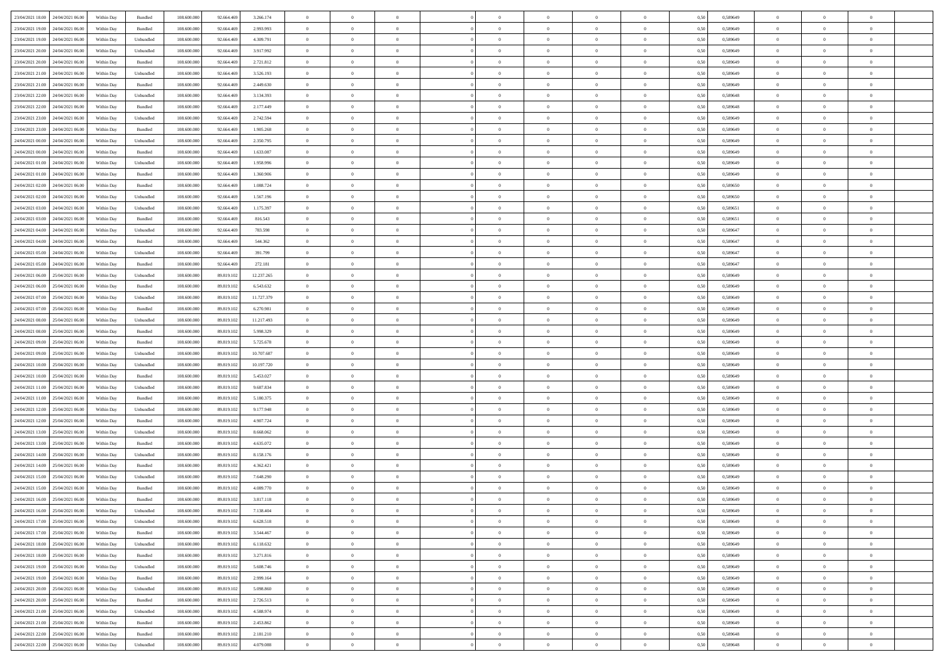| 23/04/2021 18:00 24/04/2021 06:00    | Within Day | Bundled                     | 108.600.000 | 92.664.469 | 3.266.174  | $\overline{0}$ | $\overline{0}$ |                | $\overline{0}$ | $\theta$       |                | $\theta$       | 0,50 | 0,589649 | $\theta$       | $\theta$       | $\overline{0}$ |  |
|--------------------------------------|------------|-----------------------------|-------------|------------|------------|----------------|----------------|----------------|----------------|----------------|----------------|----------------|------|----------|----------------|----------------|----------------|--|
| 23/04/2021 19:00<br>24/04/2021 06.00 | Within Day | Bundled                     | 108.600.00  | 92.664.46  | 2.993.993  | $\bf{0}$       | $\bf{0}$       | $\bf{0}$       | $\bf{0}$       | $\overline{0}$ | $\overline{0}$ | $\bf{0}$       | 0,50 | 0,589649 | $\,$ 0 $\,$    | $\bf{0}$       | $\overline{0}$ |  |
| 23/04/2021 19:00<br>24/04/2021 06:00 | Within Day | Unbundled                   | 108,600,000 | 92.664.469 | 4.309.791  | $\overline{0}$ | $\bf{0}$       | $\overline{0}$ | $\bf{0}$       | $\bf{0}$       | $\overline{0}$ | $\bf{0}$       | 0.50 | 0.589649 | $\bf{0}$       | $\overline{0}$ | $\bf{0}$       |  |
| 23/04/2021 20:00<br>24/04/2021 06:00 |            |                             | 108.600.000 |            |            | $\overline{0}$ | $\overline{0}$ | $\overline{0}$ | $\overline{0}$ | $\theta$       | $\overline{0}$ |                |      |          | $\,$ 0 $\,$    | $\theta$       | $\overline{0}$ |  |
|                                      | Within Day | Unbundled                   |             | 92.664.469 | 3.917.992  |                |                |                |                |                |                | $\bf{0}$       | 0,50 | 0,589649 |                |                |                |  |
| 23/04/2021 20:00<br>24/04/2021 06.00 | Within Day | Bundled                     | 108.600.00  | 92.664.46  | 2.721.812  | $\bf{0}$       | $\overline{0}$ | $\bf{0}$       | $\overline{0}$ | $\bf{0}$       | $\overline{0}$ | $\bf{0}$       | 0,50 | 0,589649 | $\,$ 0 $\,$    | $\bf{0}$       | $\overline{0}$ |  |
| 23/04/2021 21:00<br>24/04/2021 06:00 | Within Day | Unbundled                   | 108,600,000 | 92.664.469 | 3.526.193  | $\overline{0}$ | $\bf{0}$       | $\overline{0}$ | $\bf{0}$       | $\overline{0}$ | $\theta$       | $\bf{0}$       | 0.50 | 0.589649 | $\,$ 0 $\,$    | $\theta$       | $\overline{0}$ |  |
| 23/04/2021 21:00<br>24/04/2021 06:00 | Within Day | Bundled                     | 108.600.000 | 92.664.469 | 2.449.630  | $\overline{0}$ | $\overline{0}$ | $\overline{0}$ | $\overline{0}$ | $\overline{0}$ | $\overline{0}$ | $\bf{0}$       | 0,50 | 0,589649 | $\,$ 0 $\,$    | $\theta$       | $\overline{0}$ |  |
|                                      |            |                             |             |            |            |                |                |                |                |                |                |                |      |          |                |                |                |  |
| 23/04/2021 22:00<br>24/04/2021 06.00 | Within Day | Unbundled                   | 108.600.00  | 92.664.46  | 3.134.393  | $\bf{0}$       | $\bf{0}$       | $\bf{0}$       | $\overline{0}$ | $\overline{0}$ | $\overline{0}$ | $\bf{0}$       | 0,50 | 0,589648 | $\,$ 0 $\,$    | $\bf{0}$       | $\overline{0}$ |  |
| 23/04/2021 22.00<br>24/04/2021 06:00 | Within Day | Bundled                     | 108,600,000 | 92.664.469 | 2.177.449  | $\overline{0}$ | $\bf{0}$       | $\overline{0}$ | $\bf{0}$       | $\overline{0}$ | $\overline{0}$ | $\bf{0}$       | 0.50 | 0.589648 | $\bf{0}$       | $\overline{0}$ | $\overline{0}$ |  |
| 23/04/2021 23:00<br>24/04/2021 06:00 | Within Day | Unbundled                   | 108.600.000 | 92.664.469 | 2.742.594  | $\bf{0}$       | $\bf{0}$       | $\overline{0}$ | $\overline{0}$ | $\overline{0}$ | $\overline{0}$ | $\bf{0}$       | 0,50 | 0,589649 | $\,$ 0 $\,$    | $\,$ 0 $\,$    | $\overline{0}$ |  |
| 23/04/2021 23:00<br>24/04/2021 06.00 | Within Day | Bundled                     | 108.600.00  | 92.664.469 | 1.905.268  | $\bf{0}$       | $\bf{0}$       | $\bf{0}$       | $\bf{0}$       | $\overline{0}$ | $\overline{0}$ | $\bf{0}$       | 0,50 | 0,589649 | $\,$ 0 $\,$    | $\bf{0}$       | $\overline{0}$ |  |
|                                      |            |                             |             |            |            |                |                |                |                |                |                |                |      |          |                |                |                |  |
| 24/04/2021 00:00<br>24/04/2021 06:00 | Within Day | Unbundled                   | 108,600,000 | 92.664.469 | 2.350.795  | $\overline{0}$ | $\bf{0}$       | $\overline{0}$ | $\overline{0}$ | $\bf{0}$       | $\overline{0}$ | $\bf{0}$       | 0.50 | 0.589649 | $\bf{0}$       | $\,$ 0 $\,$    | $\,$ 0         |  |
| 24/04/2021 00:00<br>24/04/2021 06:00 | Within Day | Bundled                     | 108.600.000 | 92.664.469 | 1.633.087  | $\overline{0}$ | $\overline{0}$ | $\overline{0}$ | $\theta$       | $\theta$       | $\overline{0}$ | $\bf{0}$       | 0,50 | 0,589649 | $\,$ 0 $\,$    | $\theta$       | $\overline{0}$ |  |
| 24/04/2021 01:00<br>24/04/2021 06.00 | Within Day | Unbundled                   | 108.600.00  | 92.664.46  | 1.958.996  | $\bf{0}$       | $\overline{0}$ | $\bf{0}$       | $\bf{0}$       | $\bf{0}$       | $\overline{0}$ | $\bf{0}$       | 0,50 | 0,589649 | $\,$ 0 $\,$    | $\bf{0}$       | $\overline{0}$ |  |
| 24/04/2021 01:00<br>24/04/2021 06:00 | Within Day | Bundled                     | 108,600,000 | 92.664.469 | 1.360,906  | $\overline{0}$ | $\bf{0}$       | $\overline{0}$ | $\bf{0}$       | $\overline{0}$ | $\theta$       | $\bf{0}$       | 0.50 | 0.589649 | $\,$ 0 $\,$    | $\theta$       | $\overline{0}$ |  |
| 24/04/2021 02:00<br>24/04/2021 06:00 | Within Day | Bundled                     | 108.600.000 | 92.664.469 | 1.088.724  | $\overline{0}$ | $\overline{0}$ | $\overline{0}$ | $\overline{0}$ | $\overline{0}$ | $\overline{0}$ | $\bf{0}$       | 0,50 | 0,589650 | $\theta$       | $\theta$       | $\overline{0}$ |  |
|                                      |            |                             |             |            |            |                |                |                |                |                |                |                |      |          |                |                |                |  |
| 24/04/2021 02:00<br>24/04/2021 06.00 | Within Day | Unbundled                   | 108.600.00  | 92.664.469 | 1.567.196  | $\bf{0}$       | $\bf{0}$       | $\bf{0}$       | $\overline{0}$ | $\overline{0}$ | $\overline{0}$ | $\bf{0}$       | 0,50 | 0,589650 | $\,$ 0 $\,$    | $\bf{0}$       | $\overline{0}$ |  |
| 24/04/2021 03:00<br>24/04/2021 06:00 | Within Day | Unbundled                   | 108,600,000 | 92.664.469 | 1.175.397  | $\overline{0}$ | $\bf{0}$       | $\overline{0}$ | $\bf{0}$       | $\overline{0}$ | $\overline{0}$ | $\bf{0}$       | 0.50 | 0.589651 | $\bf{0}$       | $\overline{0}$ | $\bf{0}$       |  |
| 24/04/2021 03:00<br>24/04/2021 06:00 | Within Day | Bundled                     | 108.600.000 | 92.664.469 | 816.543    | $\overline{0}$ | $\bf{0}$       | $\overline{0}$ | $\overline{0}$ | $\overline{0}$ | $\overline{0}$ | $\bf{0}$       | 0,50 | 0,589651 | $\,$ 0 $\,$    | $\bf{0}$       | $\overline{0}$ |  |
| 24/04/2021 04:00<br>24/04/2021 06.00 | Within Day | Unbundled                   | 108.600.00  | 92.664.469 | 783.598    | $\bf{0}$       | $\bf{0}$       | $\bf{0}$       | $\bf{0}$       | $\overline{0}$ | $\overline{0}$ | $\bf{0}$       | 0,50 | 0,589647 | $\,$ 0 $\,$    | $\bf{0}$       | $\overline{0}$ |  |
|                                      |            |                             |             |            |            |                |                |                |                |                |                |                |      |          |                |                |                |  |
| 24/04/2021 04:00<br>24/04/2021 06:00 | Within Day | Bundled                     | 108,600,000 | 92.664.469 | 544,362    | $\overline{0}$ | $\bf{0}$       | $\overline{0}$ | $\overline{0}$ | $\bf{0}$       | $\overline{0}$ | $\bf{0}$       | 0.50 | 0.589647 | $\bf{0}$       | $\,$ 0 $\,$    | $\,$ 0         |  |
| 24/04/2021 05:00<br>24/04/2021 06:00 | Within Day | Unbundled                   | 108.600.000 | 92.664.469 | 391.799    | $\overline{0}$ | $\overline{0}$ | $\overline{0}$ | $\overline{0}$ | $\theta$       | $\overline{0}$ | $\bf{0}$       | 0,50 | 0,589647 | $\theta$       | $\theta$       | $\overline{0}$ |  |
| 24/04/2021 05:00<br>24/04/2021 06.00 | Within Day | Bundled                     | 108.600.00  | 92.664.469 | 272.181    | $\bf{0}$       | $\bf{0}$       | $\bf{0}$       | $\bf{0}$       | $\overline{0}$ | $\overline{0}$ | $\bf{0}$       | 0,50 | 0,589647 | $\,$ 0 $\,$    | $\bf{0}$       | $\overline{0}$ |  |
| 24/04/2021 06:00<br>25/04/2021 06:00 | Within Day | Unbundled                   | 108,600,000 | 89.819.102 | 12.237.265 | $\overline{0}$ | $\bf{0}$       | $\overline{0}$ | $\bf{0}$       | $\overline{0}$ | $\overline{0}$ | $\bf{0}$       | 0.50 | 0.589649 | $\,$ 0 $\,$    | $\theta$       | $\overline{0}$ |  |
| 24/04/2021 06:00<br>25/04/2021 06:00 | Within Day | Bundled                     | 108.600.000 | 89.819.102 | 6.543.632  | $\overline{0}$ | $\overline{0}$ | $\overline{0}$ | $\overline{0}$ | $\overline{0}$ | $\overline{0}$ | $\bf{0}$       | 0,50 | 0,589649 | $\,$ 0 $\,$    | $\theta$       | $\overline{0}$ |  |
|                                      |            |                             |             |            |            |                |                |                |                |                |                |                |      |          |                |                |                |  |
| 24/04/2021 07:00<br>25/04/2021 06.00 | Within Day | Unbundled                   | 108.600.00  | 89.819.102 | 11.727.379 | $\bf{0}$       | $\overline{0}$ | $\bf{0}$       | $\overline{0}$ | $\overline{0}$ | $\overline{0}$ | $\bf{0}$       | 0,50 | 0,589649 | $\,$ 0 $\,$    | $\bf{0}$       | $\overline{0}$ |  |
| 24/04/2021 07:00<br>25/04/2021 06:00 | Within Day | Bundled                     | 108,600,000 | 89.819.102 | 6.270.981  | $\overline{0}$ | $\bf{0}$       | $\overline{0}$ | $\bf{0}$       | $\overline{0}$ | $\overline{0}$ | $\bf{0}$       | 0.50 | 0.589649 | $\bf{0}$       | $\overline{0}$ | $\overline{0}$ |  |
| 24/04/2021 08:00<br>25/04/2021 06:00 | Within Day | Unbundled                   | 108.600.000 | 89.819.102 | 11.217.493 | $\overline{0}$ | $\bf{0}$       | $\overline{0}$ | $\overline{0}$ | $\overline{0}$ | $\overline{0}$ | $\bf{0}$       | 0,50 | 0,589649 | $\theta$       | $\theta$       | $\overline{0}$ |  |
| 24/04/2021 08:00<br>25/04/2021 06.00 | Within Day | Bundled                     | 108.600.00  | 89.819.102 | 5.998.329  | $\bf{0}$       | $\bf{0}$       | $\bf{0}$       | $\bf{0}$       | $\overline{0}$ | $\overline{0}$ | $\bf{0}$       | 0,50 | 0,589649 | $\,$ 0 $\,$    | $\bf{0}$       | $\overline{0}$ |  |
|                                      |            |                             |             |            |            |                |                |                |                |                |                |                |      |          |                |                |                |  |
| 24/04/2021 09:00<br>25/04/2021 06:00 | Within Day | Bundled                     | 108,600,000 | 89.819.102 | 5.725.678  | $\overline{0}$ | $\bf{0}$       | $\overline{0}$ | $\overline{0}$ | $\bf{0}$       | $\overline{0}$ | $\bf{0}$       | 0.50 | 0.589649 | $\bf{0}$       | $\,$ 0 $\,$    | $\,$ 0         |  |
| 24/04/2021 09:00<br>25/04/2021 06:00 | Within Day | Unbundled                   | 108.600.000 | 89.819.102 | 10.707.607 | $\overline{0}$ | $\overline{0}$ | $\overline{0}$ | $\overline{0}$ | $\overline{0}$ | $\overline{0}$ | $\bf{0}$       | 0.50 | 0.589649 | $\theta$       | $\theta$       | $\overline{0}$ |  |
| 24/04/2021 10:00<br>25/04/2021 06.00 | Within Day | Unbundled                   | 108.600.00  | 89.819.102 | 10.197.720 | $\bf{0}$       | $\bf{0}$       | $\bf{0}$       | $\bf{0}$       | $\overline{0}$ | $\overline{0}$ | $\bf{0}$       | 0,50 | 0,589649 | $\,$ 0 $\,$    | $\bf{0}$       | $\overline{0}$ |  |
| 24/04/2021 10:00<br>25/04/2021 06:00 | Within Day | Bundled                     | 108,600,000 | 89.819.102 | 5.453.027  | $\overline{0}$ | $\bf{0}$       | $\overline{0}$ | $\bf{0}$       | $\overline{0}$ | $\overline{0}$ | $\bf{0}$       | 0.50 | 0.589649 | $\,$ 0 $\,$    | $\bf{0}$       | $\overline{0}$ |  |
| 24/04/2021 11:00<br>25/04/2021 06:00 | Within Dav | Unbundled                   | 108.600.000 | 89.819.102 | 9.687.834  | $\overline{0}$ | $\overline{0}$ | $\overline{0}$ | $\overline{0}$ | $\overline{0}$ | $\overline{0}$ | $\bf{0}$       | 0.50 | 0.589649 | $\theta$       | $\theta$       | $\overline{0}$ |  |
|                                      |            |                             |             |            |            |                |                |                |                |                |                |                |      |          |                |                |                |  |
| 24/04/2021 11:00<br>25/04/2021 06.00 | Within Day | Bundled                     | 108.600.00  | 89.819.102 | 5.180.375  | $\bf{0}$       | $\bf{0}$       | $\bf{0}$       | $\bf{0}$       | $\overline{0}$ | $\overline{0}$ | $\bf{0}$       | 0,50 | 0,589649 | $\,$ 0 $\,$    | $\bf{0}$       | $\overline{0}$ |  |
| 24/04/2021 12:00<br>25/04/2021 06:00 | Within Day | Unbundled                   | 108,600,000 | 89.819.102 | 9.177.948  | $\overline{0}$ | $\bf{0}$       | $\overline{0}$ | $\bf{0}$       | $\overline{0}$ | $\overline{0}$ | $\bf{0}$       | 0.50 | 0.589649 | $\bf{0}$       | $\overline{0}$ | $\overline{0}$ |  |
| 24/04/2021 12:00<br>25/04/2021 06:00 | Within Dav | Bundled                     | 108.600.000 | 89.819.102 | 4.907.724  | $\overline{0}$ | $\overline{0}$ | $\overline{0}$ | $\overline{0}$ | $\overline{0}$ | $\overline{0}$ | $\bf{0}$       | 0.50 | 0.589649 | $\theta$       | $\theta$       | $\overline{0}$ |  |
| 24/04/2021 13:00<br>25/04/2021 06.00 | Within Day | Unbundled                   | 108.600.00  | 89.819.102 | 8.668.062  | $\bf{0}$       | $\bf{0}$       | $\bf{0}$       | $\bf{0}$       | $\overline{0}$ | $\overline{0}$ | $\bf{0}$       | 0,50 | 0,589649 | $\,$ 0 $\,$    | $\bf{0}$       | $\overline{0}$ |  |
| 25/04/2021 06:00                     |            | Bundled                     | 108,600,000 | 89.819.102 | 4.635.072  |                |                |                |                |                | $\overline{0}$ |                | 0.50 |          | $\,$ 0 $\,$    | $\,$ 0 $\,$    | $\,$ 0         |  |
| 24/04/2021 13:00                     | Within Day |                             |             |            |            | $\overline{0}$ | $\bf{0}$       | $\overline{0}$ | $\overline{0}$ | $\bf{0}$       |                | $\bf{0}$       |      | 0.589649 |                |                |                |  |
| 24/04/2021 14:00<br>25/04/2021 06:00 | Within Dav | Unbundled                   | 108.600.000 | 89.819.102 | 8.158.176  | $\overline{0}$ | $\overline{0}$ | $\overline{0}$ | $\overline{0}$ | $\overline{0}$ | $\overline{0}$ | $\bf{0}$       | 0.50 | 0.589649 | $\theta$       | $\theta$       | $\overline{0}$ |  |
| 24/04/2021 14:00<br>25/04/2021 06.00 | Within Day | Bundled                     | 108.600.00  | 89.819.102 | 4.362.421  | $\bf{0}$       | $\bf{0}$       | $\bf{0}$       | $\bf{0}$       | $\overline{0}$ | $\overline{0}$ | $\bf{0}$       | 0,50 | 0,589649 | $\,$ 0 $\,$    | $\bf{0}$       | $\overline{0}$ |  |
| 24/04/2021 15:00<br>25/04/2021 06.00 | Within Day | Unbundled                   | 108,600,000 | 89.819.102 | 7.648.290  | $\overline{0}$ | $\overline{0}$ | $\overline{0}$ | $\bf{0}$       | $\overline{0}$ | $\overline{0}$ | $\bf{0}$       | 0.50 | 0.589649 | $\bf{0}$       | $\theta$       | $\overline{0}$ |  |
| 24/04/2021 15:00<br>25/04/2021 06:00 | Within Dav | Bundled                     | 108.600.000 | 89.819.102 | 4.089.770  | $\overline{0}$ | $\overline{0}$ | $\Omega$       | $\theta$       | $\theta$       | $\overline{0}$ | $\overline{0}$ | 0.5( | 0.589649 | $\theta$       | $\theta$       | $\overline{0}$ |  |
|                                      |            |                             |             |            |            |                |                |                |                |                |                |                |      |          |                |                |                |  |
| 24/04/2021 16:00<br>25/04/2021 06:00 | Within Day | Bundled                     | 108.600.000 | 89.819.102 | 3.817.118  | $\bf{0}$       | $\bf{0}$       | $\bf{0}$       | $\bf{0}$       | $\bf{0}$       | $\overline{0}$ | $\bf{0}$       | 0,50 | 0,589649 | $\,$ 0 $\,$    | $\overline{0}$ | $\overline{0}$ |  |
| 24/04/2021 16:00 25/04/2021 06:00    | Within Day | $\ensuremath{\mathsf{Unb}}$ | 108.600.000 | 89.819.102 | 7.138.404  | $\bf{0}$       | $\theta$       |                | $\overline{0}$ |                |                |                | 0,50 | 0.589649 | $\bf{0}$       | $\bf{0}$       |                |  |
| 24/04/2021 17:00 25/04/2021 06:00    | Within Day | Unbundled                   | 108.600.000 | 89.819.102 | 6.628.518  | $\overline{0}$ | $\overline{0}$ | $\Omega$       | $\theta$       | $\overline{0}$ | $\overline{0}$ | $\bf{0}$       | 0,50 | 0,589649 | $\theta$       | $\theta$       | $\overline{0}$ |  |
| 24/04/2021 17:00<br>25/04/2021 06:00 | Within Day | Bundled                     | 108.600.00  | 89.819.102 | 3.544.467  | $\overline{0}$ | $\bf{0}$       | $\overline{0}$ | $\overline{0}$ | $\bf{0}$       | $\overline{0}$ | $\bf{0}$       | 0,50 | 0,589649 | $\bf{0}$       | $\overline{0}$ | $\bf{0}$       |  |
| 24/04/2021 18:00 25/04/2021 06:00    | Within Day | Unbundled                   | 108,600,000 | 89.819.102 | 6.118.632  | $\overline{0}$ | $\bf{0}$       | $\overline{0}$ | $\overline{0}$ | $\mathbf{0}$   | $\overline{0}$ | $\,$ 0 $\,$    | 0.50 | 0.589649 | $\overline{0}$ | $\bf{0}$       | $\,$ 0 $\,$    |  |
|                                      |            |                             |             |            |            |                |                |                |                |                |                |                |      |          |                |                |                |  |
| 24/04/2021 18:00 25/04/2021 06:00    | Within Day | Bundled                     | 108.600.000 | 89.819.102 | 3.271.816  | $\overline{0}$ | $\overline{0}$ | $\overline{0}$ | $\overline{0}$ | $\overline{0}$ | $\overline{0}$ | $\bf{0}$       | 0,50 | 0.589649 | $\overline{0}$ | $\theta$       | $\overline{0}$ |  |
| 24/04/2021 19:00<br>25/04/2021 06:00 | Within Day | Unbundled                   | 108.600.000 | 89.819.102 | 5.608.746  | $\overline{0}$ | $\bf{0}$       | $\overline{0}$ | $\overline{0}$ | $\overline{0}$ | $\overline{0}$ | $\bf{0}$       | 0,50 | 0,589649 | $\bf{0}$       | $\overline{0}$ | $\overline{0}$ |  |
| 24/04/2021 19:00 25/04/2021 06:00    | Within Day | Bundled                     | 108,600,000 | 89.819.102 | 2.999.164  | $\overline{0}$ | $\bf{0}$       | $\overline{0}$ | $\overline{0}$ | $\bf{0}$       | $\overline{0}$ | $\bf{0}$       | 0.50 | 0.589649 | $\,$ 0 $\,$    | $\overline{0}$ | $\,$ 0         |  |
| 24/04/2021 20:00 25/04/2021 06:00    | Within Dav | Unbundled                   | 108.600.000 | 89.819.102 | 5.098.860  | $\overline{0}$ | $\overline{0}$ | $\overline{0}$ | $\overline{0}$ | $\overline{0}$ | $\overline{0}$ | $\bf{0}$       | 0,50 | 0.589649 | $\overline{0}$ | $\theta$       | $\overline{0}$ |  |
|                                      |            |                             |             |            |            |                |                |                |                |                |                |                |      |          |                |                |                |  |
| 24/04/2021 20:00<br>25/04/2021 06:00 | Within Day | Bundled                     | 108.600.00  | 89.819.102 | 2.726.513  | $\overline{0}$ | $\overline{0}$ | $\overline{0}$ | $\overline{0}$ | $\overline{0}$ | $\overline{0}$ | $\bf{0}$       | 0,50 | 0,589649 | $\bf{0}$       | $\overline{0}$ | $\overline{0}$ |  |
| 24/04/2021 21:00 25/04/2021 06:00    | Within Day | Unbundled                   | 108,600,000 | 89.819.102 | 4.588.974  | $\overline{0}$ | $\overline{0}$ | $\overline{0}$ | $\overline{0}$ | $\overline{0}$ | $\overline{0}$ | $\bf{0}$       | 0.50 | 0.589649 | $\mathbf{0}$   | $\bf{0}$       | $\,$ 0         |  |
| 24/04/2021 21:00 25/04/2021 06:00    | Within Dav | Bundled                     | 108.600.000 | 89.819.102 | 2.453.862  | $\overline{0}$ | $\overline{0}$ | $\overline{0}$ | $\overline{0}$ | $\overline{0}$ | $\overline{0}$ | $\bf{0}$       | 0,50 | 0.589649 | $\overline{0}$ | $\theta$       | $\overline{0}$ |  |
| 24/04/2021 22.00<br>25/04/2021 06:00 | Within Day | Bundled                     | 108.600.00  | 89.819.102 | 2.181.210  | $\overline{0}$ | $\bf{0}$       | $\overline{0}$ | $\bf{0}$       | $\overline{0}$ | $\overline{0}$ | $\bf{0}$       | 0,50 | 0,589648 | $\bf{0}$       | $\,0\,$        | $\bf{0}$       |  |
|                                      |            |                             |             |            |            |                |                |                |                |                |                |                |      |          |                |                |                |  |
| 24/04/2021 22:00 25/04/2021 06:00    | Within Day | Unbundled                   | 108.600.000 | 89.819.102 | 4.079.088  | $\,$ 0 $\,$    | $\bf{0}$       | $\overline{0}$ | $\overline{0}$ | $\,$ 0 $\,$    | $\overline{0}$ | $\,$ 0 $\,$    | 0,50 | 0,589648 | $\overline{0}$ | $\,$ 0 $\,$    | $\,$ 0 $\,$    |  |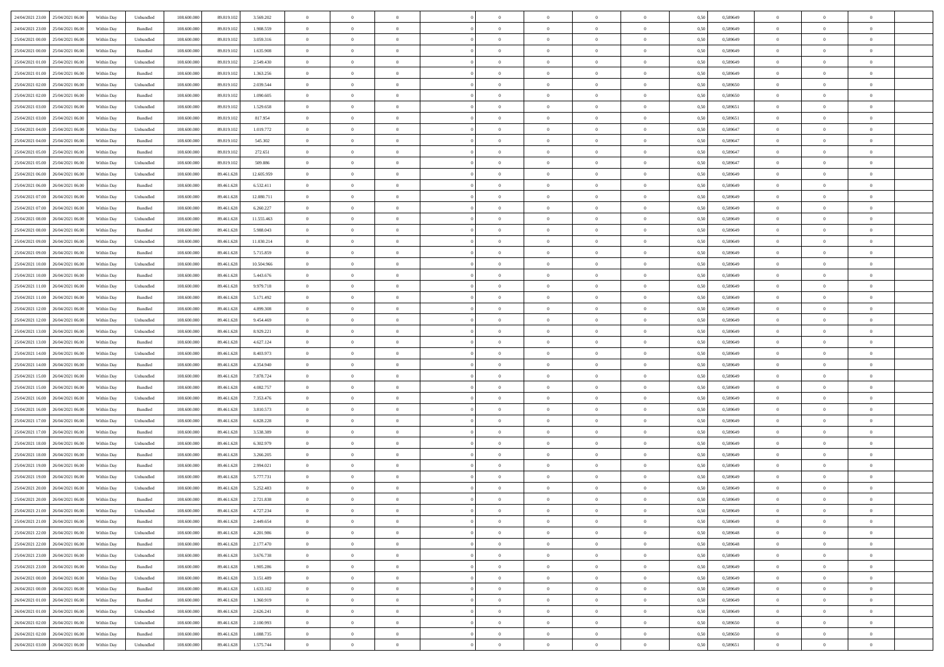| 24/04/2021 23.00 25/04/2021 06:00    | Within Day | Unbundled                   | 108.600.000 | 89.819.102 | 3.569.202  | $\overline{0}$ | $\overline{0}$ |                | $\overline{0}$ | $\theta$       |                | $\theta$       | 0,50 | 0,589649 | $\theta$       | $\theta$       | $\overline{0}$ |  |
|--------------------------------------|------------|-----------------------------|-------------|------------|------------|----------------|----------------|----------------|----------------|----------------|----------------|----------------|------|----------|----------------|----------------|----------------|--|
| 24/04/2021 23:00<br>25/04/2021 06.00 | Within Day | Bundled                     | 108.600.00  | 89.819.102 | 1.908.559  | $\bf{0}$       | $\bf{0}$       | $\bf{0}$       | $\bf{0}$       | $\overline{0}$ | $\overline{0}$ | $\bf{0}$       | 0,50 | 0,589649 | $\,$ 0 $\,$    | $\bf{0}$       | $\overline{0}$ |  |
| 25/04/2021 00:00<br>25/04/2021 06:00 | Within Day | Unbundled                   | 108,600,000 | 89.819.102 | 3.059.316  | $\overline{0}$ | $\bf{0}$       | $\overline{0}$ | $\bf{0}$       | $\bf{0}$       | $\overline{0}$ | $\bf{0}$       | 0.50 | 0.589649 | $\bf{0}$       | $\overline{0}$ | $\overline{0}$ |  |
| 25/04/2021 00:00<br>25/04/2021 06:00 |            |                             | 108.600.000 |            |            | $\overline{0}$ | $\overline{0}$ | $\overline{0}$ | $\overline{0}$ | $\theta$       | $\overline{0}$ |                |      |          | $\,$ 0 $\,$    | $\theta$       | $\overline{0}$ |  |
|                                      | Within Day | Bundled                     |             | 89.819.102 | 1.635.908  |                |                |                |                |                |                | $\bf{0}$       | 0,50 | 0,589649 |                |                |                |  |
| 25/04/2021 01:00<br>25/04/2021 06.00 | Within Day | Unbundled                   | 108.600.00  | 89.819.102 | 2.549.430  | $\bf{0}$       | $\overline{0}$ | $\bf{0}$       | $\overline{0}$ | $\bf{0}$       | $\overline{0}$ | $\bf{0}$       | 0,50 | 0,589649 | $\,$ 0 $\,$    | $\bf{0}$       | $\overline{0}$ |  |
| 25/04/2021 01:00<br>25/04/2021 06:00 | Within Day | Bundled                     | 108,600,000 | 89.819.102 | 1.363.256  | $\overline{0}$ | $\bf{0}$       | $\overline{0}$ | $\bf{0}$       | $\overline{0}$ | $\theta$       | $\bf{0}$       | 0.50 | 0.589649 | $\,$ 0 $\,$    | $\theta$       | $\overline{0}$ |  |
| 25/04/2021 02:00<br>25/04/2021 06:00 | Within Day | Unbundled                   | 108.600.000 | 89.819.102 | 2.039.544  | $\overline{0}$ | $\overline{0}$ | $\overline{0}$ | $\overline{0}$ | $\overline{0}$ | $\overline{0}$ | $\bf{0}$       | 0,50 | 0,589650 | $\,$ 0 $\,$    | $\theta$       | $\overline{0}$ |  |
|                                      |            |                             |             |            |            |                |                |                |                |                |                |                |      |          |                |                |                |  |
| 25/04/2021 02:00<br>25/04/2021 06.00 | Within Day | Bundled                     | 108.600.00  | 89.819.102 | 1.090.605  | $\bf{0}$       | $\bf{0}$       | $\bf{0}$       | $\overline{0}$ | $\overline{0}$ | $\overline{0}$ | $\bf{0}$       | 0,50 | 0,589650 | $\,$ 0 $\,$    | $\bf{0}$       | $\overline{0}$ |  |
| 25/04/2021 03:00<br>25/04/2021 06:00 | Within Day | Unbundled                   | 108,600,000 | 89.819.102 | 1.529.658  | $\overline{0}$ | $\bf{0}$       | $\overline{0}$ | $\bf{0}$       | $\overline{0}$ | $\overline{0}$ | $\bf{0}$       | 0.50 | 0.589651 | $\bf{0}$       | $\overline{0}$ | $\overline{0}$ |  |
| 25/04/2021 03:00<br>25/04/2021 06:00 | Within Day | Bundled                     | 108.600.000 | 89.819.102 | 817.954    | $\overline{0}$ | $\bf{0}$       | $\overline{0}$ | $\overline{0}$ | $\overline{0}$ | $\overline{0}$ | $\bf{0}$       | 0,50 | 0,589651 | $\,$ 0 $\,$    | $\,$ 0 $\,$    | $\overline{0}$ |  |
| 25/04/2021 04:00<br>25/04/2021 06.00 | Within Day | Unbundled                   | 108.600.00  | 89.819.102 | 1.019.772  | $\bf{0}$       | $\bf{0}$       | $\bf{0}$       | $\bf{0}$       | $\overline{0}$ | $\overline{0}$ | $\bf{0}$       | 0,50 | 0,589647 | $\,$ 0 $\,$    | $\bf{0}$       | $\overline{0}$ |  |
|                                      |            |                             |             |            |            |                |                |                |                |                |                |                |      |          |                |                |                |  |
| 25/04/2021 04:00<br>25/04/2021 06:00 | Within Day | Bundled                     | 108,600,000 | 89.819.102 | 545,302    | $\overline{0}$ | $\bf{0}$       | $\overline{0}$ | $\overline{0}$ | $\bf{0}$       | $\overline{0}$ | $\bf{0}$       | 0.50 | 0.589647 | $\bf{0}$       | $\overline{0}$ | $\,$ 0         |  |
| 25/04/2021 05:00<br>25/04/2021 06:00 | Within Day | Bundled                     | 108.600.000 | 89.819.102 | 272.651    | $\overline{0}$ | $\overline{0}$ | $\overline{0}$ | $\theta$       | $\theta$       | $\overline{0}$ | $\bf{0}$       | 0,50 | 0,589647 | $\,$ 0 $\,$    | $\theta$       | $\overline{0}$ |  |
| 25/04/2021 05:00<br>25/04/2021 06.00 | Within Day | Unbundled                   | 108.600.00  | 89.819.102 | 509.886    | $\bf{0}$       | $\overline{0}$ | $\bf{0}$       | $\bf{0}$       | $\bf{0}$       | $\overline{0}$ | $\bf{0}$       | 0,50 | 0,589647 | $\,$ 0 $\,$    | $\bf{0}$       | $\overline{0}$ |  |
| 25/04/2021 06:00<br>26/04/2021 06:00 | Within Day | Unbundled                   | 108,600,000 | 89.461.628 | 12.605.959 | $\overline{0}$ | $\bf{0}$       | $\overline{0}$ | $\bf{0}$       | $\overline{0}$ | $\theta$       | $\bf{0}$       | 0.50 | 0.589649 | $\,$ 0 $\,$    | $\theta$       | $\overline{0}$ |  |
|                                      |            |                             |             |            |            |                |                |                |                |                |                |                |      |          |                |                |                |  |
| 25/04/2021 06:00<br>26/04/2021 06:00 | Within Day | Bundled                     | 108.600.000 | 89.461.628 | 6.532.411  | $\overline{0}$ | $\overline{0}$ | $\overline{0}$ | $\overline{0}$ | $\overline{0}$ | $\overline{0}$ | $\bf{0}$       | 0,50 | 0,589649 | $\theta$       | $\theta$       | $\overline{0}$ |  |
| 25/04/2021 07:00<br>26/04/2021 06.00 | Within Day | Unbundled                   | 108.600.00  | 89.461.628 | 12.080.711 | $\bf{0}$       | $\bf{0}$       | $\bf{0}$       | $\overline{0}$ | $\bf{0}$       | $\overline{0}$ | $\bf{0}$       | 0,50 | 0,589649 | $\,$ 0 $\,$    | $\bf{0}$       | $\overline{0}$ |  |
| 25/04/2021 07:00<br>26/04/2021 06:00 | Within Day | Bundled                     | 108,600,000 | 89.461.628 | 6.260.227  | $\overline{0}$ | $\bf{0}$       | $\overline{0}$ | $\bf{0}$       | $\overline{0}$ | $\overline{0}$ | $\bf{0}$       | 0.50 | 0.589649 | $\bf{0}$       | $\overline{0}$ | $\overline{0}$ |  |
| 25/04/2021 08:00<br>26/04/2021 06:00 | Within Day | Unbundled                   | 108.600.000 | 89.461.628 | 11.555.463 | $\bf{0}$       | $\bf{0}$       | $\overline{0}$ | $\overline{0}$ | $\overline{0}$ | $\overline{0}$ | $\bf{0}$       | 0,50 | 0,589649 | $\,$ 0 $\,$    | $\bf{0}$       | $\overline{0}$ |  |
|                                      |            |                             |             |            |            |                |                |                |                |                |                |                |      |          |                |                |                |  |
| 25/04/2021 08:00<br>26/04/2021 06.00 | Within Day | Bundled                     | 108.600.00  | 89.461.628 | 5.988.043  | $\bf{0}$       | $\bf{0}$       | $\bf{0}$       | $\bf{0}$       | $\overline{0}$ | $\overline{0}$ | $\bf{0}$       | 0,50 | 0,589649 | $\,$ 0 $\,$    | $\bf{0}$       | $\overline{0}$ |  |
| 25/04/2021 09:00<br>26/04/2021 06:00 | Within Day | Unbundled                   | 108,600,000 | 89.461.628 | 11.030.214 | $\overline{0}$ | $\bf{0}$       | $\overline{0}$ | $\overline{0}$ | $\bf{0}$       | $\overline{0}$ | $\bf{0}$       | 0.50 | 0.589649 | $\bf{0}$       | $\overline{0}$ | $\,$ 0         |  |
| 25/04/2021 09:00<br>26/04/2021 06:00 | Within Day | Bundled                     | 108.600.000 | 89.461.628 | 5.715.859  | $\overline{0}$ | $\overline{0}$ | $\overline{0}$ | $\overline{0}$ | $\theta$       | $\overline{0}$ | $\bf{0}$       | 0,50 | 0,589649 | $\theta$       | $\theta$       | $\overline{0}$ |  |
| 25/04/2021 10:00<br>26/04/2021 06.00 | Within Day | Unbundled                   | 108.600.00  | 89.461.628 | 10.504.966 | $\bf{0}$       | $\bf{0}$       | $\bf{0}$       | $\bf{0}$       | $\overline{0}$ | $\overline{0}$ | $\bf{0}$       | 0,50 | 0,589649 | $\,$ 0 $\,$    | $\bf{0}$       | $\overline{0}$ |  |
|                                      |            |                             |             |            |            |                |                |                |                |                |                |                |      |          |                |                |                |  |
| 25/04/2021 10:00<br>26/04/2021 06:00 | Within Day | Bundled                     | 108,600,000 | 89.461.628 | 5.443.676  | $\overline{0}$ | $\bf{0}$       | $\overline{0}$ | $\bf{0}$       | $\overline{0}$ | $\theta$       | $\bf{0}$       | 0.50 | 0.589649 | $\,$ 0 $\,$    | $\theta$       | $\overline{0}$ |  |
| 25/04/2021 11:00<br>26/04/2021 06:00 | Within Day | Unbundled                   | 108.600.000 | 89.461.628 | 9.979.718  | $\overline{0}$ | $\overline{0}$ | $\overline{0}$ | $\overline{0}$ | $\overline{0}$ | $\overline{0}$ | $\bf{0}$       | 0,50 | 0,589649 | $\,$ 0 $\,$    | $\theta$       | $\overline{0}$ |  |
| 25/04/2021 11:00<br>26/04/2021 06.00 | Within Day | Bundled                     | 108.600.00  | 89.461.628 | 5.171.492  | $\bf{0}$       | $\overline{0}$ | $\bf{0}$       | $\overline{0}$ | $\bf{0}$       | $\overline{0}$ | $\bf{0}$       | 0,50 | 0,589649 | $\,$ 0 $\,$    | $\bf{0}$       | $\overline{0}$ |  |
| 25/04/2021 12:00<br>26/04/2021 06:00 | Within Day | Bundled                     | 108,600,000 | 89.461.628 | 4.899.308  | $\overline{0}$ | $\bf{0}$       | $\overline{0}$ | $\bf{0}$       | $\overline{0}$ | $\overline{0}$ | $\bf{0}$       | 0.50 | 0.589649 | $\bf{0}$       | $\overline{0}$ | $\overline{0}$ |  |
|                                      |            |                             |             |            |            | $\overline{0}$ |                | $\overline{0}$ | $\overline{0}$ | $\overline{0}$ | $\overline{0}$ |                |      |          | $\theta$       | $\theta$       | $\overline{0}$ |  |
| 25/04/2021 12:00<br>26/04/2021 06:00 | Within Day | Unbundled                   | 108.600.000 | 89.461.628 | 9.454.469  |                | $\bf{0}$       |                |                |                |                | $\bf{0}$       | 0,50 | 0,589649 |                |                |                |  |
| 25/04/2021 13:00<br>26/04/2021 06.00 | Within Day | Unbundled                   | 108.600.00  | 89.461.628 | 8.929.221  | $\bf{0}$       | $\bf{0}$       | $\bf{0}$       | $\bf{0}$       | $\overline{0}$ | $\overline{0}$ | $\bf{0}$       | 0,50 | 0,589649 | $\,$ 0 $\,$    | $\bf{0}$       | $\overline{0}$ |  |
| 25/04/2021 13:00<br>26/04/2021 06:00 | Within Day | Bundled                     | 108,600,000 | 89.461.628 | 4.627.124  | $\overline{0}$ | $\bf{0}$       | $\overline{0}$ | $\overline{0}$ | $\bf{0}$       | $\overline{0}$ | $\bf{0}$       | 0.50 | 0.589649 | $\bf{0}$       | $\,$ 0 $\,$    | $\,$ 0         |  |
| 25/04/2021 14:00<br>26/04/2021 06:00 | Within Day | Unbundled                   | 108.600.000 | 89.461.628 | 8.403.973  | $\overline{0}$ | $\overline{0}$ | $\overline{0}$ | $\overline{0}$ | $\overline{0}$ | $\overline{0}$ | $\bf{0}$       | 0.50 | 0.589649 | $\theta$       | $\theta$       | $\overline{0}$ |  |
| 25/04/2021 14:00<br>26/04/2021 06.00 | Within Day | Bundled                     | 108.600.00  | 89.461.628 | 4.354.940  | $\bf{0}$       | $\bf{0}$       | $\bf{0}$       | $\bf{0}$       | $\overline{0}$ | $\overline{0}$ | $\bf{0}$       | 0,50 | 0,589649 | $\,$ 0 $\,$    | $\bf{0}$       | $\overline{0}$ |  |
|                                      |            |                             |             |            |            |                |                |                |                |                |                |                |      |          |                |                |                |  |
| 25/04/2021 15:00<br>26/04/2021 06:00 | Within Day | Unbundled                   | 108,600,000 | 89.461.628 | 7.878.724  | $\overline{0}$ | $\bf{0}$       | $\overline{0}$ | $\bf{0}$       | $\overline{0}$ | $\overline{0}$ | $\bf{0}$       | 0.50 | 0.589649 | $\,$ 0 $\,$    | $\bf{0}$       | $\overline{0}$ |  |
| 25/04/2021 15:00<br>26/04/2021 06:00 | Within Dav | Bundled                     | 108.600.000 | 89.461.628 | 4.082.757  | $\overline{0}$ | $\overline{0}$ | $\overline{0}$ | $\overline{0}$ | $\overline{0}$ | $\overline{0}$ | $\bf{0}$       | 0.50 | 0.589649 | $\theta$       | $\theta$       | $\overline{0}$ |  |
| 25/04/2021 16:00<br>26/04/2021 06.00 | Within Day | Unbundled                   | 108.600.00  | 89.461.628 | 7.353.476  | $\bf{0}$       | $\bf{0}$       | $\bf{0}$       | $\bf{0}$       | $\overline{0}$ | $\overline{0}$ | $\bf{0}$       | 0,50 | 0,589649 | $\,$ 0 $\,$    | $\bf{0}$       | $\overline{0}$ |  |
| 25/04/2021 16:00<br>26/04/2021 06:00 | Within Day | Bundled                     | 108,600,000 | 89.461.628 | 3.810.573  | $\overline{0}$ | $\bf{0}$       | $\overline{0}$ | $\bf{0}$       | $\overline{0}$ | $\overline{0}$ | $\bf{0}$       | 0.50 | 0.589649 | $\bf{0}$       | $\overline{0}$ | $\overline{0}$ |  |
|                                      |            |                             |             |            |            |                |                |                |                |                |                |                |      |          |                |                |                |  |
| 25/04/2021 17:00<br>26/04/2021 06:00 | Within Dav | Unbundled                   | 108.600.000 | 89.461.628 | 6.828.228  | $\overline{0}$ | $\overline{0}$ | $\overline{0}$ | $\overline{0}$ | $\overline{0}$ | $\overline{0}$ | $\bf{0}$       | 0.50 | 0.589649 | $\theta$       | $\theta$       | $\overline{0}$ |  |
| 25/04/2021 17:00<br>26/04/2021 06.00 | Within Day | Bundled                     | 108.600.00  | 89.461.628 | 3.538.389  | $\bf{0}$       | $\bf{0}$       | $\bf{0}$       | $\bf{0}$       | $\overline{0}$ | $\overline{0}$ | $\bf{0}$       | 0,50 | 0,589649 | $\,$ 0 $\,$    | $\bf{0}$       | $\overline{0}$ |  |
| 25/04/2021 18:00<br>26/04/2021 06:00 | Within Day | Unbundled                   | 108,600,000 | 89.461.628 | 6.302.979  | $\overline{0}$ | $\bf{0}$       | $\overline{0}$ | $\overline{0}$ | $\bf{0}$       | $\overline{0}$ | $\bf{0}$       | 0.50 | 0.589649 | $\bf{0}$       | $\overline{0}$ | $\overline{0}$ |  |
| 25/04/2021 18:00<br>26/04/2021 06:00 | Within Dav | Bundled                     | 108.600.000 | 89.461.628 | 3.266.205  | $\overline{0}$ | $\overline{0}$ | $\overline{0}$ | $\overline{0}$ | $\overline{0}$ | $\overline{0}$ | $\bf{0}$       | 0.50 | 0.589649 | $\theta$       | $\theta$       | $\overline{0}$ |  |
|                                      |            |                             |             |            |            | $\bf{0}$       | $\bf{0}$       | $\bf{0}$       |                | $\overline{0}$ | $\overline{0}$ |                |      |          | $\,$ 0 $\,$    | $\bf{0}$       | $\overline{0}$ |  |
| 25/04/2021 19:00<br>26/04/2021 06.00 | Within Day | Bundled                     | 108.600.00  | 89.461.628 | 2.994.021  |                |                |                | $\bf{0}$       |                |                | $\bf{0}$       | 0,50 | 0,589649 |                |                |                |  |
| 25/04/2021 19:00<br>26/04/2021 06:00 | Within Day | Unbundled                   | 108,600,000 | 89.461.628 | 5.777.731  | $\overline{0}$ | $\overline{0}$ | $\overline{0}$ | $\bf{0}$       | $\overline{0}$ | $\overline{0}$ | $\bf{0}$       | 0.50 | 0.589649 | $\bf{0}$       | $\theta$       | $\overline{0}$ |  |
| 25/04/2021 20:00<br>26/04/2021 06:00 | Within Dav | Unbundled                   | 108.600.000 | 89.461.628 | 5.252.483  | $\overline{0}$ | $\overline{0}$ | $\Omega$       | $\theta$       | $\theta$       | $\overline{0}$ | $\overline{0}$ | 0.5( | 0.589649 | $\theta$       | $\theta$       | $\overline{0}$ |  |
| 25/04/2021 20:00<br>26/04/2021 06.00 | Within Day | Bundled                     | 108.600.00  | 89.461.628 | 2.721.838  | $\bf{0}$       | $\bf{0}$       | $\bf{0}$       | $\bf{0}$       | $\bf{0}$       | $\overline{0}$ | $\bf{0}$       | 0,50 | 0,589649 | $\,$ 0 $\,$    | $\bf{0}$       | $\overline{0}$ |  |
| 25/04/2021 21:00 26/04/2021 06:00    | Within Day | $\ensuremath{\mathsf{Unb}}$ | 108.600.000 | 89.461.628 | 4.727.234  | $\bf{0}$       | $\theta$       |                | $\overline{0}$ |                |                |                | 0,50 | 0.589649 | $\bf{0}$       | $\bf{0}$       |                |  |
|                                      |            |                             |             |            |            |                |                |                |                |                |                |                |      |          |                |                |                |  |
| 25/04/2021 21:00 26/04/2021 06:00    | Within Day | Bundled                     | 108.600.000 | 89.461.628 | 2.449.654  | $\overline{0}$ | $\overline{0}$ | $\Omega$       | $\theta$       | $\overline{0}$ | $\overline{0}$ | $\bf{0}$       | 0,50 | 0,589649 | $\theta$       | $\theta$       | $\overline{0}$ |  |
| 25/04/2021 22:00<br>26/04/2021 06.00 | Within Day | Unbundled                   | 108.600.00  | 89.461.628 | 4.201.986  | $\overline{0}$ | $\bf{0}$       | $\overline{0}$ | $\overline{0}$ | $\bf{0}$       | $\overline{0}$ | $\bf{0}$       | 0,50 | 0,589648 | $\bf{0}$       | $\overline{0}$ | $\bf{0}$       |  |
| 25/04/2021 22:00 26/04/2021 06:00    | Within Day | Bundled                     | 108,600,000 | 89.461.628 | 2.177.470  | $\overline{0}$ | $\bf{0}$       | $\overline{0}$ | $\overline{0}$ | $\mathbf{0}$   | $\overline{0}$ | $\,$ 0 $\,$    | 0.50 | 0.589648 | $\overline{0}$ | $\bf{0}$       | $\,$ 0 $\,$    |  |
| 25/04/2021 23:00 26/04/2021 06:00    | Within Day | Unbundled                   | 108.600.000 | 89.461.628 | 3.676.738  | $\overline{0}$ | $\overline{0}$ | $\overline{0}$ | $\overline{0}$ | $\overline{0}$ | $\overline{0}$ | $\bf{0}$       | 0,50 | 0.589649 | $\theta$       | $\theta$       | $\overline{0}$ |  |
|                                      |            |                             |             |            |            |                |                |                |                |                |                |                |      |          |                |                |                |  |
| 25/04/2021 23:00<br>26/04/2021 06.00 | Within Day | Bundled                     | 108.600.000 | 89.461.628 | 1.905.286  | $\overline{0}$ | $\bf{0}$       | $\overline{0}$ | $\overline{0}$ | $\overline{0}$ | $\overline{0}$ | $\bf{0}$       | 0,50 | 0,589649 | $\bf{0}$       | $\overline{0}$ | $\overline{0}$ |  |
| 26/04/2021 00:00<br>26/04/2021 06:00 | Within Day | Unbundled                   | 108,600,000 | 89.461.628 | 3.151.489  | $\overline{0}$ | $\bf{0}$       | $\overline{0}$ | $\overline{0}$ | $\bf{0}$       | $\overline{0}$ | $\bf{0}$       | 0.50 | 0.589649 | $\,$ 0 $\,$    | $\overline{0}$ | $\,$ 0         |  |
| 26/04/2021 00:00<br>26/04/2021 06:00 | Within Dav | Bundled                     | 108.600.000 | 89.461.628 | 1.633.102  | $\overline{0}$ | $\overline{0}$ | $\overline{0}$ | $\overline{0}$ | $\overline{0}$ | $\overline{0}$ | $\bf{0}$       | 0,50 | 0.589649 | $\overline{0}$ | $\theta$       | $\overline{0}$ |  |
| 26/04/2021 01:00<br>26/04/2021 06.00 | Within Day | Bundled                     | 108.600.00  | 89.461.628 | 1.360.919  | $\overline{0}$ | $\overline{0}$ | $\overline{0}$ | $\overline{0}$ | $\overline{0}$ | $\overline{0}$ | $\bf{0}$       | 0,50 | 0,589649 | $\bf{0}$       | $\overline{0}$ | $\,$ 0         |  |
|                                      |            |                             |             |            |            |                |                |                |                |                |                |                |      |          |                |                |                |  |
| 26/04/2021 01:00<br>26/04/2021 06:00 | Within Day | Unbundled                   | 108,600,000 | 89.461.628 | 2.626.241  | $\overline{0}$ | $\overline{0}$ | $\overline{0}$ | $\overline{0}$ | $\overline{0}$ | $\overline{0}$ | $\bf{0}$       | 0.50 | 0.589649 | $\mathbf{0}$   | $\bf{0}$       | $\,$ 0         |  |
| 26/04/2021 02:00 26/04/2021 06:00    | Within Dav | Unbundled                   | 108.600.000 | 89.461.628 | 2.100.993  | $\overline{0}$ | $\overline{0}$ | $\overline{0}$ | $\overline{0}$ | $\overline{0}$ | $\overline{0}$ | $\bf{0}$       | 0,50 | 0,589650 | $\overline{0}$ | $\theta$       | $\overline{0}$ |  |
| 26/04/2021 02:00<br>26/04/2021 06.00 | Within Day | Bundled                     | 108.600.00  | 89.461.628 | 1.088.735  | $\overline{0}$ | $\bf{0}$       | $\overline{0}$ | $\bf{0}$       | $\overline{0}$ | $\overline{0}$ | $\bf{0}$       | 0,50 | 0,589650 | $\bf{0}$       | $\,$ 0 $\,$    | $\bf{0}$       |  |
| 26/04/2021 03:00 26/04/2021 06:00    | Within Day | ${\sf Unbundred}$           | 108.600.000 | 89.461.628 | 1.575.744  | $\,$ 0 $\,$    | $\bf{0}$       | $\overline{0}$ | $\overline{0}$ | $\,$ 0 $\,$    | $\overline{0}$ | $\bf{0}$       | 0,50 | 0,589651 | $\overline{0}$ | $\,$ 0 $\,$    | $\,$ 0 $\,$    |  |
|                                      |            |                             |             |            |            |                |                |                |                |                |                |                |      |          |                |                |                |  |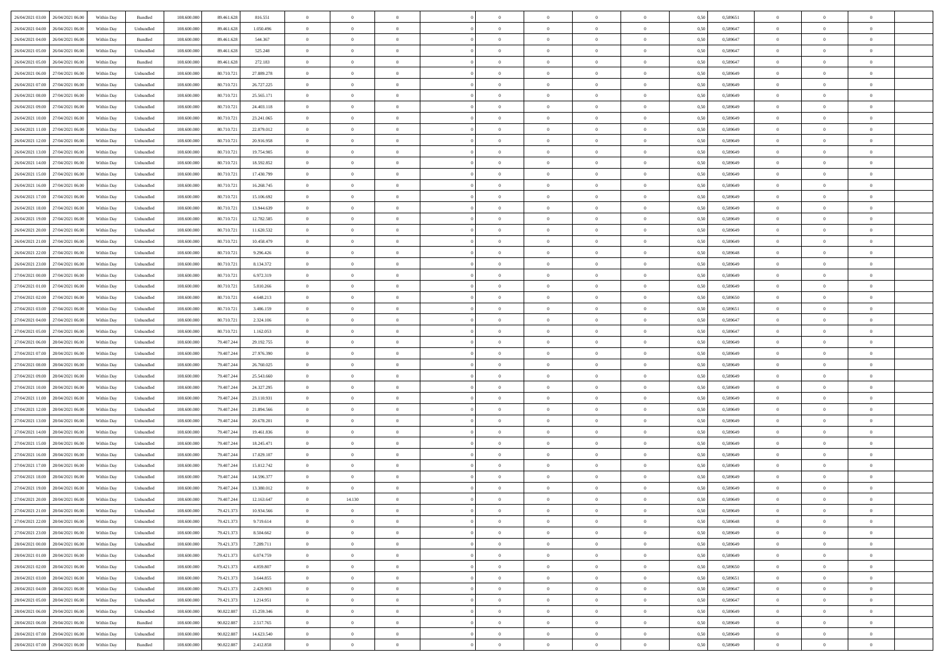| 26/04/2021 03:00 26/04/2021 06:00    | Within Day | Bundled                     | 108.600.000 | 89.461.628 | 816.551    | $\overline{0}$ | $\theta$       |                | $\overline{0}$ | $\theta$       |                | $\theta$       | 0,50 | 0,589651 | $\theta$       | $\theta$       | $\overline{0}$ |  |
|--------------------------------------|------------|-----------------------------|-------------|------------|------------|----------------|----------------|----------------|----------------|----------------|----------------|----------------|------|----------|----------------|----------------|----------------|--|
| 26/04/2021 04:00<br>26/04/2021 06.00 | Within Day | Unbundled                   | 108.600.00  | 89.461.628 | 1.050.496  | $\bf{0}$       | $\bf{0}$       | $\bf{0}$       | $\overline{0}$ | $\overline{0}$ | $\overline{0}$ | $\bf{0}$       | 0,50 | 0,589647 | $\,$ 0 $\,$    | $\bf{0}$       | $\overline{0}$ |  |
| 26/04/2021 04:00<br>26/04/2021 06:00 | Within Day | Bundled                     | 108,600,000 | 89.461.628 | 544,367    | $\overline{0}$ | $\bf{0}$       | $\overline{0}$ | $\bf{0}$       | $\bf{0}$       | $\overline{0}$ | $\bf{0}$       | 0.50 | 0.589647 | $\bf{0}$       | $\overline{0}$ | $\overline{0}$ |  |
| 26/04/2021 05:00<br>26/04/2021 06:00 | Within Day | Unbundled                   | 108.600.000 | 89.461.628 | 525.248    | $\overline{0}$ | $\overline{0}$ | $\overline{0}$ | $\theta$       | $\theta$       | $\overline{0}$ | $\bf{0}$       | 0,50 | 0,589647 | $\theta$       | $\theta$       | $\overline{0}$ |  |
| 26/04/2021 05:00<br>26/04/2021 06.00 | Within Day | Bundled                     | 108.600.00  | 89.461.628 | 272.183    | $\overline{0}$ | $\overline{0}$ | $\bf{0}$       | $\overline{0}$ | $\theta$       | $\overline{0}$ | $\bf{0}$       | 0,50 | 0,589647 | $\,$ 0 $\,$    | $\bf{0}$       | $\overline{0}$ |  |
|                                      |            |                             |             |            |            |                |                |                |                |                |                |                |      |          |                |                |                |  |
| 26/04/2021 06:00<br>27/04/2021 06:00 | Within Day | Unbundled                   | 108,600,000 | 80.710.72  | 27.889.278 | $\overline{0}$ | $\overline{0}$ | $\overline{0}$ | $\bf{0}$       | $\overline{0}$ | $\theta$       | $\bf{0}$       | 0.50 | 0.589649 | $\,$ 0 $\,$    | $\theta$       | $\overline{0}$ |  |
| 26/04/2021 07:00<br>27/04/2021 06:00 | Within Day | Unbundled                   | 108.600.000 | 80.710.721 | 26.727.225 | $\overline{0}$ | $\overline{0}$ | $\overline{0}$ | $\overline{0}$ | $\overline{0}$ | $\overline{0}$ | $\bf{0}$       | 0,50 | 0,589649 | $\theta$       | $\theta$       | $\overline{0}$ |  |
| 26/04/2021 08:00<br>27/04/2021 06.00 | Within Day | Unbundled                   | 108.600.00  | 80.710.72  | 25.565.171 | $\bf{0}$       | $\overline{0}$ | $\bf{0}$       | $\overline{0}$ | $\overline{0}$ | $\overline{0}$ | $\bf{0}$       | 0,50 | 0,589649 | $\,$ 0 $\,$    | $\bf{0}$       | $\overline{0}$ |  |
| 26/04/2021 09:00<br>27/04/2021 06:00 | Within Day | Unbundled                   | 108,600,000 | 80.710.72  | 24,403.118 | $\overline{0}$ | $\bf{0}$       | $\overline{0}$ | $\bf{0}$       | $\overline{0}$ | $\overline{0}$ | $\bf{0}$       | 0.50 | 0.589649 | $\bf{0}$       | $\overline{0}$ | $\overline{0}$ |  |
| 26/04/2021 10:00<br>27/04/2021 06:00 | Within Day | Unbundled                   | 108.600.000 | 80.710.721 | 23.241.065 | $\overline{0}$ | $\bf{0}$       | $\overline{0}$ | $\overline{0}$ | $\overline{0}$ | $\overline{0}$ | $\bf{0}$       | 0,50 | 0,589649 | $\,$ 0 $\,$    | $\theta$       | $\overline{0}$ |  |
| 26/04/2021 11:00<br>27/04/2021 06.00 | Within Day | Unbundled                   | 108.600.00  | 80.710.721 | 22.079.012 | $\bf{0}$       | $\overline{0}$ | $\bf{0}$       | $\bf{0}$       | $\bf{0}$       | $\overline{0}$ | $\bf{0}$       | 0,50 | 0,589649 | $\,$ 0 $\,$    | $\bf{0}$       | $\overline{0}$ |  |
| 26/04/2021 12:00<br>27/04/2021 06:00 | Within Day | Unbundled                   | 108,600,000 | 80.710.72  | 20.916.958 | $\overline{0}$ | $\bf{0}$       | $\overline{0}$ | $\overline{0}$ | $\bf{0}$       | $\overline{0}$ | $\bf{0}$       | 0.50 | 0.589649 | $\bf{0}$       | $\overline{0}$ | $\bf{0}$       |  |
|                                      |            |                             |             |            |            |                |                |                |                |                |                |                |      |          |                |                |                |  |
| 26/04/2021 13:00<br>27/04/2021 06:00 | Within Day | Unbundled                   | 108.600.000 | 80.710.721 | 19.754.905 | $\overline{0}$ | $\overline{0}$ | $\overline{0}$ | $\theta$       | $\theta$       | $\overline{0}$ | $\overline{0}$ | 0,50 | 0,589649 | $\theta$       | $\theta$       | $\overline{0}$ |  |
| 26/04/2021 14:00<br>27/04/2021 06.00 | Within Day | Unbundled                   | 108.600.00  | 80.710.72  | 18.592.852 | $\bf{0}$       | $\overline{0}$ | $\bf{0}$       | $\overline{0}$ | $\theta$       | $\overline{0}$ | $\bf{0}$       | 0,50 | 0,589649 | $\,$ 0 $\,$    | $\bf{0}$       | $\overline{0}$ |  |
| 26/04/2021 15:00<br>27/04/2021 06:00 | Within Day | Unbundled                   | 108 600 000 | 80.710.72  | 17.430.799 | $\overline{0}$ | $\overline{0}$ | $\overline{0}$ | $\bf{0}$       | $\overline{0}$ | $\theta$       | $\bf{0}$       | 0.50 | 0.589649 | $\,$ 0 $\,$    | $\theta$       | $\overline{0}$ |  |
| 26/04/2021 16:00<br>27/04/2021 06:00 | Within Day | Unbundled                   | 108.600.000 | 80.710.721 | 16.268.745 | $\overline{0}$ | $\overline{0}$ | $\overline{0}$ | $\overline{0}$ | $\overline{0}$ | $\overline{0}$ | $\bf{0}$       | 0,50 | 0,589649 | $\theta$       | $\theta$       | $\overline{0}$ |  |
| 26/04/2021 17:00<br>27/04/2021 06.00 | Within Day | Unbundled                   | 108.600.00  | 80.710.72  | 15.106.692 | $\bf{0}$       | $\overline{0}$ | $\bf{0}$       | $\overline{0}$ | $\bf{0}$       | $\overline{0}$ | $\bf{0}$       | 0,50 | 0,589649 | $\,$ 0 $\,$    | $\bf{0}$       | $\overline{0}$ |  |
| 26/04/2021 18:00<br>27/04/2021 06:00 | Within Day | Unbundled                   | 108,600,000 | 80.710.72  | 13.944.639 | $\overline{0}$ | $\bf{0}$       | $\overline{0}$ | $\bf{0}$       | $\overline{0}$ | $\overline{0}$ | $\bf{0}$       | 0.50 | 0.589649 | $\bf{0}$       | $\overline{0}$ | $\overline{0}$ |  |
| 26/04/2021 19:00<br>27/04/2021 06:00 | Within Day | Unbundled                   | 108.600.000 | 80.710.721 | 12.782.585 | $\overline{0}$ | $\overline{0}$ | $\overline{0}$ | $\overline{0}$ | $\overline{0}$ | $\overline{0}$ | $\bf{0}$       | 0,50 | 0,589649 | $\,$ 0 $\,$    | $\theta$       | $\overline{0}$ |  |
|                                      |            |                             |             |            |            |                |                |                |                |                |                |                |      |          |                |                |                |  |
| 26/04/2021 20:00<br>27/04/2021 06.00 | Within Day | Unbundled                   | 108.600.00  | 80.710.721 | 11.620.532 | $\bf{0}$       | $\bf{0}$       | $\bf{0}$       | $\bf{0}$       | $\overline{0}$ | $\overline{0}$ | $\bf{0}$       | 0,50 | 0,589649 | $\,$ 0 $\,$    | $\bf{0}$       | $\overline{0}$ |  |
| 26/04/2021 21:00<br>27/04/2021 06:00 | Within Day | Unbundled                   | 108,600,000 | 80.710.72  | 10.458.479 | $\overline{0}$ | $\bf{0}$       | $\overline{0}$ | $\bf{0}$       | $\bf{0}$       | $\overline{0}$ | $\bf{0}$       | 0.50 | 0.589649 | $\bf{0}$       | $\overline{0}$ | $\bf{0}$       |  |
| 26/04/2021 22:00<br>27/04/2021 06:00 | Within Day | Unbundled                   | 108.600.000 | 80.710.721 | 9.296.426  | $\overline{0}$ | $\overline{0}$ | $\overline{0}$ | $\theta$       | $\theta$       | $\overline{0}$ | $\bf{0}$       | 0,50 | 0,589648 | $\theta$       | $\theta$       | $\overline{0}$ |  |
| 26/04/2021 23:00<br>27/04/2021 06.00 | Within Day | Unbundled                   | 108.600.00  | 80.710.72  | 8.134.372  | $\bf{0}$       | $\overline{0}$ | $\bf{0}$       | $\overline{0}$ | $\overline{0}$ | $\overline{0}$ | $\bf{0}$       | 0,50 | 0,589649 | $\,$ 0 $\,$    | $\bf{0}$       | $\overline{0}$ |  |
| 27/04/2021 00:00<br>27/04/2021 06:00 | Within Day | Unbundled                   | 108,600,000 | 80.710.72  | 6.972.319  | $\overline{0}$ | $\overline{0}$ | $\overline{0}$ | $\overline{0}$ | $\overline{0}$ | $\theta$       | $\bf{0}$       | 0.50 | 0.589649 | $\,$ 0 $\,$    | $\theta$       | $\overline{0}$ |  |
| 27/04/2021 01:00<br>27/04/2021 06:00 | Within Day | Unbundled                   | 108.600.000 | 80.710.721 | 5.810.266  | $\overline{0}$ | $\overline{0}$ | $\overline{0}$ | $\overline{0}$ | $\overline{0}$ | $\overline{0}$ | $\bf{0}$       | 0,50 | 0,589649 | $\theta$       | $\theta$       | $\overline{0}$ |  |
| 27/04/2021 02:00<br>27/04/2021 06.00 | Within Day | Unbundled                   | 108.600.00  | 80.710.72  | 4.648.213  | $\bf{0}$       | $\overline{0}$ | $\bf{0}$       | $\overline{0}$ | $\theta$       | $\overline{0}$ | $\bf{0}$       | 0,50 | 0,589650 | $\,$ 0 $\,$    | $\bf{0}$       | $\overline{0}$ |  |
|                                      |            |                             |             |            |            |                |                |                |                |                |                |                |      |          |                |                |                |  |
| 27/04/2021 03:00<br>27/04/2021 06:00 | Within Day | Unbundled                   | 108,600,000 | 80.710.72  | 3.486.159  | $\overline{0}$ | $\bf{0}$       | $\overline{0}$ | $\bf{0}$       | $\overline{0}$ | $\overline{0}$ | $\bf{0}$       | 0.50 | 0.589651 | $\bf{0}$       | $\overline{0}$ | $\overline{0}$ |  |
| 27/04/2021 04:00<br>27/04/2021 06:00 | Within Day | Unbundled                   | 108.600.000 | 80.710.721 | 2.324.106  | $\overline{0}$ | $\overline{0}$ | $\overline{0}$ | $\overline{0}$ | $\overline{0}$ | $\overline{0}$ | $\bf{0}$       | 0,50 | 0,589647 | $\theta$       | $\theta$       | $\overline{0}$ |  |
| 27/04/2021 05:00<br>27/04/2021 06.00 | Within Day | Unbundled                   | 108.600.00  | 80.710.721 | 1.162.053  | $\bf{0}$       | $\bf{0}$       | $\bf{0}$       | $\bf{0}$       | $\overline{0}$ | $\overline{0}$ | $\bf{0}$       | 0,50 | 0,589647 | $\,$ 0 $\,$    | $\bf{0}$       | $\overline{0}$ |  |
| 27/04/2021 06:00<br>28/04/2021 06:00 | Within Day | Unbundled                   | 108,600,000 | 79,407.24  | 29.192.755 | $\overline{0}$ | $\bf{0}$       | $\overline{0}$ | $\bf{0}$       | $\bf{0}$       | $\overline{0}$ | $\bf{0}$       | 0.50 | 0.589649 | $\bf{0}$       | $\overline{0}$ | $\bf{0}$       |  |
| 27/04/2021 07:00<br>28/04/2021 06:00 | Within Day | Unbundled                   | 108.600.000 | 79,407.24  | 27.976.390 | $\overline{0}$ | $\overline{0}$ | $\overline{0}$ | $\overline{0}$ | $\overline{0}$ | $\overline{0}$ | $\bf{0}$       | 0.50 | 0.589649 | $\theta$       | $\theta$       | $\overline{0}$ |  |
| 27/04/2021 08:00<br>28/04/2021 06.00 | Within Day | Unbundled                   | 108.600.00  | 79.407.24  | 26.760.025 | $\bf{0}$       | $\overline{0}$ | $\bf{0}$       | $\overline{0}$ | $\overline{0}$ | $\overline{0}$ | $\bf{0}$       | 0,50 | 0,589649 | $\,$ 0 $\,$    | $\bf{0}$       | $\overline{0}$ |  |
| 27/04/2021 09:00<br>28/04/2021 06:00 | Within Day | Unbundled                   | 108,600,000 | 79.407.244 | 25.543.660 | $\overline{0}$ | $\bf{0}$       | $\overline{0}$ | $\bf{0}$       | $\overline{0}$ | $\Omega$       | $\bf{0}$       | 0.50 | 0.589649 | $\,$ 0 $\,$    | $\theta$       | $\overline{0}$ |  |
| 27/04/2021 10:00<br>28/04/2021 06:00 | Within Dav | Unbundled                   | 108.600.000 | 79.407.244 | 24.327.295 | $\overline{0}$ | $\overline{0}$ | $\overline{0}$ | $\overline{0}$ | $\overline{0}$ | $\overline{0}$ | $\overline{0}$ | 0.5( | 0.589649 | $\theta$       | $\theta$       | $\overline{0}$ |  |
|                                      |            |                             |             |            |            |                |                |                |                |                |                |                |      |          |                |                |                |  |
| 27/04/2021 11:00<br>28/04/2021 06.00 | Within Day | Unbundled                   | 108.600.00  | 79.407.24  | 23.110.931 | $\bf{0}$       | $\bf{0}$       | $\bf{0}$       | $\overline{0}$ | $\bf{0}$       | $\overline{0}$ | $\bf{0}$       | 0,50 | 0,589649 | $\,$ 0 $\,$    | $\bf{0}$       | $\overline{0}$ |  |
| 27/04/2021 12:00<br>28/04/2021 06:00 | Within Day | Unbundled                   | 108,600,000 | 79.407.24  | 21.894.566 | $\overline{0}$ | $\bf{0}$       | $\overline{0}$ | $\bf{0}$       | $\overline{0}$ | $\overline{0}$ | $\bf{0}$       | 0.50 | 0.589649 | $\bf{0}$       | $\overline{0}$ | $\overline{0}$ |  |
| 27/04/2021 13:00<br>28/04/2021 06:00 | Within Dav | Unbundled                   | 108.600.000 | 79.407.244 | 20.678.201 | $\overline{0}$ | $\overline{0}$ | $\overline{0}$ | $\overline{0}$ | $\overline{0}$ | $\overline{0}$ | $\overline{0}$ | 0.50 | 0.589649 | $\theta$       | $\theta$       | $\overline{0}$ |  |
| 27/04/2021 14:00<br>28/04/2021 06.00 | Within Day | Unbundled                   | 108.600.00  | 79.407.24  | 19.461.836 | $\bf{0}$       | $\bf{0}$       | $\bf{0}$       | $\bf{0}$       | $\overline{0}$ | $\overline{0}$ | $\bf{0}$       | 0,50 | 0,589649 | $\,$ 0 $\,$    | $\bf{0}$       | $\overline{0}$ |  |
| 27/04/2021 15:00<br>28/04/2021 06:00 | Within Day | Unbundled                   | 108,600,000 | 79.407.244 | 18.245.471 | $\overline{0}$ | $\bf{0}$       | $\overline{0}$ | $\bf{0}$       | $\bf{0}$       | $\overline{0}$ | $\bf{0}$       | 0.50 | 0.589649 | $\bf{0}$       | $\overline{0}$ | $\overline{0}$ |  |
| 27/04/2021 16:00<br>28/04/2021 06:00 | Within Dav | Unbundled                   | 108.600.000 | 79.407.244 | 17.029.107 | $\overline{0}$ | $\overline{0}$ | $\overline{0}$ | $\overline{0}$ | $\overline{0}$ | $\overline{0}$ | $\bf{0}$       | 0.50 | 0.589649 | $\theta$       | $\theta$       | $\overline{0}$ |  |
| 27/04/2021 17:00<br>28/04/2021 06.00 | Within Day | Unbundled                   | 108.600.00  | 79.407.24  | 15.812.742 | $\bf{0}$       | $\bf{0}$       | $\bf{0}$       | $\bf{0}$       | $\overline{0}$ | $\overline{0}$ | $\bf{0}$       | 0,50 | 0,589649 | $\,$ 0 $\,$    | $\bf{0}$       | $\overline{0}$ |  |
| 27/04/2021 18:00<br>28/04/2021 06:00 | Within Day | Unbundled                   | 108,600,000 | 79.407.24  | 14.596.377 | $\overline{0}$ | $\overline{0}$ | $\overline{0}$ | $\overline{0}$ | $\overline{0}$ | $\Omega$       | $\bf{0}$       | 0.50 | 0.589649 | $\bf{0}$       | $\theta$       | $\overline{0}$ |  |
| 27/04/2021 19:00<br>28/04/2021 06:00 | Within Dav | Unbundled                   | 108.600.000 | 79.407.244 | 13.380.012 | $\overline{0}$ | $\overline{0}$ | $\Omega$       |                | $\theta$       | $\Omega$       | $\overline{0}$ | 0.5( | 0.589649 | $\theta$       | $\theta$       | $\overline{0}$ |  |
|                                      |            |                             |             |            |            |                |                |                | $\overline{0}$ |                |                |                |      |          |                |                |                |  |
| 27/04/2021 20:00<br>28/04/2021 06:00 | Within Day | Unbundled                   | 108.600.00  | 79.407.244 | 12.163.647 | $\bf{0}$       | 14.130         | $\bf{0}$       | $\bf{0}$       | $\bf{0}$       | $\overline{0}$ | $\bf{0}$       | 0,50 | 0,589649 | $\,$ 0 $\,$    | $\bf{0}$       | $\overline{0}$ |  |
| 27/04/2021 21:00 28/04/2021 06:00    | Within Day | $\ensuremath{\mathsf{Unb}}$ | 108.600.000 | 79.421.373 | 10.934.566 | $\bf{0}$       | $\Omega$       |                | $\overline{0}$ |                |                |                | 0,50 | 0.589649 | $\bf{0}$       | $\overline{0}$ |                |  |
| 27/04/2021 22:00 28/04/2021 06:00    | Within Day | Unbundled                   | 108.600.000 | 79.421.373 | 9.719.614  | $\overline{0}$ | $\theta$       | $\Omega$       | $\theta$       | $\overline{0}$ | $\overline{0}$ | $\bf{0}$       | 0,50 | 0,589648 | $\theta$       | $\theta$       | $\overline{0}$ |  |
| 27/04/2021 23:00<br>28/04/2021 06:00 | Within Day | Unbundled                   | 108.600.00  | 79.421.373 | 8.504.662  | $\overline{0}$ | $\bf{0}$       | $\overline{0}$ | $\overline{0}$ | $\bf{0}$       | $\overline{0}$ | $\bf{0}$       | 0,50 | 0,589649 | $\bf{0}$       | $\overline{0}$ | $\bf{0}$       |  |
| 28/04/2021 00:00 28/04/2021 06:00    | Within Day | Unbundled                   | 108,600,000 | 79.421.373 | 7.289.711  | $\overline{0}$ | $\bf{0}$       | $\overline{0}$ | $\overline{0}$ | $\mathbf{0}$   | $\overline{0}$ | $\,$ 0 $\,$    | 0.50 | 0.589649 | $\overline{0}$ | $\bf{0}$       | $\,$ 0 $\,$    |  |
| 28/04/2021 01:00 28/04/2021 06:00    | Within Day | Unbundled                   | 108.600.000 | 79.421.373 | 6.074.759  | $\overline{0}$ | $\overline{0}$ | $\overline{0}$ | $\overline{0}$ | $\overline{0}$ | $\overline{0}$ | $\bf{0}$       | 0,50 | 0,589649 | $\overline{0}$ | $\theta$       | $\overline{0}$ |  |
| 28/04/2021 02:00<br>28/04/2021 06:00 | Within Day | Unbundled                   | 108.600.000 | 79.421.373 | 4.859.807  | $\overline{0}$ | $\bf{0}$       | $\overline{0}$ | $\overline{0}$ | $\overline{0}$ | $\overline{0}$ | $\bf{0}$       | 0,50 | 0,589650 | $\bf{0}$       | $\overline{0}$ | $\overline{0}$ |  |
|                                      |            |                             |             |            |            |                |                |                |                |                |                |                |      |          |                |                |                |  |
| 28/04/2021 03:00<br>28/04/2021 06:00 | Within Day | Unbundled                   | 108,600,000 | 79.421.373 | 3.644.855  | $\overline{0}$ | $\bf{0}$       | $\overline{0}$ | $\overline{0}$ | $\overline{0}$ | $\overline{0}$ | $\bf{0}$       | 0.50 | 0.589651 | $\,$ 0 $\,$    | $\theta$       | $\,$ 0         |  |
| 28/04/2021 04:00<br>28/04/2021 06:00 | Within Dav | Unbundled                   | 108.600.000 | 79.421.373 | 2.429.903  | $\overline{0}$ | $\overline{0}$ | $\overline{0}$ | $\overline{0}$ | $\overline{0}$ | $\overline{0}$ | $\bf{0}$       | 0.50 | 0,589647 | $\overline{0}$ | $\theta$       | $\overline{0}$ |  |
| 28/04/2021 05:00<br>28/04/2021 06:00 | Within Day | Unbundled                   | 108.600.00  | 79.421.373 | 1.214.951  | $\overline{0}$ | $\overline{0}$ | $\overline{0}$ | $\overline{0}$ | $\overline{0}$ | $\overline{0}$ | $\bf{0}$       | 0,50 | 0,589647 | $\bf{0}$       | $\overline{0}$ | $\overline{0}$ |  |
| 29/04/2021 06:00<br>28/04/2021 06:00 | Within Day | Unbundled                   | 108,600,000 | 90.822.887 | 15.259.346 | $\overline{0}$ | $\overline{0}$ | $\overline{0}$ | $\overline{0}$ | $\overline{0}$ | $\overline{0}$ | $\bf{0}$       | 0.50 | 0.589649 | $\mathbf{0}$   | $\bf{0}$       | $\,$ 0         |  |
| 28/04/2021 06:00 29/04/2021 06:00    | Within Dav | Bundled                     | 108.600.000 | 90.822.887 | 2.517.765  | $\overline{0}$ | $\overline{0}$ | $\overline{0}$ | $\overline{0}$ | $\overline{0}$ | $\overline{0}$ | $\bf{0}$       | 0,50 | 0.589649 | $\overline{0}$ | $\theta$       | $\overline{0}$ |  |
| 28/04/2021 07:00<br>29/04/2021 06.00 | Within Day | Unbundled                   | 108.600.00  | 90.822.887 | 14.623.540 | $\overline{0}$ | $\bf{0}$       | $\overline{0}$ | $\bf{0}$       | $\overline{0}$ | $\bf{0}$       | $\bf{0}$       | 0,50 | 0,589649 | $\bf{0}$       | $\bf{0}$       | $\overline{0}$ |  |
|                                      |            |                             |             |            |            |                |                |                |                |                |                |                |      |          |                |                |                |  |
| 28/04/2021 07:00 29/04/2021 06:00    | Within Day | Bundled                     | 108.600.000 | 90.822.887 | 2.412.858  | $\,$ 0 $\,$    | $\bf{0}$       | $\overline{0}$ | $\overline{0}$ | $\,$ 0 $\,$    | $\overline{0}$ | $\bf{0}$       | 0,50 | 0,589649 | $\overline{0}$ | $\,$ 0 $\,$    | $\,$ 0 $\,$    |  |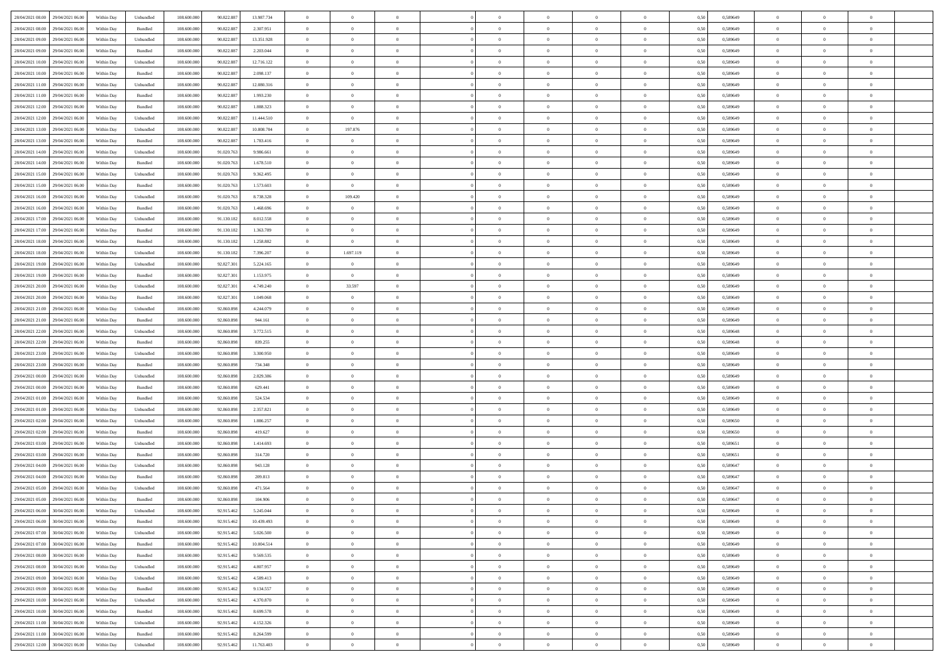| 28/04/2021 08:00 29/04/2021 06:00    | Within Day | Unbundled | 108.600.000 | 90.822.887 | 13.987.734 | $\bf{0}$       | $\theta$       |                | $\overline{0}$ | $\theta$       | $\Omega$       | $\bf{0}$       | 0,50 | 0,589649 | $\theta$       | $\overline{0}$ | $\sqrt{ }$     |  |
|--------------------------------------|------------|-----------|-------------|------------|------------|----------------|----------------|----------------|----------------|----------------|----------------|----------------|------|----------|----------------|----------------|----------------|--|
| 29/04/2021 06:00                     | Within Day | Bundled   | 108,600,00  | 90.822.887 |            | $\overline{0}$ | $\bf{0}$       | $\overline{0}$ | $\overline{0}$ | $\overline{0}$ | $\overline{0}$ |                | 0.50 |          | $\overline{0}$ | $\overline{0}$ | $\overline{0}$ |  |
| 28/04/2021 08:00                     |            |           |             |            | 2.307.951  |                |                |                |                |                |                | $\bf{0}$       |      | 0,589649 |                |                |                |  |
| 28/04/2021 09:00<br>29/04/2021 06:00 | Within Dav | Unbundled | 108.600.000 | 90.822.887 | 13.351.928 | $\overline{0}$ | $\overline{0}$ | $\overline{0}$ | $\overline{0}$ | $\overline{0}$ | $\overline{0}$ | $\bf{0}$       | 0.50 | 0,589649 | $\theta$       | $\overline{0}$ | $\overline{0}$ |  |
| 28/04/2021 09:00<br>29/04/2021 06:00 | Within Day | Bundled   | 108.600.000 | 90.822.887 | 2.203.044  | $\overline{0}$ | $\bf{0}$       | $\bf{0}$       | $\overline{0}$ | $\bf{0}$       | $\overline{0}$ | $\bf{0}$       | 0,50 | 0,589649 | $\bf{0}$       | $\overline{0}$ | $\overline{0}$ |  |
| 28/04/2021 10:00<br>29/04/2021 06.00 | Within Day | Unbundled | 108.600.000 | 90.822.887 | 12.716.122 | $\bf{0}$       | $\bf{0}$       | $\overline{0}$ | $\overline{0}$ | $\overline{0}$ | $\overline{0}$ | $\bf{0}$       | 0,50 | 0,589649 | $\,$ 0 $\,$    | $\bf{0}$       | $\overline{0}$ |  |
| 28/04/2021 10:00<br>29/04/2021 06:00 | Within Dav | Bundled   | 108.600.000 | 90.822.887 | 2.098.137  | $\overline{0}$ | $\overline{0}$ | $\overline{0}$ | $\overline{0}$ | $\overline{0}$ | $\overline{0}$ | $\overline{0}$ | 0.50 | 0.589649 | $\theta$       | $\overline{0}$ | $\overline{0}$ |  |
| 28/04/2021 11:00<br>29/04/2021 06:00 | Within Day | Unbundled | 108.600.000 | 90.822.887 | 12.080.316 | $\overline{0}$ | $\bf{0}$       | $\overline{0}$ | $\overline{0}$ | $\overline{0}$ | $\overline{0}$ | $\bf{0}$       | 0,50 | 0,589649 | $\bf{0}$       | $\bf{0}$       | $\overline{0}$ |  |
|                                      |            |           |             |            |            |                |                |                |                |                |                |                |      |          |                |                |                |  |
| 28/04/2021 11:00<br>29/04/2021 06.00 | Within Day | Bundled   | 108,600,00  | 90.822.887 | 1.993.230  | $\overline{0}$ | $\overline{0}$ | $\overline{0}$ | $\overline{0}$ | $\overline{0}$ | $\overline{0}$ | $\bf{0}$       | 0.50 | 0,589649 | $\bf{0}$       | $\theta$       | $\overline{0}$ |  |
| 28/04/2021 12:00<br>29/04/2021 06.00 | Within Dav | Bundled   | 108.600.000 | 90.822.887 | 1.888.323  | $\overline{0}$ | $\overline{0}$ | $\overline{0}$ | $\overline{0}$ | $\overline{0}$ | $\overline{0}$ | $\overline{0}$ | 0.50 | 0,589649 | $\theta$       | $\overline{0}$ | $\overline{0}$ |  |
| 28/04/2021 12:00<br>29/04/2021 06:00 | Within Day | Unbundled | 108.600.000 | 90.822.887 | 11.444.510 | $\overline{0}$ | $\overline{0}$ | $\overline{0}$ | $\overline{0}$ | $\overline{0}$ | $\overline{0}$ | $\bf{0}$       | 0,50 | 0,589649 | $\,$ 0 $\,$    | $\bf{0}$       | $\overline{0}$ |  |
| 28/04/2021 13:00<br>29/04/2021 06:00 | Within Day | Unbundled | 108,600,00  | 90.822.887 | 10,808,704 | $\overline{0}$ | 197.876        | $\overline{0}$ | $\overline{0}$ | $\overline{0}$ | $\overline{0}$ | $\bf{0}$       | 0,50 | 0,589649 | $\bf{0}$       | $\overline{0}$ | $\overline{0}$ |  |
| 28/04/2021 13:00<br>29/04/2021 06:00 | Within Dav | Bundled   | 108.600.000 | 90.822.887 | 1.783.416  | $\overline{0}$ | $\overline{0}$ | $\overline{0}$ | $\overline{0}$ | $\overline{0}$ | $\overline{0}$ | $\bf{0}$       | 0.50 | 0,589649 | $\theta$       | $\overline{0}$ | $\overline{0}$ |  |
| 28/04/2021 14:00<br>29/04/2021 06:00 | Within Day | Unbundled | 108.600.000 | 91.020.763 | 9.986.661  | $\overline{0}$ | $\bf{0}$       | $\bf{0}$       | $\overline{0}$ | $\bf{0}$       | $\overline{0}$ | $\bf{0}$       | 0,50 | 0,589649 | $\bf{0}$       | $\overline{0}$ | $\overline{0}$ |  |
| 28/04/2021 14:00<br>29/04/2021 06.00 | Within Day | Bundled   | 108.600.000 | 91.020.763 | 1.678.510  | $\bf{0}$       | $\bf{0}$       | $\overline{0}$ | $\overline{0}$ | $\overline{0}$ | $\overline{0}$ | $\bf{0}$       | 0,50 | 0,589649 | $\,$ 0 $\,$    | $\bf{0}$       | $\overline{0}$ |  |
| 28/04/2021 15:00<br>29/04/2021 06:00 | Within Dav | Unbundled | 108.600.000 | 91.020.763 | 9.362.495  | $\overline{0}$ | $\overline{0}$ | $\overline{0}$ |                | $\overline{0}$ | $\overline{0}$ | $\overline{0}$ | 0.50 | 0,589649 | $\theta$       | $\theta$       | $\overline{0}$ |  |
|                                      |            |           |             |            |            |                |                |                | $\overline{0}$ |                |                |                |      |          |                |                |                |  |
| 28/04/2021 15:00<br>29/04/2021 06:00 | Within Day | Bundled   | 108.600.000 | 91.020.763 | 1.573.603  | $\overline{0}$ | $\bf{0}$       | $\overline{0}$ | $\overline{0}$ | $\overline{0}$ | $\overline{0}$ | $\bf{0}$       | 0,50 | 0,589649 | $\bf{0}$       | $\bf{0}$       | $\overline{0}$ |  |
| 28/04/2021 16:00<br>29/04/2021 06.00 | Within Day | Unbundled | 108,600,00  | 91.020.763 | 8.738.328  | $\overline{0}$ | 109.420        | $\overline{0}$ | $\overline{0}$ | $\overline{0}$ | $\overline{0}$ | $\bf{0}$       | 0.50 | 0,589649 | $\bf{0}$       | $\overline{0}$ | $\overline{0}$ |  |
| 28/04/2021 16:00<br>29/04/2021 06.00 | Within Dav | Bundled   | 108.600.000 | 91.020.763 | 1.468.696  | $\overline{0}$ | $\overline{0}$ | $\overline{0}$ | $\overline{0}$ | $\overline{0}$ | $\overline{0}$ | $\overline{0}$ | 0.50 | 0,589649 | $\theta$       | $\overline{0}$ | $\overline{0}$ |  |
| 28/04/2021 17:00<br>29/04/2021 06:00 | Within Day | Unbundled | 108.600.000 | 91.130.182 | 8.012.558  | $\overline{0}$ | $\bf{0}$       | $\overline{0}$ | $\overline{0}$ | $\overline{0}$ | $\overline{0}$ | $\bf{0}$       | 0,50 | 0,589649 | $\,$ 0 $\,$    | $\bf{0}$       | $\overline{0}$ |  |
| 28/04/2021 17:00<br>29/04/2021 06:00 | Within Day | Bundled   | 108,600,00  | 91.130.182 | 1.363.789  | $\overline{0}$ | $\bf{0}$       | $\overline{0}$ | $\overline{0}$ | $\bf{0}$       | $\overline{0}$ | $\bf{0}$       | 0,50 | 0,589649 | $\bf{0}$       | $\overline{0}$ | $\overline{0}$ |  |
| 28/04/2021 18:00<br>29/04/2021 06.00 | Within Dav | Bundled   | 108.600.000 | 91.130.182 | 1.258.882  | $\overline{0}$ | $\overline{0}$ | $\overline{0}$ | $\overline{0}$ | $\overline{0}$ | $\overline{0}$ | $\bf{0}$       | 0.50 | 0,589649 | $\theta$       | $\overline{0}$ | $\overline{0}$ |  |
| 28/04/2021 18:00<br>29/04/2021 06:00 | Within Day | Unbundled | 108.600.000 | 91.130.182 | 7.396.207  | $\overline{0}$ | 1.697.119      | $\overline{0}$ | $\overline{0}$ | $\overline{0}$ | $\overline{0}$ | $\bf{0}$       | 0,50 | 0,589649 | $\bf{0}$       | $\overline{0}$ | $\overline{0}$ |  |
|                                      |            |           |             |            |            |                |                |                |                |                |                |                |      |          |                |                |                |  |
| 28/04/2021 19:00<br>29/04/2021 06.00 | Within Day | Unbundled | 108.600.000 | 92.827.301 | 5.224.165  | $\bf{0}$       | $\bf{0}$       | $\overline{0}$ | $\overline{0}$ | $\overline{0}$ | $\overline{0}$ | $\bf{0}$       | 0,50 | 0,589649 | $\bf{0}$       | $\overline{0}$ | $\overline{0}$ |  |
| 28/04/2021 19:00<br>29/04/2021 06:00 | Within Dav | Bundled   | 108.600.000 | 92.827.301 | 1.153.975  | $\overline{0}$ | $\overline{0}$ | $\overline{0}$ | $\overline{0}$ | $\overline{0}$ | $\overline{0}$ | $\overline{0}$ | 0.50 | 0.589649 | $\theta$       | $\theta$       | $\overline{0}$ |  |
| 28/04/2021 20:00<br>29/04/2021 06.00 | Within Day | Unbundled | 108.600.000 | 92.827.301 | 4.749.240  | $\overline{0}$ | 33.597         | $\overline{0}$ | $\overline{0}$ | $\overline{0}$ | $\overline{0}$ | $\bf{0}$       | 0,50 | 0,589649 | $\,$ 0 $\,$    | $\bf{0}$       | $\overline{0}$ |  |
| 28/04/2021 20:00<br>29/04/2021 06:00 | Within Day | Bundled   | 108,600,00  | 92.827.30  | 1.049.068  | $\overline{0}$ | $\overline{0}$ | $\overline{0}$ | $\overline{0}$ | $\bf{0}$       | $\overline{0}$ | $\bf{0}$       | 0,50 | 0,589649 | $\bf{0}$       | $\overline{0}$ | $\overline{0}$ |  |
| 28/04/2021 21:00<br>29/04/2021 06.00 | Within Dav | Unbundled | 108.600.000 | 92.860.898 | 4.244.079  | $\overline{0}$ | $\overline{0}$ | $\overline{0}$ | $\overline{0}$ | $\overline{0}$ | $\overline{0}$ | $\overline{0}$ | 0.50 | 0,589649 | $\theta$       | $\overline{0}$ | $\overline{0}$ |  |
| 28/04/2021 21:00<br>29/04/2021 06:00 | Within Day | Bundled   | 108.600.000 | 92.860.898 | 944.161    | $\overline{0}$ | $\bf{0}$       | $\overline{0}$ | $\overline{0}$ | $\overline{0}$ | $\overline{0}$ | $\bf{0}$       | 0,50 | 0,589649 | $\bf{0}$       | $\bf{0}$       | $\overline{0}$ |  |
| 28/04/2021 22:00<br>29/04/2021 06:00 | Within Day | Unbundled | 108,600,00  | 92.860.898 | 3.772.515  | $\overline{0}$ | $\bf{0}$       | $\overline{0}$ | $\overline{0}$ | $\overline{0}$ | $\overline{0}$ | $\bf{0}$       | 0,50 | 0,589648 | $\bf{0}$       | $\overline{0}$ | $\overline{0}$ |  |
| 28/04/2021 22:00<br>29/04/2021 06.00 | Within Dav | Bundled   | 108.600.000 | 92.860.898 | 839.255    | $\overline{0}$ | $\overline{0}$ | $\overline{0}$ | $\overline{0}$ | $\overline{0}$ | $\overline{0}$ | $\bf{0}$       | 0.50 | 0,589648 | $\theta$       | $\theta$       | $\overline{0}$ |  |
|                                      |            |           |             |            |            |                | $\overline{0}$ | $\overline{0}$ | $\overline{0}$ | $\overline{0}$ | $\overline{0}$ |                |      |          | $\,$ 0 $\,$    | $\theta$       | $\overline{0}$ |  |
| 28/04/2021 23:00<br>29/04/2021 06:00 | Within Day | Unbundled | 108.600.000 | 92.860.898 | 3.300.950  | $\overline{0}$ |                |                |                |                |                | $\bf{0}$       | 0,50 | 0,589649 |                |                |                |  |
| 28/04/2021 23:00<br>29/04/2021 06.00 | Within Day | Bundled   | 108.600.000 | 92.860.898 | 734.348    | $\bf{0}$       | $\bf{0}$       | $\overline{0}$ | $\overline{0}$ | $\overline{0}$ | $\overline{0}$ | $\bf{0}$       | 0,50 | 0,589649 | $\bf{0}$       | $\overline{0}$ | $\overline{0}$ |  |
| 29/04/2021 00:00<br>29/04/2021 06:00 | Within Dav | Unbundled | 108.600.000 | 92.860.898 | 2.829.386  | $\overline{0}$ | $\overline{0}$ | $\overline{0}$ | $\overline{0}$ | $\overline{0}$ | $\overline{0}$ | $\overline{0}$ | 0.50 | 0,589649 | $\theta$       | $\theta$       | $\overline{0}$ |  |
| 29/04/2021 00:00<br>29/04/2021 06:00 | Within Day | Bundled   | 108.600.000 | 92.860.898 | 629.441    | $\overline{0}$ | $\overline{0}$ | $\overline{0}$ | $\overline{0}$ | $\theta$       | $\overline{0}$ | $\overline{0}$ | 0,50 | 0,589649 | $\theta$       | $\theta$       | $\overline{0}$ |  |
| 29/04/2021 01:00<br>29/04/2021 06.00 | Within Day | Bundled   | 108.600.000 | 92.860.898 | 524.534    | $\overline{0}$ | $\bf{0}$       | $\overline{0}$ | $\overline{0}$ | $\bf{0}$       | $\overline{0}$ | $\bf{0}$       | 0,50 | 0,589649 | $\bf{0}$       | $\overline{0}$ | $\overline{0}$ |  |
| 29/04/2021 01:00<br>29/04/2021 06.00 | Within Dav | Unbundled | 108.600.000 | 92.860.898 | 2.357.821  | $\overline{0}$ | $\overline{0}$ | $\overline{0}$ | $\overline{0}$ | $\overline{0}$ | $\overline{0}$ | $\overline{0}$ | 0.50 | 0,589649 | $\theta$       | $\theta$       | $\overline{0}$ |  |
| 29/04/2021 02:00<br>29/04/2021 06:00 | Within Day | Unbundled | 108.600.000 | 92.860.898 | 1.886.257  | $\overline{0}$ | $\overline{0}$ | $\overline{0}$ | $\overline{0}$ | $\overline{0}$ | $\overline{0}$ | $\overline{0}$ | 0,50 | 0,589650 | $\theta$       | $\theta$       | $\overline{0}$ |  |
| 29/04/2021 02:00<br>29/04/2021 06:00 | Within Day | Bundled   | 108,600,00  | 92.860.898 | 419.627    | $\overline{0}$ | $\bf{0}$       | $\overline{0}$ | $\overline{0}$ | $\bf{0}$       | $\overline{0}$ | $\bf{0}$       | 0,50 | 0,589650 | $\bf{0}$       | $\overline{0}$ | $\overline{0}$ |  |
|                                      |            |           |             |            |            |                |                |                |                | $\overline{0}$ |                |                |      |          | $\theta$       | $\theta$       | $\overline{0}$ |  |
| 29/04/2021 03:00<br>29/04/2021 06.00 | Within Dav | Unbundled | 108.600.000 | 92.860.898 | 1.414.693  | $\overline{0}$ | $\overline{0}$ | $\overline{0}$ | $\overline{0}$ |                | $\overline{0}$ | $\bf{0}$       | 0.50 | 0,589651 |                |                |                |  |
| 29/04/2021 03:00<br>29/04/2021 06:00 | Within Day | Bundled   | 108.600.000 | 92.860.898 | 314.720    | $\overline{0}$ | $\overline{0}$ | $\overline{0}$ | $\overline{0}$ | $\theta$       | $\overline{0}$ | $\bf{0}$       | 0,50 | 0,589651 | $\,$ 0 $\,$    | $\theta$       | $\overline{0}$ |  |
| 29/04/2021 04:00<br>29/04/2021 06.00 | Within Day | Unbundled | 108.600.000 | 92.860.898 | 943.128    | $\overline{0}$ | $\bf{0}$       | $\overline{0}$ | $\bf{0}$       | $\bf{0}$       | $\overline{0}$ | $\bf{0}$       | 0,50 | 0,589647 | $\bf{0}$       | $\overline{0}$ | $\overline{0}$ |  |
| 29/04/2021 04:00<br>29/04/2021 06.00 | Within Dav | Bundled   | 108.600.000 | 92.860.898 | 209.813    | $\overline{0}$ | $\overline{0}$ | $\overline{0}$ | $\overline{0}$ | $\overline{0}$ | $\overline{0}$ | $\overline{0}$ | 0.50 | 0,589647 | $\theta$       | $\theta$       | $\overline{0}$ |  |
| 29/04/2021 05:00<br>29/04/2021 06:00 | Within Day | Unbundled | 108.600.000 | 92.860.898 | 471.564    | $\overline{0}$ | $\theta$       | $\overline{0}$ | $\overline{0}$ | $\theta$       | $\overline{0}$ | $\overline{0}$ | 0,50 | 0,589647 | $\theta$       | $\theta$       | $\overline{0}$ |  |
| 29/04/2021 05:00<br>29/04/2021 06:00 | Within Day | Bundled   | 108.600.000 | 92.860.898 | 104.906    | $\overline{0}$ | $\bf{0}$       | $\overline{0}$ | $\bf{0}$       | $\overline{0}$ | $\overline{0}$ | $\bf{0}$       | 0,50 | 0,589647 | $\bf{0}$       | $\overline{0}$ | $\,$ 0         |  |
| 29/04/2021 06:00 30/04/2021 06:00    | Within Day | Unbundled | 108.600.000 | 92.915.462 | 5.245.044  | $\overline{0}$ | $\Omega$       |                | $\overline{0}$ | $\theta$       |                | $\Omega$       | 0,50 | 0,589649 | $\theta$       | $\theta$       | $\sqrt{ }$     |  |
| 29/04/2021 06:00<br>30/04/2021 06:00 | Within Day | Bundled   | 108.600.000 | 92.915.462 | 10.439.493 | $\overline{0}$ | $\theta$       | $\overline{0}$ | $\theta$       | $\overline{0}$ | $\overline{0}$ | $\overline{0}$ | 0,50 | 0,589649 | $\theta$       | $\theta$       | $\overline{0}$ |  |
| 29/04/2021 07:00<br>30/04/2021 06:00 | Within Day | Unbundled | 108,600,00  | 92.915.462 | 5.026.500  | $\overline{0}$ | $\bf{0}$       | $\overline{0}$ | $\bf{0}$       | $\bf{0}$       | $\overline{0}$ |                | 0,50 | 0,589649 | $\overline{0}$ | $\overline{0}$ | $\overline{0}$ |  |
|                                      |            |           |             |            |            |                |                |                |                |                |                | $\bf{0}$       |      |          |                |                |                |  |
| 29/04/2021 07:00<br>30/04/2021 06:00 | Within Dav | Bundled   | 108.600.000 | 92.915.462 | 10.004.514 | $\overline{0}$ | $\overline{0}$ | $\overline{0}$ | $\overline{0}$ | $\overline{0}$ | $\overline{0}$ | $\overline{0}$ | 0.50 | 0,589649 | $\overline{0}$ | $\overline{0}$ | $\overline{0}$ |  |
| 29/04/2021 08:00<br>30/04/2021 06:00 | Within Day | Bundled   | 108.600.000 | 92.915.462 | 9.569.535  | $\overline{0}$ | $\overline{0}$ | $\overline{0}$ | $\overline{0}$ | $\overline{0}$ | $\overline{0}$ | $\bf{0}$       | 0,50 | 0,589649 | $\,$ 0 $\,$    | $\theta$       | $\,$ 0         |  |
| 30/04/2021 06:00<br>29/04/2021 08:00 | Within Day | Unbundled | 108.600.000 | 92.915.462 | 4.807.957  | $\overline{0}$ | $\bf{0}$       | $\overline{0}$ | $\bf{0}$       | $\overline{0}$ | $\overline{0}$ | $\bf{0}$       | 0,50 | 0,589649 | $\bf{0}$       | $\overline{0}$ | $\bf{0}$       |  |
| 29/04/2021 09:00<br>30/04/2021 06:00 | Within Dav | Unbundled | 108.600.000 | 92.915.462 | 4.589.413  | $\overline{0}$ | $\overline{0}$ | $\overline{0}$ | $\overline{0}$ | $\overline{0}$ | $\overline{0}$ | $\overline{0}$ | 0.50 | 0,589649 | $\overline{0}$ | $\overline{0}$ | $\overline{0}$ |  |
| 29/04/2021 09:00<br>30/04/2021 06:00 | Within Day | Bundled   | 108.600.000 | 92.915.462 | 9.134.557  | $\overline{0}$ | $\theta$       | $\overline{0}$ | $\overline{0}$ | $\theta$       | $\overline{0}$ | $\bf{0}$       | 0,50 | 0,589649 | $\theta$       | $\theta$       | $\overline{0}$ |  |
| 29/04/2021 10:00<br>30/04/2021 06:00 | Within Day | Unbundled | 108.600.000 | 92.915.462 | 4.370.870  | $\overline{0}$ | $\bf{0}$       | $\overline{0}$ | $\overline{0}$ | $\overline{0}$ | $\overline{0}$ | $\bf{0}$       | 0,50 | 0,589649 | $\bf{0}$       | $\overline{0}$ | $\overline{0}$ |  |
| 29/04/2021 10:00<br>30/04/2021 06:00 | Within Dav | Bundled   | 108.600.000 | 92.915.462 | 8.699.578  | $\overline{0}$ | $\overline{0}$ | $\overline{0}$ | $\overline{0}$ | $\overline{0}$ | $\overline{0}$ | $\overline{0}$ | 0.50 | 0,589649 | $\overline{0}$ | $\overline{0}$ | $\overline{0}$ |  |
|                                      |            |           |             |            |            |                | $\theta$       |                |                |                |                |                |      |          |                | $\theta$       | $\overline{0}$ |  |
| 29/04/2021 11:00<br>30/04/2021 06:00 | Within Day | Unbundled | 108.600.000 | 92.915.462 | 4.152.326  | $\overline{0}$ |                | $\overline{0}$ | $\overline{0}$ | $\theta$       | $\overline{0}$ | $\bf{0}$       | 0,50 | 0,589649 | $\,$ 0 $\,$    |                |                |  |
| 29/04/2021 11:00<br>30/04/2021 06:00 | Within Day | Bundled   | 108.600.000 | 92.915.462 | 8.264.599  | $\overline{0}$ | $\bf{0}$       | $\overline{0}$ | $\overline{0}$ | $\overline{0}$ | $\overline{0}$ | $\bf{0}$       | 0,50 | 0,589649 | $\bf{0}$       | $\overline{0}$ | $\bf{0}$       |  |
| 29/04/2021 12:00<br>30/04/2021 06:00 | Within Day | Unbundled | 108.600.000 | 92.915.462 | 11.763.403 | $\overline{0}$ | $\theta$       | $\overline{0}$ | $\overline{0}$ | $\overline{0}$ | $\overline{0}$ | $\bf{0}$       | 0,50 | 0,589649 | $\overline{0}$ | $\overline{0}$ | $\overline{0}$ |  |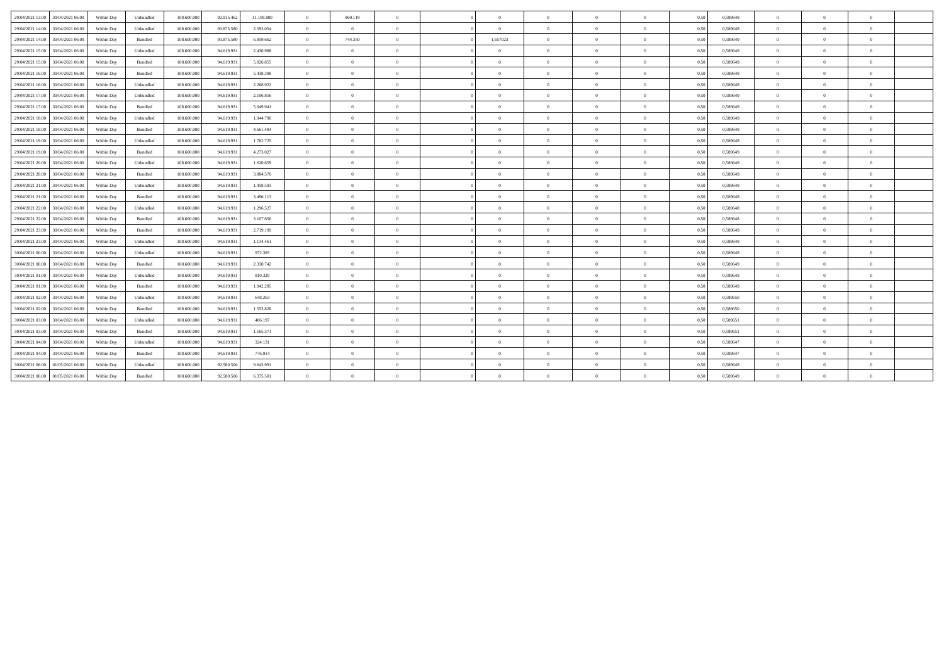| 29/04/2021 13:00 30/04/2021 06:00    | Within Day | Unbundled | 108,600,000 | 92.915.462 | 11.109.880 | $\overline{0}$ | 960.119        | $\overline{0}$ | $\Omega$       | $\overline{0}$ | $\overline{0}$ | $\overline{0}$ | 0,50 | 0,589649 | $\theta$       | $\Omega$       | $\overline{0}$ |  |
|--------------------------------------|------------|-----------|-------------|------------|------------|----------------|----------------|----------------|----------------|----------------|----------------|----------------|------|----------|----------------|----------------|----------------|--|
| 29/04/2021 14:00<br>30/04/2021 06:00 | Within Day | Unbundled | 108.600.000 | 93.875.58  | 2.593.054  | $\overline{0}$ | $\overline{0}$ | $\Omega$       | $\Omega$       | $\bf{0}$       | $\overline{0}$ | $\Omega$       | 0,50 | 0.589649 | $\theta$       | $\Omega$       | $\theta$       |  |
| 29/04/2021 14:00<br>30/04/2021 06:00 | Within Day | Bundled   | 108.600.000 | 93.875.580 | 6.959.662  | $\overline{0}$ | 744.350        | $\overline{0}$ | 1,657023       | $\overline{0}$ | $\overline{0}$ | $\Omega$       | 0,50 | 0,589649 | $\theta$       | $\overline{0}$ | $\overline{0}$ |  |
| 29/04/2021 15:00<br>30/04/2021 06:00 | Within Day | Unbundled | 108,600,000 | 94.619.93  | 2.430.988  | $\overline{0}$ | $\overline{0}$ | $\overline{0}$ | $\Omega$       | $\overline{0}$ | $\overline{0}$ | $\Omega$       | 0.50 | 0.589649 | $\theta$       | $\overline{0}$ | $\overline{0}$ |  |
| 29/04/2021 15:00<br>30/04/2021 06:00 | Within Dav | Bundled   | 108,600,000 | 94.619.931 | 5.826.855  | $\overline{0}$ | $\theta$       | $\Omega$       | $\Omega$       | $\Omega$       | $\overline{0}$ | $\theta$       | 0,50 | 0.589649 | $\Omega$       | $\Omega$       | $\theta$       |  |
| 29/04/2021 16:00 30/04/2021 06:00    | Within Day | Bundled   | 108,600,000 | 94.619.931 | 5.438.398  | $\overline{0}$ | $\Omega$       | $\Omega$       | $\Omega$       | $\Omega$       | $\overline{0}$ | $\Omega$       | 0,50 | 0.589649 | $\Omega$       | $\Omega$       | $\theta$       |  |
| 29/04/2021 16:00<br>30/04/2021 06:00 | Within Day | Unbundled | 108,600,000 | 94.619.93  | 2.268.922  | $\overline{0}$ | $\theta$       | $\theta$       |                | $\Omega$       | $\overline{0}$ | $\Omega$       | 0,50 | 0.589649 | $\Omega$       | $\Omega$       | $\theta$       |  |
| 29/04/2021 17:00<br>30/04/2021 06:00 | Within Day | Unbundled | 108,600,000 | 94.619.93  | 2.106.856  | $\overline{0}$ | $\theta$       | $\theta$       |                | $\theta$       | $\overline{0}$ | $\overline{0}$ | 0,50 | 0.589649 | $\Omega$       | $\Omega$       | $\theta$       |  |
| 29/04/2021 17:00<br>30/04/2021 06:00 | Within Dav | Bundled   | 108,600,000 | 94.619.931 | 5.049.941  | $\overline{0}$ | $\theta$       | $\theta$       |                | $\Omega$       | $\overline{0}$ | $\overline{0}$ | 0,50 | 0,589649 | $\Omega$       | $\Omega$       | $\theta$       |  |
| 29/04/2021 18:00<br>30/04/2021 06:00 | Within Day | Unbundled | 108.600.000 | 94.619.93  | 1.944.790  | $\overline{0}$ | $\overline{0}$ | $\overline{0}$ | $\Omega$       | $\overline{0}$ | $\overline{0}$ | $\overline{0}$ | 0,50 | 0,589649 | $\overline{0}$ | $\overline{0}$ | $\overline{0}$ |  |
| 29/04/2021 18:00<br>30/04/2021 06:00 | Within Day | Bundled   | 108.600.000 | 94.619.93  | 4.661.484  | $\overline{0}$ | $\Omega$       | $\theta$       |                | $\Omega$       | $\overline{0}$ | $\Omega$       | 0,50 | 0,589649 | $\theta$       | $\Omega$       | $\theta$       |  |
| 29/04/2021 19:00<br>30/04/2021 06:00 | Within Day | Unbundled | 108.600.000 | 94.619.93  | 1.782.725  | $\overline{0}$ | $\overline{0}$ | $\overline{0}$ | $\Omega$       | $\overline{0}$ | $\overline{0}$ | $\overline{0}$ | 0,50 | 0,589649 | $\theta$       | $\overline{0}$ | $\overline{0}$ |  |
| 29/04/2021 19:00<br>30/04/2021 06:00 | Within Day | Bundled   | 108.600.000 | 94.619.93  | 4.273.027  | $\overline{0}$ | $\overline{0}$ | $\overline{0}$ | $\Omega$       | $\bf{0}$       | $\overline{0}$ | $\Omega$       | 0,50 | 0,589649 | $\overline{0}$ | $\overline{0}$ | $\overline{0}$ |  |
| 29/04/2021 20:00<br>30/04/2021 06:00 | Within Day | Unbundled | 108.600.000 | 94.619.93  | 1.620.659  | $\overline{0}$ | $\overline{0}$ | $\overline{0}$ | $\Omega$       | $\overline{0}$ | $\overline{0}$ | $\overline{0}$ | 0,50 | 0,589649 | $\theta$       | $\overline{0}$ | $\overline{0}$ |  |
| 29/04/2021 20:00<br>30/04/2021 06:00 | Within Day | Bundled   | 108,600,000 | 94.619.931 | 3.884.570  | $\overline{0}$ | $\overline{0}$ | $\theta$       |                | $\bf{0}$       | $\overline{0}$ | $\Omega$       | 0.50 | 0.589649 | $\theta$       | $\overline{0}$ | $\theta$       |  |
| 29/04/2021 21:00<br>30/04/2021 06:00 | Within Day | Unbundled | 108.600.000 | 94.619.93  | 1.458.593  | $\overline{0}$ | $\overline{0}$ | $\overline{0}$ | $\Omega$       | $\overline{0}$ | $\overline{0}$ | $\Omega$       | 0,50 | 0,589649 | $\theta$       | $\overline{0}$ | $\overline{0}$ |  |
| 29/04/2021 21:00<br>30/04/2021 06:00 | Within Dav | Bundled   | 108,600,000 | 94.619.93  | 3.496.113  | $\overline{0}$ | $\overline{0}$ | $\overline{0}$ | $\Omega$       | $\bf{0}$       | $\overline{0}$ | $\Omega$       | 0.50 | 0.589649 | $\theta$       | $\Omega$       | $\overline{0}$ |  |
| 29/04/2021 22:00<br>30/04/2021 06:00 | Within Day | Unbundled | 108.600.000 | 94.619.93  | 1.296.527  | $\overline{0}$ | $\overline{0}$ | $\Omega$       | $\Omega$       | $\overline{0}$ | $\overline{0}$ | $\overline{0}$ | 0,50 | 0,589648 | $\overline{0}$ | $\overline{0}$ | $\overline{0}$ |  |
| 29/04/2021 22.00<br>30/04/2021 06:00 | Within Day | Bundled   | 108,600,000 | 94.619.931 | 3.107.656  | $\overline{0}$ | $\Omega$       | $\overline{0}$ | $\Omega$       | $\theta$       | $\overline{0}$ | $\overline{0}$ | 0.50 | 0.589648 | $\Omega$       | $\Omega$       | $\theta$       |  |
| 29/04/2021 23:00<br>30/04/2021 06:00 | Within Day | Bundled   | 108,600,000 | 94.619.93  | 2.719.199  | $\overline{0}$ | $\overline{0}$ | $\Omega$       |                | $\bf{0}$       | $\overline{0}$ | $\Omega$       | 0,50 | 0.589649 | $\theta$       | $\Omega$       | $\theta$       |  |
| 29/04/2021 23:00<br>30/04/2021 06:00 | Within Day | Unbundled | 108,600,000 | 94.619.93  | 1.134.461  | $\overline{0}$ | $\overline{0}$ | $\overline{0}$ | $^{\circ}$     | $\overline{0}$ | $\overline{0}$ | $\Omega$       | 0.50 | 0.589649 | $\theta$       | $\overline{0}$ | $\overline{0}$ |  |
| 30/04/2021 00:00<br>30/04/2021 06:00 | Within Dav | Unbundled | 108,600,000 | 94.619.93  | 972.395    | $\overline{0}$ | $\overline{0}$ | $\Omega$       | $\Omega$       | $\bf{0}$       | $\overline{0}$ | $\theta$       | 0.50 | 0.589649 | $\theta$       | $\Omega$       | $\theta$       |  |
| 30/04/2021 00:00<br>30/04/2021 06:00 | Within Dav | Bundled   | 108,600,000 | 94.619.93  | 2.330.742  | $\overline{0}$ | $\overline{0}$ | $\overline{0}$ | $\overline{0}$ | $\overline{0}$ | $\overline{0}$ | $\overline{0}$ | 0.50 | 0.589649 | $\overline{0}$ | $\overline{0}$ | $\overline{0}$ |  |
| 30/04/2021 01:00<br>30/04/2021 06:00 | Within Day | Unbundled | 108,600,000 | 94.619.93  | 810.329    | $\overline{0}$ | $\Omega$       | $\Omega$       |                | $\Omega$       | $\overline{0}$ | $\Omega$       | 0,50 | 0.589649 | $\theta$       | $\Omega$       | $\theta$       |  |
| 30/04/2021 01:00<br>30/04/2021 06:00 | Within Day | Bundled   | 108,600,000 | 94.619.93  | 1.942.285  | $\overline{0}$ | $\bf{0}$       | $\overline{0}$ | $\overline{0}$ | $\overline{0}$ | $\overline{0}$ | $\overline{0}$ | 0,50 | 0,589649 | $\overline{0}$ | $\overline{0}$ | $\overline{0}$ |  |
| 30/04/2021 02:00<br>30/04/2021 06:00 | Within Day | Unbundled | 108.600.000 | 94.619.93  | 648.263    | $\overline{0}$ | $\Omega$       | $\overline{0}$ | $\Omega$       | $\Omega$       | $\overline{0}$ | $\overline{0}$ | 0,50 | 0,589650 | $\Omega$       | $\Omega$       | $\theta$       |  |
| 30/04/2021 02:00<br>30/04/2021 06:00 | Within Day | Bundled   | 108.600.000 | 94.619.93  | 1.553.828  | $\overline{0}$ | $\overline{0}$ | $\Omega$       | $\Omega$       | $\overline{0}$ | $\overline{0}$ | $\overline{0}$ | 0,50 | 0,589650 | $\theta$       | $\overline{0}$ | $\overline{0}$ |  |
| 30/04/2021 03:00<br>30/04/2021 06:00 | Within Day | Unbundled | 108.600.000 | 94.619.93  | 486.197    | $\overline{0}$ | $\theta$       | $\Omega$       | $\Omega$       | $\Omega$       | $\overline{0}$ | $\Omega$       | 0,50 | 0,589651 | $\theta$       | $\Omega$       | $\theta$       |  |
| 30/04/2021 03:00<br>30/04/2021 06:00 | Within Day | Bundled   | 108.600.000 | 94.619.93  | 1.165.371  | $\overline{0}$ | $\overline{0}$ | $\Omega$       |                | $\bf{0}$       | $\overline{0}$ | $\Omega$       | 0,50 | 0,589651 | $\theta$       | $\overline{0}$ | $\overline{0}$ |  |
| 30/04/2021 04:00<br>30/04/2021 06:00 | Within Day | Unbundled | 108.600.000 | 94.619.931 | 324.131    | $\overline{0}$ | $\overline{0}$ | $\overline{0}$ | $\Omega$       | $\bf{0}$       | $\overline{0}$ | $\overline{0}$ | 0,50 | 0,589647 | $\theta$       | $\overline{0}$ | $\overline{0}$ |  |
| 30/04/2021 04:00<br>30/04/2021 06:00 | Within Day | Bundled   | 108.600.000 | 94.619.93  | 776.914    | $\overline{0}$ | $\overline{0}$ | $\theta$       |                | $\bf{0}$       | $\overline{0}$ | $\theta$       | 0,50 | 0,589647 | $\theta$       | $\overline{0}$ | $\theta$       |  |
| 30/04/2021 06:00 01/05/2021 06:00    | Within Day | Unbundled | 108.600.000 | 92.580.506 | 9.643.991  | $\overline{0}$ | $\theta$       | $\sqrt{2}$     | $\Omega$       | $\Omega$       | $\overline{0}$ | $\Omega$       | 0,50 | 0.589649 | $\Omega$       | $\Omega$       | $\theta$       |  |
| 30/04/2021 06:00 01/05/2021 06:00    | Within Day | Bundled   | 108.600.000 | 92.580.506 | 6.375.501  | $\Omega$       | $\Omega$       |                |                | $\Omega$       | $\Omega$       |                | 0,50 | 0,589649 | $\theta$       | $\Omega$       | $\theta$       |  |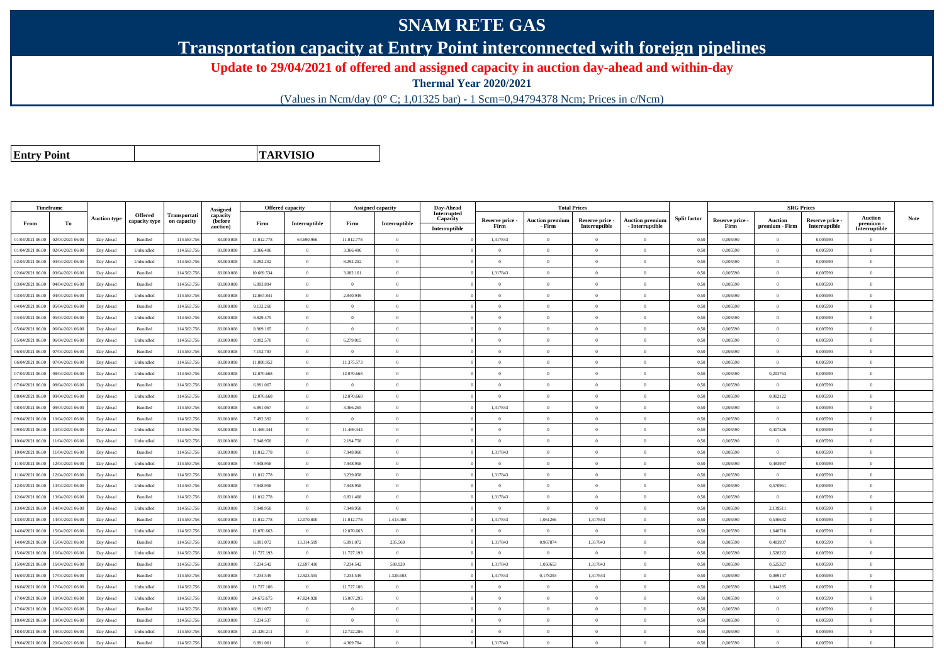## **SNAM RETE GAS**

**Transportation capacity at Entry Point interconnected with foreign pipelines**

**Update to 29/04/2021 of offered and assigned capacity in auction day-ahead and within-day**

**Thermal Year 2020/2021**

(Values in Ncm/day (0° C; 1,01325 bar) - 1 Scm=0,94794378 Ncm; Prices in c/Ncm)

**Entry Point**

**TARVISIO**

|                  | Timeframe        |                     |                |              |                      |            | Offered capacity |                | <b>Assigned capacity</b> | Day-Ahead                      |                 | <b>Total Prices</b>    |                                  |                        |                     |                 |                | <b>SRG Prices</b> |                            |             |
|------------------|------------------|---------------------|----------------|--------------|----------------------|------------|------------------|----------------|--------------------------|--------------------------------|-----------------|------------------------|----------------------------------|------------------------|---------------------|-----------------|----------------|-------------------|----------------------------|-------------|
|                  |                  | <b>Auction type</b> | Offered        | Transportati | Assigned<br>capacity |            |                  |                |                          | <b>Interrupted</b><br>Capacity | Reserve price - | <b>Auction premium</b> |                                  | <b>Auction premium</b> | <b>Split factor</b> | Reserve price - | <b>Auction</b> | Reserve price     | <b>Auction</b>             | <b>Note</b> |
| From             | То               |                     | capacity type  | on capacity  | (before<br>auction)  | Firm       | Interruptible    | Firm           | Interruptible            | Interruptible                  | Firm            | - Firm                 | Reserve price -<br>Interruptible | - Interruptible        |                     | Firm            | premium - Firm | Interruptible     | premium -<br>Interruptible |             |
| 01/04/2021 06:00 | 02/04/2021 06:00 | Day Ahead           | <b>Bundled</b> | 114.563.75   | 83.000.008           | 11.012.778 | 64.690.966       | 11.012.778     | $\overline{0}$           |                                | 1,317843        |                        | $\Omega$                         | $\theta$               | 0,50                | 0,005590        | $\Omega$       | 0,005590          | $\theta$                   |             |
| 01/04/2021 06:00 | 02/04/2021 06:00 | Day Ahead           | Unbundled      | 114.563.75   | 83,000,008           | 3.366.406  | $\Omega$         | 3.366.406      | $\theta$                 |                                | $\alpha$        | $\Omega$               | $\Omega$                         | $\Omega$               | 0.50                | 0.005590        | $\overline{0}$ | 0.005590          | $\theta$                   |             |
| 02/04/2021 06:00 | 03/04/2021 06.00 | Day Ahead           | Unbundled      | 114.563.75   | 83,000,008           | 8.292.202  | $\overline{0}$   | 8.292.202      | $\overline{0}$           |                                | $\theta$        |                        | $\overline{0}$                   | $\theta$               | 0.50                | 0,005590        | $\overline{0}$ | 0.005590          | $\bf{0}$                   |             |
| 02/04/2021 06.00 | 03/04/2021 06:00 | Day Ahead           | Bundled        | 114.563.756  | 83.000.008           | 10.669.534 | $\overline{0}$   | 3.082.161      | $\overline{0}$           |                                | 1,317843        | $\Omega$               | $\overline{0}$                   | $\overline{0}$         | 0,50                | 0,005590        | $\overline{0}$ | 0,005590          | $\bf{0}$                   |             |
| 03/04/2021 06:00 | 04/04/2021 06.00 | Day Ahead           | Bundled        | 114.563.75   | 83,000,008           | 6.893.894  | $\overline{0}$   | $\theta$       | $\overline{0}$           |                                | $\overline{0}$  | $\Omega$               | $\overline{0}$                   | $\overline{0}$         | 0.50                | 0.005590        | $\overline{0}$ | 0.005590          | $\Omega$                   |             |
| 03/04/2021 06:00 | 04/04/2021 06.00 | Day Ahead           | Unbundled      | 114.563.75   | 83.000.00            | 12.067.841 | $\theta$         | 2.840.949      | $\Omega$                 |                                | $\Omega$        |                        | $\Omega$                         | $\theta$               | 0.50                | 0,005590        | $\overline{0}$ | 0,005590          | $\Omega$                   |             |
| 04/04/2021 06:00 | 05/04/2021 06:00 | Day Ahead           | <b>Bundled</b> | 114,563,75   | 83,000,008           | 9.132.260  | $\overline{0}$   | $\overline{0}$ | $\overline{0}$           |                                | $\theta$        | $\theta$               | $\overline{0}$                   | $\overline{0}$         | 0.50                | 0.005590        | $\overline{0}$ | 0.005590          | $\bf{0}$                   |             |
| 04/04/2021 06.00 | 05/04/2021 06:00 | Day Ahead           | Unbundled      | 114.563.75   | 83.000.008           | 9.829.475  | $\overline{0}$   | $\theta$       | $\overline{0}$           |                                | $\overline{0}$  | $\Omega$               | $\overline{0}$                   | $\Omega$               | 0,50                | 0,005590        | $\overline{0}$ | 0,005590          | $\overline{0}$             |             |
| 05/04/2021 06.00 | 06/04/2021 06.00 | Day Ahead           | Bundled        | 114.563.75   | 83.000.008           | 8.969.165  | $\Omega$         | $\Omega$       | $\Omega$                 |                                | $\Omega$        |                        | $\Omega$                         | $\theta$               | 0,50                | 0,005590        | $\Omega$       | 0,005590          | $\theta$                   |             |
| 05/04/2021 06:00 | 06/04/2021 06:00 | Day Ahead           | Unbundled      | 114.563.75   | 83,000,008           | 9.992.570  | $\overline{0}$   | 6.279.015      | $\overline{0}$           |                                | $\Omega$        | $\Omega$               | $\Omega$                         | $\overline{0}$         | 0,50                | 0,005590        | $\overline{0}$ | 0,005590          | $\Omega$                   |             |
| 06/04/2021 06:00 | 07/04/2021 06.00 | Day Ahead           | Bundled        | 114.563.756  | 83.000.008           | 7.152.783  | $\overline{0}$   | $\Omega$       | $\overline{0}$           |                                | $\overline{0}$  | $\theta$               | $\overline{0}$                   | $\Omega$               | 0,50                | 0,005590        | $\overline{0}$ | 0,005590          | $\Omega$                   |             |
| 06/04/2021 06.00 | 07/04/2021 06.00 | Day Ahead           | Unbundled      | 114.563.75   | 83.000.008           | 11.808.952 | $\overline{0}$   | 11.375.573     | $\overline{0}$           |                                | $\overline{0}$  | $\Omega$               | $\overline{0}$                   | $\overline{0}$         | 0,50                | 0,005590        | $\overline{0}$ | 0,005590          | $\bf{0}$                   |             |
| 07/04/2021 06.00 | 08/04/2021 06:00 | Day Ahead           | Unbundled      | 114.563.75   | 83.000.008           | 12.070.668 | $\overline{0}$   | 12.070.668     | $\overline{0}$           |                                | $\overline{0}$  | $\Omega$               | $\theta$                         | $\overline{0}$         | 0,50                | 0,005590        | 0,203763       | 0,005590          | $\overline{0}$             |             |
| 07/04/2021 06.00 | 08/04/2021 06:00 | Day Ahead           | Bundled        | 114.563.75   | 83.000.008           | 6.891.067  | $\theta$         | $\overline{0}$ | $\overline{0}$           |                                | $\overline{0}$  | $\Omega$               | $\overline{0}$                   | $\Omega$               | 0,50                | 0,005590        | $\overline{0}$ | 0,005590          | $\bf{0}$                   |             |
| 08/04/2021 06:00 | 09/04/2021 06:00 | Day Ahead           | Unbundled      | 114.563.75   | 83,000,008           | 12.070.668 | $\theta$         | 12.070.668     | $\theta$                 |                                | $\theta$        |                        | $\Omega$                         | $\Omega$               | 0.50                | 0.005590        | 0.002122       | 0.005590          | $\Omega$                   |             |
| 08/04/2021 06.00 | 09/04/2021 06.00 | Day Ahead           | Bundled        | 114.563.75   | 83.000.008           | 6.891.067  | $\theta$         | 3.366.265      | $\overline{0}$           |                                | 1,317843        |                        | $\Omega$                         | $\theta$               | 0,50                | 0,005590        | $\theta$       | 0.005590          | $\Omega$                   |             |
| 09/04/2021 06.00 | 10/04/2021 06.00 | Day Ahead           | Bundled        | 114.563.75   | 83.000.008           | 7.492.392  | $\overline{0}$   | $\overline{0}$ | $\overline{0}$           |                                | $\overline{0}$  | $\Omega$               | $\overline{0}$                   | $\overline{0}$         | 0,50                | 0,005590        | $\overline{0}$ | 0,005590          | $\bf{0}$                   |             |
| 09/04/2021 06:00 | 10/04/2021 06:00 | Day Ahead           | Unbundled      | 114,563,756  | 83,000,008           | 11.469.344 | $\overline{0}$   | 11.469.344     | $\overline{0}$           |                                | $\Omega$        | $\Omega$               | $\Omega$                         | $\Omega$               | 0.50                | 0.005590        | 0.407526       | 0.005590          | $\Omega$                   |             |
| 10/04/2021 06:00 | 11/04/2021 06.00 | Day Ahead           | Unbundled      | 114.563.75   | 83.000.00            | 7.948.958  | $\overline{0}$   | 2.194.758      | $\overline{0}$           |                                | $\Omega$        |                        | $\overline{0}$                   | $\overline{0}$         | 0,50                | 0,005590        | $\overline{0}$ | 0,005590          | $\Omega$                   |             |
| 0/04/2021 06:00  | 11/04/2021 06:00 | Day Ahead           | <b>Bundled</b> | 114.563.75   | 83.000.008           | 11.012.778 | $\overline{0}$   | 7.948.060      | $\theta$                 |                                | 1,317843        | $\theta$               | $\Omega$                         | $\Omega$               | 0,50                | 0.005590        | $\overline{0}$ | 0.005590          | $\Omega$                   |             |
| 1/04/2021 06.00  | 12/04/2021 06.00 | Day Ahead           | Unbundled      | 114.563.75   | 83,000,008           | 7.948.958  | $\overline{0}$   | 7948958        | $\theta$                 |                                | $\theta$        | $\Omega$               | $\Omega$                         | $\theta$               | 0.50                | 0.005590        | 0,483937       | 0.005590          | $\Omega$                   |             |
| 1/04/2021 06.00  | 12/04/2021 06.00 | Day Ahead           | Bundled        | 114.563.75   | 83.000.008           | 11.012.778 | $\overline{0}$   | 3.239.058      | $\overline{0}$           |                                | 1,317843        |                        | $\overline{0}$                   | $\theta$               | 0,50                | 0,005590        | $\overline{0}$ | 0,005590          | $\bf{0}$                   |             |
| 12/04/2021 06:00 | 13/04/2021 06:00 | Day Ahead           | Unbundled      | 114.563.75   | 83.000.008           | 7.948.958  | $\overline{0}$   | 7.948.958      | $\overline{0}$           |                                | $\theta$        | $\Omega$               | $\overline{0}$                   | $\overline{0}$         | 0,50                | 0,005590        | 0,570961       | 0,005590          | $\Omega$                   |             |
| 12/04/2021 06:00 | 13/04/2021 06:00 | Day Ahead           | <b>Bundled</b> | 114,563,75   | 83,000,008           | 11.012.778 | $\overline{0}$   | 6.831.468      | $\overline{0}$           |                                | 1.317843        | $\Omega$               | $\Omega$                         | $\theta$               | 0.50                | 0.005590        | $\overline{0}$ | 0.005590          | $\Omega$                   |             |
| 13/04/2021 06:00 | 14/04/2021 06.00 | Day Ahead           | Unbundled      | 114.563.75   | 83,000,00            | 7.948.958  | $\overline{0}$   | 7.948.958      | $\overline{0}$           |                                | $\overline{0}$  | $\overline{0}$         | $\theta$                         | $\overline{0}$         | 0.50                | 0.005590        | 2,139511       | 0.005590          | $\bf{0}$                   |             |
| 13/04/2021 06:00 | 14/04/2021 06.00 | Day Ahead           | Bundled        | 114.563.756  | 83.000.008           | 11.012.778 | 12.070.800       | 11.012.778     | 1.413.408                |                                | 1,317843        | 1,061266               | 1,317843                         | $\overline{0}$         | 0,50                | 0,005590        | 0,530632       | 0,005590          | $\Omega$                   |             |
| 14/04/2021 06:00 | 15/04/2021 06.00 | Day Ahead           | Unbundled      | 114.563.75   | 83,000,008           | 12.070.663 | $\theta$         | 12.070.663     | $\theta$                 |                                | $\theta$        | $\Omega$               | $\Omega$                         | $\theta$               | 0,50                | 0.005590        | 1,640716       | 0,005590          | $\Omega$                   |             |
| 4/04/2021 06:00  | 15/04/2021 06.00 | Day Ahead           | <b>Bundled</b> | 114.563.75   | 83.000.008           | 6.891.072  | 13.314.599       | 6.891.072      | 235.568                  |                                | 1,317843        | 0,967874               | 1,317843                         | $\theta$               | 0.50                | 0,005590        | 0,483937       | 0,005590          | $\Omega$                   |             |
| 15/04/2021 06:00 | 16/04/2021 06:00 | Day Ahead           | Unbundled      | 114,563,756  | 83,000,008           | 11.727.193 | $\overline{0}$   | 11.727.193     | $\overline{0}$           |                                | $\overline{0}$  | $\theta$               | $\theta$                         | $\overline{0}$         | 0.50                | 0.005590        | 1,528222       | 0.005590          | $\bf{0}$                   |             |
| 15/04/2021 06:00 | 16/04/2021 06:00 | Day Ahead           | Bundled        | 114.563.756  | 83.000.008           | 7.234.542  | 12.697.410       | 7.234.542      | 588.920                  |                                | 1,317843        | 1,050653               | 1,317843                         | $\bf{0}$               | 0,50                | 0,005590        | 0,525327       | 0,005590          | $\overline{0}$             |             |
| 6/04/2021 06.00  | 17/04/2021 06.00 | Day Ahead           | Bundled        | 114.563.75   | 83.000.008           | 7.234.549  | 12.923.555       | 7.234.549      | 1.328.603                |                                | 1,317843        | 0,178293               | 1,317843                         | $\theta$               | 0,50                | 0,005590        | 0,089147       | 0,005590          | $\theta$                   |             |
| 16/04/2021 06:00 | 17/04/2021 06:00 | Day Ahead           | Unbundled      | 114,563,756  | 83,000,008           | 11.727.186 | $\overline{0}$   | 11.727.186     | $\overline{0}$           |                                | $\Omega$        | $\theta$               | $\Omega$                         | $\theta$               | 0.50                | 0.005590        | 1.044285       | 0.005590          | $\theta$                   |             |
| 17/04/2021 06:00 | 18/04/2021 06:00 | Day Ahead           | Unbundled      | 114.563.75   | 83.000.008           | 24.672.675 | 47.824.928       | 15.007.295     | $\theta$                 |                                | $\theta$        | $\Omega$               | $\Omega$                         | $\theta$               | 0,50                | 0,005590        | $\theta$       | 0,005590          | $\Omega$                   |             |
| 17/04/2021 06:00 | 18/04/2021 06:00 | Day Ahead           | Bundled        | 114,563,75   | 83,000,008           | 6.891.072  | $\theta$         | $\Omega$       | $\Omega$                 |                                | $\Omega$        |                        | $\Omega$                         | $\theta$               | 0.50                | 0.005590        | $\overline{0}$ | 0.005590          | $\theta$                   |             |
| 18/04/2021 06:00 | 19/04/2021 06.00 | Day Ahead           | Bundled        | 114.563.756  | 83,000,008           | 7.234.537  | $\overline{0}$   | $\overline{0}$ | $\overline{0}$           |                                | $\overline{0}$  | $\theta$               | $\theta$                         | $\overline{0}$         | 0,50                | 0,005590        | $\overline{0}$ | 0,005590          | $\theta$                   |             |
| 18/04/2021 06:00 | 19/04/2021 06:00 | Day Ahead           | Unbundled      | 114.563.75   | 83.000.008           | 24.329.211 | $\overline{0}$   | 12.722.286     | $\overline{0}$           |                                | $\overline{0}$  | $\Omega$               | $\overline{0}$                   | $\overline{0}$         | 0,50                | 0,005590        | $\overline{0}$ | 0,005590          | $\bf{0}$                   |             |
| 19/04/2021 06:00 | 20/04/2021 06:00 | Day Ahead           | Bundled        | 114,563,756  | 83,000,008           | 6.891.061  | $\overline{0}$   | 4.369.784      | $\Omega$                 |                                | 1.317843        |                        | $\Omega$                         |                        | 0.50                | 0.005590        | $\theta$       | 0.005590          | $\Omega$                   |             |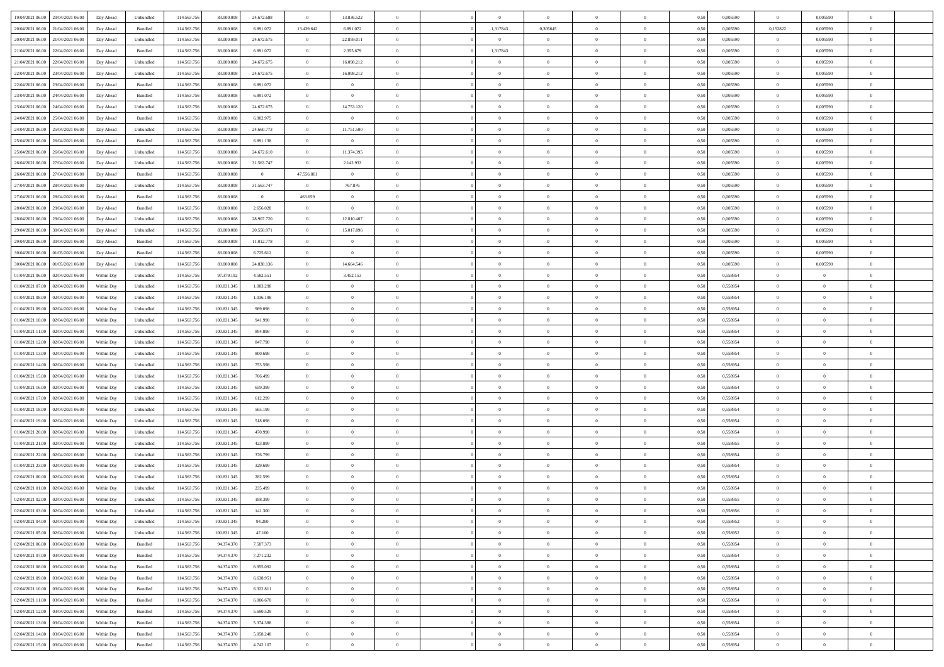| 19/04/2021 06:00 20/04/2021 06:00    | Day Ahead  | Unbundled | 114.563.756 | 83.000.008  | 24.672.688     | $\overline{0}$ | 13.836.522     |                |                | $\theta$       |                |                | 0,50 | 0,005590 | $\overline{0}$ | 0,005590       |                |  |
|--------------------------------------|------------|-----------|-------------|-------------|----------------|----------------|----------------|----------------|----------------|----------------|----------------|----------------|------|----------|----------------|----------------|----------------|--|
| 20/04/2021 06:00<br>21/04/2021 06:00 | Day Ahead  | Bundled   | 114.563.756 | 83,000,008  | 6.891.072      | 13.439.642     | 6.891.072      | $\Omega$       | 1,317843       | 0.305645       | $\overline{0}$ | $\overline{0}$ | 0.50 | 0.005590 | 0,152822       | 0.005590       | $\theta$       |  |
|                                      |            |           |             |             |                |                |                |                |                |                |                |                |      |          |                |                |                |  |
| 20/04/2021 06:00<br>21/04/2021 06:00 | Day Ahead  | Unbundled | 114.563.75  | 83.000.008  | 24.672.675     | $\overline{0}$ | 22.859.011     | $\overline{0}$ | $\overline{0}$ | $\overline{0}$ | $\overline{0}$ | $\overline{0}$ | 0.50 | 0,005590 | $\overline{0}$ | 0,005590       | $\theta$       |  |
| 21/04/2021 06:00<br>22/04/2021 06:00 | Day Ahead  | Bundled   | 114.563.756 | 83.000.008  | 6.891.072      | $\overline{0}$ | 2.355.679      | $\overline{0}$ | 1,317843       | $\bf{0}$       | $\overline{0}$ | $\overline{0}$ | 0,50 | 0,005590 | $\overline{0}$ | 0,005590       | $\bf{0}$       |  |
| 21/04/2021 06:00<br>22/04/2021 06:00 | Day Ahead  | Unbundled | 114.563.75  | 83,000,008  | 24.672.675     | $\overline{0}$ | 16.098.212     | $\overline{0}$ | $\Omega$       | $\bf{0}$       | $\overline{0}$ | $\bf{0}$       | 0,50 | 0,005590 | $\overline{0}$ | 0.005590       | $\theta$       |  |
| 22/04/2021 06:00<br>23/04/2021 06:00 | Day Ahead  | Unbundled | 114.563.756 | 83.000.008  | 24.672.675     | $\overline{0}$ | 16.098.212     | $\overline{0}$ | $\overline{0}$ | $\overline{0}$ | $\overline{0}$ | $\bf{0}$       | 0.50 | 0,005590 | $\overline{0}$ | 0,005590       | $\theta$       |  |
| 22/04/2021 06:00<br>23/04/2021 06:00 | Day Ahead  | Bundled   | 114.563.756 | 83.000.008  | 6.891.072      | $\overline{0}$ | $\overline{0}$ | $\Omega$       | $\Omega$       | $\bf{0}$       | $\overline{0}$ | $\theta$       | 0,50 | 0.005590 | $\overline{0}$ | 0,005590       | $\theta$       |  |
| 23/04/2021 06:00<br>24/04/2021 06:00 | Day Ahead  | Bundled   | 114.563.75  | 83,000,008  | 6.891.072      | $\overline{0}$ | $\overline{0}$ | $\theta$       | $\Omega$       | $\overline{0}$ | $\overline{0}$ | $\theta$       | 0.50 | 0.005590 | $\overline{0}$ | 0.005590       | $\theta$       |  |
| 23/04/2021 06:00<br>24/04/2021 06.00 | Day Ahead  | Unbundled | 114.563.75  | 83.000.008  | 24.672.675     | $\overline{0}$ | 14.753.120     | $\overline{0}$ | $\overline{0}$ | $\overline{0}$ | $\overline{0}$ | $\overline{0}$ | 0,50 | 0,005590 | $\overline{0}$ | 0,005590       | $\theta$       |  |
| 24/04/2021 06:00<br>25/04/2021 06:00 | Day Ahead  | Bundled   | 114.563.756 | 83.000.008  | 6.902.975      | $\overline{0}$ | $\overline{0}$ | $\overline{0}$ | $\overline{0}$ | $\bf{0}$       | $\overline{0}$ | $\overline{0}$ | 0,50 | 0,005590 | $\overline{0}$ | 0,005590       | $\bf{0}$       |  |
| 24/04/2021 06:00<br>25/04/2021 06:00 | Day Ahead  | Unbundled | 114.563.756 | 83,000,008  | 24.660.773     | $\overline{0}$ | 11.751.500     | $\overline{0}$ | $\Omega$       | $\bf{0}$       | $\overline{0}$ | $\bf{0}$       | 0,50 | 0.005590 | $\overline{0}$ | 0.005590       | $\theta$       |  |
| 25/04/2021 06:00<br>26/04/2021 06:00 | Day Ahead  | Bundled   | 114.563.75  | 83.000.008  | 6.891.138      | $\overline{0}$ | $\sim$ 0       | $\overline{0}$ | $\overline{0}$ | $\overline{0}$ | $\overline{0}$ | $\overline{0}$ | 0.50 | 0,005590 | $\overline{0}$ | 0.005590       | $\theta$       |  |
|                                      |            |           |             |             |                |                |                | $\overline{0}$ |                |                | $\overline{0}$ | $\theta$       |      |          |                |                | $\theta$       |  |
| 25/04/2021 06:00<br>26/04/2021 06:00 | Day Ahead  | Unbundled | 114.563.756 | 83.000.008  | 24.672.610     | $\overline{0}$ | 11.374.395     |                | $\overline{0}$ | $\bf{0}$       |                |                | 0,50 | 0,005590 | $\overline{0}$ | 0,005590       |                |  |
| 26/04/2021 06:00<br>27/04/2021 06:00 | Day Ahead  | Unbundled | 114.563.75  | 83,000,008  | 31.563.747     | $\overline{0}$ | 2.142.933      | $\overline{0}$ | $\Omega$       | $\overline{0}$ | $\overline{0}$ | $\bf{0}$       | 0.50 | 0.005590 | $\overline{0}$ | 0.005590       | $\theta$       |  |
| 26/04/2021 06:00<br>27/04/2021 06.00 | Day Ahead  | Bundled   | 114.563.756 | 83.000.008  | $\bf{0}$       | 47.556.861     | $\overline{0}$ | $\overline{0}$ | $\Omega$       | $\overline{0}$ | $\overline{0}$ | $\overline{0}$ | 0,50 | 0,005590 | $\overline{0}$ | 0,005590       | $\theta$       |  |
| 27/04/2021 06:00<br>28/04/2021 06:00 | Day Ahead  | Unbundled | 114.563.756 | 83.000.008  | 31.563.747     | $\overline{0}$ | 767.876        | $\Omega$       | $\Omega$       | $\bf{0}$       | $\overline{0}$ | $\overline{0}$ | 0,50 | 0,005590 | $\overline{0}$ | 0,005590       | $\theta$       |  |
| 27/04/2021 06:00<br>28/04/2021 06:00 | Day Ahead  | Bundled   | 114.563.756 | 83,000,008  | $\overline{0}$ | 463.659        | $\overline{0}$ | $\overline{0}$ | $\Omega$       | $\bf{0}$       | $\overline{0}$ | $\bf{0}$       | 0.50 | 0.005590 | $\overline{0}$ | 0.005590       | $\theta$       |  |
| 28/04/2021 06:00<br>29/04/2021 06:00 | Day Ahead  | Bundled   | 114.563.75  | 83.000.008  | 2.656.028      | $\overline{0}$ | $\overline{0}$ | $\overline{0}$ | $\overline{0}$ | $\overline{0}$ | $\overline{0}$ | $\overline{0}$ | 0.50 | 0,005590 | $\overline{0}$ | 0.005590       | $\theta$       |  |
| 28/04/2021 06:00<br>29/04/2021 06:00 | Day Ahead  | Unbundled | 114.563.756 | 83.000.008  | 28.907.720     | $\overline{0}$ | 12.810.407     | $\overline{0}$ | $\overline{0}$ | $\bf{0}$       | $\bf{0}$       | $\overline{0}$ | 0,50 | 0,005590 | $\overline{0}$ | 0,005590       | $\bf{0}$       |  |
| 29/04/2021 06:00<br>30/04/2021 06:00 | Day Ahead  | Unbundled | 114.563.75  | 83,000,008  | 20.550.971     | $\overline{0}$ | 15.017.896     | $\overline{0}$ | $\Omega$       | $\bf{0}$       | $\overline{0}$ | $\bf{0}$       | 0,50 | 0,005590 | $\overline{0}$ | 0,005590       | $\theta$       |  |
| 29/04/2021 06:00<br>30/04/2021 06:00 | Day Ahead  | Bundled   | 114.563.756 | 83.000.008  | 11.012.778     | $\overline{0}$ | $\overline{0}$ | $\overline{0}$ | $^{\circ}$     | $\overline{0}$ | $\overline{0}$ | $\bf{0}$       | 0.50 | 0,005590 | $\overline{0}$ | 0,005590       | $\theta$       |  |
| 30/04/2021 06:00<br>01/05/2021 06:00 | Day Ahead  | Bundled   | 114.563.756 | 83.000.008  | 6.725.612      | $\overline{0}$ | $\overline{0}$ | $\theta$       | $\Omega$       | $\bf{0}$       | $\overline{0}$ | $\theta$       | 0,50 | 0,005590 | $\overline{0}$ | 0,005590       |                |  |
| 30/04/2021 06:00<br>01/05/2021 06:00 |            | Unbundled | 114.563.75  | 83,000,008  | 24.838.136     | $\overline{0}$ | 14,664,546     | $\overline{0}$ | $\Omega$       | $\overline{0}$ | $\overline{0}$ | $\bf{0}$       | 0.50 | 0.005590 | $\overline{0}$ | 0.005590       | $\theta$       |  |
|                                      | Day Ahead  |           |             |             |                |                |                |                |                |                |                |                |      |          |                |                |                |  |
| 01/04/2021 06:00<br>02/04/2021 06:00 | Within Dav | Unbundled | 114.563.75  | 97.379.192  | 4.582.551      | $\overline{0}$ | 3.452.153      | $\overline{0}$ | $\Omega$       | $\overline{0}$ | $\overline{0}$ | $\overline{0}$ | 0.50 | 0,558954 | $\overline{0}$ | $\overline{0}$ | $\theta$       |  |
| 01/04/2021 07:00<br>02/04/2021 06:00 | Within Day | Unbundled | 114.563.756 | 100.831.345 | 1.083.298      | $\overline{0}$ | $\overline{0}$ | $\overline{0}$ | $\overline{0}$ | $\bf{0}$       | $\overline{0}$ | $\overline{0}$ | 0,50 | 0,558954 | $\overline{0}$ | $\overline{0}$ | $\bf{0}$       |  |
| 01/04/2021 08:00<br>02/04/2021 06:00 | Within Day | Unbundled | 114.563.75  | 100.831.345 | 1.036.198      | $\overline{0}$ | $\overline{0}$ | $\overline{0}$ | $\Omega$       | $\bf{0}$       | $\overline{0}$ | $\bf{0}$       | 0,50 | 0,558954 | $\overline{0}$ | $\overline{0}$ | $\theta$       |  |
| 01/04/2021 09:00<br>02/04/2021 06:00 | Within Dav | Unbundled | 114.563.75  | 100.831.345 | 989.098        | $\overline{0}$ | $\overline{0}$ | $\overline{0}$ | $\overline{0}$ | $\overline{0}$ | $\overline{0}$ | $\overline{0}$ | 0.50 | 0,558954 | $\overline{0}$ | $\overline{0}$ | $\theta$       |  |
| 01/04/2021 10:00<br>02/04/2021 06:00 | Within Day | Unbundled | 114.563.756 | 100.831.345 | 941.998        | $\overline{0}$ | $\overline{0}$ | $\Omega$       | $\Omega$       | $\bf{0}$       | $\overline{0}$ | $\overline{0}$ | 0,50 | 0,558954 | $\overline{0}$ | $\overline{0}$ | $\theta$       |  |
| 01/04/2021 11:00<br>02/04/2021 06:00 | Within Day | Unbundled | 114.563.75  | 100.831.345 | 894.898        | $\overline{0}$ | $\overline{0}$ | $\overline{0}$ | $\Omega$       | $\bf{0}$       | $\overline{0}$ | $\overline{0}$ | 0.50 | 0,558954 | $\overline{0}$ | $\overline{0}$ | $\theta$       |  |
| 01/04/2021 12:00<br>02/04/2021 06:00 | Within Dav | Unbundled | 114.563.75  | 100.831.345 | 847.798        | $\overline{0}$ | $\overline{0}$ | $\overline{0}$ | $\Omega$       | $\overline{0}$ | $\overline{0}$ | $\overline{0}$ | 0,50 | 0,558954 | $\overline{0}$ | $^{\circ}$     | $^{\circ}$     |  |
| 01/04/2021 13:00<br>02/04/2021 06:00 | Within Day | Unbundled | 114.563.75  | 100.831.345 | 800.698        | $\overline{0}$ | $\overline{0}$ | $\overline{0}$ | $\overline{0}$ | $\overline{0}$ | $\overline{0}$ | $\overline{0}$ | 0,50 | 0,558954 | $\overline{0}$ | $\overline{0}$ |                |  |
| 01/04/2021 14:00<br>02/04/2021 06:00 | Within Day | Unbundled | 114.563.75  | 100.831.345 | 753.598        | $\overline{0}$ | $\overline{0}$ | $\overline{0}$ | $\Omega$       | $\bf{0}$       | $\overline{0}$ | $\bf{0}$       | 0,50 | 0,558954 | $\overline{0}$ | $\overline{0}$ | $\theta$       |  |
| 01/04/2021 15:00<br>02/04/2021 06:00 | Within Dav | Unbundled | 114.563.75  | 100.831.345 | 706,499        | $\overline{0}$ | $\overline{0}$ | $\overline{0}$ | $\Omega$       | $\overline{0}$ | $\overline{0}$ | $\overline{0}$ | 0.50 | 0,558954 | $\overline{0}$ | $\overline{0}$ | $\theta$       |  |
| 01/04/2021 16:00<br>02/04/2021 06:00 |            |           | 114.563.75  | 100.831.345 |                | $\overline{0}$ | $\overline{0}$ | $\overline{0}$ | $\overline{0}$ | $\overline{0}$ | $\theta$       | $\overline{0}$ |      | 0,558954 | $\overline{0}$ | $\overline{0}$ |                |  |
|                                      | Within Day | Unbundled |             |             | 659.399        |                |                |                |                |                |                |                | 0,50 |          |                |                |                |  |
| 01/04/2021 17:00<br>02/04/2021 06.00 | Within Day | Unbundled | 114.563.75  | 100.831.345 | 612.299        | $\overline{0}$ | $\overline{0}$ | $\overline{0}$ | $\Omega$       | $\bf{0}$       | $\overline{0}$ | $\overline{0}$ | 0,50 | 0,558954 | $\overline{0}$ | $\overline{0}$ | $\bf{0}$       |  |
| 01/04/2021 18:00<br>02/04/2021 06:00 | Within Dav | Unbundled | 114.563.75  | 100.831.345 | 565.199        | $\overline{0}$ | $\overline{0}$ | $\overline{0}$ | $\overline{0}$ | $\overline{0}$ | $\overline{0}$ | $\bf{0}$       | 0.50 | 0,558954 | $\overline{0}$ | $^{\circ}$     | $\theta$       |  |
| 01/04/2021 19:00<br>02/04/2021 06:00 | Within Day | Unbundled | 114.563.75  | 100.831.345 | 518.098        | $\overline{0}$ | $\overline{0}$ | $\overline{0}$ | $\overline{0}$ | $\overline{0}$ | $\theta$       | $\overline{0}$ | 0,50 | 0,558954 | $\overline{0}$ | $\overline{0}$ |                |  |
| 01/04/2021 20:00<br>02/04/2021 06:00 | Within Day | Unbundled | 114.563.75  | 100.831.345 | 470,998        | $\overline{0}$ | $\overline{0}$ | $\overline{0}$ | $\Omega$       | $\overline{0}$ | $\overline{0}$ | $\bf{0}$       | 0.50 | 0,558954 | $\overline{0}$ | $\overline{0}$ | $\theta$       |  |
| 01/04/2021 21:00<br>02/04/2021 06.00 | Within Dav | Unbundled | 114.563.75  | 100.831.345 | 423.899        | $\overline{0}$ | $\overline{0}$ | $\overline{0}$ | $\Omega$       | $\overline{0}$ | $\overline{0}$ | $\overline{0}$ | 0.50 | 0,558955 | $\overline{0}$ | $^{\circ}$     | $\theta$       |  |
| 01/04/2021 22:00<br>02/04/2021 06:00 | Within Day | Unbundled | 114.563.756 | 100.831.345 | 376.799        | $\overline{0}$ | $\overline{0}$ | $\overline{0}$ | $\overline{0}$ | $\overline{0}$ | $\overline{0}$ | $\overline{0}$ | 0,50 | 0,558954 | $\overline{0}$ | $\overline{0}$ |                |  |
| 01/04/2021 23:00<br>02/04/2021 06:00 | Within Day | Unbundled | 114.563.75  | 100.831.345 | 329.699        | $\overline{0}$ | $\overline{0}$ | $\overline{0}$ | $\Omega$       | $\bf{0}$       | $\overline{0}$ | $\bf{0}$       | 0,50 | 0,558954 | $\overline{0}$ | $\overline{0}$ | $\theta$       |  |
| 02/04/2021 00:00<br>02/04/2021 06:00 | Within Dav | Unbundled | 114.563.75  | 100.831.345 | 282.599        | $\overline{0}$ | $\overline{0}$ | $\overline{0}$ | $\Omega$       | $\overline{0}$ | $\overline{0}$ | $\bf{0}$       | 0.50 | 0,558954 | $\overline{0}$ | $^{\circ}$     | $\theta$       |  |
| 02/04/2021 01:00<br>02/04/2021 06:00 | Within Day | Unbundled | 114.563.75  | 100.831.345 | 235.499        | $\overline{0}$ | $\overline{0}$ | $\overline{0}$ |                | $\overline{0}$ | $\theta$       |                | 0,50 | 0,558954 | $\overline{0}$ |                |                |  |
| 02/04/2021 02:00<br>02/04/2021 06:00 | Within Day | Unbundled | 114.563.75  | 100.831.345 | 188.399        | $\overline{0}$ | $\overline{0}$ | $\overline{0}$ | $\overline{0}$ | $\bf{0}$       | $\overline{0}$ | $\bf{0}$       | 0,50 | 0,558955 | $\overline{0}$ | $\overline{0}$ | $\theta$       |  |
| 02/04/2021 03:00<br>02/04/2021 06:00 | Within Day | Unbundled | 114.563.756 | 100.831.345 | 141.300        | $\overline{0}$ | $\overline{0}$ |                |                | $\Omega$       |                |                | 0,50 | 0,558956 | $\theta$       |                |                |  |
|                                      |            |           |             |             |                |                |                |                |                |                |                |                |      |          |                |                |                |  |
| 02/04/2021 04:00 02/04/2021 06:00    | Within Day | Unbundled | 114.563.756 | 100.831.345 | 94.200         | $\overline{0}$ | $\overline{0}$ | $\overline{0}$ | $\overline{0}$ | $\overline{0}$ | $\overline{0}$ | $\overline{0}$ | 0,50 | 0,558952 | $\overline{0}$ | $\overline{0}$ | $\overline{0}$ |  |
| 02/04/2021 05:00 02/04/2021 06:00    | Within Day | Unbundled | 114.563.756 | 100.831.345 | 47.100         | $\overline{0}$ | $\overline{0}$ | $\overline{0}$ | $\overline{0}$ | $\overline{0}$ | $\overline{0}$ | $\overline{0}$ | 0,50 | 0,558952 | $\overline{0}$ | $\overline{0}$ | $\bf{0}$       |  |
| 02/04/2021 06:00<br>03/04/2021 06:00 | Within Dav | Bundled   | 114.563.756 | 94.374.370  | 7.587.373      | $\overline{0}$ | $\overline{0}$ | $\overline{0}$ | $\overline{0}$ | $\overline{0}$ | $\overline{0}$ | $\bf{0}$       | 0,50 | 0,558954 | $\overline{0}$ | $\overline{0}$ | $\overline{0}$ |  |
| 02/04/2021 07:00 03/04/2021 06:00    | Within Day | Bundled   | 114.563.756 | 94.374.370  | 7.271.232      | $\overline{0}$ | $\overline{0}$ | $\overline{0}$ | $\overline{0}$ | $\,$ 0 $\,$    | $\overline{0}$ | $\overline{0}$ | 0,50 | 0,558954 | $\overline{0}$ | $\overline{0}$ | $\overline{0}$ |  |
| 02/04/2021 08:00 03/04/2021 06:00    | Within Day | Bundled   | 114.563.756 | 94.374.370  | 6.955.092      | $\overline{0}$ | $\overline{0}$ | $\overline{0}$ | $\overline{0}$ | $\overline{0}$ | $\overline{0}$ | $\bf{0}$       | 0,50 | 0,558954 | $\overline{0}$ | $\overline{0}$ | $\overline{0}$ |  |
| 02/04/2021 09:00<br>03/04/2021 06:00 | Within Day | Bundled   | 114.563.756 | 94.374.370  | 6.638.951      | $\overline{0}$ | $\overline{0}$ | $\overline{0}$ | $\overline{0}$ | $\overline{0}$ | $\overline{0}$ | $\overline{0}$ | 0,50 | 0,558954 | $\overline{0}$ | $\overline{0}$ | $\overline{0}$ |  |
| 02/04/2021 10:00 03/04/2021 06:00    | Within Day | Bundled   | 114.563.756 | 94.374.370  | 6.322.811      | $\overline{0}$ | $\overline{0}$ | $\overline{0}$ | $\overline{0}$ | $\overline{0}$ | $\overline{0}$ | $\overline{0}$ | 0,50 | 0,558954 | $\overline{0}$ | $\overline{0}$ | $\overline{0}$ |  |
| 02/04/2021 11:00 03/04/2021 06:00    | Within Day | Bundled   | 114.563.75  | 94.374.370  | 6.006.670      | $\overline{0}$ | $\overline{0}$ | $\overline{0}$ | $\overline{0}$ | $\bf{0}$       | $\overline{0}$ | $\mathbf{0}$   | 0.50 | 0,558954 | $\overline{0}$ | $\overline{0}$ | $\theta$       |  |
| 02/04/2021 12:00<br>03/04/2021 06:00 | Within Dav | Bundled   | 114.563.756 | 94.374.370  | 5.690.529      | $\overline{0}$ | $\overline{0}$ | $\overline{0}$ | $\overline{0}$ | $\overline{0}$ | $\overline{0}$ | $\overline{0}$ | 0,50 | 0,558954 | $\overline{0}$ | $\overline{0}$ | $\overline{0}$ |  |
| 02/04/2021 13:00 03/04/2021 06:00    |            |           | 114.563.756 | 94.374.370  | 5.374.388      | $\overline{0}$ | $\overline{0}$ | $\overline{0}$ | $\overline{0}$ | $\,$ 0 $\,$    | $\overline{0}$ | $\overline{0}$ | 0,50 | 0,558954 | $\overline{0}$ | $\overline{0}$ | $\overline{0}$ |  |
|                                      | Within Day | Bundled   |             |             |                |                |                |                |                |                |                |                |      |          |                |                |                |  |
| 03/04/2021 06:00<br>02/04/2021 14:00 | Within Day | Bundled   | 114.563.756 | 94.374.370  | 5.058.248      | $\overline{0}$ | $\overline{0}$ | $\overline{0}$ | $\overline{0}$ | $\bf{0}$       | $\overline{0}$ | $\bf{0}$       | 0,50 | 0,558954 | $\overline{0}$ | $\overline{0}$ | $\bf{0}$       |  |
| 02/04/2021 15:00 03/04/2021 06:00    | Within Day | Bundled   | 114.563.756 | 94.374.370  | 4.742.107      | $\overline{0}$ | $\overline{0}$ | $\overline{0}$ | $\overline{0}$ | $\overline{0}$ | $\overline{0}$ | $\overline{0}$ | 0,50 | 0,558954 | $\overline{0}$ | $\overline{0}$ | $\overline{0}$ |  |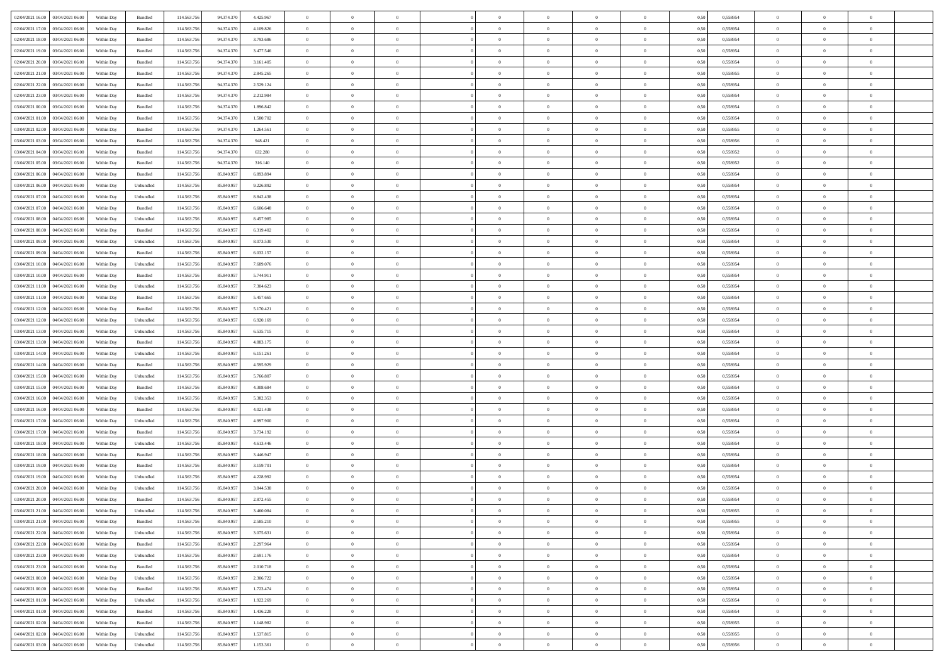| 02/04/2021 16:00 03/04/2021 06:00                  | Within Day | Bundled                     | 114.563.75  | 94.374.370 | 4.425.967 | $\overline{0}$ | $\overline{0}$ |                | $\overline{0}$ | $\theta$       |                | $\theta$       | 0,50 | 0,558954 | $\theta$       | $\theta$       | $\overline{0}$ |  |
|----------------------------------------------------|------------|-----------------------------|-------------|------------|-----------|----------------|----------------|----------------|----------------|----------------|----------------|----------------|------|----------|----------------|----------------|----------------|--|
| 02/04/2021 17:00<br>03/04/2021 06:00               | Within Day | Bundled                     | 114.563.75  | 94.374.370 | 4.109.826 | $\bf{0}$       | $\bf{0}$       | $\bf{0}$       | $\overline{0}$ | $\overline{0}$ | $\overline{0}$ | $\bf{0}$       | 0,50 | 0,558954 | $\,$ 0 $\,$    | $\bf{0}$       | $\overline{0}$ |  |
| 02/04/2021 18:00<br>03/04/2021 06:00               | Within Day | Bundled                     | 114.563.75  | 94.374.370 | 3.793.686 | $\overline{0}$ | $\bf{0}$       | $\overline{0}$ | $\bf{0}$       | $\bf{0}$       | $\overline{0}$ | $\bf{0}$       | 0.50 | 0.558954 | $\bf{0}$       | $\overline{0}$ | $\overline{0}$ |  |
| 02/04/2021 19:00<br>03/04/2021 06:00               | Within Day | Bundled                     | 114.563.75  | 94.374.370 | 3.477.546 | $\overline{0}$ | $\overline{0}$ | $\overline{0}$ | $\overline{0}$ | $\theta$       | $\overline{0}$ | $\bf{0}$       | 0,50 | 0,558954 | $\,$ 0 $\,$    | $\theta$       | $\overline{0}$ |  |
|                                                    |            |                             |             |            |           |                |                |                |                |                |                |                |      |          |                |                |                |  |
| 02/04/2021 20:00<br>03/04/2021 06.00               | Within Day | Bundled                     | 114.563.75  | 94.374.370 | 3.161.405 | $\bf{0}$       | $\overline{0}$ | $\bf{0}$       | $\overline{0}$ | $\theta$       | $\overline{0}$ | $\bf{0}$       | 0,50 | 0,558954 | $\,$ 0 $\,$    | $\bf{0}$       | $\overline{0}$ |  |
| 02/04/2021 21:00<br>03/04/2021 06:00               | Within Day | Bundled                     | 114,563,75  | 94.374.370 | 2.845.265 | $\overline{0}$ | $\bf{0}$       | $\overline{0}$ | $\bf{0}$       | $\overline{0}$ | $\theta$       | $\bf{0}$       | 0.50 | 0.558955 | $\,$ 0 $\,$    | $\theta$       | $\overline{0}$ |  |
| 02/04/2021 22:00<br>03/04/2021 06:00               | Within Day | Bundled                     | 114.563.75  | 94.374.370 | 2.529.124 | $\bf{0}$       | $\overline{0}$ | $\overline{0}$ | $\overline{0}$ | $\overline{0}$ | $\overline{0}$ | $\bf{0}$       | 0,50 | 0,558954 | $\,$ 0 $\,$    | $\theta$       | $\overline{0}$ |  |
| 02/04/2021 23:00<br>03/04/2021 06.00               | Within Day | Bundled                     | 114.563.75  | 94.374.370 | 2.212.984 | $\bf{0}$       | $\bf{0}$       | $\bf{0}$       | $\overline{0}$ | $\overline{0}$ | $\overline{0}$ | $\bf{0}$       | 0,50 | 0,558954 | $\,$ 0 $\,$    | $\bf{0}$       | $\overline{0}$ |  |
| 03/04/2021 00:00<br>03/04/2021 06:00               | Within Day | Bundled                     | 114,563,75  | 94.374.37  | 1.896.842 | $\overline{0}$ | $\bf{0}$       | $\overline{0}$ | $\bf{0}$       | $\overline{0}$ | $\overline{0}$ | $\bf{0}$       | 0.50 | 0.558954 | $\bf{0}$       | $\overline{0}$ | $\overline{0}$ |  |
| 03/04/2021 01:00<br>03/04/2021 06:00               | Within Day | Bundled                     | 114.563.756 | 94.374.370 | 1.580.702 | $\bf{0}$       | $\bf{0}$       | $\overline{0}$ | $\overline{0}$ | $\overline{0}$ | $\overline{0}$ | $\bf{0}$       | 0,50 | 0,558954 | $\,$ 0 $\,$    | $\,$ 0 $\,$    | $\overline{0}$ |  |
|                                                    |            |                             |             |            |           |                |                |                |                |                |                |                |      |          |                |                |                |  |
| 03/04/2021 02:00<br>03/04/2021 06.00               | Within Day | Bundled                     | 114.563.75  | 94.374.370 | 1.264.561 | $\bf{0}$       | $\bf{0}$       | $\bf{0}$       | $\bf{0}$       | $\bf{0}$       | $\overline{0}$ | $\bf{0}$       | 0,50 | 0,558955 | $\,$ 0 $\,$    | $\bf{0}$       | $\overline{0}$ |  |
| 03/04/2021 03:00<br>03/04/2021 06:00               | Within Day | Bundled                     | 114.563.75  | 94.374.370 | 948.421   | $\overline{0}$ | $\bf{0}$       | $\overline{0}$ | $\overline{0}$ | $\bf{0}$       | $\overline{0}$ | $\bf{0}$       | 0.50 | 0.558956 | $\bf{0}$       | $\overline{0}$ | $\overline{0}$ |  |
| 03/04/2021 04:00<br>03/04/2021 06:00               | Within Day | Bundled                     | 114.563.75  | 94.374.370 | 632.280   | $\overline{0}$ | $\overline{0}$ | $\overline{0}$ | $\theta$       | $\theta$       | $\overline{0}$ | $\bf{0}$       | 0,50 | 0,558952 | $\,$ 0 $\,$    | $\theta$       | $\overline{0}$ |  |
| 03/04/2021 05:00<br>03/04/2021 06.00               | Within Day | Bundled                     | 114.563.75  | 94.374.370 | 316.140   | $\bf{0}$       | $\overline{0}$ | $\bf{0}$       | $\overline{0}$ | $\bf{0}$       | $\overline{0}$ | $\bf{0}$       | 0,50 | 0,558952 | $\,$ 0 $\,$    | $\bf{0}$       | $\overline{0}$ |  |
| 03/04/2021 06:00<br>04/04/2021 06:00               | Within Day | Bundled                     | 114,563,75  | 85,840.957 | 6.893.894 | $\overline{0}$ | $\bf{0}$       | $\overline{0}$ | $\bf{0}$       | $\overline{0}$ | $\theta$       | $\bf{0}$       | 0.50 | 0.558954 | $\,$ 0 $\,$    | $\theta$       | $\overline{0}$ |  |
|                                                    |            |                             |             |            |           |                |                |                |                |                |                |                |      |          |                |                |                |  |
| 03/04/2021 06:00<br>04/04/2021 06:00               | Within Day | Unbundled                   | 114.563.75  | 85.840.957 | 9.226.892 | $\overline{0}$ | $\overline{0}$ | $\overline{0}$ | $\overline{0}$ | $\overline{0}$ | $\overline{0}$ | $\bf{0}$       | 0,50 | 0,558954 | $\theta$       | $\theta$       | $\overline{0}$ |  |
| 03/04/2021 07:00<br>04/04/2021 06.00               | Within Day | Unbundled                   | 114.563.75  | 85.840.957 | 8.842.438 | $\bf{0}$       | $\bf{0}$       | $\bf{0}$       | $\overline{0}$ | $\bf{0}$       | $\overline{0}$ | $\bf{0}$       | 0,50 | 0,558954 | $\,$ 0 $\,$    | $\bf{0}$       | $\overline{0}$ |  |
| 03/04/2021 07:00<br>04/04/2021 06:00               | Within Day | Bundled                     | 114,563,75  | 85,840.95  | 6.606.648 | $\overline{0}$ | $\bf{0}$       | $\overline{0}$ | $\bf{0}$       | $\overline{0}$ | $\overline{0}$ | $\bf{0}$       | 0.50 | 0.558954 | $\bf{0}$       | $\overline{0}$ | $\overline{0}$ |  |
| 03/04/2021 08:00<br>04/04/2021 06:00               | Within Day | Unbundled                   | 114.563.75  | 85.840.957 | 8.457.985 | $\bf{0}$       | $\bf{0}$       | $\overline{0}$ | $\overline{0}$ | $\overline{0}$ | $\overline{0}$ | $\bf{0}$       | 0,50 | 0,558954 | $\,$ 0 $\,$    | $\bf{0}$       | $\overline{0}$ |  |
| 03/04/2021 08:00<br>04/04/2021 06.00               | Within Day | Bundled                     | 114.563.75  | 85.840.95  | 6.319.402 | $\bf{0}$       | $\bf{0}$       | $\bf{0}$       | $\bf{0}$       | $\overline{0}$ | $\overline{0}$ | $\bf{0}$       | 0,50 | 0,558954 | $\,$ 0 $\,$    | $\bf{0}$       | $\overline{0}$ |  |
| 03/04/2021 09:00<br>04/04/2021 06:00               | Within Day | Unbundled                   | 114.563.75  | 85,840,957 | 8.073.530 | $\overline{0}$ | $\bf{0}$       | $\overline{0}$ | $\overline{0}$ | $\bf{0}$       | $\overline{0}$ | $\bf{0}$       | 0.50 | 0.558954 | $\bf{0}$       | $\overline{0}$ | $\overline{0}$ |  |
| 03/04/2021 09:00<br>04/04/2021 06:00               | Within Day | Bundled                     | 114.563.75  | 85.840.957 | 6.032.157 | $\overline{0}$ | $\overline{0}$ | $\overline{0}$ | $\overline{0}$ | $\theta$       | $\overline{0}$ | $\bf{0}$       | 0,50 | 0,558954 | $\theta$       | $\theta$       | $\overline{0}$ |  |
|                                                    |            |                             |             |            |           |                |                |                |                |                |                |                |      |          |                |                |                |  |
| 03/04/2021 10:00<br>04/04/2021 06.00               | Within Day | Unbundled                   | 114.563.75  | 85.840.95  | 7.689.076 | $\bf{0}$       | $\bf{0}$       | $\bf{0}$       | $\bf{0}$       | $\overline{0}$ | $\overline{0}$ | $\bf{0}$       | 0,50 | 0,558954 | $\,$ 0 $\,$    | $\bf{0}$       | $\overline{0}$ |  |
| 03/04/2021 10:00<br>04/04/2021 06:00               | Within Day | Bundled                     | 114,563,75  | 85,840.95  | 5.744.911 | $\overline{0}$ | $\bf{0}$       | $\overline{0}$ | $\bf{0}$       | $\overline{0}$ | $\theta$       | $\bf{0}$       | 0.50 | 0.558954 | $\,$ 0 $\,$    | $\theta$       | $\overline{0}$ |  |
| 03/04/2021 11:00<br>04/04/2021 06:00               | Within Day | Unbundled                   | 114.563.75  | 85.840.957 | 7.304.623 | $\overline{0}$ | $\overline{0}$ | $\overline{0}$ | $\overline{0}$ | $\overline{0}$ | $\overline{0}$ | $\bf{0}$       | 0,50 | 0,558954 | $\,$ 0 $\,$    | $\theta$       | $\overline{0}$ |  |
| 03/04/2021 11:00<br>04/04/2021 06.00               | Within Day | Bundled                     | 114.563.75  | 85.840.95  | 5.457.665 | $\bf{0}$       | $\overline{0}$ | $\bf{0}$       | $\overline{0}$ | $\bf{0}$       | $\overline{0}$ | $\bf{0}$       | 0,50 | 0,558954 | $\,$ 0 $\,$    | $\bf{0}$       | $\overline{0}$ |  |
| 03/04/2021 12:00<br>04/04/2021 06:00               | Within Day | Bundled                     | 114,563,75  | 85,840,957 | 5.170.421 | $\overline{0}$ | $\bf{0}$       | $\overline{0}$ | $\bf{0}$       | $\overline{0}$ | $\overline{0}$ | $\bf{0}$       | 0.50 | 0.558954 | $\bf{0}$       | $\overline{0}$ | $\overline{0}$ |  |
| 03/04/2021 12:00<br>04/04/2021 06:00               | Within Day | Unbundled                   | 114.563.75  | 85.840.957 | 6.920.169 | $\overline{0}$ | $\bf{0}$       | $\overline{0}$ | $\overline{0}$ | $\overline{0}$ | $\overline{0}$ | $\bf{0}$       | 0,50 | 0,558954 | $\,$ 0 $\,$    | $\theta$       | $\overline{0}$ |  |
|                                                    |            |                             |             |            |           |                |                |                |                |                |                |                |      |          |                |                |                |  |
| 03/04/2021 13:00<br>04/04/2021 06.00               | Within Day | Unbundled                   | 114.563.75  | 85.840.957 | 6.535.715 | $\bf{0}$       | $\bf{0}$       | $\bf{0}$       | $\bf{0}$       | $\overline{0}$ | $\overline{0}$ | $\bf{0}$       | 0,50 | 0,558954 | $\,$ 0 $\,$    | $\bf{0}$       | $\overline{0}$ |  |
| 03/04/2021 13:00<br>04/04/2021 06:00               | Within Day | Bundled                     | 114,563,75  | 85,840.957 | 4.883.175 | $\overline{0}$ | $\bf{0}$       | $\overline{0}$ | $\overline{0}$ | $\bf{0}$       | $\overline{0}$ | $\bf{0}$       | 0.50 | 0.558954 | $\bf{0}$       | $\,$ 0 $\,$    | $\overline{0}$ |  |
| 03/04/2021 14:00<br>04/04/2021 06:00               | Within Day | Unbundled                   | 114.563.75  | 85,840,957 | 6.151.261 | $\overline{0}$ | $\overline{0}$ | $\overline{0}$ | $\overline{0}$ | $\overline{0}$ | $\overline{0}$ | $\bf{0}$       | 0.50 | 0,558954 | $\theta$       | $\theta$       | $\overline{0}$ |  |
| 03/04/2021 14:00<br>04/04/2021 06.00               | Within Day | Bundled                     | 114.563.75  | 85.840.95  | 4.595.929 | $\bf{0}$       | $\bf{0}$       | $\bf{0}$       | $\bf{0}$       | $\overline{0}$ | $\overline{0}$ | $\bf{0}$       | 0,50 | 0,558954 | $\,$ 0 $\,$    | $\bf{0}$       | $\overline{0}$ |  |
| 03/04/2021 15:00<br>04/04/2021 06:00               | Within Day | Unbundled                   | 114,563,75  | 85,840.957 | 5.766.807 | $\overline{0}$ | $\bf{0}$       | $\overline{0}$ | $\bf{0}$       | $\overline{0}$ | $\overline{0}$ | $\bf{0}$       | 0.50 | 0.558954 | $\,$ 0 $\,$    | $\bf{0}$       | $\overline{0}$ |  |
| 03/04/2021 15:00<br>04/04/2021 06:00               | Within Dav | Bundled                     | 114.563.75  | 85.840.957 | 4.308.684 | $\overline{0}$ | $\overline{0}$ | $\overline{0}$ | $\overline{0}$ | $\overline{0}$ | $\overline{0}$ | $\bf{0}$       | 0.50 | 0,558954 | $\theta$       | $\theta$       | $\overline{0}$ |  |
| 03/04/2021 16:00<br>04/04/2021 06.00               | Within Day | Unbundled                   | 114.563.75  | 85.840.957 | 5.382.353 | $\bf{0}$       | $\bf{0}$       | $\bf{0}$       | $\bf{0}$       | $\overline{0}$ | $\overline{0}$ | $\bf{0}$       | 0,50 | 0,558954 | $\,$ 0 $\,$    | $\bf{0}$       | $\overline{0}$ |  |
| 04/04/2021 06:00                                   |            | Bundled                     | 114,563,75  |            | 4.021.438 |                |                |                |                |                | $\overline{0}$ |                |      |          |                |                |                |  |
| 03/04/2021 16:00                                   | Within Day |                             |             | 85,840.95  |           | $\overline{0}$ | $\bf{0}$       | $\overline{0}$ | $\bf{0}$       | $\overline{0}$ |                | $\bf{0}$       | 0.50 | 0.558954 | $\bf{0}$       | $\overline{0}$ | $\overline{0}$ |  |
| 03/04/2021 17:00<br>04/04/2021 06:00               | Within Dav | Unbundled                   | 114.563.75  | 85.840.957 | 4.997.900 | $\overline{0}$ | $\overline{0}$ | $\overline{0}$ | $\overline{0}$ | $\overline{0}$ | $\overline{0}$ | $\bf{0}$       | 0.50 | 0,558954 | $\theta$       | $\theta$       | $\overline{0}$ |  |
| 03/04/2021 17:00<br>04/04/2021 06.00               | Within Day | Bundled                     | 114.563.75  | 85.840.95  | 3.734.192 | $\bf{0}$       | $\bf{0}$       | $\bf{0}$       | $\bf{0}$       | $\overline{0}$ | $\overline{0}$ | $\bf{0}$       | 0,50 | 0,558954 | $\,$ 0 $\,$    | $\bf{0}$       | $\overline{0}$ |  |
| 03/04/2021 18:00<br>04/04/2021 06:00               | Within Day | Unbundled                   | 114.563.75  | 85,840,957 | 4.613.446 | $\overline{0}$ | $\bf{0}$       | $\overline{0}$ | $\overline{0}$ | $\bf{0}$       | $\overline{0}$ | $\bf{0}$       | 0.50 | 0.558954 | $\bf{0}$       | $\overline{0}$ | $\overline{0}$ |  |
| 03/04/2021 18:00<br>04/04/2021 06:00               | Within Day | Bundled                     | 114.563.75  | 85.840.957 | 3.446.947 | $\overline{0}$ | $\overline{0}$ | $\overline{0}$ | $\overline{0}$ | $\overline{0}$ | $\overline{0}$ | $\bf{0}$       | 0.50 | 0,558954 | $\theta$       | $\theta$       | $\overline{0}$ |  |
| 03/04/2021 19:00<br>04/04/2021 06.00               | Within Day | Bundled                     | 114.563.75  | 85.840.95  | 3.159.701 | $\bf{0}$       | $\bf{0}$       | $\bf{0}$       | $\bf{0}$       | $\overline{0}$ | $\overline{0}$ | $\bf{0}$       | 0,50 | 0,558954 | $\,$ 0 $\,$    | $\bf{0}$       | $\overline{0}$ |  |
| 03/04/2021 19:00<br>04/04/2021 06:00               | Within Day | Unbundled                   | 114,563,75  | 85,840.95  | 4.228.992 | $\overline{0}$ | $\overline{0}$ | $\overline{0}$ | $\bf{0}$       | $\overline{0}$ | $\Omega$       | $\bf{0}$       | 0.50 | 0.558954 | $\bf{0}$       | $\theta$       | $\overline{0}$ |  |
| 03/04/2021 20:00<br>04/04/2021 06:00               | Within Dav | Unbundled                   | 114.563.75  | 85,840.957 | 3.844.538 | $\overline{0}$ | $\overline{0}$ | $\overline{0}$ | $\theta$       | $\theta$       | $\overline{0}$ | $\overline{0}$ | 0.5( | 0,558954 | $\theta$       | $\theta$       | $\overline{0}$ |  |
|                                                    |            |                             |             |            |           |                |                |                |                |                |                |                |      |          |                |                |                |  |
| 03/04/2021 20:00<br>04/04/2021 06:00               | Within Day | Bundled                     | 114.563.75  | 85.840.957 | 2.872.455 | $\bf{0}$       | $\bf{0}$       | $\bf{0}$       | $\bf{0}$       | $\bf{0}$       | $\overline{0}$ | $\bf{0}$       | 0,50 | 0,558954 | $\,$ 0 $\,$    | $\overline{0}$ | $\overline{0}$ |  |
| $03/04/2021\,\, 21.00 \qquad 04/04/2021\,\, 06.00$ | Within Day | $\ensuremath{\mathsf{Unb}}$ | 114.563.756 | 85.840.957 | 3.460.084 | $\bf{0}$       | $\theta$       |                | $\overline{0}$ |                |                |                | 0,50 | 0.558955 | $\bf{0}$       | $\overline{0}$ |                |  |
| 03/04/2021 21:00 04/04/2021 06:00                  | Within Day | Bundled                     | 114.563.756 | 85.840.957 | 2.585.210 | $\overline{0}$ | $\overline{0}$ | $\Omega$       | $\theta$       | $\overline{0}$ | $\overline{0}$ | $\bf{0}$       | 0,50 | 0,558955 | $\theta$       | $\theta$       | $\overline{0}$ |  |
| 03/04/2021 22:00<br>04/04/2021 06:00               | Within Day | Unbundled                   | 114.563.75  | 85.840.957 | 3.075.631 | $\overline{0}$ | $\bf{0}$       | $\overline{0}$ | $\overline{0}$ | $\bf{0}$       | $\overline{0}$ | $\bf{0}$       | 0,50 | 0,558954 | $\bf{0}$       | $\overline{0}$ | $\bf{0}$       |  |
| 03/04/2021 22:00 04/04/2021 06:00                  | Within Day | Bundled                     | 114,563,756 | 85,840,957 | 2.297.964 | $\overline{0}$ | $\bf{0}$       | $\overline{0}$ | $\overline{0}$ | $\mathbf{0}$   | $\overline{0}$ | $\,$ 0 $\,$    | 0.50 | 0.558954 | $\overline{0}$ | $\bf{0}$       | $\,$ 0 $\,$    |  |
| 03/04/2021 23:00 04/04/2021 06:00                  | Within Day | Unbundled                   | 114.563.756 | 85.840.957 | 2.691.176 | $\overline{0}$ | $\overline{0}$ | $\overline{0}$ | $\overline{0}$ | $\overline{0}$ | $\overline{0}$ | $\bf{0}$       | 0,50 | 0,558954 | $\theta$       | $\theta$       | $\overline{0}$ |  |
|                                                    |            |                             |             |            |           |                |                |                |                |                |                |                |      |          |                |                |                |  |
| 03/04/2021 23:00<br>04/04/2021 06:00               | Within Day | Bundled                     | 114.563.75  | 85.840.957 | 2.010.718 | $\overline{0}$ | $\bf{0}$       | $\overline{0}$ | $\overline{0}$ | $\overline{0}$ | $\overline{0}$ | $\bf{0}$       | 0,50 | 0,558954 | $\bf{0}$       | $\overline{0}$ | $\overline{0}$ |  |
| 04/04/2021 06:00<br>04/04/2021 00:00               | Within Day | Unbundled                   | 114.563.756 | 85,840,957 | 2.306.722 | $\overline{0}$ | $\bf{0}$       | $\overline{0}$ | $\overline{0}$ | $\overline{0}$ | $\overline{0}$ | $\bf{0}$       | 0.50 | 0.558954 | $\,$ 0 $\,$    | $\overline{0}$ | $\,$ 0         |  |
| 04/04/2021 00:00 04/04/2021 06:00                  | Within Dav | Bundled                     | 114.563.756 | 85.840.957 | 1.723.474 | $\overline{0}$ | $\overline{0}$ | $\overline{0}$ | $\overline{0}$ | $\overline{0}$ | $\overline{0}$ | $\bf{0}$       | 0.50 | 0,558954 | $\overline{0}$ | $\theta$       | $\overline{0}$ |  |
| 04/04/2021 01:00<br>04/04/2021 06:00               | Within Day | Unbundled                   | 114.563.75  | 85.840.957 | 1.922.269 | $\overline{0}$ | $\overline{0}$ | $\overline{0}$ | $\overline{0}$ | $\overline{0}$ | $\overline{0}$ | $\bf{0}$       | 0,50 | 0,558954 | $\bf{0}$       | $\overline{0}$ | $\overline{0}$ |  |
| 04/04/2021 01:00 04/04/2021 06:00                  | Within Day | Bundled                     | 114.563.75  | 85,840,957 | 1.436.228 | $\overline{0}$ | $\overline{0}$ | $\overline{0}$ | $\overline{0}$ | $\overline{0}$ | $\overline{0}$ | $\bf{0}$       | 0.50 | 0.558954 | $\mathbf{0}$   | $\bf{0}$       | $\,$ 0         |  |
| 04/04/2021 02:00 04/04/2021 06:00                  | Within Dav | Bundled                     | 114.563.756 | 85.840.957 | 1.148.982 | $\overline{0}$ | $\overline{0}$ | $\overline{0}$ | $\overline{0}$ | $\overline{0}$ | $\overline{0}$ | $\bf{0}$       | 0,50 | 0,558955 | $\overline{0}$ | $\theta$       | $\overline{0}$ |  |
|                                                    |            |                             |             |            |           |                |                |                |                |                |                |                |      |          |                |                |                |  |
| 04/04/2021 02:00<br>04/04/2021 06.00               | Within Day | Unbundled                   | 114.563.75  | 85.840.957 | 1.537.815 | $\overline{0}$ | $\bf{0}$       | $\overline{0}$ | $\bf{0}$       | $\overline{0}$ | $\bf{0}$       | $\bf{0}$       | 0,50 | 0,558955 | $\bf{0}$       | $\,$ 0 $\,$    | $\bf{0}$       |  |
| 04/04/2021 03:00 04/04/2021 06:00                  | Within Day | Unbundled                   | 114.563.756 | 85.840.957 | 1.153.361 | $\,$ 0 $\,$    | $\bf{0}$       | $\overline{0}$ | $\overline{0}$ | $\,$ 0 $\,$    | $\overline{0}$ | $\bf{0}$       | 0,50 | 0,558956 | $\overline{0}$ | $\,$ 0 $\,$    | $\,$ 0 $\,$    |  |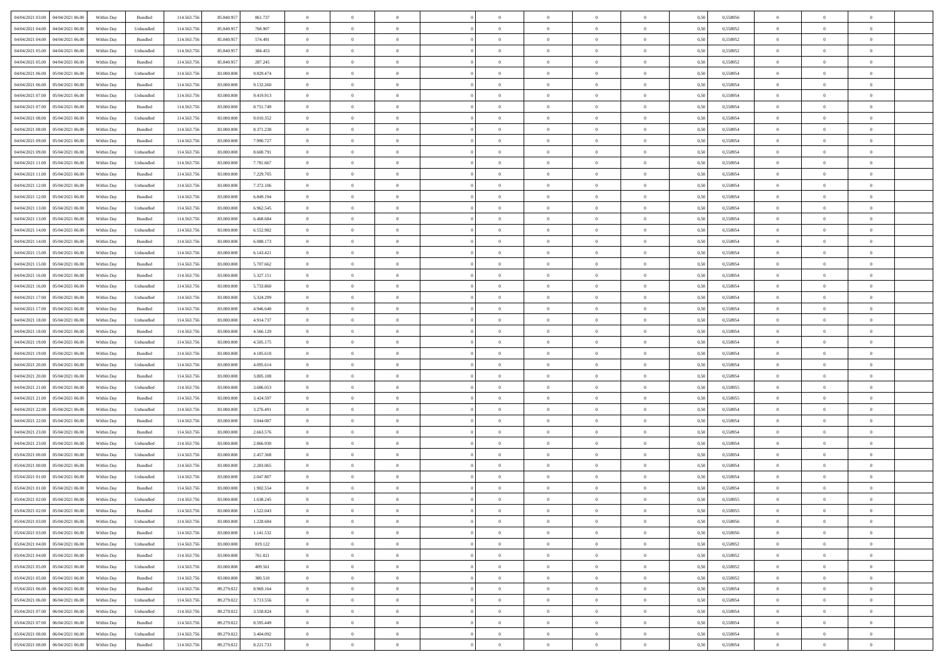| 04/04/2021 03:00 04/04/2021 06:00                                      | Within Day | Bundled   | 114.563.75  | 85.840.957 | 861.737   | $\overline{0}$ | $\theta$       |                | $\overline{0}$ | $\theta$       |                | $\theta$       | 0,50 | 0,558956 | $\theta$       | $\theta$       | $\overline{0}$ |  |
|------------------------------------------------------------------------|------------|-----------|-------------|------------|-----------|----------------|----------------|----------------|----------------|----------------|----------------|----------------|------|----------|----------------|----------------|----------------|--|
| 04/04/2021 04:00<br>04/04/2021 06.00                                   | Within Day | Unbundled | 114.563.75  | 85.840.95  | 768.907   | $\bf{0}$       | $\bf{0}$       | $\bf{0}$       | $\overline{0}$ | $\overline{0}$ | $\overline{0}$ | $\bf{0}$       | 0,50 | 0,558952 | $\,$ 0 $\,$    | $\bf{0}$       | $\overline{0}$ |  |
| 04/04/2021 04:00<br>04/04/2021 06:00                                   | Within Day | Bundled   | 114,563,75  | 85,840,957 | 574.491   | $\overline{0}$ | $\bf{0}$       | $\overline{0}$ | $\bf{0}$       | $\bf{0}$       | $\overline{0}$ | $\bf{0}$       | 0.50 | 0.558952 | $\bf{0}$       | $\overline{0}$ | $\overline{0}$ |  |
| 04/04/2021 05:00<br>04/04/2021 06:00                                   | Within Day | Unbundled | 114.563.75  | 85.840.957 | 384.453   | $\overline{0}$ | $\overline{0}$ | $\overline{0}$ | $\theta$       | $\theta$       | $\overline{0}$ | $\bf{0}$       | 0,50 | 0,558952 | $\theta$       | $\theta$       | $\overline{0}$ |  |
|                                                                        |            |           |             |            |           |                | $\overline{0}$ |                |                |                |                |                |      |          |                |                | $\overline{0}$ |  |
| 04/04/2021 05:00<br>04/04/2021 06.00                                   | Within Day | Bundled   | 114.563.75  | 85.840.95  | 287.245   | $\overline{0}$ |                | $\bf{0}$       | $\overline{0}$ | $\theta$       | $\overline{0}$ | $\bf{0}$       | 0,50 | 0,558952 | $\,$ 0 $\,$    | $\bf{0}$       |                |  |
| 04/04/2021 06:00<br>05/04/2021 06:00                                   | Within Day | Unbundled | 114,563,75  | 83,000,008 | 9.829.474 | $\overline{0}$ | $\overline{0}$ | $\overline{0}$ | $\bf{0}$       | $\overline{0}$ | $\theta$       | $\bf{0}$       | 0.50 | 0.558954 | $\,$ 0 $\,$    | $\theta$       | $\overline{0}$ |  |
| 04/04/2021 06:00<br>05/04/2021 06:00                                   | Within Day | Bundled   | 114.563.75  | 83.000.008 | 9.132.260 | $\overline{0}$ | $\overline{0}$ | $\overline{0}$ | $\overline{0}$ | $\overline{0}$ | $\overline{0}$ | $\bf{0}$       | 0,50 | 0,558954 | $\theta$       | $\theta$       | $\overline{0}$ |  |
| 04/04/2021 07:00<br>05/04/2021 06.00                                   | Within Day | Unbundled | 114.563.75  | 83.000.00  | 9.419.913 | $\bf{0}$       | $\overline{0}$ | $\bf{0}$       | $\overline{0}$ | $\theta$       | $\overline{0}$ | $\bf{0}$       | 0,50 | 0,558954 | $\,$ 0 $\,$    | $\bf{0}$       | $\overline{0}$ |  |
| 04/04/2021 07:00<br>05/04/2021 06:00                                   | Within Day | Bundled   | 114,563,75  | 83,000,008 | 8.751.749 | $\overline{0}$ | $\bf{0}$       | $\overline{0}$ | $\bf{0}$       | $\overline{0}$ | $\overline{0}$ | $\bf{0}$       | 0.50 | 0.558954 | $\bf{0}$       | $\overline{0}$ | $\overline{0}$ |  |
| 04/04/2021 08:00<br>05/04/2021 06:00                                   | Within Day | Unbundled | 114.563.756 | 83.000.008 | 9.010.352 | $\bf{0}$       | $\bf{0}$       | $\overline{0}$ | $\overline{0}$ | $\overline{0}$ | $\overline{0}$ | $\bf{0}$       | 0,50 | 0,558954 | $\,$ 0 $\,$    | $\theta$       | $\overline{0}$ |  |
|                                                                        |            |           |             |            |           |                |                |                |                |                |                |                |      |          |                |                |                |  |
| 04/04/2021 08:00<br>05/04/2021 06.00                                   | Within Day | Bundled   | 114.563.75  | 83.000.008 | 8.371.238 | $\bf{0}$       | $\overline{0}$ | $\bf{0}$       | $\overline{0}$ | $\bf{0}$       | $\overline{0}$ | $\bf{0}$       | 0,50 | 0,558954 | $\,$ 0 $\,$    | $\bf{0}$       | $\overline{0}$ |  |
| 04/04/2021 09:00<br>05/04/2021 06:00                                   | Within Day | Bundled   | 114,563,75  | 83,000,008 | 7.990.727 | $\overline{0}$ | $\bf{0}$       | $\overline{0}$ | $\bf{0}$       | $\bf{0}$       | $\overline{0}$ | $\bf{0}$       | 0.50 | 0.558954 | $\bf{0}$       | $\overline{0}$ | $\overline{0}$ |  |
| 04/04/2021 09:00<br>05/04/2021 06:00                                   | Within Day | Unbundled | 114.563.75  | 83.000.008 | 8.600.791 | $\overline{0}$ | $\overline{0}$ | $\overline{0}$ | $\theta$       | $\theta$       | $\overline{0}$ | $\bf{0}$       | 0,50 | 0,558954 | $\,$ 0 $\,$    | $\theta$       | $\overline{0}$ |  |
| 04/04/2021 11:00<br>05/04/2021 06.00                                   | Within Day | Unbundled | 114.563.75  | 83.000.00  | 7.781.667 | $\bf{0}$       | $\overline{0}$ | $\bf{0}$       | $\overline{0}$ | $\theta$       | $\overline{0}$ | $\bf{0}$       | 0,50 | 0,558954 | $\,$ 0 $\,$    | $\bf{0}$       | $\overline{0}$ |  |
| 04/04/2021 11:00<br>05/04/2021 06:00                                   | Within Day | Bundled   | 114,563,75  | 83,000,008 | 7.229.705 | $\overline{0}$ | $\overline{0}$ | $\overline{0}$ | $\bf{0}$       | $\overline{0}$ | $\theta$       | $\bf{0}$       | 0.50 | 0.558954 | $\,$ 0 $\,$    | $\theta$       | $\overline{0}$ |  |
| 04/04/2021 12:00<br>05/04/2021 06:00                                   | Within Day | Unbundled | 114.563.75  | 83.000.008 | 7.372.106 | $\overline{0}$ | $\overline{0}$ | $\overline{0}$ | $\overline{0}$ | $\overline{0}$ | $\overline{0}$ | $\bf{0}$       | 0,50 | 0,558954 | $\theta$       | $\theta$       | $\overline{0}$ |  |
|                                                                        |            |           |             |            |           |                |                |                |                |                |                |                |      |          |                |                |                |  |
| 04/04/2021 12:00<br>05/04/2021 06.00                                   | Within Day | Bundled   | 114.563.75  | 83.000.00  | 6.849.194 | $\bf{0}$       | $\overline{0}$ | $\bf{0}$       | $\overline{0}$ | $\theta$       | $\overline{0}$ | $\bf{0}$       | 0,50 | 0,558954 | $\,$ 0 $\,$    | $\bf{0}$       | $\overline{0}$ |  |
| 04/04/2021 13:00<br>05/04/2021 06:00                                   | Within Day | Unbundled | 114,563,75  | 83,000,008 | 6.962.545 | $\overline{0}$ | $\bf{0}$       | $\overline{0}$ | $\bf{0}$       | $\overline{0}$ | $\overline{0}$ | $\bf{0}$       | 0.50 | 0.558954 | $\bf{0}$       | $\overline{0}$ | $\overline{0}$ |  |
| 04/04/2021 13:00<br>05/04/2021 06:00                                   | Within Day | Bundled   | 114.563.75  | 83.000.008 | 6.468.684 | $\overline{0}$ | $\bf{0}$       | $\overline{0}$ | $\overline{0}$ | $\overline{0}$ | $\overline{0}$ | $\bf{0}$       | 0,50 | 0,558954 | $\,$ 0 $\,$    | $\theta$       | $\overline{0}$ |  |
| 04/04/2021 14:00<br>05/04/2021 06.00                                   | Within Day | Unbundled | 114.563.75  | 83.000.00  | 6.552.982 | $\bf{0}$       | $\bf{0}$       | $\bf{0}$       | $\bf{0}$       | $\overline{0}$ | $\overline{0}$ | $\bf{0}$       | 0,50 | 0,558954 | $\,$ 0 $\,$    | $\bf{0}$       | $\overline{0}$ |  |
| 04/04/2021 14:00<br>05/04/2021 06:00                                   | Within Day | Bundled   | 114,563,75  | 83,000,008 | 6.088.173 | $\overline{0}$ | $\bf{0}$       | $\overline{0}$ | $\bf{0}$       | $\bf{0}$       | $\overline{0}$ | $\bf{0}$       | 0.50 | 0.558954 | $\bf{0}$       | $\overline{0}$ | $\overline{0}$ |  |
| 04/04/2021 15:00<br>05/04/2021 06:00                                   | Within Day | Unbundled | 114.563.75  | 83.000.008 | 6.143.421 | $\overline{0}$ | $\overline{0}$ | $\overline{0}$ | $\theta$       | $\theta$       | $\overline{0}$ | $\bf{0}$       | 0,50 | 0,558954 | $\theta$       | $\theta$       | $\overline{0}$ |  |
|                                                                        |            |           |             |            |           |                |                |                |                |                |                |                |      |          |                |                |                |  |
| 04/04/2021 15:00<br>05/04/2021 06.00                                   | Within Day | Bundled   | 114.563.75  | 83.000.00  | 5.707.662 | $\bf{0}$       | $\overline{0}$ | $\bf{0}$       | $\overline{0}$ | $\overline{0}$ | $\overline{0}$ | $\bf{0}$       | 0,50 | 0,558954 | $\,$ 0 $\,$    | $\bf{0}$       | $\overline{0}$ |  |
| 04/04/2021 16:00<br>05/04/2021 06:00                                   | Within Day | Bundled   | 114,563,75  | 83,000,008 | 5.327.151 | $\overline{0}$ | $\overline{0}$ | $\overline{0}$ | $\bf{0}$       | $\overline{0}$ | $\theta$       | $\bf{0}$       | 0.50 | 0.558954 | $\,$ 0 $\,$    | $\theta$       | $\overline{0}$ |  |
| 04/04/2021 16:00<br>05/04/2021 06:00                                   | Within Day | Unbundled | 114.563.75  | 83.000.008 | 5.733.860 | $\overline{0}$ | $\overline{0}$ | $\overline{0}$ | $\overline{0}$ | $\theta$       | $\overline{0}$ | $\bf{0}$       | 0,50 | 0,558954 | $\,$ 0 $\,$    | $\theta$       | $\overline{0}$ |  |
| 04/04/2021 17:00<br>05/04/2021 06.00                                   | Within Day | Unbundled | 114.563.75  | 83.000.00  | 5.324.299 | $\bf{0}$       | $\overline{0}$ | $\bf{0}$       | $\overline{0}$ | $\theta$       | $\overline{0}$ | $\bf{0}$       | 0,50 | 0,558954 | $\,$ 0 $\,$    | $\bf{0}$       | $\overline{0}$ |  |
| 04/04/2021 17:00<br>05/04/2021 06:00                                   | Within Day | Bundled   | 114,563,75  | 83,000,008 | 4.946.640 | $\overline{0}$ | $\bf{0}$       | $\overline{0}$ | $\bf{0}$       | $\overline{0}$ | $\overline{0}$ | $\bf{0}$       | 0.50 | 0.558954 | $\bf{0}$       | $\overline{0}$ | $\overline{0}$ |  |
| 04/04/2021 18:00<br>05/04/2021 06:00                                   | Within Day | Unbundled | 114.563.75  | 83.000.008 | 4.914.737 | $\overline{0}$ | $\overline{0}$ | $\overline{0}$ | $\overline{0}$ | $\overline{0}$ | $\overline{0}$ | $\bf{0}$       | 0,50 | 0,558954 | $\theta$       | $\theta$       | $\overline{0}$ |  |
|                                                                        |            |           |             |            |           |                |                |                |                |                |                |                |      |          |                |                |                |  |
| 04/04/2021 18:00<br>05/04/2021 06.00                                   | Within Day | Bundled   | 114.563.75  | 83.000.008 | 4.566.129 | $\bf{0}$       | $\bf{0}$       | $\bf{0}$       | $\bf{0}$       | $\overline{0}$ | $\overline{0}$ | $\bf{0}$       | 0,50 | 0,558954 | $\,$ 0 $\,$    | $\bf{0}$       | $\overline{0}$ |  |
| 04/04/2021 19:00<br>05/04/2021 06:00                                   | Within Day | Unbundled | 114,563,75  | 83,000,008 | 4.505.175 | $\overline{0}$ | $\bf{0}$       | $\overline{0}$ | $\bf{0}$       | $\bf{0}$       | $\overline{0}$ | $\bf{0}$       | 0.50 | 0.558954 | $\bf{0}$       | $\overline{0}$ | $\overline{0}$ |  |
| 04/04/2021 19:00<br>05/04/2021 06:00                                   | Within Day | Bundled   | 114.563.75  | 83.000.008 | 4.185.618 | $\overline{0}$ | $\overline{0}$ | $\overline{0}$ | $\overline{0}$ | $\overline{0}$ | $\overline{0}$ | $\bf{0}$       | 0.50 | 0,558954 | $\theta$       | $\theta$       | $\overline{0}$ |  |
| 04/04/2021 20:00<br>05/04/2021 06.00                                   | Within Day | Unbundled | 114.563.75  | 83.000.00  | 4.095.614 | $\bf{0}$       | $\overline{0}$ | $\bf{0}$       | $\overline{0}$ | $\overline{0}$ | $\overline{0}$ | $\bf{0}$       | 0,50 | 0,558954 | $\,$ 0 $\,$    | $\bf{0}$       | $\overline{0}$ |  |
| 04/04/2021 20:00<br>05/04/2021 06:00                                   | Within Day | Bundled   | 114,563,75  | 83,000,008 | 3.805.108 | $\overline{0}$ | $\bf{0}$       | $\overline{0}$ | $\bf{0}$       | $\overline{0}$ | $\Omega$       | $\bf{0}$       | 0.50 | 0.558954 | $\,$ 0 $\,$    | $\theta$       | $\overline{0}$ |  |
| 04/04/2021 21:00<br>05/04/2021 06:00                                   | Within Dav | Unbundled | 114.563.75  | 83.000.008 | 3.686.053 | $\overline{0}$ | $\overline{0}$ | $\overline{0}$ | $\overline{0}$ | $\theta$       | $\overline{0}$ | $\bf{0}$       | 0.50 | 0,558955 | $\theta$       | $\theta$       | $\overline{0}$ |  |
| 05/04/2021 06.00                                                       | Within Day | Bundled   | 114.563.75  | 83.000.00  | 3.424.597 | $\bf{0}$       | $\bf{0}$       | $\bf{0}$       | $\overline{0}$ | $\bf{0}$       | $\overline{0}$ | $\bf{0}$       | 0,50 | 0,558955 | $\,$ 0 $\,$    | $\bf{0}$       | $\overline{0}$ |  |
| 04/04/2021 21:00                                                       |            |           |             |            |           |                |                |                |                |                |                |                |      |          |                |                |                |  |
| 04/04/2021 22:00<br>05/04/2021 06:00                                   | Within Day | Unbundled | 114,563,75  | 83,000,008 | 3.276.491 | $\overline{0}$ | $\bf{0}$       | $\overline{0}$ | $\bf{0}$       | $\overline{0}$ | $\overline{0}$ | $\bf{0}$       | 0.50 | 0.558954 | $\bf{0}$       | $\overline{0}$ | $\overline{0}$ |  |
| 04/04/2021 22:00<br>05/04/2021 06:00                                   | Within Dav | Bundled   | 114.563.75  | 83.000.008 | 3.044.087 | $\overline{0}$ | $\overline{0}$ | $\overline{0}$ | $\overline{0}$ | $\overline{0}$ | $\overline{0}$ | $\bf{0}$       | 0.50 | 0,558954 | $\theta$       | $\theta$       | $\overline{0}$ |  |
| 04/04/2021 23:00<br>05/04/2021 06.00                                   | Within Day | Bundled   | 114.563.75  | 83.000.00  | 2.663.576 | $\bf{0}$       | $\bf{0}$       | $\bf{0}$       | $\bf{0}$       | $\overline{0}$ | $\overline{0}$ | $\bf{0}$       | 0,50 | 0,558954 | $\,$ 0 $\,$    | $\bf{0}$       | $\overline{0}$ |  |
| 04/04/2021 23:00<br>05/04/2021 06:00                                   | Within Day | Unbundled | 114.563.75  | 83,000,008 | 2.866.930 | $\overline{0}$ | $\bf{0}$       | $\overline{0}$ | $\bf{0}$       | $\bf{0}$       | $\overline{0}$ | $\bf{0}$       | 0.50 | 0.558954 | $\bf{0}$       | $\overline{0}$ | $\overline{0}$ |  |
| 05/04/2021 00:00<br>05/04/2021 06:00                                   | Within Dav | Unbundled | 114.563.75  | 83.000.008 | 2.457.368 | $\overline{0}$ | $\overline{0}$ | $\overline{0}$ | $\overline{0}$ | $\theta$       | $\overline{0}$ | $\bf{0}$       | 0.50 | 0,558954 | $\theta$       | $\theta$       | $\overline{0}$ |  |
| 05/04/2021 00:00<br>05/04/2021 06.00                                   | Within Day | Bundled   | 114.563.75  | 83.000.00  | 2.283.065 | $\bf{0}$       | $\bf{0}$       | $\bf{0}$       | $\bf{0}$       | $\overline{0}$ | $\overline{0}$ | $\bf{0}$       | 0,50 | 0,558954 | $\,$ 0 $\,$    | $\bf{0}$       | $\overline{0}$ |  |
| 05/04/2021 06:00                                                       |            |           | 114,563,75  |            | 2.047.807 |                |                |                |                |                | $\Omega$       |                |      |          |                | $\theta$       |                |  |
| 05/04/2021 01:00                                                       | Within Day | Unbundled |             | 83,000,008 |           | $\overline{0}$ | $\overline{0}$ | $\overline{0}$ | $\bf{0}$       | $\overline{0}$ |                | $\bf{0}$       | 0.50 | 0.558954 | $\bf{0}$       |                | $\overline{0}$ |  |
| 05/04/2021 01:00<br>05/04/2021 06:00                                   | Within Dav | Bundled   | 114.563.75  | 83.000.008 | 1.902.554 | $\overline{0}$ | $\overline{0}$ | $\Omega$       | $\overline{0}$ | $\theta$       | $\Omega$       | $\overline{0}$ | 0.5( | 0,558954 | $\theta$       | $\theta$       | $\overline{0}$ |  |
| 05/04/2021 02:00<br>05/04/2021 06:00                                   | Within Day | Unbundled | 114.563.75  | 83.000.008 | 1.638.245 | $\bf{0}$       | $\bf{0}$       | $\overline{0}$ | $\bf{0}$       | $\bf{0}$       | $\overline{0}$ | $\bf{0}$       | 0,50 | 0,558955 | $\,$ 0 $\,$    | $\bf{0}$       | $\overline{0}$ |  |
| ${\color{red} 05/04/2021~02.00} \qquad {\color{red} 05/04/2021~06.00}$ | Within Day | Bundled   | 114.563.756 | 83.000.008 | 1.522.043 | $\overline{0}$ | $\Omega$       |                | $\Omega$       |                |                |                | 0,50 | 0.558955 | $\theta$       | $\overline{0}$ |                |  |
| 05/04/2021 03:00 05/04/2021 06:00                                      | Within Day | Unbundled | 114.563.756 | 83.000.008 | 1.228.684 | $\overline{0}$ | $\overline{0}$ | $\overline{0}$ | $\theta$       | $\overline{0}$ | $\overline{0}$ | $\bf{0}$       | 0,50 | 0,558956 | $\theta$       | $\overline{0}$ | $\overline{0}$ |  |
| 05/04/2021 03:00<br>05/04/2021 06:00                                   | Within Day | Bundled   | 114.563.75  | 83.000.00  | 1.141.532 | $\overline{0}$ | $\bf{0}$       | $\overline{0}$ | $\overline{0}$ | $\bf{0}$       | $\overline{0}$ | $\bf{0}$       | 0,50 | 0,558956 | $\bf{0}$       | $\overline{0}$ | $\bf{0}$       |  |
| 05/04/2021 04:00 05/04/2021 06:00                                      | Within Day | Unbundled | 114,563,756 | 83,000,008 | 819.122   | $\overline{0}$ | $\bf{0}$       | $\overline{0}$ | $\overline{0}$ | $\mathbf{0}$   | $\overline{0}$ | $\,$ 0 $\,$    | 0.50 | 0.558952 | $\overline{0}$ | $\bf{0}$       | $\,$ 0 $\,$    |  |
|                                                                        |            |           |             |            |           |                |                |                |                |                |                |                |      |          |                |                |                |  |
| 05/04/2021 04:00  05/04/2021 06:00                                     | Within Day | Bundled   | 114.563.756 | 83.000.008 | 761.021   | $\overline{0}$ | $\overline{0}$ | $\overline{0}$ | $\overline{0}$ | $\overline{0}$ | $\overline{0}$ | $\bf{0}$       | 0,50 | 0,558952 | $\overline{0}$ | $\theta$       | $\overline{0}$ |  |
| 05/04/2021 05:00<br>05/04/2021 06:00                                   | Within Day | Unbundled | 114.563.75  | 83.000.008 | 409.561   | $\overline{0}$ | $\bf{0}$       | $\overline{0}$ | $\overline{0}$ | $\bf{0}$       | $\overline{0}$ | $\bf{0}$       | 0,50 | 0,558952 | $\bf{0}$       | $\overline{0}$ | $\overline{0}$ |  |
| 05/04/2021 05:00 05/04/2021 06:00                                      | Within Day | Bundled   | 114.563.756 | 83,000,008 | 380,510   | $\overline{0}$ | $\bf{0}$       | $\overline{0}$ | $\overline{0}$ | $\overline{0}$ | $\overline{0}$ | $\bf{0}$       | 0.50 | 0.558952 | $\,$ 0 $\,$    | $\overline{0}$ | $\,$ 0         |  |
| 05/04/2021 06:00<br>06/04/2021 06:00                                   | Within Dav | Bundled   | 114.563.756 | 89.279.022 | 8.969.164 | $\overline{0}$ | $\overline{0}$ | $\overline{0}$ | $\overline{0}$ | $\overline{0}$ | $\overline{0}$ | $\bf{0}$       | 0.50 | 0,558954 | $\overline{0}$ | $\theta$       | $\overline{0}$ |  |
| 05/04/2021 06:00<br>06/04/2021 06:00                                   | Within Day | Unbundled | 114.563.75  | 89.279.022 | 3.713.556 | $\overline{0}$ | $\overline{0}$ | $\overline{0}$ | $\overline{0}$ | $\overline{0}$ | $\overline{0}$ | $\bf{0}$       | 0,50 | 0,558954 | $\bf{0}$       | $\overline{0}$ | $\overline{0}$ |  |
| 05/04/2021 07:00<br>06/04/2021 06:00                                   | Within Day | Unbundled | 114,563,756 | 89.279.022 | 3.558.824 | $\overline{0}$ | $\overline{0}$ | $\overline{0}$ | $\overline{0}$ | $\overline{0}$ | $\overline{0}$ | $\bf{0}$       | 0.50 | 0.558954 | $\mathbf{0}$   | $\bf{0}$       | $\,$ 0         |  |
|                                                                        |            |           |             |            |           |                |                |                |                |                |                |                |      |          |                |                |                |  |
| 05/04/2021 07:00   06/04/2021 06:00                                    | Within Dav | Bundled   | 114.563.756 | 89.279.022 | 8.595.449 | $\overline{0}$ | $\overline{0}$ | $\overline{0}$ | $\overline{0}$ | $\overline{0}$ | $\overline{0}$ | $\bf{0}$       | 0,50 | 0,558954 | $\overline{0}$ | $\theta$       | $\overline{0}$ |  |
| 05/04/2021 08:00<br>06/04/2021 06.00                                   | Within Day | Unbundled | 114.563.75  | 89.279.022 | 3.404.092 | $\overline{0}$ | $\bf{0}$       | $\overline{0}$ | $\bf{0}$       | $\overline{0}$ | $\overline{0}$ | $\bf{0}$       | 0,50 | 0,558954 | $\bf{0}$       | $\,$ 0 $\,$    | $\bf{0}$       |  |
| 05/04/2021 08:00   06/04/2021 06:00                                    | Within Day | Bundled   | 114.563.756 | 89.279.022 | 8.221.733 | $\,$ 0 $\,$    | $\bf{0}$       | $\overline{0}$ | $\overline{0}$ | $\,$ 0 $\,$    | $\overline{0}$ | $\bf{0}$       | 0,50 | 0,558954 | $\overline{0}$ | $\,$ 0 $\,$    | $\,$ 0 $\,$    |  |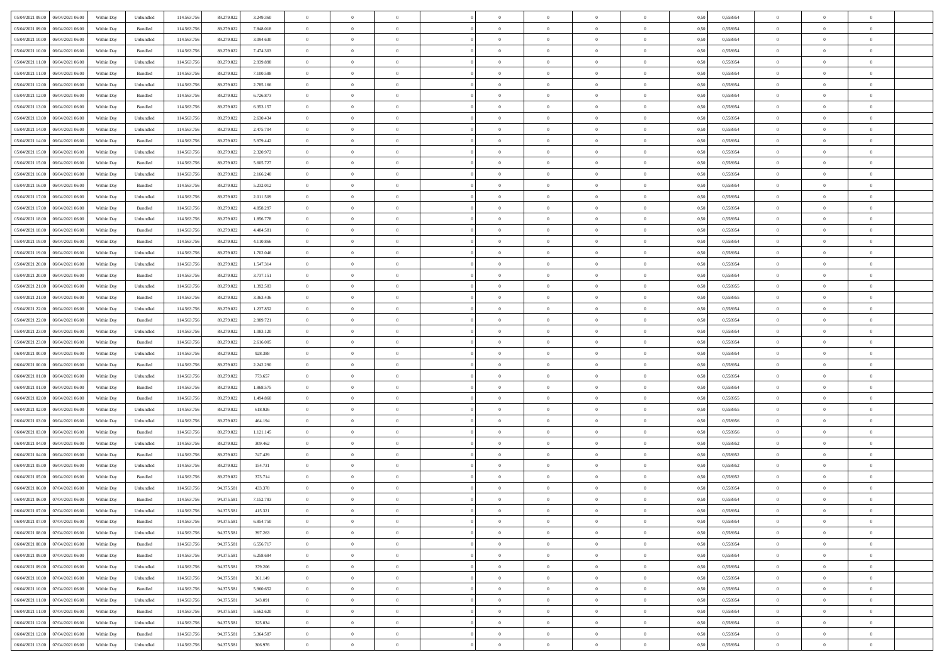| 05/04/2021 09:00   06/04/2021 06:00          | Within Day | Unbundled                   | 114.563.75  | 89.279.022 | 3.249.360 | $\overline{0}$ | $\overline{0}$ |                | $\overline{0}$ | $\theta$       |                | $\theta$       | 0,50 | 0,558954 | $\theta$       | $\theta$       | $\overline{0}$ |  |
|----------------------------------------------|------------|-----------------------------|-------------|------------|-----------|----------------|----------------|----------------|----------------|----------------|----------------|----------------|------|----------|----------------|----------------|----------------|--|
| 05/04/2021 09:00<br>06/04/2021 06.00         | Within Day | Bundled                     | 114.563.75  | 89.279.022 | 7.848.018 | $\bf{0}$       | $\bf{0}$       | $\bf{0}$       | $\overline{0}$ | $\overline{0}$ | $\overline{0}$ | $\bf{0}$       | 0,50 | 0,558954 | $\,$ 0 $\,$    | $\bf{0}$       | $\overline{0}$ |  |
| 05/04/2021 10:00<br>06/04/2021 06:00         | Within Day | Unbundled                   | 114,563,75  | 89.279.022 | 3.094.630 | $\overline{0}$ | $\bf{0}$       | $\overline{0}$ | $\bf{0}$       | $\bf{0}$       | $\overline{0}$ | $\bf{0}$       | 0.50 | 0.558954 | $\bf{0}$       | $\overline{0}$ | $\overline{0}$ |  |
| 05/04/2021 10:00<br>06/04/2021 06:00         |            |                             | 114.563.75  |            |           | $\overline{0}$ | $\overline{0}$ | $\overline{0}$ | $\theta$       | $\theta$       | $\overline{0}$ |                |      |          | $\theta$       | $\theta$       | $\overline{0}$ |  |
|                                              | Within Day | Bundled                     |             | 89.279.022 | 7.474.303 |                |                |                |                |                |                | $\bf{0}$       | 0,50 | 0,558954 |                |                |                |  |
| 05/04/2021 11:00<br>06/04/2021 06.00         | Within Day | Unbundled                   | 114.563.75  | 89.279.022 | 2.939.898 | $\bf{0}$       | $\overline{0}$ | $\bf{0}$       | $\overline{0}$ | $\theta$       | $\overline{0}$ | $\bf{0}$       | 0,50 | 0,558954 | $\,$ 0 $\,$    | $\bf{0}$       | $\overline{0}$ |  |
| 05/04/2021 11:00<br>06/04/2021 06:00         | Within Day | Bundled                     | 114,563,75  | 89.279.022 | 7.100.588 | $\overline{0}$ | $\overline{0}$ | $\overline{0}$ | $\bf{0}$       | $\overline{0}$ | $\theta$       | $\bf{0}$       | 0.50 | 0.558954 | $\,$ 0 $\,$    | $\theta$       | $\overline{0}$ |  |
| 05/04/2021 12:00<br>06/04/2021 06:00         | Within Day | Unbundled                   | 114.563.75  | 89.279.022 | 2.785.166 | $\overline{0}$ | $\overline{0}$ | $\overline{0}$ | $\overline{0}$ | $\overline{0}$ | $\overline{0}$ | $\bf{0}$       | 0,50 | 0,558954 | $\theta$       | $\theta$       | $\overline{0}$ |  |
|                                              |            |                             |             |            |           |                |                |                |                |                |                |                |      |          |                |                |                |  |
| 05/04/2021 12:00<br>06/04/2021 06.00         | Within Day | Bundled                     | 114.563.75  | 89.279.022 | 6.726.873 | $\bf{0}$       | $\overline{0}$ | $\bf{0}$       | $\overline{0}$ | $\overline{0}$ | $\overline{0}$ | $\bf{0}$       | 0,50 | 0,558954 | $\,$ 0 $\,$    | $\bf{0}$       | $\overline{0}$ |  |
| 05/04/2021 13:00<br>06/04/2021 06:00         | Within Day | Bundled                     | 114,563,75  | 89.279.022 | 6.353.157 | $\overline{0}$ | $\bf{0}$       | $\overline{0}$ | $\bf{0}$       | $\overline{0}$ | $\overline{0}$ | $\bf{0}$       | 0.50 | 0.558954 | $\bf{0}$       | $\overline{0}$ | $\overline{0}$ |  |
| 05/04/2021 13:00<br>06/04/2021 06:00         | Within Day | Unbundled                   | 114.563.756 | 89.279.022 | 2.630.434 | $\overline{0}$ | $\bf{0}$       | $\overline{0}$ | $\overline{0}$ | $\overline{0}$ | $\overline{0}$ | $\bf{0}$       | 0,50 | 0,558954 | $\,$ 0 $\,$    | $\bf{0}$       | $\overline{0}$ |  |
| 05/04/2021 14:00<br>06/04/2021 06.00         | Within Day | Unbundled                   | 114.563.75  | 89.279.022 | 2.475.704 | $\bf{0}$       | $\overline{0}$ | $\bf{0}$       | $\bf{0}$       | $\bf{0}$       | $\overline{0}$ | $\bf{0}$       | 0,50 | 0,558954 | $\,$ 0 $\,$    | $\bf{0}$       | $\overline{0}$ |  |
|                                              |            |                             |             |            |           |                |                |                |                |                |                |                |      |          |                |                |                |  |
| 05/04/2021 14:00<br>06/04/2021 06:00         | Within Day | Bundled                     | 114,563,75  | 89.279.022 | 5.979.442 | $\overline{0}$ | $\bf{0}$       | $\overline{0}$ | $\overline{0}$ | $\bf{0}$       | $\overline{0}$ | $\bf{0}$       | 0.50 | 0.558954 | $\bf{0}$       | $\overline{0}$ | $\overline{0}$ |  |
| 05/04/2021 15:00<br>06/04/2021 06:00         | Within Day | Unbundled                   | 114.563.75  | 89.279.022 | 2.320.972 | $\overline{0}$ | $\overline{0}$ | $\overline{0}$ | $\theta$       | $\theta$       | $\overline{0}$ | $\bf{0}$       | 0,50 | 0,558954 | $\,$ 0 $\,$    | $\theta$       | $\overline{0}$ |  |
| 05/04/2021 15:00<br>06/04/2021 06.00         | Within Day | Bundled                     | 114.563.75  | 89.279.022 | 5.605.727 | $\bf{0}$       | $\overline{0}$ | $\bf{0}$       | $\overline{0}$ | $\theta$       | $\overline{0}$ | $\bf{0}$       | 0,50 | 0,558954 | $\,$ 0 $\,$    | $\bf{0}$       | $\overline{0}$ |  |
|                                              |            |                             |             |            |           |                |                |                |                |                |                |                |      |          |                |                |                |  |
| 05/04/2021 16:00<br>06/04/2021 06:00         | Within Day | Unbundled                   | 114,563,75  | 89.279.022 | 2.166.240 | $\overline{0}$ | $\overline{0}$ | $\overline{0}$ | $\bf{0}$       | $\overline{0}$ | $\theta$       | $\bf{0}$       | 0.50 | 0.558954 | $\,$ 0 $\,$    | $\theta$       | $\overline{0}$ |  |
| 05/04/2021 16:00<br>06/04/2021 06:00         | Within Day | Bundled                     | 114.563.75  | 89.279.022 | 5.232.012 | $\overline{0}$ | $\overline{0}$ | $\overline{0}$ | $\overline{0}$ | $\overline{0}$ | $\overline{0}$ | $\bf{0}$       | 0,50 | 0,558954 | $\theta$       | $\theta$       | $\overline{0}$ |  |
| 05/04/2021 17:00<br>06/04/2021 06.00         | Within Day | Unbundled                   | 114.563.75  | 89.279.022 | 2.011.509 | $\bf{0}$       | $\overline{0}$ | $\bf{0}$       | $\overline{0}$ | $\theta$       | $\overline{0}$ | $\bf{0}$       | 0,50 | 0,558954 | $\,$ 0 $\,$    | $\bf{0}$       | $\overline{0}$ |  |
| 05/04/2021 17:00<br>06/04/2021 06:00         | Within Day | Bundled                     | 114,563,75  | 89.279.022 | 4.858.297 | $\overline{0}$ | $\bf{0}$       | $\overline{0}$ | $\bf{0}$       | $\overline{0}$ | $\overline{0}$ | $\bf{0}$       | 0.50 | 0.558954 | $\bf{0}$       | $\overline{0}$ | $\overline{0}$ |  |
|                                              |            |                             |             |            |           |                |                | $\overline{0}$ | $\overline{0}$ | $\overline{0}$ | $\overline{0}$ |                |      |          | $\,$ 0 $\,$    | $\theta$       | $\overline{0}$ |  |
| 05/04/2021 18:00<br>06/04/2021 06:00         | Within Day | Unbundled                   | 114.563.75  | 89.279.022 | 1.856.778 | $\bf{0}$       | $\bf{0}$       |                |                |                |                | $\bf{0}$       | 0,50 | 0,558954 |                |                |                |  |
| 05/04/2021 18:00<br>06/04/2021 06.00         | Within Day | Bundled                     | 114.563.75  | 89.279.022 | 4.484.581 | $\bf{0}$       | $\bf{0}$       | $\bf{0}$       | $\bf{0}$       | $\overline{0}$ | $\overline{0}$ | $\bf{0}$       | 0,50 | 0,558954 | $\,$ 0 $\,$    | $\bf{0}$       | $\overline{0}$ |  |
| 05/04/2021 19:00<br>06/04/2021 06:00         | Within Day | Bundled                     | 114.563.75  | 89.279.022 | 4.110.866 | $\overline{0}$ | $\bf{0}$       | $\overline{0}$ | $\overline{0}$ | $\bf{0}$       | $\overline{0}$ | $\bf{0}$       | 0.50 | 0.558954 | $\bf{0}$       | $\overline{0}$ | $\overline{0}$ |  |
| 05/04/2021 19:00<br>06/04/2021 06:00         | Within Day | Unbundled                   | 114.563.75  | 89.279.022 | 1.702.046 | $\overline{0}$ | $\overline{0}$ | $\overline{0}$ | $\theta$       | $\theta$       | $\overline{0}$ | $\bf{0}$       | 0,50 | 0,558954 | $\theta$       | $\theta$       | $\overline{0}$ |  |
|                                              |            |                             |             |            |           |                | $\overline{0}$ |                |                | $\,$ 0 $\,$    | $\overline{0}$ |                |      |          | $\,$ 0 $\,$    | $\bf{0}$       | $\overline{0}$ |  |
| 05/04/2021 20:00<br>06/04/2021 06.00         | Within Day | Unbundled                   | 114.563.75  | 89.279.022 | 1.547.314 | $\bf{0}$       |                | $\bf{0}$       | $\bf{0}$       |                |                | $\bf{0}$       | 0,50 | 0,558954 |                |                |                |  |
| 05/04/2021 20:00<br>06/04/2021 06:00         | Within Day | Bundled                     | 114,563,75  | 89.279.022 | 3.737.151 | $\overline{0}$ | $\overline{0}$ | $\overline{0}$ | $\overline{0}$ | $\overline{0}$ | $\theta$       | $\bf{0}$       | 0.50 | 0.558954 | $\,$ 0 $\,$    | $\theta$       | $\overline{0}$ |  |
| 05/04/2021 21:00<br>06/04/2021 06:00         | Within Day | Unbundled                   | 114.563.75  | 89.279.022 | 1.392.583 | $\overline{0}$ | $\overline{0}$ | $\overline{0}$ | $\overline{0}$ | $\overline{0}$ | $\overline{0}$ | $\bf{0}$       | 0,50 | 0,558955 | $\,$ 0 $\,$    | $\theta$       | $\overline{0}$ |  |
| 05/04/2021 21:00<br>06/04/2021 06.00         | Within Day | Bundled                     | 114.563.75  | 89.279.02  | 3.363.436 | $\bf{0}$       | $\overline{0}$ | $\bf{0}$       | $\overline{0}$ | $\theta$       | $\overline{0}$ | $\bf{0}$       | 0,50 | 0,558955 | $\,$ 0 $\,$    | $\bf{0}$       | $\overline{0}$ |  |
| 05/04/2021 22:00<br>06/04/2021 06:00         |            | Unbundled                   | 114,563,75  | 89.279.022 |           |                | $\bf{0}$       | $\overline{0}$ |                | $\overline{0}$ | $\overline{0}$ |                | 0.50 | 0.558954 | $\bf{0}$       | $\overline{0}$ | $\overline{0}$ |  |
|                                              | Within Day |                             |             |            | 1.237.852 | $\overline{0}$ |                |                | $\bf{0}$       |                |                | $\bf{0}$       |      |          |                |                |                |  |
| 05/04/2021 22:00<br>06/04/2021 06:00         | Within Day | Bundled                     | 114.563.756 | 89.279.022 | 2.989.721 | $\overline{0}$ | $\overline{0}$ | $\overline{0}$ | $\overline{0}$ | $\overline{0}$ | $\overline{0}$ | $\bf{0}$       | 0,50 | 0,558954 | $\theta$       | $\theta$       | $\overline{0}$ |  |
| 05/04/2021 23:00<br>06/04/2021 06.00         | Within Day | Unbundled                   | 114.563.75  | 89.279.022 | 1.083.120 | $\bf{0}$       | $\bf{0}$       | $\bf{0}$       | $\bf{0}$       | $\overline{0}$ | $\overline{0}$ | $\bf{0}$       | 0,50 | 0,558954 | $\,$ 0 $\,$    | $\bf{0}$       | $\overline{0}$ |  |
| 05/04/2021 23:00<br>06/04/2021 06:00         | Within Day | Bundled                     | 114,563,75  | 89.279.022 | 2.616.005 | $\overline{0}$ | $\bf{0}$       | $\overline{0}$ | $\overline{0}$ | $\bf{0}$       | $\overline{0}$ | $\bf{0}$       | 0.50 | 0.558954 | $\bf{0}$       | $\overline{0}$ | $\overline{0}$ |  |
| 06/04/2021 00:00<br>06/04/2021 06:00         | Within Day | Unbundled                   | 114.563.75  | 89.279.022 | 928,388   | $\overline{0}$ | $\overline{0}$ | $\overline{0}$ | $\overline{0}$ | $\overline{0}$ | $\overline{0}$ | $\bf{0}$       | 0.50 | 0,558954 | $\theta$       | $\theta$       | $\overline{0}$ |  |
|                                              |            |                             |             |            |           |                |                |                |                |                |                |                |      |          |                |                |                |  |
| 06/04/2021 00:00<br>06/04/2021 06.00         | Within Day | Bundled                     | 114.563.75  | 89.279.022 | 2.242.290 | $\bf{0}$       | $\overline{0}$ | $\bf{0}$       | $\bf{0}$       | $\overline{0}$ | $\overline{0}$ | $\bf{0}$       | 0,50 | 0,558954 | $\,$ 0 $\,$    | $\bf{0}$       | $\overline{0}$ |  |
| 06/04/2021 01:00<br>06/04/2021 06:00         | Within Day | Unbundled                   | 114,563,75  | 89.279.022 | 773.657   | $\overline{0}$ | $\bf{0}$       | $\overline{0}$ | $\bf{0}$       | $\overline{0}$ | $\Omega$       | $\bf{0}$       | 0.50 | 0.558954 | $\,$ 0 $\,$    | $\theta$       | $\overline{0}$ |  |
| 06/04/2021 01:00<br>06/04/2021 06:00         | Within Dav | Bundled                     | 114.563.75  | 89.279.022 | 1.868,575 | $\overline{0}$ | $\overline{0}$ | $\overline{0}$ | $\overline{0}$ | $\theta$       | $\overline{0}$ | $\bf{0}$       | 0.50 | 0,558954 | $\theta$       | $\theta$       | $\overline{0}$ |  |
| 06/04/2021 02:00<br>06/04/2021 06.00         | Within Day | Bundled                     | 114.563.75  | 89.279.02  | 1.494.860 | $\bf{0}$       | $\bf{0}$       | $\bf{0}$       | $\bf{0}$       | $\overline{0}$ | $\overline{0}$ | $\bf{0}$       | 0,50 | 0,558955 | $\,$ 0 $\,$    | $\bf{0}$       | $\overline{0}$ |  |
|                                              |            |                             |             |            |           |                |                |                |                |                |                |                |      |          |                |                |                |  |
| 06/04/2021 02:00<br>06/04/2021 06:00         | Within Day | Unbundled                   | 114,563,75  | 89.279.022 | 618.926   | $\overline{0}$ | $\bf{0}$       | $\overline{0}$ | $\bf{0}$       | $\overline{0}$ | $\overline{0}$ | $\bf{0}$       | 0.50 | 0.558955 | $\bf{0}$       | $\overline{0}$ | $\overline{0}$ |  |
| 06/04/2021 03:00<br>06/04/2021 06:00         | Within Dav | Unbundled                   | 114.563.75  | 89.279.022 | 464.194   | $\overline{0}$ | $\overline{0}$ | $\overline{0}$ | $\overline{0}$ | $\overline{0}$ | $\overline{0}$ | $\bf{0}$       | 0.50 | 0,558956 | $\theta$       | $\theta$       | $\overline{0}$ |  |
| 06/04/2021 03:00<br>06/04/2021 06.00         | Within Day | Bundled                     | 114.563.75  | 89.279.022 | 1.121.145 | $\bf{0}$       | $\bf{0}$       | $\bf{0}$       | $\bf{0}$       | $\overline{0}$ | $\overline{0}$ | $\bf{0}$       | 0,50 | 0,558956 | $\,$ 0 $\,$    | $\bf{0}$       | $\overline{0}$ |  |
| 06/04/2021 04:00<br>06/04/2021 06:00         | Within Day | Unbundled                   | 114.563.75  | 89.279.022 | 309.462   | $\overline{0}$ | $\bf{0}$       | $\overline{0}$ | $\overline{0}$ | $\bf{0}$       | $\overline{0}$ | $\bf{0}$       | 0.50 | 0.558952 | $\,$ 0 $\,$    | $\overline{0}$ | $\overline{0}$ |  |
|                                              |            |                             |             |            |           |                |                |                |                |                |                |                |      |          |                |                |                |  |
| 06/04/2021 04:00<br>06/04/2021 06:00         | Within Dav | Bundled                     | 114.563.75  | 89.279.022 | 747.429   | $\overline{0}$ | $\overline{0}$ | $\overline{0}$ | $\overline{0}$ | $\overline{0}$ | $\overline{0}$ | $\bf{0}$       | 0.50 | 0,558952 | $\theta$       | $\theta$       | $\overline{0}$ |  |
| 06/04/2021 05:00<br>06/04/2021 06.00         | Within Day | Unbundled                   | 114.563.75  | 89.279.022 | 154.731   | $\bf{0}$       | $\bf{0}$       | $\bf{0}$       | $\bf{0}$       | $\overline{0}$ | $\overline{0}$ | $\bf{0}$       | 0,50 | 0,558952 | $\,$ 0 $\,$    | $\bf{0}$       | $\overline{0}$ |  |
| 06/04/2021 05:00<br>06/04/2021 06:00         | Within Day | Bundled                     | 114,563,75  | 89.279.022 | 373.714   | $\overline{0}$ | $\overline{0}$ | $\overline{0}$ | $\bf{0}$       | $\overline{0}$ | $\Omega$       | $\bf{0}$       | 0.50 | 0.558952 | $\bf{0}$       | $\theta$       | $\overline{0}$ |  |
| 06/04/2021 06:00<br>07/04/2021 06:00         | Within Dav | Unbundled                   | 114.563.75  | 94.375.581 | 433.378   | $\overline{0}$ | $\overline{0}$ | $\Omega$       | $\overline{0}$ | $\theta$       | $\Omega$       | $\overline{0}$ | 0.5( | 0,558954 | $\theta$       | $\theta$       | $\overline{0}$ |  |
| 06/04/2021 06:00                             |            |                             |             |            |           | $\bf{0}$       | $\bf{0}$       | $\overline{0}$ | $\bf{0}$       | $\bf{0}$       | $\overline{0}$ |                |      |          | $\overline{0}$ | $\bf{0}$       | $\overline{0}$ |  |
| 07/04/2021 06:00                             | Within Day | Bundled                     | 114.563.75  | 94.375.581 | 7.152.783 |                |                |                |                |                |                | $\bf{0}$       | 0,50 | 0,558954 |                |                |                |  |
| $06/04/2021\;07.00 \qquad 07/04/2021\;06.00$ | Within Day | $\ensuremath{\mathsf{Unb}}$ | 114.563.756 | 94.375.581 | 415.321   | $\bf{0}$       | $\Omega$       |                | $\Omega$       |                |                |                | 0,50 | 0.558954 | $\theta$       | $\overline{0}$ |                |  |
| 06/04/2021 07:00 07/04/2021 06:00            | Within Day | Bundled                     | 114.563.756 | 94.375.581 | 6.854.750 | $\overline{0}$ | $\overline{0}$ | $\overline{0}$ | $\theta$       | $\overline{0}$ | $\overline{0}$ | $\bf{0}$       | 0,50 | 0,558954 | $\theta$       | $\theta$       | $\overline{0}$ |  |
| 06/04/2021 08:00<br>07/04/2021 06:00         | Within Day | Unbundled                   | 114.563.75  | 94.375.581 | 397.263   | $\overline{0}$ | $\bf{0}$       | $\overline{0}$ | $\overline{0}$ | $\bf{0}$       | $\overline{0}$ | $\bf{0}$       | 0,50 | 0,558954 | $\bf{0}$       | $\overline{0}$ | $\bf{0}$       |  |
| 06/04/2021 08:00 07/04/2021 06:00            | Within Day | Bundled                     | 114.563.756 | 94.375.581 | 6.556.717 | $\overline{0}$ | $\bf{0}$       | $\overline{0}$ | $\overline{0}$ | $\mathbf{0}$   | $\overline{0}$ | $\,$ 0 $\,$    | 0.50 | 0.558954 | $\overline{0}$ | $\bf{0}$       | $\overline{0}$ |  |
|                                              |            |                             |             |            |           |                |                |                |                |                |                |                |      |          |                |                |                |  |
| 06/04/2021 09:00 07/04/2021 06:00            | Within Day | Bundled                     | 114.563.756 | 94.375.581 | 6.258.684 | $\overline{0}$ | $\overline{0}$ | $\overline{0}$ | $\overline{0}$ | $\overline{0}$ | $\overline{0}$ | $\bf{0}$       | 0,50 | 0,558954 | $\overline{0}$ | $\theta$       | $\overline{0}$ |  |
| 06/04/2021 09:00<br>07/04/2021 06:00         | Within Day | Unbundled                   | 114.563.75  | 94.375.581 | 379.206   | $\overline{0}$ | $\bf{0}$       | $\overline{0}$ | $\overline{0}$ | $\bf{0}$       | $\overline{0}$ | $\bf{0}$       | 0,50 | 0,558954 | $\bf{0}$       | $\overline{0}$ | $\overline{0}$ |  |
| 06/04/2021 10:00 07/04/2021 06:00            | Within Day | Unbundled                   | 114.563.756 | 94.375.581 | 361.149   | $\overline{0}$ | $\bf{0}$       | $\overline{0}$ | $\overline{0}$ | $\bf{0}$       | $\overline{0}$ | $\bf{0}$       | 0.50 | 0.558954 | $\,$ 0 $\,$    | $\overline{0}$ | $\,$ 0         |  |
| 06/04/2021 10:00 07/04/2021 06:00            | Within Dav | Bundled                     | 114.563.756 | 94.375.581 | 5.960.652 | $\overline{0}$ | $\overline{0}$ | $\overline{0}$ | $\overline{0}$ | $\overline{0}$ | $\overline{0}$ | $\bf{0}$       | 0.50 | 0,558954 | $\overline{0}$ | $\theta$       | $\overline{0}$ |  |
|                                              |            |                             |             |            |           |                |                |                |                |                |                |                |      |          |                |                |                |  |
| 06/04/2021 11:00<br>07/04/2021 06:00         | Within Day | Unbundled                   | 114.563.75  | 94.375.581 | 343.091   | $\overline{0}$ | $\overline{0}$ | $\overline{0}$ | $\overline{0}$ | $\overline{0}$ | $\overline{0}$ | $\bf{0}$       | 0,50 | 0,558954 | $\bf{0}$       | $\overline{0}$ | $\,$ 0         |  |
| 06/04/2021 11:00 07/04/2021 06:00            | Within Day | Bundled                     | 114,563,756 | 94.375.581 | 5.662.620 | $\overline{0}$ | $\overline{0}$ | $\overline{0}$ | $\overline{0}$ | $\overline{0}$ | $\overline{0}$ | $\bf{0}$       | 0.50 | 0.558954 | $\mathbf{0}$   | $\bf{0}$       | $\,$ 0         |  |
| 06/04/2021 12:00 07/04/2021 06:00            | Within Dav | Unbundled                   | 114.563.756 | 94.375.581 | 325.034   | $\overline{0}$ | $\overline{0}$ | $\overline{0}$ | $\overline{0}$ | $\overline{0}$ | $\overline{0}$ | $\bf{0}$       | 0,50 | 0,558954 | $\overline{0}$ | $\theta$       | $\overline{0}$ |  |
| 06/04/2021 12:00<br>07/04/2021 06:00         | Within Day | Bundled                     | 114.563.75  | 94.375.581 | 5.364.587 | $\overline{0}$ | $\bf{0}$       | $\overline{0}$ | $\overline{0}$ | $\overline{0}$ | $\overline{0}$ |                | 0,50 | 0,558954 | $\bf{0}$       | $\overline{0}$ | $\bf{0}$       |  |
|                                              |            |                             |             |            |           |                |                |                |                |                |                | $\bf{0}$       |      |          |                |                |                |  |
| 06/04/2021 13:00 07/04/2021 06:00            | Within Day | Unbundled                   | 114.563.756 | 94.375.581 | 306.976   | $\,$ 0 $\,$    | $\bf{0}$       | $\overline{0}$ | $\overline{0}$ | $\,$ 0 $\,$    | $\overline{0}$ | $\,$ 0 $\,$    | 0,50 | 0,558954 | $\overline{0}$ | $\,$ 0 $\,$    | $\,$ 0 $\,$    |  |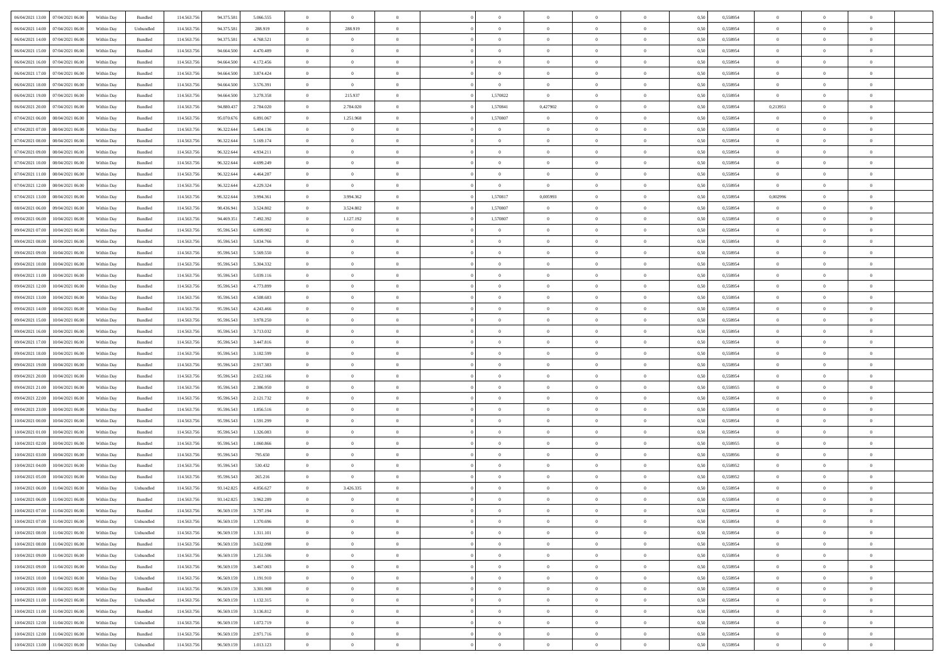| 06/04/2021 13:00 07/04/2021 06:00    | Within Day | Bundled   | 114.563.75                | 94.375.581 | 5.066,555 | $\Omega$       | $\overline{0}$ |                | $\Omega$       | $\theta$       | $\Omega$       | $\theta$       | 0,50 | 0,558954 | $\theta$       | $\Omega$       | $\theta$       |  |
|--------------------------------------|------------|-----------|---------------------------|------------|-----------|----------------|----------------|----------------|----------------|----------------|----------------|----------------|------|----------|----------------|----------------|----------------|--|
| 06/04/2021 14:00<br>07/04/2021 06:00 | Within Day | Unbundled | 114.563.75                | 94.375.581 | 288.919   | $\overline{0}$ | 288.919        | $\overline{0}$ | $\overline{0}$ | $\theta$       | $\overline{0}$ | $\bf{0}$       | 0,50 | 0,558954 | $\theta$       | $\theta$       | $\overline{0}$ |  |
| 06/04/2021 14:00<br>07/04/2021 06:00 | Within Day | Bundled   | 114.563.75                | 94.375.581 | 4.768.521 | $\overline{0}$ | $\bf{0}$       | $\overline{0}$ | $\overline{0}$ | $\bf{0}$       | $\overline{0}$ | $\bf{0}$       | 0,50 | 0,558954 | $\bf{0}$       | $\overline{0}$ | $\overline{0}$ |  |
| 06/04/2021 15:00<br>07/04/2021 06:00 | Within Day | Bundled   | 114.563.756               | 94,664,500 | 4.470.489 | $\overline{0}$ | $\overline{0}$ | $\overline{0}$ | $\overline{0}$ | $\overline{0}$ | $\overline{0}$ | $\overline{0}$ | 0.50 | 0.558954 | $\theta$       | $\theta$       | $\overline{0}$ |  |
| 06/04/2021 16:00<br>07/04/2021 06:00 | Within Day | Bundled   | 114.563.75                | 94.664.500 | 4.172.456 | $\overline{0}$ | $\overline{0}$ | $\overline{0}$ | $\overline{0}$ | $\theta$       | $\overline{0}$ | $\bf{0}$       | 0,50 | 0,558954 | $\theta$       | $\theta$       | $\overline{0}$ |  |
|                                      |            |           |                           |            |           |                | $\bf{0}$       |                |                |                |                |                |      |          | $\bf{0}$       | $\overline{0}$ | $\bf{0}$       |  |
| 06/04/2021 17:00<br>07/04/2021 06:00 | Within Day | Bundled   | 114.563.75                | 94.664.500 | 3.874.424 | $\overline{0}$ | $\overline{0}$ | $\overline{0}$ | $\overline{0}$ | $\overline{0}$ | $\overline{0}$ | $\bf{0}$       | 0,50 | 0,558954 | $\theta$       | $\theta$       | $\overline{0}$ |  |
| 06/04/2021 18:00<br>07/04/2021 06:00 | Within Day | Bundled   | 114.563.75                | 94,664,500 | 3.576.391 | $\overline{0}$ |                | $\overline{0}$ | $\overline{0}$ | $\overline{0}$ | $\overline{0}$ | $\bf{0}$       | 0.5( | 0.558954 |                |                |                |  |
| 06/04/2021 19:00<br>07/04/2021 06:00 | Within Day | Bundled   | 114.563.75                | 94.664.500 | 3.278.358 | $\bf{0}$       | 215.937        | $\overline{0}$ | 1,570822       | $\overline{0}$ | $\overline{0}$ | $\bf{0}$       | 0,50 | 0,558954 | $\theta$       | $\theta$       | $\overline{0}$ |  |
| 06/04/2021 20:00<br>07/04/2021 06.00 | Within Day | Bundled   | 114.563.75                | 94.880.437 | 2.784.020 | $\overline{0}$ | 2.784.020      | $\bf{0}$       | 1,570841       | 0,427902       | $\overline{0}$ | $\bf{0}$       | 0,50 | 0,558954 | 0,213951       | $\overline{0}$ | $\overline{0}$ |  |
| 07/04/2021 06:00<br>08/04/2021 06:00 | Within Day | Bundled   | 114.563.75                | 95.070.676 | 6.891.067 | $\overline{0}$ | 1.251.968      | $\overline{0}$ | 1,570807       | $\overline{0}$ | $\overline{0}$ | $\bf{0}$       | 0.5( | 0.558954 | $\theta$       | $\theta$       | $\overline{0}$ |  |
| 07/04/2021 07:00<br>08/04/2021 06:00 | Within Day | Bundled   | 114.563.75                | 96.322.644 | 5.404.136 | $\overline{0}$ | $\overline{0}$ | $\overline{0}$ | $\overline{0}$ | $\theta$       | $\overline{0}$ | $\bf{0}$       | 0,50 | 0,558954 | $\theta$       | $\theta$       | $\overline{0}$ |  |
| 07/04/2021 08:00<br>08/04/2021 06:00 | Within Day | Bundled   | 114.563.75                | 96.322.644 | 5.169.174 | $\overline{0}$ | $\bf{0}$       | $\overline{0}$ | $\overline{0}$ | $\overline{0}$ | $\overline{0}$ | $\bf{0}$       | 0,50 | 0,558954 | $\bf{0}$       | $\overline{0}$ | $\overline{0}$ |  |
| 07/04/2021 09:00<br>08/04/2021 06:00 | Within Day | Bundled   | 114.563.756               | 96.322.64  | 4.934.211 | $\overline{0}$ | $\overline{0}$ | $\overline{0}$ | $\overline{0}$ | $\overline{0}$ | $\overline{0}$ | $\overline{0}$ | 0.5( | 0.558954 | $\theta$       | $\theta$       | $\overline{0}$ |  |
| 07/04/2021 10:00<br>08/04/2021 06:00 | Within Day | Bundled   | 114.563.75                | 96.322.644 | 4.699.249 | $\overline{0}$ | $\theta$       | $\overline{0}$ | $\overline{0}$ | $\theta$       | $\overline{0}$ | $\bf{0}$       | 0,50 | 0,558954 | $\theta$       | $\theta$       | $\overline{0}$ |  |
| 07/04/2021 11:00<br>08/04/2021 06:00 | Within Day | Bundled   | 114.563.756               | 96.322.644 | 4.464.287 | $\overline{0}$ | $\bf{0}$       | $\overline{0}$ | $\overline{0}$ | $\overline{0}$ | $\overline{0}$ | $\bf{0}$       | 0,50 | 0,558954 | $\bf{0}$       | $\overline{0}$ | $\bf{0}$       |  |
| 07/04/2021 12:00<br>08/04/2021 06:00 | Within Day | Bundled   | 114.563.756               | 96.322.644 | 4.229.324 | $\overline{0}$ | $\overline{0}$ | $\overline{0}$ | $\overline{0}$ | $\overline{0}$ | $\overline{0}$ | $\bf{0}$       | 0.50 | 0.558954 | $\overline{0}$ | $\overline{0}$ | $\overline{0}$ |  |
| 07/04/2021 13:00<br>08/04/2021 06:00 | Within Day | Bundled   | 114.563.75                | 96.322.644 | 3.994.361 | $\bf{0}$       | 3.994.362      | $\overline{0}$ | 1,570817       | 0,005993       | $\overline{0}$ | $\bf{0}$       | 0,50 | 0,558954 | 0,002996       | $\theta$       | $\overline{0}$ |  |
| 08/04/2021 06:00<br>09/04/2021 06.00 | Within Day | Bundled   | 114.563.75                | 98.436.941 | 3.524.802 | $\overline{0}$ | 3.524.802      | $\bf{0}$       | 1,570807       | $\bf{0}$       | $\overline{0}$ | $\bf{0}$       | 0,50 | 0,558954 | $\bf{0}$       | $\overline{0}$ | $\overline{0}$ |  |
| 09/04/2021 06:00<br>10/04/2021 06:00 |            | Bundled   | 114.563.75                | 94.469.35  | 7.492.392 | $\overline{0}$ |                | $\overline{0}$ | 1,570807       | $\overline{0}$ | $\overline{0}$ | $\bf{0}$       | 0.5( | 0,558954 | $\theta$       | $\theta$       | $\overline{0}$ |  |
|                                      | Within Day |           |                           |            |           |                | 1.127.192      |                |                |                |                |                |      |          |                |                |                |  |
| 09/04/2021 07:00<br>10/04/2021 06:00 | Within Day | Bundled   | 114.563.75                | 95.596.543 | 6.099.982 | $\bf{0}$       | $\overline{0}$ | $\overline{0}$ | $\overline{0}$ | $\overline{0}$ | $\overline{0}$ | $\bf{0}$       | 0,50 | 0,558954 | $\theta$       | $\theta$       | $\overline{0}$ |  |
| 09/04/2021 08:00<br>10/04/2021 06:00 | Within Day | Bundled   | 114.563.75                | 95.596.543 | 5.834.766 | $\overline{0}$ | $\bf{0}$       | $\overline{0}$ | $\overline{0}$ | $\overline{0}$ | $\overline{0}$ | $\bf{0}$       | 0,50 | 0,558954 | $\bf{0}$       | $\overline{0}$ | $\overline{0}$ |  |
| 09/04/2021 09:00<br>10/04/2021 06:00 | Within Day | Bundled   | 114.563.756               | 95.596.543 | 5.569.550 | $\overline{0}$ | $\overline{0}$ | $\overline{0}$ | $\overline{0}$ | $\overline{0}$ | $\overline{0}$ | $\overline{0}$ | 0.50 | 0.558954 | $\theta$       | $\theta$       | $\overline{0}$ |  |
| 09/04/2021 10:00<br>10/04/2021 06:00 | Within Day | Bundled   | 114.563.75                | 95.596.543 | 5.304.332 | $\overline{0}$ | $\theta$       | $\overline{0}$ | $\overline{0}$ | $\theta$       | $\overline{0}$ | $\bf{0}$       | 0,50 | 0,558954 | $\theta$       | $\theta$       | $\overline{0}$ |  |
| 09/04/2021 11:00<br>10/04/2021 06:00 | Within Day | Bundled   | 114.563.75                | 95.596.543 | 5.039.116 | $\overline{0}$ | $\bf{0}$       | $\overline{0}$ | $\overline{0}$ | $\overline{0}$ | $\overline{0}$ | $\bf{0}$       | 0,50 | 0,558954 | $\bf{0}$       | $\overline{0}$ | $\bf{0}$       |  |
| 09/04/2021 12:00<br>10/04/2021 06:00 | Within Day | Bundled   | 114.563.75                | 95.596.543 | 4.773.899 | $\overline{0}$ | $\overline{0}$ | $\overline{0}$ | $\overline{0}$ | $\overline{0}$ | $\overline{0}$ | $\overline{0}$ | 0.5( | 0.558954 | $\theta$       | $\theta$       | $\overline{0}$ |  |
| 09/04/2021 13:00<br>10/04/2021 06:00 | Within Day | Bundled   | 114.563.75                | 95.596.543 | 4.508.683 | $\overline{0}$ | $\overline{0}$ | $\overline{0}$ | $\overline{0}$ | $\theta$       | $\overline{0}$ | $\bf{0}$       | 0,50 | 0,558954 | $\theta$       | $\theta$       | $\overline{0}$ |  |
| 09/04/2021 14:00<br>10/04/2021 06:00 | Within Day | Bundled   | 114.563.75                | 95.596.543 | 4.243.466 | $\overline{0}$ | $\bf{0}$       | $\overline{0}$ | $\overline{0}$ | $\overline{0}$ | $\overline{0}$ | $\bf{0}$       | 0,50 | 0,558954 | $\bf{0}$       | $\bf{0}$       | $\overline{0}$ |  |
| 09/04/2021 15:00<br>10/04/2021 06:00 | Within Day | Bundled   | 114.563.756               | 95.596.543 | 3.978.250 | $\overline{0}$ | $\overline{0}$ | $\overline{0}$ | $\overline{0}$ | $\overline{0}$ | $\overline{0}$ | $\overline{0}$ | 0.5( | 0.558954 | $\theta$       | $\theta$       | $\overline{0}$ |  |
| 09/04/2021 16:00<br>10/04/2021 06:00 | Within Day | Bundled   | 114.563.75                | 95.596.543 | 3.713.032 | $\bf{0}$       | $\overline{0}$ | $\overline{0}$ | $\overline{0}$ | $\theta$       | $\overline{0}$ | $\bf{0}$       | 0,50 | 0,558954 | $\theta$       | $\theta$       | $\overline{0}$ |  |
| 09/04/2021 17:00<br>10/04/2021 06:00 | Within Day | Bundled   | 114.563.75                | 95.596.543 | 3.447.816 | $\overline{0}$ | $\bf{0}$       | $\overline{0}$ | $\overline{0}$ | $\overline{0}$ | $\overline{0}$ | $\bf{0}$       | 0,50 | 0,558954 | $\bf{0}$       | $\overline{0}$ | $\overline{0}$ |  |
| 09/04/2021 18:00<br>10/04/2021 06:00 | Within Day | Bundled   | 114.563.75                | 95.596.54  | 3.182.599 | $\overline{0}$ | $\overline{0}$ | $\overline{0}$ | $\Omega$       | $\theta$       | $\theta$       | $\bf{0}$       | 0.50 | 0,558954 | $\,$ 0 $\,$    | $\overline{0}$ | $\theta$       |  |
| 09/04/2021 19:00<br>10/04/2021 06:00 | Within Day | Bundled   | 114.563.75                | 95.596.543 | 2.917.383 | $\overline{0}$ | $\overline{0}$ | $\overline{0}$ | $\overline{0}$ | $\theta$       | $\overline{0}$ | $\bf{0}$       | 0,50 | 0,558954 | $\theta$       | $\theta$       | $\overline{0}$ |  |
|                                      |            |           |                           |            |           |                |                |                |                |                |                |                |      |          |                |                |                |  |
| 09/04/2021 20:00<br>10/04/2021 06:00 | Within Day | Bundled   | 114.563.756               | 95.596.543 | 2.652.166 | $\overline{0}$ | $\bf{0}$       | $\overline{0}$ | $\overline{0}$ | $\bf{0}$       | $\overline{0}$ | $\bf{0}$       | 0,50 | 0,558954 | $\bf{0}$       | $\overline{0}$ | $\bf{0}$       |  |
| 09/04/2021 21:00<br>10/04/2021 06:00 | Within Day | Bundled   | 114.563.75                | 95.596.543 | 2.386.950 | $\overline{0}$ | $\overline{0}$ | $\Omega$       | $\Omega$       | $\overline{0}$ | $\Omega$       | $\overline{0}$ | 0.50 | 0.558955 | $\,$ 0 $\,$    | $\theta$       | $\theta$       |  |
| 09/04/2021 22.00<br>10/04/2021 06:00 | Within Day | Bundled   | 114.563.75                | 95.596.543 | 2.121.732 | $\bf{0}$       | $\overline{0}$ | $\overline{0}$ | $\overline{0}$ | $\theta$       | $\overline{0}$ | $\bf{0}$       | 0,50 | 0,558954 | $\theta$       | $\theta$       | $\overline{0}$ |  |
| 09/04/2021 23:00<br>10/04/2021 06:00 | Within Day | Bundled   | 114.563.75                | 95.596.543 | 1.856.516 | $\overline{0}$ | $\bf{0}$       | $\overline{0}$ | $\overline{0}$ | $\overline{0}$ | $\overline{0}$ | $\bf{0}$       | 0,50 | 0,558954 | $\bf{0}$       | $\bf{0}$       | $\overline{0}$ |  |
| 10/04/2021 00:00<br>10/04/2021 06:00 | Within Day | Bundled   | 114.563.75                | 95.596.54  | 1.591.299 | $\overline{0}$ | $\overline{0}$ | $\Omega$       | $\Omega$       | $\overline{0}$ | $\theta$       | $\overline{0}$ | 0.50 | 0.558954 | $\bf{0}$       | $\theta$       | $\theta$       |  |
| 10/04/2021 01:00<br>10/04/2021 06:00 | Within Day | Bundled   | 114.563.75                | 95.596.543 | 1.326.083 | $\bf{0}$       | $\overline{0}$ | $\overline{0}$ | $\overline{0}$ | $\theta$       | $\overline{0}$ | $\bf{0}$       | 0,50 | 0,558954 | $\,$ 0 $\,$    | $\theta$       | $\overline{0}$ |  |
| 10/04/2021 02:00<br>10/04/2021 06:00 | Within Day | Bundled   | 114.563.75                | 95.596.543 | 1.060.866 | $\overline{0}$ | $\bf{0}$       | $\overline{0}$ | $\overline{0}$ | $\overline{0}$ | $\overline{0}$ | $\bf{0}$       | 0,50 | 0,558955 | $\bf{0}$       | $\overline{0}$ | $\overline{0}$ |  |
| 10/04/2021 03:00<br>10/04/2021 06:00 | Within Day | Bundled   | 114.563.75                | 95.596.54  | 795.650   | $\overline{0}$ | $\overline{0}$ | $\overline{0}$ | $\Omega$       | $\theta$       | $\overline{0}$ | $\bf{0}$       | 0.50 | 0,558956 | $\,$ 0 $\,$    | $\overline{0}$ | $\theta$       |  |
| 10/04/2021 04:00<br>10/04/2021 06:00 | Within Day | Bundled   | 114.563.75                | 95.596.543 | 530.432   | $\bf{0}$       | $\overline{0}$ | $\overline{0}$ | $\overline{0}$ | $\theta$       | $\overline{0}$ | $\bf{0}$       | 0,50 | 0,558952 | $\theta$       | $\theta$       | $\overline{0}$ |  |
| 10/04/2021 05:00<br>10/04/2021 06:00 | Within Day | Bundled   | 114.563.75                | 95.596.543 | 265.216   | $\overline{0}$ | $\overline{0}$ | $\overline{0}$ | $\overline{0}$ | $\overline{0}$ | $\overline{0}$ | $\bf{0}$       | 0,50 | 0,558952 | $\overline{0}$ | $\overline{0}$ | $\bf{0}$       |  |
| 10/04/2021 06:00<br>11/04/2021 06.00 | Within Day | Unbundled | 114.563.75                | 93.142.82  | 4.856.627 | $\overline{0}$ | 3.426.335      | $\Omega$       | $\Omega$       | $\Omega$       | $\theta$       | $\overline{0}$ | 0.50 | 0.558954 | $\theta$       | $\overline{0}$ | $\theta$       |  |
| 10/04/2021 06:00<br>11/04/2021 06:00 | Within Day | Bundled   | 114.563.75                | 93.142.825 | 3.962.289 | $\overline{0}$ | $\overline{0}$ | $\overline{0}$ | $\overline{0}$ | $\bf{0}$       | $\overline{0}$ | $\bf{0}$       | 0,50 | 0,558954 | $\bf{0}$       | $\,$ 0 $\,$    | $\overline{0}$ |  |
| 10/04/2021 07:00 11/04/2021 06:00    | Within Day | Bundled   | 114.563.756               | 96.569.159 | 3.797.194 | $\bf{0}$       | $\bf{0}$       |                |                |                |                |                | 0,50 | 0,558954 | $\bf{0}$       | $\bf{0}$       |                |  |
| 10/04/2021 07:00 11/04/2021 06:00    | Within Day | Unbundled |                           | 96.569.159 | 1.370.696 | $\Omega$       | $\overline{0}$ | $\Omega$       | $\Omega$       | $\Omega$       | $\theta$       | $\overline{0}$ | 0.50 | 0.558954 | $\theta$       | $\theta$       | $\theta$       |  |
| 10/04/2021 08:00<br>11/04/2021 06:00 | Within Day | Unbundled | 114.563.756<br>114.563.75 | 96.569.159 | 1.311.101 | $\overline{0}$ | $\overline{0}$ | $\overline{0}$ | $\overline{0}$ | $\,$ 0 $\,$    | $\overline{0}$ | $\,$ 0 $\,$    | 0,50 | 0,558954 | $\,$ 0 $\,$    | $\,$ 0 $\,$    | $\bf{0}$       |  |
|                                      |            |           |                           |            |           |                |                |                |                |                |                |                |      |          |                |                |                |  |
| 10/04/2021 08:00<br>11/04/2021 06:00 | Within Day | Bundled   | 114.563.756               | 96.569.159 | 3.632.098 | $\overline{0}$ | $\overline{0}$ | $\overline{0}$ | $\overline{0}$ | $\overline{0}$ | $\overline{0}$ | $\bf{0}$       | 0,50 | 0,558954 | $\overline{0}$ | $\bf{0}$       | $\bf{0}$       |  |
| 10/04/2021 09:00<br>11/04/2021 06:00 | Within Day | Unbundled | 114.563.756               | 96.569.159 | 1.251.506 | $\overline{0}$ | $\bf{0}$       | $\overline{0}$ | $\overline{0}$ | $\overline{0}$ | $\overline{0}$ | $\bf{0}$       | 0,50 | 0,558954 | $\bf{0}$       | $\theta$       | $\overline{0}$ |  |
| 10/04/2021 09:00<br>11/04/2021 06:00 | Within Day | Bundled   | 114.563.75                | 96.569.159 | 3.467.003 | $\overline{0}$ | $\overline{0}$ | $\overline{0}$ | $\overline{0}$ | $\overline{0}$ | $\overline{0}$ | $\bf{0}$       | 0,50 | 0,558954 | $\,$ 0 $\,$    | $\theta$       | $\overline{0}$ |  |
| 10/04/2021 10:00<br>11/04/2021 06:00 | Within Day | Unbundled | 114.563.756               | 96.569.159 | 1.191.910 | $\overline{0}$ | $\overline{0}$ | $\overline{0}$ | $\overline{0}$ | $\overline{0}$ | $\overline{0}$ | $\bf{0}$       | 0,50 | 0,558954 | $\overline{0}$ | $\overline{0}$ | $\bf{0}$       |  |
| 10/04/2021 10:00<br>11/04/2021 06:00 | Within Day | Bundled   | 114.563.75                | 96.569.159 | 3.301.908 | $\overline{0}$ | $\bf{0}$       | $\overline{0}$ | $\overline{0}$ | $\overline{0}$ | $\overline{0}$ | $\bf{0}$       | 0.50 | 0.558954 | $\overline{0}$ | $\theta$       | $\overline{0}$ |  |
| 10/04/2021 11:00<br>11/04/2021 06:00 | Within Day | Unbundled | 114.563.75                | 96.569.159 | 1.132.315 | $\overline{0}$ | $\bf{0}$       | $\overline{0}$ | $\overline{0}$ | $\overline{0}$ | $\overline{0}$ | $\bf{0}$       | 0,50 | 0,558954 | $\,$ 0 $\,$    | $\theta$       | $\overline{0}$ |  |
| 10/04/2021 11:00<br>11/04/2021 06:00 | Within Day | Bundled   | 114.563.75                | 96.569.159 | 3.136.812 | $\overline{0}$ | $\bf{0}$       | $\overline{0}$ | $\overline{0}$ | $\overline{0}$ | $\overline{0}$ | $\bf{0}$       | 0,50 | 0,558954 | $\overline{0}$ | $\overline{0}$ | $\bf{0}$       |  |
| 10/04/2021 12:00<br>11/04/2021 06:00 | Within Day | Unbundled | 114.563.75                | 96.569.159 | 1.072.719 | $\overline{0}$ | $\overline{0}$ | $\overline{0}$ | $\overline{0}$ | $\overline{0}$ | $\overline{0}$ | $\bf{0}$       | 0.50 | 0.558954 | $\bf{0}$       | $\theta$       | $\overline{0}$ |  |
| 10/04/2021 12:00<br>11/04/2021 06:00 | Within Day | Bundled   | 114.563.75                | 96.569.159 | 2.971.716 | $\overline{0}$ | $\bf{0}$       | $\overline{0}$ | $\overline{0}$ | $\overline{0}$ | $\bf{0}$       | $\bf{0}$       | 0,50 | 0,558954 | $\,$ 0 $\,$    | $\,$ 0 $\,$    | $\overline{0}$ |  |
| 10/04/2021 13:00 11/04/2021 06:00    | Within Day | Unbundled | 114.563.756               | 96.569.159 | 1.013.123 | $\overline{0}$ | $\bf{0}$       | $\overline{0}$ | $\overline{0}$ | $\overline{0}$ | $\overline{0}$ | $\bf{0}$       | 0,50 | 0,558954 | $\overline{0}$ | $\bf{0}$       | $\overline{0}$ |  |
|                                      |            |           |                           |            |           |                |                |                |                |                |                |                |      |          |                |                |                |  |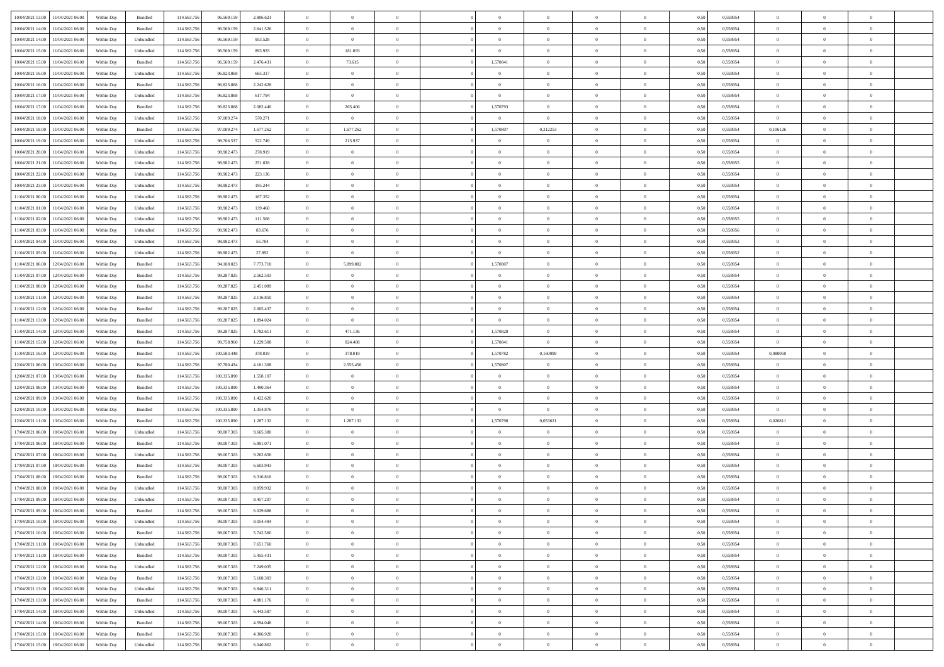|                                              |            |           |             |             |           | $\overline{0}$ | $\overline{0}$ |                | $\overline{0}$ | $\theta$       |                | $\theta$       |      |          | $\theta$       | $\theta$       | $\overline{0}$ |  |
|----------------------------------------------|------------|-----------|-------------|-------------|-----------|----------------|----------------|----------------|----------------|----------------|----------------|----------------|------|----------|----------------|----------------|----------------|--|
| 10/04/2021 13:00 11/04/2021 06:00            | Within Day | Bundled   | 114.563.75  | 96.569.159  | 2.806.621 |                |                |                |                |                |                |                | 0,50 | 0,558954 |                |                |                |  |
| 10/04/2021 14:00<br>11/04/2021 06.00         | Within Day | Bundled   | 114.563.75  | 96.569.15   | 2.641.526 | $\bf{0}$       | $\bf{0}$       | $\bf{0}$       | $\bf{0}$       | $\overline{0}$ | $\overline{0}$ | $\bf{0}$       | 0,50 | 0,558954 | $\,$ 0 $\,$    | $\bf{0}$       | $\overline{0}$ |  |
| 10/04/2021 14:00<br>11/04/2021 06:00         | Within Day | Unbundled | 114,563,75  | 96.569.159  | 953.528   | $\overline{0}$ | $\overline{0}$ | $\overline{0}$ | $\bf{0}$       | $\bf{0}$       | $\overline{0}$ | $\bf{0}$       | 0.50 | 0.558954 | $\bf{0}$       | $\overline{0}$ | $\overline{0}$ |  |
| 10/04/2021 15:00<br>11/04/2021 06:00         | Within Day | Unbundled | 114.563.75  | 96.569.159  | 893.933   | $\overline{0}$ | 181.093        | $\overline{0}$ | $\overline{0}$ | $\theta$       | $\overline{0}$ | $\bf{0}$       | 0,50 | 0,558954 | $\theta$       | $\theta$       | $\overline{0}$ |  |
| 10/04/2021 15:00<br>11/04/2021 06:00         | Within Day | Bundled   | 114.563.75  | 96.569.159  | 2.476.431 | $\bf{0}$       | 73.615         | $\bf{0}$       | 1,570841       | $\theta$       | $\overline{0}$ | $\bf{0}$       | 0,50 | 0,558954 | $\,$ 0 $\,$    | $\bf{0}$       | $\overline{0}$ |  |
|                                              |            |           |             |             |           |                |                |                |                |                |                |                |      |          |                |                |                |  |
| 10/04/2021 16:00<br>11/04/2021 06:00         | Within Day | Unbundled | 114,563,75  | 96.823.868  | 665.317   | $\overline{0}$ | $\overline{0}$ | $\overline{0}$ | $\bf{0}$       | $\overline{0}$ | $\theta$       | $\bf{0}$       | 0.50 | 0.558954 | $\,$ 0 $\,$    | $\theta$       | $\overline{0}$ |  |
| 10/04/2021 16:00<br>11/04/2021 06:00         | Within Day | Bundled   | 114.563.75  | 96.823.868  | 2.242.628 | $\overline{0}$ | $\overline{0}$ | $\overline{0}$ | $\overline{0}$ | $\overline{0}$ | $\overline{0}$ | $\bf{0}$       | 0,50 | 0,558954 | $\theta$       | $\theta$       | $\overline{0}$ |  |
| 10/04/2021 17:00<br>11/04/2021 06:00         | Within Day | Unbundled | 114.563.75  | 96.823.86   | 617.794   | $\bf{0}$       | $\bf{0}$       | $\bf{0}$       | $\bf{0}$       | $\theta$       | $\overline{0}$ | $\bf{0}$       | 0,50 | 0,558954 | $\,$ 0 $\,$    | $\bf{0}$       | $\overline{0}$ |  |
| 10/04/2021 17:00<br>11/04/2021 06:00         | Within Day | Bundled   | 114,563,75  | 96.823.868  | 2.082.440 | $\overline{0}$ | 265,406        | $\overline{0}$ | 1,570793       | $\overline{0}$ | $\overline{0}$ | $\bf{0}$       | 0.50 | 0.558954 | $\bf{0}$       | $\overline{0}$ | $\overline{0}$ |  |
| 10/04/2021 18:00<br>11/04/2021 06:00         | Within Day | Unbundled | 114.563.756 | 97.089.274  | 570.271   | $\overline{0}$ | $\overline{0}$ | $\overline{0}$ | $\overline{0}$ | $\overline{0}$ | $\overline{0}$ | $\bf{0}$       | 0,50 | 0,558954 | $\bf{0}$       | $\bf{0}$       | $\overline{0}$ |  |
|                                              |            |           |             |             |           |                |                |                |                |                |                |                |      |          |                |                |                |  |
| 10/04/2021 18:00<br>11/04/2021 06:00         | Within Day | Bundled   | 114.563.75  | 97.089.27   | 1.677.262 | $\bf{0}$       | 1.677.262      | $\bf{0}$       | 1,570807       | 0,212253       | $\overline{0}$ | $\bf{0}$       | 0,50 | 0,558954 | 0,106126       | $\bf{0}$       | $\overline{0}$ |  |
| 10/04/2021 19:00<br>11/04/2021 06:00         | Within Day | Unbundled | 114,563,75  | 98.766.53   | 522.749   | $\overline{0}$ | 215.937        | $\overline{0}$ | $\overline{0}$ | $\overline{0}$ | $\overline{0}$ | $\bf{0}$       | 0.50 | 0.558954 | $\bf{0}$       | $\,$ 0 $\,$    | $\,$ 0         |  |
| 10/04/2021 20:00<br>11/04/2021 06:00         | Within Day | Unbundled | 114.563.75  | 98.982.473  | 278.919   | $\overline{0}$ | $\bf{0}$       | $\overline{0}$ | $\theta$       | $\theta$       | $\overline{0}$ | $\bf{0}$       | 0,50 | 0,558954 | $\,$ 0 $\,$    | $\theta$       | $\overline{0}$ |  |
| 10/04/2021 21:00<br>11/04/2021 06:00         | Within Day | Unbundled | 114.563.75  | 98.982.47   | 251.028   | $\bf{0}$       | $\overline{0}$ | $\bf{0}$       | $\bf{0}$       | $\bf{0}$       | $\overline{0}$ | $\bf{0}$       | 0,50 | 0,558955 | $\,$ 0 $\,$    | $\bf{0}$       | $\overline{0}$ |  |
| 10/04/2021 22.00<br>11/04/2021 06:00         | Within Day | Unbundled | 114,563,75  | 98.982.47   | 223.136   | $\overline{0}$ | $\bf{0}$       | $\overline{0}$ | $\bf{0}$       | $\overline{0}$ | $\theta$       | $\bf{0}$       | 0.50 | 0.558954 | $\,$ 0 $\,$    | $\theta$       | $\overline{0}$ |  |
| 10/04/2021 23:00<br>11/04/2021 06:00         | Within Day | Unbundled | 114.563.75  | 98.982.473  | 195.244   | $\overline{0}$ | $\overline{0}$ | $\overline{0}$ | $\overline{0}$ | $\overline{0}$ | $\overline{0}$ | $\bf{0}$       | 0,50 | 0,558954 | $\theta$       | $\theta$       | $\overline{0}$ |  |
|                                              |            |           |             |             |           |                |                |                |                |                |                |                |      |          |                |                |                |  |
| 11/04/2021 00:00<br>11/04/2021 06:00         | Within Day | Unbundled | 114.563.75  | 98.982.47   | 167.352   | $\bf{0}$       | $\bf{0}$       | $\bf{0}$       | $\overline{0}$ | $\bf{0}$       | $\overline{0}$ | $\bf{0}$       | 0,50 | 0,558954 | $\,$ 0 $\,$    | $\bf{0}$       | $\overline{0}$ |  |
| 11/04/2021 01:00<br>11/04/2021 06:00         | Within Day | Unbundled | 114,563,75  | 98.982.47   | 139,460   | $\overline{0}$ | $\bf{0}$       | $\overline{0}$ | $\bf{0}$       | $\overline{0}$ | $\overline{0}$ | $\bf{0}$       | 0.50 | 0.558954 | $\bf{0}$       | $\overline{0}$ | $\overline{0}$ |  |
| 11/04/2021 02:00<br>11/04/2021 06:00         | Within Day | Unbundled | 114.563.75  | 98.982.473  | 111.568   | $\overline{0}$ | $\bf{0}$       | $\overline{0}$ | $\overline{0}$ | $\overline{0}$ | $\overline{0}$ | $\bf{0}$       | 0,50 | 0,558955 | $\,$ 0 $\,$    | $\bf{0}$       | $\overline{0}$ |  |
| 11/04/2021 03:00<br>11/04/2021 06:00         | Within Day | Unbundled | 114.563.75  | 98.982.47   | 83.676    | $\bf{0}$       | $\bf{0}$       | $\bf{0}$       | $\bf{0}$       | $\overline{0}$ | $\overline{0}$ | $\bf{0}$       | 0,50 | 0,558956 | $\,$ 0 $\,$    | $\bf{0}$       | $\overline{0}$ |  |
| 11/04/2021 04:00<br>11/04/2021 06:00         | Within Day | Unbundled | 114,563,75  | 98.982.473  | 55.784    | $\overline{0}$ | $\bf{0}$       | $\overline{0}$ | $\overline{0}$ | $\bf{0}$       | $\overline{0}$ | $\bf{0}$       | 0.50 | 0.558952 | $\bf{0}$       | $\overline{0}$ | $\overline{0}$ |  |
| 11/04/2021 05:00<br>11/04/2021 06:00         | Within Day | Unbundled | 114.563.75  | 98.982.473  | 27.892    | $\overline{0}$ | $\overline{0}$ | $\overline{0}$ | $\overline{0}$ | $\theta$       | $\overline{0}$ | $\bf{0}$       | 0,50 | 0,558952 | $\theta$       | $\theta$       | $\overline{0}$ |  |
| 12/04/2021 06:00                             | Within Day | Bundled   | 114.563.75  | 94.188.023  | 7.773.718 | $\bf{0}$       | 5.099.802      | $\bf{0}$       | 1,570807       | $\theta$       | $\overline{0}$ | $\bf{0}$       | 0,50 | 0,558954 | $\,$ 0 $\,$    | $\bf{0}$       | $\overline{0}$ |  |
| 11/04/2021 06:00                             |            |           |             |             |           |                |                |                |                |                |                |                |      |          |                |                |                |  |
| 11/04/2021 07:00<br>12/04/2021 06:00         | Within Day | Bundled   | 114,563,75  | 99.287.825  | 2.562.503 | $\overline{0}$ | $\overline{0}$ | $\overline{0}$ | $\bf{0}$       | $\overline{0}$ | $\theta$       | $\bf{0}$       | 0.50 | 0.558954 | $\,$ 0 $\,$    | $\theta$       | $\overline{0}$ |  |
| 11/04/2021 08:00<br>12/04/2021 06:00         | Within Day | Bundled   | 114.563.75  | 99.287.825  | 2.451.089 | $\overline{0}$ | $\overline{0}$ | $\overline{0}$ | $\overline{0}$ | $\overline{0}$ | $\overline{0}$ | $\bf{0}$       | 0,50 | 0,558954 | $\,$ 0 $\,$    | $\theta$       | $\overline{0}$ |  |
| 11/04/2021 11:00<br>12/04/2021 06:00         | Within Day | Bundled   | 114.563.75  | 99.287.825  | 2.116.850 | $\bf{0}$       | $\overline{0}$ | $\bf{0}$       | $\overline{0}$ | $\bf{0}$       | $\overline{0}$ | $\bf{0}$       | 0,50 | 0,558954 | $\,$ 0 $\,$    | $\bf{0}$       | $\overline{0}$ |  |
| 11/04/2021 12:00<br>12/04/2021 06:00         | Within Day | Bundled   | 114,563,75  | 99.287.825  | 2.005.437 | $\overline{0}$ | $\bf{0}$       | $\overline{0}$ | $\bf{0}$       | $\overline{0}$ | $\overline{0}$ | $\bf{0}$       | 0.50 | 0.558954 | $\bf{0}$       | $\overline{0}$ | $\overline{0}$ |  |
| 11/04/2021 13:00<br>12/04/2021 06:00         | Within Day | Bundled   | 114.563.75  | 99.287.825  | 1.894.024 | $\overline{0}$ | $\bf{0}$       | $\overline{0}$ | $\overline{0}$ | $\overline{0}$ | $\overline{0}$ | $\bf{0}$       | 0,50 | 0,558954 | $\theta$       | $\theta$       | $\overline{0}$ |  |
| 11/04/2021 14:00<br>12/04/2021 06:00         | Within Day | Bundled   | 114.563.75  | 99.287.825  | 1.782.611 | $\bf{0}$       | 471.136        | $\bf{0}$       | 1,570828       | $\overline{0}$ | $\overline{0}$ | $\bf{0}$       | 0,50 | 0,558954 | $\,$ 0 $\,$    | $\bf{0}$       | $\overline{0}$ |  |
|                                              |            | Bundled   | 114,563,75  |             |           |                | 824.488        |                | 1.570841       | $\overline{0}$ | $\overline{0}$ |                |      | 0.558954 |                |                | $\,$ 0         |  |
| 11/04/2021 15:00<br>12/04/2021 06:00         | Within Day |           |             | 99.758.960  | 1.229.508 | $\overline{0}$ |                | $\overline{0}$ |                |                |                | $\bf{0}$       | 0.50 |          | $\overline{0}$ | $\overline{0}$ |                |  |
| 11/04/2021 16:00<br>12/04/2021 06:00         | Within Day | Bundled   | 114.563.75  | 100.583.448 | 378,019   | $\overline{0}$ | 378,019        | $\overline{0}$ | 1,570782       | 0,160099       | $\overline{0}$ | $\bf{0}$       | 0.50 | 0.558954 | 0,080050       | $\theta$       | $\overline{0}$ |  |
| 12/04/2021 06:00<br>13/04/2021 06:00         | Within Day | Bundled   | 114.563.75  | 97.780.43   | 4.181.308 | $\bf{0}$       | 2.555.456      | $\bf{0}$       | 1,570807       | $\overline{0}$ | $\overline{0}$ | $\bf{0}$       | 0,50 | 0,558954 | $\,$ 0 $\,$    | $\bf{0}$       | $\overline{0}$ |  |
| 12/04/2021 07:00<br>13/04/2021 06:00         | Within Day | Bundled   | 114,563,75  | 100.335.890 | 1.558.107 | $\overline{0}$ | $\overline{0}$ | $\overline{0}$ | $\bf{0}$       | $\overline{0}$ | $\Omega$       | $\bf{0}$       | 0.50 | 0.558954 | $\bf{0}$       | $\theta$       | $\overline{0}$ |  |
| 12/04/2021 08:00<br>13/04/2021 06:00         | Within Dav | Bundled   | 114.563.75  | 100.335.890 | 1.490.364 | $\overline{0}$ | $\overline{0}$ | $\overline{0}$ | $\overline{0}$ | $\theta$       | $\overline{0}$ | $\bf{0}$       | 0.50 | 0,558954 | $\theta$       | $\theta$       | $\overline{0}$ |  |
| 12/04/2021 09:00<br>13/04/2021 06:00         | Within Day | Bundled   | 114.563.75  | 100.335.89  | 1.422.620 | $\bf{0}$       | $\bf{0}$       | $\bf{0}$       | $\overline{0}$ | $\bf{0}$       | $\overline{0}$ | $\bf{0}$       | 0,50 | 0,558954 | $\,$ 0 $\,$    | $\bf{0}$       | $\overline{0}$ |  |
| 12/04/2021 10:00<br>13/04/2021 06:00         | Within Day | Bundled   | 114,563,75  | 100.335.89  | 1.354.876 | $\overline{0}$ | $\overline{0}$ | $\overline{0}$ | $\bf{0}$       | $\overline{0}$ | $\overline{0}$ | $\bf{0}$       | 0.50 | 0.558954 | $\bf{0}$       | $\overline{0}$ | $\overline{0}$ |  |
| 12/04/2021 11:00<br>13/04/2021 06:00         | Within Dav | Bundled   | 114.563.75  | 100.335.890 | 1.287.132 | $\overline{0}$ | 1.287.132      | $\overline{0}$ | 1,570798       | 0,053621       | $\overline{0}$ | $\bf{0}$       | 0.50 | 0,558954 | 0,026811       | $\theta$       | $\overline{0}$ |  |
|                                              |            |           |             |             |           |                |                |                |                |                |                |                |      |          |                |                |                |  |
| 17/04/2021 06:00<br>18/04/2021 06:00         | Within Day | Unbundled | 114.563.75  | 98.007.30   | 9.665.380 | $\bf{0}$       | $\bf{0}$       | $\bf{0}$       | $\bf{0}$       | $\overline{0}$ | $\overline{0}$ | $\bf{0}$       | 0,50 | 0,558954 | $\,$ 0 $\,$    | $\bf{0}$       | $\overline{0}$ |  |
| 17/04/2021 06:00<br>18/04/2021 06:00         | Within Day | Bundled   | 114,563,75  | 98,007,303  | 6.891.071 | $\overline{0}$ | $\bf{0}$       | $\overline{0}$ | $\bf{0}$       | $\bf{0}$       | $\overline{0}$ | $\bf{0}$       | 0.50 | 0.558954 | $\bf{0}$       | $\overline{0}$ | $\overline{0}$ |  |
| 17/04/2021 07:00<br>18/04/2021 06:00         | Within Dav | Unbundled | 114.563.75  | 98.007.303  | 9.262.656 | $\overline{0}$ | $\overline{0}$ | $\overline{0}$ | $\overline{0}$ | $\overline{0}$ | $\overline{0}$ | $\bf{0}$       | 0.50 | 0.558954 | $\theta$       | $\theta$       | $\overline{0}$ |  |
| 17/04/2021 07:00<br>18/04/2021 06:00         | Within Day | Bundled   | 114.563.75  | 98.007.30   | 6.603.943 | $\bf{0}$       | $\bf{0}$       | $\bf{0}$       | $\bf{0}$       | $\overline{0}$ | $\overline{0}$ | $\bf{0}$       | 0,50 | 0,558954 | $\,$ 0 $\,$    | $\bf{0}$       | $\overline{0}$ |  |
| 17/04/2021 08:00<br>18/04/2021 06:00         | Within Day | Bundled   | 114,563,75  | 98,007,303  | 6.316.816 | $\overline{0}$ | $\overline{0}$ | $\overline{0}$ | $\bf{0}$       | $\overline{0}$ | $\Omega$       | $\bf{0}$       | 0.50 | 0.558954 | $\bf{0}$       | $\theta$       | $\overline{0}$ |  |
| 17/04/2021 08:00<br>18/04/2021 06:00         | Within Dav | Unbundled | 114.563.75  | 98.007.303  | 8.859.932 | $\overline{0}$ | $\overline{0}$ | $\Omega$       | $\overline{0}$ | $\theta$       | $\Omega$       | $\overline{0}$ | 0.5( | 0,558954 | $\theta$       | $\theta$       | $\overline{0}$ |  |
| 17/04/2021 09:00<br>18/04/2021 06:00         | Within Day | Unbundled | 114.563.75  | 98.007.30   | 8.457.207 | $\bf{0}$       | $\bf{0}$       | $\bf{0}$       | $\bf{0}$       | $\bf{0}$       | $\overline{0}$ | $\bf{0}$       | 0,50 | 0,558954 | $\,$ 0 $\,$    | $\bf{0}$       | $\overline{0}$ |  |
|                                              |            |           |             |             |           |                |                |                |                |                |                |                |      |          |                |                |                |  |
| $17/04/2021\;09.00 \qquad 18/04/2021\;06.00$ | Within Day | Bundled   | 114.563.756 | 98.007.303  | 6.029.688 | $\bf{0}$       | $\theta$       |                | $\overline{0}$ |                |                |                | 0,50 | 0.558954 | $\theta$       | $\overline{0}$ |                |  |
| 17/04/2021 10:00 18/04/2021 06:00            | Within Day | Unbundled | 114.563.756 | 98.007.303  | 8.054.484 | $\overline{0}$ | $\overline{0}$ | $\Omega$       | $\theta$       | $\overline{0}$ | $\overline{0}$ | $\bf{0}$       | 0,50 | 0,558954 | $\theta$       | $\theta$       | $\overline{0}$ |  |
| 17/04/2021 10:00<br>18/04/2021 06:00         | Within Day | Bundled   | 114.563.75  | 98.007.30   | 5.742.560 | $\overline{0}$ | $\bf{0}$       | $\overline{0}$ | $\overline{0}$ | $\bf{0}$       | $\overline{0}$ | $\bf{0}$       | 0,50 | 0,558954 | $\bf{0}$       | $\overline{0}$ | $\bf{0}$       |  |
| 17/04/2021 11:00 18/04/2021 06:00            | Within Day | Unbundled | 114,563,756 | 98,007,303  | 7.651.760 | $\overline{0}$ | $\bf{0}$       | $\overline{0}$ | $\overline{0}$ | $\mathbf{0}$   | $\overline{0}$ | $\,$ 0 $\,$    | 0.50 | 0.558954 | $\overline{0}$ | $\bf{0}$       | $\,$ 0 $\,$    |  |
| 17/04/2021 11:00 18/04/2021 06:00            | Within Dav | Bundled   | 114.563.756 | 98.007.303  | 5.455.431 | $\overline{0}$ | $\overline{0}$ | $\overline{0}$ | $\overline{0}$ | $\overline{0}$ | $\overline{0}$ | $\bf{0}$       | 0,50 | 0,558954 | $\theta$       | $\theta$       | $\overline{0}$ |  |
| 17/04/2021 12:00<br>18/04/2021 06:00         | Within Day | Unbundled | 114.563.75  | 98.007.303  | 7.249.035 | $\overline{0}$ | $\bf{0}$       | $\overline{0}$ | $\overline{0}$ | $\bf{0}$       | $\overline{0}$ | $\bf{0}$       | 0,50 | 0,558954 | $\bf{0}$       | $\overline{0}$ | $\overline{0}$ |  |
|                                              |            |           |             |             |           |                |                |                |                |                |                |                |      |          |                |                |                |  |
| 17/04/2021 12:00<br>18/04/2021 06:00         | Within Day | Bundled   | 114.563.756 | 98,007,303  | 5.168.303 | $\overline{0}$ | $\bf{0}$       | $\overline{0}$ | $\overline{0}$ | $\bf{0}$       | $\overline{0}$ | $\bf{0}$       | 0.50 | 0.558954 | $\,$ 0 $\,$    | $\overline{0}$ | $\,$ 0         |  |
| 17/04/2021 13:00<br>18/04/2021 06:00         | Within Dav | Unbundled | 114.563.756 | 98.007.303  | 6.846.311 | $\overline{0}$ | $\overline{0}$ | $\overline{0}$ | $\overline{0}$ | $\overline{0}$ | $\overline{0}$ | $\bf{0}$       | 0.50 | 0,558954 | $\overline{0}$ | $\theta$       | $\overline{0}$ |  |
| 17/04/2021 13:00<br>18/04/2021 06:00         | Within Day | Bundled   | 114.563.75  | 98.007.303  | 4.881.176 | $\overline{0}$ | $\overline{0}$ | $\overline{0}$ | $\overline{0}$ | $\overline{0}$ | $\overline{0}$ | $\bf{0}$       | 0,50 | 0,558954 | $\bf{0}$       | $\overline{0}$ | $\overline{0}$ |  |
| 17/04/2021 14:00<br>18/04/2021 06:00         | Within Day | Unbundled | 114,563,756 | 98,007,303  | 6.443.587 | $\overline{0}$ | $\overline{0}$ | $\overline{0}$ | $\overline{0}$ | $\overline{0}$ | $\overline{0}$ | $\bf{0}$       | 0.50 | 0.558954 | $\mathbf{0}$   | $\bf{0}$       | $\,$ 0         |  |
| 17/04/2021 14:00<br>18/04/2021 06:00         | Within Dav | Bundled   | 114.563.756 | 98.007.303  | 4.594.048 | $\overline{0}$ | $\overline{0}$ | $\overline{0}$ | $\overline{0}$ | $\overline{0}$ | $\overline{0}$ | $\bf{0}$       | 0,50 | 0,558954 | $\overline{0}$ | $\theta$       | $\overline{0}$ |  |
| 17/04/2021 15:00<br>18/04/2021 06:00         | Within Day | Bundled   | 114.563.75  | 98.007.30   | 4.306.920 | $\overline{0}$ | $\bf{0}$       | $\overline{0}$ | $\bf{0}$       | $\overline{0}$ | $\bf{0}$       | $\bf{0}$       | 0,50 | 0,558954 | $\bf{0}$       | $\,$ 0 $\,$    | $\bf{0}$       |  |
| 17/04/2021 15:00 18/04/2021 06:00            |            | Unbundled |             |             | 6.040.862 | $\overline{0}$ |                | $\overline{0}$ |                | $\,$ 0 $\,$    | $\overline{0}$ |                |      | 0,558954 | $\overline{0}$ | $\,$ 0 $\,$    | $\,$ 0 $\,$    |  |
|                                              | Within Day |           | 114.563.756 | 98.007.303  |           |                | $\bf{0}$       |                | $\overline{0}$ |                |                | $\bf{0}$       | 0,50 |          |                |                |                |  |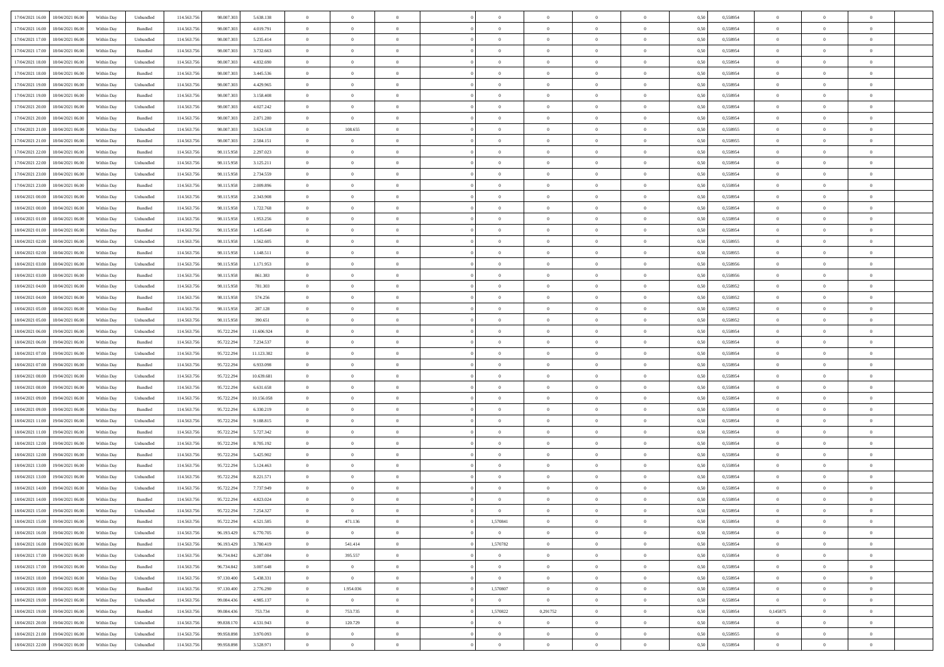| 17/04/2021 16:00 18/04/2021 06:00    |            |           | 114.563.75  |            |            | $\overline{0}$ | $\overline{0}$ |                | $\overline{0}$ | $\theta$       |                | $\theta$       |      | 0,558954 | $\theta$       | $\theta$       | $\overline{0}$ |  |
|--------------------------------------|------------|-----------|-------------|------------|------------|----------------|----------------|----------------|----------------|----------------|----------------|----------------|------|----------|----------------|----------------|----------------|--|
|                                      | Within Day | Unbundled |             | 98.007.303 | 5.638.138  |                |                |                |                |                |                |                | 0,50 |          |                |                |                |  |
| 17/04/2021 16:00<br>18/04/2021 06:00 | Within Day | Bundled   | 114.563.75  | 98.007.30  | 4.019.791  | $\bf{0}$       | $\bf{0}$       | $\bf{0}$       | $\bf{0}$       | $\overline{0}$ | $\overline{0}$ | $\bf{0}$       | 0,50 | 0,558954 | $\,$ 0 $\,$    | $\bf{0}$       | $\overline{0}$ |  |
| 17/04/2021 17:00<br>18/04/2021 06:00 | Within Day | Unbundled | 114,563,75  | 98,007,303 | 5.235.414  | $\overline{0}$ | $\bf{0}$       | $\overline{0}$ | $\bf{0}$       | $\bf{0}$       | $\overline{0}$ | $\bf{0}$       | 0.50 | 0.558954 | $\bf{0}$       | $\overline{0}$ | $\overline{0}$ |  |
| 17/04/2021 17:00<br>18/04/2021 06:00 |            |           | 114.563.75  | 98.007.303 |            | $\overline{0}$ | $\overline{0}$ | $\overline{0}$ | $\theta$       | $\theta$       | $\overline{0}$ |                |      |          | $\theta$       | $\theta$       | $\overline{0}$ |  |
|                                      | Within Day | Bundled   |             |            | 3.732.663  |                |                |                |                |                |                | $\bf{0}$       | 0,50 | 0,558954 |                |                |                |  |
| 17/04/2021 18:00<br>18/04/2021 06:00 | Within Day | Unbundled | 114.563.75  | 98.007.30  | 4.832.690  | $\bf{0}$       | $\overline{0}$ | $\bf{0}$       | $\overline{0}$ | $\theta$       | $\overline{0}$ | $\bf{0}$       | 0,50 | 0,558954 | $\,$ 0 $\,$    | $\bf{0}$       | $\overline{0}$ |  |
| 17/04/2021 18:00<br>18/04/2021 06:00 | Within Day | Bundled   | 114,563,75  | 98,007,303 | 3.445.536  | $\overline{0}$ | $\overline{0}$ | $\overline{0}$ | $\bf{0}$       | $\overline{0}$ | $\theta$       | $\bf{0}$       | 0.50 | 0.558954 | $\,$ 0 $\,$    | $\theta$       | $\overline{0}$ |  |
| 17/04/2021 19:00<br>18/04/2021 06:00 | Within Day | Unbundled | 114.563.75  | 98.007.303 | 4.429.965  | $\overline{0}$ | $\overline{0}$ | $\overline{0}$ | $\overline{0}$ | $\overline{0}$ | $\overline{0}$ | $\bf{0}$       | 0,50 | 0,558954 | $\,$ 0 $\,$    | $\theta$       | $\overline{0}$ |  |
|                                      |            |           |             |            |            |                |                |                |                |                |                |                |      |          |                |                |                |  |
| 17/04/2021 19:00<br>18/04/2021 06:00 | Within Day | Bundled   | 114.563.75  | 98.007.30  | 3.158.408  | $\bf{0}$       | $\bf{0}$       | $\bf{0}$       | $\overline{0}$ | $\overline{0}$ | $\overline{0}$ | $\bf{0}$       | 0,50 | 0,558954 | $\,$ 0 $\,$    | $\bf{0}$       | $\overline{0}$ |  |
| 17/04/2021 20:00<br>18/04/2021 06:00 | Within Day | Unbundled | 114,563,75  | 98,007,303 | 4.027.242  | $\overline{0}$ | $\bf{0}$       | $\overline{0}$ | $\bf{0}$       | $\overline{0}$ | $\overline{0}$ | $\bf{0}$       | 0.50 | 0.558954 | $\bf{0}$       | $\overline{0}$ | $\overline{0}$ |  |
| 17/04/2021 20:00<br>18/04/2021 06:00 | Within Day | Bundled   | 114.563.756 | 98.007.303 | 2.871.280  | $\bf{0}$       | $\bf{0}$       | $\overline{0}$ | $\overline{0}$ | $\overline{0}$ | $\overline{0}$ | $\bf{0}$       | 0,50 | 0,558954 | $\,$ 0 $\,$    | $\bf{0}$       | $\overline{0}$ |  |
| 17/04/2021 21:00<br>18/04/2021 06:00 | Within Day | Unbundled | 114.563.75  | 98.007.30  | 3.624.518  | $\bf{0}$       | 108.655        | $\bf{0}$       | $\bf{0}$       | $\overline{0}$ | $\overline{0}$ | $\bf{0}$       | 0,50 | 0,558955 | $\,$ 0 $\,$    | $\bf{0}$       | $\overline{0}$ |  |
|                                      |            |           |             |            |            |                |                |                |                |                |                |                |      |          |                |                |                |  |
| 17/04/2021 21:00<br>18/04/2021 06:00 | Within Day | Bundled   | 114,563,75  | 98,007,303 | 2.584.151  | $\overline{0}$ | $\overline{0}$ | $\overline{0}$ | $\overline{0}$ | $\bf{0}$       | $\overline{0}$ | $\bf{0}$       | 0.50 | 0.558955 | $\bf{0}$       | $\overline{0}$ | $\,$ 0         |  |
| 17/04/2021 22.00<br>18/04/2021 06:00 | Within Day | Bundled   | 114.563.75  | 98.115.958 | 2.297.023  | $\overline{0}$ | $\overline{0}$ | $\overline{0}$ | $\theta$       | $\theta$       | $\overline{0}$ | $\bf{0}$       | 0,50 | 0,558954 | $\,$ 0 $\,$    | $\theta$       | $\overline{0}$ |  |
| 17/04/2021 22.00<br>18/04/2021 06:00 | Within Day | Unbundled | 114.563.75  | 98.115.958 | 3.125.211  | $\bf{0}$       | $\overline{0}$ | $\bf{0}$       | $\overline{0}$ | $\theta$       | $\overline{0}$ | $\bf{0}$       | 0,50 | 0,558954 | $\,$ 0 $\,$    | $\bf{0}$       | $\overline{0}$ |  |
| 18/04/2021 06:00                     |            |           | 114,563,75  |            | 2.734.559  |                | $\overline{0}$ |                |                |                | $\theta$       |                |      |          |                | $\theta$       | $\overline{0}$ |  |
| 17/04/2021 23:00                     | Within Day | Unbundled |             | 98.115.958 |            | $\overline{0}$ |                | $\overline{0}$ | $\bf{0}$       | $\overline{0}$ |                | $\bf{0}$       | 0.50 | 0.558954 | $\,$ 0 $\,$    |                |                |  |
| 17/04/2021 23:00<br>18/04/2021 06:00 | Within Day | Bundled   | 114.563.75  | 98.115.958 | 2.009.896  | $\overline{0}$ | $\overline{0}$ | $\overline{0}$ | $\overline{0}$ | $\overline{0}$ | $\overline{0}$ | $\bf{0}$       | 0,50 | 0,558954 | $\theta$       | $\theta$       | $\overline{0}$ |  |
| 18/04/2021 00:00<br>18/04/2021 06:00 | Within Day | Unbundled | 114.563.75  | 98.115.958 | 2.343.908  | $\bf{0}$       | $\bf{0}$       | $\bf{0}$       | $\overline{0}$ | $\bf{0}$       | $\overline{0}$ | $\bf{0}$       | 0,50 | 0,558954 | $\,$ 0 $\,$    | $\bf{0}$       | $\overline{0}$ |  |
| 18/04/2021 00:00<br>18/04/2021 06:00 | Within Day | Bundled   | 114,563,75  | 98.115.958 | 1.722.768  | $\overline{0}$ | $\bf{0}$       | $\overline{0}$ | $\bf{0}$       | $\overline{0}$ | $\overline{0}$ | $\bf{0}$       | 0.50 | 0.558954 | $\bf{0}$       | $\overline{0}$ | $\overline{0}$ |  |
| 18/04/2021 01:00<br>18/04/2021 06:00 | Within Day | Unbundled | 114.563.75  | 98.115.958 | 1.953.256  | $\bf{0}$       | $\bf{0}$       | $\overline{0}$ | $\overline{0}$ | $\overline{0}$ | $\overline{0}$ | $\bf{0}$       | 0,50 | 0,558954 | $\,$ 0 $\,$    | $\bf{0}$       | $\overline{0}$ |  |
|                                      |            |           |             |            |            |                |                |                |                |                |                |                |      |          |                |                |                |  |
| 18/04/2021 01:00<br>18/04/2021 06:00 | Within Day | Bundled   | 114.563.75  | 98.115.958 | 1.435.640  | $\bf{0}$       | $\bf{0}$       | $\bf{0}$       | $\bf{0}$       | $\overline{0}$ | $\overline{0}$ | $\bf{0}$       | 0,50 | 0,558954 | $\,$ 0 $\,$    | $\bf{0}$       | $\overline{0}$ |  |
| 18/04/2021 02:00<br>18/04/2021 06:00 | Within Day | Unbundled | 114.563.75  | 98.115.958 | 1.562.605  | $\overline{0}$ | $\bf{0}$       | $\overline{0}$ | $\overline{0}$ | $\bf{0}$       | $\overline{0}$ | $\bf{0}$       | 0.50 | 0.558955 | $\bf{0}$       | $\overline{0}$ | $\overline{0}$ |  |
| 18/04/2021 02:00<br>18/04/2021 06:00 | Within Day | Bundled   | 114.563.75  | 98.115.958 | 1.148.511  | $\overline{0}$ | $\overline{0}$ | $\overline{0}$ | $\overline{0}$ | $\theta$       | $\overline{0}$ | $\bf{0}$       | 0,50 | 0,558955 | $\theta$       | $\theta$       | $\overline{0}$ |  |
| 18/04/2021 03:00<br>18/04/2021 06:00 | Within Day | Unbundled | 114.563.75  | 98.115.958 | 1.171.953  | $\bf{0}$       | $\bf{0}$       | $\bf{0}$       | $\bf{0}$       | $\,$ 0 $\,$    | $\overline{0}$ | $\bf{0}$       | 0,50 | 0,558956 | $\,$ 0 $\,$    | $\bf{0}$       | $\overline{0}$ |  |
|                                      |            |           |             |            |            |                |                |                |                |                |                |                |      |          |                |                |                |  |
| 18/04/2021 03:00<br>18/04/2021 06:00 | Within Day | Bundled   | 114,563,75  | 98.115.958 | 861.383    | $\overline{0}$ | $\overline{0}$ | $\overline{0}$ | $\bf{0}$       | $\overline{0}$ | $\theta$       | $\bf{0}$       | 0.50 | 0.558956 | $\,$ 0 $\,$    | $\theta$       | $\overline{0}$ |  |
| 18/04/2021 04:00<br>18/04/2021 06:00 | Within Day | Unbundled | 114.563.75  | 98.115.958 | 781.303    | $\overline{0}$ | $\overline{0}$ | $\overline{0}$ | $\overline{0}$ | $\overline{0}$ | $\overline{0}$ | $\bf{0}$       | 0,50 | 0,558952 | $\,$ 0 $\,$    | $\theta$       | $\overline{0}$ |  |
| 18/04/2021 04:00<br>18/04/2021 06:00 | Within Day | Bundled   | 114.563.75  | 98.115.958 | 574.256    | $\bf{0}$       | $\overline{0}$ | $\bf{0}$       | $\overline{0}$ | $\bf{0}$       | $\overline{0}$ | $\bf{0}$       | 0,50 | 0,558952 | $\,$ 0 $\,$    | $\bf{0}$       | $\overline{0}$ |  |
| 18/04/2021 05:00<br>18/04/2021 06:00 | Within Day | Bundled   | 114,563,75  | 98.115.958 | 287.128    | $\overline{0}$ | $\bf{0}$       | $\overline{0}$ | $\bf{0}$       | $\overline{0}$ | $\overline{0}$ | $\bf{0}$       | 0.50 | 0.558952 | $\bf{0}$       | $\overline{0}$ | $\overline{0}$ |  |
|                                      |            |           |             |            |            | $\overline{0}$ |                | $\overline{0}$ | $\overline{0}$ | $\overline{0}$ | $\overline{0}$ |                |      |          | $\,$ 0 $\,$    | $\theta$       | $\overline{0}$ |  |
| 18/04/2021 05:00<br>18/04/2021 06:00 | Within Day | Unbundled | 114.563.75  | 98.115.958 | 390.651    |                | $\bf{0}$       |                |                |                |                | $\bf{0}$       | 0,50 | 0,558952 |                |                |                |  |
| 18/04/2021 06:00<br>19/04/2021 06:00 | Within Day | Unbundled | 114.563.75  | 95.722.29  | 11.606.924 | $\bf{0}$       | $\bf{0}$       | $\bf{0}$       | $\bf{0}$       | $\overline{0}$ | $\overline{0}$ | $\bf{0}$       | 0,50 | 0,558954 | $\,$ 0 $\,$    | $\bf{0}$       | $\overline{0}$ |  |
| 18/04/2021 06:00<br>19/04/2021 06:00 | Within Day | Bundled   | 114,563,75  | 95.722.294 | 7.234.537  | $\overline{0}$ | $\bf{0}$       | $\overline{0}$ | $\overline{0}$ | $\bf{0}$       | $\overline{0}$ | $\bf{0}$       | 0.50 | 0.558954 | $\bf{0}$       | $\overline{0}$ | $\overline{0}$ |  |
| 18/04/2021 07:00<br>19/04/2021 06:00 | Within Day | Unbundled | 114.563.75  | 95.722.294 | 11.123.302 | $\overline{0}$ | $\overline{0}$ | $\overline{0}$ | $\overline{0}$ | $\overline{0}$ | $\overline{0}$ | $\bf{0}$       | 0.50 | 0,558954 | $\theta$       | $\theta$       | $\overline{0}$ |  |
| 18/04/2021 07:00<br>19/04/2021 06:00 | Within Day | Bundled   | 114.563.75  | 95.722.29  | 6.933.098  | $\bf{0}$       | $\bf{0}$       | $\bf{0}$       | $\bf{0}$       | $\,$ 0 $\,$    | $\overline{0}$ | $\bf{0}$       | 0,50 | 0,558954 | $\,$ 0 $\,$    | $\bf{0}$       | $\overline{0}$ |  |
|                                      |            |           |             |            |            |                |                |                |                |                |                |                |      |          |                |                |                |  |
| 18/04/2021 08:00<br>19/04/2021 06:00 | Within Day | Unbundled | 114,563,75  | 95.722.294 | 10.639.681 | $\overline{0}$ | $\bf{0}$       | $\overline{0}$ | $\bf{0}$       | $\overline{0}$ | $\Omega$       | $\bf{0}$       | 0.50 | 0.558954 | $\,$ 0 $\,$    | $\theta$       | $\overline{0}$ |  |
| 18/04/2021 08:00<br>19/04/2021 06:00 | Within Dav | Bundled   | 114.563.756 | 95.722.294 | 6.631.658  | $\overline{0}$ | $\overline{0}$ | $\overline{0}$ | $\overline{0}$ | $\theta$       | $\overline{0}$ | $\bf{0}$       | 0.50 | 0,558954 | $\theta$       | $\theta$       | $\overline{0}$ |  |
| 18/04/2021 09:00<br>19/04/2021 06:00 | Within Day | Unbundled | 114.563.75  | 95.722.29  | 10.156.058 | $\bf{0}$       | $\bf{0}$       | $\bf{0}$       | $\bf{0}$       | $\overline{0}$ | $\overline{0}$ | $\bf{0}$       | 0,50 | 0,558954 | $\,$ 0 $\,$    | $\bf{0}$       | $\overline{0}$ |  |
| 18/04/2021 09:00<br>19/04/2021 06:00 | Within Day | Bundled   | 114,563,75  | 95.722.294 | 6.330.219  | $\overline{0}$ | $\bf{0}$       | $\overline{0}$ | $\bf{0}$       | $\overline{0}$ | $\overline{0}$ | $\bf{0}$       | 0.50 | 0.558954 | $\bf{0}$       | $\overline{0}$ | $\overline{0}$ |  |
|                                      |            |           |             |            |            |                |                |                |                |                |                |                |      |          |                |                |                |  |
| 18/04/2021 11:00<br>19/04/2021 06:00 | Within Dav | Unbundled | 114.563.75  | 95.722.294 | 9.188.815  | $\overline{0}$ | $\overline{0}$ | $\overline{0}$ | $\overline{0}$ | $\overline{0}$ | $\overline{0}$ | $\bf{0}$       | 0.50 | 0,558954 | $\theta$       | $\theta$       | $\overline{0}$ |  |
| 18/04/2021 11:00<br>19/04/2021 06:00 | Within Day | Bundled   | 114.563.75  | 95.722.29  | 5.727.342  | $\bf{0}$       | $\bf{0}$       | $\bf{0}$       | $\bf{0}$       | $\overline{0}$ | $\overline{0}$ | $\bf{0}$       | 0,50 | 0,558954 | $\,$ 0 $\,$    | $\bf{0}$       | $\overline{0}$ |  |
| 18/04/2021 12:00<br>19/04/2021 06:00 | Within Day | Unbundled | 114.563.75  | 95.722.294 | 8.705.192  | $\overline{0}$ | $\bf{0}$       | $\overline{0}$ | $\overline{0}$ | $\bf{0}$       | $\overline{0}$ | $\bf{0}$       | 0.50 | 0.558954 | $\bf{0}$       | $\overline{0}$ | $\overline{0}$ |  |
| 18/04/2021 12:00<br>19/04/2021 06:00 | Within Dav | Bundled   | 114.563.75  | 95.722.294 | 5.425.902  | $\overline{0}$ | $\overline{0}$ | $\overline{0}$ | $\overline{0}$ | $\overline{0}$ | $\overline{0}$ | $\bf{0}$       | 0.50 | 0,558954 | $\theta$       | $\theta$       | $\overline{0}$ |  |
|                                      |            |           |             |            |            | $\bf{0}$       | $\bf{0}$       | $\bf{0}$       | $\bf{0}$       | $\overline{0}$ | $\overline{0}$ |                |      |          | $\,$ 0 $\,$    | $\bf{0}$       | $\overline{0}$ |  |
| 18/04/2021 13:00<br>19/04/2021 06:00 | Within Day | Bundled   | 114.563.75  | 95.722.29  | 5.124.463  |                |                |                |                |                |                | $\bf{0}$       | 0,50 | 0,558954 |                |                |                |  |
| 18/04/2021 13:00<br>19/04/2021 06:00 | Within Day | Unbundled | 114,563,75  | 95.722.29  | 8.221.571  | $\overline{0}$ | $\overline{0}$ | $\overline{0}$ | $\overline{0}$ | $\theta$       | $\Omega$       | $\bf{0}$       | 0.50 | 0.558954 | $\bf{0}$       | $\theta$       | $\overline{0}$ |  |
| 18/04/2021 14:00<br>19/04/2021 06:00 | Within Dav | Unbundled | 114.563.75  | 95.722.294 | 7.737.949  | $\overline{0}$ | $\overline{0}$ | $\Omega$       | $\theta$       | $\theta$       | $\overline{0}$ | $\overline{0}$ | 0.5( | 0,558954 | $\theta$       | $\theta$       | $\overline{0}$ |  |
| 18/04/2021 14:00<br>19/04/2021 06:00 | Within Day | Bundled   | 114.563.75  | 95.722.29  | 4.823.024  | $\bf{0}$       | $\bf{0}$       | $\bf{0}$       | $\bf{0}$       | $\bf{0}$       | $\overline{0}$ | $\bf{0}$       | 0,50 | 0,558954 | $\,$ 0 $\,$    | $\bf{0}$       | $\overline{0}$ |  |
| 18/04/2021 15:00 19/04/2021 06:00    | Within Day | Unbundled | 114.563.756 | 95.722.294 | 7.254.327  | $\bf{0}$       | $\theta$       |                | $\Omega$       |                |                |                | 0,50 | 0.558954 | $\theta$       | $\overline{0}$ |                |  |
|                                      |            |           |             |            |            |                |                |                |                |                |                |                |      |          |                |                |                |  |
| 18/04/2021 15:00 19/04/2021 06:00    | Within Day | Bundled   | 114.563.756 | 95.722.294 | 4.521.585  | $\overline{0}$ | 471.136        | $\overline{0}$ | 1,570841       | $\overline{0}$ | $\overline{0}$ | $\bf{0}$       | 0,50 | 0,558954 | $\theta$       | $\theta$       | $\overline{0}$ |  |
| 18/04/2021 16:00<br>19/04/2021 06:00 | Within Day | Unbundled | 114.563.75  | 96.193.429 | 6.770.705  | $\overline{0}$ | $\overline{0}$ | $\overline{0}$ | $\overline{0}$ | $\bf{0}$       | $\overline{0}$ | $\bf{0}$       | 0,50 | 0,558954 | $\bf{0}$       | $\overline{0}$ | $\bf{0}$       |  |
| 18/04/2021 16:00 19/04/2021 06:00    | Within Day | Bundled   | 114,563,756 | 96.193.429 | 3.780.419  | $\overline{0}$ | 541.414        | $\overline{0}$ | 1,570782       | $\mathbf{0}$   | $\overline{0}$ | $\,$ 0 $\,$    | 0.50 | 0.558954 | $\overline{0}$ | $\bf{0}$       | $\,$ 0 $\,$    |  |
| 18/04/2021 17:00 19/04/2021 06:00    | Within Dav | Unbundled | 114.563.756 | 96.734.842 | 6.287.084  | $\overline{0}$ | 395.557        | $\overline{0}$ | $\overline{0}$ | $\overline{0}$ | $\overline{0}$ | $\bf{0}$       | 0,50 | 0,558954 | $\overline{0}$ | $\theta$       | $\overline{0}$ |  |
|                                      |            |           |             |            |            |                |                |                |                |                |                |                |      |          |                |                |                |  |
| 18/04/2021 17:00<br>19/04/2021 06:00 | Within Day | Bundled   | 114.563.75  | 96.734.842 | 3.007.648  | $\overline{0}$ | $\bf{0}$       | $\overline{0}$ | $\overline{0}$ | $\bf{0}$       | $\overline{0}$ | $\bf{0}$       | 0,50 | 0,558954 | $\bf{0}$       | $\overline{0}$ | $\overline{0}$ |  |
| 18/04/2021 18:00<br>19/04/2021 06:00 | Within Day | Unbundled | 114.563.756 | 97.130.400 | 5.438.331  | $\overline{0}$ | $\overline{0}$ | $\overline{0}$ | $\overline{0}$ | $\overline{0}$ | $\overline{0}$ | $\bf{0}$       | 0.50 | 0.558954 | $\,$ 0 $\,$    | $\overline{0}$ | $\overline{0}$ |  |
| 18/04/2021 18:00<br>19/04/2021 06:00 | Within Dav | Bundled   | 114.563.756 | 97.130.400 | 2.776.290  | $\overline{0}$ | 1.954.036      | $\overline{0}$ | 1,570807       | $\overline{0}$ | $\overline{0}$ | $\bf{0}$       | 0.50 | 0,558954 | $\overline{0}$ | $\theta$       | $\overline{0}$ |  |
| 18/04/2021 19:00<br>19/04/2021 06:00 | Within Day | Unbundled | 114.563.75  | 99.084.436 | 4.985.137  | $\overline{0}$ | $\overline{0}$ | $\overline{0}$ | $\overline{0}$ | $\overline{0}$ | $\overline{0}$ | $\bf{0}$       | 0,50 | 0,558954 | $\overline{0}$ | $\overline{0}$ | $\,$ 0         |  |
|                                      |            |           |             |            |            |                |                |                |                |                |                |                |      |          |                |                |                |  |
| 18/04/2021 19:00<br>19/04/2021 06:00 | Within Day | Bundled   | 114.563.75  | 99.084.436 | 753.734    | $\overline{0}$ | 753.735        | $\overline{0}$ | 1,570822       | 0,291752       | $\overline{0}$ | $\bf{0}$       | 0.50 | 0.558954 | 0,145875       | $\,$ 0 $\,$    | $\,$ 0         |  |
| 18/04/2021 20:00 19/04/2021 06:00    | Within Dav | Unbundled | 114.563.756 | 99.838.170 | 4.531.943  | $\overline{0}$ | 120.729        | $\overline{0}$ | $\overline{0}$ | $\overline{0}$ | $\overline{0}$ | $\bf{0}$       | 0,50 | 0,558954 | $\overline{0}$ | $\overline{0}$ | $\overline{0}$ |  |
| 18/04/2021 21:00<br>19/04/2021 06:00 | Within Day | Unbundled | 114.563.75  | 99.958.898 | 3.970.093  | $\overline{0}$ | $\bf{0}$       | $\overline{0}$ | $\overline{0}$ | $\bf{0}$       | $\overline{0}$ | $\bf{0}$       | 0,50 | 0,558955 | $\bf{0}$       | $\overline{0}$ | $\bf{0}$       |  |
| 18/04/2021 22:00 19/04/2021 06:00    | Within Day | Unbundled | 114.563.756 | 99.958.898 | 3.528.971  | $\overline{0}$ | $\bf{0}$       | $\overline{0}$ | $\overline{0}$ | $\,$ 0 $\,$    | $\overline{0}$ | $\bf{0}$       | 0,50 | 0,558954 | $\overline{0}$ | $\,$ 0 $\,$    | $\,$ 0 $\,$    |  |
|                                      |            |           |             |            |            |                |                |                |                |                |                |                |      |          |                |                |                |  |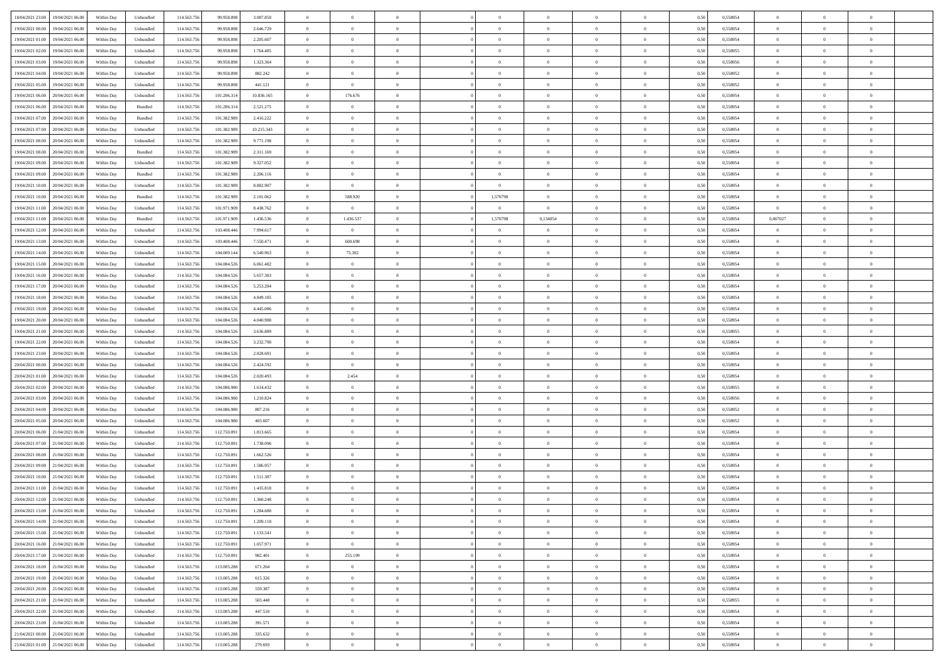| 18/04/2021 23:00<br>19/04/2021 06:00 | Within Day | Unbundled | 114.563.75  | 99.958.898  | 3.087.850  | $\overline{0}$ | $\theta$       |                | $\overline{0}$ | $\theta$       |                | $\theta$       | 0,50 | 0,558954 | $\theta$       | $\theta$       | $\overline{0}$ |  |
|--------------------------------------|------------|-----------|-------------|-------------|------------|----------------|----------------|----------------|----------------|----------------|----------------|----------------|------|----------|----------------|----------------|----------------|--|
| 19/04/2021 00:00<br>19/04/2021 06:00 | Within Day | Unbundled | 114.563.75  | 99.958.89   | 2.646.729  | $\bf{0}$       | $\bf{0}$       | $\bf{0}$       | $\bf{0}$       | $\overline{0}$ | $\overline{0}$ | $\bf{0}$       | 0,50 | 0,558954 | $\,$ 0 $\,$    | $\bf{0}$       | $\overline{0}$ |  |
| 19/04/2021 01:00<br>19/04/2021 06:00 | Within Day | Unbundled | 114,563,75  | 99.958.898  | 2.205.607  | $\overline{0}$ | $\bf{0}$       | $\overline{0}$ | $\bf{0}$       | $\bf{0}$       | $\overline{0}$ | $\bf{0}$       | 0.50 | 0.558954 | $\bf{0}$       | $\overline{0}$ | $\bf{0}$       |  |
| 19/04/2021 02:00                     |            |           | 114.563.75  |             |            | $\overline{0}$ | $\overline{0}$ | $\overline{0}$ | $\theta$       | $\theta$       | $\overline{0}$ |                |      |          | $\theta$       | $\theta$       | $\overline{0}$ |  |
| 19/04/2021 06:00                     | Within Day | Unbundled |             | 99.958.898  | 1.764.485  |                |                |                |                |                |                | $\bf{0}$       | 0,50 | 0,558955 |                |                |                |  |
| 19/04/2021 03:00<br>19/04/2021 06:00 | Within Day | Unbundled | 114.563.75  | 99.958.89   | 1.323.364  | $\bf{0}$       | $\overline{0}$ | $\bf{0}$       | $\overline{0}$ | $\bf{0}$       | $\overline{0}$ | $\bf{0}$       | 0,50 | 0,558956 | $\,$ 0 $\,$    | $\bf{0}$       | $\overline{0}$ |  |
| 19/04/2021 04:00<br>19/04/2021 06:00 | Within Day | Unbundled | 114,563,75  | 99.958.898  | 882.242    | $\overline{0}$ | $\bf{0}$       | $\overline{0}$ | $\bf{0}$       | $\overline{0}$ | $\theta$       | $\bf{0}$       | 0.50 | 0.558952 | $\,$ 0 $\,$    | $\theta$       | $\overline{0}$ |  |
| 19/04/2021 05:00<br>19/04/2021 06:00 | Within Day | Unbundled | 114.563.75  | 99.958.898  | 441.121    | $\overline{0}$ | $\overline{0}$ | $\overline{0}$ | $\overline{0}$ | $\overline{0}$ | $\overline{0}$ | $\bf{0}$       | 0,50 | 0,558952 | $\theta$       | $\theta$       | $\overline{0}$ |  |
|                                      |            |           |             |             |            |                |                |                |                |                |                |                |      |          |                |                |                |  |
| 19/04/2021 06:00<br>20/04/2021 06:00 | Within Day | Unbundled | 114.563.75  | 101.206.31  | 10.836.165 | $\bf{0}$       | 176.676        | $\bf{0}$       | $\overline{0}$ | $\overline{0}$ | $\overline{0}$ | $\bf{0}$       | 0,50 | 0,558954 | $\,$ 0 $\,$    | $\bf{0}$       | $\overline{0}$ |  |
| 19/04/2021 06:00<br>20/04/2021 06:00 | Within Day | Bundled   | 114,563,75  | 101.206.31  | 2.521.275  | $\overline{0}$ | $\bf{0}$       | $\overline{0}$ | $\bf{0}$       | $\overline{0}$ | $\overline{0}$ | $\bf{0}$       | 0.50 | 0.558954 | $\bf{0}$       | $\overline{0}$ | $\overline{0}$ |  |
| 19/04/2021 07:00<br>20/04/2021 06:00 | Within Day | Bundled   | 114.563.75  | 101.382.989 | 2.416.222  | $\bf{0}$       | $\bf{0}$       | $\overline{0}$ | $\overline{0}$ | $\overline{0}$ | $\overline{0}$ | $\bf{0}$       | 0,50 | 0,558954 | $\,$ 0 $\,$    | $\bf{0}$       | $\overline{0}$ |  |
| 19/04/2021 07:00<br>20/04/2021 06.00 | Within Day | Unbundled | 114.563.75  | 101.382.98  | 10.215.343 | $\bf{0}$       | $\bf{0}$       | $\bf{0}$       | $\bf{0}$       | $\overline{0}$ | $\overline{0}$ | $\bf{0}$       | 0,50 | 0,558954 | $\,$ 0 $\,$    | $\bf{0}$       | $\overline{0}$ |  |
| 20/04/2021 06:00                     |            |           | 114,563,75  |             |            |                |                | $\overline{0}$ |                |                | $\overline{0}$ |                |      | 0.558954 |                | $\,$ 0 $\,$    | $\,$ 0         |  |
| 19/04/2021 08:00                     | Within Day | Unbundled |             | 101.382.989 | 9.771.198  | $\overline{0}$ | $\bf{0}$       |                | $\overline{0}$ | $\overline{0}$ |                | $\bf{0}$       | 0.50 |          | $\bf{0}$       |                |                |  |
| 19/04/2021 08:00<br>20/04/2021 06:00 | Within Day | Bundled   | 114.563.75  | 101.382.989 | 2.311.169  | $\overline{0}$ | $\overline{0}$ | $\overline{0}$ | $\theta$       | $\theta$       | $\overline{0}$ | $\bf{0}$       | 0,50 | 0,558954 | $\,$ 0 $\,$    | $\theta$       | $\overline{0}$ |  |
| 19/04/2021 09:00<br>20/04/2021 06.00 | Within Day | Unbundled | 114.563.75  | 101.382.98  | 9.327.052  | $\bf{0}$       | $\overline{0}$ | $\bf{0}$       | $\bf{0}$       | $\bf{0}$       | $\overline{0}$ | $\bf{0}$       | 0,50 | 0,558954 | $\,$ 0 $\,$    | $\bf{0}$       | $\overline{0}$ |  |
| 19/04/2021 09:00<br>20/04/2021 06:00 | Within Day | Bundled   | 114,563,75  | 101.382.989 | 2.206.116  | $\overline{0}$ | $\bf{0}$       | $\overline{0}$ | $\bf{0}$       | $\overline{0}$ | $\theta$       | $\bf{0}$       | 0.50 | 0.558954 | $\,$ 0 $\,$    | $\theta$       | $\overline{0}$ |  |
| 19/04/2021 10:00<br>20/04/2021 06:00 | Within Day | Unbundled | 114.563.75  | 101.382.989 | 8.882.907  | $\overline{0}$ | $\overline{0}$ | $\overline{0}$ | $\overline{0}$ | $\overline{0}$ | $\overline{0}$ | $\bf{0}$       | 0,50 | 0,558954 | $\theta$       | $\theta$       | $\overline{0}$ |  |
|                                      |            |           |             |             |            |                |                |                |                |                |                |                |      |          |                |                |                |  |
| 19/04/2021 10:00<br>20/04/2021 06.00 | Within Day | Bundled   | 114.563.75  | 101.382.98  | 2.101.062  | $\bf{0}$       | 588.920        | $\bf{0}$       | 1,570790       | $\theta$       | $\overline{0}$ | $\bf{0}$       | 0,50 | 0,558954 | $\,$ 0 $\,$    | $\bf{0}$       | $\overline{0}$ |  |
| 19/04/2021 11:00<br>20/04/2021 06:00 | Within Day | Unbundled | 114,563,75  | 101.971.909 | 8.438.762  | $\overline{0}$ | $\overline{0}$ | $\overline{0}$ | $\overline{0}$ | $\overline{0}$ | $\overline{0}$ | $\bf{0}$       | 0.50 | 0.558954 | $\overline{0}$ | $\overline{0}$ | $\bf{0}$       |  |
| 19/04/2021 11:00<br>20/04/2021 06:00 | Within Day | Bundled   | 114.563.75  | 101.971.909 | 1.436.536  | $\bf{0}$       | 1.436.537      | $\overline{0}$ | 1,570798       | 0,134054       | $\overline{0}$ | $\bf{0}$       | 0,50 | 0,558954 | 0,067027       | $\bf{0}$       | $\overline{0}$ |  |
| 19/04/2021 12:00<br>20/04/2021 06.00 | Within Day | Unbundled | 114.563.75  | 103.408.44  | 7.994.617  | $\bf{0}$       | $\bf{0}$       | $\bf{0}$       | $\bf{0}$       | $\overline{0}$ | $\overline{0}$ | $\bf{0}$       | 0,50 | 0,558954 | $\bf{0}$       | $\bf{0}$       | $\overline{0}$ |  |
| 20/04/2021 06:00                     |            |           | 114,563,75  | 103,408,446 | 7.550.471  |                | 600.698        |                |                |                | $\overline{0}$ |                |      | 0.558954 |                |                | $\,$ 0         |  |
| 19/04/2021 13:00                     | Within Day | Unbundled |             |             |            | $\overline{0}$ |                | $\overline{0}$ | $\bf{0}$       | $\overline{0}$ |                | $\bf{0}$       | 0.50 |          | $\bf{0}$       | $\overline{0}$ |                |  |
| 19/04/2021 14:00<br>20/04/2021 06:00 | Within Day | Unbundled | 114.563.75  | 104.009.144 | 6.540.963  | $\overline{0}$ | 75.382         | $\overline{0}$ | $\overline{0}$ | $\theta$       | $\overline{0}$ | $\bf{0}$       | 0,50 | 0,558954 | $\theta$       | $\theta$       | $\overline{0}$ |  |
| 19/04/2021 15:00<br>20/04/2021 06.00 | Within Day | Unbundled | 114.563.75  | 104.084.526 | 6.061.482  | $\bf{0}$       | $\overline{0}$ | $\bf{0}$       | $\bf{0}$       | $\overline{0}$ | $\overline{0}$ | $\bf{0}$       | 0,50 | 0,558954 | $\,$ 0 $\,$    | $\bf{0}$       | $\overline{0}$ |  |
| 19/04/2021 16:00<br>20/04/2021 06:00 | Within Day | Unbundled | 114,563,75  | 104.084.52  | 5.657.383  | $\overline{0}$ | $\bf{0}$       | $\overline{0}$ | $\bf{0}$       | $\overline{0}$ | $\theta$       | $\bf{0}$       | 0.50 | 0.558954 | $\,$ 0 $\,$    | $\theta$       | $\overline{0}$ |  |
| 19/04/2021 17:00<br>20/04/2021 06:00 | Within Day | Unbundled | 114.563.75  | 104.084.526 | 5.253.284  | $\overline{0}$ | $\overline{0}$ | $\overline{0}$ | $\overline{0}$ | $\overline{0}$ | $\overline{0}$ | $\bf{0}$       | 0,50 | 0,558954 | $\theta$       | $\theta$       | $\overline{0}$ |  |
|                                      |            |           |             |             |            |                |                |                |                |                |                |                |      |          |                |                |                |  |
| 19/04/2021 18:00<br>20/04/2021 06.00 | Within Day | Unbundled | 114.563.75  | 104.084.52  | 4.849.185  | $\bf{0}$       | $\overline{0}$ | $\bf{0}$       | $\overline{0}$ | $\bf{0}$       | $\overline{0}$ | $\bf{0}$       | 0,50 | 0,558954 | $\,$ 0 $\,$    | $\bf{0}$       | $\overline{0}$ |  |
| 19/04/2021 19:00<br>20/04/2021 06:00 | Within Day | Unbundled | 114,563,75  | 104.084.526 | 4.445.086  | $\overline{0}$ | $\bf{0}$       | $\overline{0}$ | $\bf{0}$       | $\overline{0}$ | $\overline{0}$ | $\bf{0}$       | 0.50 | 0.558954 | $\bf{0}$       | $\overline{0}$ | $\overline{0}$ |  |
| 19/04/2021 20:00<br>20/04/2021 06:00 | Within Day | Unbundled | 114.563.75  | 104.084.526 | 4.040.988  | $\overline{0}$ | $\bf{0}$       | $\overline{0}$ | $\overline{0}$ | $\overline{0}$ | $\overline{0}$ | $\bf{0}$       | 0,50 | 0,558954 | $\theta$       | $\theta$       | $\overline{0}$ |  |
| 19/04/2021 21:00<br>20/04/2021 06.00 | Within Day | Unbundled | 114.563.75  | 104.084.526 | 3.636.889  | $\bf{0}$       | $\bf{0}$       | $\bf{0}$       | $\bf{0}$       | $\overline{0}$ | $\overline{0}$ | $\bf{0}$       | 0,50 | 0,558955 | $\,$ 0 $\,$    | $\bf{0}$       | $\overline{0}$ |  |
| 19/04/2021 22:00<br>20/04/2021 06:00 | Within Day | Unbundled | 114,563,75  | 104.084.526 | 3.232.790  | $\overline{0}$ | $\bf{0}$       | $\overline{0}$ | $\bf{0}$       | $\bf{0}$       | $\overline{0}$ | $\bf{0}$       | 0.50 | 0.558954 | $\bf{0}$       | $\,$ 0 $\,$    | $\,$ 0         |  |
|                                      |            |           |             |             |            |                |                |                |                |                |                |                |      |          |                |                |                |  |
| 19/04/2021 23:00<br>20/04/2021 06:00 | Within Day | Unbundled | 114.563.75  | 104.084.526 | 2.828.691  | $\overline{0}$ | $\overline{0}$ | $\overline{0}$ | $\overline{0}$ | $\overline{0}$ | $\overline{0}$ | $\bf{0}$       | 0.50 | 0.558954 | $\theta$       | $\theta$       | $\overline{0}$ |  |
| 20/04/2021 00:00<br>20/04/2021 06.00 | Within Day | Unbundled | 114.563.75  | 104.084.52  | 2.424.592  | $\bf{0}$       | $\overline{0}$ | $\bf{0}$       | $\bf{0}$       | $\overline{0}$ | $\overline{0}$ | $\bf{0}$       | 0,50 | 0,558954 | $\,$ 0 $\,$    | $\bf{0}$       | $\overline{0}$ |  |
| 20/04/2021 01:00<br>20/04/2021 06:00 | Within Day | Unbundled | 114,563,75  | 104.084.52  | 2.020.493  | $\overline{0}$ | 2.454          | $\overline{0}$ | $\bf{0}$       | $\overline{0}$ | $\overline{0}$ | $\bf{0}$       | 0.50 | 0.558954 | $\,$ 0 $\,$    | $\bf{0}$       | $\overline{0}$ |  |
| 20/04/2021 02:00<br>20/04/2021 06:00 | Within Dav | Unbundled | 114.563.75  | 104.086.980 | 1.614.432  | $\overline{0}$ | $\overline{0}$ | $\overline{0}$ | $\overline{0}$ | $\overline{0}$ | $\overline{0}$ | $\bf{0}$       | 0.50 | 0,558955 | $\theta$       | $\theta$       | $\overline{0}$ |  |
| 20/04/2021 03:00<br>20/04/2021 06:00 | Within Day | Unbundled | 114.563.75  | 104.086.98  | 1.210.824  | $\bf{0}$       | $\bf{0}$       | $\bf{0}$       | $\bf{0}$       | $\overline{0}$ | $\overline{0}$ | $\bf{0}$       | 0,50 | 0,558956 | $\,$ 0 $\,$    | $\bf{0}$       | $\overline{0}$ |  |
|                                      |            |           |             |             |            |                |                |                |                |                |                |                |      |          |                |                |                |  |
| 20/04/2021 04:00<br>20/04/2021 06:00 | Within Day | Unbundled | 114,563,75  | 104.086.98  | 807.216    | $\overline{0}$ | $\bf{0}$       | $\overline{0}$ | $\bf{0}$       | $\overline{0}$ | $\overline{0}$ | $\bf{0}$       | 0.50 | 0.558952 | $\bf{0}$       | $\overline{0}$ | $\overline{0}$ |  |
| 20/04/2021 05:00<br>20/04/2021 06:00 | Within Dav | Unbundled | 114.563.75  | 104,086,980 | 403,607    | $\overline{0}$ | $\overline{0}$ | $\overline{0}$ | $\overline{0}$ | $\overline{0}$ | $\overline{0}$ | $\bf{0}$       | 0.50 | 0,558952 | $\theta$       | $\theta$       | $\overline{0}$ |  |
| 20/04/2021 06:00<br>21/04/2021 06.00 | Within Day | Unbundled | 114.563.75  | 112.750.09  | 1.813.665  | $\bf{0}$       | $\bf{0}$       | $\bf{0}$       | $\bf{0}$       | $\overline{0}$ | $\overline{0}$ | $\bf{0}$       | 0,50 | 0,558954 | $\,$ 0 $\,$    | $\bf{0}$       | $\overline{0}$ |  |
| 20/04/2021 07:00<br>21/04/2021 06:00 | Within Day | Unbundled | 114,563,75  | 112.750.091 | 1.738.096  | $\overline{0}$ | $\bf{0}$       | $\overline{0}$ | $\overline{0}$ | $\bf{0}$       | $\overline{0}$ | $\bf{0}$       | 0.50 | 0.558954 | $\bf{0}$       | $\,$ 0 $\,$    | $\,$ 0         |  |
| 20/04/2021 08:00<br>21/04/2021 06:00 | Within Dav | Unbundled | 114.563.75  | 112.750.091 | 1.662.526  | $\overline{0}$ | $\overline{0}$ | $\overline{0}$ | $\overline{0}$ | $\overline{0}$ | $\overline{0}$ | $\bf{0}$       | 0.50 | 0.558954 | $\theta$       | $\theta$       | $\overline{0}$ |  |
|                                      |            |           |             |             |            |                |                |                |                |                |                |                |      |          |                |                |                |  |
| 20/04/2021 09:00<br>21/04/2021 06.00 | Within Day | Unbundled | 114.563.75  | 112.750.09  | 1.586.957  | $\bf{0}$       | $\bf{0}$       | $\bf{0}$       | $\bf{0}$       | $\overline{0}$ | $\overline{0}$ | $\bf{0}$       | 0,50 | 0,558954 | $\,$ 0 $\,$    | $\bf{0}$       | $\overline{0}$ |  |
| 20/04/2021 10:00<br>21/04/2021 06:00 | Within Day | Unbundled | 114,563,75  | 112.750.09  | 1.511.387  | $\overline{0}$ | $\overline{0}$ | $\overline{0}$ | $\bf{0}$       | $\overline{0}$ | $\overline{0}$ | $\bf{0}$       | 0.50 | 0.558954 | $\bf{0}$       | $\theta$       | $\overline{0}$ |  |
| 20/04/2021 11:00<br>21/04/2021 06:00 | Within Dav | Unbundled | 114.563.75  | 112.750.09  | 1.435.818  | $\overline{0}$ | $\overline{0}$ | $\Omega$       | $\overline{0}$ | $\theta$       | $\overline{0}$ | $\overline{0}$ | 0.5( | 0,558954 | $\theta$       | $\theta$       | $\overline{0}$ |  |
| 20/04/2021 12:00<br>21/04/2021 06:00 | Within Day | Unbundled | 114.563.75  | 112.750.09  | 1.360.248  | $\bf{0}$       | $\bf{0}$       | $\bf{0}$       | $\bf{0}$       | $\bf{0}$       | $\overline{0}$ | $\bf{0}$       | 0,50 | 0,558954 | $\overline{0}$ | $\overline{0}$ | $\overline{0}$ |  |
| 20/04/2021 13:00 21/04/2021 06:00    | Within Day | Unbundled | 114.563.756 | 112.750.091 | 1 284 680  | $\bf{0}$       | $\theta$       |                | $\overline{0}$ |                |                |                | 0,50 | 0.558954 | $\bf{0}$       | $\overline{0}$ |                |  |
|                                      |            |           |             |             |            |                |                |                |                |                |                |                |      |          |                |                |                |  |
| 20/04/2021 14:00 21/04/2021 06:00    | Within Day | Unbundled | 114.563.756 | 112.750.091 | 1.209.110  | $\overline{0}$ | $\overline{0}$ | $\Omega$       | $\theta$       | $\overline{0}$ | $\overline{0}$ | $\bf{0}$       | 0,50 | 0,558954 | $\theta$       | $\theta$       | $\overline{0}$ |  |
| 20/04/2021 15:00<br>21/04/2021 06:00 | Within Day | Unbundled | 114.563.75  | 112.750.091 | 1.133.541  | $\overline{0}$ | $\bf{0}$       | $\overline{0}$ | $\overline{0}$ | $\bf{0}$       | $\overline{0}$ | $\bf{0}$       | 0,50 | 0,558954 | $\bf{0}$       | $\overline{0}$ | $\bf{0}$       |  |
| 20/04/2021 16:00 21/04/2021 06:00    | Within Day | Unbundled | 114,563,756 | 112.750.091 | 1.057.971  | $\overline{0}$ | $\overline{0}$ | $\overline{0}$ | $\overline{0}$ | $\mathbf{0}$   | $\overline{0}$ | $\,$ 0 $\,$    | 0.50 | 0.558954 | $\overline{0}$ | $\bf{0}$       | $\,$ 0 $\,$    |  |
| 20/04/2021 17:00 21/04/2021 06:00    | Within Day | Unbundled | 114.563.756 | 112.750.091 | 982.401    | $\overline{0}$ | 255.199        | $\overline{0}$ | $\overline{0}$ | $\overline{0}$ | $\overline{0}$ | $\bf{0}$       | 0,50 | 0,558954 | $\overline{0}$ | $\theta$       | $\overline{0}$ |  |
| 20/04/2021 18:00<br>21/04/2021 06:00 | Within Day | Unbundled | 114.563.75  | 113.005.288 | 671.264    | $\overline{0}$ | $\bf{0}$       | $\overline{0}$ | $\overline{0}$ | $\bf{0}$       | $\overline{0}$ | $\bf{0}$       | 0,50 | 0,558954 | $\bf{0}$       | $\overline{0}$ | $\overline{0}$ |  |
|                                      |            |           |             |             |            |                |                |                |                |                |                |                |      |          |                |                |                |  |
| 20/04/2021 19:00 21/04/2021 06:00    | Within Day | Unbundled | 114.563.756 | 113.005.288 | 615.326    | $\overline{0}$ | $\bf{0}$       | $\overline{0}$ | $\overline{0}$ | $\bf{0}$       | $\overline{0}$ | $\bf{0}$       | 0.50 | 0.558954 | $\,$ 0 $\,$    | $\overline{0}$ | $\,$ 0         |  |
| 20/04/2021 20:00 21/04/2021 06:00    | Within Dav | Unbundled | 114.563.756 | 113.005.288 | 559,387    | $\overline{0}$ | $\overline{0}$ | $\overline{0}$ | $\overline{0}$ | $\overline{0}$ | $\overline{0}$ | $\bf{0}$       | 0.50 | 0,558954 | $\overline{0}$ | $\theta$       | $\overline{0}$ |  |
| 20/04/2021 21:00<br>21/04/2021 06:00 | Within Day | Unbundled | 114.563.75  | 113.005.288 | 503.448    | $\overline{0}$ | $\overline{0}$ | $\overline{0}$ | $\overline{0}$ | $\overline{0}$ | $\overline{0}$ | $\bf{0}$       | 0,50 | 0,558955 | $\bf{0}$       | $\overline{0}$ | $\,$ 0         |  |
| 20/04/2021 22:00 21/04/2021 06:00    | Within Day | Unbundled | 114.563.75  | 113,005.288 | 447.510    | $\overline{0}$ | $\overline{0}$ | $\overline{0}$ | $\overline{0}$ | $\overline{0}$ | $\overline{0}$ | $\bf{0}$       | 0.50 | 0.558954 | $\mathbf{0}$   | $\bf{0}$       | $\,$ 0         |  |
|                                      |            |           |             |             |            |                |                |                |                |                |                |                |      |          |                |                |                |  |
| 20/04/2021 23:00 21/04/2021 06:00    | Within Dav | Unbundled | 114.563.756 | 113.005.288 | 391.571    | $\overline{0}$ | $\overline{0}$ | $\overline{0}$ | $\overline{0}$ | $\overline{0}$ | $\overline{0}$ | $\bf{0}$       | 0,50 | 0,558954 | $\overline{0}$ | $\theta$       | $\overline{0}$ |  |
| 21/04/2021 00:00<br>21/04/2021 06:00 | Within Day | Unbundled | 114.563.75  | 113.005.288 | 335.632    | $\overline{0}$ | $\bf{0}$       | $\overline{0}$ | $\overline{0}$ | $\overline{0}$ | $\overline{0}$ | $\bf{0}$       | 0,50 | 0,558954 | $\bf{0}$       | $\overline{0}$ | $\bf{0}$       |  |
| 21/04/2021 01:00 21/04/2021 06:00    | Within Day | Unbundled | 114.563.756 | 113.005.288 | 279.693    | $\,$ 0 $\,$    | $\bf{0}$       | $\overline{0}$ | $\overline{0}$ | $\,$ 0 $\,$    | $\overline{0}$ | $\,$ 0 $\,$    | 0,50 | 0,558954 | $\overline{0}$ | $\,$ 0 $\,$    | $\,$ 0 $\,$    |  |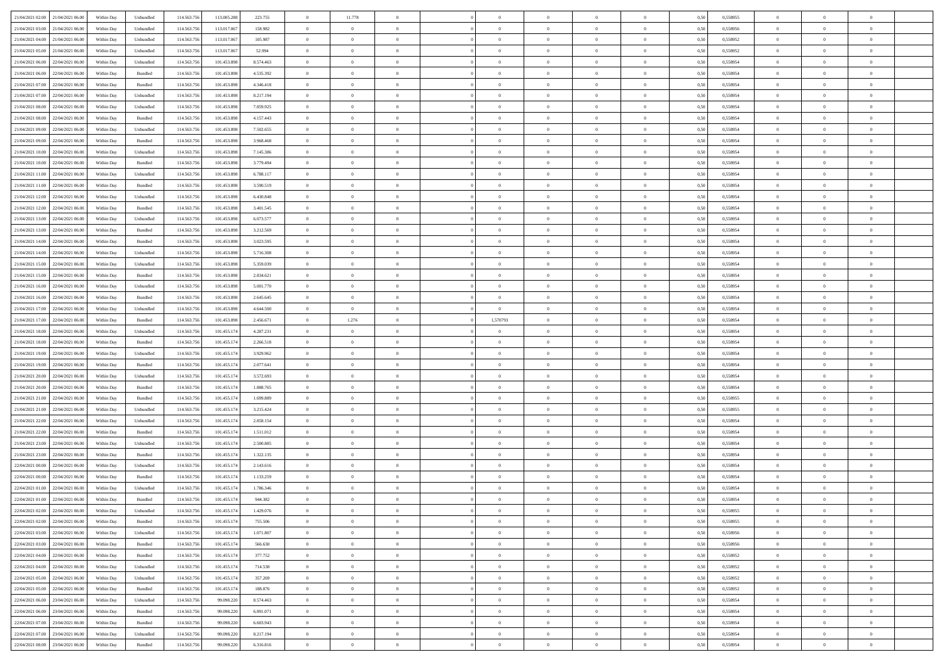| 21/04/2021 02:00 21/04/2021 06:00    | Within Day | Unbundled                   | 114.563.756 | 113.005.288 | 223.755   | $\overline{0}$ | 11.778         |                | $\overline{0}$ | $\theta$       |                | $\theta$       | 0,50 | 0,558955 | $\theta$       | $\theta$       | $\overline{0}$ |  |
|--------------------------------------|------------|-----------------------------|-------------|-------------|-----------|----------------|----------------|----------------|----------------|----------------|----------------|----------------|------|----------|----------------|----------------|----------------|--|
| 21/04/2021 03:00<br>21/04/2021 06:00 | Within Day | Unbundled                   | 114.563.75  | 113.017.06  | 158.982   | $\bf{0}$       | $\bf{0}$       | $\bf{0}$       | $\bf{0}$       | $\overline{0}$ | $\overline{0}$ | $\bf{0}$       | 0,50 | 0,558956 | $\,$ 0 $\,$    | $\bf{0}$       | $\overline{0}$ |  |
| 21/04/2021 04:00<br>21/04/2021 06:00 | Within Day | Unbundled                   | 114,563,75  | 113,017,067 | 105.987   | $\overline{0}$ | $\bf{0}$       | $\overline{0}$ | $\bf{0}$       | $\bf{0}$       | $\overline{0}$ | $\bf{0}$       | 0.50 | 0.558952 | $\bf{0}$       | $\overline{0}$ | $\overline{0}$ |  |
| 21/04/2021 05:00<br>21/04/2021 06:00 | Within Day | Unbundled                   | 114.563.75  | 113.017.067 | 52.994    | $\overline{0}$ | $\overline{0}$ | $\overline{0}$ | $\theta$       | $\theta$       | $\overline{0}$ | $\bf{0}$       | 0,50 | 0,558952 | $\,$ 0 $\,$    | $\,$ 0 $\,$    | $\overline{0}$ |  |
|                                      |            |                             |             |             |           |                | $\overline{0}$ |                |                |                |                |                |      |          |                |                |                |  |
| 21/04/2021 06:00<br>22/04/2021 06.00 | Within Day | Unbundled                   | 114.563.75  | 101.453.89  | 8.574.463 | $\bf{0}$       |                | $\bf{0}$       | $\overline{0}$ | $\bf{0}$       | $\overline{0}$ | $\bf{0}$       | 0,50 | 0,558954 | $\,$ 0 $\,$    | $\bf{0}$       | $\overline{0}$ |  |
| 21/04/2021 06:00<br>22/04/2021 06:00 | Within Day | Bundled                     | 114,563,75  | 101.453.898 | 4.535.392 | $\overline{0}$ | $\bf{0}$       | $\overline{0}$ | $\bf{0}$       | $\overline{0}$ | $\overline{0}$ | $\bf{0}$       | 0.50 | 0.558954 | $\,$ 0 $\,$    | $\bf{0}$       | $\overline{0}$ |  |
| 21/04/2021 07:00<br>22/04/2021 06:00 | Within Day | Bundled                     | 114.563.75  | 101.453.898 | 4.346.418 | $\overline{0}$ | $\overline{0}$ | $\overline{0}$ | $\overline{0}$ | $\overline{0}$ | $\overline{0}$ | $\bf{0}$       | 0,50 | 0,558954 | $\,$ 0 $\,$    | $\theta$       | $\overline{0}$ |  |
| 21/04/2021 07:00<br>22/04/2021 06.00 | Within Day | Unbundled                   | 114.563.75  | 101.453.89  | 8.217.194 | $\bf{0}$       | $\bf{0}$       | $\bf{0}$       | $\overline{0}$ | $\overline{0}$ | $\overline{0}$ | $\bf{0}$       | 0,50 | 0,558954 | $\,$ 0 $\,$    | $\bf{0}$       | $\overline{0}$ |  |
| 21/04/2021 08:00<br>22/04/2021 06:00 | Within Day | Unbundled                   | 114,563,75  | 101.453.898 | 7.859.925 | $\overline{0}$ | $\bf{0}$       | $\overline{0}$ | $\bf{0}$       | $\overline{0}$ | $\overline{0}$ | $\bf{0}$       | 0.50 | 0.558954 | $\bf{0}$       | $\overline{0}$ | $\overline{0}$ |  |
| 21/04/2021 08:00<br>22/04/2021 06:00 | Within Day | Bundled                     | 114.563.75  | 101.453.898 | 4.157.443 | $\overline{0}$ | $\bf{0}$       | $\overline{0}$ | $\overline{0}$ | $\overline{0}$ | $\overline{0}$ | $\bf{0}$       | 0,50 | 0,558954 | $\,$ 0 $\,$    | $\,$ 0 $\,$    | $\overline{0}$ |  |
|                                      |            |                             |             |             |           |                |                |                |                |                |                |                |      |          |                |                |                |  |
| 21/04/2021 09:00<br>22/04/2021 06.00 | Within Day | Unbundled                   | 114.563.75  | 101.453.89  | 7.502.655 | $\bf{0}$       | $\bf{0}$       | $\bf{0}$       | $\bf{0}$       | $\overline{0}$ | $\overline{0}$ | $\bf{0}$       | 0,50 | 0,558954 | $\,$ 0 $\,$    | $\bf{0}$       | $\overline{0}$ |  |
| 21/04/2021 09:00<br>22/04/2021 06:00 | Within Day | Bundled                     | 114,563,75  | 101.453.898 | 3.968.468 | $\overline{0}$ | $\bf{0}$       | $\overline{0}$ | $\overline{0}$ | $\overline{0}$ | $\overline{0}$ | $\bf{0}$       | 0.50 | 0.558954 | $\bf{0}$       | $\,$ 0 $\,$    | $\,$ 0         |  |
| 21/04/2021 10:00<br>22/04/2021 06:00 | Within Day | Unbundled                   | 114.563.75  | 101.453.898 | 7.145.386 | $\overline{0}$ | $\bf{0}$       | $\overline{0}$ | $\theta$       | $\theta$       | $\overline{0}$ | $\bf{0}$       | 0,50 | 0,558954 | $\,$ 0 $\,$    | $\,$ 0 $\,$    | $\overline{0}$ |  |
| 21/04/2021 10:00<br>22/04/2021 06.00 | Within Day | Bundled                     | 114.563.75  | 101.453.89  | 3.779.494 | $\bf{0}$       | $\overline{0}$ | $\bf{0}$       | $\bf{0}$       | $\bf{0}$       | $\overline{0}$ | $\bf{0}$       | 0,50 | 0,558954 | $\,$ 0 $\,$    | $\bf{0}$       | $\overline{0}$ |  |
| 21/04/2021 11:00<br>22/04/2021 06:00 | Within Day | Unbundled                   | 114,563,75  | 101.453.898 | 6.788.117 | $\overline{0}$ | $\bf{0}$       | $\overline{0}$ | $\bf{0}$       | $\overline{0}$ | $\overline{0}$ | $\bf{0}$       | 0.50 | 0.558954 | $\,$ 0 $\,$    | $\bf{0}$       | $\overline{0}$ |  |
| 21/04/2021 11:00<br>22/04/2021 06:00 | Within Day | Bundled                     | 114.563.75  | 101.453.898 | 3.590.519 | $\overline{0}$ | $\overline{0}$ | $\overline{0}$ | $\overline{0}$ | $\overline{0}$ | $\overline{0}$ | $\bf{0}$       | 0,50 | 0,558954 | $\theta$       | $\theta$       | $\overline{0}$ |  |
|                                      |            |                             |             |             |           |                |                |                |                |                |                |                |      |          |                |                |                |  |
| 21/04/2021 12:00<br>22/04/2021 06.00 | Within Day | Unbundled                   | 114.563.75  | 101.453.89  | 6.430.848 | $\bf{0}$       | $\bf{0}$       | $\bf{0}$       | $\overline{0}$ | $\overline{0}$ | $\overline{0}$ | $\bf{0}$       | 0,50 | 0,558954 | $\,$ 0 $\,$    | $\bf{0}$       | $\overline{0}$ |  |
| 21/04/2021 12:00<br>22/04/2021 06:00 | Within Day | Bundled                     | 114,563,75  | 101.453.898 | 3.401.545 | $\overline{0}$ | $\bf{0}$       | $\overline{0}$ | $\bf{0}$       | $\overline{0}$ | $\overline{0}$ | $\bf{0}$       | 0.50 | 0.558954 | $\bf{0}$       | $\overline{0}$ | $\overline{0}$ |  |
| 21/04/2021 13:00<br>22/04/2021 06:00 | Within Day | Unbundled                   | 114.563.75  | 101.453.898 | 6.073.577 | $\overline{0}$ | $\bf{0}$       | $\overline{0}$ | $\overline{0}$ | $\overline{0}$ | $\overline{0}$ | $\bf{0}$       | 0,50 | 0,558954 | $\,$ 0 $\,$    | $\bf{0}$       | $\overline{0}$ |  |
| 21/04/2021 13:00<br>22/04/2021 06.00 | Within Day | Bundled                     | 114.563.75  | 101.453.89  | 3.212.569 | $\bf{0}$       | $\bf{0}$       | $\bf{0}$       | $\bf{0}$       | $\overline{0}$ | $\overline{0}$ | $\bf{0}$       | 0,50 | 0,558954 | $\,$ 0 $\,$    | $\bf{0}$       | $\overline{0}$ |  |
| 21/04/2021 14:00<br>22/04/2021 06:00 | Within Day | Bundled                     | 114.563.75  | 101.453.898 | 3.023.595 | $\overline{0}$ | $\bf{0}$       | $\overline{0}$ | $\overline{0}$ | $\,$ 0 $\,$    | $\overline{0}$ | $\bf{0}$       | 0.50 | 0.558954 | $\bf{0}$       | $\,$ 0 $\,$    | $\,$ 0         |  |
| 21/04/2021 14:00<br>22/04/2021 06:00 | Within Day | Unbundled                   | 114.563.75  | 101.453.898 | 5.716.308 | $\overline{0}$ | $\overline{0}$ | $\overline{0}$ | $\theta$       | $\theta$       | $\overline{0}$ | $\bf{0}$       | 0,50 | 0,558954 | $\theta$       | $\theta$       | $\overline{0}$ |  |
|                                      |            |                             |             |             |           |                |                |                |                |                |                |                |      |          |                |                |                |  |
| 21/04/2021 15:00<br>22/04/2021 06.00 | Within Day | Unbundled                   | 114.563.75  | 101.453.89  | 5.359.039 | $\bf{0}$       | $\bf{0}$       | $\bf{0}$       | $\bf{0}$       | $\overline{0}$ | $\overline{0}$ | $\bf{0}$       | 0,50 | 0,558954 | $\,$ 0 $\,$    | $\bf{0}$       | $\overline{0}$ |  |
| 21/04/2021 15:00<br>22/04/2021 06:00 | Within Day | Bundled                     | 114,563,75  | 101.453.898 | 2.834.621 | $\overline{0}$ | $\bf{0}$       | $\overline{0}$ | $\bf{0}$       | $\overline{0}$ | $\overline{0}$ | $\bf{0}$       | 0.50 | 0.558954 | $\,$ 0 $\,$    | $\bf{0}$       | $\overline{0}$ |  |
| 21/04/2021 16:00<br>22/04/2021 06:00 | Within Day | Unbundled                   | 114.563.75  | 101.453.898 | 5.001.770 | $\overline{0}$ | $\overline{0}$ | $\overline{0}$ | $\overline{0}$ | $\overline{0}$ | $\overline{0}$ | $\bf{0}$       | 0,50 | 0,558954 | $\,$ 0 $\,$    | $\theta$       | $\overline{0}$ |  |
| 21/04/2021 16:00<br>22/04/2021 06.00 | Within Day | Bundled                     | 114.563.75  | 101.453.89  | 2.645.645 | $\bf{0}$       | $\overline{0}$ | $\bf{0}$       | $\overline{0}$ | $\bf{0}$       | $\overline{0}$ | $\bf{0}$       | 0,50 | 0,558954 | $\,$ 0 $\,$    | $\bf{0}$       | $\overline{0}$ |  |
| 21/04/2021 17:00<br>22/04/2021 06:00 | Within Day | Unbundled                   | 114,563,75  | 101.453.898 | 4.644.500 | $\overline{0}$ | $\bf{0}$       | $\overline{0}$ | $\bf{0}$       | $\overline{0}$ | $\overline{0}$ | $\bf{0}$       | 0.50 | 0.558954 | $\bf{0}$       | $\overline{0}$ | $\overline{0}$ |  |
| 21/04/2021 17:00<br>22/04/2021 06:00 | Within Day | Bundled                     | 114.563.75  | 101.453.898 | 2.456.671 | $\overline{0}$ | 1.276          | $\overline{0}$ | 1,570793       | $\overline{0}$ | $\overline{0}$ | $\bf{0}$       | 0,50 | 0,558954 | $\theta$       | $\bf{0}$       | $\overline{0}$ |  |
|                                      |            |                             |             |             |           |                |                |                |                |                |                |                |      |          |                |                |                |  |
| 21/04/2021 18:00<br>22/04/2021 06.00 | Within Day | Unbundled                   | 114.563.75  | 101.455.17  | 4.287.231 | $\bf{0}$       | $\bf{0}$       | $\bf{0}$       | $\bf{0}$       | $\overline{0}$ | $\overline{0}$ | $\bf{0}$       | 0,50 | 0,558954 | $\,$ 0 $\,$    | $\bf{0}$       | $\overline{0}$ |  |
| 21/04/2021 18:00<br>22/04/2021 06:00 | Within Day | Bundled                     | 114,563,75  | 101.455.174 | 2.266.518 | $\overline{0}$ | $\bf{0}$       | $\overline{0}$ | $\bf{0}$       | $\bf{0}$       | $\overline{0}$ | $\bf{0}$       | 0.50 | 0.558954 | $\bf{0}$       | $\,$ 0 $\,$    | $\,$ 0         |  |
| 21/04/2021 19:00<br>22/04/2021 06:00 | Within Day | Unbundled                   | 114.563.75  | 101.455.17  | 3.929.962 | $\overline{0}$ | $\overline{0}$ | $\overline{0}$ | $\overline{0}$ | $\overline{0}$ | $\overline{0}$ | $\bf{0}$       | 0.50 | 0.558954 | $\theta$       | $\theta$       | $\overline{0}$ |  |
| 21/04/2021 19:00<br>22/04/2021 06.00 | Within Day | Bundled                     | 114.563.75  | 101.455.17  | 2.077.641 | $\bf{0}$       | $\bf{0}$       | $\bf{0}$       | $\bf{0}$       | $\overline{0}$ | $\overline{0}$ | $\bf{0}$       | 0,50 | 0,558954 | $\,$ 0 $\,$    | $\bf{0}$       | $\overline{0}$ |  |
| 21/04/2021 20:00<br>22/04/2021 06:00 | Within Day | Unbundled                   | 114,563,75  | 101.455.174 | 3.572.693 | $\overline{0}$ | $\bf{0}$       | $\overline{0}$ | $\bf{0}$       | $\overline{0}$ | $\overline{0}$ | $\bf{0}$       | 0.50 | 0.558954 | $\,$ 0 $\,$    | $\bf{0}$       | $\overline{0}$ |  |
| 21/04/2021 20:00<br>22/04/2021 06:00 | Within Dav | Bundled                     | 114.563.75  | 101.455.174 | 1.888.765 | $\overline{0}$ | $\overline{0}$ | $\overline{0}$ | $\overline{0}$ | $\overline{0}$ | $\overline{0}$ | $\bf{0}$       | 0.50 | 0,558954 | $\theta$       | $\theta$       | $\overline{0}$ |  |
| 21/04/2021 21:00<br>22/04/2021 06.00 | Within Day | Bundled                     | 114.563.75  | 101.455.17  | 1.699.889 | $\bf{0}$       | $\bf{0}$       | $\bf{0}$       | $\bf{0}$       | $\overline{0}$ | $\overline{0}$ | $\bf{0}$       | 0,50 | 0,558955 | $\,$ 0 $\,$    | $\bf{0}$       | $\overline{0}$ |  |
|                                      |            |                             |             |             |           |                |                |                |                |                |                |                |      |          |                |                |                |  |
| 21/04/2021 21:00<br>22/04/2021 06:00 | Within Day | Unbundled                   | 114,563,75  | 101.455.17  | 3.215.424 | $\overline{0}$ | $\bf{0}$       | $\overline{0}$ | $\bf{0}$       | $\overline{0}$ | $\overline{0}$ | $\bf{0}$       | 0.50 | 0.558955 | $\bf{0}$       | $\overline{0}$ | $\overline{0}$ |  |
| 21/04/2021 22:00<br>22/04/2021 06:00 | Within Dav | Unbundled                   | 114.563.75  | 101.455.17  | 2.858.154 | $\overline{0}$ | $\overline{0}$ | $\overline{0}$ | $\overline{0}$ | $\overline{0}$ | $\overline{0}$ | $\bf{0}$       | 0.50 | 0,558954 | $\theta$       | $\theta$       | $\overline{0}$ |  |
| 21/04/2021 22.00<br>22/04/2021 06.00 | Within Day | Bundled                     | 114.563.75  | 101.455.17  | 1.511.012 | $\bf{0}$       | $\bf{0}$       | $\bf{0}$       | $\bf{0}$       | $\overline{0}$ | $\overline{0}$ | $\bf{0}$       | 0,50 | 0,558954 | $\,$ 0 $\,$    | $\bf{0}$       | $\overline{0}$ |  |
| 21/04/2021 23:00<br>22/04/2021 06:00 | Within Day | Unbundled                   | 114.563.75  | 101.455.174 | 2.500,885 | $\overline{0}$ | $\bf{0}$       | $\overline{0}$ | $\overline{0}$ | $\bf{0}$       | $\overline{0}$ | $\bf{0}$       | 0.50 | 0.558954 | $\,$ 0 $\,$    | $\,$ 0 $\,$    | $\overline{0}$ |  |
| 21/04/2021 23:00<br>22/04/2021 06:00 | Within Dav | Bundled                     | 114.563.75  | 101.455.174 | 1.322.135 | $\overline{0}$ | $\overline{0}$ | $\overline{0}$ | $\overline{0}$ | $\overline{0}$ | $\overline{0}$ | $\bf{0}$       | 0.50 | 0,558954 | $\theta$       | $\theta$       | $\overline{0}$ |  |
| 22/04/2021 00:00<br>22/04/2021 06.00 | Within Day | Unbundled                   | 114.563.75  | 101.455.17  | 2.143.616 | $\bf{0}$       | $\bf{0}$       | $\bf{0}$       | $\bf{0}$       | $\overline{0}$ | $\overline{0}$ | $\bf{0}$       | 0,50 | 0,558954 | $\,$ 0 $\,$    | $\bf{0}$       | $\overline{0}$ |  |
| 22/04/2021 00:00<br>22/04/2021 06:00 |            | Bundled                     | 114.563.75  | 101.455.17  | 1.133.259 | $\overline{0}$ | $\bf{0}$       | $\overline{0}$ | $\bf{0}$       | $\overline{0}$ | $\overline{0}$ | $\bf{0}$       | 0.50 | 0.558954 | $\bf{0}$       | $\bf{0}$       | $\overline{0}$ |  |
|                                      | Within Day |                             |             |             |           |                |                |                |                |                |                |                |      |          |                |                |                |  |
| 22/04/2021 01:00<br>22/04/2021 06:00 | Within Dav | Unbundled                   | 114.563.75  | 101.455.17  | 1.786.346 | $\overline{0}$ | $\overline{0}$ | $\overline{0}$ | $\theta$       | $\theta$       | $\overline{0}$ | $\overline{0}$ | 0.5( | 0,558954 | $\theta$       | $\theta$       | $\overline{0}$ |  |
| 22/04/2021 01:00<br>22/04/2021 06:00 | Within Day | Bundled                     | 114.563.75  | 101.455.17  | 944.382   | $\bf{0}$       | $\bf{0}$       | $\bf{0}$       | $\bf{0}$       | $\bf{0}$       | $\overline{0}$ | $\bf{0}$       | 0,50 | 0,558954 | $\overline{0}$ | $\overline{0}$ | $\overline{0}$ |  |
| 22/04/2021 02:00 22/04/2021 06:00    | Within Day | $\ensuremath{\mathsf{Unb}}$ | 114.563.756 | 101.455.174 | 1.429.076 | $\bf{0}$       | $\theta$       |                | $\overline{0}$ |                |                |                | 0,50 | 0.558955 | $\bf{0}$       | $\bf{0}$       |                |  |
| 22/04/2021 02:00 22/04/2021 06:00    | Within Day | Bundled                     | 114.563.756 | 101.455.174 | 755.506   | $\overline{0}$ | $\overline{0}$ | $\Omega$       | $\theta$       | $\overline{0}$ | $\overline{0}$ | $\bf{0}$       | 0,50 | 0,558955 | $\theta$       | $\theta$       | $\overline{0}$ |  |
| 22/04/2021 03:00<br>22/04/2021 06:00 | Within Day | Unbundled                   | 114.563.75  | 101.455.17  | 1.071.807 | $\overline{0}$ | $\bf{0}$       | $\overline{0}$ | $\overline{0}$ | $\bf{0}$       | $\overline{0}$ | $\bf{0}$       | 0,50 | 0,558956 | $\bf{0}$       | $\overline{0}$ | $\bf{0}$       |  |
| 22/04/2021 03:00 22/04/2021 06:00    | Within Day | Bundled                     | 114,563,756 | 101.455.174 | 566,630   | $\overline{0}$ | $\bf{0}$       | $\overline{0}$ | $\overline{0}$ | $\mathbf{0}$   | $\overline{0}$ | $\,$ 0 $\,$    | 0.50 | 0.558956 | $\overline{0}$ | $\bf{0}$       | $\,$ 0 $\,$    |  |
| 22/04/2021 04:00 22/04/2021 06:00    | Within Dav | Bundled                     | 114.563.756 | 101.455.174 | 377.752   | $\overline{0}$ | $\overline{0}$ | $\overline{0}$ | $\overline{0}$ | $\overline{0}$ | $\overline{0}$ | $\bf{0}$       | 0,50 | 0,558952 | $\overline{0}$ | $\theta$       | $\overline{0}$ |  |
|                                      |            |                             |             |             |           |                |                |                |                |                |                |                |      |          |                |                |                |  |
| 22/04/2021 04:00<br>22/04/2021 06:00 | Within Day | Unbundled                   | 114.563.75  | 101.455.174 | 714.538   | $\overline{0}$ | $\bf{0}$       | $\overline{0}$ | $\overline{0}$ | $\bf{0}$       | $\overline{0}$ | $\bf{0}$       | 0,50 | 0,558952 | $\bf{0}$       | $\overline{0}$ | $\overline{0}$ |  |
| 22/04/2021 05:00 22/04/2021 06:00    | Within Day | Unbundled                   | 114.563.756 | 101.455.174 | 357.269   | $\overline{0}$ | $\bf{0}$       | $\overline{0}$ | $\overline{0}$ | $\bf{0}$       | $\overline{0}$ | $\bf{0}$       | 0.50 | 0.558952 | $\,$ 0 $\,$    | $\overline{0}$ | $\,$ 0         |  |
| 22/04/2021 05:00 22/04/2021 06:00    | Within Dav | Bundled                     | 114.563.756 | 101.455.174 | 188,876   | $\overline{0}$ | $\overline{0}$ | $\overline{0}$ | $\overline{0}$ | $\overline{0}$ | $\overline{0}$ | $\bf{0}$       | 0.50 | 0,558952 | $\overline{0}$ | $\theta$       | $\overline{0}$ |  |
| 22/04/2021 06:00<br>23/04/2021 06:00 | Within Day | Unbundled                   | 114.563.75  | 99.098.220  | 8.574.463 | $\overline{0}$ | $\overline{0}$ | $\overline{0}$ | $\overline{0}$ | $\overline{0}$ | $\overline{0}$ | $\bf{0}$       | 0,50 | 0,558954 | $\bf{0}$       | $\overline{0}$ | $\,$ 0         |  |
| 22/04/2021 06:00 23/04/2021 06:00    | Within Day | Bundled                     | 114,563,756 | 99,098.220  | 6.891.071 | $\overline{0}$ | $\overline{0}$ | $\overline{0}$ | $\overline{0}$ | $\overline{0}$ | $\overline{0}$ | $\bf{0}$       | 0.50 | 0.558954 | $\mathbf{0}$   | $\bf{0}$       | $\,$ 0         |  |
| 22/04/2021 07:00 23/04/2021 06:00    | Within Dav | Bundled                     | 114.563.756 | 99.098.220  | 6.603.943 | $\overline{0}$ | $\overline{0}$ | $\overline{0}$ | $\overline{0}$ | $\overline{0}$ | $\overline{0}$ | $\bf{0}$       | 0,50 | 0,558954 | $\overline{0}$ | $\theta$       | $\overline{0}$ |  |
|                                      |            |                             |             |             |           |                |                |                |                |                |                |                |      |          |                |                |                |  |
| 22/04/2021 07:00<br>23/04/2021 06:00 | Within Day | Unbundled                   | 114.563.75  | 99.098.220  | 8.217.194 | $\overline{0}$ | $\bf{0}$       | $\overline{0}$ | $\bf{0}$       | $\overline{0}$ | $\overline{0}$ | $\bf{0}$       | 0,50 | 0,558954 | $\bf{0}$       | $\,$ 0 $\,$    | $\bf{0}$       |  |
| 22/04/2021 08:00 23/04/2021 06:00    | Within Day | Bundled                     | 114.563.756 | 99.098.220  | 6.316.816 | $\,$ 0 $\,$    | $\bf{0}$       | $\overline{0}$ | $\overline{0}$ | $\,$ 0 $\,$    | $\overline{0}$ | $\bf{0}$       | 0,50 | 0,558954 | $\overline{0}$ | $\,$ 0 $\,$    | $\,$ 0 $\,$    |  |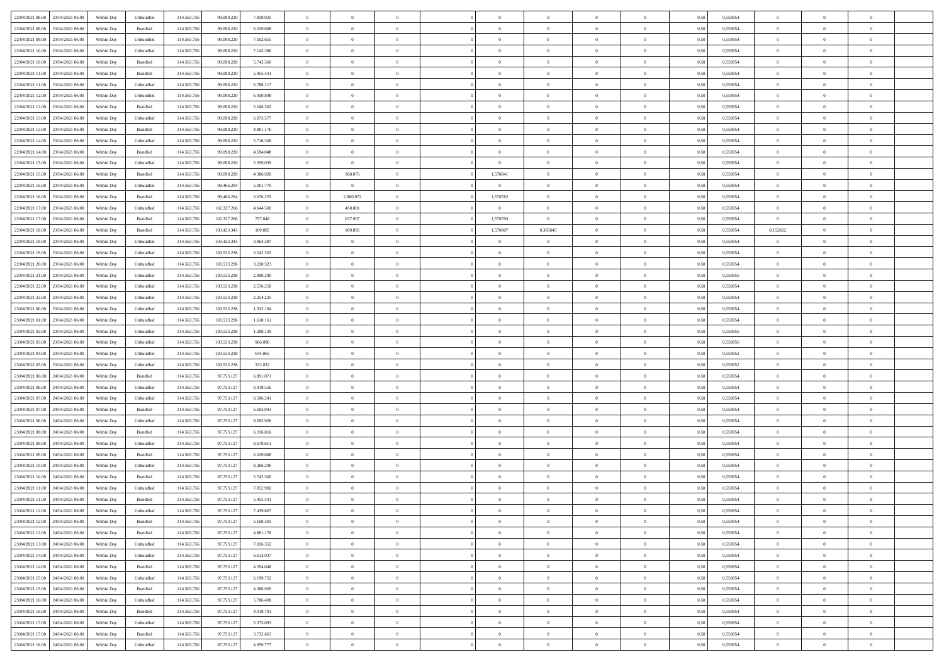| 22/04/2021 08:00 23/04/2021 06:00    | Within Day | Unbundled                   | 114.563.75  | 99.098.220  | 7.859.925 | $\overline{0}$ | $\theta$       |                | $\overline{0}$ | $\bf{0}$       | $\overline{0}$ | $\theta$       | 0,50 | 0,558954 | $\,0\,$           | $\overline{0}$ | $\bf{0}$       |  |
|--------------------------------------|------------|-----------------------------|-------------|-------------|-----------|----------------|----------------|----------------|----------------|----------------|----------------|----------------|------|----------|-------------------|----------------|----------------|--|
|                                      |            |                             |             |             |           |                |                |                |                |                |                |                |      |          |                   |                |                |  |
| 22/04/2021 09:00<br>23/04/2021 06.00 | Within Day | Bundled                     | 114.563.75  | 99.098.220  | 6.029.688 | $\bf{0}$       | $\overline{0}$ | $\overline{0}$ | $\overline{0}$ | $\bf{0}$       | $\overline{0}$ | $\bf{0}$       | 0,50 | 0,558954 | $\bf{0}$          | $\overline{0}$ | $\bf{0}$       |  |
| 22/04/2021 09:00<br>23/04/2021 06:00 | Within Day | Unbundled                   | 114.563.75  | 99.098.220  | 7.502.655 | $\overline{0}$ | $\overline{0}$ | $\overline{0}$ | $\overline{0}$ | $\,$ 0 $\,$    | $\overline{0}$ | $\overline{0}$ | 0.50 | 0.558954 | $\overline{0}$    | $\bf{0}$       | $\bf{0}$       |  |
| 22/04/2021 10:00<br>23/04/2021 06:00 | Within Day | Unbundled                   | 114.563.75  | 99.098.220  | 7.145.386 | $\overline{0}$ | $\overline{0}$ | $\overline{0}$ | $\overline{0}$ | $\,0\,$        | $\overline{0}$ | $\overline{0}$ | 0,50 | 0,558954 | $\,0\,$           | $\overline{0}$ | $\,$ 0 $\,$    |  |
| 22/04/2021 10:00<br>23/04/2021 06.00 | Within Day | Bundled                     | 114.563.75  | 99.098.220  | 5.742.560 | $\overline{0}$ | $\theta$       | $\overline{0}$ | $\overline{0}$ | $\,$ 0         | $\overline{0}$ | $\bf{0}$       | 0,50 | 0,558954 | $\bf{0}$          | $\overline{0}$ | $\bf{0}$       |  |
| 22/04/2021 11:00<br>23/04/2021 06:00 | Within Day | Bundled                     | 114,563,75  | 99.098.220  | 5.455.431 | $\overline{0}$ | $\overline{0}$ | $\overline{0}$ | $\overline{0}$ | $\bf{0}$       | $\overline{0}$ | $\overline{0}$ | 0.50 | 0.558954 | $\bf{0}$          | $\overline{0}$ | $\bf{0}$       |  |
|                                      |            |                             |             |             |           |                |                |                |                |                |                |                |      |          |                   |                |                |  |
| 22/04/2021 11:00<br>23/04/2021 06:00 | Within Day | Unbundled                   | 114.563.75  | 99.098.220  | 6.788.117 | $\overline{0}$ | $\overline{0}$ | $\overline{0}$ | $\overline{0}$ | $\bf{0}$       | $\overline{0}$ | $\overline{0}$ | 0,50 | 0,558954 | $\,0\,$           | $\overline{0}$ | $\bf{0}$       |  |
| 22/04/2021 12:00<br>23/04/2021 06.00 | Within Day | Unbundled                   | 114.563.75  | 99.098.220  | 6.430.848 | $\overline{0}$ | $\overline{0}$ | $\overline{0}$ | $\overline{0}$ | $\,$ 0         | $\overline{0}$ | $\bf{0}$       | 0,50 | 0,558954 | $\bf{0}$          | $\overline{0}$ | $\bf{0}$       |  |
| 22/04/2021 12:00<br>23/04/2021 06:00 | Within Day | Bundled                     | 114,563,75  | 99.098.220  | 5.168.303 | $\overline{0}$ | $\overline{0}$ | $\overline{0}$ | $\overline{0}$ | $\bf{0}$       | $\overline{0}$ | $\overline{0}$ | 0.50 | 0.558954 | $\overline{0}$    | $\overline{0}$ | $\bf{0}$       |  |
| 22/04/2021 13:00<br>23/04/2021 06:00 | Within Day | Unbundled                   | 114.563.756 | 99.098.220  | 6.073.577 | $\overline{0}$ | $\overline{0}$ | $\overline{0}$ | $\overline{0}$ | $\bf{0}$       | $\overline{0}$ | $\bf{0}$       | 0,50 | 0,558954 | $\,0\,$           | $\overline{0}$ | $\,$ 0 $\,$    |  |
| 22/04/2021 13:00<br>23/04/2021 06.00 | Within Day | Bundled                     | 114.563.75  | 99.098.220  | 4.881.176 | $\bf{0}$       | $\overline{0}$ | $\overline{0}$ | $\overline{0}$ | $\bf{0}$       | $\overline{0}$ | $\bf{0}$       | 0,50 | 0,558954 | $\bf{0}$          | $\overline{0}$ | $\bf{0}$       |  |
| 22/04/2021 14:00<br>23/04/2021 06:00 | Within Day | Unbundled                   | 114.563.75  | 99.098.220  | 5.716.308 | $\overline{0}$ | $\bf{0}$       | $\overline{0}$ | $\overline{0}$ | $\,$ 0 $\,$    | $\overline{0}$ | $\overline{0}$ | 0.50 | 0.558954 | $\,$ 0 $\,$       | $\bf{0}$       | $\bf{0}$       |  |
| 22/04/2021 14:00<br>23/04/2021 06:00 | Within Day | Bundled                     | 114.563.75  | 99.098.220  | 4.594.048 | $\overline{0}$ | $\overline{0}$ | $\overline{0}$ | $\overline{0}$ | $\,$ 0         | $\overline{0}$ | $\overline{0}$ | 0,50 | 0,558954 | $\,0\,$           | $\overline{0}$ | $\,$ 0 $\,$    |  |
|                                      |            |                             |             |             |           |                |                |                |                |                |                |                |      |          |                   |                |                |  |
| 22/04/2021 15:00<br>23/04/2021 06.00 | Within Day | Unbundled                   | 114.563.75  | 99.098.220  | 5.359.039 | $\bf{0}$       | $\overline{0}$ | $\overline{0}$ | $\overline{0}$ | $\,$ 0         | $\overline{0}$ | $\bf{0}$       | 0,50 | 0,558954 | $\bf{0}$          | $\overline{0}$ | $\bf{0}$       |  |
| 22/04/2021 15:00<br>23/04/2021 06:00 | Within Day | Bundled                     | 114,563,75  | 99.098.220  | 4.306.920 | $\overline{0}$ | 368.075        | $\overline{0}$ | 1,570841       | $\bf{0}$       | $\overline{0}$ | $\overline{0}$ | 0.50 | 0.558954 | $\bf{0}$          | $\overline{0}$ | $\bf{0}$       |  |
| 22/04/2021 16:00<br>23/04/2021 06:00 | Within Day | Unbundled                   | 114.563.75  | 99.466.294  | 5.001.770 | $\overline{0}$ | $\overline{0}$ | $\overline{0}$ | $\overline{0}$ | $\bf{0}$       | $\overline{0}$ | $\overline{0}$ | 0,50 | 0,558954 | $\,0\,$           | $\overline{0}$ | $\bf{0}$       |  |
| 22/04/2021 16:00<br>23/04/2021 06.00 | Within Day | Bundled                     | 114.563.75  | 99.466.294  | 3.676.255 | $\bf{0}$       | 2.860.972      | $\overline{0}$ | 1,570782       | $\,$ 0         | $\overline{0}$ | $\bf{0}$       | 0,50 | 0,558954 | $\bf{0}$          | $\overline{0}$ | $\bf{0}$       |  |
| 22/04/2021 17:00<br>23/04/2021 06:00 | Within Day | Unbundled                   | 114,563,75  | 102.327.266 | 4.644.500 | $\overline{0}$ | 458.081        | $\overline{0}$ | $\overline{0}$ | $\overline{0}$ | $\overline{0}$ | $\overline{0}$ | 0.50 | 0.558954 | $\overline{0}$    | $\bf{0}$       | $\bf{0}$       |  |
| 22/04/2021 17:00<br>23/04/2021 06:00 | Within Day | Bundled                     | 114.563.75  | 102.327.266 | 757.048   | $\overline{0}$ | 637.997        | $\overline{0}$ | 1,570793       | $\bf{0}$       | $\overline{0}$ | $\bf{0}$       | 0,50 | 0,558954 | $\overline{0}$    | $\overline{0}$ | $\bf{0}$       |  |
|                                      |            |                             |             |             |           |                |                |                |                |                |                |                |      |          |                   | $\overline{0}$ | $\bf{0}$       |  |
| 22/04/2021 18:00<br>23/04/2021 06.00 | Within Day | Bundled                     | 114.563.75  | 103.423.343 | 109.895   | $\overline{0}$ | 109.895        | $\overline{0}$ | 1,570807       | 0,305645       | $\overline{0}$ | $\bf{0}$       | 0,50 | 0,558954 | 0,152822          |                |                |  |
| 22/04/2021 18:00<br>23/04/2021 06:00 | Within Day | Unbundled                   | 114.563.75  | 103.423.343 | 3.864.387 | $\overline{0}$ | $\overline{0}$ | $\overline{0}$ | $\overline{0}$ | $\overline{0}$ | $\overline{0}$ | $\overline{0}$ | 0.50 | 0.558954 | $\overline{0}$    | $\bf{0}$       | $\bf{0}$       |  |
| 22/04/2021 19:00<br>23/04/2021 06:00 | Within Day | Unbundled                   | 114.563.75  | 103.533.238 | 3.542.355 | $\overline{0}$ | $\overline{0}$ | $\overline{0}$ | $\overline{0}$ | $\bf{0}$       | $\overline{0}$ | $\overline{0}$ | 0,50 | 0,558954 | $\,0\,$           | $\overline{0}$ | $\,$ 0 $\,$    |  |
| 22/04/2021 20:00<br>23/04/2021 06.00 | Within Day | Unbundled                   | 114.563.75  | 103.533.238 | 3.220.323 | $\overline{0}$ | $\overline{0}$ | $\overline{0}$ | $\overline{0}$ | $\,$ 0         | $\overline{0}$ | $\bf{0}$       | 0,50 | 0,558954 | $\bf{0}$          | $\overline{0}$ | $\bf{0}$       |  |
| 22/04/2021 21:00<br>23/04/2021 06:00 | Within Day | Unbundled                   | 114.563.75  | 103.533.238 | 2.898.290 | $\overline{0}$ | $\overline{0}$ | $\overline{0}$ | $\overline{0}$ | $\bf{0}$       | $\overline{0}$ | $\overline{0}$ | 0.50 | 0.558955 | $\bf{0}$          | $\overline{0}$ | $\bf{0}$       |  |
| 22/04/2021 22:00<br>23/04/2021 06:00 | Within Day | Unbundled                   | 114.563.75  | 103.533.238 | 2.576.258 | $\overline{0}$ | $\overline{0}$ | $\overline{0}$ | $\overline{0}$ | $\bf{0}$       | $\overline{0}$ | $\overline{0}$ | 0,50 | 0,558954 | $\,0\,$           | $\overline{0}$ | $\bf{0}$       |  |
| 22/04/2021 23:00<br>23/04/2021 06.00 | Within Day | Unbundled                   | 114.563.75  | 103.533.238 | 2.254.225 | $\overline{0}$ | $\theta$       | $\overline{0}$ | $\overline{0}$ | $\,$ 0         | $\overline{0}$ | $\bf{0}$       | 0,50 | 0,558954 | $\bf{0}$          | $\overline{0}$ | $\bf{0}$       |  |
| 23/04/2021 00:00<br>23/04/2021 06:00 | Within Day | Unbundled                   | 114,563,75  | 103.533.238 | 1.932.194 | $\overline{0}$ | $\overline{0}$ | $\overline{0}$ | $\overline{0}$ | $\bf{0}$       | $\overline{0}$ | $\overline{0}$ | 0.50 | 0.558954 | $\overline{0}$    | $\overline{0}$ | $\bf{0}$       |  |
|                                      |            |                             |             |             |           |                |                |                |                |                |                |                |      |          |                   |                |                |  |
| 23/04/2021 01:00<br>23/04/2021 06:00 | Within Day | Unbundled                   | 114.563.75  | 103.533.238 | 1.610.161 | $\overline{0}$ | $\overline{0}$ | $\overline{0}$ | $\overline{0}$ | $\bf{0}$       | $\overline{0}$ | $\overline{0}$ | 0,50 | 0,558954 | $\,0\,$           | $\overline{0}$ | $\bf{0}$       |  |
| 23/04/2021 02:00<br>23/04/2021 06.00 | Within Day | Unbundled                   | 114.563.75  | 103.533.238 | 1.288.129 | $\overline{0}$ | $\overline{0}$ | $\overline{0}$ | $\overline{0}$ | $\bf{0}$       | $\overline{0}$ | $\bf{0}$       | 0,50 | 0,558955 | $\bf{0}$          | $\overline{0}$ | $\bf{0}$       |  |
| 23/04/2021 03:00<br>23/04/2021 06:00 | Within Day | Unbundled                   | 114.563.75  | 103.533.238 | 966,096   | $\overline{0}$ | $\bf{0}$       | $\overline{0}$ | $\overline{0}$ | $\,$ 0 $\,$    | $\overline{0}$ | $\mathbf{0}$   | 0.50 | 0.558956 | $\,$ 0 $\,$       | $\bf{0}$       | $\bf{0}$       |  |
| 23/04/2021 04:00<br>23/04/2021 06:00 | Within Day | Unbundled                   | 114.563.75  | 103.533.238 | 644.065   | $\overline{0}$ | $\overline{0}$ | $\overline{0}$ | $\overline{0}$ | $\overline{0}$ | $\overline{0}$ | $\overline{0}$ | 0.50 | 0,558952 | $\mathbf{0}$      | $\overline{0}$ | $\bf{0}$       |  |
| 23/04/2021 05:00<br>23/04/2021 06.00 | Within Day | Unbundled                   | 114.563.75  | 103.533.238 | 322.032   | $\overline{0}$ | $\overline{0}$ | $\overline{0}$ | $\overline{0}$ | $\bf{0}$       | $\overline{0}$ | $\bf{0}$       | 0,50 | 0,558952 | $\bf{0}$          | $\overline{0}$ | $\bf{0}$       |  |
| 23/04/2021 06:00<br>24/04/2021 06:00 | Within Day | Bundled                     | 114,563,75  | 97.753.127  | 6.891.071 | $\overline{0}$ | $\overline{0}$ | $\overline{0}$ | $\overline{0}$ | $\bf{0}$       | $\overline{0}$ | $\overline{0}$ | 0.50 | 0.558954 | $\bf{0}$          | $\overline{0}$ | $\bf{0}$       |  |
| 23/04/2021 06:00<br>24/04/2021 06:00 | Within Dav | Unbundled                   | 114.563.75  | 97.753.127  | 9.919.556 | $\overline{0}$ | $\overline{0}$ | $\Omega$       | $\Omega$       | $\overline{0}$ | $\overline{0}$ | $\overline{0}$ | 0.50 | 0,558954 | $\mathbf{0}$      | $\overline{0}$ | $\overline{0}$ |  |
|                                      |            |                             |             |             |           |                |                |                |                |                |                |                |      |          |                   |                |                |  |
| 23/04/2021 07:00<br>24/04/2021 06.00 | Within Day | Unbundled                   | 114.563.75  | 97.753.127  | 9.506.241 | $\bf{0}$       | $\overline{0}$ | $\overline{0}$ | $\overline{0}$ | $\bf{0}$       | $\overline{0}$ | $\bf{0}$       | 0,50 | 0,558954 | $\bf{0}$          | $\overline{0}$ | $\bf{0}$       |  |
| 23/04/2021 07:00<br>24/04/2021 06:00 | Within Day | Bundled                     | 114.563.75  | 97.753.127  | 6.603.943 | $\overline{0}$ | $\overline{0}$ | $\overline{0}$ | $\overline{0}$ | $\bf{0}$       | $\overline{0}$ | $\overline{0}$ | 0.50 | 0.558954 | $\overline{0}$    | $\bf{0}$       | $\bf{0}$       |  |
| 23/04/2021 08:00<br>24/04/2021 06:00 | Within Day | Unbundled                   | 114.563.75  | 97.753.127  | 9.092.926 | $\overline{0}$ | $\overline{0}$ | $\overline{0}$ | $\overline{0}$ | $\overline{0}$ | $\overline{0}$ | $\overline{0}$ | 0.50 | 0,558954 | $\mathbf{0}$      | $\overline{0}$ | $\overline{0}$ |  |
| 23/04/2021 08:00<br>24/04/2021 06.00 | Within Day | Bundled                     | 114.563.75  | 97.753.127  | 6.316.816 | $\overline{0}$ | $\overline{0}$ | $\overline{0}$ | $\bf{0}$       | $\bf{0}$       | $\overline{0}$ | $\bf{0}$       | 0,50 | 0,558954 | $\bf{0}$          | $\overline{0}$ | $\bf{0}$       |  |
| 23/04/2021 09:00<br>24/04/2021 06:00 | Within Day | Unbundled                   | 114.563.75  | 97.753.127  | 8.679.611 | $\overline{0}$ | $\overline{0}$ | $\overline{0}$ | $\overline{0}$ | $\,$ 0 $\,$    | $\overline{0}$ | $\overline{0}$ | 0.50 | 0.558954 | $\overline{0}$    | $\bf{0}$       | $\bf{0}$       |  |
| 23/04/2021 09:00<br>24/04/2021 06:00 | Within Day | Bundled                     | 114.563.75  | 97.753.127  | 6.029.688 | $\overline{0}$ | $\overline{0}$ | $\theta$       | $\overline{0}$ | $\overline{0}$ | $\overline{0}$ | $\overline{0}$ | 0.50 | 0,558954 | $\mathbf{0}$      | $\overline{0}$ | $\overline{0}$ |  |
| 23/04/2021 10:00<br>24/04/2021 06.00 | Within Day | Unbundled                   | 114.563.75  | 97.753.127  | 8.266.296 | $\bf{0}$       | $\overline{0}$ | $\overline{0}$ | $\overline{0}$ | $\bf{0}$       | $\overline{0}$ | $\bf{0}$       | 0,50 | 0,558954 | $\bf{0}$          | $\overline{0}$ | $\bf{0}$       |  |
| 23/04/2021 10:00<br>24/04/2021 06:00 |            | Bundled                     | 114,563,75  | 97.753.127  | 5.742.560 | $\overline{0}$ | $\overline{0}$ | $\overline{0}$ | $\overline{0}$ | $\bf{0}$       | $\overline{0}$ | $\overline{0}$ | 0.50 | 0.558954 | $\bf{0}$          | $\overline{0}$ | $\bf{0}$       |  |
|                                      | Within Day |                             |             |             |           |                |                |                |                |                |                |                |      |          |                   |                |                |  |
| 23/04/2021 11:00<br>24/04/2021 06:00 | Within Day | Unbundled                   | 114.563.75  | 97.753.127  | 7.852.982 | $\overline{0}$ | $\theta$       | $\Omega$       | $\Omega$       | $\mathbf{0}$   | $\overline{0}$ | $\overline{0}$ | 0.50 | 0,558954 | $\theta$          | $\overline{0}$ | $\overline{0}$ |  |
| 23/04/2021 11:00<br>24/04/2021 06:00 | Within Day | Bundled                     | 114.563.75  | 97.753.127  | 5.455.431 | $\overline{0}$ | $\overline{0}$ | $\overline{0}$ | $\bf{0}$       | $\,$ 0         | $\overline{0}$ | $\bf{0}$       | 0,50 | 0,558954 | $\bf{0}$          | $\overline{0}$ | $\bf{0}$       |  |
| 23/04/2021 12:00 24/04/2021 06:00    | Within Day | $\ensuremath{\mathsf{Unb}}$ | 114.563.756 | 97.753.127  | 7.439.667 | $\bf{0}$       | $\bf{0}$       |                |                | $\bf{0}$       | $\,$ 0 $\,$    |                | 0,50 | 0.558954 | $\bf{0}$          | $\Omega$       |                |  |
| 23/04/2021 12:00 24/04/2021 06:00    | Within Day | Bundled                     | 114.563.756 | 97.753.127  | 5.168.303 | $\theta$       | $\overline{0}$ | $\Omega$       | $\Omega$       | $\overline{0}$ | $\overline{0}$ | $\mathbf{0}$   | 0,50 | 0,558954 | $\theta$          | $\overline{0}$ | $\bf{0}$       |  |
| 23/04/2021 13:00<br>24/04/2021 06:00 | Within Day | Bundled                     | 114.563.75  | 97.753.127  | 4.881.176 | $\overline{0}$ | $\bf{0}$       | $\overline{0}$ | $\bf{0}$       | $\overline{0}$ | $\overline{0}$ | $\mathbf{0}$   | 0,50 | 0,558954 | $\overline{0}$    | $\bf{0}$       | $\bf{0}$       |  |
| 23/04/2021 13:00 24/04/2021 06:00    | Within Day | Unbundled                   | 114,563,756 | 97.753.127  | 7.026.352 | $\overline{0}$ | $\overline{0}$ | $\overline{0}$ | $\overline{0}$ | $\overline{0}$ | $\overline{0}$ | $\mathbf{0}$   | 0.50 | 0.558954 | $\hspace{0.1mm}0$ | $\,$ 0 $\,$    | $\,$ 0 $\,$    |  |
| 23/04/2021 14:00 24/04/2021 06:00    | Within Day | Unbundled                   | 114.563.756 | 97.753.127  | 6.613.037 | $\overline{0}$ | $\overline{0}$ | $\overline{0}$ | $\overline{0}$ | $\overline{0}$ | $\overline{0}$ | $\overline{0}$ | 0,50 | 0,558954 | $\theta$          | $\overline{0}$ | $\bf{0}$       |  |
|                                      |            |                             |             |             |           |                |                |                |                |                |                |                |      |          |                   |                |                |  |
| 23/04/2021 14:00<br>24/04/2021 06:00 | Within Day | Bundled                     | 114.563.75  | 97.753.127  | 4.594.048 | $\overline{0}$ | $\overline{0}$ | $\overline{0}$ | $\overline{0}$ | $\bf{0}$       | $\overline{0}$ | $\bf{0}$       | 0,50 | 0,558954 | $\overline{0}$    | $\bf{0}$       | $\bf{0}$       |  |
| 23/04/2021 15:00 24/04/2021 06:00    | Within Day | Unbundled                   | 114.563.756 | 97.753.127  | 6.199.722 | $\overline{0}$ | $\overline{0}$ | $\overline{0}$ | $\overline{0}$ | $\,$ 0 $\,$    | $\overline{0}$ | $\overline{0}$ | 0.50 | 0.558954 | $\overline{0}$    | $\overline{0}$ | $\bf{0}$       |  |
| 23/04/2021 15:00 24/04/2021 06:00    | Within Dav | Bundled                     | 114.563.756 | 97.753.127  | 4.306.920 | $\overline{0}$ | $\overline{0}$ | $\overline{0}$ | $\overline{0}$ | $\mathbf{0}$   | $\overline{0}$ | $\overline{0}$ | 0,50 | 0,558954 | $\overline{0}$    | $\overline{0}$ | $\bf{0}$       |  |
| 23/04/2021 16:00<br>24/04/2021 06:00 | Within Day | Unbundled                   | 114.563.75  | 97.753.127  | 5.786.408 | $\overline{0}$ | $\,$ 0         | $\overline{0}$ | $\bf{0}$       | $\,$ 0 $\,$    | $\overline{0}$ | $\mathbf{0}$   | 0,50 | 0,558954 | $\overline{0}$    | $\,$ 0 $\,$    | $\bf{0}$       |  |
| 23/04/2021 16:00 24/04/2021 06:00    | Within Day | Bundled                     | 114.563.75  | 97.753.127  | 4.019.791 | $\overline{0}$ | $\overline{0}$ | $\overline{0}$ | $\overline{0}$ | $\,$ 0 $\,$    | $\overline{0}$ | $\mathbf{0}$   | 0.50 | 0.558954 | $\overline{0}$    | $\,$ 0 $\,$    | $\bf{0}$       |  |
| 23/04/2021 17:00 24/04/2021 06:00    | Within Dav | Unbundled                   | 114.563.756 | 97.753.127  | 5.373.093 | $\overline{0}$ | $\overline{0}$ | $\overline{0}$ | $\overline{0}$ | $\overline{0}$ | $\overline{0}$ | $\overline{0}$ | 0,50 | 0,558954 | $\overline{0}$    | $\overline{0}$ | $\bf{0}$       |  |
| 23/04/2021 17:00<br>24/04/2021 06:00 | Within Day | Bundled                     | 114.563.75  | 97.753.127  | 3.732.663 | $\overline{0}$ | $\overline{0}$ | $\overline{0}$ | $\overline{0}$ | $\bf{0}$       | $\overline{0}$ | $\bf{0}$       | 0,50 | 0,558954 | $\overline{0}$    | $\bf{0}$       | $\bf{0}$       |  |
|                                      |            |                             |             |             |           |                |                |                |                |                |                |                |      |          |                   |                |                |  |
| 23/04/2021 18:00 24/04/2021 06:00    | Within Day | Unbundled                   | 114.563.756 | 97.753.127  | 4.959.777 | $\overline{0}$ | $\bf{0}$       | $\overline{0}$ | $\overline{0}$ | $\,$ 0 $\,$    | $\overline{0}$ | $\overline{0}$ | 0,50 | 0,558954 | $\,$ 0 $\,$       | $\,$ 0 $\,$    | $\bf{0}$       |  |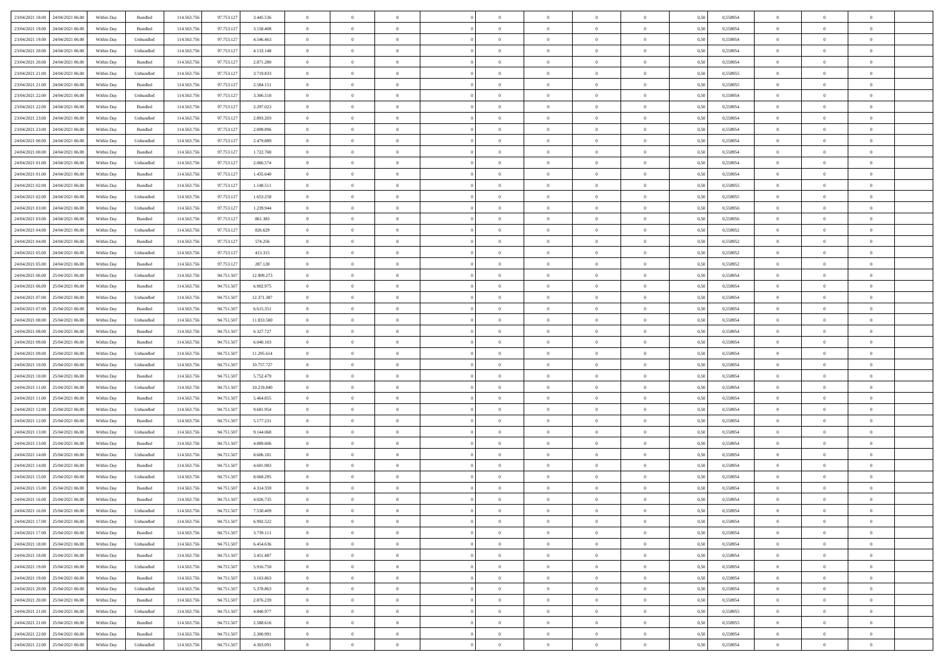|                                      |            |                             |             |            |            | $\overline{0}$ | $\overline{0}$ |                | $\overline{0}$ | $\theta$       |                | $\theta$       |      |          | $\theta$       | $\theta$       | $\overline{0}$ |  |
|--------------------------------------|------------|-----------------------------|-------------|------------|------------|----------------|----------------|----------------|----------------|----------------|----------------|----------------|------|----------|----------------|----------------|----------------|--|
| 23/04/2021 18:00 24/04/2021 06:00    | Within Day | Bundled                     | 114.563.75  | 97.753.127 | 3.445.536  |                |                |                |                |                |                |                | 0,50 | 0,558954 |                |                |                |  |
| 23/04/2021 19:00<br>24/04/2021 06.00 | Within Day | Bundled                     | 114.563.75  | 97.753.12  | 3.158.408  | $\bf{0}$       | $\bf{0}$       | $\bf{0}$       | $\bf{0}$       | $\overline{0}$ | $\overline{0}$ | $\bf{0}$       | 0,50 | 0,558954 | $\,$ 0 $\,$    | $\bf{0}$       | $\overline{0}$ |  |
| 23/04/2021 19:00<br>24/04/2021 06:00 | Within Day | Unbundled                   | 114,563,75  | 97.753.127 | 4.546.463  | $\overline{0}$ | $\bf{0}$       | $\overline{0}$ | $\overline{0}$ | $\overline{0}$ | $\overline{0}$ | $\bf{0}$       | 0.50 | 0.558954 | $\overline{0}$ | $\overline{0}$ | $\bf{0}$       |  |
| 23/04/2021 20:00<br>24/04/2021 06:00 | Within Day | Unbundled                   | 114.563.75  | 97.753.127 | 4.133.148  | $\overline{0}$ | $\overline{0}$ | $\overline{0}$ | $\overline{0}$ | $\theta$       | $\overline{0}$ | $\bf{0}$       | 0,50 | 0,558954 | $\theta$       | $\theta$       | $\overline{0}$ |  |
| 23/04/2021 20:00<br>24/04/2021 06.00 | Within Day | Bundled                     | 114.563.75  | 97.753.12  | 2.871.280  | $\bf{0}$       | $\overline{0}$ | $\bf{0}$       | $\overline{0}$ | $\bf{0}$       | $\overline{0}$ | $\bf{0}$       | 0,50 | 0,558954 | $\,$ 0 $\,$    | $\bf{0}$       | $\overline{0}$ |  |
|                                      |            |                             |             |            |            |                |                |                |                |                |                |                |      |          |                |                |                |  |
| 23/04/2021 21:00<br>24/04/2021 06:00 | Within Day | Unbundled                   | 114,563,75  | 97.753.127 | 3.719.833  | $\overline{0}$ | $\bf{0}$       | $\overline{0}$ | $\bf{0}$       | $\overline{0}$ | $\overline{0}$ | $\bf{0}$       | 0.50 | 0.558955 | $\,$ 0 $\,$    | $\theta$       | $\overline{0}$ |  |
| 23/04/2021 21:00<br>24/04/2021 06:00 | Within Day | Bundled                     | 114.563.75  | 97.753.127 | 2.584.151  | $\overline{0}$ | $\overline{0}$ | $\overline{0}$ | $\overline{0}$ | $\overline{0}$ | $\overline{0}$ | $\bf{0}$       | 0,50 | 0,558955 | $\,$ 0 $\,$    | $\theta$       | $\overline{0}$ |  |
| 23/04/2021 22:00<br>24/04/2021 06.00 | Within Day | Unbundled                   | 114.563.75  | 97.753.12  | 3.306.518  | $\bf{0}$       | $\bf{0}$       | $\bf{0}$       | $\bf{0}$       | $\overline{0}$ | $\overline{0}$ | $\bf{0}$       | 0,50 | 0,558954 | $\,$ 0 $\,$    | $\bf{0}$       | $\overline{0}$ |  |
| 23/04/2021 22.00<br>24/04/2021 06:00 | Within Day | Bundled                     | 114,563,75  | 97.753.127 | 2.297.023  | $\overline{0}$ | $\bf{0}$       | $\overline{0}$ | $\bf{0}$       | $\overline{0}$ | $\overline{0}$ | $\bf{0}$       | 0.50 | 0.558954 | $\bf{0}$       | $\overline{0}$ | $\overline{0}$ |  |
| 23/04/2021 23:00<br>24/04/2021 06:00 | Within Day | Unbundled                   | 114.563.756 | 97.753.127 | 2.893.203  | $\bf{0}$       | $\bf{0}$       | $\overline{0}$ | $\overline{0}$ | $\overline{0}$ | $\overline{0}$ | $\bf{0}$       | 0,50 | 0,558954 | $\,$ 0 $\,$    | $\,$ 0 $\,$    | $\overline{0}$ |  |
| 23/04/2021 23:00<br>24/04/2021 06.00 | Within Day | Bundled                     | 114.563.75  | 97.753.127 | 2.009.896  | $\bf{0}$       | $\bf{0}$       | $\bf{0}$       | $\bf{0}$       | $\overline{0}$ | $\overline{0}$ | $\bf{0}$       | 0,50 | 0,558954 | $\,$ 0 $\,$    | $\bf{0}$       | $\overline{0}$ |  |
| 24/04/2021 00:00<br>24/04/2021 06:00 | Within Day | Unbundled                   | 114,563,75  | 97.753.127 | 2.479.889  | $\overline{0}$ | $\bf{0}$       | $\overline{0}$ | $\overline{0}$ | $\overline{0}$ | $\overline{0}$ | $\bf{0}$       | 0.50 | 0.558954 | $\bf{0}$       | $\,$ 0 $\,$    | $\,$ 0         |  |
|                                      |            |                             |             |            |            | $\overline{0}$ |                | $\overline{0}$ | $\theta$       | $\theta$       | $\overline{0}$ |                |      |          | $\,$ 0 $\,$    | $\theta$       |                |  |
| 24/04/2021 00:00<br>24/04/2021 06:00 | Within Day | Bundled                     | 114.563.75  | 97.753.127 | 1.722.768  |                | $\bf{0}$       |                |                |                |                | $\bf{0}$       | 0,50 | 0,558954 |                |                | $\overline{0}$ |  |
| 24/04/2021 01:00<br>24/04/2021 06.00 | Within Day | Unbundled                   | 114.563.75  | 97.753.12  | 2.066.574  | $\bf{0}$       | $\bf{0}$       | $\bf{0}$       | $\bf{0}$       | $\overline{0}$ | $\overline{0}$ | $\bf{0}$       | 0,50 | 0,558954 | $\,$ 0 $\,$    | $\bf{0}$       | $\overline{0}$ |  |
| 24/04/2021 01:00<br>24/04/2021 06:00 | Within Day | Bundled                     | 114,563,75  | 97.753.127 | 1.435.640  | $\overline{0}$ | $\bf{0}$       | $\overline{0}$ | $\bf{0}$       | $\overline{0}$ | $\overline{0}$ | $\bf{0}$       | 0.50 | 0.558954 | $\,$ 0 $\,$    | $\bf{0}$       | $\overline{0}$ |  |
| 24/04/2021 02:00<br>24/04/2021 06:00 | Within Day | Bundled                     | 114.563.75  | 97.753.127 | 1.148.511  | $\overline{0}$ | $\overline{0}$ | $\overline{0}$ | $\overline{0}$ | $\overline{0}$ | $\overline{0}$ | $\bf{0}$       | 0,50 | 0,558955 | $\theta$       | $\theta$       | $\overline{0}$ |  |
| 24/04/2021 02:00<br>24/04/2021 06.00 | Within Day | Unbundled                   | 114.563.75  | 97.753.12  | 1.653.258  | $\bf{0}$       | $\bf{0}$       | $\bf{0}$       | $\overline{0}$ | $\overline{0}$ | $\overline{0}$ | $\bf{0}$       | 0,50 | 0,558955 | $\,$ 0 $\,$    | $\bf{0}$       | $\overline{0}$ |  |
| 24/04/2021 03:00<br>24/04/2021 06:00 | Within Day | Unbundled                   | 114,563,75  | 97.753.127 | 1.239.944  | $\overline{0}$ | $\bf{0}$       | $\overline{0}$ | $\bf{0}$       | $\bf{0}$       | $\overline{0}$ | $\bf{0}$       | 0.50 | 0.558956 | $\bf{0}$       | $\overline{0}$ | $\bf{0}$       |  |
| 24/04/2021 03:00<br>24/04/2021 06:00 | Within Day | Bundled                     | 114.563.75  | 97.753.127 | 861.383    | $\bf{0}$       | $\bf{0}$       | $\overline{0}$ | $\overline{0}$ | $\overline{0}$ | $\overline{0}$ | $\bf{0}$       | 0,50 | 0,558956 | $\,$ 0 $\,$    | $\bf{0}$       | $\overline{0}$ |  |
| 24/04/2021 04:00<br>24/04/2021 06.00 | Within Day | Unbundled                   | 114.563.75  | 97.753.12  | 826.629    | $\bf{0}$       | $\bf{0}$       | $\bf{0}$       | $\bf{0}$       | $\overline{0}$ | $\overline{0}$ | $\bf{0}$       | 0,50 | 0,558952 | $\,$ 0 $\,$    | $\bf{0}$       | $\overline{0}$ |  |
|                                      |            |                             |             |            |            |                |                |                |                |                |                |                |      |          |                |                |                |  |
| 24/04/2021 04:00<br>24/04/2021 06:00 | Within Day | Bundled                     | 114,563,75  | 97.753.127 | 574.256    | $\overline{0}$ | $\bf{0}$       | $\overline{0}$ | $\overline{0}$ | $\bf{0}$       | $\overline{0}$ | $\bf{0}$       | 0.50 | 0.558952 | $\,$ 0 $\,$    | $\,$ 0 $\,$    | $\,$ 0         |  |
| 24/04/2021 05:00<br>24/04/2021 06:00 | Within Day | Unbundled                   | 114.563.75  | 97.753.127 | 413.315    | $\overline{0}$ | $\overline{0}$ | $\overline{0}$ | $\overline{0}$ | $\theta$       | $\overline{0}$ | $\bf{0}$       | 0,50 | 0,558952 | $\theta$       | $\theta$       | $\overline{0}$ |  |
| 24/04/2021 05:00<br>24/04/2021 06.00 | Within Day | Bundled                     | 114.563.75  | 97.753.12  | 287.128    | $\bf{0}$       | $\bf{0}$       | $\bf{0}$       | $\bf{0}$       | $\overline{0}$ | $\overline{0}$ | $\bf{0}$       | 0,50 | 0,558952 | $\,$ 0 $\,$    | $\bf{0}$       | $\overline{0}$ |  |
| 24/04/2021 06:00<br>25/04/2021 06:00 | Within Day | Unbundled                   | 114,563,75  | 94.751.507 | 12.909.273 | $\overline{0}$ | $\bf{0}$       | $\overline{0}$ | $\bf{0}$       | $\overline{0}$ | $\overline{0}$ | $\bf{0}$       | 0.50 | 0.558954 | $\bf{0}$       | $\overline{0}$ | $\overline{0}$ |  |
| 24/04/2021 06:00<br>25/04/2021 06:00 | Within Day | Bundled                     | 114.563.75  | 94.751.507 | 6.902.975  | $\overline{0}$ | $\overline{0}$ | $\overline{0}$ | $\overline{0}$ | $\overline{0}$ | $\overline{0}$ | $\bf{0}$       | 0,50 | 0,558954 | $\,$ 0 $\,$    | $\theta$       | $\overline{0}$ |  |
| 24/04/2021 07:00<br>25/04/2021 06.00 | Within Day | Unbundled                   | 114.563.75  | 94.751.50  | 12.371.387 | $\bf{0}$       | $\overline{0}$ | $\bf{0}$       | $\overline{0}$ | $\overline{0}$ | $\overline{0}$ | $\bf{0}$       | 0,50 | 0,558954 | $\,$ 0 $\,$    | $\bf{0}$       | $\overline{0}$ |  |
| 24/04/2021 07:00<br>25/04/2021 06:00 | Within Day | Bundled                     | 114,563,75  | 94.751.50  | 6.615.351  | $\overline{0}$ | $\bf{0}$       | $\overline{0}$ | $\bf{0}$       | $\overline{0}$ | $\overline{0}$ | $\bf{0}$       | 0.50 | 0.558954 | $\bf{0}$       | $\overline{0}$ | $\overline{0}$ |  |
| 24/04/2021 08:00<br>25/04/2021 06:00 | Within Day | Unbundled                   | 114.563.75  | 94.751.507 | 11.833.500 | $\overline{0}$ | $\bf{0}$       | $\overline{0}$ | $\overline{0}$ | $\overline{0}$ | $\overline{0}$ | $\bf{0}$       | 0,50 | 0,558954 | $\theta$       | $\theta$       | $\overline{0}$ |  |
|                                      |            |                             |             |            |            |                |                |                |                |                |                |                |      |          |                |                |                |  |
| 24/04/2021 08:00<br>25/04/2021 06.00 | Within Day | Bundled                     | 114.563.75  | 94.751.50  | 6.327.727  | $\bf{0}$       | $\bf{0}$       | $\bf{0}$       | $\bf{0}$       | $\overline{0}$ | $\overline{0}$ | $\bf{0}$       | 0,50 | 0,558954 | $\,$ 0 $\,$    | $\bf{0}$       | $\overline{0}$ |  |
| 24/04/2021 09:00<br>25/04/2021 06:00 | Within Day | Bundled                     | 114,563,75  | 94.751.507 | 6.040.103  | $\overline{0}$ | $\bf{0}$       | $\overline{0}$ | $\overline{0}$ | $\bf{0}$       | $\overline{0}$ | $\bf{0}$       | 0.50 | 0.558954 | $\,$ 0 $\,$    | $\,$ 0 $\,$    | $\,$ 0         |  |
| 24/04/2021 09:00<br>25/04/2021 06:00 | Within Day | Unbundled                   | 114.563.75  | 94.751.507 | 11.295.614 | $\overline{0}$ | $\overline{0}$ | $\overline{0}$ | $\overline{0}$ | $\overline{0}$ | $\overline{0}$ | $\bf{0}$       | 0.50 | 0,558954 | $\theta$       | $\theta$       | $\overline{0}$ |  |
| 24/04/2021 10:00<br>25/04/2021 06.00 | Within Day | Unbundled                   | 114.563.75  | 94.751.50  | 10.757.727 | $\bf{0}$       | $\bf{0}$       | $\bf{0}$       | $\bf{0}$       | $\overline{0}$ | $\overline{0}$ | $\bf{0}$       | 0,50 | 0,558954 | $\,$ 0 $\,$    | $\bf{0}$       | $\overline{0}$ |  |
| 24/04/2021 10:00<br>25/04/2021 06:00 | Within Day | Bundled                     | 114,563,75  | 94.751.507 | 5.752.479  | $\overline{0}$ | $\bf{0}$       | $\overline{0}$ | $\bf{0}$       | $\overline{0}$ | $\overline{0}$ | $\bf{0}$       | 0.50 | 0.558954 | $\bf{0}$       | $\bf{0}$       | $\overline{0}$ |  |
| 24/04/2021 11:00<br>25/04/2021 06:00 | Within Dav | Unbundled                   | 114.563.75  | 94.751.507 | 10.219.840 | $\overline{0}$ | $\overline{0}$ | $\overline{0}$ | $\overline{0}$ | $\overline{0}$ | $\overline{0}$ | $\bf{0}$       | 0.50 | 0,558954 | $\theta$       | $\theta$       | $\overline{0}$ |  |
| 24/04/2021 11:00<br>25/04/2021 06.00 | Within Day | Bundled                     | 114.563.75  | 94.751.507 | 5.464.855  | $\bf{0}$       | $\bf{0}$       | $\bf{0}$       | $\bf{0}$       | $\overline{0}$ | $\overline{0}$ | $\bf{0}$       | 0,50 | 0,558954 | $\,$ 0 $\,$    | $\bf{0}$       | $\overline{0}$ |  |
| 24/04/2021 12:00<br>25/04/2021 06:00 | Within Day | Unbundled                   | 114,563,75  | 94.751.50  | 9.681.954  | $\overline{0}$ | $\bf{0}$       | $\overline{0}$ | $\bf{0}$       | $\overline{0}$ | $\overline{0}$ | $\bf{0}$       | 0.50 | 0.558954 | $\bf{0}$       | $\overline{0}$ | $\bf{0}$       |  |
| 24/04/2021 12:00<br>25/04/2021 06:00 | Within Dav | Bundled                     | 114.563.75  | 94.751.507 | 5.177.231  | $\overline{0}$ | $\overline{0}$ | $\overline{0}$ | $\overline{0}$ | $\overline{0}$ | $\overline{0}$ | $\bf{0}$       | 0.50 | 0,558954 | $\theta$       | $\theta$       | $\overline{0}$ |  |
|                                      |            |                             |             |            |            |                |                |                |                |                |                |                |      |          |                |                |                |  |
| 24/04/2021 13:00<br>25/04/2021 06.00 | Within Day | Unbundled                   | 114.563.75  | 94.751.50  | 9.144.068  | $\bf{0}$       | $\bf{0}$       | $\bf{0}$       | $\bf{0}$       | $\overline{0}$ | $\bf{0}$       | $\bf{0}$       | 0,50 | 0,558954 | $\,$ 0 $\,$    | $\bf{0}$       | $\overline{0}$ |  |
| 24/04/2021 13:00<br>25/04/2021 06:00 | Within Day | Bundled                     | 114,563,75  | 94.751.507 | 4.889.606  | $\overline{0}$ | $\bf{0}$       | $\overline{0}$ | $\overline{0}$ | $\bf{0}$       | $\overline{0}$ | $\bf{0}$       | 0.50 | 0.558954 | $\,$ 0 $\,$    | $\,$ 0 $\,$    | $\,$ 0         |  |
| 24/04/2021 14:00<br>25/04/2021 06:00 | Within Day | Unbundled                   | 114.563.75  | 94.751.507 | 8.606.181  | $\overline{0}$ | $\overline{0}$ | $\overline{0}$ | $\overline{0}$ | $\overline{0}$ | $\overline{0}$ | $\bf{0}$       | 0.50 | 0,558954 | $\theta$       | $\theta$       | $\overline{0}$ |  |
| 24/04/2021 14:00<br>25/04/2021 06.00 | Within Day | Bundled                     | 114.563.75  | 94.751.50  | 4.601.983  | $\bf{0}$       | $\bf{0}$       | $\bf{0}$       | $\overline{0}$ | $\overline{0}$ | $\overline{0}$ | $\bf{0}$       | 0,50 | 0,558954 | $\,$ 0 $\,$    | $\bf{0}$       | $\overline{0}$ |  |
| 24/04/2021 15:00<br>25/04/2021 06.00 | Within Day | Unbundled                   | 114,563,75  | 94.751.50  | 8.068.295  | $\overline{0}$ | $\bf{0}$       | $\overline{0}$ | $\bf{0}$       | $\overline{0}$ | $\overline{0}$ | $\bf{0}$       | 0.50 | 0.558954 | $\bf{0}$       | $\bf{0}$       | $\overline{0}$ |  |
| 24/04/2021 15:00<br>25/04/2021 06:00 | Within Dav | Bundled                     | 114.563.75  | 94.751.507 | 4.314.359  | $\overline{0}$ | $\overline{0}$ | $\overline{0}$ | $\theta$       | $\theta$       | $\overline{0}$ | $\overline{0}$ | 0.5( | 0,558954 | $\theta$       | $\theta$       | $\overline{0}$ |  |
| 24/04/2021 16:00<br>25/04/2021 06:00 | Within Day | Bundled                     | 114.563.75  | 94.751.507 | 4.026.735  | $\bf{0}$       | $\bf{0}$       | $\bf{0}$       | $\bf{0}$       | $\bf{0}$       | $\overline{0}$ | $\bf{0}$       | 0,50 | 0,558954 | $\overline{0}$ | $\overline{0}$ | $\overline{0}$ |  |
| 24/04/2021 16:00 25/04/2021 06:00    | Within Day | $\ensuremath{\mathsf{Unb}}$ | 114.563.756 | 94.751.507 | 7.530.409  | $\bf{0}$       | $\bf{0}$       |                | $\overline{0}$ | $\bf{0}$       |                |                | 0,50 | 0.558954 | $\bf{0}$       | $\bf{0}$       |                |  |
|                                      |            |                             |             |            |            |                |                |                |                |                |                |                |      |          |                |                |                |  |
| 24/04/2021 17:00 25/04/2021 06:00    | Within Day | Unbundled                   | 114.563.756 | 94.751.507 | 6.992.522  | $\overline{0}$ | $\overline{0}$ | $\Omega$       | $\theta$       | $\overline{0}$ | $\overline{0}$ | $\bf{0}$       | 0,50 | 0,558954 | $\theta$       | $\theta$       | $\overline{0}$ |  |
| 24/04/2021 17:00<br>25/04/2021 06:00 | Within Day | Bundled                     | 114.563.75  | 94.751.507 | 3.739.111  | $\overline{0}$ | $\bf{0}$       | $\overline{0}$ | $\overline{0}$ | $\bf{0}$       | $\overline{0}$ | $\bf{0}$       | 0,50 | 0,558954 | $\bf{0}$       | $\overline{0}$ | $\bf{0}$       |  |
| 24/04/2021 18:00 25/04/2021 06:00    | Within Day | Unbundled                   | 114,563,756 | 94.751.507 | 6.454.636  | $\overline{0}$ | $\bf{0}$       | $\overline{0}$ | $\overline{0}$ | $\mathbf{0}$   | $\overline{0}$ | $\,$ 0 $\,$    | 0.50 | 0.558954 | $\overline{0}$ | $\bf{0}$       | $\,$ 0 $\,$    |  |
| 24/04/2021 18:00 25/04/2021 06:00    | Within Day | Bundled                     | 114.563.756 | 94.751.507 | 3.451.487  | $\overline{0}$ | $\overline{0}$ | $\overline{0}$ | $\overline{0}$ | $\overline{0}$ | $\overline{0}$ | $\bf{0}$       | 0,50 | 0,558954 | $\overline{0}$ | $\theta$       | $\overline{0}$ |  |
| 24/04/2021 19:00<br>25/04/2021 06:00 | Within Day | Unbundled                   | 114.563.75  | 94.751.507 | 5.916.750  | $\overline{0}$ | $\bf{0}$       | $\overline{0}$ | $\overline{0}$ | $\bf{0}$       | $\overline{0}$ | $\bf{0}$       | 0,50 | 0,558954 | $\bf{0}$       | $\overline{0}$ | $\overline{0}$ |  |
| 24/04/2021 19:00 25/04/2021 06:00    | Within Day | Bundled                     | 114.563.756 | 94.751.507 | 3.163.863  | $\overline{0}$ | $\bf{0}$       | $\overline{0}$ | $\overline{0}$ | $\bf{0}$       | $\overline{0}$ | $\bf{0}$       | 0.50 | 0.558954 | $\,$ 0 $\,$    | $\overline{0}$ | $\,$ 0         |  |
| 24/04/2021 20:00 25/04/2021 06:00    | Within Dav | Unbundled                   | 114.563.756 | 94.751.507 | 5.378.863  | $\overline{0}$ | $\overline{0}$ | $\overline{0}$ | $\overline{0}$ | $\overline{0}$ | $\overline{0}$ | $\bf{0}$       | 0.50 | 0,558954 | $\overline{0}$ | $\theta$       | $\overline{0}$ |  |
| 24/04/2021 20:00<br>25/04/2021 06:00 | Within Day | Bundled                     | 114.563.75  | 94.751.507 | 2.876.239  | $\overline{0}$ | $\overline{0}$ | $\overline{0}$ | $\overline{0}$ | $\overline{0}$ | $\overline{0}$ | $\bf{0}$       | 0,50 | 0,558954 | $\bf{0}$       | $\overline{0}$ | $\,$ 0         |  |
|                                      |            |                             |             |            |            |                |                |                |                |                |                |                |      |          |                |                |                |  |
| 24/04/2021 21:00 25/04/2021 06:00    | Within Day | Unbundled                   | 114.563.75  | 94.751.507 | 4.840.977  | $\overline{0}$ | $\overline{0}$ | $\overline{0}$ | $\overline{0}$ | $\overline{0}$ | $\overline{0}$ | $\bf{0}$       | 0.50 | 0.558955 | $\mathbf{0}$   | $\bf{0}$       | $\,$ 0         |  |
| 24/04/2021 21:00 25/04/2021 06:00    | Within Dav | Bundled                     | 114.563.756 | 94.751.507 | 2.588.616  | $\overline{0}$ | $\overline{0}$ | $\overline{0}$ | $\overline{0}$ | $\overline{0}$ | $\overline{0}$ | $\bf{0}$       | 0,50 | 0,558955 | $\overline{0}$ | $\theta$       | $\overline{0}$ |  |
| 24/04/2021 22.00<br>25/04/2021 06:00 | Within Day | Bundled                     | 114.563.75  | 94.751.507 | 2.300.991  | $\overline{0}$ | $\bf{0}$       | $\overline{0}$ | $\bf{0}$       | $\overline{0}$ | $\overline{0}$ | $\bf{0}$       | 0,50 | 0,558954 | $\bf{0}$       | $\,$ 0 $\,$    | $\bf{0}$       |  |
| 24/04/2021 22:00 25/04/2021 06:00    | Within Day | ${\sf Unbundred}$           | 114.563.756 | 94.751.507 | 4.303.091  | $\overline{0}$ | $\bf{0}$       | $\overline{0}$ | $\overline{0}$ | $\,$ 0 $\,$    | $\overline{0}$ | $\bf{0}$       | 0,50 | 0,558954 | $\overline{0}$ | $\,$ 0 $\,$    | $\,$ 0 $\,$    |  |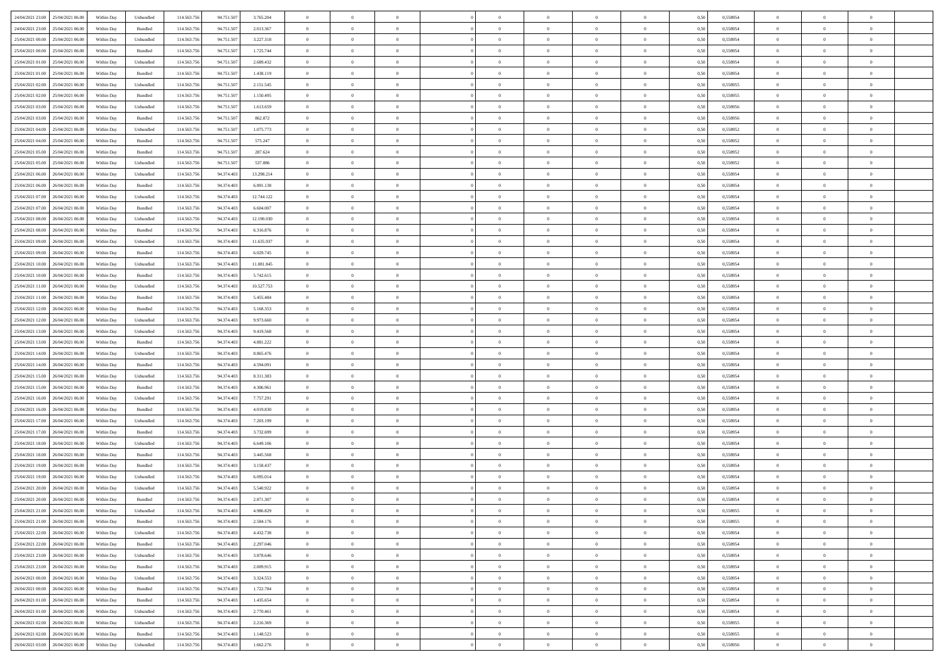| 24/04/2021 23.00 25/04/2021 06:00    | Within Day | Unbundled                   | 114.563.75  | 94.751.507 | 3.765.204  | $\overline{0}$ | $\overline{0}$ |                | $\overline{0}$ | $\theta$       |                | $\theta$       | 0,50 | 0,558954 | $\theta$       | $\theta$       | $\overline{0}$ |  |
|--------------------------------------|------------|-----------------------------|-------------|------------|------------|----------------|----------------|----------------|----------------|----------------|----------------|----------------|------|----------|----------------|----------------|----------------|--|
| 24/04/2021 23:00<br>25/04/2021 06.00 | Within Day | Bundled                     | 114.563.75  | 94.751.50  | 2.013.367  | $\bf{0}$       | $\bf{0}$       | $\bf{0}$       | $\bf{0}$       | $\overline{0}$ | $\overline{0}$ | $\bf{0}$       | 0,50 | 0,558954 | $\,$ 0 $\,$    | $\bf{0}$       | $\overline{0}$ |  |
| 25/04/2021 00:00<br>25/04/2021 06:00 | Within Day | Unbundled                   | 114,563,75  | 94.751.507 | 3.227.318  | $\overline{0}$ | $\bf{0}$       | $\overline{0}$ | $\bf{0}$       | $\bf{0}$       | $\overline{0}$ | $\bf{0}$       | 0.50 | 0.558954 | $\bf{0}$       | $\overline{0}$ | $\overline{0}$ |  |
| 25/04/2021 00:00<br>25/04/2021 06:00 |            |                             | 114.563.75  | 94.751.507 |            | $\overline{0}$ | $\overline{0}$ | $\overline{0}$ | $\overline{0}$ | $\theta$       | $\overline{0}$ |                |      |          | $\,$ 0 $\,$    | $\theta$       | $\overline{0}$ |  |
|                                      | Within Day | Bundled                     |             |            | 1.725.744  |                |                |                |                |                |                | $\bf{0}$       | 0,50 | 0,558954 |                |                |                |  |
| 25/04/2021 01:00<br>25/04/2021 06.00 | Within Day | Unbundled                   | 114.563.75  | 94.751.50  | 2.689.432  | $\bf{0}$       | $\overline{0}$ | $\bf{0}$       | $\overline{0}$ | $\bf{0}$       | $\overline{0}$ | $\bf{0}$       | 0,50 | 0,558954 | $\,$ 0 $\,$    | $\bf{0}$       | $\overline{0}$ |  |
| 25/04/2021 01:00<br>25/04/2021 06:00 | Within Day | Bundled                     | 114,563,75  | 94.751.507 | 1.438.119  | $\overline{0}$ | $\bf{0}$       | $\overline{0}$ | $\bf{0}$       | $\overline{0}$ | $\overline{0}$ | $\bf{0}$       | 0.50 | 0.558954 | $\,$ 0 $\,$    | $\theta$       | $\overline{0}$ |  |
| 25/04/2021 02:00<br>25/04/2021 06:00 | Within Day | Unbundled                   | 114.563.75  | 94.751.507 | 2.151.545  | $\overline{0}$ | $\overline{0}$ | $\overline{0}$ | $\overline{0}$ | $\overline{0}$ | $\overline{0}$ | $\bf{0}$       | 0,50 | 0,558955 | $\,$ 0 $\,$    | $\theta$       | $\overline{0}$ |  |
|                                      |            |                             |             |            |            |                |                |                |                |                |                |                |      |          |                |                |                |  |
| 25/04/2021 02:00<br>25/04/2021 06.00 | Within Day | Bundled                     | 114.563.75  | 94.751.50  | 1.150.495  | $\bf{0}$       | $\bf{0}$       | $\bf{0}$       | $\overline{0}$ | $\overline{0}$ | $\overline{0}$ | $\bf{0}$       | 0,50 | 0,558955 | $\,$ 0 $\,$    | $\bf{0}$       | $\overline{0}$ |  |
| 25/04/2021 03:00<br>25/04/2021 06:00 | Within Day | Unbundled                   | 114,563,75  | 94.751.507 | 1.613.659  | $\overline{0}$ | $\bf{0}$       | $\overline{0}$ | $\bf{0}$       | $\overline{0}$ | $\overline{0}$ | $\bf{0}$       | 0.50 | 0.558956 | $\bf{0}$       | $\overline{0}$ | $\overline{0}$ |  |
| 25/04/2021 03:00<br>25/04/2021 06:00 | Within Day | Bundled                     | 114.563.75  | 94.751.507 | 862.872    | $\bf{0}$       | $\bf{0}$       | $\overline{0}$ | $\overline{0}$ | $\overline{0}$ | $\overline{0}$ | $\bf{0}$       | 0,50 | 0,558956 | $\,$ 0 $\,$    | $\,$ 0 $\,$    | $\overline{0}$ |  |
| 25/04/2021 04:00<br>25/04/2021 06.00 | Within Day | Unbundled                   | 114.563.75  | 94.751.50  | 1.075.773  | $\bf{0}$       | $\bf{0}$       | $\bf{0}$       | $\bf{0}$       | $\overline{0}$ | $\overline{0}$ | $\bf{0}$       | 0,50 | 0,558952 | $\,$ 0 $\,$    | $\bf{0}$       | $\overline{0}$ |  |
|                                      |            |                             |             |            |            |                |                |                |                |                |                |                |      |          |                |                |                |  |
| 25/04/2021 04:00<br>25/04/2021 06:00 | Within Day | Bundled                     | 114,563,75  | 94.751.507 | 575.247    | $\overline{0}$ | $\bf{0}$       | $\overline{0}$ | $\overline{0}$ | $\bf{0}$       | $\overline{0}$ | $\bf{0}$       | 0.50 | 0.558952 | $\bf{0}$       | $\,$ 0 $\,$    | $\,$ 0         |  |
| 25/04/2021 05:00<br>25/04/2021 06:00 | Within Day | Bundled                     | 114.563.75  | 94.751.507 | 287.624    | $\overline{0}$ | $\overline{0}$ | $\overline{0}$ | $\theta$       | $\theta$       | $\overline{0}$ | $\bf{0}$       | 0,50 | 0,558952 | $\,$ 0 $\,$    | $\theta$       | $\overline{0}$ |  |
| 25/04/2021 05:00<br>25/04/2021 06.00 | Within Day | Unbundled                   | 114.563.75  | 94.751.50  | 537.886    | $\bf{0}$       | $\overline{0}$ | $\bf{0}$       | $\bf{0}$       | $\bf{0}$       | $\overline{0}$ | $\bf{0}$       | 0,50 | 0,558952 | $\,$ 0 $\,$    | $\bf{0}$       | $\overline{0}$ |  |
|                                      |            |                             |             |            |            |                |                |                |                |                |                |                |      |          |                |                |                |  |
| 25/04/2021 06:00<br>26/04/2021 06:00 | Within Day | Unbundled                   | 114,563,75  | 94.374.403 | 13.298.214 | $\overline{0}$ | $\bf{0}$       | $\overline{0}$ | $\bf{0}$       | $\overline{0}$ | $\overline{0}$ | $\bf{0}$       | 0.50 | 0.558954 | $\,$ 0 $\,$    | $\theta$       | $\overline{0}$ |  |
| 25/04/2021 06:00<br>26/04/2021 06:00 | Within Day | Bundled                     | 114.563.75  | 94.374.403 | 6.891.138  | $\overline{0}$ | $\overline{0}$ | $\overline{0}$ | $\overline{0}$ | $\overline{0}$ | $\overline{0}$ | $\bf{0}$       | 0,50 | 0,558954 | $\theta$       | $\theta$       | $\overline{0}$ |  |
| 25/04/2021 07:00<br>26/04/2021 06.00 | Within Day | Unbundled                   | 114.563.75  | 94.374.403 | 12.744.122 | $\bf{0}$       | $\bf{0}$       | $\bf{0}$       | $\overline{0}$ | $\overline{0}$ | $\overline{0}$ | $\bf{0}$       | 0,50 | 0,558954 | $\,$ 0 $\,$    | $\bf{0}$       | $\overline{0}$ |  |
| 25/04/2021 07:00<br>26/04/2021 06:00 | Within Day | Bundled                     | 114,563,75  | 94.374.403 | 6.604.007  | $\overline{0}$ | $\bf{0}$       | $\overline{0}$ | $\bf{0}$       | $\overline{0}$ | $\overline{0}$ | $\bf{0}$       | 0.50 | 0.558954 | $\bf{0}$       | $\overline{0}$ | $\overline{0}$ |  |
|                                      |            |                             |             |            |            |                |                | $\overline{0}$ | $\overline{0}$ | $\overline{0}$ | $\overline{0}$ |                |      |          | $\,$ 0 $\,$    |                |                |  |
| 25/04/2021 08:00<br>26/04/2021 06:00 | Within Day | Unbundled                   | 114.563.75  | 94.374.403 | 12.190.030 | $\bf{0}$       | $\bf{0}$       |                |                |                |                | $\bf{0}$       | 0,50 | 0,558954 |                | $\bf{0}$       | $\overline{0}$ |  |
| 25/04/2021 08:00<br>26/04/2021 06.00 | Within Day | Bundled                     | 114.563.75  | 94.374.40  | 6.316.876  | $\bf{0}$       | $\bf{0}$       | $\bf{0}$       | $\bf{0}$       | $\overline{0}$ | $\overline{0}$ | $\bf{0}$       | 0,50 | 0,558954 | $\,$ 0 $\,$    | $\bf{0}$       | $\overline{0}$ |  |
| 25/04/2021 09:00<br>26/04/2021 06:00 | Within Day | Unbundled                   | 114,563,75  | 94.374.403 | 11.635.937 | $\overline{0}$ | $\bf{0}$       | $\overline{0}$ | $\overline{0}$ | $\bf{0}$       | $\overline{0}$ | $\bf{0}$       | 0.50 | 0.558954 | $\bf{0}$       | $\overline{0}$ | $\overline{0}$ |  |
| 25/04/2021 09:00<br>26/04/2021 06:00 | Within Day | Bundled                     | 114.563.75  | 94.374.403 | 6.029.745  | $\overline{0}$ | $\overline{0}$ | $\overline{0}$ | $\overline{0}$ | $\theta$       | $\overline{0}$ | $\bf{0}$       | 0,50 | 0,558954 | $\theta$       | $\theta$       | $\overline{0}$ |  |
|                                      |            |                             |             |            |            |                | $\bf{0}$       |                |                | $\overline{0}$ | $\overline{0}$ |                |      |          | $\,$ 0 $\,$    | $\bf{0}$       | $\overline{0}$ |  |
| 25/04/2021 10:00<br>26/04/2021 06.00 | Within Day | Unbundled                   | 114.563.75  | 94.374.40  | 11.081.845 | $\bf{0}$       |                | $\bf{0}$       | $\bf{0}$       |                |                | $\bf{0}$       | 0,50 | 0,558954 |                |                |                |  |
| 25/04/2021 10:00<br>26/04/2021 06:00 | Within Day | Bundled                     | 114,563,75  | 94.374.403 | 5.742.615  | $\overline{0}$ | $\bf{0}$       | $\overline{0}$ | $\bf{0}$       | $\overline{0}$ | $\theta$       | $\bf{0}$       | 0.50 | 0.558954 | $\,$ 0 $\,$    | $\theta$       | $\overline{0}$ |  |
| 25/04/2021 11:00<br>26/04/2021 06:00 | Within Day | Unbundled                   | 114.563.75  | 94.374.403 | 10.527.753 | $\overline{0}$ | $\overline{0}$ | $\overline{0}$ | $\overline{0}$ | $\overline{0}$ | $\overline{0}$ | $\bf{0}$       | 0,50 | 0,558954 | $\,$ 0 $\,$    | $\theta$       | $\overline{0}$ |  |
| 25/04/2021 11:00<br>26/04/2021 06.00 | Within Day | Bundled                     | 114.563.75  | 94.374.40  | 5.455.484  | $\bf{0}$       | $\overline{0}$ | $\bf{0}$       | $\overline{0}$ | $\overline{0}$ | $\overline{0}$ | $\bf{0}$       | 0,50 | 0,558954 | $\,$ 0 $\,$    | $\bf{0}$       | $\overline{0}$ |  |
| 25/04/2021 12:00<br>26/04/2021 06:00 |            | Bundled                     | 114,563,75  | 94.374.403 |            |                | $\bf{0}$       | $\overline{0}$ |                | $\overline{0}$ | $\overline{0}$ |                | 0.50 | 0.558954 | $\bf{0}$       | $\overline{0}$ | $\overline{0}$ |  |
|                                      | Within Day |                             |             |            | 5.168.353  | $\overline{0}$ |                |                | $\bf{0}$       |                |                | $\bf{0}$       |      |          |                |                |                |  |
| 25/04/2021 12:00<br>26/04/2021 06:00 | Within Day | Unbundled                   | 114.563.75  | 94.374.403 | 9.973.660  | $\overline{0}$ | $\bf{0}$       | $\overline{0}$ | $\overline{0}$ | $\overline{0}$ | $\overline{0}$ | $\bf{0}$       | 0,50 | 0,558954 | $\,$ 0 $\,$    | $\theta$       | $\overline{0}$ |  |
| 25/04/2021 13:00<br>26/04/2021 06.00 | Within Day | Unbundled                   | 114.563.75  | 94.374.403 | 9.419.568  | $\bf{0}$       | $\bf{0}$       | $\bf{0}$       | $\bf{0}$       | $\overline{0}$ | $\overline{0}$ | $\bf{0}$       | 0,50 | 0,558954 | $\,$ 0 $\,$    | $\bf{0}$       | $\overline{0}$ |  |
| 25/04/2021 13:00<br>26/04/2021 06:00 | Within Day | Bundled                     | 114,563,75  | 94.374.403 | 4.881.222  | $\overline{0}$ | $\bf{0}$       | $\overline{0}$ | $\overline{0}$ | $\bf{0}$       | $\overline{0}$ | $\bf{0}$       | 0.50 | 0.558954 | $\bf{0}$       | $\,$ 0 $\,$    | $\overline{0}$ |  |
| 25/04/2021 14:00<br>26/04/2021 06:00 | Within Day | Unbundled                   | 114.563.75  | 94.374.403 | 8.865.476  | $\overline{0}$ | $\overline{0}$ | $\overline{0}$ | $\overline{0}$ | $\overline{0}$ | $\overline{0}$ | $\bf{0}$       | 0.50 | 0,558954 | $\theta$       | $\theta$       | $\overline{0}$ |  |
|                                      |            |                             |             |            |            |                |                |                |                |                |                |                |      |          |                |                |                |  |
| 25/04/2021 14:00<br>26/04/2021 06.00 | Within Day | Bundled                     | 114.563.75  | 94.374.40  | 4.594.091  | $\bf{0}$       | $\bf{0}$       | $\bf{0}$       | $\bf{0}$       | $\overline{0}$ | $\overline{0}$ | $\bf{0}$       | 0,50 | 0,558954 | $\,$ 0 $\,$    | $\bf{0}$       | $\overline{0}$ |  |
| 25/04/2021 15:00<br>26/04/2021 06:00 | Within Day | Unbundled                   | 114,563,75  | 94.374.403 | 8.311.383  | $\overline{0}$ | $\bf{0}$       | $\overline{0}$ | $\bf{0}$       | $\overline{0}$ | $\overline{0}$ | $\bf{0}$       | 0.50 | 0.558954 | $\,$ 0 $\,$    | $\bf{0}$       | $\overline{0}$ |  |
| 25/04/2021 15:00<br>26/04/2021 06:00 | Within Dav | Bundled                     | 114.563.75  | 94.374.403 | 4.306.961  | $\overline{0}$ | $\overline{0}$ | $\overline{0}$ | $\overline{0}$ | $\overline{0}$ | $\overline{0}$ | $\bf{0}$       | 0.50 | 0,558954 | $\theta$       | $\theta$       | $\overline{0}$ |  |
| 26/04/2021 06.00                     | Within Day | Unbundled                   | 114.563.75  | 94.374.403 | 7.757.291  | $\bf{0}$       | $\bf{0}$       | $\bf{0}$       | $\bf{0}$       | $\overline{0}$ | $\overline{0}$ | $\bf{0}$       | 0,50 | 0,558954 | $\,$ 0 $\,$    | $\bf{0}$       | $\overline{0}$ |  |
| 25/04/2021 16:00                     |            |                             |             |            |            |                |                |                |                |                |                |                |      |          |                |                |                |  |
| 25/04/2021 16:00<br>26/04/2021 06:00 | Within Day | Bundled                     | 114,563,75  | 94.374.403 | 4.019.830  | $\overline{0}$ | $\bf{0}$       | $\overline{0}$ | $\bf{0}$       | $\overline{0}$ | $\overline{0}$ | $\bf{0}$       | 0.50 | 0.558954 | $\bf{0}$       | $\overline{0}$ | $\overline{0}$ |  |
| 25/04/2021 17:00<br>26/04/2021 06:00 | Within Dav | Unbundled                   | 114.563.75  | 94.374.403 | 7.203.199  | $\overline{0}$ | $\overline{0}$ | $\overline{0}$ | $\overline{0}$ | $\overline{0}$ | $\overline{0}$ | $\bf{0}$       | 0.50 | 0,558954 | $\theta$       | $\theta$       | $\overline{0}$ |  |
| 25/04/2021 17:00<br>26/04/2021 06.00 | Within Day | Bundled                     | 114.563.75  | 94.374.40  | 3.732.699  | $\bf{0}$       | $\bf{0}$       | $\bf{0}$       | $\bf{0}$       | $\overline{0}$ | $\overline{0}$ | $\bf{0}$       | 0,50 | 0,558954 | $\,$ 0 $\,$    | $\bf{0}$       | $\overline{0}$ |  |
| 25/04/2021 18:00<br>26/04/2021 06:00 | Within Day | Unbundled                   | 114.563.75  | 94.374.403 | 6.649.106  | $\overline{0}$ | $\bf{0}$       | $\overline{0}$ | $\overline{0}$ | $\bf{0}$       | $\overline{0}$ | $\bf{0}$       | 0.50 | 0.558954 | $\,$ 0 $\,$    | $\overline{0}$ | $\overline{0}$ |  |
|                                      |            |                             |             |            |            |                |                |                |                |                |                |                |      |          |                |                |                |  |
| 25/04/2021 18:00<br>26/04/2021 06:00 | Within Dav | Bundled                     | 114.563.75  | 94.374.403 | 3.445.568  | $\overline{0}$ | $\overline{0}$ | $\overline{0}$ | $\overline{0}$ | $\overline{0}$ | $\overline{0}$ | $\bf{0}$       | 0.50 | 0,558954 | $\theta$       | $\theta$       | $\overline{0}$ |  |
| 25/04/2021 19:00<br>26/04/2021 06.00 | Within Day | Bundled                     | 114.563.75  | 94.374.403 | 3.158.437  | $\bf{0}$       | $\bf{0}$       | $\bf{0}$       | $\bf{0}$       | $\overline{0}$ | $\overline{0}$ | $\bf{0}$       | 0,50 | 0,558954 | $\,$ 0 $\,$    | $\bf{0}$       | $\overline{0}$ |  |
| 25/04/2021 19:00<br>26/04/2021 06:00 | Within Day | Unbundled                   | 114,563,75  | 94.374.403 | 6.095.014  | $\overline{0}$ | $\overline{0}$ | $\overline{0}$ | $\bf{0}$       | $\overline{0}$ | $\overline{0}$ | $\bf{0}$       | 0.50 | 0.558954 | $\bf{0}$       | $\theta$       | $\overline{0}$ |  |
| 25/04/2021 20:00<br>26/04/2021 06:00 | Within Dav | Unbundled                   | 114.563.75  | 94.374.403 | 5.540.922  | $\overline{0}$ | $\overline{0}$ | $\overline{0}$ | $\theta$       | $\theta$       | $\overline{0}$ | $\overline{0}$ | 0.5( | 0,558954 | $\theta$       | $\theta$       | $\overline{0}$ |  |
|                                      |            |                             |             |            |            |                |                |                |                |                |                |                |      |          |                |                |                |  |
| 25/04/2021 20:00<br>26/04/2021 06.00 | Within Day | Bundled                     | 114.563.75  | 94.374.403 | 2.871.307  | $\bf{0}$       | $\bf{0}$       | $\bf{0}$       | $\bf{0}$       | $\bf{0}$       | $\overline{0}$ | $\bf{0}$       | 0,50 | 0,558954 | $\,$ 0 $\,$    | $\bf{0}$       | $\overline{0}$ |  |
| 25/04/2021 21:00 26/04/2021 06:00    | Within Day | $\ensuremath{\mathsf{Unb}}$ | 114.563.756 | 94.374.403 | 4.986.829  | $\bf{0}$       | $\theta$       |                | $\overline{0}$ |                |                |                | 0,50 | 0.558955 | $\bf{0}$       | $\bf{0}$       |                |  |
| 25/04/2021 21:00 26/04/2021 06:00    | Within Day | Bundled                     | 114.563.756 | 94.374.403 | 2.584.176  | $\overline{0}$ | $\overline{0}$ | $\Omega$       | $\theta$       | $\overline{0}$ | $\overline{0}$ | $\bf{0}$       | 0,50 | 0,558955 | $\theta$       | $\theta$       | $\overline{0}$ |  |
| 25/04/2021 22:00<br>26/04/2021 06.00 | Within Day | Unbundled                   | 114.563.75  | 94.374.403 | 4.432.738  | $\overline{0}$ | $\bf{0}$       | $\overline{0}$ | $\overline{0}$ | $\bf{0}$       | $\overline{0}$ | $\bf{0}$       | 0,50 | 0,558954 | $\bf{0}$       | $\overline{0}$ | $\bf{0}$       |  |
|                                      |            |                             |             |            |            |                |                |                |                |                |                |                |      |          |                |                |                |  |
| 25/04/2021 22:00 26/04/2021 06:00    | Within Day | Bundled                     | 114.563.756 | 94.374.403 | 2.297.046  | $\overline{0}$ | $\bf{0}$       | $\overline{0}$ | $\overline{0}$ | $\mathbf{0}$   | $\overline{0}$ | $\,$ 0 $\,$    | 0.50 | 0.558954 | $\overline{0}$ | $\bf{0}$       | $\,$ 0 $\,$    |  |
| 25/04/2021 23:00 26/04/2021 06:00    | Within Day | Unbundled                   | 114.563.756 | 94.374.403 | 3.878.646  | $\overline{0}$ | $\overline{0}$ | $\overline{0}$ | $\overline{0}$ | $\overline{0}$ | $\overline{0}$ | $\bf{0}$       | 0,50 | 0,558954 | $\overline{0}$ | $\theta$       | $\overline{0}$ |  |
| 25/04/2021 23:00<br>26/04/2021 06.00 | Within Day | Bundled                     | 114.563.75  | 94.374.403 | 2.009.915  | $\overline{0}$ | $\bf{0}$       | $\overline{0}$ | $\overline{0}$ | $\overline{0}$ | $\overline{0}$ | $\bf{0}$       | 0,50 | 0,558954 | $\bf{0}$       | $\overline{0}$ | $\overline{0}$ |  |
| 26/04/2021 00:00<br>26/04/2021 06:00 | Within Day | Unbundled                   | 114.563.756 | 94.374.403 | 3.324.553  | $\overline{0}$ | $\bf{0}$       | $\overline{0}$ | $\overline{0}$ | $\bf{0}$       | $\overline{0}$ | $\bf{0}$       | 0.50 | 0.558954 | $\,$ 0 $\,$    | $\overline{0}$ | $\,$ 0         |  |
|                                      |            |                             |             |            |            |                |                |                |                |                |                |                |      |          |                |                |                |  |
| 26/04/2021 00:00<br>26/04/2021 06:00 | Within Dav | Bundled                     | 114.563.756 | 94.374.403 | 1.722.784  | $\overline{0}$ | $\overline{0}$ | $\overline{0}$ | $\overline{0}$ | $\overline{0}$ | $\overline{0}$ | $\bf{0}$       | 0.50 | 0,558954 | $\overline{0}$ | $\theta$       | $\overline{0}$ |  |
| 26/04/2021 01:00<br>26/04/2021 06.00 | Within Day | Bundled                     | 114.563.75  | 94.374.403 | 1.435.654  | $\overline{0}$ | $\overline{0}$ | $\overline{0}$ | $\overline{0}$ | $\overline{0}$ | $\overline{0}$ | $\bf{0}$       | 0,50 | 0,558954 | $\bf{0}$       | $\overline{0}$ | $\overline{0}$ |  |
| 26/04/2021 01:00<br>26/04/2021 06:00 | Within Day | Unbundled                   | 114,563,756 | 94.374.403 | 2.770.461  | $\overline{0}$ | $\overline{0}$ | $\overline{0}$ | $\overline{0}$ | $\overline{0}$ | $\overline{0}$ | $\bf{0}$       | 0.50 | 0.558954 | $\mathbf{0}$   | $\bf{0}$       | $\,$ 0         |  |
| 26/04/2021 02:00 26/04/2021 06:00    | Within Dav | Unbundled                   | 114.563.756 | 94.374.403 | 2.216.369  | $\overline{0}$ | $\overline{0}$ | $\overline{0}$ | $\overline{0}$ | $\overline{0}$ | $\overline{0}$ | $\bf{0}$       | 0,50 | 0,558955 | $\overline{0}$ | $\theta$       | $\overline{0}$ |  |
|                                      |            |                             |             |            |            |                |                |                |                |                |                |                |      |          |                |                |                |  |
| 26/04/2021 02:00<br>26/04/2021 06.00 | Within Day | Bundled                     | 114.563.75  | 94.374.403 | 1.148.523  | $\overline{0}$ | $\bf{0}$       | $\overline{0}$ | $\bf{0}$       | $\overline{0}$ | $\overline{0}$ | $\bf{0}$       | 0,50 | 0,558955 | $\bf{0}$       | $\,$ 0 $\,$    | $\bf{0}$       |  |
| 26/04/2021 03:00 26/04/2021 06:00    | Within Day | Unbundled                   | 114.563.756 | 94.374.403 | 1.662.276  | $\,$ 0 $\,$    | $\bf{0}$       | $\overline{0}$ | $\overline{0}$ | $\,$ 0 $\,$    | $\overline{0}$ | $\bf{0}$       | 0,50 | 0,558956 | $\overline{0}$ | $\,$ 0 $\,$    | $\,$ 0 $\,$    |  |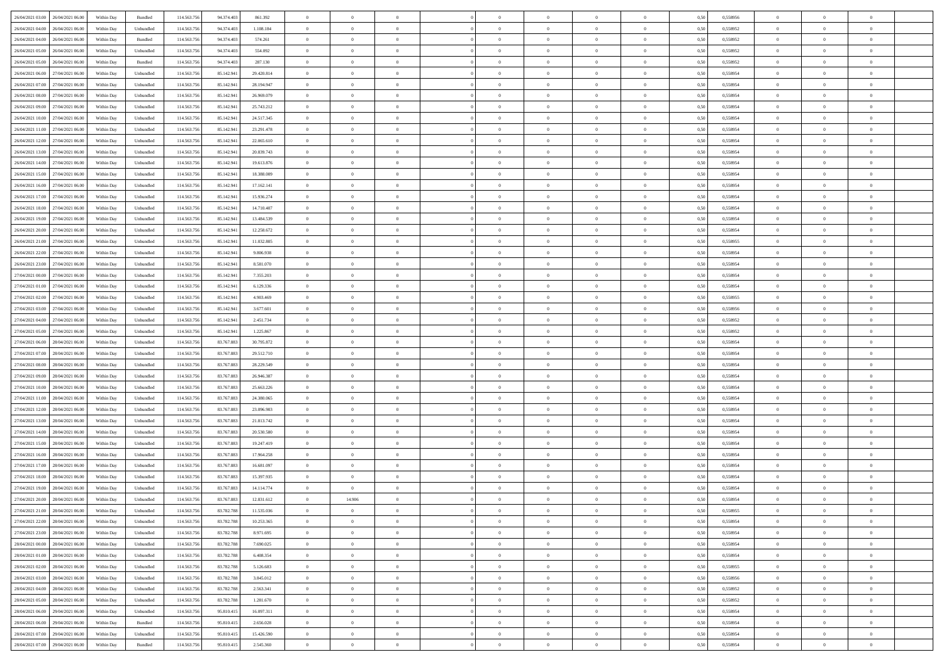| 26/04/2021 03:00 26/04/2021 06:00    | Within Day | Bundled   | 114.563.75  | 94.374.403 | 861.392    | $\overline{0}$ | $\overline{0}$ |                | $\overline{0}$ | $\theta$       |                | $\theta$       | 0,50 | 0,558956 | $\theta$       | $\theta$       | $\overline{0}$ |  |
|--------------------------------------|------------|-----------|-------------|------------|------------|----------------|----------------|----------------|----------------|----------------|----------------|----------------|------|----------|----------------|----------------|----------------|--|
| 26/04/2021 04:00<br>26/04/2021 06.00 | Within Day | Unbundled | 114.563.75  | 94.374.40  | 1.108.184  | $\bf{0}$       | $\bf{0}$       | $\bf{0}$       | $\overline{0}$ | $\overline{0}$ | $\overline{0}$ | $\bf{0}$       | 0,50 | 0,558952 | $\,$ 0 $\,$    | $\bf{0}$       | $\overline{0}$ |  |
| 26/04/2021 04:00<br>26/04/2021 06:00 | Within Day | Bundled   | 114,563,75  | 94.374.403 | 574.261    | $\overline{0}$ | $\bf{0}$       | $\overline{0}$ | $\bf{0}$       | $\bf{0}$       | $\overline{0}$ | $\bf{0}$       | 0.50 | 0.558952 | $\bf{0}$       | $\overline{0}$ | $\overline{0}$ |  |
| 26/04/2021 05:00<br>26/04/2021 06:00 | Within Day | Unbundled | 114.563.75  | 94.374.403 | 554.092    | $\overline{0}$ | $\overline{0}$ | $\overline{0}$ | $\theta$       | $\theta$       | $\overline{0}$ | $\bf{0}$       | 0,50 | 0,558952 | $\theta$       | $\theta$       | $\overline{0}$ |  |
|                                      |            |           |             |            |            |                |                |                |                |                |                |                |      |          |                |                |                |  |
| 26/04/2021 05:00<br>26/04/2021 06.00 | Within Day | Bundled   | 114.563.75  | 94.374.40  | 287.130    | $\bf{0}$       | $\overline{0}$ | $\bf{0}$       | $\overline{0}$ | $\theta$       | $\overline{0}$ | $\bf{0}$       | 0,50 | 0,558952 | $\,$ 0 $\,$    | $\bf{0}$       | $\overline{0}$ |  |
| 26/04/2021 06:00<br>27/04/2021 06:00 | Within Day | Unbundled | 114,563,75  | 85.142.94  | 29.420.814 | $\overline{0}$ | $\overline{0}$ | $\overline{0}$ | $\bf{0}$       | $\overline{0}$ | $\theta$       | $\bf{0}$       | 0.50 | 0.558954 | $\,$ 0 $\,$    | $\theta$       | $\overline{0}$ |  |
| 26/04/2021 07:00<br>27/04/2021 06:00 | Within Day | Unbundled | 114.563.75  | 85.142.941 | 28.194.947 | $\overline{0}$ | $\overline{0}$ | $\overline{0}$ | $\overline{0}$ | $\overline{0}$ | $\overline{0}$ | $\bf{0}$       | 0,50 | 0,558954 | $\theta$       | $\theta$       | $\overline{0}$ |  |
| 26/04/2021 08:00<br>27/04/2021 06.00 | Within Day | Unbundled | 114.563.75  | 85.142.94  | 26.969.079 | $\bf{0}$       | $\overline{0}$ | $\bf{0}$       | $\overline{0}$ | $\overline{0}$ | $\overline{0}$ | $\bf{0}$       | 0,50 | 0,558954 | $\,$ 0 $\,$    | $\bf{0}$       | $\overline{0}$ |  |
| 26/04/2021 09:00<br>27/04/2021 06:00 | Within Day | Unbundled | 114,563,75  | 85.142.94  | 25.743.212 | $\overline{0}$ | $\bf{0}$       | $\overline{0}$ | $\bf{0}$       | $\overline{0}$ | $\overline{0}$ | $\bf{0}$       | 0.50 | 0.558954 | $\bf{0}$       | $\overline{0}$ | $\overline{0}$ |  |
| 26/04/2021 10:00<br>27/04/2021 06:00 | Within Day | Unbundled | 114.563.756 | 85.142.941 | 24.517.345 | $\overline{0}$ | $\bf{0}$       | $\overline{0}$ | $\overline{0}$ | $\overline{0}$ | $\overline{0}$ | $\bf{0}$       | 0,50 | 0,558954 | $\,$ 0 $\,$    | $\theta$       | $\overline{0}$ |  |
|                                      |            |           |             |            |            |                |                |                |                |                |                |                |      |          |                |                |                |  |
| 26/04/2021 11:00<br>27/04/2021 06.00 | Within Day | Unbundled | 114.563.75  | 85.142.941 | 23.291.478 | $\bf{0}$       | $\overline{0}$ | $\bf{0}$       | $\bf{0}$       | $\bf{0}$       | $\overline{0}$ | $\bf{0}$       | 0,50 | 0,558954 | $\,$ 0 $\,$    | $\bf{0}$       | $\overline{0}$ |  |
| 26/04/2021 12:00<br>27/04/2021 06:00 | Within Day | Unbundled | 114,563,75  | 85.142.94  | 22.065.610 | $\overline{0}$ | $\bf{0}$       | $\overline{0}$ | $\overline{0}$ | $\bf{0}$       | $\overline{0}$ | $\bf{0}$       | 0.50 | 0.558954 | $\bf{0}$       | $\overline{0}$ | $\bf{0}$       |  |
| 26/04/2021 13:00<br>27/04/2021 06:00 | Within Day | Unbundled | 114.563.75  | 85.142.941 | 20.839.743 | $\overline{0}$ | $\overline{0}$ | $\overline{0}$ | $\theta$       | $\theta$       | $\overline{0}$ | $\bf{0}$       | 0,50 | 0,558954 | $\,$ 0 $\,$    | $\theta$       | $\overline{0}$ |  |
| 26/04/2021 14:00<br>27/04/2021 06.00 | Within Day | Unbundled | 114.563.75  | 85.142.94  | 19.613.876 | $\bf{0}$       | $\overline{0}$ | $\bf{0}$       | $\overline{0}$ | $\theta$       | $\overline{0}$ | $\bf{0}$       | 0,50 | 0,558954 | $\,$ 0 $\,$    | $\bf{0}$       | $\overline{0}$ |  |
| 26/04/2021 15:00<br>27/04/2021 06:00 | Within Day | Unbundled | 114,563,75  | 85.142.94  | 18,388,009 | $\overline{0}$ | $\overline{0}$ | $\overline{0}$ | $\bf{0}$       | $\overline{0}$ | $\theta$       | $\bf{0}$       | 0.50 | 0.558954 | $\,$ 0 $\,$    | $\theta$       | $\overline{0}$ |  |
| 26/04/2021 16:00<br>27/04/2021 06:00 |            |           | 114.563.75  |            |            | $\overline{0}$ | $\overline{0}$ | $\overline{0}$ | $\overline{0}$ | $\overline{0}$ | $\overline{0}$ |                |      |          | $\theta$       | $\theta$       | $\overline{0}$ |  |
|                                      | Within Day | Unbundled |             | 85.142.941 | 17.162.141 |                |                |                |                |                |                | $\bf{0}$       | 0,50 | 0,558954 |                |                |                |  |
| 26/04/2021 17:00<br>27/04/2021 06.00 | Within Day | Unbundled | 114.563.75  | 85.142.94  | 15.936.274 | $\bf{0}$       | $\overline{0}$ | $\bf{0}$       | $\overline{0}$ | $\bf{0}$       | $\overline{0}$ | $\bf{0}$       | 0,50 | 0,558954 | $\,$ 0 $\,$    | $\bf{0}$       | $\overline{0}$ |  |
| 26/04/2021 18:00<br>27/04/2021 06:00 | Within Day | Unbundled | 114,563,75  | 85.142.94  | 14.710.407 | $\overline{0}$ | $\bf{0}$       | $\overline{0}$ | $\bf{0}$       | $\overline{0}$ | $\overline{0}$ | $\bf{0}$       | 0.50 | 0.558954 | $\bf{0}$       | $\overline{0}$ | $\overline{0}$ |  |
| 26/04/2021 19:00<br>27/04/2021 06:00 | Within Day | Unbundled | 114.563.75  | 85.142.941 | 13.484.539 | $\overline{0}$ | $\bf{0}$       | $\overline{0}$ | $\overline{0}$ | $\overline{0}$ | $\overline{0}$ | $\bf{0}$       | 0,50 | 0,558954 | $\,$ 0 $\,$    | $\theta$       | $\overline{0}$ |  |
| 26/04/2021 20:00<br>27/04/2021 06.00 | Within Day | Unbundled | 114.563.75  | 85.142.94  | 12.258.672 | $\bf{0}$       | $\bf{0}$       | $\bf{0}$       | $\bf{0}$       | $\overline{0}$ | $\overline{0}$ | $\bf{0}$       | 0,50 | 0,558954 | $\,$ 0 $\,$    | $\bf{0}$       | $\overline{0}$ |  |
| 26/04/2021 21:00<br>27/04/2021 06:00 | Within Day | Unbundled | 114,563,75  | 85.142.941 | 11.032.805 | $\overline{0}$ | $\bf{0}$       | $\overline{0}$ | $\overline{0}$ | $\bf{0}$       | $\overline{0}$ | $\bf{0}$       | 0.50 | 0.558955 | $\bf{0}$       | $\overline{0}$ | $\overline{0}$ |  |
| 26/04/2021 22:00<br>27/04/2021 06:00 | Within Day | Unbundled | 114.563.75  | 85.142.941 | 9.806.938  | $\overline{0}$ | $\overline{0}$ | $\overline{0}$ | $\theta$       | $\theta$       | $\overline{0}$ | $\bf{0}$       | 0,50 | 0,558954 | $\theta$       | $\theta$       | $\overline{0}$ |  |
|                                      |            |           |             |            |            |                |                |                |                |                |                |                |      |          |                |                |                |  |
| 26/04/2021 23:00<br>27/04/2021 06.00 | Within Day | Unbundled | 114.563.75  | 85.142.94  | 8.581.070  | $\bf{0}$       | $\overline{0}$ | $\bf{0}$       | $\bf{0}$       | $\overline{0}$ | $\overline{0}$ | $\bf{0}$       | 0,50 | 0,558954 | $\,$ 0 $\,$    | $\bf{0}$       | $\overline{0}$ |  |
| 27/04/2021 00:00<br>27/04/2021 06:00 | Within Day | Unbundled | 114,563,75  | 85.142.94  | 7.355.203  | $\overline{0}$ | $\overline{0}$ | $\overline{0}$ | $\overline{0}$ | $\overline{0}$ | $\theta$       | $\bf{0}$       | 0.50 | 0.558954 | $\,$ 0 $\,$    | $\theta$       | $\overline{0}$ |  |
| 27/04/2021 01:00<br>27/04/2021 06:00 | Within Day | Unbundled | 114.563.75  | 85.142.941 | 6.129.336  | $\overline{0}$ | $\overline{0}$ | $\overline{0}$ | $\overline{0}$ | $\overline{0}$ | $\overline{0}$ | $\bf{0}$       | 0,50 | 0,558954 | $\theta$       | $\theta$       | $\overline{0}$ |  |
| 27/04/2021 02:00<br>27/04/2021 06.00 | Within Day | Unbundled | 114.563.75  | 85.142.94  | 4.903.469  | $\bf{0}$       | $\overline{0}$ | $\bf{0}$       | $\overline{0}$ | $\theta$       | $\overline{0}$ | $\bf{0}$       | 0,50 | 0,558955 | $\,$ 0 $\,$    | $\bf{0}$       | $\overline{0}$ |  |
| 27/04/2021 03:00<br>27/04/2021 06:00 | Within Day | Unbundled | 114,563,75  | 85.142.94  | 3.677.601  | $\overline{0}$ | $\bf{0}$       | $\overline{0}$ | $\bf{0}$       | $\overline{0}$ | $\overline{0}$ | $\bf{0}$       | 0.50 | 0.558956 | $\bf{0}$       | $\overline{0}$ | $\overline{0}$ |  |
| 27/04/2021 04:00<br>27/04/2021 06:00 | Within Day | Unbundled | 114.563.75  | 85.142.941 | 2.451.734  | $\overline{0}$ | $\overline{0}$ | $\overline{0}$ | $\overline{0}$ | $\overline{0}$ | $\overline{0}$ | $\bf{0}$       | 0,50 | 0,558952 | $\theta$       | $\theta$       | $\overline{0}$ |  |
|                                      |            |           |             |            |            |                |                |                |                |                |                |                |      |          |                |                |                |  |
| 27/04/2021 05:00<br>27/04/2021 06.00 | Within Day | Unbundled | 114.563.75  | 85.142.941 | 1.225.867  | $\bf{0}$       | $\bf{0}$       | $\bf{0}$       | $\bf{0}$       | $\overline{0}$ | $\overline{0}$ | $\bf{0}$       | 0,50 | 0,558952 | $\,$ 0 $\,$    | $\bf{0}$       | $\overline{0}$ |  |
| 27/04/2021 06:00<br>28/04/2021 06:00 | Within Day | Unbundled | 114,563,75  | 83,767,883 | 30.795.872 | $\overline{0}$ | $\bf{0}$       | $\overline{0}$ | $\bf{0}$       | $\bf{0}$       | $\overline{0}$ | $\bf{0}$       | 0.50 | 0.558954 | $\bf{0}$       | $\overline{0}$ | $\overline{0}$ |  |
| 27/04/2021 07:00<br>28/04/2021 06:00 | Within Day | Unbundled | 114.563.75  | 83.767.883 | 29.512.710 | $\overline{0}$ | $\overline{0}$ | $\overline{0}$ | $\overline{0}$ | $\overline{0}$ | $\overline{0}$ | $\bf{0}$       | 0.50 | 0.558954 | $\theta$       | $\theta$       | $\overline{0}$ |  |
| 27/04/2021 08:00<br>28/04/2021 06.00 | Within Day | Unbundled | 114.563.75  | 83.767.88  | 28.229.549 | $\bf{0}$       | $\overline{0}$ | $\bf{0}$       | $\bf{0}$       | $\overline{0}$ | $\overline{0}$ | $\bf{0}$       | 0,50 | 0,558954 | $\,$ 0 $\,$    | $\bf{0}$       | $\overline{0}$ |  |
| 27/04/2021 09:00<br>28/04/2021 06:00 | Within Day | Unbundled | 114,563,75  | 83,767,883 | 26,946,387 | $\overline{0}$ | $\bf{0}$       | $\overline{0}$ | $\bf{0}$       | $\overline{0}$ | $\Omega$       | $\bf{0}$       | 0.50 | 0.558954 | $\,$ 0 $\,$    | $\theta$       | $\overline{0}$ |  |
| 27/04/2021 10:00<br>28/04/2021 06:00 | Within Dav | Unbundled | 114.563.75  | 83.767.883 | 25.663.226 | $\overline{0}$ | $\overline{0}$ | $\overline{0}$ | $\overline{0}$ | $\overline{0}$ | $\overline{0}$ | $\bf{0}$       | 0.5( | 0,558954 | $\theta$       | $\theta$       | $\overline{0}$ |  |
| 27/04/2021 11:00<br>28/04/2021 06.00 | Within Day | Unbundled | 114.563.75  | 83.767.883 | 24.380.065 | $\bf{0}$       | $\bf{0}$       | $\bf{0}$       | $\overline{0}$ | $\bf{0}$       | $\overline{0}$ | $\bf{0}$       | 0,50 | 0,558954 | $\,$ 0 $\,$    | $\bf{0}$       | $\overline{0}$ |  |
| 28/04/2021 06:00                     |            | Unbundled | 114,563,75  |            | 23,096,903 |                |                |                |                |                | $\overline{0}$ |                |      |          |                |                |                |  |
| 27/04/2021 12:00                     | Within Day |           |             | 83,767,883 |            | $\overline{0}$ | $\bf{0}$       | $\overline{0}$ | $\bf{0}$       | $\overline{0}$ |                | $\bf{0}$       | 0.50 | 0.558954 | $\bf{0}$       | $\overline{0}$ | $\overline{0}$ |  |
| 27/04/2021 13:00<br>28/04/2021 06:00 | Within Dav | Unbundled | 114.563.75  | 83.767.883 | 21.813.742 | $\overline{0}$ | $\overline{0}$ | $\overline{0}$ | $\overline{0}$ | $\overline{0}$ | $\overline{0}$ | $\bf{0}$       | 0.50 | 0,558954 | $\theta$       | $\theta$       | $\overline{0}$ |  |
| 27/04/2021 14:00<br>28/04/2021 06.00 | Within Day | Unbundled | 114.563.75  | 83.767.88  | 20.530.580 | $\bf{0}$       | $\bf{0}$       | $\bf{0}$       | $\bf{0}$       | $\overline{0}$ | $\overline{0}$ | $\bf{0}$       | 0,50 | 0,558954 | $\,$ 0 $\,$    | $\bf{0}$       | $\overline{0}$ |  |
| 27/04/2021 15:00<br>28/04/2021 06:00 | Within Day | Unbundled | 114,563,75  | 83,767,883 | 19.247.419 | $\overline{0}$ | $\bf{0}$       | $\overline{0}$ | $\overline{0}$ | $\bf{0}$       | $\overline{0}$ | $\bf{0}$       | 0.50 | 0.558954 | $\bf{0}$       | $\overline{0}$ | $\overline{0}$ |  |
| 27/04/2021 16:00<br>28/04/2021 06:00 | Within Dav | Unbundled | 114.563.75  | 83.767.883 | 17.964.258 | $\overline{0}$ | $\overline{0}$ | $\overline{0}$ | $\overline{0}$ | $\overline{0}$ | $\overline{0}$ | $\bf{0}$       | 0.50 | 0,558954 | $\theta$       | $\theta$       | $\overline{0}$ |  |
| 27/04/2021 17:00<br>28/04/2021 06.00 | Within Day | Unbundled | 114.563.75  | 83.767.883 | 16.681.097 | $\bf{0}$       | $\bf{0}$       | $\bf{0}$       | $\bf{0}$       | $\,$ 0 $\,$    | $\overline{0}$ | $\bf{0}$       | 0,50 | 0,558954 | $\,$ 0 $\,$    | $\bf{0}$       | $\overline{0}$ |  |
| 27/04/2021 18:00<br>28/04/2021 06:00 | Within Day | Unbundled | 114,563,75  | 83,767,883 | 15.397.935 | $\overline{0}$ | $\overline{0}$ | $\overline{0}$ | $\bf{0}$       | $\overline{0}$ | $\Omega$       | $\bf{0}$       | 0.50 | 0.558954 | $\bf{0}$       | $\theta$       | $\overline{0}$ |  |
| 27/04/2021 19:00<br>28/04/2021 06:00 | Within Dav | Unbundled | 114.563.75  | 83.767.883 | 14.114.774 | $\overline{0}$ | $\overline{0}$ | $\Omega$       |                | $\theta$       | $\Omega$       | $\overline{0}$ | 0.5( | 0,558954 | $\theta$       | $\theta$       | $\overline{0}$ |  |
|                                      |            |           |             |            |            |                |                |                | $\overline{0}$ |                |                |                |      |          |                |                |                |  |
| 27/04/2021 20:00<br>28/04/2021 06:00 | Within Day | Unbundled | 114.563.75  | 83.767.883 | 12.831.612 | $\bf{0}$       | 14.906         | $\bf{0}$       | $\bf{0}$       | $\bf{0}$       | $\overline{0}$ | $\bf{0}$       | 0,50 | 0,558954 | $\,$ 0 $\,$    | $\bf{0}$       | $\overline{0}$ |  |
| 27/04/2021 21:00 28/04/2021 06:00    | Within Day | Unbundled | 114.563.756 | 83.782.788 | 11.535.036 | $\bf{0}$       | $\Omega$       |                | $\overline{0}$ |                |                |                | 0,50 | 0.558955 | $\bf{0}$       | $\overline{0}$ |                |  |
| 27/04/2021 22:00 28/04/2021 06:00    | Within Day | Unbundled | 114.563.756 | 83.782.788 | 10.253.365 | $\overline{0}$ | $\overline{0}$ | $\Omega$       | $\theta$       | $\overline{0}$ | $\overline{0}$ | $\bf{0}$       | 0,50 | 0,558954 | $\theta$       | $\theta$       | $\overline{0}$ |  |
| 27/04/2021 23:00<br>28/04/2021 06:00 | Within Day | Unbundled | 114.563.75  | 83.782.788 | 8.971.695  | $\overline{0}$ | $\bf{0}$       | $\overline{0}$ | $\overline{0}$ | $\bf{0}$       | $\overline{0}$ | $\bf{0}$       | 0,50 | 0,558954 | $\bf{0}$       | $\overline{0}$ | $\bf{0}$       |  |
| 28/04/2021 00:00 28/04/2021 06:00    | Within Day | Unbundled | 114,563,756 | 83.782.788 | 7.690.025  | $\overline{0}$ | $\bf{0}$       | $\overline{0}$ | $\overline{0}$ | $\mathbf{0}$   | $\overline{0}$ | $\,$ 0 $\,$    | 0.50 | 0.558954 | $\overline{0}$ | $\bf{0}$       | $\,$ 0 $\,$    |  |
| 28/04/2021 01:00 28/04/2021 06:00    | Within Day | Unbundled | 114.563.756 | 83.782.788 | 6.408.354  | $\overline{0}$ | $\overline{0}$ | $\overline{0}$ | $\overline{0}$ | $\overline{0}$ | $\overline{0}$ | $\bf{0}$       | 0,50 | 0,558954 | $\overline{0}$ | $\theta$       | $\overline{0}$ |  |
|                                      |            |           |             |            |            |                |                |                |                |                |                |                |      |          |                |                |                |  |
| 28/04/2021 02:00<br>28/04/2021 06:00 | Within Day | Unbundled | 114.563.75  | 83.782.788 | 5.126.683  | $\overline{0}$ | $\bf{0}$       | $\overline{0}$ | $\overline{0}$ | $\overline{0}$ | $\overline{0}$ | $\bf{0}$       | 0,50 | 0,558955 | $\bf{0}$       | $\overline{0}$ | $\overline{0}$ |  |
| 28/04/2021 03:00<br>28/04/2021 06:00 | Within Day | Unbundled | 114.563.756 | 83.782.788 | 3.845.012  | $\overline{0}$ | $\bf{0}$       | $\overline{0}$ | $\overline{0}$ | $\overline{0}$ | $\overline{0}$ | $\bf{0}$       | 0.50 | 0.558956 | $\,$ 0 $\,$    | $\overline{0}$ | $\,$ 0         |  |
| 28/04/2021 04:00<br>28/04/2021 06:00 | Within Dav | Unbundled | 114.563.756 | 83.782.788 | 2.563.341  | $\overline{0}$ | $\overline{0}$ | $\overline{0}$ | $\overline{0}$ | $\overline{0}$ | $\overline{0}$ | $\bf{0}$       | 0.50 | 0,558952 | $\overline{0}$ | $\theta$       | $\overline{0}$ |  |
| 28/04/2021 05:00<br>28/04/2021 06:00 | Within Day | Unbundled | 114.563.75  | 83.782.788 | 1.281.670  | $\overline{0}$ | $\overline{0}$ | $\overline{0}$ | $\overline{0}$ | $\overline{0}$ | $\overline{0}$ | $\bf{0}$       | 0,50 | 0,558952 | $\bf{0}$       | $\overline{0}$ | $\overline{0}$ |  |
| 29/04/2021 06:00<br>28/04/2021 06:00 | Within Day | Unbundled | 114.563.75  | 95,810,415 | 16.097.311 | $\overline{0}$ | $\overline{0}$ | $\overline{0}$ | $\overline{0}$ | $\overline{0}$ | $\overline{0}$ | $\bf{0}$       | 0.50 | 0.558954 | $\mathbf{0}$   | $\bf{0}$       | $\,$ 0         |  |
| 28/04/2021 06:00 29/04/2021 06:00    | Within Dav | Bundled   | 114.563.756 | 95.810.415 | 2.656.028  | $\overline{0}$ | $\overline{0}$ | $\overline{0}$ | $\overline{0}$ | $\overline{0}$ | $\overline{0}$ | $\bf{0}$       | 0,50 | 0,558954 | $\overline{0}$ | $\theta$       | $\overline{0}$ |  |
|                                      |            |           |             |            |            |                |                |                |                |                |                |                |      |          |                |                |                |  |
| 28/04/2021 07:00<br>29/04/2021 06.00 | Within Day | Unbundled | 114.563.75  | 95.810.415 | 15.426.590 | $\overline{0}$ | $\bf{0}$       | $\overline{0}$ | $\bf{0}$       | $\overline{0}$ | $\bf{0}$       | $\bf{0}$       | 0,50 | 0,558954 | $\bf{0}$       | $\bf{0}$       | $\bf{0}$       |  |
| 28/04/2021 07:00 29/04/2021 06:00    | Within Day | Bundled   | 114.563.756 | 95.810.415 | 2.545.360  | $\,$ 0 $\,$    | $\bf{0}$       | $\overline{0}$ | $\overline{0}$ | $\,$ 0 $\,$    | $\overline{0}$ | $\bf{0}$       | 0,50 | 0,558954 | $\overline{0}$ | $\,$ 0 $\,$    | $\,$ 0 $\,$    |  |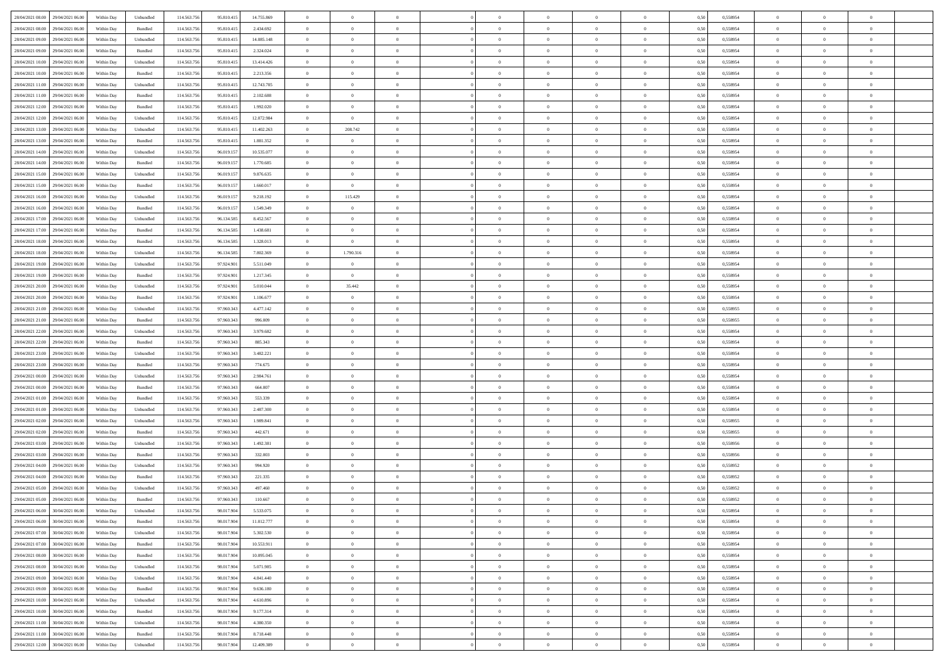| 28/04/2021 08:00 29/04/2021 06:00    | Within Day | Unbundled                   | 114.563.756 | 95.810.415 | 14.755.869 | $\overline{0}$ | $\overline{0}$ |                | $\overline{0}$ | $\theta$       |                | $\theta$       | 0,50 | 0,558954 | $\theta$       | $\theta$       | $\overline{0}$ |  |
|--------------------------------------|------------|-----------------------------|-------------|------------|------------|----------------|----------------|----------------|----------------|----------------|----------------|----------------|------|----------|----------------|----------------|----------------|--|
| 28/04/2021 08:00<br>29/04/2021 06.00 | Within Day | Bundled                     | 114.563.75  | 95.810.41: | 2.434.692  | $\bf{0}$       | $\bf{0}$       | $\bf{0}$       | $\overline{0}$ | $\overline{0}$ | $\overline{0}$ | $\bf{0}$       | 0,50 | 0,558954 | $\,$ 0 $\,$    | $\bf{0}$       | $\overline{0}$ |  |
| 28/04/2021 09:00<br>29/04/2021 06:00 | Within Day | Unbundled                   | 114,563,75  | 95.810.415 | 14,085.148 | $\overline{0}$ | $\bf{0}$       | $\overline{0}$ | $\bf{0}$       | $\bf{0}$       | $\overline{0}$ | $\bf{0}$       | 0.50 | 0.558954 | $\bf{0}$       | $\overline{0}$ | $\overline{0}$ |  |
| 28/04/2021 09:00<br>29/04/2021 06:00 |            |                             | 114.563.75  |            |            | $\overline{0}$ | $\overline{0}$ | $\overline{0}$ | $\theta$       | $\theta$       | $\overline{0}$ |                |      |          | $\theta$       | $\theta$       | $\overline{0}$ |  |
|                                      | Within Day | Bundled                     |             | 95.810.415 | 2.324.024  |                |                |                |                |                |                | $\bf{0}$       | 0,50 | 0,558954 |                |                |                |  |
| 28/04/2021 10:00<br>29/04/2021 06.00 | Within Day | Unbundled                   | 114.563.75  | 95.810.41: | 13.414.426 | $\bf{0}$       | $\overline{0}$ | $\bf{0}$       | $\overline{0}$ | $\theta$       | $\overline{0}$ | $\bf{0}$       | 0,50 | 0,558954 | $\,$ 0 $\,$    | $\bf{0}$       | $\overline{0}$ |  |
| 28/04/2021 10:00<br>29/04/2021 06:00 | Within Day | Bundled                     | 114,563,75  | 95.810.41: | 2.213.356  | $\overline{0}$ | $\overline{0}$ | $\overline{0}$ | $\bf{0}$       | $\overline{0}$ | $\theta$       | $\bf{0}$       | 0.50 | 0.558954 | $\,$ 0 $\,$    | $\theta$       | $\overline{0}$ |  |
| 28/04/2021 11:00<br>29/04/2021 06:00 | Within Day | Unbundled                   | 114.563.75  | 95.810.415 | 12.743.705 | $\overline{0}$ | $\overline{0}$ | $\overline{0}$ | $\overline{0}$ | $\overline{0}$ | $\overline{0}$ | $\bf{0}$       | 0,50 | 0,558954 | $\,$ 0 $\,$    | $\theta$       | $\overline{0}$ |  |
|                                      |            |                             |             |            |            |                |                |                |                |                |                |                |      |          |                |                |                |  |
| 28/04/2021 11:00<br>29/04/2021 06.00 | Within Day | Bundled                     | 114.563.75  | 95.810.41: | 2.102.688  | $\bf{0}$       | $\bf{0}$       | $\bf{0}$       | $\overline{0}$ | $\overline{0}$ | $\overline{0}$ | $\bf{0}$       | 0,50 | 0,558954 | $\,$ 0 $\,$    | $\bf{0}$       | $\overline{0}$ |  |
| 28/04/2021 12:00<br>29/04/2021 06:00 | Within Day | Bundled                     | 114,563,75  | 95.810.41: | 1.992.020  | $\overline{0}$ | $\bf{0}$       | $\overline{0}$ | $\bf{0}$       | $\overline{0}$ | $\overline{0}$ | $\bf{0}$       | 0.50 | 0.558954 | $\bf{0}$       | $\overline{0}$ | $\overline{0}$ |  |
| 28/04/2021 12:00<br>29/04/2021 06:00 | Within Day | Unbundled                   | 114.563.756 | 95.810.415 | 12.072.984 | $\overline{0}$ | $\bf{0}$       | $\overline{0}$ | $\overline{0}$ | $\overline{0}$ | $\overline{0}$ | $\bf{0}$       | 0,50 | 0,558954 | $\,$ 0 $\,$    | $\bf{0}$       | $\overline{0}$ |  |
| 28/04/2021 13:00<br>29/04/2021 06.00 | Within Day | Unbundled                   | 114.563.75  | 95.810.415 | 11.402.263 | $\bf{0}$       | 208.742        | $\bf{0}$       | $\bf{0}$       | $\bf{0}$       | $\overline{0}$ | $\bf{0}$       | 0,50 | 0,558954 | $\,$ 0 $\,$    | $\bf{0}$       | $\overline{0}$ |  |
|                                      |            |                             |             |            |            |                |                |                |                |                |                |                |      |          |                |                |                |  |
| 28/04/2021 13:00<br>29/04/2021 06:00 | Within Day | Bundled                     | 114,563,75  | 95.810.415 | 1.881.352  | $\overline{0}$ | $\bf{0}$       | $\overline{0}$ | $\overline{0}$ | $\bf{0}$       | $\overline{0}$ | $\bf{0}$       | 0.50 | 0.558954 | $\bf{0}$       | $\overline{0}$ | $\overline{0}$ |  |
| 28/04/2021 14:00<br>29/04/2021 06:00 | Within Day | Unbundled                   | 114.563.75  | 96.019.157 | 10.535.077 | $\overline{0}$ | $\overline{0}$ | $\overline{0}$ | $\theta$       | $\theta$       | $\overline{0}$ | $\bf{0}$       | 0,50 | 0,558954 | $\,$ 0 $\,$    | $\theta$       | $\overline{0}$ |  |
| 28/04/2021 14:00<br>29/04/2021 06.00 | Within Day | Bundled                     | 114.563.75  | 96.019.15  | 1.770.685  | $\bf{0}$       | $\overline{0}$ | $\bf{0}$       | $\overline{0}$ | $\bf{0}$       | $\overline{0}$ | $\bf{0}$       | 0,50 | 0,558954 | $\,$ 0 $\,$    | $\bf{0}$       | $\overline{0}$ |  |
|                                      |            |                             |             |            |            |                |                |                |                |                | $\theta$       |                |      |          |                |                |                |  |
| 28/04/2021 15:00<br>29/04/2021 06:00 | Within Day | Unbundled                   | 114,563,75  | 96.019.157 | 9.876.635  | $\overline{0}$ | $\overline{0}$ | $\overline{0}$ | $\bf{0}$       | $\overline{0}$ |                | $\bf{0}$       | 0.50 | 0.558954 | $\,$ 0 $\,$    | $\theta$       | $\overline{0}$ |  |
| 28/04/2021 15:00<br>29/04/2021 06:00 | Within Day | Bundled                     | 114.563.75  | 96.019.157 | 1.660.017  | $\overline{0}$ | $\bf{0}$       | $\overline{0}$ | $\overline{0}$ | $\overline{0}$ | $\overline{0}$ | $\bf{0}$       | 0,50 | 0,558954 | $\theta$       | $\theta$       | $\overline{0}$ |  |
| 28/04/2021 16:00<br>29/04/2021 06.00 | Within Day | Unbundled                   | 114.563.75  | 96.019.15  | 9.218.192  | $\bf{0}$       | 115.429        | $\bf{0}$       | $\overline{0}$ | $\bf{0}$       | $\overline{0}$ | $\bf{0}$       | 0,50 | 0,558954 | $\,$ 0 $\,$    | $\bf{0}$       | $\overline{0}$ |  |
| 28/04/2021 16:00<br>29/04/2021 06:00 | Within Day | Bundled                     | 114,563,75  | 96.019.15  | 1.549.349  | $\overline{0}$ | $\bf{0}$       | $\overline{0}$ | $\bf{0}$       | $\overline{0}$ | $\overline{0}$ | $\bf{0}$       | 0.50 | 0.558954 | $\bf{0}$       | $\overline{0}$ | $\overline{0}$ |  |
| 28/04/2021 17:00<br>29/04/2021 06:00 | Within Day | Unbundled                   | 114.563.75  | 96.134.585 | 8.452.567  | $\bf{0}$       | $\bf{0}$       | $\overline{0}$ | $\overline{0}$ | $\overline{0}$ | $\overline{0}$ | $\bf{0}$       | 0,50 | 0,558954 | $\,$ 0 $\,$    | $\bf{0}$       | $\overline{0}$ |  |
|                                      |            |                             |             |            |            |                |                |                |                |                |                |                |      |          |                |                |                |  |
| 28/04/2021 17:00<br>29/04/2021 06.00 | Within Day | Bundled                     | 114.563.75  | 96.134.585 | 1.438.681  | $\bf{0}$       | $\bf{0}$       | $\bf{0}$       | $\bf{0}$       | $\overline{0}$ | $\overline{0}$ | $\bf{0}$       | 0,50 | 0,558954 | $\,$ 0 $\,$    | $\bf{0}$       | $\overline{0}$ |  |
| 28/04/2021 18:00<br>29/04/2021 06:00 | Within Day | Bundled                     | 114.563.75  | 96.134.585 | 1.328.013  | $\overline{0}$ | $\overline{0}$ | $\overline{0}$ | $\overline{0}$ | $\bf{0}$       | $\overline{0}$ | $\bf{0}$       | 0.50 | 0.558954 | $\bf{0}$       | $\overline{0}$ | $\overline{0}$ |  |
| 28/04/2021 18:00<br>29/04/2021 06:00 | Within Day | Unbundled                   | 114.563.75  | 96.134.585 | 7.802.369  | $\overline{0}$ | 1.790.316      | $\overline{0}$ | $\theta$       | $\theta$       | $\overline{0}$ | $\bf{0}$       | 0,50 | 0,558954 | $\theta$       | $\theta$       | $\overline{0}$ |  |
| 28/04/2021 19:00<br>29/04/2021 06.00 | Within Day | Unbundled                   | 114.563.75  | 97.924.90  | 5.511.049  | $\bf{0}$       | $\overline{0}$ | $\bf{0}$       | $\bf{0}$       | $\,$ 0 $\,$    | $\overline{0}$ | $\bf{0}$       | 0,50 | 0,558954 | $\,$ 0 $\,$    | $\bf{0}$       | $\overline{0}$ |  |
|                                      |            |                             |             |            |            |                |                |                |                |                |                |                |      |          |                |                |                |  |
| 28/04/2021 19:00<br>29/04/2021 06:00 | Within Day | Bundled                     | 114,563,75  | 97.924.901 | 1.217.345  | $\overline{0}$ | $\overline{0}$ | $\overline{0}$ | $\bf{0}$       | $\overline{0}$ | $\theta$       | $\bf{0}$       | 0.50 | 0.558954 | $\,$ 0 $\,$    | $\theta$       | $\overline{0}$ |  |
| 28/04/2021 20:00<br>29/04/2021 06:00 | Within Day | Unbundled                   | 114.563.75  | 97.924.901 | 5.010.044  | $\overline{0}$ | 35.442         | $\overline{0}$ | $\overline{0}$ | $\overline{0}$ | $\overline{0}$ | $\bf{0}$       | 0,50 | 0,558954 | $\,$ 0 $\,$    | $\theta$       | $\overline{0}$ |  |
| 28/04/2021 20:00<br>29/04/2021 06.00 | Within Day | Bundled                     | 114.563.75  | 97.924.90  | 1.106.677  | $\bf{0}$       | $\theta$       | $\bf{0}$       | $\overline{0}$ | $\bf{0}$       | $\overline{0}$ | $\bf{0}$       | 0,50 | 0,558954 | $\,$ 0 $\,$    | $\bf{0}$       | $\overline{0}$ |  |
| 28/04/2021 21:00<br>29/04/2021 06:00 | Within Day | Unbundled                   | 114,563,75  | 97.960.343 | 4.477.142  | $\overline{0}$ | $\bf{0}$       | $\overline{0}$ | $\bf{0}$       | $\overline{0}$ | $\overline{0}$ | $\bf{0}$       | 0.50 | 0.558955 | $\bf{0}$       | $\overline{0}$ | $\overline{0}$ |  |
|                                      |            |                             |             |            |            |                |                |                |                |                |                |                |      |          |                |                |                |  |
| 28/04/2021 21:00<br>29/04/2021 06:00 | Within Day | Bundled                     | 114.563.75  | 97.960.343 | 996.009    | $\overline{0}$ | $\bf{0}$       | $\overline{0}$ | $\overline{0}$ | $\overline{0}$ | $\overline{0}$ | $\bf{0}$       | 0,50 | 0,558955 | $\theta$       | $\theta$       | $\overline{0}$ |  |
| 28/04/2021 22:00<br>29/04/2021 06.00 | Within Day | Unbundled                   | 114.563.75  | 97.960.343 | 3.979.682  | $\bf{0}$       | $\bf{0}$       | $\bf{0}$       | $\bf{0}$       | $\overline{0}$ | $\overline{0}$ | $\bf{0}$       | 0,50 | 0,558954 | $\,$ 0 $\,$    | $\bf{0}$       | $\overline{0}$ |  |
| 28/04/2021 22:00<br>29/04/2021 06:00 | Within Day | Bundled                     | 114,563,75  | 97.960.343 | 885.343    | $\overline{0}$ | $\bf{0}$       | $\overline{0}$ | $\overline{0}$ | $\bf{0}$       | $\overline{0}$ | $\bf{0}$       | 0.50 | 0.558954 | $\bf{0}$       | $\overline{0}$ | $\overline{0}$ |  |
| 28/04/2021 23:00<br>29/04/2021 06:00 | Within Day | Unbundled                   | 114.563.75  | 97.960.343 | 3.482.221  | $\overline{0}$ | $\overline{0}$ | $\overline{0}$ | $\overline{0}$ | $\overline{0}$ | $\overline{0}$ | $\bf{0}$       | 0.50 | 0,558954 | $\theta$       | $\theta$       | $\overline{0}$ |  |
|                                      |            |                             |             |            |            |                |                |                |                |                |                |                |      |          |                |                |                |  |
| 28/04/2021 23:00<br>29/04/2021 06.00 | Within Day | Bundled                     | 114.563.75  | 97.960.34  | 774.675    | $\bf{0}$       | $\bf{0}$       | $\bf{0}$       | $\bf{0}$       | $\,$ 0 $\,$    | $\overline{0}$ | $\bf{0}$       | 0,50 | 0,558954 | $\,$ 0 $\,$    | $\bf{0}$       | $\overline{0}$ |  |
| 29/04/2021 00:00<br>29/04/2021 06:00 | Within Day | Unbundled                   | 114,563,75  | 97.960.343 | 2.984.761  | $\overline{0}$ | $\bf{0}$       | $\overline{0}$ | $\bf{0}$       | $\overline{0}$ | $\overline{0}$ | $\bf{0}$       | 0.50 | 0.558954 | $\,$ 0 $\,$    | $\theta$       | $\overline{0}$ |  |
| 29/04/2021 00:00<br>29/04/2021 06:00 | Within Dav | Bundled                     | 114.563.75  | 97.960.343 | 664,007    | $\overline{0}$ | $\overline{0}$ | $\overline{0}$ | $\overline{0}$ | $\theta$       | $\overline{0}$ | $\bf{0}$       | 0.50 | 0,558954 | $\theta$       | $\theta$       | $\overline{0}$ |  |
| 29/04/2021 01:00<br>29/04/2021 06.00 | Within Day | Bundled                     | 114.563.75  | 97.960.343 | 553.339    | $\bf{0}$       | $\bf{0}$       | $\bf{0}$       | $\bf{0}$       | $\bf{0}$       | $\overline{0}$ | $\bf{0}$       | 0,50 | 0,558954 | $\,$ 0 $\,$    | $\bf{0}$       | $\overline{0}$ |  |
| 29/04/2021 01:00<br>29/04/2021 06:00 | Within Day | Unbundled                   | 114,563,75  | 97.960.34  | 2.487.300  | $\overline{0}$ | $\bf{0}$       | $\overline{0}$ | $\bf{0}$       | $\overline{0}$ | $\overline{0}$ | $\bf{0}$       | 0.50 | 0.558954 | $\bf{0}$       | $\overline{0}$ | $\overline{0}$ |  |
|                                      |            |                             |             |            |            |                |                |                |                |                |                |                |      |          |                |                |                |  |
| 29/04/2021 02:00<br>29/04/2021 06:00 | Within Dav | Unbundled                   | 114.563.75  | 97.960.343 | 1.989.841  | $\overline{0}$ | $\overline{0}$ | $\overline{0}$ | $\overline{0}$ | $\overline{0}$ | $\overline{0}$ | $\bf{0}$       | 0.50 | 0,558955 | $\theta$       | $\theta$       | $\overline{0}$ |  |
| 29/04/2021 02:00<br>29/04/2021 06.00 | Within Day | Bundled                     | 114.563.75  | 97.960.34  | 442.671    | $\bf{0}$       | $\bf{0}$       | $\bf{0}$       | $\bf{0}$       | $\overline{0}$ | $\overline{0}$ | $\bf{0}$       | 0,50 | 0,558955 | $\,$ 0 $\,$    | $\bf{0}$       | $\overline{0}$ |  |
| 29/04/2021 03:00<br>29/04/2021 06:00 | Within Day | Unbundled                   | 114.563.75  | 97.960.343 | 1.492.381  | $\overline{0}$ | $\bf{0}$       | $\overline{0}$ | $\overline{0}$ | $\bf{0}$       | $\overline{0}$ | $\bf{0}$       | 0.50 | 0.558956 | $\bf{0}$       | $\overline{0}$ | $\overline{0}$ |  |
| 29/04/2021 03:00<br>29/04/2021 06:00 | Within Day | Bundled                     | 114.563.75  | 97.960.343 | 332,003    | $\overline{0}$ | $\overline{0}$ | $\overline{0}$ | $\overline{0}$ | $\overline{0}$ | $\overline{0}$ | $\bf{0}$       | 0.50 | 0,558956 | $\theta$       | $\theta$       | $\overline{0}$ |  |
|                                      |            |                             |             |            |            |                |                |                |                |                |                |                |      |          |                |                |                |  |
| 29/04/2021 04:00<br>29/04/2021 06.00 | Within Day | Unbundled                   | 114.563.75  | 97.960.343 | 994.920    | $\bf{0}$       | $\bf{0}$       | $\bf{0}$       | $\bf{0}$       | $\overline{0}$ | $\overline{0}$ | $\bf{0}$       | 0,50 | 0,558952 | $\,$ 0 $\,$    | $\bf{0}$       | $\overline{0}$ |  |
| 29/04/2021 04:00<br>29/04/2021 06:00 | Within Day | Bundled                     | 114,563,75  | 97.960.34  | 221.335    | $\overline{0}$ | $\overline{0}$ | $\overline{0}$ | $\bf{0}$       | $\bf{0}$       | $\Omega$       | $\bf{0}$       | 0.50 | 0.558952 | $\bf{0}$       | $\theta$       | $\overline{0}$ |  |
| 29/04/2021 05:00<br>29/04/2021 06:00 | Within Dav | Unbundled                   | 114.563.75  | 97.960.343 | 497.460    | $\overline{0}$ | $\overline{0}$ | $\Omega$       | $\theta$       | $\theta$       | $\Omega$       | $\overline{0}$ | 0.5( | 0,558952 | $\theta$       | $\theta$       | $\overline{0}$ |  |
| 29/04/2021 05:00<br>29/04/2021 06.00 | Within Day | Bundled                     | 114.563.75  | 97.960.343 | 110.667    | $\bf{0}$       | $\bf{0}$       | $\bf{0}$       | $\bf{0}$       | $\bf{0}$       | $\overline{0}$ | $\bf{0}$       | 0,50 | 0,558952 | $\,$ 0 $\,$    | $\overline{0}$ | $\overline{0}$ |  |
| 29/04/2021 06:00 30/04/2021 06:00    |            |                             |             |            | 5.533.075  |                |                |                |                |                |                |                |      | 0.558954 |                |                |                |  |
|                                      | Within Day | $\ensuremath{\mathsf{Unb}}$ | 114.563.756 | 98.017.904 |            | $\bf{0}$       | $\theta$       |                | $\overline{0}$ |                |                |                | 0,50 |          | $\theta$       | $\overline{0}$ |                |  |
| 29/04/2021 06:00 30/04/2021 06:00    | Within Day | Bundled                     | 114.563.756 | 98.017.904 | 11.012.777 | $\overline{0}$ | $\overline{0}$ | $\Omega$       | $\theta$       | $\overline{0}$ | $\overline{0}$ | $\bf{0}$       | 0,50 | 0,558954 | $\theta$       | $\theta$       | $\overline{0}$ |  |
| 29/04/2021 07:00<br>30/04/2021 06.00 | Within Day | Unbundled                   | 114.563.75  | 98.017.904 | 5.302.530  | $\overline{0}$ | $\bf{0}$       | $\overline{0}$ | $\overline{0}$ | $\bf{0}$       | $\overline{0}$ | $\bf{0}$       | 0,50 | 0,558954 | $\bf{0}$       | $\overline{0}$ | $\bf{0}$       |  |
| 29/04/2021 07:00<br>30/04/2021 06:00 | Within Day | Bundled                     | 114,563,756 | 98.017.904 | 10.553.911 | $\overline{0}$ | $\bf{0}$       | $\overline{0}$ | $\overline{0}$ | $\mathbf{0}$   | $\overline{0}$ | $\,$ 0 $\,$    | 0.50 | 0.558954 | $\overline{0}$ | $\bf{0}$       | $\,$ 0 $\,$    |  |
| 29/04/2021 08:00<br>30/04/2021 06:00 | Within Dav | Bundled                     | 114.563.756 | 98.017.904 | 10.095.045 | $\overline{0}$ | $\overline{0}$ | $\overline{0}$ | $\overline{0}$ | $\overline{0}$ | $\overline{0}$ | $\bf{0}$       | 0,50 | 0,558954 | $\theta$       | $\theta$       | $\overline{0}$ |  |
|                                      |            |                             |             |            |            |                |                |                |                |                |                |                |      |          |                |                |                |  |
| 29/04/2021 08:00<br>30/04/2021 06.00 | Within Day | Unbundled                   | 114.563.75  | 98.017.904 | 5.071.985  | $\overline{0}$ | $\bf{0}$       | $\overline{0}$ | $\overline{0}$ | $\overline{0}$ | $\overline{0}$ | $\bf{0}$       | 0,50 | 0,558954 | $\bf{0}$       | $\overline{0}$ | $\overline{0}$ |  |
| 29/04/2021 09:00<br>30/04/2021 06:00 | Within Day | Unbundled                   | 114.563.756 | 98.017.904 | 4.841.440  | $\overline{0}$ | $\bf{0}$       | $\overline{0}$ | $\overline{0}$ | $\overline{0}$ | $\overline{0}$ | $\bf{0}$       | 0.50 | 0.558954 | $\,$ 0 $\,$    | $\theta$       | $\,$ 0         |  |
| 29/04/2021 09:00<br>30/04/2021 06:00 | Within Dav | Bundled                     | 114.563.756 | 98.017.904 | 9.636.180  | $\overline{0}$ | $\overline{0}$ | $\overline{0}$ | $\overline{0}$ | $\overline{0}$ | $\overline{0}$ | $\bf{0}$       | 0.50 | 0,558954 | $\overline{0}$ | $\theta$       | $\overline{0}$ |  |
|                                      |            |                             |             |            |            |                | $\overline{0}$ |                |                | $\overline{0}$ |                |                |      |          | $\bf{0}$       | $\overline{0}$ | $\,$ 0         |  |
| 29/04/2021 10:00<br>30/04/2021 06.00 | Within Day | Unbundled                   | 114.563.75  | 98.017.904 | 4.610.896  | $\overline{0}$ |                | $\overline{0}$ | $\overline{0}$ |                | $\overline{0}$ | $\bf{0}$       | 0,50 | 0,558954 |                |                |                |  |
| 30/04/2021 06:00<br>29/04/2021 10:00 | Within Day | Bundled                     | 114,563,756 | 98.017.904 | 9.177.314  | $\overline{0}$ | $\overline{0}$ | $\overline{0}$ | $\overline{0}$ | $\overline{0}$ | $\overline{0}$ | $\bf{0}$       | 0.50 | 0.558954 | $\mathbf{0}$   | $\bf{0}$       | $\,$ 0         |  |
| 29/04/2021 11:00<br>30/04/2021 06:00 | Within Dav | Unbundled                   | 114.563.756 | 98.017.904 | 4.380.350  | $\overline{0}$ | $\overline{0}$ | $\overline{0}$ | $\overline{0}$ | $\overline{0}$ | $\overline{0}$ | $\bf{0}$       | 0,50 | 0,558954 | $\overline{0}$ | $\theta$       | $\overline{0}$ |  |
| 29/04/2021 11:00<br>30/04/2021 06.00 | Within Day | Bundled                     | 114.563.75  | 98.017.904 | 8.718.448  | $\overline{0}$ | $\bf{0}$       | $\overline{0}$ | $\bf{0}$       | $\overline{0}$ | $\bf{0}$       | $\bf{0}$       | 0,50 | 0,558954 | $\bf{0}$       | $\bf{0}$       | $\bf{0}$       |  |
|                                      |            |                             |             |            |            |                |                |                |                |                |                |                |      |          |                |                |                |  |
| 29/04/2021 12:00 30/04/2021 06:00    | Within Day | ${\sf Unbundred}$           | 114.563.756 | 98.017.904 | 12.409.389 | $\overline{0}$ | $\bf{0}$       | $\overline{0}$ | $\overline{0}$ | $\,$ 0 $\,$    | $\overline{0}$ | $\bf{0}$       | 0,50 | 0,558954 | $\overline{0}$ | $\,$ 0 $\,$    | $\,$ 0 $\,$    |  |